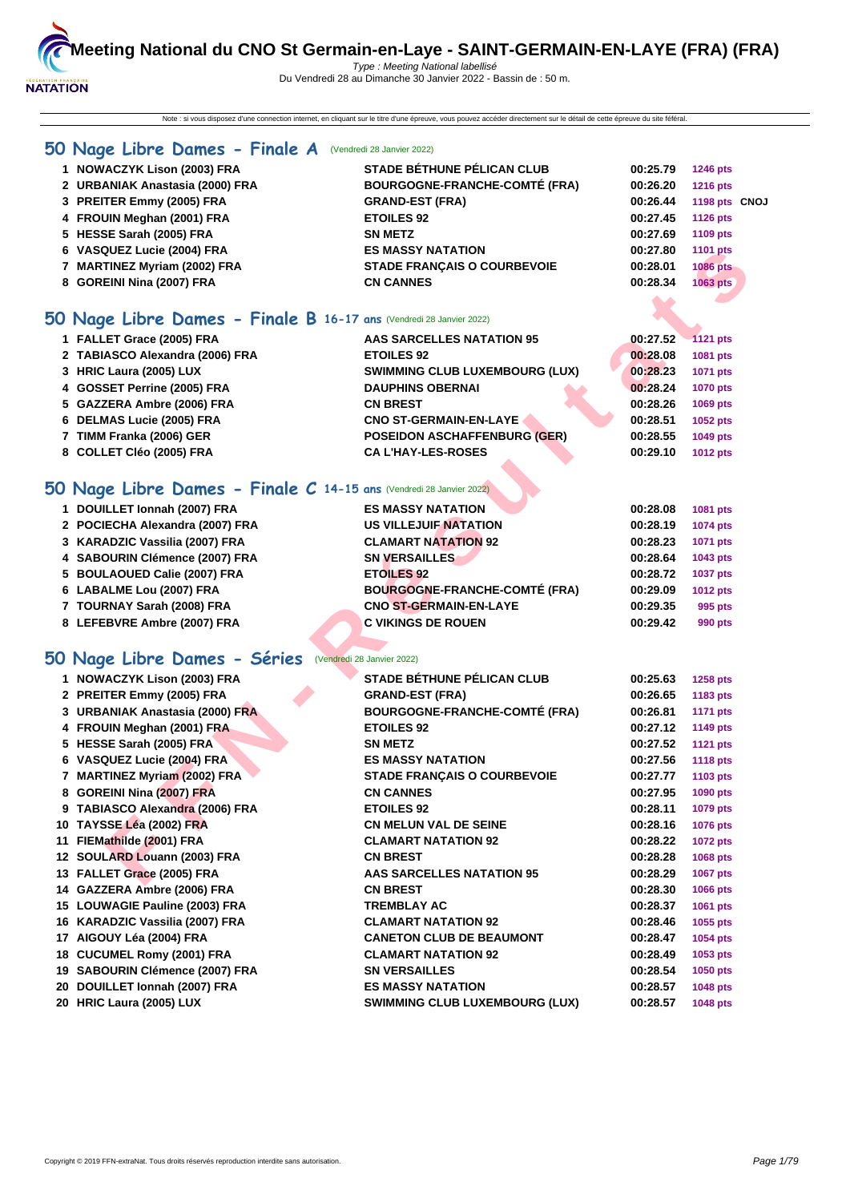Note : si vous disposez d'une connection internet, en cliquant sur le titre d'une épreuve, vous pouvez accéder directement sur le détail de cette épreuve du site féféral.

## **[50 Na](http://www.ffnatation.fr/webffn/index.php)ge Libre Dames - Finale A** (Vendredi 28 Janvier 2022)

| 1 NOWACZYK Lison (2003) FRA     | <b>STADE BÉTHUNE PÉLICAN CLUB</b>    | 00:25.79 | <b>1246 pts</b> |
|---------------------------------|--------------------------------------|----------|-----------------|
| 2 URBANIAK Anastasia (2000) FRA | <b>BOURGOGNE-FRANCHE-COMTÉ (FRA)</b> | 00:26.20 | <b>1216 pts</b> |
| 3 PREITER Emmy (2005) FRA       | <b>GRAND-EST (FRA)</b>               | 00:26.44 | 1198 pts CNOJ   |
| 4 FROUIN Meghan (2001) FRA      | <b>ETOILES 92</b>                    | 00:27.45 | <b>1126 pts</b> |
| 5 HESSE Sarah (2005) FRA        | <b>SN METZ</b>                       | 00:27.69 | 1109 pts        |
| 6 VASQUEZ Lucie (2004) FRA      | <b>ES MASSY NATATION</b>             | 00:27.80 | 1101 pts        |
| 7 MARTINEZ Myriam (2002) FRA    | <b>STADE FRANCAIS O COURBEVOIE</b>   | 00:28.01 | <b>1086 pts</b> |
| 8 GOREINI Nina (2007) FRA       | <b>CN CANNES</b>                     | 00:28.34 | <b>1063 pts</b> |
|                                 |                                      |          |                 |

## **50 Nage Libre Dames - Finale B 16-17 ans** (Vendredi 28 Janvier 2022)

| 1 FALLET Grace (2005) FRA       | AAS SARCELLES NATATION 95             | 00:27.52 | $-1121$ pts     |
|---------------------------------|---------------------------------------|----------|-----------------|
| 2 TABIASCO Alexandra (2006) FRA | <b>ETOILES 92</b>                     | 00:28.08 | 1081 pts        |
| 3 HRIC Laura (2005) LUX         | <b>SWIMMING CLUB LUXEMBOURG (LUX)</b> | 00:28.23 | 1071 pts        |
| 4 GOSSET Perrine (2005) FRA     | <b>DAUPHINS OBERNAI</b>               | 00:28.24 | <b>1070 pts</b> |
| 5 GAZZERA Ambre (2006) FRA      | <b>CN BREST</b>                       | 00:28.26 | 1069 pts        |
| 6 DELMAS Lucie (2005) FRA       | <b>CNO ST-GERMAIN-EN-LAYE</b>         | 00:28.51 | <b>1052 pts</b> |
| 7 TIMM Franka (2006) GER        | <b>POSEIDON ASCHAFFENBURG (GER)</b>   | 00:28.55 | <b>1049 pts</b> |
| 8 COLLET Cléo (2005) FRA        | <b>CA L'HAY-LES-ROSES</b>             | 00:29.10 | <b>1012 pts</b> |
|                                 |                                       |          |                 |

## **50 Nage Libre Dames - Finale C 14-15 ans** (Vendredi 28 Janvier 2022)

| 1 DOUILLET Ionnah (2007) FRA    | <b>ES MASSY NATATION</b>      | 00:28.08 | 1081 pts        |
|---------------------------------|-------------------------------|----------|-----------------|
| 2 POCIECHA Alexandra (2007) FRA | <b>US VILLEJUIF NATATION</b>  | 00:28.19 | <b>1074 pts</b> |
| 3 KARADZIC Vassilia (2007) FRA  | <b>CLAMART NATATION 92</b>    | 00:28.23 | 1071 pts        |
| 4 SABOURIN Clémence (2007) FRA  | <b>SN VERSAILLES</b>          | 00:28.64 | 1043 pts        |
| 5 BOULAOUED Calie (2007) FRA    | <b>ETOILES 92</b>             | 00:28.72 | <b>1037 pts</b> |
| 6 LABALME Lou (2007) FRA        | BOURGOGNE-FRANCHE-COMTÉ (FRA) | 00:29.09 | <b>1012 pts</b> |
| 7 TOURNAY Sarah (2008) FRA      | <b>CNO ST-GERMAIN-EN-LAYE</b> | 00:29.35 | 995 pts         |
| 8 LEFEBVRE Ambre (2007) FRA     | <b>C VIKINGS DE ROUEN</b>     | 00:29.42 | 990 pts         |

## **50 Nage Libre Dames - Séries** (Vendredi 28 Janvier 2022)

| 7 MARTINEZ Myriam (2002) FRA<br><b>STADE FRANÇAIS O COURBEVOIE</b><br>00:28.01<br>8 GOREINI Nina (2007) FRA<br><b>CN CANNES</b><br>00:28.34 | <b>1086 pts</b>             |
|---------------------------------------------------------------------------------------------------------------------------------------------|-----------------------------|
|                                                                                                                                             |                             |
|                                                                                                                                             | 1063 pts                    |
|                                                                                                                                             |                             |
| O Nage Libre Dames - Finale B 16-17 ans (Vendredi 28 Janvier 2022)                                                                          |                             |
| 1 FALLET Grace (2005) FRA<br><b>AAS SARCELLES NATATION 95</b><br>00:27.52                                                                   | <b>1121 pts</b>             |
| 2 TABIASCO Alexandra (2006) FRA<br><b>ETOILES 92</b><br>00:28.08                                                                            | 1081 pts                    |
| 00:28.23<br>3 HRIC Laura (2005) LUX<br><b>SWIMMING CLUB LUXEMBOURG (LUX)</b>                                                                | <b>1071 pts</b>             |
| 4 GOSSET Perrine (2005) FRA<br><b>DAUPHINS OBERNAI</b><br>00:28.24                                                                          | <b>1070 pts</b>             |
| 5 GAZZERA Ambre (2006) FRA<br><b>CN BREST</b><br>00:28.26                                                                                   | 1069 pts                    |
| 6 DELMAS Lucie (2005) FRA<br><b>CNO ST-GERMAIN-EN-LAYE</b><br>00:28.51                                                                      | 1052 pts                    |
| 7 TIMM Franka (2006) GER<br><b>POSEIDON ASCHAFFENBURG (GER)</b><br>00:28.55                                                                 | 1049 pts                    |
| 8 COLLET Cléo (2005) FRA<br><b>CA L'HAY-LES-ROSES</b><br>00:29.10                                                                           | <b>1012 pts</b>             |
|                                                                                                                                             |                             |
| O Nage Libre Dames - Finale C 14-15 ans Nendredi 28 Janvier 2022)                                                                           |                             |
| 1 DOUILLET Ionnah (2007) FRA<br><b>ES MASSY NATATION</b><br>00:28.08                                                                        | 1081 pts                    |
| 2 POCIECHA Alexandra (2007) FRA<br><b>US VILLEJUIF NATATION</b><br>00:28.19                                                                 | 1074 pts                    |
| 3 KARADZIC Vassilia (2007) FRA<br><b>CLAMART NATATION 92</b><br>00:28.23                                                                    | 1071 pts                    |
| 4 SABOURIN Clémence (2007) FRA<br><b>SN VERSAILLES</b><br>00:28.64                                                                          |                             |
| <b>ETOILES 92</b><br>00:28.72                                                                                                               | 1043 pts                    |
| 5 BOULAOUED Calie (2007) FRA<br><b>BOURGOGNE-FRANCHE-COMTÉ (FRA)</b><br>6 LABALME Lou (2007) FRA<br>00:29.09                                | <b>1037 pts</b><br>1012 pts |
| <b>CNO ST-GERMAIN-EN-LAYE</b><br>00:29.35                                                                                                   |                             |
| 7 TOURNAY Sarah (2008) FRA<br><b>C VIKINGS DE ROUEN</b>                                                                                     | 995 pts                     |
| 8 LEFEBVRE Ambre (2007) FRA<br>00:29.42                                                                                                     | 990 pts                     |
|                                                                                                                                             |                             |
| O Nage Libre Dames - Séries (Vendredi 28 Janvier 2022)                                                                                      |                             |
| <b>STADE BÉTHUNE PÉLICAN CLUB</b><br>1 NOWACZYK Lison (2003) FRA<br>00:25.63                                                                | <b>1258 pts</b>             |
|                                                                                                                                             |                             |
| 2 PREITER Emmy (2005) FRA<br><b>GRAND-EST (FRA)</b><br>00:26.65                                                                             | 1183 pts                    |
| 3 URBANIAK Anastasia (2000) FRA<br><b>BOURGOGNE-FRANCHE-COMTÉ (FRA)</b><br>00:26.81                                                         | <b>1171 pts</b>             |
| 4 FROUIN Meghan (2001) FRA<br><b>ETOILES 92</b><br>00:27.12                                                                                 | 1149 pts                    |
| 5 HESSE Sarah (2005) FRA<br><b>SN METZ</b><br>00:27.52                                                                                      | <b>1121 pts</b>             |
| 6 VASQUEZ Lucie (2004) FRA<br><b>ES MASSY NATATION</b><br>00:27.56                                                                          | <b>1118 pts</b>             |
| 7 MARTINEZ Myriam (2002) FRA<br><b>STADE FRANÇAIS O COURBEVOIE</b><br>00:27.77                                                              | 1103 pts                    |
| 8 GOREINI Nina (2007) FRA<br><b>CN CANNES</b><br>00:27.95                                                                                   | 1090 pts                    |
| 9 TABIASCO Alexandra (2006) FRA<br><b>ETOILES 92</b><br>00:28.11                                                                            | 1079 pts                    |
| 10 TAYSSE Léa (2002) FRA<br><b>CN MELUN VAL DE SEINE</b><br>00:28.16                                                                        | 1076 pts                    |
| 11 FIEMathilde (2001) FRA<br><b>CLAMART NATATION 92</b><br>00:28.22                                                                         | 1072 pts                    |
| 12 SOULARD Louann (2003) FRA<br><b>CN BREST</b><br>00:28.28                                                                                 | 1068 pts                    |
| 13 FALLET Grace (2005) FRA<br><b>AAS SARCELLES NATATION 95</b><br>00:28.29                                                                  | 1067 pts                    |
| 14 GAZZERA Ambre (2006) FRA<br><b>CN BREST</b><br>00:28.30                                                                                  | 1066 pts                    |
| 15 LOUWAGIE Pauline (2003) FRA<br>TREMBLAY AC<br>00:28.37                                                                                   | 1061 pts                    |
| <b>CLAMART NATATION 92</b><br>00:28.46                                                                                                      | 1055 pts                    |
| <b>CANETON CLUB DE BEAUMONT</b><br>00:28.47                                                                                                 | 1054 pts                    |
| 18 CUCUMEL Romy (2001) FRA<br><b>CLAMART NATATION 92</b><br>00:28.49                                                                        | 1053 pts                    |
| 16 KARADZIC Vassilia (2007) FRA<br>17 AIGOUY Léa (2004) FRA<br>19 SABOURIN Clémence (2007) FRA<br><b>SN VERSAILLES</b><br>00:28.54          | 1050 pts                    |
| 20 DOUILLET Ionnah (2007) FRA<br><b>ES MASSY NATATION</b><br>00:28.57                                                                       | 1048 pts                    |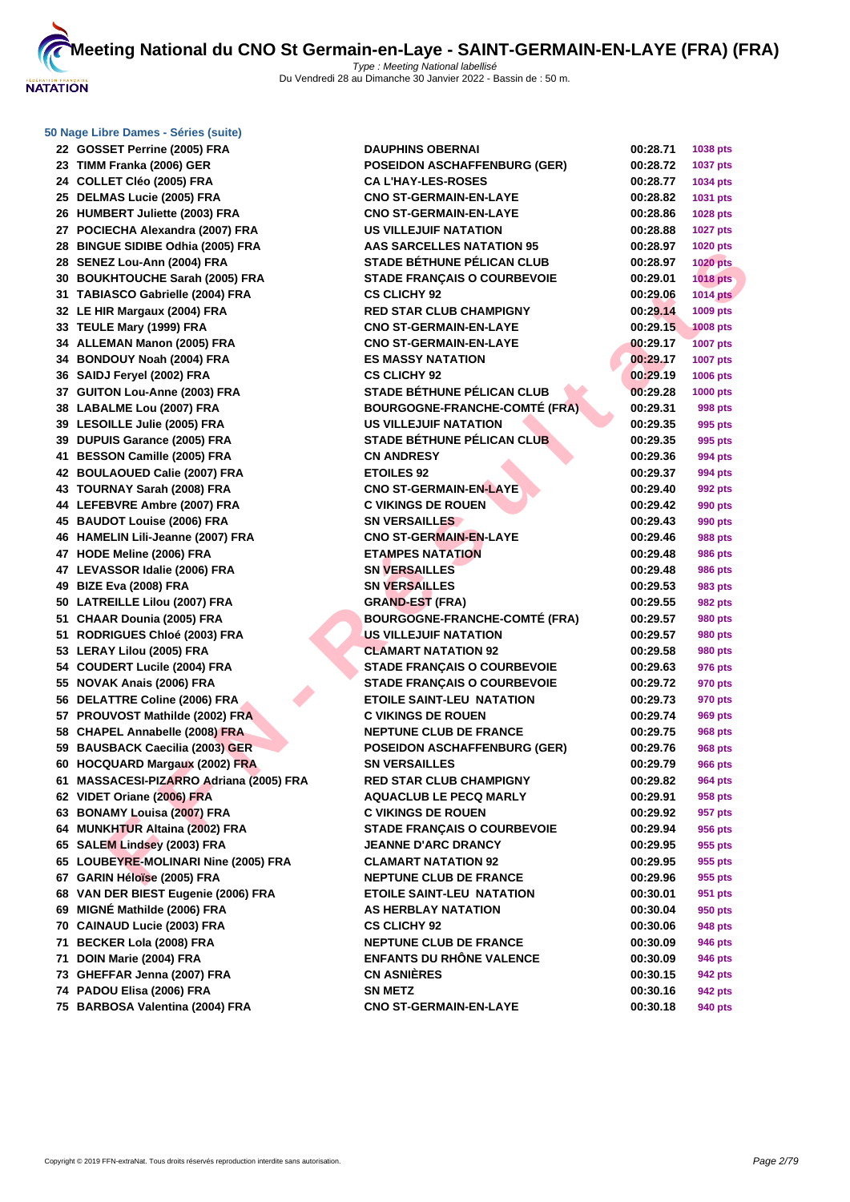**[50 Nage L](http://www.ffnatation.fr/webffn/index.php)ibre Dames - Séries (suite)**

 **GOSSET Perrine (2005) FRA DAUPHINS OBERNAI 00:28.71 1038 pts TIMM Franka (2006) GER POSEIDON ASCHAFFENBURG (GER) 00:28.72 1037 pts COLLET Cléo (2005) FRA CA L'HAY-LES-ROSES 00:28.77 1034 pts DELMAS Lucie (2005) FRA CNO ST-GERMAIN-EN-LAYE 00:28.82 1031 pts HUMBERT Juliette (2003) FRA CNO ST-GERMAIN-EN-LAYE 00:28.86 1028 pts POCIECHA Alexandra (2007) FRA US VILLEJUIF NATATION 00:28.88 1027 pts BINGUE SIDIBE Odhia (2005) FRA AAS SARCELLES NATATION 95 00:28.97 1020 pts SENEZ Lou-Ann (2004) FRA STADE BÉTHUNE PÉLICAN CLUB 00:28.97 1020 pts BOUKHTOUCHE Sarah (2005) FRA STADE FRANÇAIS O COURBEVOIE 00:29.01 1018 pts TABIASCO Gabrielle (2004) FRA CS CLICHY 92 00:29.06 1014 pts**

| 20 BINGUL SIDIDL OGHIA (2003) I INA     | וותותו טבבבבעוותט כ                  | 00.ZU.JI | <b>TOZU PIS</b> |
|-----------------------------------------|--------------------------------------|----------|-----------------|
| 28 SENEZ Lou-Ann (2004) FRA             | <b>STADE BÉTHUNE PÉLICAN CLUB</b>    | 00:28.97 | <b>1020 pts</b> |
| 30 BOUKHTOUCHE Sarah (2005) FRA         | <b>STADE FRANÇAIS O COURBEVOIE</b>   | 00:29.01 | <b>1018 pts</b> |
| 31 TABIASCO Gabrielle (2004) FRA        | <b>CS CLICHY 92</b>                  | 00:29.06 | <b>1014 pts</b> |
| 32 LE HIR Margaux (2004) FRA            | <b>RED STAR CLUB CHAMPIGNY</b>       | 00:29.14 | 1009 pts        |
| 33 TEULE Mary (1999) FRA                | <b>CNO ST-GERMAIN-EN-LAYE</b>        | 00:29.15 | <b>1008 pts</b> |
| 34 ALLEMAN Manon (2005) FRA             | <b>CNO ST-GERMAIN-EN-LAYE</b>        | 00:29.17 | <b>1007 pts</b> |
| 34 BONDOUY Noah (2004) FRA              | <b>ES MASSY NATATION</b>             | 00:29.17 | <b>1007 pts</b> |
| 36 SAIDJ Feryel (2002) FRA              | <b>CS CLICHY 92</b>                  | 00:29.19 | 1006 pts        |
| 37 GUITON Lou-Anne (2003) FRA           | <b>STADE BÉTHUNE PÉLICAN CLUB</b>    | 00:29.28 | <b>1000 pts</b> |
| 38 LABALME Lou (2007) FRA               | <b>BOURGOGNE-FRANCHE-COMTÉ (FRA)</b> | 00:29.31 | 998 pts         |
| 39 LESOILLE Julie (2005) FRA            | <b>US VILLEJUIF NATATION</b>         | 00:29.35 | 995 pts         |
| 39 DUPUIS Garance (2005) FRA            | <b>STADE BÉTHUNE PÉLICAN CLUB</b>    | 00:29.35 | 995 pts         |
| 41 BESSON Camille (2005) FRA            | <b>CN ANDRESY</b>                    | 00:29.36 | 994 pts         |
| 42 BOULAOUED Calie (2007) FRA           | <b>ETOILES 92</b>                    | 00:29.37 | 994 pts         |
| 43 TOURNAY Sarah (2008) FRA             | <b>CNO ST-GERMAIN-EN-LAYE</b>        | 00:29.40 | 992 pts         |
| 44 LEFEBVRE Ambre (2007) FRA            | <b>C VIKINGS DE ROUEN</b>            | 00:29.42 | 990 pts         |
| 45 BAUDOT Louise (2006) FRA             | <b>SN VERSAILLES</b>                 | 00:29.43 | 990 pts         |
| 46 HAMELIN Lili-Jeanne (2007) FRA       | <b>CNO ST-GERMAIN-EN-LAYE</b>        | 00:29.46 | 988 pts         |
| 47 HODE Meline (2006) FRA               | <b>ETAMPES NATATION</b>              | 00:29.48 | 986 pts         |
| 47 LEVASSOR Idalie (2006) FRA           | <b>SN VERSAILLES</b>                 | 00:29.48 | 986 pts         |
| 49 BIZE Eva (2008) FRA                  | <b>SN VERSAILLES</b>                 | 00:29.53 | 983 pts         |
| 50 LATREILLE Lilou (2007) FRA           | <b>GRAND-EST (FRA)</b>               | 00:29.55 | <b>982 pts</b>  |
| 51 CHAAR Dounia (2005) FRA              | <b>BOURGOGNE-FRANCHE-COMTÉ (FRA)</b> | 00:29.57 | <b>980 pts</b>  |
| 51 RODRIGUES Chloé (2003) FRA           | <b>US VILLEJUIF NATATION</b>         | 00:29.57 | 980 pts         |
| 53 LERAY Lilou (2005) FRA               | <b>CLAMART NATATION 92</b>           | 00:29.58 | 980 pts         |
| 54 COUDERT Lucile (2004) FRA            | <b>STADE FRANÇAIS O COURBEVOIE</b>   | 00:29.63 | 976 pts         |
| 55 NOVAK Anais (2006) FRA               | <b>STADE FRANÇAIS O COURBEVOIE</b>   | 00:29.72 | 970 pts         |
| 56 DELATTRE Coline (2006) FRA           | <b>ETOILE SAINT-LEU NATATION</b>     | 00:29.73 | 970 pts         |
| 57 PROUVOST Mathilde (2002) FRA         | <b>C VIKINGS DE ROUEN</b>            | 00:29.74 | <b>969 pts</b>  |
| 58 CHAPEL Annabelle (2008) FRA          | <b>NEPTUNE CLUB DE FRANCE</b>        | 00:29.75 | <b>968 pts</b>  |
| 59 BAUSBACK Caecilia (2003) GER         | <b>POSEIDON ASCHAFFENBURG (GER)</b>  | 00:29.76 | <b>968 pts</b>  |
| 60 HOCQUARD Margaux (2002) FRA          | <b>SN VERSAILLES</b>                 | 00:29.79 | <b>966 pts</b>  |
| 61 MASSACESI-PIZARRO Adriana (2005) FRA | <b>RED STAR CLUB CHAMPIGNY</b>       | 00:29.82 | 964 pts         |
| 62 VIDET Oriane (2006) FRA              | <b>AQUACLUB LE PECQ MARLY</b>        | 00:29.91 | 958 pts         |
| 63 BONAMY Louisa (2007) FRA             | <b>C VIKINGS DE ROUEN</b>            | 00:29.92 | 957 pts         |
| 64 MUNKHTUR Altaina (2002) FRA          | <b>STADE FRANÇAIS O COURBEVOIE</b>   | 00:29.94 | 956 pts         |
| 65 SALEM Lindsey (2003) FRA             | <b>JEANNE D'ARC DRANCY</b>           | 00:29.95 | 955 pts         |
| 65 LOUBEYRE-MOLINARI Nine (2005) FRA    | <b>CLAMART NATATION 92</b>           | 00:29.95 | 955 pts         |
| 67 GARIN Héloïse (2005) FRA             | <b>NEPTUNE CLUB DE FRANCE</b>        | 00:29.96 | 955 pts         |
| 68 VAN DER BIEST Eugenie (2006) FRA     | <b>ETOILE SAINT-LEU NATATION</b>     | 00:30.01 | 951 pts         |
| 69 MIGNÉ Mathilde (2006) FRA            | <b>AS HERBLAY NATATION</b>           | 00:30.04 | 950 pts         |
| 70 CAINAUD Lucie (2003) FRA             | <b>CS CLICHY 92</b>                  | 00:30.06 | 948 pts         |
| 71 BECKER Lola (2008) FRA               | <b>NEPTUNE CLUB DE FRANCE</b>        | 00:30.09 | 946 pts         |
| 71 DOIN Marie (2004) FRA                | <b>ENFANTS DU RHÔNE VALENCE</b>      | 00:30.09 | 946 pts         |
| 73 GHEFFAR Jenna (2007) FRA             | <b>CN ASNIÈRES</b>                   | 00:30.15 | 942 pts         |
| 74 PADOU Elisa (2006) FRA               | <b>SN METZ</b>                       | 00:30.16 | 942 pts         |
| 75 BARBOSA Valentina (2004) FRA         | <b>CNO ST-GERMAIN-EN-LAYE</b>        | 00:30.18 | 940 pts         |
|                                         |                                      |          |                 |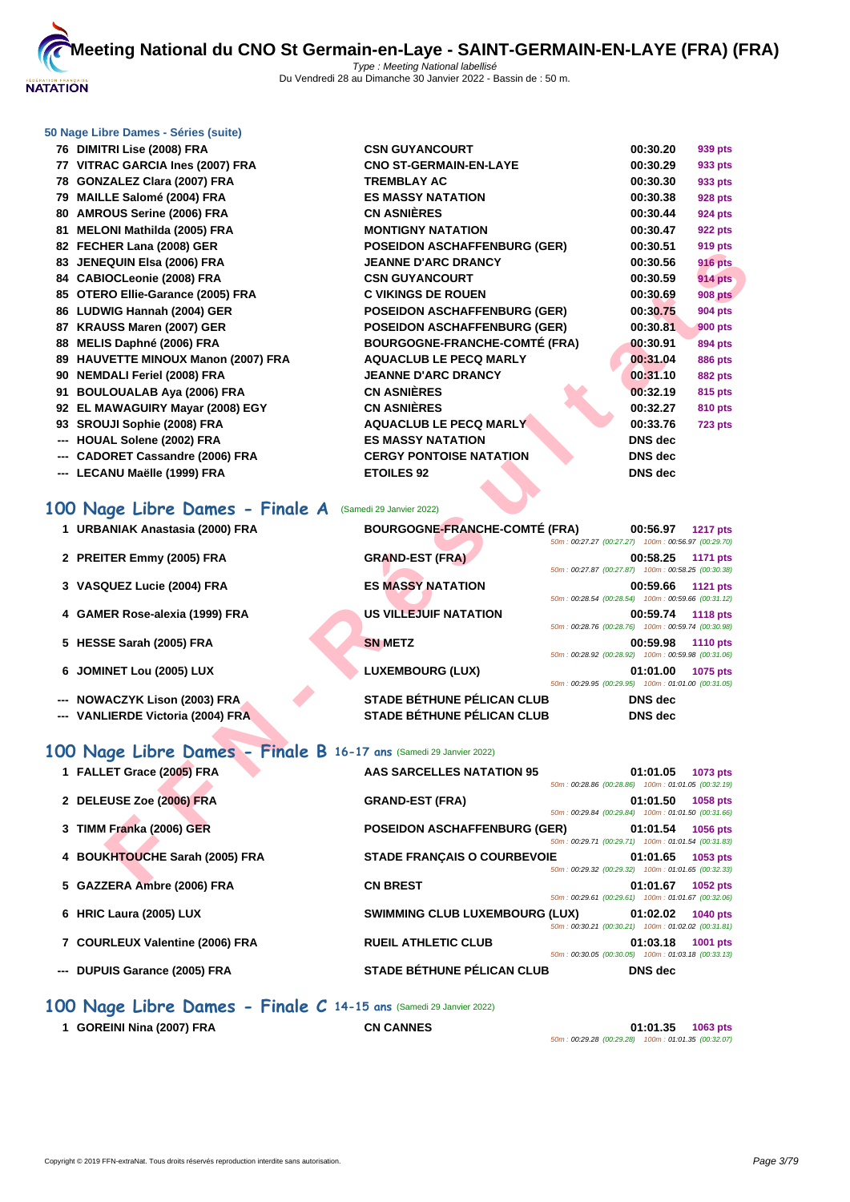

#### **[50 Nage L](http://www.ffnatation.fr/webffn/index.php)ibre Dames - Séries (suite)**

 **DIMITRI Lise (2008) FRA CS VITRAC GARCIA Ines (2007) FRA CNO ST-GERMAIN-EN-LAYE 00:30.29 933 pts 78 GONZALEZ Clara (2007) FRA TR MAILLE Salomé (2004) FRA DISCOMBED ASSESSED AMROUS Serine (2006) FRA CN MELONI Mathilda (2005) FRA M 82 FECHER Lana (2008) GER POSEIGON BURG (GER) POSEIGON BURG (GER) JENEQUIN Elsa (2006) FRA DRANCY 00:30.56 916 pts CABIOCLeonie (2008) FRA CS OTERO Ellie-Garance (2005) FRA C**  LUDWIG Hannah (2004) GER **POSEIGON BURG (GER) POSEIGN KRAUSS Maren (2007) GER PC MELIS Daphné (2006) FRA BOURGOGY 89 HAUVETTE MINOUX Manon (2007) FRA A NEMDALI Feriel (2008) FRA DRANCY 00:31.100 00:31.100 00:31.100 00:31.100 91 BOULOUALAB Aya (2006) FRA CN ASSAULTED 92 EL MAWAGUIRY Mayar (2008) EGY <b>CN SROUJI Sophie (2008) FRA AQUACLUB LE PECQ MARLY 00:33.76 723 pts --- HOUAL Solene (2002) FRA DISCOTE SES --- CADORET Cassandre (2006) FRA CERGY PONTOISE OF A CERCY PONTOISE OF A CERCY PONTOISE OF A CERCY POINT --- LECANU Maëlle (1999) FRA ET** 

| <b>SN GUYANCOURT</b>                | 00:30.20       | 939 pts        |
|-------------------------------------|----------------|----------------|
| <b>NO ST-GERMAIN-EN-LAYE</b>        | 00:30.29       | 933 pts        |
| <b>REMBLAY AC</b>                   | 00:30.30       | 933 pts        |
| <b>S MASSY NATATION</b>             | 00:30.38       | <b>928 pts</b> |
| N ASNIÈRES                          | 00:30.44       | <b>924 pts</b> |
| <b>ONTIGNY NATATION</b>             | 00:30.47       | <b>922 pts</b> |
| <b>DSEIDON ASCHAFFENBURG (GER)</b>  | 00:30.51       | 919 pts        |
| <b>EANNE D'ARC DRANCY</b>           | 00:30.56       | <b>916 pts</b> |
| <b>SN GUYANCOURT</b>                | 00:30.59       | <b>914 pts</b> |
| <b>VIKINGS DE ROUEN</b>             | 00:30.69       | <b>908 pts</b> |
| <b>DSEIDON ASCHAFFENBURG (GER)</b>  | 00:30.75       | <b>904 pts</b> |
| <b>OSEIDON ASCHAFFENBURG (GER)</b>  | 00:30.81       | <b>900 pts</b> |
| <b>OURGOGNE-FRANCHE-COMTÉ (FRA)</b> | 00:30.91       | <b>894 pts</b> |
| <b>QUACLUB LE PECQ MARLY</b>        | 00:31.04       | <b>886 pts</b> |
| <b>EANNE D'ARC DRANCY</b>           | 00:31.10       | <b>882 pts</b> |
| N ASNIÈRES                          | 00:32.19       | 815 pts        |
| N ASNIÈRES                          | 00:32.27       | <b>810 pts</b> |
| <b>QUACLUB LE PECQ MARLY</b>        | 00:33.76       | <b>723 pts</b> |
| <b>S MASSY NATATION</b>             | DNS dec        |                |
| <b>ERGY PONTOISE NATATION</b>       | <b>DNS</b> dec |                |
| <b>TOILES 92</b>                    | <b>DNS</b> dec |                |
|                                     |                |                |

## **100 Nage Libre Dames - Finale A** (Samedi 29 Janvier 2022)

| 02 <b>I LUILIN LAHA (2000)</b> OLIN                               | I OSEIDON ASCHAH ENDONG (GEN)                                    | 00.JU.J I<br>ອ ເອ µເຣ                                                             |
|-------------------------------------------------------------------|------------------------------------------------------------------|-----------------------------------------------------------------------------------|
| 83 JENEQUIN Elsa (2006) FRA                                       | <b>JEANNE D'ARC DRANCY</b>                                       | 00:30.56<br><b>916 pts</b>                                                        |
| 84 CABIOCLeonie (2008) FRA                                        | <b>CSN GUYANCOURT</b>                                            | 00:30.59<br><b>914 pts</b>                                                        |
| 85 OTERO Ellie-Garance (2005) FRA                                 | <b>C VIKINGS DE ROUEN</b>                                        | 00:30.69<br><b>908 pts</b>                                                        |
| 86 LUDWIG Hannah (2004) GER                                       | <b>POSEIDON ASCHAFFENBURG (GER)</b>                              | 00:30.75<br>904 pts                                                               |
| 87 KRAUSS Maren (2007) GER                                        | <b>POSEIDON ASCHAFFENBURG (GER)</b>                              | 00:30.81<br>900 pts                                                               |
| 88 MELIS Daphné (2006) FRA                                        | <b>BOURGOGNE-FRANCHE-COMTÉ (FRA)</b>                             | 00:30.91<br>894 pts                                                               |
| 89 HAUVETTE MINOUX Manon (2007) FRA                               | <b>AQUACLUB LE PECQ MARLY</b>                                    | 00:31.04<br>886 pts                                                               |
| 90 NEMDALI Feriel (2008) FRA                                      | <b>JEANNE D'ARC DRANCY</b>                                       | 00:31.10<br><b>882 pts</b>                                                        |
| 91 BOULOUALAB Aya (2006) FRA                                      | <b>CN ASNIÈRES</b>                                               | 00:32.19<br>815 pts                                                               |
| 92 EL MAWAGUIRY Mayar (2008) EGY                                  | <b>CN ASNIÈRES</b>                                               | 00:32.27<br>810 pts                                                               |
| 93 SROUJI Sophie (2008) FRA                                       | <b>AQUACLUB LE PECQ MARLY</b>                                    | 00:33.76<br><b>723 pts</b>                                                        |
| --- HOUAL Solene (2002) FRA                                       | <b>ES MASSY NATATION</b>                                         | <b>DNS</b> dec                                                                    |
| --- CADORET Cassandre (2006) FRA                                  | <b>CERGY PONTOISE NATATION</b>                                   | <b>DNS</b> dec                                                                    |
| --- LECANU Maëlle (1999) FRA                                      | <b>ETOILES 92</b>                                                | <b>DNS</b> dec                                                                    |
| 00 Nage Libre Dames - Finale A<br>1 URBANIAK Anastasia (2000) FRA | (Samedi 29 Janvier 2022)<br><b>BOURGOGNE-FRANCHE-COMTÉ (FRA)</b> | 00:56.97<br><b>1217 pts</b>                                                       |
|                                                                   |                                                                  | 50m: 00:27.27 (00:27.27) 100m: 00:56.97 (00:29.70)                                |
| 2 PREITER Emmy (2005) FRA                                         | <b>GRAND-EST (FRA)</b>                                           | 00:58.25<br><b>1171 pts</b><br>50m: 00:27.87 (00:27.87) 100m: 00:58.25 (00:30.38) |
| 3 VASQUEZ Lucie (2004) FRA                                        | <b>ES MASSY NATATION</b>                                         | 00:59.66<br><b>1121 pts</b>                                                       |
|                                                                   |                                                                  | 50m: 00:28.54 (00:28.54) 100m: 00:59.66 (00:31.12)                                |
| 4 GAMER Rose-alexia (1999) FRA                                    | <b>US VILLEJUIF NATATION</b>                                     | 00:59.74<br><b>1118 pts</b>                                                       |
|                                                                   |                                                                  | 50m: 00:28.76 (00:28.76) 100m: 00:59.74 (00:30.98)                                |
| 5 HESSE Sarah (2005) FRA                                          | <b>SN METZ</b>                                                   | 00:59.98<br><b>1110 pts</b>                                                       |
|                                                                   |                                                                  | 50m: 00:28.92 (00:28.92) 100m: 00:59.98 (00:31.06)                                |
| 6 JOMINET Lou (2005) LUX                                          | <b>LUXEMBOURG (LUX)</b>                                          | 01:01.00<br>1075 pts<br>50m: 00:29.95 (00:29.95) 100m: 01:01.00 (00:31.05)        |
| --- NOWACZYK Lison (2003) FRA                                     | <b>STADE BÉTHUNE PÉLICAN CLUB</b>                                | <b>DNS</b> dec                                                                    |
| --- VANLIERDE Victoria (2004) FRA                                 | <b>STADE BÉTHUNE PÉLICAN CLUB</b>                                | <b>DNS</b> dec                                                                    |
|                                                                   |                                                                  |                                                                                   |
| 00 Nage Libre Dames - Finale B 16-17 ans (Samedi 29 Janvier 2022) |                                                                  |                                                                                   |
| 1 FALLET Grace (2005) FRA                                         | <b>AAS SARCELLES NATATION 95</b>                                 | 01:01.05<br>1073 pts                                                              |
|                                                                   |                                                                  | 50m: 00:28.86 (00:28.86) 100m: 01:01.05 (00:32.19)                                |
| 2 DELEUSE Zoe (2006) FRA                                          | <b>GRAND-EST (FRA)</b>                                           | 01:01.50<br>1058 pts                                                              |
|                                                                   |                                                                  | 50m: 00:29.84 (00:29.84) 100m: 01:01.50 (00:31.66)                                |
| 3 TIMM Franka (2006) GER                                          | <b>POSEIDON ASCHAFFENBURG (GER)</b>                              | 01:01.54<br>1056 pts<br>50m: 00:29.71 (00:29.71) 100m: 01:01.54 (00:31.83)        |
| 4 BOUKHTOUCHE Sarah (2005) FRA                                    | <b>STADE FRANÇAIS O COURBEVOIE</b>                               | 01:01.65<br>1053 pts                                                              |
|                                                                   |                                                                  | 50m: 00:29.32 (00:29.32) 100m: 01:01.65 (00:32.33)                                |
| E. CAZZEDA Ambre (2000) EDA                                       | CH DDECT                                                         | 04.04.07<br>$ADE2 = 4$                                                            |

## **100 Nage Libre Dames - Finale B 16-17 ans** (Samedi 29 Janvier 2022)

| 1 FALLET Grace (2005) FRA       | AAS SARCELLES NATATION 95             | 50m: 00:28.86 (00:28.86) 100m: 01:01.05 (00:32.19) | 01:01.05       | 1073 pts        |
|---------------------------------|---------------------------------------|----------------------------------------------------|----------------|-----------------|
| 2 DELEUSE Zoe (2006) FRA        | <b>GRAND-EST (FRA)</b>                | 50m: 00:29.84 (00:29.84) 100m: 01:01.50 (00:31.66) | 01:01.50       | 1058 pts        |
| 3 TIMM Franka (2006) GER        | <b>POSEIDON ASCHAFFENBURG (GER)</b>   | 50m: 00:29.71 (00:29.71) 100m: 01:01.54 (00:31.83) | 01:01.54       | 1056 pts        |
| 4 BOUKHTOUCHE Sarah (2005) FRA  | <b>STADE FRANCAIS O COURBEVOIE</b>    | 50m: 00:29.32 (00:29.32) 100m: 01:01.65 (00:32.33) | 01:01.65       | 1053 pts        |
| 5 GAZZERA Ambre (2006) FRA      | <b>CN BREST</b>                       | 50m: 00:29.61 (00:29.61) 100m: 01:01.67 (00:32.06) | 01:01.67       | 1052 pts        |
| 6 HRIC Laura (2005) LUX         | <b>SWIMMING CLUB LUXEMBOURG (LUX)</b> | 50m: 00:30.21 (00:30.21) 100m: 01:02.02 (00:31.81) | 01:02.02       | <b>1040 pts</b> |
| 7 COURLEUX Valentine (2006) FRA | <b>RUEIL ATHLETIC CLUB</b>            | 50m: 00:30.05 (00:30.05) 100m: 01:03.18 (00:33.13) | 01:03.18       | 1001 pts        |
| --- DUPUIS Garance (2005) FRA   | <b>STADE BÉTHUNE PÉLICAN CLUB</b>     |                                                    | <b>DNS</b> dec |                 |

## **100 Nage Libre Dames - Finale C 14-15 ans** (Samedi 29 Janvier 2022)

**1 GOREINI Nina (2007) FRA CN CANNES 01:01.35 1063 pts** 50m : 00:29.28 (00:29.28) 100m : 01:01.35 (00:32.07)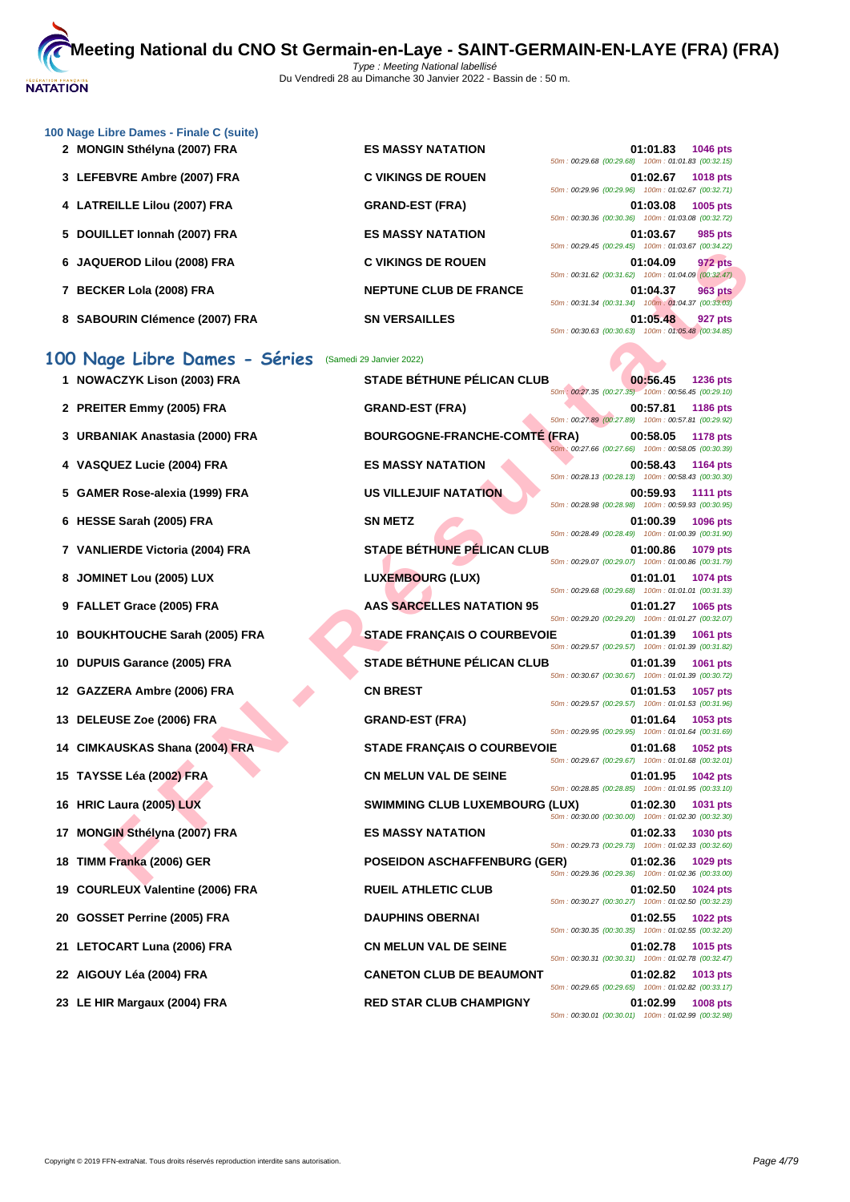

| 100 Nage Libre Dames - Finale C (suite) |                               |                                                                                   |
|-----------------------------------------|-------------------------------|-----------------------------------------------------------------------------------|
| 2 MONGIN Sthélyna (2007) FRA            | <b>ES MASSY NATATION</b>      | 01:01.83<br><b>1046 pts</b>                                                       |
|                                         |                               | 50m: 00:29.68 (00:29.68) 100m: 01:01.83 (00:32.15)                                |
| 3 LEFEBVRE Ambre (2007) FRA             | <b>C VIKINGS DE ROUEN</b>     | 01:02.67<br><b>1018 pts</b><br>50m: 00:29.96 (00:29.96) 100m: 01:02.67 (00:32.71) |
| 4 LATREILLE Lilou (2007) FRA            | <b>GRAND-EST (FRA)</b>        | 01:03.08<br>1005 pts                                                              |
|                                         |                               | 50m: 00:30.36 (00:30.36) 100m: 01:03.08 (00:32.72)                                |
| 5 DOUILLET Ionnah (2007) FRA            | <b>ES MASSY NATATION</b>      | 01:03.67<br>985 pts                                                               |
|                                         |                               | 50m: 00:29.45 (00:29.45) 100m: 01:03.67 (00:34.22)                                |
| 6 JAQUEROD Lilou (2008) FRA             | <b>C VIKINGS DE ROUEN</b>     | 972 pts<br>01:04.09                                                               |
|                                         |                               | 50m: 00:31.62 (00:31.62) 100m: 01:04.09 (00:32.47)                                |
| 7 BECKER Lola (2008) FRA                | <b>NEPTUNE CLUB DE FRANCE</b> | 01:04.37<br>963 pts                                                               |
|                                         |                               | 50m: 00:31.34 (00:31.34) 100m: 01:04.37 (00:33.03)                                |
| 8 SABOURIN Clémence (2007) FRA          | <b>SN VERSAILLES</b>          | 01:05.48<br>927 pts                                                               |
|                                         |                               | 50m: 00:30.63 (00:30.63) 100m: 01:05.48 (00:34.85)                                |

|    | 6 JAQUEROD Lilou (2008) FRA      | <b>C VIKINGS DE ROUEN</b>             | 0011.00.23.40.00.23.40<br>$100111.01.03.01$ $100.07.22$<br>01:04.09<br>972 pts                                                   |
|----|----------------------------------|---------------------------------------|----------------------------------------------------------------------------------------------------------------------------------|
|    | 7 BECKER Lola (2008) FRA         | <b>NEPTUNE CLUB DE FRANCE</b>         | 50m: 00:31.62 (00:31.62) 100m: 01:04.09 (00:32.47)<br>01:04.37<br><b>963 pts</b>                                                 |
|    | 8 SABOURIN Clémence (2007) FRA   | <b>SN VERSAILLES</b>                  | 50m: 00:31.34 (00:31.34) 100m: 01:04.37 (00:33.03)<br>01:05.48<br>927 pts<br>50m: 00:30.63 (00:30.63) 100m: 01:05.48 (00:34.85)  |
|    | 100 Nage Libre Dames - Séries    | (Samedi 29 Janvier 2022)              |                                                                                                                                  |
|    | 1 NOWACZYK Lison (2003) FRA      | <b>STADE BÉTHUNE PÉLICAN CLUB</b>     | 00:56.45<br><b>1236 pts</b><br>50m : 00:27.35 (00:27.35) 100m : 00:56.45 (00:29.10)                                              |
|    | 2 PREITER Emmy (2005) FRA        | <b>GRAND-EST (FRA)</b>                | 00:57.81<br><b>1186 pts</b><br>50m: 00:27.89 (00:27.89) 100m: 00:57.81 (00:29.92)                                                |
|    | 3 URBANIAK Anastasia (2000) FRA  | <b>BOURGOGNE-FRANCHE-COMTÉ (FRA)</b>  | 00:58.05<br>1178 pts<br>50m: 00:27.66 (00:27.66) 100m: 00:58.05 (00:30.39)                                                       |
|    | 4 VASQUEZ Lucie (2004) FRA       | <b>ES MASSY NATATION</b>              | 00:58.43<br><b>1164 pts</b><br>50m: 00:28.13 (00:28.13) 100m: 00:58.43 (00:30.30)                                                |
|    | 5 GAMER Rose-alexia (1999) FRA   | <b>US VILLEJUIF NATATION</b>          | 00:59.93<br><b>1111 pts</b><br>50m: 00:28.98 (00:28.98) 100m: 00:59.93 (00:30.95)                                                |
|    | 6 HESSE Sarah (2005) FRA         | <b>SN METZ</b>                        | 01:00.39<br>1096 pts<br>50m: 00:28.49 (00:28.49) 100m: 01:00.39 (00:31.90)                                                       |
|    | 7 VANLIERDE Victoria (2004) FRA  | <b>STADE BÉTHUNE PÉLICAN CLUB</b>     | 01:00.86<br>1079 pts                                                                                                             |
|    | 8 JOMINET Lou (2005) LUX         | <b>LUXEMBOURG (LUX)</b>               | 50m: 00:29.07 (00:29.07) 100m: 01:00.86 (00:31.79)<br>01:01.01<br>1074 pts                                                       |
|    | 9 FALLET Grace (2005) FRA        | <b>AAS SARCELLES NATATION 95</b>      | 50m: 00:29.68 (00:29.68) 100m: 01:01.01 (00:31.33)<br>01:01.27<br>1065 pts                                                       |
|    | 10 BOUKHTOUCHE Sarah (2005) FRA  | <b>STADE FRANÇAIS O COURBEVOIE</b>    | 50m: 00:29.20 (00:29.20) 100m: 01:01.27 (00:32.07)<br>01:01.39<br>1061 pts                                                       |
|    | 10 DUPUIS Garance (2005) FRA     | <b>STADE BÉTHUNE PÉLICAN CLUB</b>     | 50m: 00:29.57 (00:29.57) 100m: 01:01.39 (00:31.82)<br>01:01.39<br>1061 pts                                                       |
|    | 12 GAZZERA Ambre (2006) FRA      | <b>CN BREST</b>                       | 50m: 00:30.67 (00:30.67) 100m: 01:01.39 (00:30.72)<br>01:01.53<br><b>1057 pts</b>                                                |
|    | 13 DELEUSE Zoe (2006) FRA        | <b>GRAND-EST (FRA)</b>                | 50m: 00:29.57 (00:29.57) 100m: 01:01.53 (00:31.96)<br>01:01.64<br>1053 pts                                                       |
|    | 14 CIMKAUSKAS Shana (2004) FRA   | <b>STADE FRANÇAIS O COURBEVOIE</b>    | 50m: 00:29.95 (00:29.95) 100m: 01:01.64 (00:31.69)<br>01:01.68<br>1052 pts                                                       |
| 15 | <b>TAYSSE Léa (2002) FRA</b>     | <b>CN MELUN VAL DE SEINE</b>          | 50m: 00:29.67 (00:29.67) 100m: 01:01.68 (00:32.01)<br>01:01.95<br><b>1042 pts</b>                                                |
|    | 16 HRIC Laura (2005) LUX         | <b>SWIMMING CLUB LUXEMBOURG (LUX)</b> | 50m: 00:28.85 (00:28.85) 100m: 01:01.95 (00:33.10)<br>01:02.30<br>1031 pts<br>50m: 00:30.00 (00:30.00) 100m: 01:02.30 (00:32.30) |
| 17 | MONGIN Sthélyna (2007) FRA       | <b>ES MASSY NATATION</b>              | 01:02.33<br>1030 pts                                                                                                             |
|    | 18 TIMM Franka (2006) GER        | <b>POSEIDON ASCHAFFENBURG (GER)</b>   | 50m: 00:29.73 (00:29.73) 100m: 01:02.33 (00:32.60)<br>01:02.36<br>1029 pts                                                       |
|    | 19 COURLEUX Valentine (2006) FRA | <b>RUEIL ATHLETIC CLUB</b>            | 50m: 00:29.36 (00:29.36) 100m: 01:02.36 (00:33.00)<br>01:02.50 1024 pts<br>50m: 00:30.27 (00:30.27) 100m: 01:02.50 (00:32.23)    |
|    | 20 GOSSET Perrine (2005) FRA     | <b>DAUPHINS OBERNAI</b>               | 01:02.55<br><b>1022 pts</b>                                                                                                      |
|    | 21 LETOCART Luna (2006) FRA      | <b>CN MELUN VAL DE SEINE</b>          | 50m: 00:30.35 (00:30.35) 100m: 01:02.55 (00:32.20)<br>01:02.78<br>1015 pts<br>50m: 00:30.31 (00:30.31) 100m: 01:02.78 (00:32.47) |
|    | 22 AIGOUY Léa (2004) FRA         | <b>CANETON CLUB DE BEAUMONT</b>       | 01:02.82<br>1013 pts<br>50m: 00:29.65 (00:29.65) 100m: 01:02.82 (00:33.17)                                                       |
|    | 23 LE HIR Margaux (2004) FRA     | <b>RED STAR CLUB CHAMPIGNY</b>        | 01:02.99<br><b>1008 pts</b><br>50m: 00:30.01 (00:30.01) 100m: 01:02.99 (00:32.98)                                                |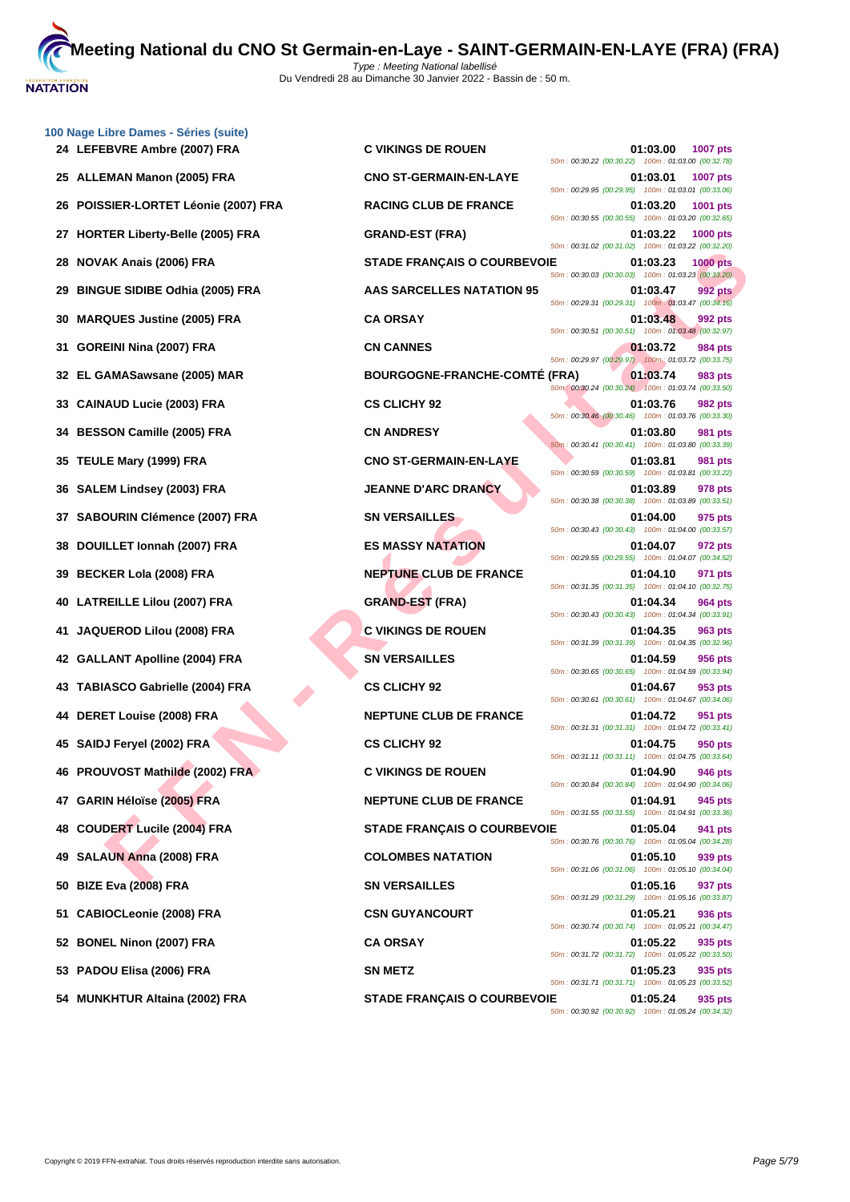

|    | 100 Nage Libre Dames - Séries (suite)<br>24 LEFEBVRE Ambre (2007) FRA | <b>C VIKINGS DE ROUEN</b>            | 01:03.00<br>50m: 00:30.22 (00:30.22) 100m: 01:03.00 (00:32.78)   | <b>1007 pts</b> |
|----|-----------------------------------------------------------------------|--------------------------------------|------------------------------------------------------------------|-----------------|
|    | 25 ALLEMAN Manon (2005) FRA                                           | <b>CNO ST-GERMAIN-EN-LAYE</b>        | 01:03.01<br>50m: 00:29.95 (00:29.95) 100m: 01:03.01 (00:33.06)   | 1007 pts        |
| 26 | POISSIER-LORTET Léonie (2007) FRA                                     | <b>RACING CLUB DE FRANCE</b>         | 01:03.20<br>50m: 00:30.55 (00:30.55) 100m: 01:03.20 (00:32.65)   | 1001 pts        |
|    | 27 HORTER Liberty-Belle (2005) FRA                                    | <b>GRAND-EST (FRA)</b>               | 01:03.22<br>50m: 00:31.02 (00:31.02) 100m: 01:03.22 (00:32.20)   | 1000 pts        |
|    | 28 NOVAK Anais (2006) FRA                                             | <b>STADE FRANÇAIS O COURBEVOIE</b>   | 01:03.23<br>50m: 00:30.03 (00:30.03) 100m: 01:03.23 (00:33.20)   | <b>1000 pts</b> |
| 29 | <b>BINGUE SIDIBE Odhia (2005) FRA</b>                                 | AAS SARCELLES NATATION 95            | 01:03.47<br>50m: 00:29.31 (00:29.31) 100m: 01:03.47 (00:34.16)   | 992 pts         |
|    | 30 MARQUES Justine (2005) FRA                                         | <b>CA ORSAY</b>                      | 01:03.48<br>50m: 00:30.51 (00:30.51) 100m: 01:03.48 (00:32.97)   | 992 pts         |
|    | 31 GOREINI Nina (2007) FRA                                            | <b>CN CANNES</b>                     | 01:03.72<br>50m: 00:29.97 (00:29.97) 100m: 01:03.72 (00:33.75)   | 984 pts         |
|    | 32 EL GAMASawsane (2005) MAR                                          | <b>BOURGOGNE-FRANCHE-COMTE (FRA)</b> | 01:03.74<br>50m : 00:30.24 (00:30.24) 100m : 01:03.74 (00:33.50) | 983 pts         |
|    | 33 CAINAUD Lucie (2003) FRA                                           | <b>CS CLICHY 92</b>                  | 01:03.76<br>50m: 00:30.46 (00:30.46) 100m: 01:03.76 (00:33.30)   | 982 pts         |
|    | 34 BESSON Camille (2005) FRA                                          | <b>CN ANDRESY</b>                    | 01:03.80<br>50m: 00:30.41 (00:30.41) 100m: 01:03.80 (00:33.39)   | <b>981 pts</b>  |
|    | 35 TEULE Mary (1999) FRA                                              | <b>CNO ST-GERMAIN-EN-LAYE</b>        | 01:03.81<br>50m: 00:30.59 (00:30.59) 100m: 01:03.81 (00:33.22)   | 981 pts         |
|    | 36 SALEM Lindsey (2003) FRA                                           | <b>JEANNE D'ARC DRANCY</b>           | 01:03.89<br>50m: 00:30.38 (00:30.38) 100m: 01:03.89 (00:33.51)   | 978 pts         |
|    | 37 SABOURIN Clémence (2007) FRA                                       | <b>SN VERSAILLES</b>                 | 01:04.00<br>50m: 00:30.43 (00:30.43) 100m: 01:04.00 (00:33.57)   | 975 pts         |
|    | 38 DOUILLET Ionnah (2007) FRA                                         | <b>ES MASSY NATATION</b>             | 01:04.07<br>50m: 00:29.55 (00:29.55) 100m: 01:04.07 (00:34.52)   | 972 pts         |
|    | 39 BECKER Lola (2008) FRA                                             | <b>NEPTUNE CLUB DE FRANCE</b>        | 01:04.10<br>50m: 00:31.35 (00:31.35) 100m: 01:04.10 (00:32.75)   | 971 pts         |
|    | 40 LATREILLE Lilou (2007) FRA                                         | <b>GRAND-EST (FRA)</b>               | 01:04.34<br>50m: 00:30.43 (00:30.43) 100m: 01:04.34 (00:33.91)   | 964 pts         |
|    | 41 JAQUEROD Lilou (2008) FRA                                          | <b>C VIKINGS DE ROUEN</b>            | 01:04.35<br>50m: 00:31.39 (00:31.39) 100m: 01:04.35 (00:32.96)   | 963 pts         |
|    | 42 GALLANT Apolline (2004) FRA                                        | <b>SN VERSAILLES</b>                 | 01:04.59<br>50m: 00:30.65 (00:30.65) 100m: 01:04.59 (00:33.94)   | 956 pts         |
|    | 43 TABIASCO Gabrielle (2004) FRA                                      | <b>CS CLICHY 92</b>                  | 01:04.67<br>50m: 00:30.61 (00:30.61) 100m: 01:04.67 (00:34.06)   | 953 pts         |
|    | 44 DERET Louise (2008) FRA                                            | <b>NEPTUNE CLUB DE FRANCE</b>        | 01:04.72<br>50m: 00:31.31 (00:31.31) 100m: 01:04.72 (00:33.41)   | 951 pts         |
|    | 45 SAIDJ Feryel (2002) FRA                                            | <b>CS CLICHY 92</b>                  | 01:04.75<br>50m: 00:31.11 (00:31.11) 100m: 01:04.75 (00:33.64)   | 950 pts         |
|    | 46 PROUVOST Mathilde (2002) FRA                                       | <b>C VIKINGS DE ROUEN</b>            | 01:04.90<br>50m: 00:30.84 (00:30.84) 100m: 01:04.90 (00:34.06)   | 946 pts         |
|    | 47 GARIN Héloïse (2005) FRA                                           | <b>NEPTUNE CLUB DE FRANCE</b>        | 01:04.91<br>50m: 00:31.55 (00:31.55) 100m: 01:04.91 (00:33.36)   | 945 pts         |
| 48 | <b>COUDERT Lucile (2004) FRA</b>                                      | <b>STADE FRANÇAIS O COURBEVOIE</b>   | 01:05.04<br>50m: 00:30.76 (00:30.76) 100m: 01:05.04 (00:34.28)   | 941 pts         |
|    | 49 SALAUN Anna (2008) FRA                                             | <b>COLOMBES NATATION</b>             | 01:05.10<br>50m: 00:31.06 (00:31.06) 100m: 01:05.10 (00:34.04)   | 939 pts         |
| 50 | <b>BIZE Eva (2008) FRA</b>                                            | <b>SN VERSAILLES</b>                 | 01:05.16<br>50m: 00:31.29 (00:31.29) 100m: 01:05.16 (00:33.87)   | 937 pts         |
|    | 51 CABIOCLeonie (2008) FRA                                            | <b>CSN GUYANCOURT</b>                | 01:05.21<br>50m: 00:30.74 (00:30.74) 100m: 01:05.21 (00:34.47)   | 936 pts         |
|    | 52 BONEL Ninon (2007) FRA                                             | <b>CA ORSAY</b>                      | 01:05.22<br>50m: 00:31.72 (00:31.72) 100m: 01:05.22 (00:33.50)   | 935 pts         |
|    | 53 PADOU Elisa (2006) FRA                                             | <b>SN METZ</b>                       | 01:05.23<br>50m: 00:31.71 (00:31.71) 100m: 01:05.23 (00:33.52)   | 935 pts         |
|    |                                                                       |                                      |                                                                  |                 |

AK Anais (2006) FRA<br>
IUE SIDIEE Odnia (2005) FRA<br>
IUE SIDIEE Odnia (2005) FRA<br>
IN Nina (2007) FRA<br>
CN CARBACTELLES NATATION 5<br>
2003<br>
2003 - TRANS SARCELLES NATATION 5<br>
AMASsawane (2005) RAR<br>
2003 - TRANS COURCOONE-FRANCHE-**24 LEFEBVRE Ambre (2007) FRA C VIKINGS DE ROUEN 01:03.00 1007 pts** 50m : 00:30.22 (00:30.22) 100m : 01:03.00 (00:32.78) **25 ALLEMAN Manon (2005) FRA CNO ST-GERMAIN-EN-LAYE 01:03.01 1007 pts** 50m : 00:29.95 (00:29.95) 100m : 01:03.01 (00:33.06) **26 POISSIER-LORG CLUB DE FRANCE 1001.03.20 1001 pts** 50m : 00:30.55 (00:30.55) 100m : 01:03.20 (00:32.65) **27 HORTER Liberty-Belle (2005) FRA GRAND-EST (FRA) 01:03.22 1000 pts** 50m : 00:31.02 (00:31.02) 100m : 01:03.22 (00:32.20) **28 NOVAK Anais (2006) FRA STADE FRANÇAIS O COURBEVOIE 01:03.23 1000 pts** 50m : 00:30.03 (00:30.03) 100m : 01:03.23 (00:33.20) **29 BINGUE SIDIBE Odhia (2005) FRA AAS SARCELLES NATATION 95 01:03.47 992 pts** 50m : 00:29.31 (00:29.31) 100m : 01:03.47 (00:34.16) 50m : 00:30.51 (00:30.51) 100m : 01:03.48 (00:32.97) 50m : 00:29.97 (00:29.97) 100m : 01:03.72 (00:33.75) **BOURGOGNE-FRANCHE-COMTÉ (FRA)** 01:03.74 983 pts 50m : 00:30.24 (00:30.24) 100m : 01:03.74 (00:33.50) **33 CS CLICHY 92 01:03.76 982 pts** 50m : 00:30.46 (00:30.46) 100m : 01:03.76 (00:33.30) 50m : 00:30.41 (00:30.41) 100m : 01:03.80 (00:33.39) **351 CNO ST-GERMAIN-EN-LAYE 11:03.81 981 pts** 50m : 00:30.59 (00:30.59) 100m : 01:03.81 (00:33.22) **36 SALEM Lindsey (2003) FRA JEANNE D'ARC DRANCY 01:03.89 978 pts** 50m : 00:30.38 (00:30.38) 100m : 01:03.89 (00:33.51) **375 pts 375 pts 01:04.00 975 pts** 50m : 00:30.43 (00:30.43) 100m : 01:04.00 (00:33.57) **28 DOUGINE S MASSY NATATION CONTRACTLY 101:04.07 972 pts** 50m : 00:29.55 (00:29.55) 100m : 01:04.07 (00:34.52) **399 INEPTUNE CLUB DE FRANCE 11:04.10 971 pts** 50m : 00:31.35 (00:31.35) 100m : 01:04.10 (00:32.75) **4 4 4 CRAND-EST** (FRA) **1:04.34 964 pts** 50m : 00:30.43 (00:30.43) 100m : 01:04.34 (00:33.91) **41 JAQUEROD Lilou (2008) FRA C VIKINGS DE ROUEN 01:04.35 963 pts** 50m : 00:31.39 (00:31.39) 100m : 01:04.35 (00:32.96) **42 GALLANT Apolline (2004) FRA SN VERSAILLES 01:04.59 956 pts** 50m : 00:30.65 (00:30.65) 100m : 01:04.59 (00:33.94) 50m : 00:30.61 (00:30.61) 100m : 01:04.67 (00:34.06) **11:04.72 951 pts** 50m : 00:31.31 (00:31.31) 100m : 01:04.72 (00:33.41) 50m : 00:31.11 (00:31.11) 100m : 01:04.75 (00:33.64) **46 C VIKINGS DE ROUEN 01:04.90 946 pts** 50m : 00:30.84 (00:30.84) 100m : 01:04.90 (00:34.06) **17 AXELUB DE FRANCE 17 O1:04.91 945 pts** 50m : 00:31.55 (00:31.55) 100m : 01:04.91 (00:33.36) **48 COURBEVOIE 1:05.04 941 pts** 50m : 00:30.76 (00:30.76) 100m : 01:05.04 (00:34.28) **49 SALAUN Anna (2008) FRA COLOMBES NATATION 01:05.10 939 pts** 50m : 00:31.06 (00:31.06) 100m : 01:05.10 (00:34.04) **50 BIZE Eva (2008) FRA SN VERSAILLES 01:05.16 937 pts** 50m : 00:31.29 (00:31.29) 100m : 01:05.16 (00:33.87) **511 CSN GUYANCOURT** 61:05.21 **936 pts** 50m : 00:30.74 (00:30.74) 100m : 01:05.21 (00:34.47) 50m : 00:31.72 (00:31.72) 100m : 01:05.22 (00:33.50) 50m : 00:31.71 (00:31.71) 100m : 01:05.23 (00:33.52) **54 MUNKHTUR Altaina (2002) FRA STADE FRANÇAIS O COURBEVOIE 01:05.24 935 pts**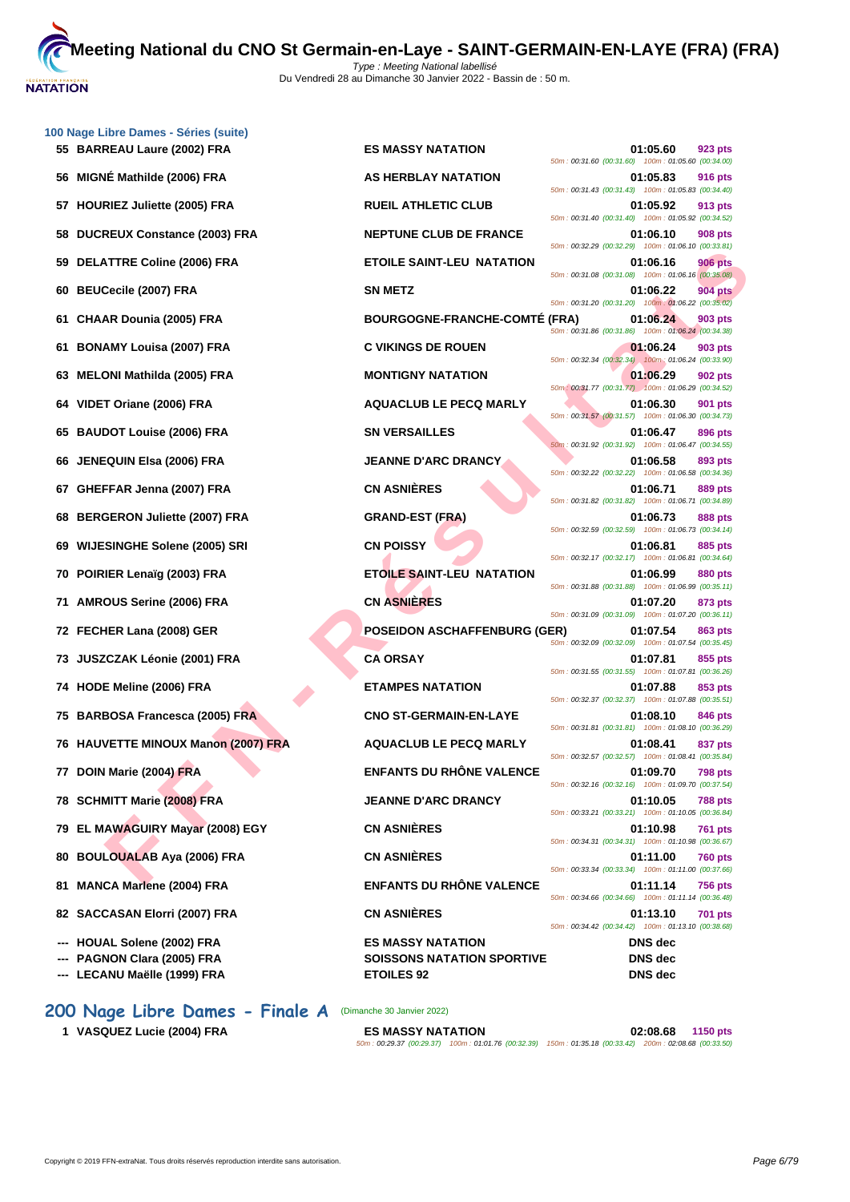

| 100 Nage Libre Dames - Séries (suite)<br>55 BARREAU Laure (2002) FRA | <b>ES MASSY NATATION</b>                                      | 01:05.60<br>923 pts                                                              |
|----------------------------------------------------------------------|---------------------------------------------------------------|----------------------------------------------------------------------------------|
| 56 MIGNÉ Mathilde (2006) FRA                                         | AS HERBLAY NATATION                                           | 50m: 00:31.60 (00:31.60) 100m: 01:05.60 (00:34.00)<br>01:05.83<br><b>916 pts</b> |
| 57 HOURIEZ Juliette (2005) FRA                                       | <b>RUEIL ATHLETIC CLUB</b>                                    | 50m: 00:31.43 (00:31.43) 100m: 01:05.83 (00:34.40)<br>01:05.92<br>913 pts        |
| <b>DUCREUX Constance (2003) FRA</b><br>58                            | <b>NEPTUNE CLUB DE FRANCE</b>                                 | 50m: 00:31.40 (00:31.40) 100m: 01:05.92 (00:34.52)<br>01:06.10<br>908 pts        |
| DELATTRE Coline (2006) FRA<br>59                                     | <b>ETOILE SAINT-LEU NATATION</b>                              | 50m: 00:32.29 (00:32.29) 100m: 01:06.10 (00:33.81)<br>01:06.16<br><b>906 pts</b> |
| 60 BEUCecile (2007) FRA                                              | <b>SN METZ</b>                                                | 50m: 00:31.08 (00:31.08) 100m: 01:06.16 (00:35.08)<br>01:06.22<br><b>904 pts</b> |
| CHAAR Dounia (2005) FRA<br>61                                        | <b>BOURGOGNE-FRANCHE-COMTE (FRA)</b>                          | 50m: 00:31.20 (00:31.20) 100m: 01:06.22 (00:35.02)<br>01:06.24<br>903 pts        |
| <b>BONAMY Louisa (2007) FRA</b><br>61                                | <b>C VIKINGS DE ROUEN</b>                                     | 50m: 00:31.86 (00:31.86) 100m: 01:06.24 (00:34.38)<br>01:06.24<br>903 pts        |
| <b>MELONI Mathilda (2005) FRA</b><br>63                              | <b>MONTIGNY NATATION</b>                                      | 50m: 00:32.34 (00:32.34) 100m: 01:06.24 (00:33.90)<br>01:06.29<br>902 pts        |
| VIDET Oriane (2006) FRA<br>64                                        | <b>AQUACLUB LE PECQ MARLY</b>                                 | 50m: 00:31.77 (00:31.77) 100m: 01:06.29 (00:34.52)<br>01:06.30<br>901 pts        |
| 65 BAUDOT Louise (2006) FRA                                          | <b>SN VERSAILLES</b>                                          | 50m: 00:31.57 (00:31.57) 100m: 01:06.30 (00:34.73)<br>01:06.47<br>896 pts        |
| 66 JENEQUIN Elsa (2006) FRA                                          | <b>JEANNE D'ARC DRANCY</b>                                    | 50m: 00:31.92 (00:31.92) 100m: 01:06.47 (00:34.55)<br>01:06.58<br>893 pts        |
| GHEFFAR Jenna (2007) FRA<br>67                                       | <b>CN ASNIÈRES</b>                                            | 50m: 00:32.22 (00:32.22) 100m: 01:06.58 (00:34.36)<br>01:06.71<br>889 pts        |
| <b>BERGERON Juliette (2007) FRA</b><br>68                            | <b>GRAND-EST (FRA)</b>                                        | 50m: 00:31.82 (00:31.82) 100m: 01:06.71 (00:34.89)<br>01:06.73<br>888 pts        |
| <b>WIJESINGHE Solene (2005) SRI</b><br>69                            | <b>CN POISSY</b>                                              | 50m: 00:32.59 (00:32.59) 100m: 01:06.73 (00:34.14)<br>01:06.81<br>885 pts        |
| 70 POIRIER Lenaïg (2003) FRA                                         | <b>ETOILE SAINT-LEU NATATION</b>                              | 50m: 00:32.17 (00:32.17) 100m: 01:06.81 (00:34.64)<br>01:06.99<br>880 pts        |
| 71 AMROUS Serine (2006) FRA                                          | <b>CN ASNIÈRES</b>                                            | 50m: 00:31.88 (00:31.88) 100m: 01:06.99 (00:35.11)<br>01:07.20<br>873 pts        |
| 72 FECHER Lana (2008) GER                                            | <b>POSEIDON ASCHAFFENBURG (GER)</b>                           | 50m: 00:31.09 (00:31.09) 100m: 01:07.20 (00:36.11)<br>01:07.54<br>863 pts        |
| 73   JUSZCZAK Léonie (2001) FRA                                      | <b>CA ORSAY</b>                                               | 50m: 00:32.09 (00:32.09) 100m: 01:07.54 (00:35.45)<br>01:07.81<br>855 pts        |
| 74 HODE Meline (2006) FRA                                            | <b>ETAMPES NATATION</b>                                       | 50m: 00:31.55 (00:31.55) 100m: 01:07.81 (00:36.26)<br>01:07.88<br>853 pts        |
| 75 BARBOSA Francesca (2005) FRA                                      | <b>CNO ST-GERMAIN-EN-LAYE</b>                                 | 50m: 00:32.37 (00:32.37) 100m: 01:07.88 (00:35.51)<br>01:08.10                   |
| 76 HAUVETTE MINOUX Manon (2007) FRA                                  | <b>AQUACLUB LE PECQ MARLY</b>                                 | 846 pts<br>50m: 00:31.81 (00:31.81) 100m: 01:08.10 (00:36.29)<br>01:08.41        |
|                                                                      |                                                               | 837 pts<br>50m: 00:32.57 (00:32.57) 100m: 01:08.41 (00:35.84)                    |
| 77 DOIN Marie (2004) FRA                                             | <b>ENFANTS DU RHONE VALENCE</b>                               | 01:09.70<br>798 pts<br>50m: 00:32.16 (00:32.16) 100m: 01:09.70 (00:37.54)        |
| 78 SCHMITT Marie (2008) FRA                                          | <b>JEANNE D'ARC DRANCY</b><br><b>CN ASNIÈRES</b>              | 01:10.05<br><b>788 pts</b><br>50m: 00:33.21 (00:33.21) 100m: 01:10.05 (00:36.84) |
| 79 EL MAWAGUIRY Mayar (2008) EGY                                     |                                                               | 01:10.98<br>761 pts<br>50m: 00:34.31 (00:34.31) 100m: 01:10.98 (00:36.67)        |
| 80 BOULOUALAB Aya (2006) FRA                                         | <b>CN ASNIÈRES</b>                                            | 01:11.00<br>760 pts<br>50m: 00:33.34 (00:33.34) 100m: 01:11.00 (00:37.66)        |
| 81 MANCA Marlene (2004) FRA                                          | <b>ENFANTS DU RHÔNE VALENCE</b>                               | 01:11.14<br><b>756 pts</b><br>50m: 00:34.66 (00:34.66) 100m: 01:11.14 (00:36.48) |
| 82 SACCASAN Elorri (2007) FRA                                        | <b>CN ASNIÈRES</b>                                            | 01:13.10<br><b>701 pts</b><br>50m: 00:34.42 (00:34.42) 100m: 01:13.10 (00:38.68) |
| HOUAL Solene (2002) FRA<br>PAGNON Clara (2005) FRA                   | <b>ES MASSY NATATION</b><br><b>SOISSONS NATATION SPORTIVE</b> | <b>DNS</b> dec<br><b>DNS</b> dec                                                 |
| LECANU Maëlle (1999) FRA                                             | <b>ETOILES 92</b>                                             | <b>DNS</b> dec                                                                   |
|                                                                      |                                                               |                                                                                  |

**200 Nage Libre Dames - Finale A** (Dimanche 30 Janvier 2022)

50m : 00:29.37 (00:29.37) 100m : 01:01.76 (00:32.39) 150m : 01:35.18 (00:33.42) 200m : 02:08.68 (00:33.50)

**1 VASQUEZ Lucie (2004) FRA ES MASSY NATATION 02:08.68 1150 pts**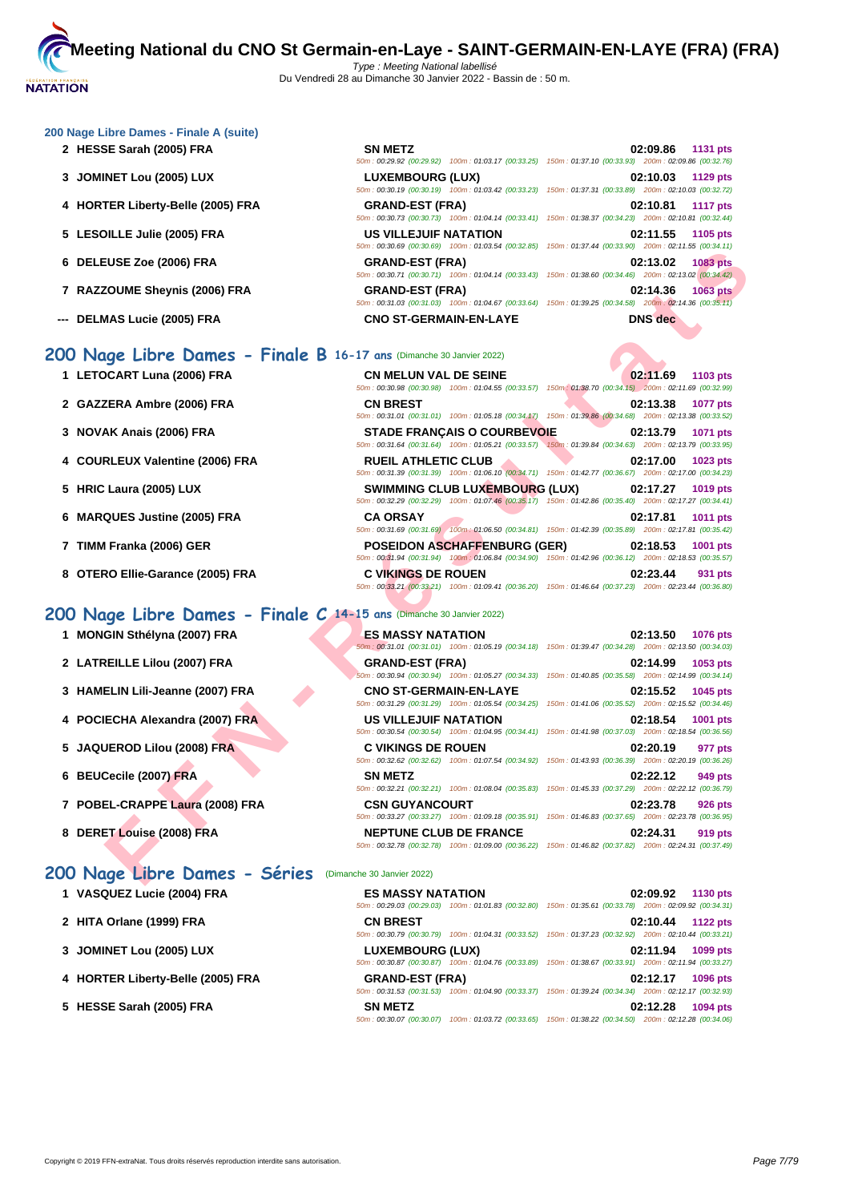#### **[200 Nage](http://www.ffnatation.fr/webffn/index.php) Libre Dames - Finale A (suite)**

- **2 HESSE Sarah (2005) FRA**
- **3 JOMINET Lou (2005) LUX**
- **4 HORTER Liberty-Belle (2005) FRA**
- **5** LESOILLE Julie (2005) FRA
- **6 DELEUSE Zoe (2006) FRA GRAND-EST (FRA) 02:13.02 1083 pts**
- **7** RAZZOUME Sheynis (2006) FRA
- **--- DELMAS Lucie (2005) FRA CNO ST-GERMAIN-EN-LAYE DNS dec**

#### **200 Nage Libre Dames - Finale B 16-17 ans** (Dimanche 30 Janvier 2022)

- **1** LETOCART Luna (2006) FRA
- **2 GAZZERA Ambre (2006) FRA CN BREST 02:13.38 1077 pts**
- **3 NOVAK Anais (2006) FRA STADE FRANÇAIS O COURBEVOIE 02:13.79 1071 pts**
- **4** COURLEUX Valentine (2006) FRA
- **5 HRIC Laura (2005) LUX**
- **6 MARQUES Justine (2005) FRA**
- **7 TIMM Franka (2006) GER**
- **8 OTERO Ellie-Garance (2005) FRA**

## **200 Nage Libre Dames - Finale C 14-15 ans** (Dimanche 30 Janvier 2022)

- 
- 
- 
- 
- 
- 
- 
- 

## **200 Nage Libre Dames - Séries** (Dimanche 30 Janvier 2022)

| VASQUEZ Lucie (2004) FRA |  |
|--------------------------|--|
|--------------------------|--|

- **2 HITA Orlane (1999) FRA CN BREST 02:10.44 1122 pts**
- **3 [JOMINET Lou \(2005\) LUX](http://www.ffnatation.fr/webffn/resultats.php?idact=nat&go=epr&idcpt=75485&idepr=3)**
- **4 HORTER Liberty-Belle (2005) FRA BELLEM**
- **5 HESSE Sarah (2005) FRA SN MESSE S**

| <b>SN METZ</b>               |                                                                                                        |                                                     | 02:09.86 1131 pts |
|------------------------------|--------------------------------------------------------------------------------------------------------|-----------------------------------------------------|-------------------|
|                              | 50m: 00:29.92 (00:29.92) 100m: 01:03.17 (00:33.25) 150m: 01:37.10 (00:33.93) 200m: 02:09.86 (00:32.76) |                                                     |                   |
| <b>LUXEMBOURG (LUX)</b>      |                                                                                                        |                                                     | 02:10.03 1129 pts |
|                              | 50m: 00:30.19 (00:30.19) 100m: 01:03.42 (00:33.23) 150m: 01:37.31 (00:33.89) 200m: 02:10.03 (00:32.72) |                                                     |                   |
| <b>GRAND-EST (FRA)</b>       |                                                                                                        |                                                     | 02:10.81 1117 pts |
|                              | 50m: 00:30.73 (00:30.73) 100m: 01:04.14 (00:33.41) 150m: 01:38.37 (00:34.23) 200m: 02:10.81 (00:32.44) |                                                     |                   |
| <b>US VILLEJUIF NATATION</b> |                                                                                                        |                                                     | 02:11.55 1105 pts |
|                              | 50m: 00:30.69 (00:30.69) 100m: 01:03.54 (00:32.85)                                                     | 150m: 01:37.44 (00:33.90) 200m: 02:11.55 (00:34.11) |                   |
| <b>GRAND-EST (FRA)</b>       |                                                                                                        |                                                     | 02:13.02 1083 pts |
|                              | 50m: 00:30.71 (00:30.71) 100m: 01:04.14 (00:33.43)                                                     | 150m: 01:38.60 (00:34.46) 200m: 02:13.02 (00:34.42) |                   |
| <b>GRAND-EST (FRA)</b>       |                                                                                                        |                                                     | 02:14.36 1063 pts |
|                              | 50m: 00:31.03 (00:31.03) 100m: 01:04.67 (00:33.64)                                                     | 150m: 01:39.25 (00:34.58) 200m: 02:14.36 (00:35.11) |                   |

| <b>EUSE Zoe (2006) FRA</b>                                                                                                                    |                                       |                                                                                                                                                                                                                                                      |
|-----------------------------------------------------------------------------------------------------------------------------------------------|---------------------------------------|------------------------------------------------------------------------------------------------------------------------------------------------------------------------------------------------------------------------------------------------------|
|                                                                                                                                               | <b>GRAND-EST (FRA)</b>                | 02:13.02<br><b>1083 pts</b><br>50m : 00:30.71 (00:30.71) 100m : 01:04.14 (00:33.43) 150m : 01:38.60 (00:34.46) 200m : 02:13.02 (00:34.42)                                                                                                            |
| <b>ZOUME Sheynis (2006) FRA</b>                                                                                                               | <b>GRAND-EST (FRA)</b>                | 02:14.36<br><b>1063 pts</b><br>50m : 00:31.03 (00:31.03) 100m : 01:04.67 (00:33.64) 150m : 01:39.25 (00:34.58) 200m : 02:14.36 (00:35.11)                                                                                                            |
| <b>MAS Lucie (2005) FRA</b>                                                                                                                   | <b>CNO ST-GERMAIN-EN-LAYE</b>         | <b>DNS</b> dec                                                                                                                                                                                                                                       |
| 1ge Libre Dames - Finale B 16-17 ans (Dimanche 30 Janvier 2022)                                                                               |                                       |                                                                                                                                                                                                                                                      |
| <b>OCART Luna (2006) FRA</b>                                                                                                                  | <b>CN MELUN VAL DE SEINE</b>          | 02:11.69<br>1103 pts<br>50m: 00:30.98 (00:30.98) 100m: 01:04.55 (00:33.57) 150m: 01:38.70 (00:34.15) 200m: 02:11.69 (00:32.99)                                                                                                                       |
| ZERA Ambre (2006) FRA                                                                                                                         | <b>CN BREST</b>                       | 02:13.38<br>1077 pts<br>50m: 00:31.01 (00:31.01) 100m: 01:05.18 (00:34.17) 150m: 01:39.86 (00:34.68) 200m: 02:13.38 (00:33.52)                                                                                                                       |
| AK Anais (2006) FRA                                                                                                                           | <b>STADE FRANCAIS O COURBEVOIE</b>    | 02:13.79<br>1071 pts<br>50m: 00:31.64 (00:31.64) 100m: 01:05.21 (00:33.57) 150m: 01:39.84 (00:34.63) 200m: 02:13.79 (00:33.95)                                                                                                                       |
| RLEUX Valentine (2006) FRA                                                                                                                    | <b>RUEIL ATHLETIC CLUB</b>            | 02:17.00<br>1023 pts<br>50m: 00:31.39 (00:31.39) 100m: 01:06.10 (00:34.71) 150m: 01:42.77 (00:36.67) 200m: 02:17.00 (00:34.23)                                                                                                                       |
| :Laura (2005) LUX                                                                                                                             | <b>SWIMMING CLUB LUXEMBOURG (LUX)</b> | 02:17.27<br>1019 pts<br>50m : 00:32.29 (00:32.29) 100m : 01:07.46 (00:35.17) 150m : 01:42.86 (00:35.40) 200m : 02:17.27 (00:34.41)                                                                                                                   |
| QUES Justine (2005) FRA                                                                                                                       | <b>CA ORSAY</b>                       | 02:17.81<br>1011 pts<br>50m: 00:31.69 (00:31.69) 100m: 01:06.50 (00:34.81) 150m: 01:42.39 (00:35.89) 200m: 02:17.81 (00:35.42)                                                                                                                       |
| 1 Franka (2006) GER                                                                                                                           | <b>POSEIDON ASCHAFFENBURG (GER)</b>   | 02:18.53<br>1001 pts<br>50m: 00:31.94 (00:31.94) 100m: 01:06.84 (00:34.90) 150m: 01:42.96 (00:36.12) 200m: 02:18.53 (00:35.57)                                                                                                                       |
| RO Ellie-Garance (2005) FRA                                                                                                                   | <b>C VIKINGS DE ROUEN</b>             | 02:23.44<br>931 pts                                                                                                                                                                                                                                  |
|                                                                                                                                               |                                       | 50m: 00:33,21 (00:33,21) 100m: 01:09.41 (00:36.20) 150m: 01:46.64 (00:37.23) 200m: 02:23.44 (00:36.80)                                                                                                                                               |
| $\log e$ Libre Dames - Finale $C$ 14-15 ans (Dimanche 30 Janvier 2022)                                                                        |                                       |                                                                                                                                                                                                                                                      |
| GIN Sthélyna (2007) FRA                                                                                                                       | ES MASSY NATATION                     | 02:13.50<br><b>1076 pts</b><br>50m: 00:31.01 (00:31.01) 100m: 01:05.19 (00:34.18) 150m: 01:39.47 (00:34.28) 200m: 02:13.50 (00:34.03)                                                                                                                |
| <b>REILLE Lilou (2007) FRA</b>                                                                                                                | <b>GRAND-EST (FRA)</b>                | 02:14.99<br>1053 pts<br>50m : 00:30.94 (00:30.94) 100m : 01:05.27 (00:34.33) 150m : 01:40.85 (00:35.58) 200m : 02:14.99 (00:34.14)                                                                                                                   |
|                                                                                                                                               | <b>CNO ST-GERMAIN-EN-LAYE</b>         | 02:15.52                                                                                                                                                                                                                                             |
|                                                                                                                                               | US VILLEJUIF NATATION                 | 1045 pts<br>50m: 00:31.29 (00:31.29) 100m: 01:05.54 (00:34.25) 150m: 01:41.06 (00:35.52) 200m: 02:15.52 (00:34.46)<br>02:18.54<br>1001 pts<br>50m: 00:30.54 (00:30.54) 100m: 01:04.95 (00:34.41) 150m: 01:41.98 (00:37.03) 200m: 02:18.54 (00:36.56) |
|                                                                                                                                               | <b>C VIKINGS DE ROUEN</b>             | 02:20.19<br>977 pts<br>50m : 00:32.62 (00:32.62) 100m : 01:07.54 (00:34.92) 150m : 01:43.93 (00:36.39) 200m : 02:20.19 (00:36.26)                                                                                                                    |
|                                                                                                                                               | <b>SN METZ</b>                        | 02:22.12<br>949 pts<br>50m: 00:32.21 (00:32.21) 100m: 01:08.04 (00:35.83) 150m: 01:45.33 (00:37.29) 200m: 02:22.12 (00:36.79)                                                                                                                        |
| ELIN Lili-Jeanne (2007) FRA<br><b>IECHA Alexandra (2007) FRA</b><br>JEROD Lilou (2008) FRA<br>Cecile (2007) FRA<br>EL-CRAPPE Laura (2008) FRA | <b>CSN GUYANCOURT</b>                 | 02:23.78<br><b>926 pts</b><br>50m: 00:33.27 (00:33.27) 100m: 01:09.18 (00:35.91) 150m: 01:46.83 (00:37.65) 200m: 02:23.78 (00:36.95)                                                                                                                 |

| 1 MONGIN Sthélyna (2007) FRA     | <b>ES MASSY NATATION</b>      | 02:13.50<br><b>1076 pts</b><br>50m: 00:31.01 (00:31.01) 100m: 01:05.19 (00:34.18) 150m: 01:39.47 (00:34.28) 200m: 02:13.50 (00:34.03) |
|----------------------------------|-------------------------------|---------------------------------------------------------------------------------------------------------------------------------------|
| 2 LATREILLE Lilou (2007) FRA     | <b>GRAND-EST (FRA)</b>        | 02:14.99<br>1053 pts<br>50m: 00:30.94 (00:30.94) 100m: 01:05.27 (00:34.33) 150m: 01:40.85 (00:35.58) 200m: 02:14.99 (00:34.14)        |
| 3 HAMELIN Lili-Jeanne (2007) FRA | <b>CNO ST-GERMAIN-EN-LAYE</b> | 02:15.52<br>1045 pts<br>50m: 00:31.29 (00:31.29) 100m: 01:05.54 (00:34.25) 150m: 01:41.06 (00:35.52) 200m: 02:15.52 (00:34.46)        |
| 4 POCIECHA Alexandra (2007) FRA  | US VILLEJUIF NATATION         | 02:18.54<br>1001 pts<br>50m: 00:30.54 (00:30.54) 100m: 01:04.95 (00:34.41) 150m: 01:41.98 (00:37.03) 200m: 02:18.54 (00:36.56)        |
| 5 JAQUEROD Lilou (2008) FRA      | <b>C VIKINGS DE ROUEN</b>     | 02:20.19<br>977 pts<br>50m: 00:32.62 (00:32.62) 100m: 01:07.54 (00:34.92) 150m: 01:43.93 (00:36.39) 200m: 02:20.19 (00:36.26)         |
| 6 BEUCecile (2007) FRA           | <b>SN METZ</b>                | 02:22.12<br>949 pts<br>50m: 00:32.21 (00:32.21) 100m: 01:08.04 (00:35.83) 150m: 01:45.33 (00:37.29) 200m: 02:22.12 (00:36.79)         |
| 7 POBEL-CRAPPE Laura (2008) FRA  | <b>CSN GUYANCOURT</b>         | 02:23.78<br>926 pts<br>50m: 00:33.27 (00:33.27) 100m: 01:09.18 (00:35.91) 150m: 01:46.83 (00:37.65) 200m: 02:23.78 (00:36.95)         |
| 8 DERET Louise (2008) FRA        | <b>NEPTUNE CLUB DE FRANCE</b> | 02:24.31<br>919 pts<br>50m; 00:32.78 (00:32.78) 100m; 01:09.00 (00:36.22) 150m; 01:46.82 (00:37.82) 200m; 02:24.31 (00:37.49)         |

|  | 1:09.00 (00:36.22) 150m : 01:46.82 (00:37.82) 200 |  |
|--|---------------------------------------------------|--|
|  |                                                   |  |

|                         | 02:09.92<br>1130 pts                                                                                   |
|-------------------------|--------------------------------------------------------------------------------------------------------|
|                         | 50m; 00:29.03 (00:29.03) 100m; 01:01.83 (00:32.80) 150m; 01:35.61 (00:33.78) 200m; 02:09.92 (00:34.31) |
| <b>CN BREST</b>         | 02:10.44<br><b>1122 pts</b>                                                                            |
|                         | 50m; 00:30.79 (00:30.79) 100m; 01:04.31 (00:33.52) 150m; 01:37.23 (00:32.92) 200m; 02:10.44 (00:33.21) |
| <b>LUXEMBOURG (LUX)</b> | 02:11.94<br>1099 pts                                                                                   |
|                         | 50m: 00:30.87 (00:30.87) 100m: 01:04.76 (00:33.89) 150m: 01:38.67 (00:33.91) 200m: 02:11.94 (00:33.27) |
| <b>GRAND-EST (FRA)</b>  | 02:12.17<br>1096 pts                                                                                   |
|                         | 50m; 00:31.53 (00:31.53) 100m; 01:04.90 (00:33.37) 150m; 01:39.24 (00:34.34) 200m; 02:12.17 (00:32.93) |
| <b>SN METZ</b>          | 02:12.28<br>1094 pts                                                                                   |
|                         | 50m: 00:30.07 (00:30.07) 100m: 01:03.72 (00:33.65) 150m: 01:38.22 (00:34.50) 200m: 02:12.28 (00:34.06) |
|                         | <b>ES MASSY NATATION</b>                                                                               |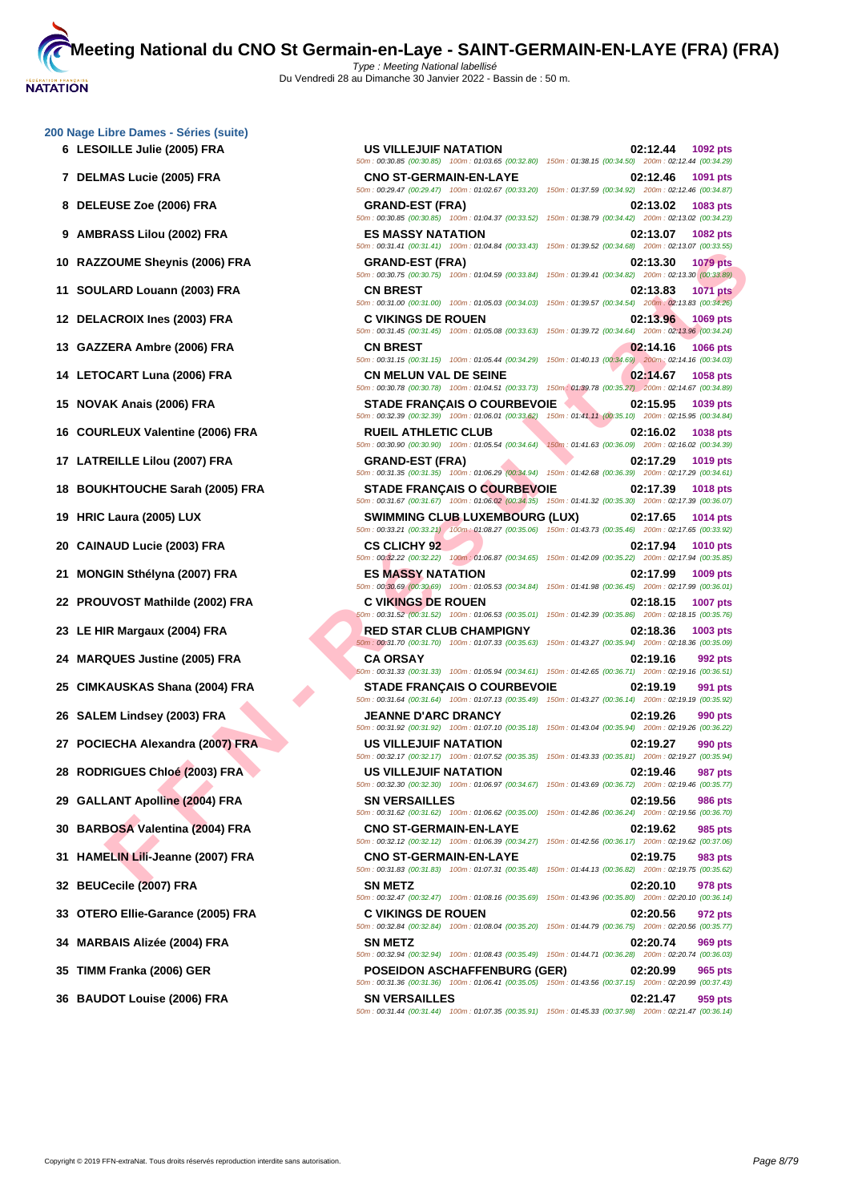**[200 Nage](http://www.ffnatation.fr/webffn/index.php) Libre Dames - Séries (suite)**

- 
- 
- 
- 
- 
- 
- 
- 
- 
- 
- 
- 
- 
- 
- 
- 
- 
- 
- 
- 
- 
- 
- 
- 
- 
- 
- 
- 
- 
- 
- 

**FOUND ENGRES COOP FRANCIS CONTENUAL DESERT AND CONTENUAL DESERT AND CONTENUAL DESERT AND CONTENUE CONTENUE DESERT AND CONTENUE CONTENUE CONTENUE (SOMETIME CONTENUE CONTENUE DESERT AND CONTENUE CONTENUE CONTENUE DESERT A 6 LESOILLE Julie (2005) FRA US VILLEJUIF NATATION 02:12.44 1092 pts** 50m : 00:30.85 (00:30.85) 100m : 01:03.65 (00:32.80) 150m : 01:38.15 (00:34.50) 200m : 02:12.44 (00:34.29) **7 DELMAS Lucie (2005) FRA CNO ST-GERMAIN-EN-LAYE 02:12.46 1091 pts** 50m : 00:29.47 (00:29.47) 100m : 01:02.67 (00:33.20) 150m : 01:37.59 (00:34.92) 200m : 02:12.46 (00:34.87) **8 DELEUSE Zoe (2006) FRA GRAND-EST (FRA) 02:13.02 1083 pts** 50m : 00:30.85 (00:30.85) 100m : 01:04.37 (00:33.52) 150m : 01:38.79 (00:34.42) 200m : 02:13.02 (00:34.23) **9 AMBRASS Lilou (2002) FRA ES MASSY NATATION 02:13.07 1082 pts** 50m : 00:31.41 (00:31.41) 100m : 01:04.84 (00:33.43) 150m : 01:39.52 (00:34.68) 200m : 02:13.07 (00:33.55) **10 RAZZOUME Sheynis (2006) FRA GRAND-EST (FRA) 02:13.30 1079 pts** 50m : 00:30.75 (00:30.75) 100m : 01:04.59 (00:33.84) 150m : 01:39.41 (00:34.82) 200m : 02:13.30 (00:33.89) **11 SOULARD Louann (2003) FRA CN BREST 02:13.83 1071 pts** 50m : 00:31.00 (00:31.00) 100m : 01:05.03 (00:34.03) 150m : 01:39.57 (00:34.54) 200m : 02:13.83 (00:34.26) **12 DELACROIX Ines (2003) FRA C VIKINGS DE ROUEN 02:13.96 1069 pts** 50m : 00:31.45 (00:31.45) 100m : 01:05.08 (00:33.63) 150m : 01:39.72 (00:34.64) 200m : 02:13.96 (00:34.24) **13 GAZZERA Ambre (2006) FRA CN BREST 02:14.16 1066 pts** 50m : 00:31.15 (00:31.15) 100m : 01:05.44 (00:34.29) 150m : 01:40.13 (00:34.69) 200m : 02:14.16 (00:34.03) **14 LETOCART Luna (2006) FRA CN MELUN VAL DE SEINE 02:14.67 1058 pts** 50m : 00:30.78 (00:30.78) 100m : 01:04.51 (00:33.73) 150m : 01:39.78 (00:35.27) 200m : 02:14.67 (00:34.89) **15 NOVAK Anais (2006) FRA STADE FRANÇAIS O COURBEVOIE 02:15.95 1039 pts** 50m : 00:32.39 (00:32.39) 100m : 01:06.01 (00:33.62) 150m : 01:41.11 (00:35.10) 200m : 02:15.95 (00:34.84) **16 COURLEUX Valentine (2006) FRA RUEIL ATHLETIC CLUB 02:16.02 1038 pts** 50m : 00:30.90 (00:30.90) 100m : 01:05.54 (00:34.64) 150m : 01:41.63 (00:36.09) 200m : 02:16.02 (00:34.39) **17 LATREILLE Lilou (2007) FRA GRAND-EST (FRA) 02:17.29 1019 pts** 50m : 00:31.35 (00:31.35) 100m : 01:06.29 (00:34.94) 150m : 01:42.68 (00:36.39) 200m : 02:17.29 (00:34.61) **18 BOUKHTOUCHE Sarah (2005) FRA STADE FRANÇAIS O COURBEVOIE 02:17.39 1018 pts** 50m : 00:31.67 (00:31.67) 100m : 01:06.02 (00:34.35) 150m : 01:41.32 (00:35.30) 200m : 02:17.39 (00:36.07) **19 HRIC Laura (2005) LUX SWIMMING CLUB LUXEMBOURG (LUX) 02:17.65 1014 pts** 50m : 00:33.21 (00:33.21) 100m : 01:08.27 (00:35.06) 150m : 01:43.73 (00:35.46) 200m : 02:17.65 (00:33.92) **20 CAINAUD Lucie (2003) FRA CS CLICHY 92 02:17.94 1010 pts** 50m : 00:32.22 (00:32.22) 100m : 01:06.87 (00:34.65) 150m : 01:42.09 (00:35.22) 200m : 02:17.94 (00:35.85) **21 MONGIN Sthélyna (2007) FRA ES MASSY NATATION 02:17.99 1009 pts** 50m : 00:30.69 (00:30.69) 100m : 01:05.53 (00:34.84) 150m : 01:41.98 (00:36.45) 200m : 02:17.99 (00:36.01) **22 PROUVOST Mathilde (2002) FRA C VIKINGS DE ROUEN 02:18.15 1007 pts** 50m : 00:31.52 (00:31.52) 100m : 01:06.53 (00:35.01) 150m : 01:42.39 (00:35.86) 200m : 02:18.15 (00:35.76) **23 LE HIR Margaux (2004) FRA RED STAR CLUB CHAMPIGNY 02:18.36 1003 pts** 50m : 00:31.70 (00:31.70) 100m : 01:07.33 (00:35.63) 150m : 01:43.27 (00:35.94) 200m : 02:18.36 (00:35.09) **24 MARQUES Justine (2005) FRA CA ORSAY 02:19.16 992 pts** 50m : 00:31.33 (00:31.33) 100m : 01:05.94 (00:34.61) 150m : 01:42.65 (00:36.71) 200m : 02:19.16 (00:36.51) **25 CIMKAUSKAS Shana (2004) FRA STADE FRANÇAIS O COURBEVOIE 02:19.19 991 pts** 50m : 00:31.64 (00:31.64) 100m : 01:07.13 (00:35.49) 150m : 01:43.27 (00:36.14) 200m : 02:19.19 (00:35.92) **26 SALEM Lindsey (2003) FRA JEANNE D'ARC DRANCY 02:19.26 990 pts** 50m : 00:31.92 (00:31.92) 100m : 01:07.10 (00:35.18) 150m : 01:43.04 (00:35.94) 200m : 02:19.26 (00:36.22) **27 POCIECHA Alexandra (2007) FRA US VILLEJUIF NATATION 02:19.27 990 pts** 50m : 00:32.17 (00:32.17) 100m : 01:07.52 (00:35.35) 150m : 01:43.33 (00:35.81) 200m : 02:19.27 (00:35.94) **28 RODRIGUES Chloé (2003) FRA US VILLEJUIF NATATION 02:19.46 987 pts** 50m : 00:32.30 (00:32.30) 100m : 01:06.97 (00:34.67) 150m : 01:43.69 (00:36.72) 200m : 02:19.46 (00:35.77) **29 GALLANT Apolline (2004) FRA SN VERSAILLES 02:19.56 986 pts** 50m : 00:31.62 (00:31.62) 100m : 01:06.62 (00:35.00) 150m : 01:42.86 (00:36.24) 200m : 02:19.56 (00:36.70) **30 BARBOSA Valentina (2004) FRA CNO ST-GERMAIN-EN-LAYE 02:19.62 985 pts** 50m : 00:32.12 (00:32.12) 100m : 01:06.39 (00:34.27) 150m : 01:42.56 (00:36.17) 200m : 02:19.62 (00:37.06) **31 HAMELIN Lili-Jeanne (2007) FRA CNO ST-GERMAIN-EN-LAYE 02:19.75 983 pts** 50m : 00:31.83 (00:31.83) 100m : 01:07.31 (00:35.48) 150m : 01:44.13 (00:36.82) 200m : 02:19.75 (00:35.62) **32 BEUCecile (2007) FRA SN METZ 02:20.10 978 pts** 50m : 00:32.47 (00:32.47) 100m : 01:08.16 (00:35.69) 150m : 01:43.96 (00:35.80) 200m : 02:20.10 (00:36.14) **33 OTERO Ellie-Garance (2005) FRA C VIKINGS DE ROUEN 02:20.56 972 pts** 50m : 00:32.84 (00:32.84) 100m : 01:08.04 (00:35.20) 150m : 01:44.79 (00:36.75) 200m : 02:20.56 (00:35.77) **34 MARBAIS Alizée (2004) FRA SN METZ 02:20.74 969 pts** 50m : 00:32.94 (00:32.94) 100m : 01:08.43 (00:35.49) 150m : 01:44.71 (00:36.28) 200m : 02:20.74 (00:36.03) **35 TIMM Franka (2006) GER POSEIDON ASCHAFFENBURG (GER) 02:20.99 965 pts** 50m : 00:31.36 (00:31.36) 100m : 01:06.41 (00:35.05) 150m : 01:43.56 (00:37.15) 200m : 02:20.99 (00:37.43) **36 BAUDOT Louise (2006) FRA SN VERSAILLES 02:21.47 959 pts**

50m : 00:31.44 (00:31.44) 100m : 01:07.35 (00:35.91) 150m : 01:45.33 (00:37.98) 200m : 02:21.47 (00:36.14)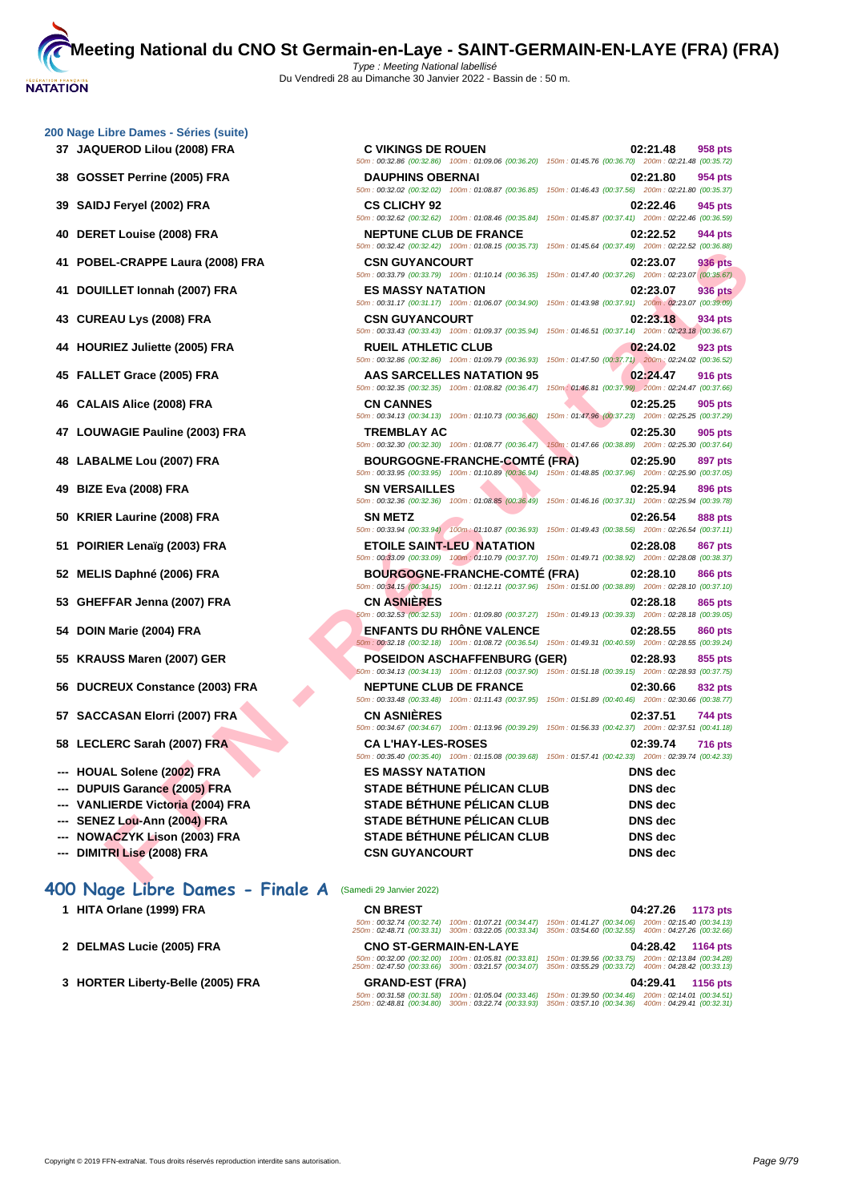|  | 200 Nage Libre Dames - Séries (suite) |  |  |
|--|---------------------------------------|--|--|

- **37 JAQUEROD Lilou (2008) FRA C VIKINGS DE ROUEN 02:21.48 958 pts 38 GOSSET Perrine (2005) FRA**
- **39 SAIDJ Feryel (2002) FRA CS CLICHY 92 02:22.46 945 pts**
- **40 DERET Louise (2008) FRA**
- **41 POBEL-CRAPPE Laura (2008) FRA**
- **41 DOUILLET Ionnah (2007) FRA**
- **43 CUREAU Lys (2008) FRA CSN GUYANCOURT 02:23.18 934 pts**
- **44 HOURIEZ Juliette (2005) FRA**
- **45 FALLET Grace (2005) FRA AAS SARCELLES NATATION 95 02:24.47 916 pts**
- **46 CALAIS Alice (2008) FRA CN CANNES 02:25.25 905 pts**
- **47 LOUWAGIE Pauline (2003) FRA**
- **48** LABALME Lou (2007) FRA
- **49 BIZE Eva (2008) FRA**
- **50 KRIER Laurine (2008) FRA**
- **51 POIRIER Lenaïg (2003) FRA**
- **52 MELIS Daphné (2006) FRA**
- **53 GHEFFAR Jenna (2007) FRA**
- **54 DOIN Marie (2004) FRA**
- **55 KRAUSS Maren (2007) GER**
- **56 DUCREUX Constance (2003) FRA**
- **57 SACCASAN Elorri (2007) FRA**
- **58 LECLERC Sarah (2007) FRA**
- **--- HOUAL Solene (2002) FRA**
- **---** DUPUIS Garance (2005) FRA
- **--- VANLIERDE Victoria (2004) FRA**
- **--- SENEZ Lou-Ann (2004) FRA**
- **--- NOWACZYK Lison (2003) FRA**
- **--- DIMITRI Lise (2008) FRA CSN GUYANCOURT DNS dec**

## **400 Nage Libre Dames - Finale A** (Samedi 29 Janvier 2022)

- **1 HITA Orlane (1999) FRA**
- **2 DELMAS Lucie (2005) FRA CNO ST-GERMAIN-EN-LAYE 04:28.42 1164 pts**
- **3 HORTER Liberty-Belle (2005) FRA**

| <b>JEROD Lilou (2008) FRA</b>   | <b>C VIKINGS DE ROUEN</b><br>50m : 00:32.86 (00:32.86) 100m : 01:09.06 (00:36.20) 150m : 01:45.76 (00:36.70) 200m : 02:21.48 (00:35.72)            | 02:21.48<br>958 pts                                                               |
|---------------------------------|----------------------------------------------------------------------------------------------------------------------------------------------------|-----------------------------------------------------------------------------------|
| SET Perrine (2005) FRA          | <b>DAUPHINS OBERNAI</b><br>50m : 00:32.02 (00:32.02) 100m : 01:08.87 (00:36.85) 150m : 01:46.43 (00:37.56) 200m : 02:21.80 (00:35.37)              | 02:21.80<br>954 pts                                                               |
| J Feryel (2002) FRA             | <b>CS CLICHY 92</b><br>50m: 00:32.62 (00:32.62) 100m: 01:08.46 (00:35.84)                                                                          | 02:22.46<br>945 pts<br>150m: 01:45.87 (00:37.41) 200m: 02:22.46 (00:36.59)        |
| ET Louise (2008) FRA            | <b>NEPTUNE CLUB DE FRANCE</b><br>50m : 00:32.42 (00:32.42) 100m : 01:08.15 (00:35.73) 150m : 01:45.64 (00:37.49) 200m : 02:22.52 (00:36.88)        | 02:22.52<br>944 pts                                                               |
| EL-CRAPPE Laura (2008) FRA      | <b>CSN GUYANCOURT</b><br>50m: 00:33.79 (00:33.79) 100m: 01:10.14 (00:36.35)                                                                        | 02:23.07<br><b>936 pts</b><br>150m: 01:47.40 (00:37.26) 200m: 02:23.07 (00:35.67) |
| ILLET Ionnah (2007) FRA         | <b>ES MASSY NATATION</b><br>50m : 00:31.17 (00:31.17) 100m : 01:06.07 (00:34.90) 150m : 01:43.98 (00:37.91) 200m : 02:23.07 (00:39.09)             | 02:23.07<br><b>936 pts</b>                                                        |
| EAU Lys (2008) FRA              | <b>CSN GUYANCOURT</b><br>50m: 00:33.43 (00:33.43) 100m: 01:09.37 (00:35.94) 150m: 01:46.51 (00:37.14) 200m: 02:23.18 (00:36.67)                    | 02:23.18<br>934 pts                                                               |
| RIEZ Juliette (2005) FRA        | <b>RUEIL ATHLETIC CLUB</b><br>50m: 00:32.86 (00:32.86) 100m: 01:09.79 (00:36.93)                                                                   | 02:24.02<br>923 pts<br>150m: 01:47.50 (00:37.71) 200m: 02:24.02 (00:36.52)        |
| .ET Grace (2005) FRA            | AAS SARCELLES NATATION 95<br>50m: 00:32.35 (00:32.35) 100m: 01:08.82 (00:36.47) 150m: 01:46.81 (00:37.99) 200m: 02:24.47 (00:37.66)                | 02:24.47<br><b>916 pts</b>                                                        |
| <b>AIS Alice (2008) FRA</b>     | <b>CN CANNES</b><br>50m: 00:34.13 (00:34.13) 100m: 01:10.73 (00:36.60)                                                                             | 02:25.25<br>905 pts<br>150m: 01:47.96 (00:37.23) 200m: 02:25.25 (00:37.29)        |
| <b>WAGIE Pauline (2003) FRA</b> | <b>TREMBLAY AC</b><br>50m : 00:32.30 (00:32.30) 100m : 01:08.77 (00:36.47) 150m : 01:47.66 (00:38.89) 200m : 02:25.30 (00:37.64)                   | 02:25.30<br>905 pts                                                               |
| ALME Lou (2007) FRA             | <b>BOURGOGNE-FRANCHE-COMTE (FRA)</b><br>50m : 00:33.95 (00:33.95) 100m : 01:10.89 (00:36.94) 150m : 01:48.85 (00:37.96) 200m : 02:25.90 (00:37.05) | 02:25.90<br>897 pts                                                               |
| Eva (2008) FRA                  | <b>SN VERSAILLES</b><br>50m: 00:32.36 (00:32.36) 100m: 01:08.85 (00:36.49) 150m: 01:46.16 (00:37.31) 200m: 02:25.94 (00:39.78)                     | 02:25.94<br>896 pts                                                               |
| R Laurine (2008) FRA:           | <b>SN METZ</b><br>50m: 00:33.94 (00:33.94) 100m: 01:10.87 (00:36.93) 150m: 01:49.43 (00:38.56) 200m: 02:26.54 (00:37.11)                           | 02:26.54<br>888 pts                                                               |
| IER Lenaïg (2003) FRA           | <b>ETOILE SAINT-LEU NATATION</b><br>50m: 00:33.09 (00:33.09) 100m: 01:10.79 (00:37.70) 150m: 01:49.71 (00:38.92) 200m: 02:28.08 (00:38.37)         | 02:28.08<br><b>867 pts</b>                                                        |
| IS Daphné (2006) FRA            | <b>BOURGOGNE-FRANCHE-COMTÉ (FRA)</b><br>50m: 00:34.15 (00:34.15) 100m: 01:12.11 (00:37.96) 150m: 01:51.00 (00:38.89) 200m: 02:28.10 (00:37.10)     | 02:28.10<br>866 pts                                                               |
| FFAR Jenna (2007) FRA           | <b>CN ASNIERES</b><br>50m: 00:32.53 (00:32.53) 100m: 01:09.80 (00:37.27) 150m: 01:49.13 (00:39.33) 200m: 02:28.18 (00:39.05)                       | 02:28.18<br>865 pts                                                               |
| I Marie (2004) FRA              | <b>ENFANTS DU RHONE VALENCE</b><br>50m: 00:32.18 (00:32.18) 100m: 01:08.72 (00:36.54) 150m: 01:49.31 (00:40.59) 200m: 02:28.55 (00:39.24)          | 02:28.55<br><b>860 pts</b>                                                        |
| USS Maren (2007) GER            | <b>POSEIDON ASCHAFFENBURG (GER)</b><br>50m: 00:34.13 (00:34.13) 100m: 01:12.03 (00:37.90) 150m: 01:51.18 (00:39.15) 200m: 02:28.93 (00:37.75)      | 02:28.93<br>855 pts                                                               |
| REUX Constance (2003) FRA       | <b>NEPTUNE CLUB DE FRANCE</b><br>50m: 00:33.48 (00:33.48) 100m: 01:11.43 (00:37.95) 150m: 01:51.89 (00:40.46) 200m: 02:30.66 (00:38.77)            | 02:30.66<br>832 pts                                                               |
| CASAN Elorri (2007) FRA         | <b>CN ASNIERES</b><br>50m: 00:34.67 (00:34.67) 100m: 01:13.96 (00:39.29) 150m: 01:56.33 (00:42.37) 200m: 02:37.51 (00:41.18)                       | 02:37.51<br><b>744 pts</b>                                                        |
| LERC Sarah (2007) FRA           | <b>CAL'HAY-LES-ROSES</b><br>50m : 00:35.40 (00:35.40) 100m : 01:15.08 (00:39.68) 150m : 01:57.41 (00:42.33) 200m : 02:39.74 (00:42.33)             | 02:39.74<br><b>716 pts</b>                                                        |
| AL Solene (2002) FRA            | <b>ES MASSY NATATION</b>                                                                                                                           | <b>DNS</b> dec                                                                    |
| UIS Garance (2005) FRA          | STADE BÉTHUNE PÉLICAN CLUB                                                                                                                         | <b>DNS</b> dec                                                                    |
| LIERDE Victoria (2004) FRA      | <b>STADE BÉTHUNE PÉLICAN CLUB</b>                                                                                                                  | <b>DNS</b> dec                                                                    |
| EZ Lou-Ann (2004) FRA           | <b>STADE BÉTHUNE PÉLICAN CLUB</b>                                                                                                                  | <b>DNS</b> dec                                                                    |
| <b>ACZYK Lison (2003) FRA</b>   | STADE BÉTHUNE PÉLICAN CLUB                                                                                                                         | <b>DNS</b> dec                                                                    |
| TRI Lise (2008) FRA             | <b>CSN GUYANCOURT</b>                                                                                                                              | <b>DNS</b> dec                                                                    |

| <b>CN BREST</b>                                       |                                                        |                                                        | 04:27.26 1173 pts                                      |          |
|-------------------------------------------------------|--------------------------------------------------------|--------------------------------------------------------|--------------------------------------------------------|----------|
| 50m: 00:32.74 (00:32.74)<br>250m: 02:48.71 (00:33.31) | 100m: 01:07.21 (00:34.47)<br>300m: 03:22.05 (00:33.34) | 150m: 01:41.27 (00:34.06)<br>350m: 03:54.60 (00:32.55) | 200m: 02:15.40 (00:34.13)<br>400m: 04:27.26 (00:32.66) |          |
| <b>CNO ST-GERMAIN-EN-LAYE</b>                         |                                                        |                                                        |                                                        |          |
|                                                       |                                                        |                                                        | 04:28.42 1164 pts                                      |          |
| 50m: 00:32.00 (00:32.00)                              | 100m: 01:05.81 (00:33.81)                              | 150m: 01:39.56 (00:33.75)                              | 200m: 02:13.84 (00:34.28)                              |          |
| 250m: 02:47.50 (00:33.66)                             | 300m: 03:21.57 (00:34.07)                              | 350m: 03:55.29 (00:33.72)                              | 400m: 04:28.42 (00:33.13)                              |          |
| <b>GRAND-EST (FRA)</b>                                |                                                        |                                                        | 04:29.41                                               | 1156 pts |
| 50m: 00:31.58 (00:31.58)                              | 100m: 01:05.04 (00:33.46)                              | 150m: 01:39.50 (00:34.46)                              | 200m: 02:14.01 (00:34.51)                              |          |
| 250m: 02:48.81 (00:34.80)                             | 300m: 03:22.74 (00:33.93)                              | 350m: 03:57.10 (00:34.36)                              | 400m: 04:29.41 (00:32.31)                              |          |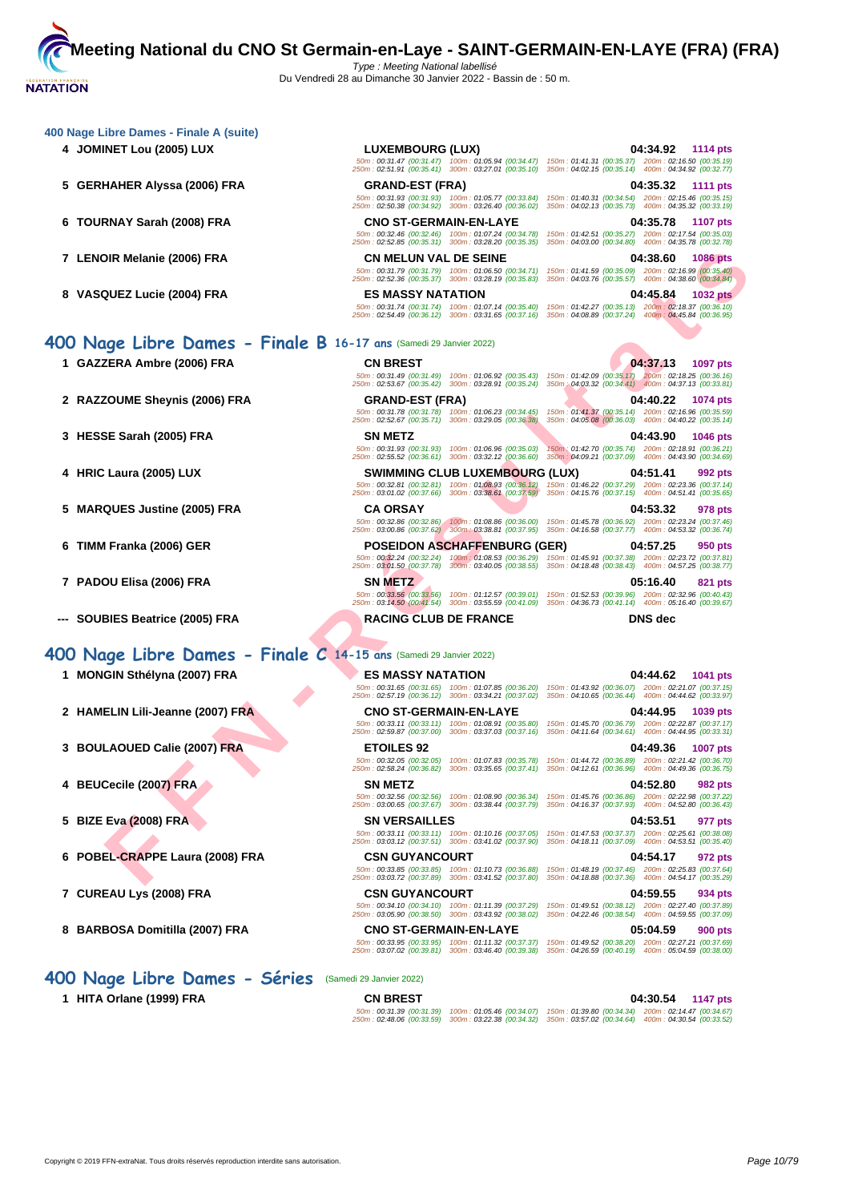| 4 JOMINET Lou (2005) LUX                                           | <b>LUXEMBOURG (LUX)</b>                                                                                                                   | 04:34.92<br>1114 pts<br>50m: 00:31.47 (00:31.47) 100m: 01:05.94 (00:34.47) 150m: 01:41.31 (00:35.37) 200m: 02:16.50 (00:35.19)                                                                                    |
|--------------------------------------------------------------------|-------------------------------------------------------------------------------------------------------------------------------------------|-------------------------------------------------------------------------------------------------------------------------------------------------------------------------------------------------------------------|
|                                                                    | 250m: 02:51.91 (00:35.41) 300m: 03:27.01 (00:35.10)                                                                                       | 350m: 04:02.15 (00:35.14) 400m: 04:34.92 (00:32.77)                                                                                                                                                               |
| 5<br><b>GERHAHER Alyssa (2006) FRA</b>                             | <b>GRAND-EST (FRA)</b><br>50m: 00:31.93 (00:31.93) 100m: 01:05.77 (00:33.84)<br>250m: 02:50.38 (00:34.92) 300m: 03:26.40 (00:36.02)       | 04:35.32<br>1111 pts<br>150m: 01:40.31 (00:34.54) 200m: 02:15.46 (00:35.15)<br>350m: 04:02.13 (00:35.73) 400m: 04:35.32 (00:33.19)                                                                                |
| <b>TOURNAY Sarah (2008) FRA</b><br>6                               | <b>CNO ST-GERMAIN-EN-LAYE</b><br>50m: 00:32.46 (00:32.46) 100m: 01:07.24 (00:34.78)                                                       | 04:35.78<br><b>1107 pts</b><br>150m: 01:42.51 (00:35.27) 200m: 02:17.54 (00:35.03)                                                                                                                                |
|                                                                    | 250m: 02:52.85 (00:35.31) 300m: 03:28.20 (00:35.35)                                                                                       | 350m: 04:03.00 (00:34.80) 400m: 04:35.78 (00:32.78)                                                                                                                                                               |
| 7 LENOIR Melanie (2006) FRA                                        | <b>CN MELUN VAL DE SEINE</b><br>50m: 00:31.79 (00:31.79) 100m: 01:06.50 (00:34.71)<br>250m: 02:52.36 (00:35.37) 300m: 03:28.19 (00:35.83) | 04:38.60<br><b>1086 pts</b><br>150m: 01:41.59 (00:35.09) 200m: 02:16.99 (00:35.40)<br>350m: 04:03.76 (00:35.57) 400m: 04:38.60 (00:34.84)                                                                         |
| 8 VASQUEZ Lucie (2004) FRA                                         | <b>ES MASSY NATATION</b>                                                                                                                  | 04:45.84<br><b>1032 pts</b>                                                                                                                                                                                       |
|                                                                    | 50m: 00:31.74 (00:31.74) 100m: 01:07.14 (00:35.40)<br>250m: 02:54.49 (00:36.12) 300m: 03:31.65 (00:37.16)                                 | 150m: 01:42.27 (00:35.13) 200m: 02:18.37 (00:36.10)<br>350m: 04:08.89 (00:37.24) 400m: 04:45.84 (00:36.95)                                                                                                        |
| 400 Nage Libre Dames - Finale B 16-17 ans (Samedi 29 Janvier 2022) |                                                                                                                                           |                                                                                                                                                                                                                   |
| 1 GAZZERA Ambre (2006) FRA                                         | <b>CN BREST</b>                                                                                                                           | 04:37.13<br>1097 pts                                                                                                                                                                                              |
|                                                                    | 50m: 00:31.49 (00:31.49) 100m: 01:06.92 (00:35.43)<br>250m: 02:53.67 (00:35.42) 300m: 03:28.91 (00:35.24)                                 | 150m: 01:42.09 (00:35.17) 200m: 02:18.25 (00:36.16)<br>350m : 04:03.32 (00:34.41) 400m : 04:37.13 (00:33.81)                                                                                                      |
| 2 RAZZOUME Sheynis (2006) FRA                                      | <b>GRAND-EST (FRA)</b>                                                                                                                    | 04:40.22<br>1074 pts                                                                                                                                                                                              |
|                                                                    | 50m: 00:31.78 (00:31.78) 100m: 01:06.23 (00:34.45)<br>250m: 02:52.67 (00:35.71) 300m: 03:29.05 (00:36.38)                                 | 150m: 01:41.37 (00:35.14) 200m: 02:16.96 (00:35.59)<br>350m: 04:05.08 (00:36.03) 400m: 04:40.22 (00:35.14)                                                                                                        |
| 3 HESSE Sarah (2005) FRA                                           | SN METZ                                                                                                                                   | 04:43.90<br>1046 pts                                                                                                                                                                                              |
|                                                                    | 50m: 00:31.93 (00:31.93) 100m: 01:06.96 (00:35.03)<br>250m: 02:55.52 (00:36.61) 300m: 03:32.12 (00:36.60)                                 | 150m: 01:42.70 (00:35.74) 200m: 02:18.91 (00:36.21)<br>350m: 04:09.21 (00:37.09) 400m: 04:43.90 (00:34.69)                                                                                                        |
| 4 HRIC Laura (2005) LUX                                            | <b>SWIMMING CLUB LUXEMBOURG (LUX)</b>                                                                                                     | 04:51.41<br>992 pts                                                                                                                                                                                               |
|                                                                    |                                                                                                                                           | 50m: 00:32.81 (00:32.81) 100m: 01:08.93 (00:36.12) 150m: 01:46.22 (00:37.29) 200m: 02:23.36 (00:37.14)<br>250m: 03:01.02 (00:37.66) 300m: 03:38.61 (00:37.59) 350m: 04:15.76 (00:37.15) 400m: 04:51.41 (00:35.65) |
| <b>MARQUES Justine (2005) FRA</b><br>5                             | <b>CA ORSAY</b>                                                                                                                           | 04:53.32<br>978 pts                                                                                                                                                                                               |
|                                                                    | 250m: 03:00.86 (00:37.62) 300m: 03:38.81 (00:37.95)                                                                                       | 50m : 00:32.86 (00:32.86) 100m : 01:08.86 (00:36.00) 150m : 01:45.78 (00:36.92) 200m : 02:23.24 (00:37.46)<br>350m: 04:16.58 (00:37.77) 400m: 04:53.32 (00:36.74)                                                 |
| TIMM Franka (2006) GER<br>6                                        | <b>POSEIDON ASCHAFFENBURG (GER)</b>                                                                                                       | 04:57.25<br>950 pts                                                                                                                                                                                               |
|                                                                    |                                                                                                                                           | 50m: 00:32.24 (00:32.24) 100m: 01:08.53 (00:36.29) 150m: 01:45.91 (00:37.38) 200m: 02:23.72 (00:37.81)<br>250m: 03:01.50 (00:37.78) 300m: 03:40.05 (00:38.55) 350m: 04:18.48 (00:38.43) 400m: 04:57.25 (00:38.77) |
| 7 PADOU Elisa (2006) FRA                                           | <b>SN METZ</b>                                                                                                                            | 05:16.40<br>821 pts<br>50m : 00:33.56 (00:33.56) 100m : 01:12.57 (00:39.01) 150m : 01:52.53 (00:39.96) 200m : 02:32.96 (00:40.43)                                                                                 |
|                                                                    |                                                                                                                                           | 250m: 03:14.50 (00:41.54) 300m: 03:55.59 (00:41.09) 350m: 04:36.73 (00:41.14) 400m: 05:16.40 (00:39.67)                                                                                                           |
| SOUBIES Beatrice (2005) FRA                                        | <b>RACING CLUB DE FRANCE</b>                                                                                                              | <b>DNS</b> dec                                                                                                                                                                                                    |
| 400 Nage Libre Dames - Finale C 14-15 ans (Samedi 29 Janvier 2022) |                                                                                                                                           |                                                                                                                                                                                                                   |
| <b>MONGIN Sthélyna (2007) FRA</b><br>1.                            | <b>ES MASSY NATATION</b>                                                                                                                  | 04:44.62<br>1041 pts                                                                                                                                                                                              |
|                                                                    | 50m: 00:31.65 (00:31.65) 100m: 01:07.85 (00:36.20)<br>250m: 02:57.19 (00:36.12) 300m: 03:34.21 (00:37.02)                                 | 150m: 01:43.92 (00:36.07) 200m: 02:21.07 (00:37.15)<br>350m: 04:10.65 (00:36.44) 400m: 04:44.62 (00:33.97)                                                                                                        |
| 2 HAMELIN Lili-Jeanne (2007) FRA                                   | <b>CNO ST-GERMAIN-EN-LAYE</b>                                                                                                             | 04:44.95<br>1039 pts<br>50m: 00:33.11 (00:33.11) 100m: 01:08.91 (00:35.80) 150m: 01:45.70 (00:36.79) 200m: 02:22.87 (00:37.17)                                                                                    |
|                                                                    |                                                                                                                                           | 250m: 02:59.87 (00:37.00) 300m: 03:37.03 (00:37.16) 350m: 04:11.64 (00:34.61) 400m: 04:44.95 (00:33.31)                                                                                                           |
| 3 BOULAOUED Calie (2007) FRA                                       | <b>ETOILES 92</b><br>50m: 00:32.05 (00:32.05) 100m: 01:07.83 (00:35.78)                                                                   | 04:49.36<br><b>1007 pts</b><br>150m: 01:44.72 (00:36.89) 200m: 02:21.42 (00:36.70)                                                                                                                                |
|                                                                    | 300m: 03:35.65 (00:37.41)<br>250m: 02:58.24 (00:36.82)                                                                                    | 350m: 04:12.61 (00:36.96) 400m: 04:49.36 (00:36.75)                                                                                                                                                               |
| 4 BEUCecile (2007) FRA                                             | SN METZ<br>50m: 00:32.56 (00:32.56)<br>100m: 01:08.90 (00:36.34)                                                                          | 04:52.80<br><b>982 pts</b><br>150m: 01:45.76 (00:36.86) 200m: 02:22.98 (00:37.22)                                                                                                                                 |
|                                                                    | 250m: 03:00.65 (00:37.67) 300m: 03:38.44 (00:37.79)                                                                                       | 350m: 04:16.37 (00:37.93) 400m: 04:52.80 (00:36.43)                                                                                                                                                               |
| <b>BIZE Eva (2008) FRA</b><br>5                                    | <b>SN VERSAILLES</b><br>50m: 00:33.11 (00:33.11) 100m: 01:10.16 (00:37.05)                                                                | 04:53.51<br>977 pts<br>150m: 01:47.53 (00:37.37) 200m: 02:25.61 (00:38.08)                                                                                                                                        |
|                                                                    | 250m: 03:03.12 (00:37.51) 300m: 03:41.02 (00:37.90)                                                                                       | 350m: 04:18.11 (00:37.09) 400m: 04:53.51 (00:35.40)                                                                                                                                                               |
| POBEL-CRAPPE Laura (2008) FRA<br>6                                 | <b>CSN GUYANCOURT</b><br>50m: 00:33.85 (00:33.85) 100m: 01:10.73 (00:36.88)                                                               | 04:54.17<br>972 pts<br>150m: 01:48.19 (00:37.46) 200m: 02:25.83 (00:37.64)                                                                                                                                        |
|                                                                    | 250m: 03:03.72 (00:37.89) 300m: 03:41.52 (00:37.80)<br><b>CSN GUYANCOURT</b>                                                              | 350m: 04:18.88 (00:37.36) 400m: 04:54.17 (00:35.29)                                                                                                                                                               |
| 7 CUREAU Lys (2008) FRA                                            | 50m: 00:34.10 (00:34.10) 100m: 01:11.39 (00:37.29)<br>250m: 03:05.90 (00:38.50) 300m: 03:43.92 (00:38.02)                                 | 04:59.55<br>934 pts<br>150m: 01:49.51 (00:38.12) 200m: 02:27.40 (00:37.89)                                                                                                                                        |
|                                                                    |                                                                                                                                           | 350m: 04:22.46 (00:38.54) 400m: 04:59.55 (00:37.09)                                                                                                                                                               |
| 8 BARBOSA Domitilla (2007) FRA                                     | <b>CNO ST-GERMAIN-EN-LAYE</b>                                                                                                             | 05:04.59<br>900 pts                                                                                                                                                                                               |

**1 HITA Orlane (1999) FRA CN BREST 04:30.54 1147 pts**

50m : 00:31.39 (00:31.39) 100m : 01:05.46 (00:34.07) 150m : 01:39.80 (00:34.34) 200m : 02:14.47 (00:34.67) 250m : 02:48.06 (00:33.59) 300m : 03:22.38 (00:34.32) 350m : 03:57.02 (00:34.64) 400m : 04:30.54 (00:33.52)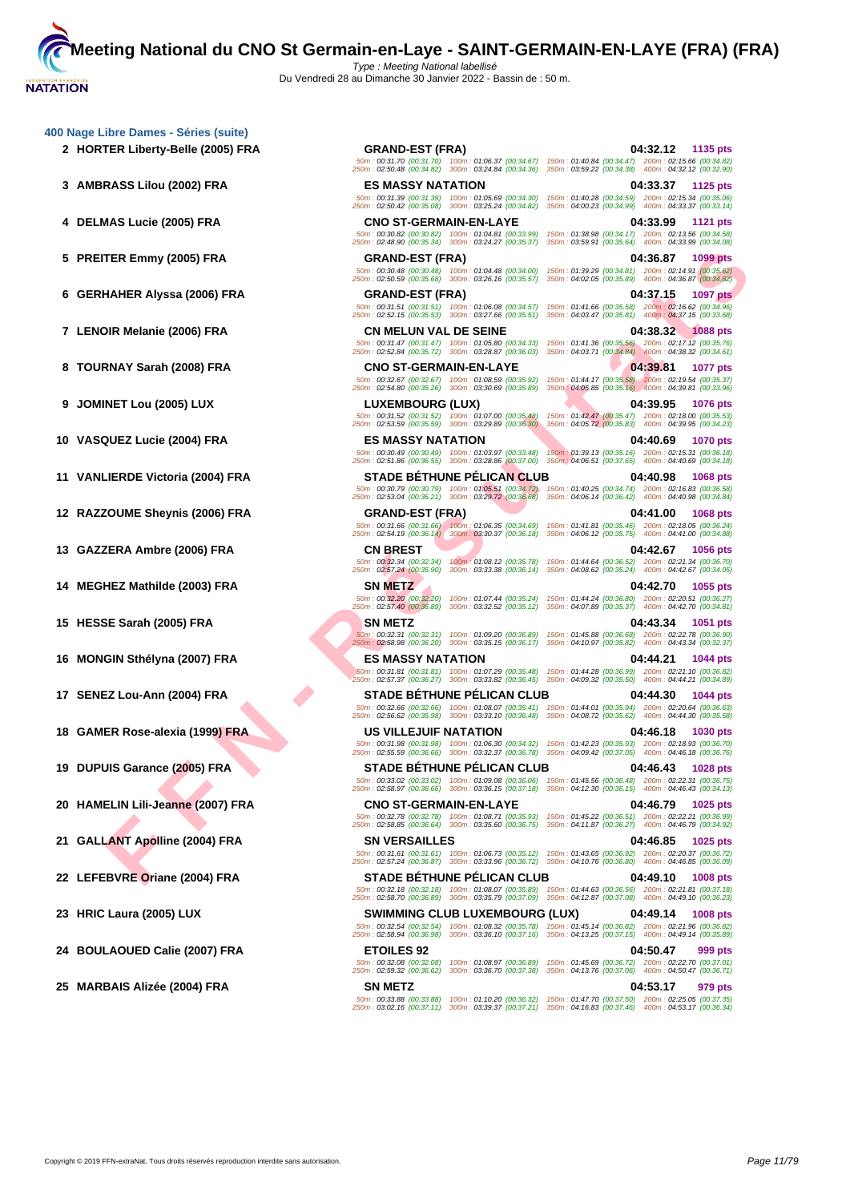**[400 Nage](http://www.ffnatation.fr/webffn/index.php) Libre Dames - Séries (suite)**

**FIFA CRAME RAY SENDERE REAL ORDERED AND DESCRIPEION CONSUMERED AND DESCRIPEION OF A SAME CONSUMERED AND DESCRIPEION OF A SAME CONSUMERED AND DESCRIPEION OF A SAME CONSUMERED AND DESCRIPEION OF A SAME CONSUMERED AND DESCR 2 HORTER Liberty-Belle (2005) FRA GRAND-EST (FRA) 04:32.12 1135 pts** 50m : 00:31.70 (00:31.70) 100m : 01:06.37 (00:34.67) 150m : 01:40.84 (00:34.47) 200m : 02:15.66 (00:34.82) 250m : 02:50.48 (00:34.82) 300m : 03:24.84 (00:34.36) 350m : 03:59.22 (00:34.38) 400m : 04:32.12 (00:32.90) **3 AMBRASS Lilou (2002) FRA ES MASSY NATATION 04:33.37 1125 pts** 50m : 00:31.39 (00:31.39) 100m : 01:05.69 (00:34.30) 150m : 01:40.28 (00:34.59) 200m : 02:15.34 (00:35.06) 250m : 02:50.42 (00:35.08) 300m : 03:25.24 (00:34.82) 350m : 04:00.23 (00:34.99) 400m : 04:33.37 (00:33.14) **4 DELMAS Lucie (2005) FRA CNO ST-GERMAIN-EN-LAYE 04:33.99 1121 pts** 50m : 00:30.82 (00:30.82) 100m : 01:04.81 (00:33.99) 150m : 01:38.98 (00:34.17) 200m : 02:13.56 (00:34.58) 250m : 02:48.90 (00:35.34) 300m : 03:24.27 (00:35.37) 350m : 03:59.91 (00:35.64) 400m : 04:33.99 (00:34.08) **5 PREITER Emmy (2005) FRA GRAND-EST (FRA) 04:36.87 1099 pts** 50m : 00:30.48 (00:30.48) 100m : 01:04.48 (00:34.00) 150m : 01:39.29 (00:34.81) 200m : 02:14.91 (00:35.62) 250m : 02:50.59 (00:35.68) 300m : 03:26.16 (00:35.57) 350m : 04:02.05 (00:35.89) 400m : 04:36.87 (00:34.82) **6 GERHAHER Alyssa (2006) FRA GRAND-EST (FRA) 04:37.15 1097 pts** 50m : 00:31.51 (00:31.51) 100m : 01:06.08 (00:34.57) 150m : 01:41.66 (00:35.58) 200m : 02:16.62 (00:34.96) 250m : 02:52.15 (00:35.53) 300m : 03:27.66 (00:35.51) 350m : 04:03.47 (00:35.81) 400m : 04:37.15 (00:33.68) **7 LENOIR Melanie (2006) FRA CN MELUN VAL DE SEINE 04:38.32 1088 pts** 50m : 00:31.47 (00:31.47) 100m : 01:05.80 (00:34.33) 150m : 01:41.36 (00:35.56) 200m : 02:17.12 (00:35.76) 250m : 02:52.84 (00:35.72) 300m : 03:28.87 (00:36.03) 350m : 04:03.71 (00:34.84) 400m : 04:38.32 (00:34.61) **8 TOURNAY Sarah (2008) FRA CNO ST-GERMAIN-EN-LAYE 04:39.81 1077 pts** 50m : 00:32.67 (00:32.67) 100m : 01:08.59 (00:35.92) 150m : 01:44.17 (00:35.58) 200m : 02:19.54 (00:35.37) 250m : 02:54.80 (00:35.26) 300m : 03:30.69 (00:35.89) 350m : 04:05.85 (00:35.16) 400m : 04:39.81 (00:33.96) **9 JOMINET Lou (2005) LUX LUXEMBOURG (LUX) 04:39.95 1076 pts** 50m : 00:31.52 (00:31.52) 100m : 01:07.00 (00:35.48) 150m : 01:42.47 (00:35.47) 200m : 02:18.00 (00:35.53) 250m : 02:53.59 (00:35.59) 300m : 03:29.89 (00:36.30) 350m : 04:05.72 (00:35.83) 400m : 04:39.95 (00:34.23) **10 VASQUEZ Lucie (2004) FRA ES MASSY NATATION 04:40.69 1070 pts** 50m : 00:30.49 (00:30.49) 100m : 01:03.97 (00:33.48) 150m : 01:39.13 (00:35.16) 200m : 02:15.31 (00:36.18) 250m : 02:51.86 (00:36.55) 300m : 03:28.86 (00:37.00) 350m : 04:06.51 (00:37.65) 400m : 04:40.69 (00:34.18) **11 VANLIERDE Victoria (2004) FRA STADE BÉTHUNE PÉLICAN CLUB 04:40.98 1068 pts** 50m : 00:30.79 (00:30.79) 100m : 01:05.51 (00:34.72) 150m : 01:40.25 (00:34.74) 200m : 02:16.83 (00:36.58) 250m : 02:53.04 (00:36.21) 300m : 03:29.72 (00:36.68) 350m : 04:06.14 (00:36.42) 400m : 04:40.98 (00:34.84) **12 RAZZOUME Sheynis (2006) FRA GRAND-EST (FRA) 04:41.00 1068 pts** 50m : 00:31.66 (00:31.66) 100m : 01:06.35 (00:34.69) 150m : 01:41.81 (00:35.46) 200m : 02:18.05 (00:36.24) 250m : 02:54.19 (00:36.14) 300m : 03:30.37 (00:36.18) 350m : 04:06.12 (00:35.75) 400m : 04:41.00 (00:34.88) **13 GAZZERA Ambre (2006) FRA CN BREST 04:42.67 1056 pts** 50m : 00:32.34 (00:32.34) 100m : 01:08.12 (00:35.78) 150m : 01:44.64 (00:36.52) 200m : 02:21.34 (00:36.70) 250m : 02:57.24 (00:35.90) 300m : 03:33.38 (00:36.14) 350m : 04:08.62 (00:35.24) 400m : 04:42.67 (00:34.05) **14 MEGHEZ Mathilde (2003) FRA SN METZ 04:42.70 1055 pts** 50m : 00:32.20 (00:32.20) 100m : 01:07.44 (00:35.24) 150m : 01:44.24 (00:36.80) 200m : 02:20.51 (00:36.27) 250m : 02:57.40 (00:36.89) 300m : 03:32.52 (00:35.12) 350m : 04:07.89 (00:35.37) 400m : 04:42.70 (00:34.81) **15 HESSE Sarah (2005) FRA SN METZ 04:43.34 1051 pts** 50m : 00:32.31 (00:32.31) 100m : 01:09.20 (00:36.89) 150m : 01:45.88 (00:36.68) 200m : 02:22.78 (00:36.90) 250m : 02:58.98 (00:36.20) 300m : 03:35.15 (00:36.17) 350m : 04:10.97 (00:35.82) 400m : 04:43.34 (00:32.37) **16 MONGIN Sthélyna (2007) FRA ES MASSY NATATION 04:44.21 1044 pts** 50m : 00:31.81 (00:31.81) 100m : 01:07.29 (00:35.48) 150m : 01:44.28 (00:36.99) 200m : 02:21.10 (00:36.82) 250m : 02:57.37 (00:36.27) 300m : 03:33.82 (00:36.45) 350m : 04:09.32 (00:35.50) 400m : 04:44.21 (00:34.89) **17 SENEZ Lou-Ann (2004) FRA STADE BÉTHUNE PÉLICAN CLUB 04:44.30 1044 pts** 50m : 00:32.66 (00:32.66) 100m : 01:08.07 (00:35.41) 150m : 01:44.01 (00:35.94) 200m : 02:20.64 (00:36.63) 250m : 02:56.62 (00:35.98) 300m : 03:33.10 (00:36.48) 350m : 04:08.72 (00:35.62) 400m : 04:44.30 (00:35.58) **18 GAMER Rose-alexia (1999) FRA US VILLEJUIF NATATION 04:46.18 1030 pts** 50m : 00:31.98 (00:31.98) 100m : 01:06.30 (00:34.32) 150m : 01:42.23 (00:35.93) 200m : 02:18.93 (00:36.70) 250m : 02:55.59 (00:36.66) 300m : 03:32.37 (00:36.78) 350m : 04:09.42 (00:37.05) 400m : 04:46.18 (00:36.76) **19 DUPUIS Garance (2005) FRA STADE BÉTHUNE PÉLICAN CLUB 04:46.43 1028 pts** 50m : 00:33.02 (00:33.02) 100m : 01:09.08 (00:36.06) 150m : 01:45.56 (00:36.48) 200m : 02:22.31 (00:36.75) 250m : 02:58.97 (00:36.66) 300m : 03:36.15 (00:37.18) 350m : 04:12.30 (00:36.15) 400m : 04:46.43 (00:34.13) **20 HAMELIN Lili-Jeanne (2007) FRA CNO ST-GERMAIN-EN-LAYE 04:46.79 1025 pts** 50m : 00:32.78 (00:32.78) 100m : 01:08.71 (00:35.93) 150m : 01:45.22 (00:36.51) 200m : 02:22.21 (00:36.99) 250m : 02:58.85 (00:36.64) 300m : 03:35.60 (00:36.75) 350m : 04:11.87 (00:36.27) 400m : 04:46.79 (00:34.92) **21 GALLANT Apolline (2004) FRA SN VERSAILLES 04:46.85 1025 pts** 50m : 00:31.61 (00:31.61) 100m : 01:06.73 (00:35.12) 150m : 01:43.65 (00:36.92) 200m : 02:20.37 (00:36.72) 250m : 02:57.24 (00:36.87) 300m : 03:33.96 (00:36.72) 350m : 04:10.76 (00:36.80) 400m : 04:46.85 (00:36.09) **22 LEFEBVRE Oriane (2004) FRA STADE BÉTHUNE PÉLICAN CLUB 04:49.10 1008 pts** 50m : 00:32.18 (00:32.18) 100m : 01:08.07 (00:35.89) 150m : 01:44.63 (00:36.56) 200m : 02:21.81 (00:37.18) 250m : 02:58.70 (00:36.89) 300m : 03:35.79 (00:37.09) 350m : 04:12.87 (00:37.08) 400m : 04:49.10 (00:36.23) **23 HRIC Laura (2005) LUX SWIMMING CLUB LUXEMBOURG (LUX) 04:49.14 1008 pts** 50m : 00:32.54 (00:32.54) 100m : 01:08.32 (00:35.78) 150m : 01:45.14 (00:36.82) 200m : 02:21.96 (00:36.82) 250m : 02:58.94 (00:36.98) 300m : 03:36.10 (00:37.16) 350m : 04:13.25 (00:37.15) 400m : 04:49.14 (00:35.89) **24 BOULAOUED Calie (2007) FRA ETOILES 92 04:50.47 999 pts** 50m : 00:32.08 (00:32.08) 100m : 01:08.97 (00:36.89) 150m : 01:45.69 (00:36.72) 200m : 02:22.70 (00:37.01) 250m : 02:59.32 (00:36.62) 300m : 03:36.70 (00:37.38) 350m : 04:13.76 (00:37.06) 400m : 04:50.47 (00:36.71) **25 MARBAIS Alizée (2004) FRA SN METZ 04:53.17 979 pts** 50m : 00:33.88 (00:33.88) 100m : 01:10.20 (00:36.32) 150m : 01:47.70 (00:37.50) 200m : 02:25.05 (00:37.35) 250m : 03:02.16 (00:37.11) 300m : 03:39.37 (00:37.21) 350m : 04:16.83 (00:37.46) 400m : 04:53.17 (00:36.34)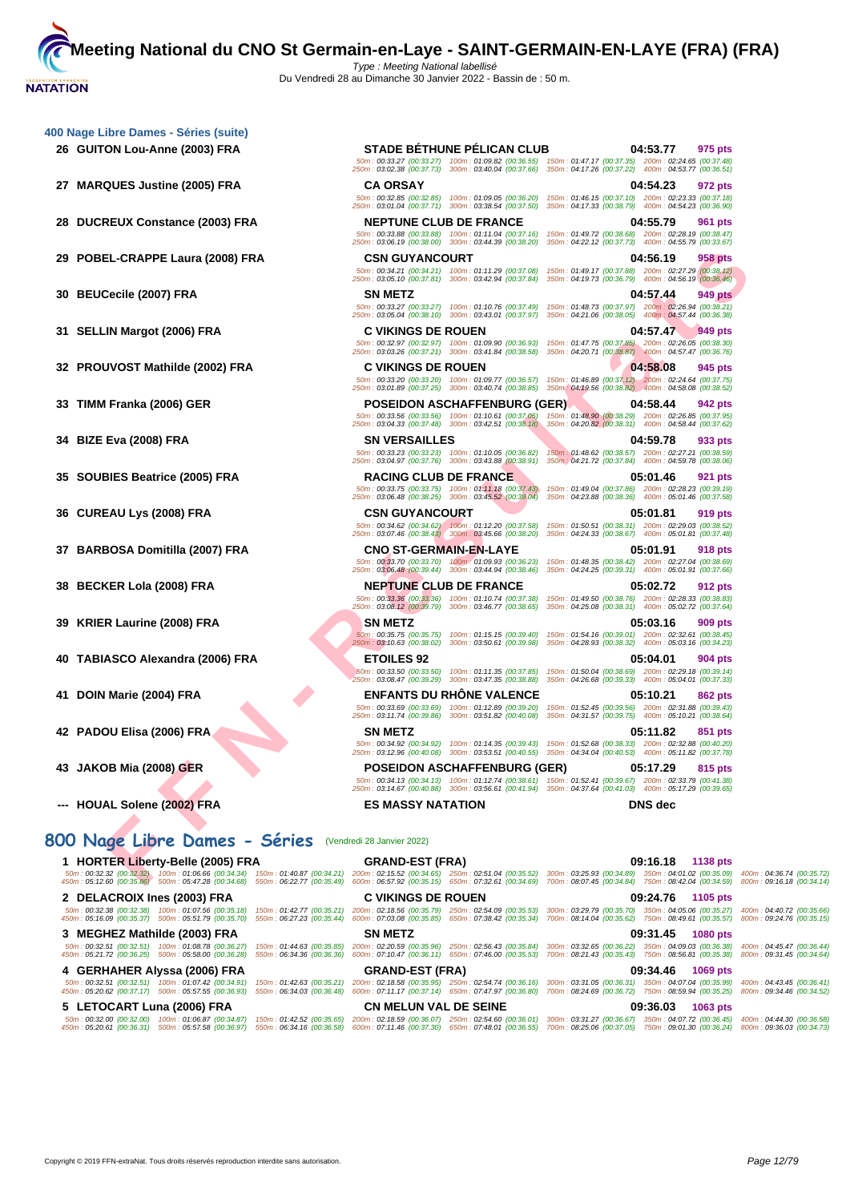| 400 Nage Libre Dames - Séries (suite)                                                    |                                                                                                                                                                                                             |                               |                                                                                                                                                                                                                                                          |                                                                                                              |                |                      |
|------------------------------------------------------------------------------------------|-------------------------------------------------------------------------------------------------------------------------------------------------------------------------------------------------------------|-------------------------------|----------------------------------------------------------------------------------------------------------------------------------------------------------------------------------------------------------------------------------------------------------|--------------------------------------------------------------------------------------------------------------|----------------|----------------------|
| 26 GUITON Lou-Anne (2003) FRA                                                            |                                                                                                                                                                                                             |                               | <b>STADE BÉTHUNE PÉLICAN CLUB</b><br>50m: 00:33.27 (00:33.27) 100m: 01:09.82 (00:36.55)<br>250m: 03:02.38 (00:37.73) 300m: 03:40.04 (00:37.66)                                                                                                           | 150m: 01:47.17 (00:37.35) 200m: 02:24.65 (00:37.48)<br>350m: 04:17.26 (00:37.22) 400m: 04:53.77 (00:36.51)   | 04:53.77       | 975 pts              |
| 27 MARQUES Justine (2005) FRA                                                            |                                                                                                                                                                                                             | <b>CA ORSAY</b>               | 50m: 00:32.85 (00:32.85) 100m: 01:09.05 (00:36.20)<br>250m: 03:01.04 (00:37.71) 300m: 03:38.54 (00:37.50)                                                                                                                                                | 150m: 01:46.15 (00:37.10) 200m: 02:23.33 (00:37.18)<br>350m: 04:17.33 (00:38.79) 400m: 04:54.23 (00:36.90)   | 04:54.23       | 972 pts              |
| 28 DUCREUX Constance (2003) FRA                                                          |                                                                                                                                                                                                             | <b>NEPTUNE CLUB DE FRANCE</b> | 50m: 00:33.88 (00:33.88) 100m: 01:11.04 (00:37.16)<br>250m: 03:06.19 (00:38.00) 300m: 03:44.39 (00:38.20)                                                                                                                                                | 150m: 01:49.72 (00:38.68) 200m: 02:28.19 (00:38.47)<br>350m: 04:22.12 (00:37.73)  400m: 04:55.79  (00:33.67) | 04:55.79       | 961 pts              |
| 29 POBEL-CRAPPE Laura (2008) FRA                                                         |                                                                                                                                                                                                             | <b>CSN GUYANCOURT</b>         | 50m: 00:34.21 (00:34.21) 100m: 01:11.29 (00:37.08)<br>250m: 03:05.10 (00:37.81) 300m: 03:42.94 (00:37.84)                                                                                                                                                | 150m: 01:49.17 (00:37.88) 200m: 02:27.29 (00:38.12)<br>350m: 04:19.73 (00:36.79) 400m: 04:56.19 (00:36.46)   | 04:56.19       | 958 pts              |
| 30 BEUCecile (2007) FRA                                                                  |                                                                                                                                                                                                             | <b>SN METZ</b>                | 50m: 00:33.27 (00:33.27) 100m: 01:10.76 (00:37.49)<br>250m: 03:05.04 (00:38.10) 300m: 03:43.01 (00:37.97) 350m: 04:21.06 (00:38.05) 400m: 04:57.44 (00:36.38)                                                                                            | 150m: 01:48.73 (00:37.97) 200m: 02:26.94 (00:38.21)                                                          | 04:57.44       | 949 pts              |
| 31 SELLIN Margot (2006) FRA                                                              |                                                                                                                                                                                                             | C VIKINGS DE ROUEN            | 50m: 00:32.97 (00:32.97) 100m: 01:09.90 (00:36.93) 150m: 01:47.75 (00:37.85) 200m: 02:26.05 (00:38.30)                                                                                                                                                   |                                                                                                              | 04:57.47       | 949 pts              |
| 32 PROUVOST Mathilde (2002) FRA                                                          |                                                                                                                                                                                                             | <b>C VIKINGS DE ROUEN</b>     | 250m: 03:03.26 (00:37.21) 300m: 03:41.84 (00:38.58)<br>50m: 00:33.20 (00:33.20) 100m: 01:09.77 (00:36.57)                                                                                                                                                | 350m: 04:20.71 (00:38.87) 400m: 04:57.47 (00:36.76)<br>150m; 01:46.89 (00:37.12) 200m: 02:24.64 (00:37.75)   | 04:58.08       | 945 pts              |
| 33 TIMM Franka (2006) GER                                                                |                                                                                                                                                                                                             |                               | 250m: 03:01.89 (00:37.25) 300m: 03:40.74 (00:38.85)<br><b>POSEIDON ASCHAFFENBURG (GER)</b><br>50m: 00:33.56 (00:33.56) 100m: 01:10.61 (00:37.05)                                                                                                         | 350m: 04:19.56 (00:38.82) 400m: 04:58.08 (00:38.52)<br>150m: 01:48.90 (00:38.29) 200m: 02:26.85 (00:37.95)   | 04:58.44       | 942 pts              |
| 34 BIZE Eva (2008) FRA                                                                   |                                                                                                                                                                                                             | <b>SN VERSAILLES</b>          | 250m: 03:04.33 (00:37.48) 300m: 03:42.51 (00:38.18)<br>50m: 00:33.23 (00:33.23) 100m: 01:10.05 (00:36.82)                                                                                                                                                | 350m: 04:20.82 (00:38.31) 400m: 04:58.44 (00:37.62)<br>150m: 01:48.62 (00:38.57) 200m: 02:27.21 (00:38.59)   | 04:59.78       | 933 pts              |
| 35 SOUBIES Beatrice (2005) FRA                                                           |                                                                                                                                                                                                             | <b>RACING CLUB DE FRANCE</b>  | 250m: 03:04.97 (00:37.76) 300m: 03:43.88 (00:38.91)                                                                                                                                                                                                      | 350m : 04:21.72 (00:37.84)  400m : 04:59.78 (00:38.06)                                                       | 05:01.46       | 921 pts              |
| 36 CUREAU Lys (2008) FRA                                                                 |                                                                                                                                                                                                             | <b>CSN GUYANCOURT</b>         | 50m: 00:33.75 (00:33.75) 100m: 01:11.18 (00:37.43)<br>250m: 03:06.48 (00:38.25) 300m: 03:45.52 (00:39.04)                                                                                                                                                | 150m: 01:49.04 (00:37.86) 200m: 02:28.23 (00:39.19)<br>350m: 04:23.88 (00:38.36) 400m: 05:01.46 (00:37.58)   | 05:01.81       | 919 pts              |
| 37 BARBOSA Domitilla (2007) FRA                                                          |                                                                                                                                                                                                             | <b>CNO ST-GERMAIN-EN-LAYE</b> | 50m: 00:34.62 (00:34.62) 100m: 01:12.20 (00:37.58)<br>250m: 03:07.46 (00:38.43) 300m: 03:45.66 (00:38.20)                                                                                                                                                | 150m: 01:50.51 (00:38.31) 200m: 02:29.03 (00:38.52)<br>350m: 04:24.33 (00:38.67) 400m: 05:01.81 (00:37.48)   | 05:01.91       | 918 pts              |
| 38 BECKER Lola (2008) FRA                                                                |                                                                                                                                                                                                             | <b>NEPTUNE CLUB DE FRANCE</b> | 50m: 00:33.70 (00:33.70) 100m: 01:09.93 (00:36.23)<br>250m: 03:06.48 (00:39.44) 300m: 03:44.94 (00:38.46)                                                                                                                                                | 150m: 01:48.35 (00:38.42) 200m: 02:27.04 (00:38.69)<br>350m: 04:24.25 (00:39.31) 400m: 05:01.91 (00:37.66)   | 05:02.72       | 912 pts              |
| 39 KRIER Laurine (2008) FRA                                                              |                                                                                                                                                                                                             | <b>SN METZ</b>                | 50m: 00:33.36 (00:33.36) 100m: 01:10.74 (00:37.38)<br>250m: 03:08.12 (00:39.79) 300m: 03:46.77 (00:38.65)                                                                                                                                                | 150m: 01:49.50 (00:38.76) 200m: 02:28.33 (00:38.83)<br>350m: 04:25.08 (00:38.31) 400m: 05:02.72 (00:37.64)   | 05:03.16       | 909 pts              |
|                                                                                          |                                                                                                                                                                                                             | 250m: 03:10.63 (00:38.02)     | 50m: 00:35.75 (00:35.75) 100m: 01:15.15 (00:39.40)<br>300m: 03:50.61 (00:39.98)                                                                                                                                                                          | 150m: 01:54.16 (00:39.01) 200m: 02:32.61 (00:38.45)<br>350m: 04:28.93 (00:38.32) 400m: 05:03.16 (00:34.23)   |                |                      |
| 40 TABIASCO Alexandra (2006) FRA                                                         |                                                                                                                                                                                                             | <b>ETOILES 92</b>             | 50m: 00:33.50 (00:33.50) 100m: 01:11.35 (00:37.85)<br>250m: 03:08.47 (00:39.29) 300m: 03:47.35 (00:38.88)                                                                                                                                                | 150m: 01:50.04 (00:38.69) 200m: 02:29.18 (00:39.14)<br>350m: 04:26.68 (00:39.33) 400m: 05:04.01 (00:37.33)   | 05:04.01       | 904 pts              |
| 41 DOIN Marie (2004) FRA                                                                 |                                                                                                                                                                                                             | 250m: 03:11.74 (00:39.86)     | <b>ENFANTS DU RHÔNE VALENCE</b><br>50m: 00:33.69 (00:33.69) 100m: 01:12.89 (00:39.20)<br>300m: 03:51.82 (00:40.08)                                                                                                                                       | 150m: 01:52.45 (00:39.56) 200m: 02:31.88 (00:39.43)<br>350m: 04:31.57 (00:39.75) 400m: 05:10.21 (00:38.64)   | 05:10.21       | 862 pts              |
| 42 PADOU Elisa (2006) FRA                                                                |                                                                                                                                                                                                             | <b>SN METZ</b>                | 50m: 00:34.92 (00:34.92) 100m: 01:14.35 (00:39.43)<br>250m: 03:12.96 (00:40.08) 300m: 03:53.51 (00:40.55) 350m: 04:34.04 (00:40.53) 400m: 05:11.82 (00:37.78)                                                                                            | 150m: 01:52.68 (00:38.33) 200m: 02:32.88 (00:40.20)                                                          | 05:11.82       | 851 pts              |
| 43 JAKOB Mia (2008) GER                                                                  |                                                                                                                                                                                                             |                               | <b>POSEIDON ASCHAFFENBURG (GER)</b><br>50m: 00:34.13 (00:34.13) 100m: 01:12.74 (00:38.61) 150m: 01:52.41 (00:39.67) 200m: 02:33.79 (00:41.38)<br>250m: 03:14.67 (00:40.88) 300m: 03:56.61 (00:41.94) 350m: 04:37.64 (00:41.03) 400m: 05:17.29 (00:39.65) |                                                                                                              | 05:17.29       | 815 pts              |
| --- HOUAL Solene (2002) FRA                                                              |                                                                                                                                                                                                             | <b>ES MASSY NATATION</b>      |                                                                                                                                                                                                                                                          |                                                                                                              | <b>DNS</b> dec |                      |
| 800 Nage Libre Dames - Séries                                                            |                                                                                                                                                                                                             | (Vendredi 28 Janvier 2022)    |                                                                                                                                                                                                                                                          |                                                                                                              |                |                      |
| 1 HORTER Liberty-Belle (2005) FRA<br>450m: 05:12.60 (00:35.86) 500m: 05:47.28 (00:34.68) | 50m : 00:32.32 (00:32.32) 100m : 01:06.66 (00:34.34) 150m : 01:40.87 (00:34.21) 200m : 02:15.52 (00:34.65) 250m : 02:51.04 (00:35.52) 300m : 03:25.93 (00:34.89) 350m : 04:01.02 (00:35.09) 400m : 03:25.93 | <b>GRAND-EST (FRA)</b>        | 550m: 06:22.77 (00:35.49) 600m: 06:57.92 (00:35.15) 650m: 07:32.61 (00:34.69) 700m: 08:07.45 (00:34.84) 750m: 08:42.04 (00:34.59)                                                                                                                        |                                                                                                              | 09:16.18       | 1138 pts<br>800m : t |

**1 HORTER Liberty-Belle (2005) FRA GRAND-EST (FRA) 09:16.18 1138 pts** 50m : 00:32.32 (00:32.32) 100m : 01:06.66 (00:34.34) 150m : 01:40.87 (00:34.21) 200m : 02:15.52 (00:34.65) 250m : 02:51.04 (00:35.52) 300m : 03:25.93 (00:34.89) 350m : 04:01.02 (00:35.09) 400m : 04:36.74 (00:35.72) 450m : 05:12.60 (00:35.86) 500m : 05:47.28 (00:34.68) 550m : 06:22.77 (00:35.49) 600m : 06:57.92 (00:35.15) 650m : 07:32.61 (00:34.69) 700m : 08:07.45 (00:34.84) 750m : 08:42.04 (00:34.59) 800m : 09:16.18 (00:34.14) **2 DELACROIX Ines (2003) FRA C VIKINGS DE ROUEN 09:24.76 1105 pts** 50m : 00:32.38 (00:32.38) [100m : 01:07.56 \(00:35.18\)](http://www.ffnatation.fr/webffn/resultats.php?idact=nat&go=epr&idcpt=75485&idepr=5) 150m : 01:42.77 (00:35.21) 200m : 02:18.56 (00:35.79) 250m : 02:54.09 (00:35.53) 300m : 03:29.79 (00:35.70) 350m : 04:05.06 (00:35.27) 400m : 04:40.72 (00:35.66)<br>450m : **3 MEGHEZ Mathilde (2003) FRA SN METZ 09:31.45 1080 pts** 50m : 00:32.51 (00:32.51) 100m : 01:08.78 (00:36.27) 150m : 01:44.63 (00:35.85) 200m : 02:20.59 (00:35.86) 250m : 02:56.43 (00:35.84) 300m : 03:32.65 (00:36.22) 350m : 04:09.03 (00:36.38) 400m : 04:45.47 (00:36.44)<br>450m : **4 GERHAHER Alyssa (2006) FRA GRAND-EST (FRA) 09:34.46 1069 pts** .50m : 00:32.51 (00:32.51) 100m : 01:07.49 (00:34.81) 150m : 01:42.63 (00:35.21) 200m : 07:11.17 (00:35.85) 350m : 07:47.47 (00:36.80) 3:00m : 03:31.05 (00:35.71) 350m : 05:57.56 (00:36.39) 550m : 06:34.46 (00:34.59 (00:35 **5 LETOCART Luna (2006) FRA CN MELUN VAL DE SEINE 09:36.03 1063 pts** .50m : 00:32.00 (00:32.00) = 100m : 01:06.87 (00:34.87) = 150m : 01:45.26 (00:35.65) = 2018.07 = 21:48.9 (00:36.07) = 25:46.00 (00:36.67) = 35:3127 (00:36.67) = 350m : 05:27.06 (00:37.05) = 50m : 04:07.30 (00:37.06) = 50m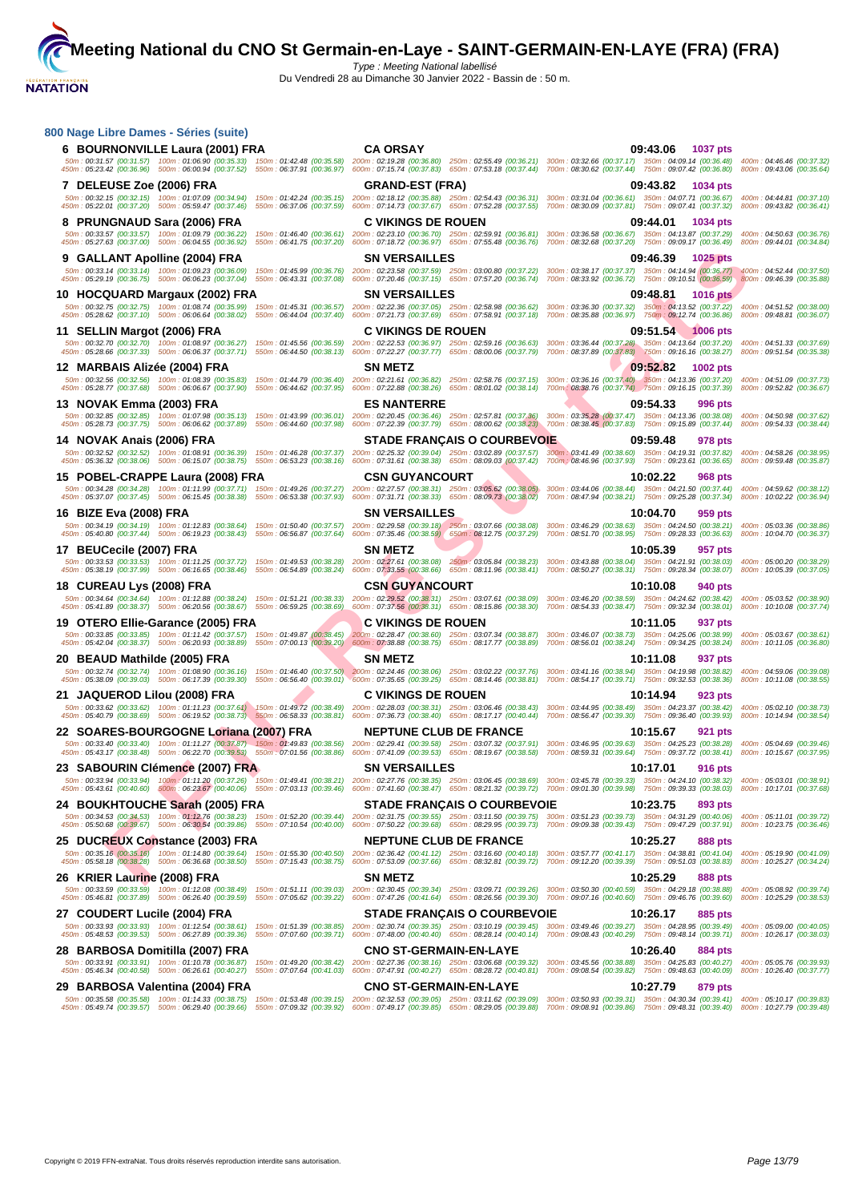| 800 Nage Libre Dames - Séries (suite)                                                                                                                                                                                                                                                                                                                                                                                                           |                                                                                                       |                                                                                                                                                                                                                    |                                                        |
|-------------------------------------------------------------------------------------------------------------------------------------------------------------------------------------------------------------------------------------------------------------------------------------------------------------------------------------------------------------------------------------------------------------------------------------------------|-------------------------------------------------------------------------------------------------------|--------------------------------------------------------------------------------------------------------------------------------------------------------------------------------------------------------------------|--------------------------------------------------------|
| 6 BOURNONVILLE Laura (2001) FRA<br>50m: 00:31.57 (00:31.57) 100m: 01:06.90 (00:35.33) 150m: 01:42.48 (00:35.58) 200m: 02:19.28 (00:36.80) 250m: 02:55.49 (00:36.21) 300m: 03:32.66 (00:37.17) 350m: 04:09.14 (00:36.48)                                                                                                                                                                                                                         | <b>CA ORSAY</b>                                                                                       | 09:43.06 1037 pts                                                                                                                                                                                                  | 400m: 04:46.46 (00:37.32)                              |
| 450m : 05:23.42 (00:36.96) 500m : 06:00.94 (00:37.52) 550m : 06:37.91 (00:36.97) 600m : 07:15.74 (00:37.83) 650m : 07:53.18 (00:37.44) 700m : 08:30.62 (00:37.44) 750m : 09:07.42 (00:36.80) 800m : 09:43.06 (00:35.64)                                                                                                                                                                                                                         |                                                                                                       |                                                                                                                                                                                                                    |                                                        |
| 7 DELEUSE Zoe (2006) FRA<br>50m; 00:32.15 (00:32.15) 100m; 01:07.09 (00:34.94) 150m; 01:42.24 (00:35.15) 200m; 02:18.12 (00:35.88) 250m; 02:54.43 (00:36.31)                                                                                                                                                                                                                                                                                    | <b>GRAND-EST (FRA)</b>                                                                                | 09:43.82<br>1034 pts<br>300m: 03:31.04 (00:36.61) 350m: 04:07.71 (00:36.67)                                                                                                                                        | 400m: 04:44.81 (00:37.10)                              |
| 450m : 05:22.01 (00:37.20) 500m : 05:59.47 (00:37.46) 550m : 06:37.06 (00:37.59) 600m : 07:14.73 (00:37.67) 650m : 07:52.28 (00:37.55)                                                                                                                                                                                                                                                                                                          |                                                                                                       | 700m: 08:30.09 (00:37.81) 750m: 09:07.41 (00:37.32) 800m: 09:43.82 (00:36.41)                                                                                                                                      |                                                        |
| 8 PRUNGNAUD Sara (2006) FRA<br>50m: 00:33.57 (00:33.57) 100m: 01:09.79 (00:36.22) 150m: 01:46.40 (00:36.61) 200m: 02:23.10 (00:36.70) 250m: 02:59.91 (00:36.81) 300m: 03:36.58 (00:36.58 (00:36.67) 350m: 04:13.87 (00:37.29) 400m: 04:50.63 (00:36.76)                                                                                                                                                                                         | <b>C VIKINGS DE ROUEN</b>                                                                             | 09:44.01<br><b>1034 pts</b>                                                                                                                                                                                        |                                                        |
| 450m: 05:27.63 (00:37.00) 500m: 06:04.55 (00:36.92) 550m: 06:41.75 (00:37.20) 600m: 07:18.72 (00:36.97) 650m: 07:55.48 (00:36.76) 700m: 08:32.68 (00:37.20) 750m: 09:09.17 (00:36.49) 800m: 09:44.01 (00:34.84)                                                                                                                                                                                                                                 |                                                                                                       |                                                                                                                                                                                                                    |                                                        |
| 9 GALLANT Apolline (2004) FRA<br>50m: 00:33.14 (00:33.14) 100m: 01:09.23 (00:36.09)                                                                                                                                                                                                                                                                                                                                                             | <b>SN VERSAILLES</b><br>150m: 01:45.99 (00:36.76) 200m: 02:23.58 (00:37.59) 250m: 03:00.80 (00:37.22) | 09:46.39<br>1025 pts<br>300m: 03:38.17 (00:37.37) 350m: 04:14.94 (00:36.77) 400m: 04:52.44 (00:37.50                                                                                                               |                                                        |
| 450m: 05:29.19 (00:36.75) 500m: 06:06.23 (00:37.04)<br>550m: 06:43.31 (00:37.08)<br>10 HOCQUARD Margaux (2002) FRA                                                                                                                                                                                                                                                                                                                              | 600m: 07:20.46 (00:37.15) 650m: 07:57.20 (00:36.74)<br><b>SN VERSAILLES</b>                           | 700m: 08:33.92 (00:36.72) 750m: 09:10.51 (00:36.59) 800m: 09:46.39 (00:35.88)<br>09:48.81<br><b>1016 pts</b>                                                                                                       |                                                        |
| 50m: 00:32.75 (00:32.75) 100m: 01:08.74 (00:35.99) 150m: 01:45.31 (00:36.57) 200m: 02:22.36 (00:37.05) 250m: 02:58.98 (00:36.62) 300m: 03:36.30 (00:37.32) 350m: 04:13.52 (00:37.22) 400m: 04:51.52 (00:37.35 (00:38.00)                                                                                                                                                                                                                        |                                                                                                       |                                                                                                                                                                                                                    |                                                        |
| 450m: 05:28.62 (00:37.10) 500m: 06:06.64 (00:38.02) 550m: 06:44.04 (00:37.40)<br>11 SELLIN Margot (2006) FRA                                                                                                                                                                                                                                                                                                                                    | <b>C VIKINGS DE ROUEN</b>                                                                             | 600m: 07:21.73 (00:37.69) 650m: 07:58.91 (00:37.18) 700m: 08:35.88 (00:36.97) 750m: 09:12.74 (00:36.86) 800m: 09:48.81 (00:36.07)<br>09:51.54<br><b>1006 pts</b>                                                   |                                                        |
| 50m: 00:32.70 (00:32.70) 100m: 01:08.97 (00:36.27) 150m: 01:45.56 (00:36.59) 200m: 02:22.53 (00:36.97) 250m: 02:59.16 (00:36.63) 300m: 03:36.44 (00:37.28) 350m: 04:13.64 (00:37.28) 400m: 04:13.64 (00:37.20) 400m: 04:51.33<br>450m: 05:28.66 (00:37.33) 500m: 06:06.37 (00:37.71) 550m: 06:44.50 (00:38.13) 600m: 07:22.27 (00:37.77) 650m: 08:00.06 (00:37.79) 700m: 08:37.89 (00:37.89 750m: 09:16.16 (00:38.27) 800m: 09:51.54 (00:33.38) |                                                                                                       |                                                                                                                                                                                                                    |                                                        |
| 12 MARBAIS Alizée (2004) FRA                                                                                                                                                                                                                                                                                                                                                                                                                    | <b>SN METZ</b>                                                                                        | 09:52.82<br><b>1002 pts</b>                                                                                                                                                                                        |                                                        |
| 50m: 00:32.56 (00:32.56) 100m: 01:08.39 (00:35.83) 150m: 01:44.79 (00:36.40) 200m: 02:21.61 (00:36.82) 250m: 02:58.76 (00:37.15) 300m; 03:36.16 (00:37.40) 350m: 04:13.36 (00:37.20) 400m: 04:51.09 (00:37.73)<br>450m : 05:28.77 (00:37.68) 500m : 06:06.67 (00:37.90) 550m : 06:44.62 (00:37.95) 600m : 07:22.88 (00:38.26) 650m : 08:01.02 (00:38.14) 700m 08:38.76 (00:37.74) 750m : 09:16.15 (00:37.39) 800m : 09:52.82 (00:36.67)         |                                                                                                       |                                                                                                                                                                                                                    |                                                        |
| 13 NOVAK Emma (2003) FRA                                                                                                                                                                                                                                                                                                                                                                                                                        | <b>ES NANTERRE</b>                                                                                    | 09:54.33<br><b>996 pts</b>                                                                                                                                                                                         |                                                        |
| 50m: 00:32.85 (00:32.85) 100m: 01:07.98 (00:35.13) 150m: 01:43.99 (00:36.01) 200m: 02:20.45 (00:36.46) 250m: 02:57.81 (00:37.36) 300m: 03:35.28 (00:37.47) 350m: 04:13.36 (00:38.08)<br>450m : 05:28.73 (00:37.75) 500m : 06:06.62 (00:37.89) 550m : 06:44.60 (00:37.98) 600m : 07:22.39 (00:37.79) 650m : 08:00.62 (00:38.23) 700m : 08:38.45 (00:37.83) 750m : 09:15.89 (00:37.44)                                                            |                                                                                                       |                                                                                                                                                                                                                    | 400m: 04:50.98 (00:37.62)<br>800m: 09:54.33 (00:38.44) |
| 14 NOVAK Anais (2006) FRA                                                                                                                                                                                                                                                                                                                                                                                                                       | <b>STADE FRANÇAIS O COURBEVOIE</b>                                                                    | 09:59.48<br>978 pts                                                                                                                                                                                                |                                                        |
| 50m: 00:32.52 (00:32.52) 100m: 01:08.91 (00:36.39) 150m: 01:46.28 (00:37.37) 200m: 02:25.32 (00:39.04) 250m: 03:02.89 (00:37.57) 300m: 03:41.49 (00:38.60) 350m: 04:19.31 (00:37.62)<br>450m : 05:36.32 (00:38.06) 500m : 06:15.07 (00:38.75) 550m : 06:53.23 (00:38.16) 600m : 07:31.61 (00:38.38) 650m : 08:09.03 (00:37.42) 700m : 08:46.96 (00:37.93) 750m : 09:23.61 (00:36.65)                                                            |                                                                                                       |                                                                                                                                                                                                                    | 400m: 04:58.26 (00:38.95)<br>800m: 09:59.48 (00:35.87) |
| 15 POBEL-CRAPPE Laura (2008) FRA                                                                                                                                                                                                                                                                                                                                                                                                                | <b>CSN GUYANCOURT</b>                                                                                 | 10:02.22<br>968 pts                                                                                                                                                                                                |                                                        |
| 50m: 00:34.28 (00:34.28) 100m: 01:11.99 (00:37.71) 150m: 01:49.26 (00:37.27) 200m: 02:27.57 (00:38.31) 250m: 03:05.62 (00:38.05) 300m: 03:44.06 (00:38.44) 350m: 04:21.50 (00:37.44)<br>450m: 05:37.07 (00:37.45) 500m: 06:15.45 (00:38.38) 550m: 06:53.38 (00:37.93)                                                                                                                                                                           | 600m: 07:31.71 (00:38.33) 650m: 08:09.73 (00:38.02)                                                   | 700m: 08:47.94 (00:38.21) 750m: 09:25.28 (00:37.34)                                                                                                                                                                | 400m: 04:59.62 (00:38.12)<br>800m: 10:02.22 (00:36.94) |
| 16 BIZE Eva (2008) FRA                                                                                                                                                                                                                                                                                                                                                                                                                          | <b>SN VERSAILLES</b>                                                                                  | 10:04.70<br>959 pts                                                                                                                                                                                                |                                                        |
| 50m : 00:34.19 (00:34.19) 100m : 01:12.83 (00:38.64) 150m : 01:50.40 (00:37.57) 200m : 02:29.58 (00:39.18) 250m : 03:07.66 (00:38.08) 300m : 03:46.29 (00:38.63) 350m : 04:24.50 (00:38.21) 400m : 05:03.36 (00:38.86)<br>450m: 05:40.80 (00:37.44) 500m: 06:19.23 (00:38.43) 550m: 06:56.87 (00:37.64) 600m: 07:35.46 (00:38.59) 650m: 08:12.75 (00:37.29) 700m: 08:51.70 (00:38.95) 750m: 09:28.33 (00:36.63) 800m: 10:04.70 (00:38.37)       |                                                                                                       |                                                                                                                                                                                                                    |                                                        |
| 17 BEUCecile (2007) FRA                                                                                                                                                                                                                                                                                                                                                                                                                         | <b>SN METZ</b>                                                                                        | 10:05.39<br>957 pts                                                                                                                                                                                                |                                                        |
| 50m: 00:33.53 (00:33.53) 100m: 01:11.25 (00:37.72) 150m: 01:49.53 (00:38.28)<br>450m: 05:38.19 (00:37.99) 500m: 06:16.65 (00:38.46) 550m: 06:54.89 (00:38.24)                                                                                                                                                                                                                                                                                   | 600m: 07:33.55 (00:38.66) 650m: 08:11.96 (00:38.41)                                                   | 200m: 02:27.61 (00:38.08) 250m: 03:05.84 (00:38.23) 300m: 03:43.88 (00:38.04) 350m: 04:21.91 (00:38.03) 400m: 05:00.20 (00:38.29)<br>700m: 08:50.27 (00:38.31) 750m: 09:28.34 (00:38.07) 800m: 10:05.39 (00:37.05) |                                                        |
| 18 CUREAU Lys (2008) FRA                                                                                                                                                                                                                                                                                                                                                                                                                        | <b>CSN GUYANCOURT</b>                                                                                 | 10:10.08<br>940 pts                                                                                                                                                                                                |                                                        |
| 50m: 00:34.64 (00:34.64) 100m: 01:12.88 (00:38.24) 150m: 01:51.21 (00:38.33) 200m: 02:29.52 (00:38.31) 250m: 03:07.61 (00:38.09) 300m: 03:46.20 (00:38.59) 350m: 04:24.62 (00:38.42) 400m: 05:03.52 (00:38.90)<br>450m: 05:41.89 (00:38.37) 500m: 06:20.56 (00:38.67) 550m: 06:59.25 (00:38.69)                                                                                                                                                 |                                                                                                       | 600m: 07:37.56 (00:38.31) 650m: 08:15.86 (00:38.30) 700m: 08:54.33 (00:38.47) 750m: 09:32.34 (00:38.01) 800m: 10:10.08 (00:37.74)                                                                                  |                                                        |
| 19 OTERO Ellie-Garance (2005) FRA<br>50m: 00:33.85 (00:33.85) 100m: 01:11.42 (00:37.57) 150m: 01:49.87 (00:38.45)                                                                                                                                                                                                                                                                                                                               | <b>C VIKINGS DE ROUEN</b><br>200m: 02:28.47 (00:38.60) 250m: 03:07.34 (00:38.87)                      | 10:11.05<br>937 pts<br>300m: 03:46.07 (00:38.73) 350m: 04:25.06 (00:38.99) 400m: 05:03.67 (00:38.61)                                                                                                               |                                                        |
| 450m: 05:42.04 (00:38.37) 500m: 06:20.93 (00:38.89) 550m: 07:00.13 (00:39.20)                                                                                                                                                                                                                                                                                                                                                                   | 600m: 07:38.88 (00:38.75) 650m: 08:17.77 (00:38.89)                                                   | 700m: 08:56.01 (00:38.24) 750m: 09:34.25 (00:38.24) 800m: 10:11.05 (00:36.80)                                                                                                                                      |                                                        |
| 20 BEAUD Mathilde (2005) FRA<br>50m: 00:32.74 (00:32.74) 100m: 01:08.90 (00:36.16) 150m: 01:46.40 (00:37.50) 200m: 02:24.46 (00:38.06) 250m: 03:02.22 (00:37.76)                                                                                                                                                                                                                                                                                | <b>SN METZ</b>                                                                                        | 10:11.08<br>937 pts<br>300m: 03:41.16 (00:38.94) 350m: 04:19.98 (00:38.82) 400m: 04:59.06 (00:39.08)                                                                                                               |                                                        |
| 450m : 05:38.09 (00:39.03) 500m : 06:17.39 (00:39.30) 550m : 06:56.40 (00:39.01) 600m : 07:35.65 (00:39.25) 650m : 08:14.46 (00:38.81) 700m : 08:54.17 (00:39.71) 750m : 09:32.53 (00:38.36)                                                                                                                                                                                                                                                    |                                                                                                       |                                                                                                                                                                                                                    | 800m: 10:11.08 (00:38.55)                              |
| 21   JAQUEROD Lilou (2008) FRA<br>50m: 00:33.62 (00:33.62) 100m: 01:11.23 (00:37.61) 150m: 01:49.72 (00:38.49) 200m: 02:28.03 (00:38.31) 250m: 03:06.46 (00:38.43)                                                                                                                                                                                                                                                                              | <b>C VIKINGS DE ROUEN</b>                                                                             | 10:14.94<br>923 pts<br>300m: 03:44.95 (00:38.49) 350m: 04:23.37 (00:38.42) 400m: 05:02.10 (00:38.73)                                                                                                               |                                                        |
| 450m: 05:40.79 (00:38.69) 500m: 06:19.52 (00:38.73) 550m: 06:58.33 (00:38.81)                                                                                                                                                                                                                                                                                                                                                                   | 600m: 07:36.73 (00:38.40) 650m: 08:17.17 (00:40.44)                                                   | 700m: 08:56.47 (00:39.30) 750m: 09:36.40 (00:39.93)                                                                                                                                                                | 800m: 10:14.94 (00:38.54)                              |
| 22 SOARES-BOURGOGNE Loriana (2007) FRA<br>50m: 00:33.40 (00:33.40) 100m: 01:11.27 (00:37.87) 150m: 01:49.83 (00:38.56) 200m: 02:29.41 (00:39.58) 250m: 03:07.32 (00:37.91) 300m: 03:46.95 (00:39.63) 350m: 04:25.23 (00:38.28) 400m: 05:04.69 (00:39.46)                                                                                                                                                                                        | <b>NEPTUNE CLUB DE FRANCE</b>                                                                         | 10:15.67<br>921 pts                                                                                                                                                                                                |                                                        |
| 450m : 05:43.17 (00:38.48) 500m : 06:22.70 (00:39.53) 550m : 07:01.56 (00:38.86) 600m : 07:41.09 (00:39.53) 650m : 08:19.67 (00:38.58) 700m : 08:59.31 (00:39.64) 750m : 09:37.72 (00:38.41) 800m : 01:567 (00:37.95)                                                                                                                                                                                                                           |                                                                                                       |                                                                                                                                                                                                                    |                                                        |
| 23 SABOURIN Clémence (2007) FRA<br>50m: 00:33.94 (00:33.94) 100m: 01:11/20 (00:37.26) 150m: 01:49.41 (00:38.21) 200m: 02:27.76 (00:38.35) 250m: 03:06.45 (00:38.69) 300m: 03:45.78 (00:39.33) 350m: 04:24.10 (00:38.32) 400m: 05:03.01 (00:38.91)                                                                                                                                                                                               | <b>SN VERSAILLES</b>                                                                                  | 10:17.01<br><b>916 pts</b>                                                                                                                                                                                         |                                                        |
| 450m : 05:43.61 (00:40.60) 500m : 06:23.67 (00:40.06) 550m : 07:03.13 (00:39.46) 600m : 07:41.60 (00:38.47) 650m : 08:21.32 (00:39.72) 700m : 09:01.30 (00:39.98) 750m : 09:03.33 (00:38.03) 800m : 10:17.01 (00:37.68)<br>24   BOUKHTOUCHE Sarah (2005) FRA                                                                                                                                                                                    | <b>STADE FRANCAIS O COURBEVOIE</b>                                                                    | 10:23.75<br>893 pts                                                                                                                                                                                                |                                                        |
| 50m: 00:34.53 (00:34.53) 100m: 01:12:76 (00:38.23) 150m: 01:52.20 (00:39.44) 200m: 02:31.75 (00:39.55) 250m: 03:11.50 (00:39.75) 300m: 03:51.23 (00:39.73) 350m: 04:31.29 (00:40.06) 400m: 05:11.01 (00:39.72)<br>450m: 05:50.68 (00:39.67) 500m: 06:30.54 (00:39.86) 550m: 07:10.54 (00:40.00)                                                                                                                                                 |                                                                                                       | 600m: 07:50.22 (00:39.68) 650m: 08:29.95 (00:39.73) 700m: 09:09.38 (00:39.43) 750m: 09:47.29 (00:37.91) 800m: 10:23.75 (00:36.46)                                                                                  |                                                        |
| 25 DUCREUX Constance (2003) FRA                                                                                                                                                                                                                                                                                                                                                                                                                 | <b>NEPTUNE CLUB DE FRANCE</b>                                                                         | 10:25.27<br>888 pts                                                                                                                                                                                                |                                                        |
| 50m: 00:35.16 (00:35.16) 100m: 01:14.80 (00:39.64) 150m: 01:55.30 (00:40.50) 200m: 02:36.42 (00:41.12) 250m: 03:16.60 (00:40.18) 300m: 03:57.77 (00:41.17) 350m: 04:38.81 (00:41.04) 400m: 05:519.90 (00:41.09)<br>450m: 05:58.18 (00:38.28) 500m: 06:36.68 (00:38.50) 550m: 07:15.43 (00:38.75) 600m: 07:53.09 (00:37.66) 650m: 08:32.81 (00:39.72) 700m: 09:12.20 (00:39.39) 750m: 09:51.03 (00:38.83) 800m: 10:25.27 (00:34.24)              |                                                                                                       |                                                                                                                                                                                                                    |                                                        |
| 26 KRIER Laurine (2008) FRA                                                                                                                                                                                                                                                                                                                                                                                                                     | <b>SN METZ</b>                                                                                        | 10:25.29<br>888 pts                                                                                                                                                                                                |                                                        |
| 50m: 00:33.59 (00:33.59) 100m: 01:12.08 (00:38.49) 150m: 01:51.11 (00:39.03) 200m: 02:30.45 (00:39.34) 250m: 03:09.71 (00:39.26) 300m: 03:50.30 (00:40.59) 350m: 04:29.18 (00:38.88) 400m: 05:08.92 (00:39.74)<br>450m: 05:46.81 (00:37.89) 500m: 06:26.40 (00:39.59) 550m: 07:05.62 (00:39.22)                                                                                                                                                 |                                                                                                       | 600m: 07:47.26 (00:41.64) 650m: 08:26.56 (00:39.30) 700m: 09:07.16 (00:40.60) 750m: 09:46.76 (00:39.60)                                                                                                            | 800m: 10:25.29 (00:38.53)                              |
| 27 COUDERT Lucile (2004) FRA                                                                                                                                                                                                                                                                                                                                                                                                                    | <b>STADE FRANÇAIS O COURBEVOIE</b>                                                                    | 10:26.17<br>885 pts                                                                                                                                                                                                |                                                        |
| 50m: 00:33.93 (00:33.93) 100m: 01:12.54 (00:38.61) 150m: 01:51.39 (00:38.85) 200m: 02:30.74 (00:39.35) 250m: 03:10.19 (00:39.45) 300m: 03:49.46 (00:39.27) 350m: 04:28.95 (00:39.49) 400m: 05:09.00 (00:40.05)<br>450m: 05:48.53 (00:39.53) 500m: 06:27.89 (00:39.36) 550m: 07:07.60 (00:39.71)                                                                                                                                                 |                                                                                                       | 600m: 07:48.00 (00:40.40) 650m: 08:28.14 (00:40.14) 700m: 09:08.43 (00:40.29) 750m: 09:48.14 (00:39.71) 800m: 10:26.17 (00:38.03)                                                                                  |                                                        |
| 28 BARBOSA Domitilla (2007) FRA                                                                                                                                                                                                                                                                                                                                                                                                                 | <b>CNO ST-GERMAIN-EN-LAYE</b>                                                                         | 10:26.40<br>884 pts                                                                                                                                                                                                |                                                        |
| 50m: 00:33.91 (00:33.91) 100m: 01:10.78 (00:36.87) 150m: 01:49.20 (00:38.42) 200m: 02:27.36 (00:38.16) 250m: 03:06.68 (00:39.32) 300m: 03:45.56 (00:38.88) 350m: 04:25.83 (00:40.27) 400m: 05:05.76 (00:39.93)<br>450m: 05:46.34 (00:40.58) 500m: 06:26.61 (00:40.27) 550m: 07:07.64 (00:41.03) 600m: 07:47.91 (00:40.27) 650m: 08:28.72 (00:40.81) 700m: 09:08.54 (00:39.82) 750m: 09:48.63 (00:40.09) 800m: 10:26.40 (00:37.77)               |                                                                                                       |                                                                                                                                                                                                                    |                                                        |
| 29 BARBOSA Valentina (2004) FRA                                                                                                                                                                                                                                                                                                                                                                                                                 | <b>CNO ST-GERMAIN-EN-LAYE</b>                                                                         | 10:27.79<br>879 pts                                                                                                                                                                                                |                                                        |
| 50m: 00:35.58 (00:35.58) 100m: 01:14.33 (00:38.75) 150m: 01:53.48 (00:39.15) 200m: 02:32.53 (00:39.05) 250m: 03:11.62 (00:39.09) 300m: 03:50.93 (00:39.31) 350m: 04:30.34 (00:39.41) 400m: 05:10.17 (00:39.83)<br>450m: 05:49.74 (00:39.57) 500m: 06:29.40 (00:39.66) 550m: 07:09.32 (00:39.82) 600m: 07:49.17 (00:39.85) 650m: 08:29.05 (00:39.88) 700m: 09:08.91 (00:39.86) 750m: 09:48.31 (00:39.40) 800m: 10:27.79 (00:39.48)               |                                                                                                       |                                                                                                                                                                                                                    |                                                        |
|                                                                                                                                                                                                                                                                                                                                                                                                                                                 |                                                                                                       |                                                                                                                                                                                                                    |                                                        |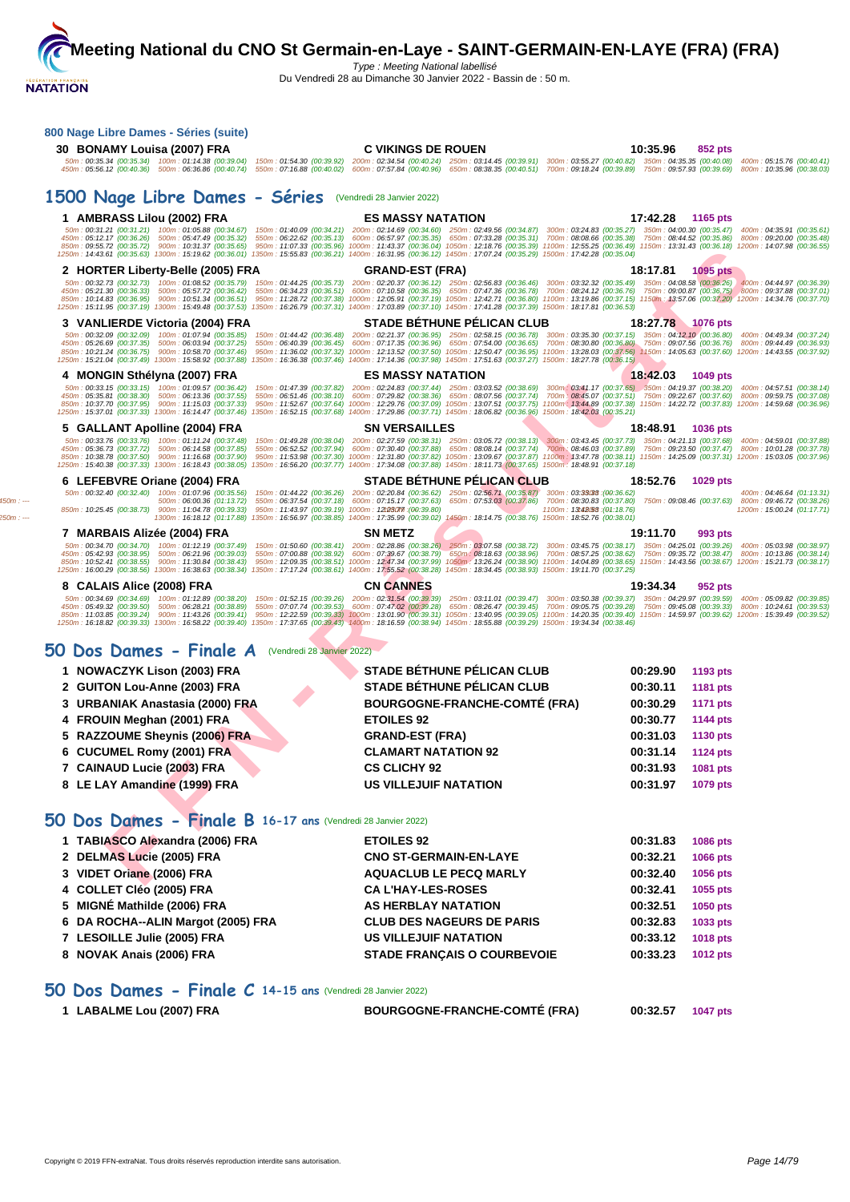

Du Vendredi 28 au Dimanche 30 Janvier 2022 - Bassin de : 50 m.

| 800 Nage Libre Dames - Séries (suite)<br>30 BONAMY Louisa (2007) FRA                                                                                                                        | <b>C VIKINGS DE ROUEN</b><br>50m: 00:35.34 (00:35.34) 100m: 01:14.38 (00:39.04) 150m: 01:54.30 (00:39.92) 200m: 02:34.54 (00:40.24) 250m: 03:14.45 (00:39.91) 300m: 03:55.27 (00:40.82) 350m: 04:35.35 (00:40.08) 400m: 05:15.76 (00:40.41)<br>450m : 05:56.12 (00:40.36) 500m : 06:36.86 (00:40.74) 550m : 07:16.88 (00:40.02) 600m : 07:57.84 (00:40.96) 650m : 08:38.35 (00:40.51) 700m : 09:18.24 (00:39.89) 750m : 09:57.93 (00:39.69) 800m : 10:35.96 (00:38.03)                                                                                                                                                                                                                                                                                                                                                                                       | 10:35.96<br>852 pts                       |                                                         |
|---------------------------------------------------------------------------------------------------------------------------------------------------------------------------------------------|--------------------------------------------------------------------------------------------------------------------------------------------------------------------------------------------------------------------------------------------------------------------------------------------------------------------------------------------------------------------------------------------------------------------------------------------------------------------------------------------------------------------------------------------------------------------------------------------------------------------------------------------------------------------------------------------------------------------------------------------------------------------------------------------------------------------------------------------------------------|-------------------------------------------|---------------------------------------------------------|
| 1500 Nage Libre Dames - Séries (Vendredi 28 Janvier 2022)                                                                                                                                   |                                                                                                                                                                                                                                                                                                                                                                                                                                                                                                                                                                                                                                                                                                                                                                                                                                                              |                                           |                                                         |
| 1 AMBRASS Lilou (2002) FRA                                                                                                                                                                  | <b>ES MASSY NATATION</b>                                                                                                                                                                                                                                                                                                                                                                                                                                                                                                                                                                                                                                                                                                                                                                                                                                     | 17:42.28 1165 pts                         |                                                         |
|                                                                                                                                                                                             | 50m: 00:31.21 (00:31.21) 100m: 01:05.88 (00:34.67) 150m: 01:40.09 (00:34.21) 200m: 02:14.69 (00:34.60) 250m: 02:49.56 (00:34.87) 300m: 03:24.83 (00:35.27) 350m: 04:00.30 (00:35.47) 400m: 04:35.91 (00:35.61)<br>450m : 05:12.17 (00:36.26) 500m : 05:47.49 (00:35.32) 550m : 06:22.62 (00:35.13) 600m : 06:57.97 (00:35.35) 650m : 07:33.28 (00:35.31) 700m : 08:08.66 (00:35.38) 750m : 08:44.52 (00:35.86) 800m : 09:20.00 (00:35.48)<br>850m : 09:55.72 (00:35.72) 900m : 10:31.37 (00:35.65) 950m : 11:07.33 (00:35.96) 1000m : 11:43.37 (00:36.04) 1050m : 12:18.76 (00:35.39) 1100m : 12:55.25 (00:36.49) 1150m : 13:31.43 (00:36.18) 1200m : 14:07.98 (00:36.55)<br>1250m : 14:43.61 (00:35.63) 1300m : 15:19.62 (00:36.01) 1350m : 15:55.83 (00:36.21) 1400m : 16:31.95 (00:36.12) 1450m : 17:07.24 (00:35.29) 1500m : 17:42.28 (00:35.04)         |                                           |                                                         |
| 2 HORTER Liberty-Belle (2005) FRA                                                                                                                                                           | <b>GRAND-EST (FRA)</b>                                                                                                                                                                                                                                                                                                                                                                                                                                                                                                                                                                                                                                                                                                                                                                                                                                       | 18:17.81<br><b>1095 pts</b>               |                                                         |
|                                                                                                                                                                                             | 50m : 00:32.73 (00:32.73) 100m : 01:08.52 (00:35.79) 150m : 01:44.25 (00:35.73) 200m : 02:20.37 (00:36.12) 250m : 02:56.83 (00:36.46) 300m : 03:32.32 (00:35.49) 350m : 04:08.58 (00:36.26) 400m : 04:44.97 (00:36.39)<br>450m : 05:21.30 (00:36.33) 500m : 05:57.72 (00:36.42) 550m : 06:34.23 (00:36.51) 600m : 07:10.58 (00:36.35) 650m : 07:47.36 (00:36.78) 700m : 08:24.12 (00:36.76) 750m : 09:00.87 (00:36.75) 800m : 09:37.88 (00:37.01)<br>850m : 10:14.83 (00:36.95) 900m : 10:51.34 (00:36.51) 950m : 11:28.72 (00:37.38) 1000m : 12:05.91 (00:37.19) 1050m : 12:42.71 (00:36.80) 1100m : 13:19.86 (00:37.15) 1150m : 13:37.06 (00:37.20) 1200m : 14:34.76 (00:37.70)<br>1250m : 15:11.95 (00:37.19) 1300m : 15:49.48 (00:37.53) 1350m : 16:26.79 (00:37.31) 1400m : 17:03.89 (00:37.10) 1450m : 17:41.28 (00:37.39) 1500m : 18:17.81 (00:36.53) |                                           |                                                         |
| 3 VANLIERDE Victoria (2004) FRA                                                                                                                                                             | <b>STADE BETHUNE PELICAN CLUB</b>                                                                                                                                                                                                                                                                                                                                                                                                                                                                                                                                                                                                                                                                                                                                                                                                                            | 18:27.78 1076 pts                         |                                                         |
| 450m: 05:26.69 (00:37.35) 500m: 06:03.94 (00:37.25)                                                                                                                                         | 50m: 00:32.09 (00:32.09) 100m: 01:07.94 (00:35.85) 150m: 01:44.42 (00:36.48) 200m: 02:21.37 (00:36.95) 250m: 02:58.15 (00:36.78) 300m: 03:35.30 (00:37.15) 350m: 04:12.10 (00:36.80) 400m: 04:49.34 (00:37.24)<br>550m : 06:40.39 (00:36.45) 600m : 07:17.35 (00:36.96) 650m : 07:54.00 (00:36.65) 700m : 08:30.80 (00:36.80) 750m : 09:07.56 (00:36.76) 800m : 09:44.49 (00:36.93)<br>850m: 10:21.24 (00:36.75) 900m: 10:58.70 (00:37.46) 950m: 11:36.02 (00:37.32) 1000m: 12:13.52 (00:37.50) 1050m: 12:50.47 (00:36.95) 1100m: 13:28.03 (00:37.56) 1150m: 14:05.63 (00:37.50) 1200m: 14:43.55 (00:37.92)<br>1250m : 15:21.04 (00:37.49) 1300m : 15:58.92 (00:37.88) 1350m : 16:36.38 (00:37.46) 1400m : 17:14.36 (00:37.98) 1450m : 17:51.63 (00:37.27) 1500m : 18:27.78 (00:36.15)                                                                       |                                           |                                                         |
| 4 MONGIN Sthélyna (2007) FRA                                                                                                                                                                | <b>ES MASSY NATATION</b>                                                                                                                                                                                                                                                                                                                                                                                                                                                                                                                                                                                                                                                                                                                                                                                                                                     | 18:42.03 1049 pts                         |                                                         |
| 450m: 05:35.81 (00:38.30) 500m: 06:13.36 (00:37.55)<br>850m: 10:37.70 (00:37.95) 900m: 11:15.03 (00:37.33)                                                                                  | 50m: 00:33.15 (00:33.15) 100m: 01:09.57 (00:36.42) 150m: 01:47.39 (00:37.82) 200m: 02:24.83 (00:37.44) 250m: 03:03.52 (00:38.69) 300m: 03:41.17 (00:37.65) 350m: 04:19.37 (00:38.20) 400m: 04:57.51 (00:38.14)<br>550m: 06:51.46 (00:38.10) 600m: 07:29.82 (00:38.36) 650m: 08:07.56 (00:37.74) 700m: 08:45.07 (00:37.51) 750m: 09:22.67 (00:37.60) 800m: 09:59.75 (00:37.08)<br>950m: 11:52.67 (00:37.64) 1000m: 12:29.76 (00:37.09) 1050m: 13:07.51 (00:37.75) 1100m: 13:44.89 (00:37.38) 1150m: 14:22.72 (00:37.83) 1200m: 14:59.68 (00:36.96)<br>1250m:15:37.01 (00:37.33) 1300m:16:14.47 (00:37.46) 1350m:16:52.15 (00:37.68) 1400m:17:29.86 (00:37.71) 1450m:18:06.82 (00:36.96) 1500m:18:42.03 (00:35.21)                                                                                                                                             |                                           |                                                         |
| 5 GALLANT Apolline (2004) FRA                                                                                                                                                               | <b>SN VERSAILLES</b>                                                                                                                                                                                                                                                                                                                                                                                                                                                                                                                                                                                                                                                                                                                                                                                                                                         | 18:48.91<br>1036 pts                      |                                                         |
| 50m: 00:33.76 (00:33.76) 100m: 01:11.24 (00:37.48)<br>450m: 05:36.73 (00:37.72) 500m: 06:14.58 (00:37.85)<br>850m: 10:38.78 (00:37.50) 900m: 11:16.68 (00:37.90)                            | 150m: 01:49.28 (00:38.04) 200m: 02:27.59 (00:38.31) 250m: 03:05.72 (00:38.13) 300m: 03:43.45 (00:37.73) 350m: 04:21.13 (00:37.68) 400m: 04:59.01 (00:37.88)<br>550m: 06:52.52 (00:37.94) 600m: 07:30.40 (00:37.88) 650m: 08:08.14 (00:37.74) 700m: 08:46.03 (00:37.89) 750m: 09:23.50 (00:37.47) 800m: 10:01.28 (00:37.78)<br>950m: 11:53.98 (00:37.30) 1000m: 12:31.80 (00:37.82) 1050m: 13:09.67 (00:37.87) 1100m: 13:47.78 (00:38.11) 1150m: 14:25.09 (00:37.31) 1200m: 15:03.05 (00:37.96)<br>1250m : 15:40.38 (00:37.33) 1300m : 16:18.43 (00:38.05) 1350m : 16:56.20 (00:37.77) 1400m : 17:34.08 (00:37.88) 1450m : 18:11.73 (00:37.65) 1500m : 18:48.91 (00:37.18)                                                                                                                                                                                    |                                           |                                                         |
| 6 LEFEBVRE Oriane (2004) FRA                                                                                                                                                                | <b>STADE BETHUNE PELICAN CLUB</b>                                                                                                                                                                                                                                                                                                                                                                                                                                                                                                                                                                                                                                                                                                                                                                                                                            | 18:52.76 1029 pts                         |                                                         |
| 50m: 00:32.40 (00:32.40) 100m: 01:07.96 (00:35.56)<br>500m: 06:00.36 (01:13.72)<br>850m: 10:25.45 (00:38.73) 900m: 11:04.78 (00:39.33) 950m: 11:43.97 (00:39.19) 1000m: 12f280f7 (00:39.80) | 150m: 01:44.22 (00:36.26) 200m: 02:20.84 (00:36.62) 250m: 02:56.71 (00:35.87) 300m: 03:33038 (00:36.62)<br>550m : 06:37.54 (00:37.18) 600m : 07:15.17 (00:37.63) 650m : 07:53.03 (00:37.86) 700m : 08:30.83 (00:37.80) 750m : 09:08.46 (00:37.63) 800m : 09:46.72 (00:38.26)<br>1100m: 13t4258: (01:18.76)<br>1300m: 16:18.12 (01:17.88) 1350m: 16:56.97 (00:38.85) 1400m: 17:35.99 (00:39.02) 1450m: 18:14.75 (00:38.76) 1500m: 18:52.76 (00:38.01)                                                                                                                                                                                                                                                                                                                                                                                                         |                                           | 400m: 04:46.64 (01:13.31)<br>1200m: 15:00.24 (01:17.71) |
| 7 MARBAIS Alizée (2004) FRA                                                                                                                                                                 | <b>SN METZ</b>                                                                                                                                                                                                                                                                                                                                                                                                                                                                                                                                                                                                                                                                                                                                                                                                                                               | 19:11.70<br>993 pts                       |                                                         |
|                                                                                                                                                                                             | 50m: 00:34.70 (00:34.70) 100m: 01:12.19 (00:37.49) 150m: 01:50.60 (00:38.41) 200m: 02:28.86 (00:38.26) 250m: 03:07.58 (00:38.72) 300m: 03:45.75 (00:38.17) 350m: 04:25.01 (00:39.26) 400m: 05:03.98 (00:38.97)<br>450m : 05:42.93 (00:38.95) 500m : 06:21.96 (00:39.03) 550m : 07:00.88 (00:38.92) 600m : 07:39.67 (00:38.79) 650m : 08:18.63 (00:38.96) 700m : 08:57.25 (00:38.62) 750m : 09:35.72 (00:38.47) 800m : 10:13.86 (00:38.14)<br>850m: 10:52.41 (00:38.55) 900m: 11:30.84 (00:38.43) 950m: 12:09.35 (00:38.51) 1000m: 12:47.34 (00:37.99) 1050m: 13:26.24 (00:38.90) 1100m: 14:04.89 (00:38.65) 1150m: 14:43.56 (00:38.67) 1200m: 15:21.73 (00:38.17)<br>1250m: 16:00.29 (00:38.56) 1300m: 16:38.63 (00:38.34) 1350m: 17:17.24 (00:38.61) 1400m: 17:55.52 (00:38.28) 1450m: 18:34.45 (00:38.93) 1500m: 19:11.70 (00:37.25)                       |                                           |                                                         |
| 8 CALAIS Alice (2008) FRA                                                                                                                                                                   | <b>CN CANNES</b><br>50m: 00:34.69 (00:34.69) 100m: 01:12.89 (00:38.20) 150m: 01:52.15 (00:39.26) 200m: 02:31.54 (00:39.39) 250m: 03:11.01 (00:39.47) 300m: 03:50.38 (00:39.37) 350m: 04:29.97 (00:39.59) 400m: 05:09.82 (00:39.85)<br>450m : 05:49.32 (00:39.50) 500m : 06:28.21 (00:38.89) 550m : 07:07.74 (00:39.53) 600m : 07:47.02 (00:39.28) 650m : 08:26.47 (00:39.45) 700m : 09:05.75 (00:39.28) 750m : 09:45.08 (00:39.33) 800m : 10:24.61 (00:39.53)<br>850m: 11:03.85 (00:39.24) 900m: 11:43.26 (00:39.41) 950m: 12:22.59 (00:39.33) 1000m: 13:01.90 (00:39.31) 1050m: 13:40.95 (00:39.05) 1100m: 14:20.35 (00:39.40) 1150m: 14:59.97 (00:39.62) 1200m: 15:39.49 (00:39.52)<br>1250m: 16:18.82 (00:39.33) 1300m: 16:58.22 (00:39.40) 1350m: 17:37.65 (00:39.43) 1400m: 18:16.59 (00:38.94) 1450m: 18:55.88 (00:39.29) 1500m: 19:34.34 (00:38.46)   | 19:34.34<br>952 pts                       |                                                         |
| 50 Dos Dames - Finale A (Vendredi 28 Janvier 2022)                                                                                                                                          |                                                                                                                                                                                                                                                                                                                                                                                                                                                                                                                                                                                                                                                                                                                                                                                                                                                              |                                           |                                                         |
| 1 NOWACZYK Lison (2003) FRA                                                                                                                                                                 | <b>STADE BÉTHUNE PÉLICAN CLUB</b>                                                                                                                                                                                                                                                                                                                                                                                                                                                                                                                                                                                                                                                                                                                                                                                                                            | 00:29.90<br>1193 pts                      |                                                         |
| 2 GUITON Lou-Anne (2003) FRA                                                                                                                                                                | STADE BÉTHUNE PÉLICAN CLUB                                                                                                                                                                                                                                                                                                                                                                                                                                                                                                                                                                                                                                                                                                                                                                                                                                   | 00:30.11<br>1181 pts                      |                                                         |
| 3 URBANIAK Anastasia (2000) FRA                                                                                                                                                             | <b>BOURGOGNE-FRANCHE-COMTÉ (FRA)</b>                                                                                                                                                                                                                                                                                                                                                                                                                                                                                                                                                                                                                                                                                                                                                                                                                         | 00:30.29<br><b>1171 pts</b>               |                                                         |
| 4 FROUIN Meghan (2001) FRA                                                                                                                                                                  | <b>ETOILES 92</b>                                                                                                                                                                                                                                                                                                                                                                                                                                                                                                                                                                                                                                                                                                                                                                                                                                            | 00:30.77<br><b>1144 pts</b>               |                                                         |
| 5 RAZZOUME Sheynis (2006) FRA<br>6 CUCUMEL Romy (2001) FRA                                                                                                                                  | <b>GRAND-EST (FRA)</b><br><b>CLAMART NATATION 92</b>                                                                                                                                                                                                                                                                                                                                                                                                                                                                                                                                                                                                                                                                                                                                                                                                         | 00:31.03<br>1130 pts<br>00:31.14 1124 pts |                                                         |
| 7 CAINAUD Lucie (2003) FRA                                                                                                                                                                  | <b>CS CLICHY 92</b>                                                                                                                                                                                                                                                                                                                                                                                                                                                                                                                                                                                                                                                                                                                                                                                                                                          | 00:31.93<br>1081 pts                      |                                                         |
| 8 LE LAY Amandine (1999) FRA                                                                                                                                                                | <b>US VILLEJUIF NATATION</b>                                                                                                                                                                                                                                                                                                                                                                                                                                                                                                                                                                                                                                                                                                                                                                                                                                 | 00:31.97<br>1079 pts                      |                                                         |
| 50 Dos Dames - Finale B 16-17 ans (Vendredi 28 Janvier 2022)                                                                                                                                |                                                                                                                                                                                                                                                                                                                                                                                                                                                                                                                                                                                                                                                                                                                                                                                                                                                              |                                           |                                                         |
| 1 TABIASCO Alexandra (2006) FRA                                                                                                                                                             | <b>ETOILES 92</b>                                                                                                                                                                                                                                                                                                                                                                                                                                                                                                                                                                                                                                                                                                                                                                                                                                            | 00:31.83<br>1086 pts                      |                                                         |
| 2 DELMAS Lucie (2005) FRA                                                                                                                                                                   | <b>CNO ST-GERMAIN-EN-LAYE</b>                                                                                                                                                                                                                                                                                                                                                                                                                                                                                                                                                                                                                                                                                                                                                                                                                                | 00:32.21<br>1066 pts                      |                                                         |
| 3 VIDET Oriane (2006) FRA                                                                                                                                                                   | <b>AQUACLUB LE PECQ MARLY</b>                                                                                                                                                                                                                                                                                                                                                                                                                                                                                                                                                                                                                                                                                                                                                                                                                                | 00:32.40<br>1056 pts                      |                                                         |
| 4 COLLET Cléo (2005) FRA                                                                                                                                                                    | <b>CA L'HAY-LES-ROSES</b>                                                                                                                                                                                                                                                                                                                                                                                                                                                                                                                                                                                                                                                                                                                                                                                                                                    | 00:32.41<br>1055 pts                      |                                                         |
| 5 MIGNÉ Mathilde (2006) FRA                                                                                                                                                                 | <b>AS HERBLAY NATATION</b>                                                                                                                                                                                                                                                                                                                                                                                                                                                                                                                                                                                                                                                                                                                                                                                                                                   | 00:32.51<br>1050 pts                      |                                                         |
| 6 DA ROCHA--ALIN Margot (2005) FRA                                                                                                                                                          | <b>CLUB DES NAGEURS DE PARIS</b>                                                                                                                                                                                                                                                                                                                                                                                                                                                                                                                                                                                                                                                                                                                                                                                                                             | 00:32.83<br>1033 pts                      |                                                         |
| 7 LESOILLE Julie (2005) FRA                                                                                                                                                                 | <b>US VILLEJUIF NATATION</b>                                                                                                                                                                                                                                                                                                                                                                                                                                                                                                                                                                                                                                                                                                                                                                                                                                 | 00:33.12<br><b>1018 pts</b>               |                                                         |
| 8 NOVAK Anais (2006) FRA                                                                                                                                                                    | <b>STADE FRANÇAIS O COURBEVOIE</b>                                                                                                                                                                                                                                                                                                                                                                                                                                                                                                                                                                                                                                                                                                                                                                                                                           | 00:33.23<br><b>1012 pts</b>               |                                                         |

## **50 Dos Dames - Finale C 14-15 ans** (Vendredi 28 Janvier 2022)

**1 LABALME Lou (2007) FRA BOURGOGNE-FRANCHE-COMTÉ (FRA) 00:32.57 1047 pts**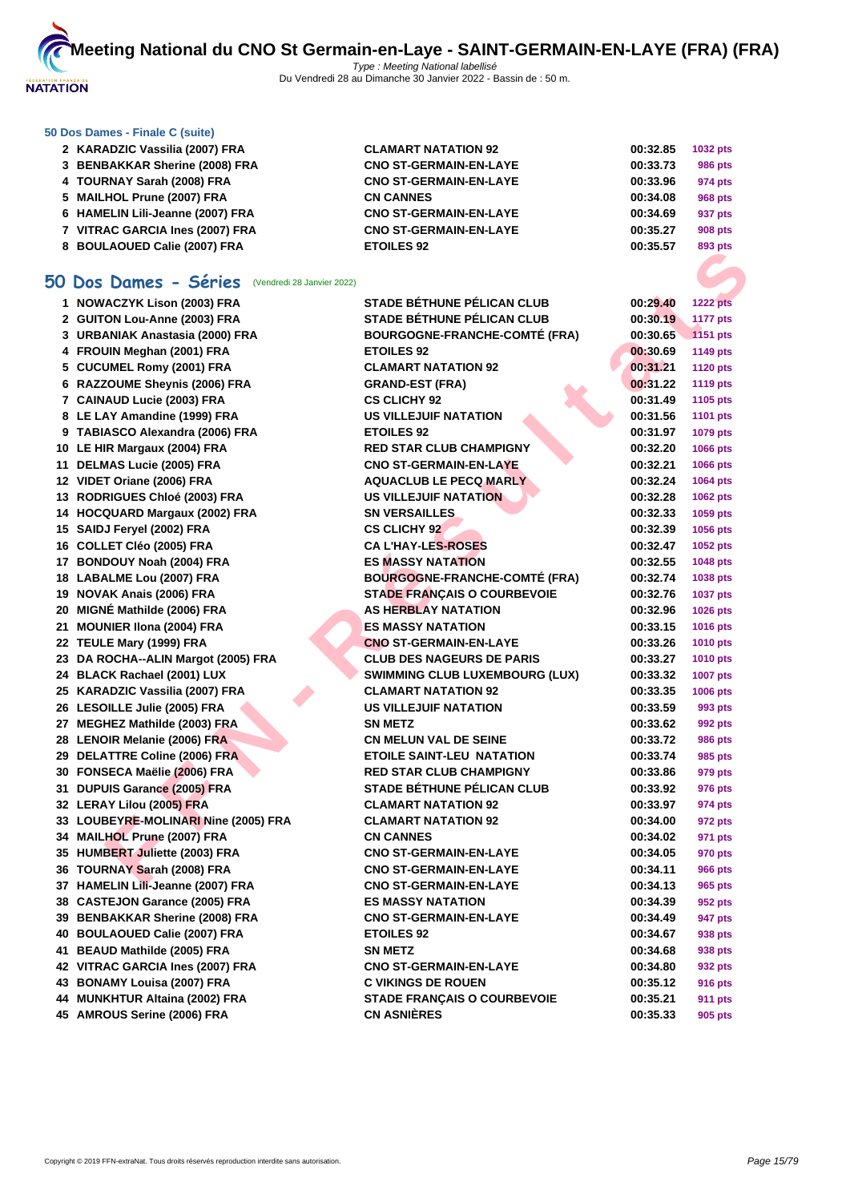

### **[50 Dos D](http://www.ffnatation.fr/webffn/index.php)ames - Finale C (suite)**

| 2 KARADZIC Vassilia (2007) FRA   | <b>CLAMART NATATION 92</b>    | 00:32.85 | 1032 pts       |
|----------------------------------|-------------------------------|----------|----------------|
| 3 BENBAKKAR Sherine (2008) FRA   | <b>CNO ST-GERMAIN-EN-LAYE</b> | 00:33.73 | <b>986 pts</b> |
| 4 TOURNAY Sarah (2008) FRA       | <b>CNO ST-GERMAIN-EN-LAYE</b> | 00:33.96 | 974 pts        |
| 5 MAILHOL Prune (2007) FRA       | <b>CN CANNES</b>              | 00:34.08 | 968 pts        |
| 6 HAMELIN Lili-Jeanne (2007) FRA | <b>CNO ST-GERMAIN-EN-LAYE</b> | 00:34.69 | 937 pts        |
| 7 VITRAC GARCIA Ines (2007) FRA  | <b>CNO ST-GERMAIN-EN-LAYE</b> | 00:35.27 | <b>908 pts</b> |
| 8 BOULAOUED Calie (2007) FRA     | <b>ETOILES 92</b>             | 00:35.57 | 893 pts        |

## **50 Dos Dames - Séries** (Vendredi 28 Janvier 2022)

| <b>0 BOOLAOOLD Calle (2007)</b> TKA                     |                                       |                      | oaa hra                            |
|---------------------------------------------------------|---------------------------------------|----------------------|------------------------------------|
| <b>iO Dos Dames - Séries</b> (Vendredi 28 Janvier 2022) |                                       |                      |                                    |
| 1 NOWACZYK Lison (2003) FRA                             | <b>STADE BÉTHUNE PÉLICAN CLUB</b>     |                      |                                    |
| 2 GUITON Lou-Anne (2003) FRA                            | STADE BÉTHUNE PÉLICAN CLUB            | 00:29.40<br>00:30.19 | <b>1222 pts</b><br><b>1177 pts</b> |
| 3 URBANIAK Anastasia (2000) FRA                         | <b>BOURGOGNE-FRANCHE-COMTÉ (FRA)</b>  | 00:30.65             | 1151 pts                           |
| 4 FROUIN Meghan (2001) FRA                              | <b>ETOILES 92</b>                     | 00:30.69             | <b>1149 pts</b>                    |
| 5 CUCUMEL Romy (2001) FRA                               | <b>CLAMART NATATION 92</b>            | 00:31.21             | <b>1120 pts</b>                    |
| 6 RAZZOUME Sheynis (2006) FRA                           | <b>GRAND-EST (FRA)</b>                | 00:31.22             | <b>1119 pts</b>                    |
| 7 CAINAUD Lucie (2003) FRA                              | <b>CS CLICHY 92</b>                   | 00:31.49             | 1105 pts                           |
| 8 LE LAY Amandine (1999) FRA                            | <b>US VILLEJUIF NATATION</b>          | 00:31.56             | <b>1101 pts</b>                    |
| 9 TABIASCO Alexandra (2006) FRA                         | <b>ETOILES 92</b>                     | 00:31.97             | 1079 pts                           |
| 10 LE HIR Margaux (2004) FRA                            | <b>RED STAR CLUB CHAMPIGNY</b>        | 00:32.20             | 1066 pts                           |
| 11 DELMAS Lucie (2005) FRA                              | <b>CNO ST-GERMAIN-EN-LAYE</b>         | 00:32.21             | 1066 pts                           |
| 12 VIDET Oriane (2006) FRA                              | <b>AQUACLUB LE PECQ MARLY</b>         | 00:32.24             | 1064 pts                           |
| 13 RODRIGUES Chloé (2003) FRA                           | <b>US VILLEJUIF NATATION</b>          | 00:32.28             | 1062 pts                           |
| 14 HOCQUARD Margaux (2002) FRA                          | <b>SN VERSAILLES</b>                  | 00:32.33             | 1059 pts                           |
| 15 SAIDJ Feryel (2002) FRA                              | <b>CS CLICHY 92</b>                   | 00:32.39             | 1056 pts                           |
| 16 COLLET Cléo (2005) FRA                               | <b>CA L'HAY-LES-ROSES</b>             | 00:32.47             | 1052 pts                           |
| 17 BONDOUY Noah (2004) FRA                              | <b>ES MASSY NATATION</b>              | 00:32.55             | 1048 pts                           |
| 18 LABALME Lou (2007) FRA                               | <b>BOURGOGNE-FRANCHE-COMTÉ (FRA)</b>  | 00:32.74             | 1038 pts                           |
| 19 NOVAK Anais (2006) FRA                               | <b>STADE FRANÇAIS O COURBEVOIE</b>    | 00:32.76             | <b>1037 pts</b>                    |
| 20 MIGNÉ Mathilde (2006) FRA                            | <b>AS HERBLAY NATATION</b>            | 00:32.96             | 1026 pts                           |
| 21 MOUNIER IIona (2004) FRA                             | <b>ES MASSY NATATION</b>              | 00:33.15             | <b>1016 pts</b>                    |
| 22 TEULE Mary (1999) FRA                                | <b>CNO ST-GERMAIN-EN-LAYE</b>         | 00:33.26             | <b>1010 pts</b>                    |
| 23 DA ROCHA--ALIN Margot (2005) FRA                     | <b>CLUB DES NAGEURS DE PARIS</b>      | 00:33.27             | <b>1010 pts</b>                    |
| 24 BLACK Rachael (2001) LUX                             | <b>SWIMMING CLUB LUXEMBOURG (LUX)</b> | 00:33.32             | <b>1007 pts</b>                    |
| 25 KARADZIC Vassilia (2007) FRA                         | <b>CLAMART NATATION 92</b>            | 00:33.35             | 1006 pts                           |
| 26 LESOILLE Julie (2005) FRA                            | <b>US VILLEJUIF NATATION</b>          | 00:33.59             | 993 pts                            |
| 27 MEGHEZ Mathilde (2003) FRA                           | <b>SN METZ</b>                        | 00:33.62             | 992 pts                            |
| 28 LENOIR Melanie (2006) FRA                            | <b>CN MELUN VAL DE SEINE</b>          | 00:33.72             | <b>986 pts</b>                     |
| 29 DELATTRE Coline (2006) FRA                           | <b>ETOILE SAINT-LEU NATATION</b>      | 00:33.74             | 985 pts                            |
| 30 FONSECA Maëlie (2006) FRA                            | <b>RED STAR CLUB CHAMPIGNY</b>        | 00:33.86             | 979 pts                            |
| 31 DUPUIS Garance (2005) FRA                            | STADE BÉTHUNE PÉLICAN CLUB            | 00:33.92             | 976 pts                            |
| 32 LERAY Lilou (2005) FRA                               | <b>CLAMART NATATION 92</b>            | 00:33.97             | 974 pts                            |
| 33 LOUBEYRE-MOLINARI Nine (2005) FRA                    | <b>CLAMART NATATION 92</b>            | 00:34.00             | 972 pts                            |
| 34 MAILHOL Prune (2007) FRA                             | <b>CN CANNES</b>                      | 00:34.02             | 971 pts                            |
| 35 HUMBERT Juliette (2003) FRA                          | <b>CNO ST-GERMAIN-EN-LAYE</b>         | 00:34.05             | 970 pts                            |
| 36 TOURNAY Sarah (2008) FRA                             | <b>CNO ST-GERMAIN-EN-LAYE</b>         | 00:34.11             | <b>966 pts</b>                     |
| 37 HAMELIN Lili-Jeanne (2007) FRA                       | <b>CNO ST-GERMAIN-EN-LAYE</b>         | 00:34.13             | 965 pts                            |
| 38 CASTEJON Garance (2005) FRA                          | <b>ES MASSY NATATION</b>              | 00:34.39             | 952 pts                            |
| 39 BENBAKKAR Sherine (2008) FRA                         | <b>CNO ST-GERMAIN-EN-LAYE</b>         | 00:34.49             | 947 pts                            |
| 40 BOULAOUED Calie (2007) FRA                           | <b>ETOILES 92</b>                     | 00:34.67             | 938 pts                            |
| 41 BEAUD Mathilde (2005) FRA                            | <b>SN METZ</b>                        | 00:34.68             | 938 pts                            |
| 42 VITRAC GARCIA Ines (2007) FRA                        | <b>CNO ST-GERMAIN-EN-LAYE</b>         | 00:34.80             | 932 pts                            |
| 43 BONAMY Louisa (2007) FRA                             | <b>C VIKINGS DE ROUEN</b>             | 00:35.12             | 916 pts                            |
| 44 MUNKHTUR Altaina (2002) FRA                          | <b>STADE FRANÇAIS O COURBEVOIE</b>    | 00:35.21             | <b>911 pts</b>                     |
| 45 AMROUS Serine (2006) FRA                             | <b>CN ASNIÈRES</b>                    | 00:35.33             | 905 pts                            |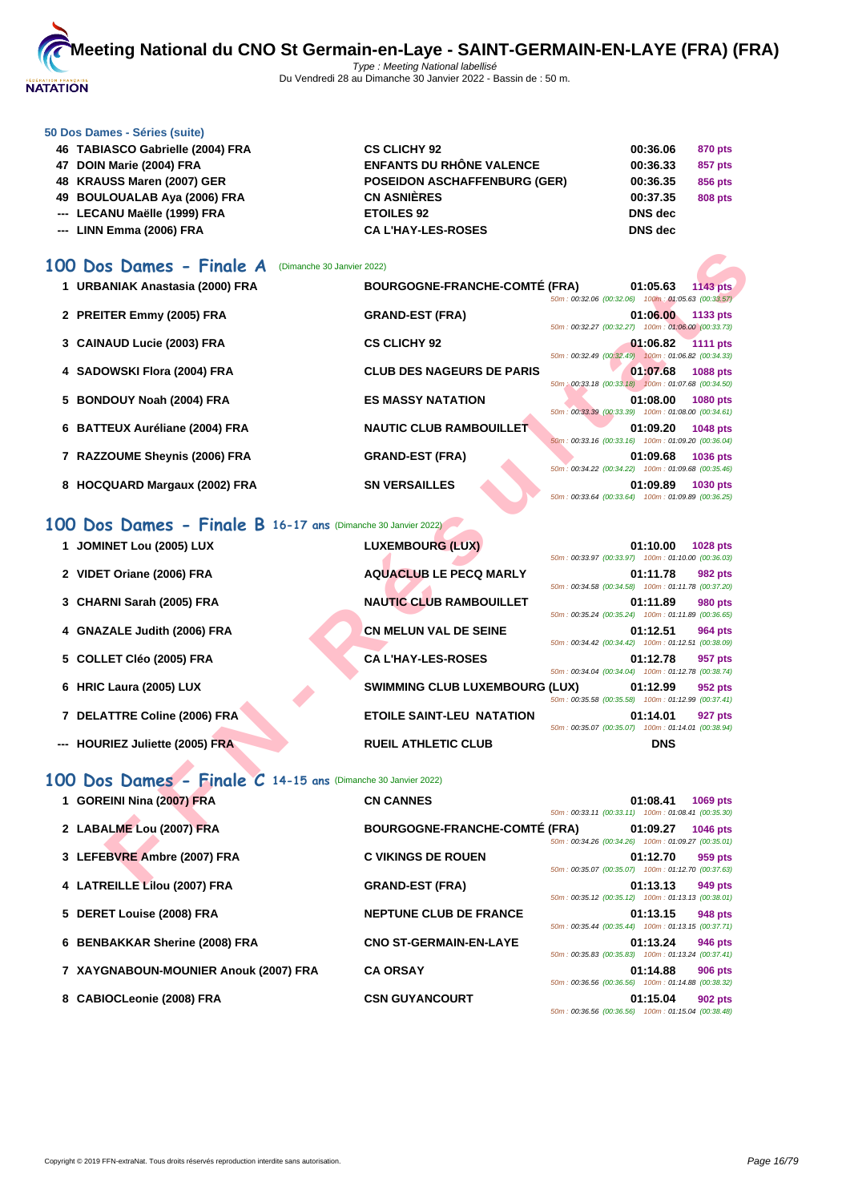

#### **[50 Dos D](http://www.ffnatation.fr/webffn/index.php)ames - Séries (suite)**

| 46 TABIASCO Gabrielle (2004) FRA | <b>CS CLICHY 92</b>                 | 00:36.06       | 870 pts |
|----------------------------------|-------------------------------------|----------------|---------|
| 47 DOIN Marie (2004) FRA         | <b>ENFANTS DU RHÔNE VALENCE</b>     | 00:36.33       | 857 pts |
| 48 KRAUSS Maren (2007) GER       | <b>POSEIDON ASCHAFFENBURG (GER)</b> | 00:36.35       | 856 pts |
| 49 BOULOUALAB Aya (2006) FRA     | <b>CN ASNIÈRES</b>                  | 00:37.35       | 808 pts |
| --- LECANU Maëlle (1999) FRA     | <b>ETOILES 92</b>                   | <b>DNS</b> dec |         |
| --- LINN Emma (2006) FRA         | <b>CAL'HAY-LES-ROSES</b>            | <b>DNS</b> dec |         |

## **100 Dos Dames - Finale A** (Dimanche 30 Janvier 2022)

| 00 Dos Dames - Finale A                                      | (Dimanche 30 Janvier 2022)            |                                                                                   |
|--------------------------------------------------------------|---------------------------------------|-----------------------------------------------------------------------------------|
| 1 URBANIAK Anastasia (2000) FRA                              | <b>BOURGOGNE-FRANCHE-COMTÉ (FRA)</b>  | 01:05.63<br><b>1143 pts</b><br>50m: 00:32.06 (00:32.06) 100m: 01:05.63 (00:33.57) |
| 2 PREITER Emmy (2005) FRA                                    | <b>GRAND-EST (FRA)</b>                | 01:06.00<br>1133 pts<br>50m: 00:32.27 (00:32.27) 100m: 01:06.00 (00:33.73)        |
| 3 CAINAUD Lucie (2003) FRA                                   | <b>CS CLICHY 92</b>                   | 01:06.82<br><b>1111 pts</b><br>50m: 00:32.49 (00:32.49) 100m: 01:06.82 (00:34.33) |
| 4 SADOWSKI Flora (2004) FRA                                  | <b>CLUB DES NAGEURS DE PARIS</b>      | 01:07.68<br>1088 pts<br>50m : 00:33.18 (00:33.18) 100m : 01:07.68 (00:34.50)      |
| 5 BONDOUY Noah (2004) FRA                                    | <b>ES MASSY NATATION</b>              | 01:08.00<br><b>1080 pts</b><br>50m: 00:33.39 (00:33.39) 100m: 01:08.00 (00:34.61) |
| 6 BATTEUX Auréliane (2004) FRA                               | <b>NAUTIC CLUB RAMBOUILLET</b>        | 01:09.20<br>1048 pts<br>50m: 00:33.16 (00:33.16) 100m: 01:09.20 (00:36.04)        |
| 7 RAZZOUME Sheynis (2006) FRA                                | <b>GRAND-EST (FRA)</b>                | 01:09.68<br>1036 pts<br>50m: 00:34.22 (00:34.22) 100m: 01:09.68 (00:35.46)        |
| 8 HOCQUARD Margaux (2002) FRA                                | <b>SN VERSAILLES</b>                  | 01:09.89<br><b>1030 pts</b><br>50m: 00:33.64 (00:33.64) 100m: 01:09.89 (00:36.25) |
| 00 Dos Dames - Finale B 16-17 ans (Dimanche 30 Janvier 2022) |                                       |                                                                                   |
| 1 JOMINET Lou (2005) LUX                                     | <b>LUXEMBOURG (LUX)</b>               | 01:10.00<br>1028 pts<br>50m: 00:33.97 (00:33.97) 100m: 01:10.00 (00:36.03)        |
| 2 VIDET Oriane (2006) FRA                                    | <b>AQUACLUB LE PECQ MARLY</b>         | 01:11.78<br>982 pts<br>50m: 00:34.58 (00:34.58) 100m: 01:11.78 (00:37.20)         |
| 3 CHARNI Sarah (2005) FRA                                    | <b>NAUTIC CLUB RAMBOUILLET</b>        | 01:11.89<br>980 pts<br>50m: 00:35.24 (00:35.24) 100m: 01:11.89 (00:36.65)         |
| 4 GNAZALE Judith (2006) FRA                                  | <b>CN MELUN VAL DE SEINE</b>          | 01:12.51<br>964 pts<br>50m: 00:34.42 (00:34.42) 100m: 01:12.51 (00:38.09)         |
| 5 COLLET Cléo (2005) FRA                                     | <b>CAL'HAY-LES-ROSES</b>              | 01:12.78<br>957 pts<br>50m: 00:34.04 (00:34.04) 100m: 01:12.78 (00:38.74)         |
| 6 HRIC Laura (2005) LUX                                      | <b>SWIMMING CLUB LUXEMBOURG (LUX)</b> | 01:12.99<br>952 pts<br>50m: 00:35.58 (00:35.58) 100m: 01:12.99 (00:37.41)         |
| 7 DELATTRE Coline (2006) FRA                                 | <b>ETOILE SAINT-LEU NATATION</b>      | 01:14.01<br>927 pts<br>50m: 00:35.07 (00:35.07) 100m: 01:14.01 (00:38.94)         |
| --- HOURIEZ Juliette (2005) FRA                              | <b>RUEIL ATHLETIC CLUB</b>            | <b>DNS</b>                                                                        |
| 00 Dos Dames - Finale C 14-15 ans (Dimanche 30 Janvier 2022) |                                       |                                                                                   |
| 1 GOREINI Nina (2007) FRA                                    | <b>CN CANNES</b>                      | 01:08.41<br>1069 pts<br>50m: 00:33.11 (00:33.11) 100m: 01:08.41 (00:35.30)        |
| 2 LABALME Lou (2007) FRA                                     | <b>BOURGOGNE-FRANCHE-COMTÉ (FRA)</b>  | 01:09.27<br>1046 pts<br>50m: 00:34.26 (00:34.26) 100m: 01:09.27 (00:35.01)        |
| 3 LEFEBVRE Ambre (2007) FRA                                  | <b>C VIKINGS DE ROUEN</b>             | 01:12.70<br>959 pts<br>50m: 00:35.07 (00:35.07) 100m: 01:12.70 (00:37.63)         |
| $A \cup A$ TDEILLE $\overline{A}$ $A \cup A$                 | COAND CCT (COA)                       | 04.49.49<br>$0.40 - 4.4$                                                          |

## **100 Dos Dames - Finale B 16-17 ans** (Dimanche 30 Janvier 2022)

| 1 JOMINET Lou (2005) LUX        | <b>LUXEMBOURG (LUX)</b>               |  | 01:10.00<br>50m: 00:33.97 (00:33.97) 100m: 01:10.00 (00:36.03)                                                       | <b>1028 pts</b> |
|---------------------------------|---------------------------------------|--|----------------------------------------------------------------------------------------------------------------------|-----------------|
| 2 VIDET Oriane (2006) FRA       | <b>AQUACLUB LE PECQ MARLY</b>         |  | 01:11.78                                                                                                             | <b>982 pts</b>  |
| 3 CHARNI Sarah (2005) FRA       | <b>NAUTIC CLUB RAMBOUILLET</b>        |  | 50m: 00:34.58 (00:34.58) 100m: 01:11.78 (00:37.20)<br>01:11.89<br>50m: 00:35.24 (00:35.24) 100m: 01:11.89 (00:36.65) | <b>980 pts</b>  |
| 4 GNAZALE Judith (2006) FRA     | <b>CN MELUN VAL DE SEINE</b>          |  | 01:12.51<br>50m: 00:34.42 (00:34.42) 100m: 01:12.51 (00:38.09)                                                       | <b>964 pts</b>  |
| 5 COLLET Cléo (2005) FRA        | <b>CAL'HAY-LES-ROSES</b>              |  | 01:12.78<br>50m: 00:34.04 (00:34.04) 100m: 01:12.78 (00:38.74)                                                       | 957 pts         |
| 6 HRIC Laura (2005) LUX         | <b>SWIMMING CLUB LUXEMBOURG (LUX)</b> |  | 01:12.99<br>50m: 00:35.58 (00:35.58) 100m: 01:12.99 (00:37.41)                                                       | 952 pts         |
| 7 DELATTRE Coline (2006) FRA    | <b>ETOILE SAINT-LEU NATATION</b>      |  | 01:14.01                                                                                                             | 927 pts         |
| --- HOURIEZ Juliette (2005) FRA | <b>RUEIL ATHLETIC CLUB</b>            |  | 50m: 00:35.07 (00:35.07) 100m: 01:14.01 (00:38.94)<br><b>DNS</b>                                                     |                 |

## **100 Dos Dames - Finale C 14-15 ans** (Dimanche 30 Janvier 2022)

| 1 GOREINI Nina (2007) FRA             | <b>CN CANNES</b>                     | 50m: 00:33.11 (00:33.11) 100m: 01:08.41 (00:35.30) | 01:08.41 | 1069 pts       |
|---------------------------------------|--------------------------------------|----------------------------------------------------|----------|----------------|
| 2 LABALME Lou (2007) FRA              | <b>BOURGOGNE-FRANCHE-COMTÉ (FRA)</b> | 50m: 00:34.26 (00:34.26) 100m: 01:09.27 (00:35.01) | 01:09.27 | 1046 pts       |
| 3 LEFEBVRE Ambre (2007) FRA           | <b>C VIKINGS DE ROUEN</b>            | 50m: 00:35.07 (00:35.07) 100m: 01:12.70 (00:37.63) | 01:12.70 | 959 pts        |
| 4 LATREILLE Lilou (2007) FRA          | <b>GRAND-EST (FRA)</b>               | 50m: 00:35.12 (00:35.12) 100m: 01:13.13 (00:38.01) | 01:13.13 | 949 pts        |
| 5 DERET Louise (2008) FRA             | <b>NEPTUNE CLUB DE FRANCE</b>        | 50m: 00:35.44 (00:35.44) 100m: 01:13.15 (00:37.71) | 01:13.15 | 948 pts        |
| 6 BENBAKKAR Sherine (2008) FRA        | <b>CNO ST-GERMAIN-EN-LAYE</b>        | 50m: 00:35.83 (00:35.83) 100m: 01:13.24 (00:37.41) | 01:13.24 | 946 pts        |
| 7 XAYGNABOUN-MOUNIER Anouk (2007) FRA | <b>CA ORSAY</b>                      | 50m: 00:36.56 (00:36.56) 100m: 01:14.88 (00:38.32) | 01:14.88 | <b>906 pts</b> |
| 8 CABIOCLeonie (2008) FRA             | <b>CSN GUYANCOURT</b>                | 50m: 00:36.56 (00:36.56) 100m: 01:15.04 (00:38.48) | 01:15.04 | 902 pts        |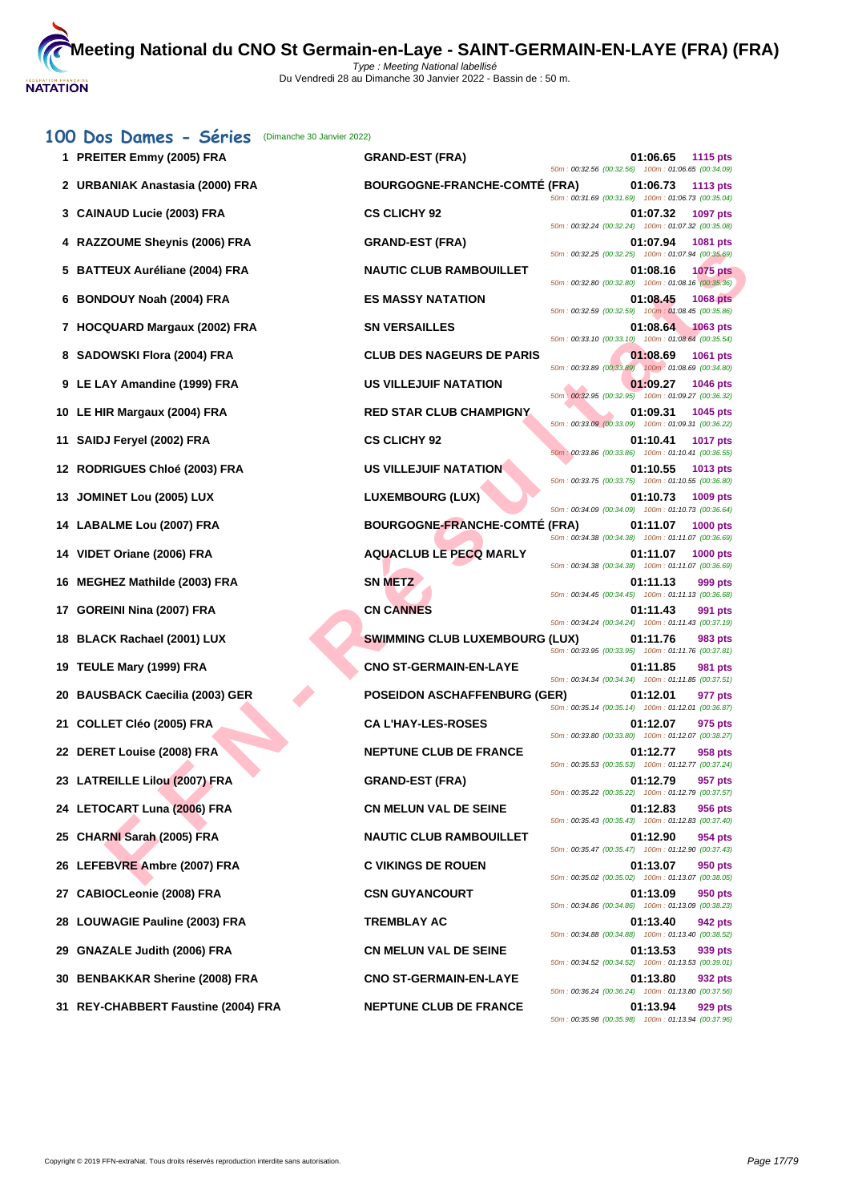|    | 100 Dos Dames - Séries<br>(Dimanche 30 Janvier 2022) |                                       |                                                                  |                 |
|----|------------------------------------------------------|---------------------------------------|------------------------------------------------------------------|-----------------|
|    | 1 PREITER Emmy (2005) FRA                            | <b>GRAND-EST (FRA)</b>                | 01:06.65<br>50m : 00:32.56 (00:32.56) 100m : 01:06.65 (00:34.09) | 1115 pts        |
|    | 2   URBANIAK Anastasia (2000) FRA                    | <b>BOURGOGNE-FRANCHE-COMTE (FRA)</b>  | 01:06.73<br>50m: 00:31.69 (00:31.69) 100m: 01:06.73 (00:35.04)   | 1113 pts        |
|    | 3 CAINAUD Lucie (2003) FRA                           | <b>CS CLICHY 92</b>                   | 01:07.32<br>50m: 00:32.24 (00:32.24) 100m: 01:07.32 (00:35.08)   | 1097 pts        |
|    | 4 RAZZOUME Sheynis (2006) FRA                        | <b>GRAND-EST (FRA)</b>                | 01:07.94<br>50m: 00:32.25 (00:32.25) 100m: 01:07.94 (00:35.69)   | 1081 pts        |
|    | 5 BATTEUX Auréliane (2004) FRA                       | <b>NAUTIC CLUB RAMBOUILLET</b>        | 01:08.16<br>50m: 00:32.80 (00:32.80) 100m: 01:08.16 (00:35.36)   | <b>1075 pts</b> |
| 6  | <b>BONDOUY Noah (2004) FRA</b>                       | <b>ES MASSY NATATION</b>              | 01:08.45<br>50m: 00:32.59 (00:32.59) 100m: 01:08.45 (00:35.86)   | <b>1068 pts</b> |
|    | 7 HOCQUARD Margaux (2002) FRA                        | <b>SN VERSAILLES</b>                  | 01:08.64                                                         | $1063$ pts      |
|    | 8 SADOWSKI Flora (2004) FRA                          | <b>CLUB DES NAGEURS DE PARIS</b>      | 50m: 00:33.10 (00:33.10) 100m: 01:08.64 (00:35.54)<br>01:08.69   | 1061 pts        |
|    | 9 LE LAY Amandine (1999) FRA                         | <b>US VILLEJUIF NATATION</b>          | 50m: 00:33.89 (00:33.89) 100m: 01:08.69 (00:34.80)<br>01:09.27   | <b>1046 pts</b> |
|    | 10 LE HIR Margaux (2004) FRA                         | <b>RED STAR CLUB CHAMPIGNY</b>        | 50m: 00:32.95 (00:32.95) 100m: 01:09.27 (00:36.32)<br>01:09.31   | 1045 pts        |
|    | 11 SAIDJ Feryel (2002) FRA                           | <b>CS CLICHY 92</b>                   | 50m: 00:33.09 (00:33.09) 100m: 01:09.31 (00:36.22)<br>01:10.41   | <b>1017 pts</b> |
|    | 12 RODRIGUES Chloé (2003) FRA                        | US VILLEJUIF NATATION                 | 50m: 00:33.86 (00:33.86) 100m: 01:10.41 (00:36.55)<br>01:10.55   | 1013 pts        |
|    | 13 JOMINET Lou (2005) LUX                            | <b>LUXEMBOURG (LUX)</b>               | 50m: 00:33.75 (00:33.75) 100m: 01:10.55 (00:36.80)<br>01:10.73   | 1009 pts        |
|    | 14 LABALME Lou (2007) FRA                            | <b>BOURGOGNE-FRANCHE-COMTÉ (FRA)</b>  | 50m: 00:34.09 (00:34.09) 100m: 01:10.73 (00:36.64)<br>01:11.07   | 1000 pts        |
|    | 14 VIDET Oriane (2006) FRA                           | <b>AQUACLUB LE PECQ MARLY</b>         | 50m: 00:34.38 (00:34.38) 100m: 01:11.07 (00:36.69)<br>01:11.07   | 1000 pts        |
|    | 16 MEGHEZ Mathilde (2003) FRA                        | <b>SN METZ</b>                        | 50m: 00:34.38 (00:34.38) 100m: 01:11.07 (00:36.69)<br>01:11.13   | 999 pts         |
|    | 17 GOREINI Nina (2007) FRA                           | <b>CN CANNES</b>                      | 50m: 00:34.45 (00:34.45) 100m: 01:11.13 (00:36.68)<br>01:11.43   | 991 pts         |
|    | 18 BLACK Rachael (2001) LUX                          | <b>SWIMMING CLUB LUXEMBOURG (LUX)</b> | 50m: 00:34.24 (00:34.24) 100m: 01:11.43 (00:37.19)<br>01:11.76   | 983 pts         |
|    | 19 TEULE Mary (1999) FRA                             | <b>CNO ST-GERMAIN-EN-LAYE</b>         | 50m: 00:33.95 (00:33.95) 100m: 01:11.76 (00:37.81)<br>01:11.85   | 981 pts         |
|    | 20 BAUSBACK Caecilia (2003) GER                      | <b>POSEIDON ASCHAFFENBURG (GER)</b>   | 50m: 00:34.34 (00:34.34) 100m: 01:11.85 (00:37.51)<br>01:12.01   | 977 pts         |
|    | 21 COLLET Cléo (2005) FRA                            | <b>CA L'HAY-LES-ROSES</b>             | 50m: 00:35.14 (00:35.14) 100m: 01:12.01 (00:36.87)<br>01:12.07   | 975 pts         |
|    | 22 DERET Louise (2008) FRA                           | <b>NEPTUNE CLUB DE FRANCE</b>         | 50m: 00:33.80 (00:33.80) 100m: 01:12.07 (00:38.27)<br>01:12.77   | 958 pts         |
|    | 23 LATREILLE Lilou (2007) FRA                        | <b>GRAND-EST (FRA)</b>                | 50m: 00:35.53 (00:35.53) 100m: 01:12.77 (00:37.24)<br>01:12.79   | 957 pts         |
|    | 24 LETOCART Luna (2006) FRA                          | <b>CN MELUN VAL DE SEINE</b>          | 50m: 00:35.22 (00:35.22) 100m: 01:12.79 (00:37.57)<br>01:12.83   | 956 pts         |
|    | 25 CHARNI Sarah (2005) FRA                           | <b>NAUTIC CLUB RAMBOUILLET</b>        | 50m: 00:35.43 (00:35.43) 100m: 01:12.83 (00:37.40)<br>01:12.90   | 954 pts         |
|    | 26 LEFEBVRE Ambre (2007) FRA                         | <b>C VIKINGS DE ROUEN</b>             | 50m: 00:35.47 (00:35.47) 100m: 01:12.90 (00:37.43)<br>01:13.07   | 950 pts         |
|    | 27 CABIOCLeonie (2008) FRA                           | <b>CSN GUYANCOURT</b>                 | 50m: 00:35.02 (00:35.02) 100m: 01:13.07 (00:38.05)<br>01:13.09   | 950 pts         |
|    | 28 LOUWAGIE Pauline (2003) FRA                       | <b>TREMBLAY AC</b>                    | 50m: 00:34.86 (00:34.86) 100m: 01:13.09 (00:38.23)<br>01:13.40   | 942 pts         |
| 29 | <b>GNAZALE Judith (2006) FRA</b>                     | <b>CN MELUN VAL DE SEINE</b>          | 50m: 00:34.88 (00:34.88) 100m: 01:13.40 (00:38.52)<br>01:13.53   | 939 pts         |
|    | 30 BENBAKKAR Sherine (2008) FRA                      | <b>CNO ST-GERMAIN-EN-LAYE</b>         | 50m: 00:34.52 (00:34.52) 100m: 01:13.53 (00:39.01)<br>01:13.80   | 932 pts         |
|    | 31 REY-CHABBERT Faustine (2004) FRA                  | <b>NEPTUNE CLUB DE FRANCE</b>         | 50m: 00:36.24 (00:36.24) 100m: 01:13.80 (00:37.56)<br>01:13.94   | 929 pts         |
|    |                                                      |                                       | 50m: 00:35.98 (00:35.98) 100m: 01:13.94 (00:37.96)               |                 |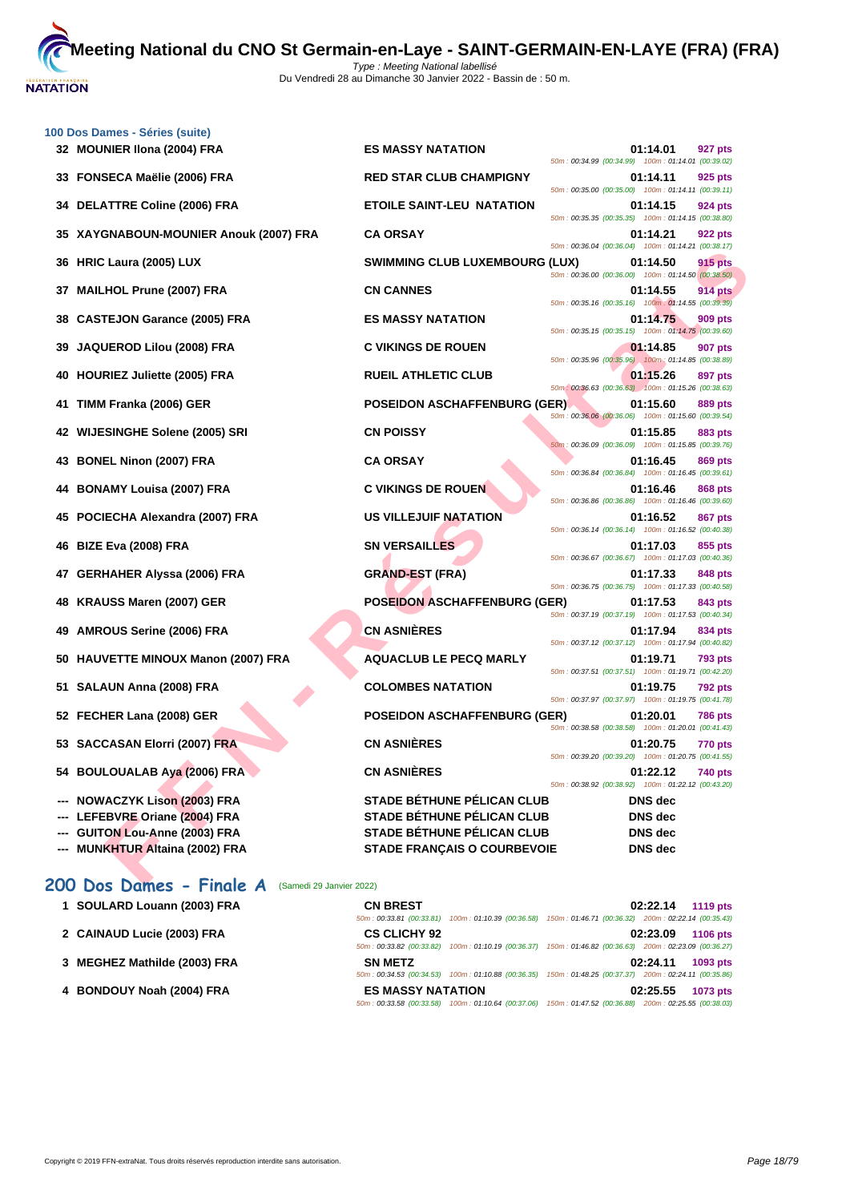

|    | 100 Dos Dames - Séries (suite)<br>32 MOUNIER IIona (2004) FRA | <b>ES MASSY NATATION</b>              | 01:14.01<br>927 pts                                                                                                             |
|----|---------------------------------------------------------------|---------------------------------------|---------------------------------------------------------------------------------------------------------------------------------|
|    | 33 FONSECA Maëlie (2006) FRA                                  | <b>RED STAR CLUB CHAMPIGNY</b>        | 50m: 00:34.99 (00:34.99) 100m: 01:14.01 (00:39.02)<br>01:14.11<br>925 pts                                                       |
|    | 34 DELATTRE Coline (2006) FRA                                 | <b>ETOILE SAINT-LEU NATATION</b>      | 50m: 00:35.00 (00:35.00) 100m: 01:14.11 (00:39.11)<br>01:14.15<br>924 pts                                                       |
|    | 35 XAYGNABOUN-MOUNIER Anouk (2007) FRA                        | <b>CA ORSAY</b>                       | 50m: 00:35.35 (00:35.35) 100m: 01:14.15 (00:38.80)<br>01:14.21<br>922 pts                                                       |
|    | 36 HRIC Laura (2005) LUX                                      | <b>SWIMMING CLUB LUXEMBOURG (LUX)</b> | 50m: 00:36.04 (00:36.04) 100m: 01:14.21 (00:38.17)<br>01:14.50<br><b>915 pts</b>                                                |
|    | 37 MAILHOL Prune (2007) FRA                                   | <b>CN CANNES</b>                      | 50m: 00:36.00 (00:36.00) 100m: 01:14.50 (00:38.50)<br>01:14.55<br><b>914 pts</b>                                                |
| 38 | <b>CASTEJON Garance (2005) FRA</b>                            | <b>ES MASSY NATATION</b>              | 50m: 00:35.16 (00:35.16) 100m: 01:14.55 (00:39.39)<br>01:14.75<br>909 pts                                                       |
| 39 | JAQUEROD Lilou (2008) FRA                                     | <b>C VIKINGS DE ROUEN</b>             | 50m: 00:35.15 (00:35.15) 100m: 01:14.75 (00:39.60)<br>01:14.85<br><b>907 pts</b>                                                |
|    | 40 HOURIEZ Juliette (2005) FRA                                | <b>RUEIL ATHLETIC CLUB</b>            | 50m: 00:35.96 (00:35.96) 100m: 01:14.85 (00:38.89)<br>01:15.26<br>897 pts                                                       |
|    | 41 TIMM Franka (2006) GER                                     | <b>POSEIDON ASCHAFFENBURG (GER)</b>   | 50m: 00:36.63 (00:36.63) 100m: 01:15.26 (00:38.63)<br>01:15.60<br>889 pts                                                       |
|    | 42 WIJESINGHE Solene (2005) SRI                               | <b>CN POISSY</b>                      | 50m: 00:36.06 (00:36.06) 100m: 01:15.60 (00:39.54)<br>01:15.85<br>883 pts                                                       |
|    |                                                               |                                       | 50m : 00:36.09 (00:36.09) 100m : 01:15.85 (00:39.76)                                                                            |
|    | 43 BONEL Ninon (2007) FRA                                     | <b>CA ORSAY</b>                       | 01:16.45<br>869 pts<br>50m: 00:36.84 (00:36.84) 100m: 01:16.45 (00:39.61)                                                       |
|    | 44 BONAMY Louisa (2007) FRA                                   | <b>C VIKINGS DE ROUEN</b>             | 01:16.46<br>868 pts<br>50m: 00:36.86 (00:36.86) 100m: 01:16.46 (00:39.60)                                                       |
| 45 | POCIECHA Alexandra (2007) FRA                                 | US VILLEJUIF NATATION                 | 01:16.52<br>867 pts<br>50m: 00:36.14 (00:36.14) 100m: 01:16.52 (00:40.38)                                                       |
|    | 46 BIZE Eva (2008) FRA                                        | <b>SN VERSAILLES</b>                  | 01:17.03<br>855 pts<br>50m: 00:36.67 (00:36.67) 100m: 01:17.03 (00:40.36)                                                       |
|    | 47 GERHAHER Alyssa (2006) FRA                                 | <b>GRAND-EST (FRA)</b>                | 01:17.33<br>848 pts<br>50m: 00:36.75 (00:36.75) 100m: 01:17.33 (00:40.58)                                                       |
|    | 48 KRAUSS Maren (2007) GER                                    | <b>POSEIDON ASCHAFFENBURG (GER)</b>   | 01:17.53<br>843 pts<br>50m: 00:37.19 (00:37.19) 100m: 01:17.53 (00:40.34)                                                       |
|    | 49 AMROUS Serine (2006) FRA                                   | <b>CN ASNIÈRES</b>                    | 01:17.94<br>834 pts<br>50m: 00:37.12 (00:37.12) 100m: 01:17.94 (00:40.82)                                                       |
|    | 50 HAUVETTE MINOUX Manon (2007) FRA                           | <b>AQUACLUB LE PECQ MARLY</b>         | 01:19.71<br>793 pts                                                                                                             |
|    | 51 SALAUN Anna (2008) FRA                                     | <b>COLOMBES NATATION</b>              | 50m: 00:37.51 (00:37.51) 100m: 01:19.71 (00:42.20)<br>01:19.75<br>792 pts                                                       |
|    | 52 FECHER Lana (2008) GER                                     | <b>POSEIDON ASCHAFFENBURG (GER)</b>   | 50m: 00:37.97 (00:37.97) 100m: 01:19.75 (00:41.78)<br>01:20.01<br><b>786 pts</b>                                                |
|    | 53 SACCASAN Elorri (2007) FRA                                 | <b>CN ASNIÈRES</b>                    | 50m: 00:38.58 (00:38.58) 100m: 01:20.01 (00:41.43)<br>01:20.75<br><b>770 pts</b>                                                |
|    | 54 BOULOUALAB Aya (2006) FRA                                  | <b>CN ASNIERES</b>                    | 50m: 00:39.20 (00:39.20) 100m: 01:20.75 (00:41.55)<br>01:22.12<br>740 pts<br>50m: 00:38.92 (00:38.92) 100m: 01:22.12 (00:43.20) |
|    | --- NOWACZYK Lison (2003) FRA                                 | <b>STADE BÉTHUNE PÉLICAN CLUB</b>     | <b>DNS</b> dec                                                                                                                  |
|    | LEFEBVRE Oriane (2004) FRA                                    | <b>STADE BÉTHUNE PÉLICAN CLUB</b>     | <b>DNS</b> dec                                                                                                                  |
|    | --- GUITON Lou-Anne (2003) FRA                                | <b>STADE BÉTHUNE PÉLICAN CLUB</b>     | <b>DNS</b> dec                                                                                                                  |
|    | --- MUNKHTUR Altaina (2002) FRA                               | <b>STADE FRANÇAIS O COURBEVOIE</b>    | <b>DNS</b> dec                                                                                                                  |

## 200 Dos Dames - Finale A (Samedi 29 Janvier 2022)

| 1 SOULARD Louann (2003) FRA  | <b>CN BREST</b>          | 02:22.14<br>1119 pts                                                                                   |
|------------------------------|--------------------------|--------------------------------------------------------------------------------------------------------|
|                              | 50m: 00:33.81 (00:33.81) | 100m: 01:10.39 (00:36.58) 150m: 01:46.71 (00:36.32) 200m: 02:22.14 (00:35.43)                          |
| 2 CAINAUD Lucie (2003) FRA   | <b>CS CLICHY 92</b>      | 02:23.09<br>1106 pts                                                                                   |
|                              | 50m: 00:33.82 (00:33.82) | 100m: 01:10.19 (00:36.37) 150m: 01:46.82 (00:36.63) 200m: 02:23.09 (00:36.27)                          |
| 3 MEGHEZ Mathilde (2003) FRA | <b>SN METZ</b>           | 02:24.11<br>1093 pts                                                                                   |
|                              | 50m: 00:34.53 (00:34.53) | 100m: 01:10.88 (00:36.35) 150m: 01:48.25 (00:37.37) 200m: 02:24.11 (00:35.86)                          |
| 4 BONDOUY Noah (2004) FRA    | <b>ES MASSY NATATION</b> | 02:25.55<br>1073 pts                                                                                   |
|                              |                          | 50m: 00:33.58 (00:33.58) 100m: 01:10.64 (00:37.06) 150m: 01:47.52 (00:36.88) 200m: 02:25.55 (00:38.03) |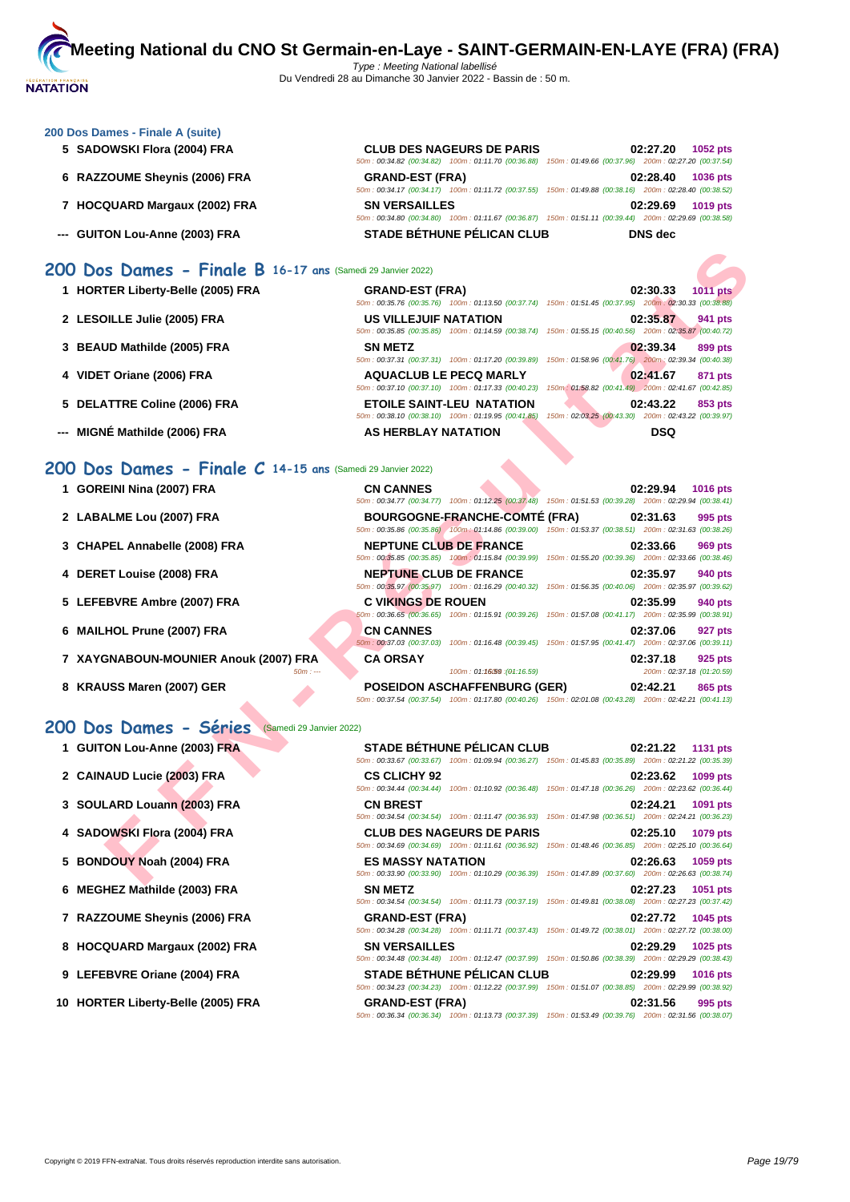

#### **[200 Dos D](http://www.ffnatation.fr/webffn/index.php)ames - Finale A (suite)**

- 
- 
- 
- 

#### **5 SADOWSKI Flora (2004) FRA CLUB DES NAGEURS DE PARIS 02:27.20 1052 pts** 50m : 00:34.82 (00:34.82) 100m : 01:11.70 (00:36.88) 150m : 01:49.66 (00:37.96) 200m : 02:27.20 (00:37.54) **6 RAZZOUME Sheynis (2006) FRA GRAND-EST (FRA) 02:28.40 1036 pts** 50m : 00:34.17 (00:34.17) 100m : 01:11.72 (00:37.55) 150m : 01:49.88 (00:38.16) 200m : 02:28.40 (00:38.52) **7 HOCQUARD Margaux (2002) FRA SN VERSAILLES 02:29.69 1019 pts** 50m : 00:34.80 (00:34.80) 100m : 01:11.67 (00:36.87) 150m : 01:51.11 (00:39.44) 200m : 02:29.69 (00:38.58) **--- GUITON Lou-Anne (2003) FRA STADE BÉTHUNE PÉLICAN CLUB DNS dec**

## **200 Dos Dames - Finale B 16-17 ans** (Samedi 29 Janvier 2022)

| 1 HORTER Liberty-Belle (2005) FRA                            | <b>GRAND-EST (FRA)</b>                                                                                                                         | 02:30.33<br><b>1011 pts</b>                                                                                                       |
|--------------------------------------------------------------|------------------------------------------------------------------------------------------------------------------------------------------------|-----------------------------------------------------------------------------------------------------------------------------------|
| 2 LESOILLE Julie (2005) FRA                                  | 50m: 00:35.76 (00:35.76) 100m: 01:13.50 (00:37.74) 150m: 01:51.45 (00:37.95) 200m: 02:30.33 (00:38.88)<br><b>US VILLEJUIF NATATION</b>         | 02:35.87<br>941 pts                                                                                                               |
| 3 BEAUD Mathilde (2005) FRA                                  | 50m: 00:35.85 (00:35.85) 100m: 01:14.59 (00:38.74)<br><b>SN METZ</b><br>50m: 00:37.31 (00:37.31) 100m: 01:17.20 (00:39.89)                     | 150m: 01:55.15 (00:40.56) 200m: 02:35.87 (00:40.72)<br>02:39.34<br>899 pts<br>150m: 01:58.96 (00:41.76) 200m: 02:39.34 (00:40.38) |
| 4 VIDET Oriane (2006) FRA                                    | <b>AQUACLUB LE PECQ MARLY</b><br>50m: 00:37.10 (00:37.10) 100m: 01:17.33 (00:40.23)                                                            | 02:41.67<br>871 pts<br>150m: 01:58.82 (00:41.49) 200m: 02:41.67 (00:42.85)                                                        |
| 5 DELATTRE Coline (2006) FRA                                 | <b>ETOILE SAINT-LEU NATATION</b><br>50m: 00:38.10 (00:38.10) 100m: 01:19.95 (00:41.85)                                                         | 02:43.22<br>853 pts<br>150m: 02:03.25 (00:43.30) 200m: 02:43.22 (00:39.97)                                                        |
| --- MIGNÉ Mathilde (2006) FRA                                | AS HERBLAY NATATION                                                                                                                            | <b>DSQ</b>                                                                                                                        |
| 00 Dos Dames - Finale $C$ 14-15 ans (Samedi 29 Janvier 2022) |                                                                                                                                                |                                                                                                                                   |
| 1 GOREINI Nina (2007) FRA                                    | <b>CN CANNES</b><br>50m: 00:34.77 (00:34.77) 100m: 01:12.25 (00:37.48) 150m: 01:51.53 (00:39.28) 200m: 02:29.94 (00:38.41)                     | 02:29.94<br><b>1016 pts</b>                                                                                                       |
| 2 LABALME Lou (2007) FRA                                     | <b>BOURGOGNE-FRANCHE-COMTE (FRA)</b><br>50m: 00:35.86 (00:35.86) 100m: 01:14.86 (00:39.00) 150m: 01:53.37 (00:38.51) 200m: 02:31.63 (00:38.26) | 02:31.63<br>995 pts                                                                                                               |
| 3 CHAPEL Annabelle (2008) FRA                                | <b>NEPTUNE CLUB DE FRANCE</b><br>50m : 00:35.85 (00:35.85) 100m : 01:15.84 (00:39.99) 150m : 01:55.20 (00:39.36) 200m : 02:33.66 (00:38.46)    | 02:33.66<br>969 pts                                                                                                               |
| 4 DERET Louise (2008) FRA                                    | <b>NEPTUNE CLUB DE FRANCE</b><br>50m: 00:35.97 (00:35.97) 100m: 01:16.29 (00:40.32) 150m: 01:56.35 (00:40.06) 200m: 02:35.97 (00:39.62)        | 02:35.97<br>940 pts                                                                                                               |
| 5 LEFEBVRE Ambre (2007) FRA                                  | <b>C VIKINGS DE ROUEN</b><br>50m: 00:36.65 (00:36.65) 100m: 01:15.91 (00:39.26) 150m: 01:57.08 (00:41.17) 200m: 02:35.99 (00:38.91)            | 02:35.99<br>940 pts                                                                                                               |
| 6 MAILHOL Prune (2007) FRA                                   | <b>CN CANNES</b>                                                                                                                               | 02:37.06<br>927 pts<br>50m: 00:37.03 (00:37.03) 100m: 01:16.48 (00:39.45) 150m: 01:57.95 (00:41.47) 200m: 02:37.06 (00:39.11)     |
| 7 XAYGNABOUN-MOUNIER Anouk (2007) FRA<br>$50m: -$            | <b>CA ORSAY</b><br>100m: 01:16.59 : (01:16.59)                                                                                                 | 02:37.18<br>925 pts<br>200m: 02:37.18 (01:20.59)                                                                                  |
| 8 KRAUSS Maren (2007) GER                                    | <b>POSEIDON ASCHAFFENBURG (GER)</b>                                                                                                            | 02:42.21<br>865 pts<br>50m: 00:37.54 (00:37.54) 100m: 01:17.80 (00:40.26) 150m: 02:01.08 (00:43.28) 200m: 02:42.21 (00:41.13)     |
| 00 Dos Dames - Séries<br>(Samedi 29 Janvier 2022)            |                                                                                                                                                |                                                                                                                                   |
| 1 GUITON Lou-Anne (2003) FRA                                 | <b>STADE BÉTHUNE PÉLICAN CLUB</b><br>50m: 00:33.67 (00:33.67) 100m: 01:09.94 (00:36.27) 150m: 01:45.83 (00:35.89) 200m: 02:21.22 (00:35.39)    | 02:21.22<br><b>1131 pts</b>                                                                                                       |
| 2 CAINAUD Lucie (2003) FRA                                   | <b>CS CLICHY 92</b><br>50m: 00:34.44 (00:34.44)                                                                                                | 02:23.62<br>1099 pts<br>100m: 01:10.92 (00:36.48) 150m: 01:47.18 (00:36.26) 200m: 02:23.62 (00:36.44)                             |
| 3 SOULARD Louann (2003) FRA                                  | <b>CN BREST</b><br>50m: 00:34.54 (00:34.54) 100m: 01:11.47 (00:36.93)                                                                          | 02:24.21<br>1091 pts<br>150m: 01:47.98 (00:36.51) 200m: 02:24.21 (00:36.23)                                                       |
| 4 SADOWSKI Flora (2004) FRA                                  | <b>CLUB DES NAGEURS DE PARIS</b><br>50m : 00:34.69 (00:34.69) 100m : 01:11.61 (00:36.92) 150m : 01:48.46 (00:36.85) 200m : 02:25.10 (00:36.64) | 02:25.10<br>1079 pts                                                                                                              |
| 5 BONDOUY Noah (2004) FRA                                    | <b>ES MASSY NATATION</b><br>50m : 00:33.90 (00:33.90) 100m : 01:10.29 (00:36.39) 150m : 01:47.89 (00:37.60) 200m : 02:26.63 (00:38.74)         | 02:26.63<br>1059 pts                                                                                                              |
|                                                              |                                                                                                                                                |                                                                                                                                   |

### **200 Dos Dames - Finale C 14-15 ans** (Samedi 29 Janvier 2022)

- **1 GOREINI Nina (2007) FRA**
- **2** LABALME Lou (2007) FRA
- **3** CHAPEL Annabelle (2008) FRA
- **4 DERET Louise (2008) FRA**
- **5** LEFEBVRE Ambre (2007) FRA
- **6 MAILHOL Prune (2007) FRA**
- **7** XAYGNABOUN-MOUNIER Anouk (2007) FRA
- **8 KRAUSS Maren (2007) GER**

#### **200 Dos Dames - Séries** (Samedi 29 Janvier 2022)

- **1 GUITON Lou-Anne (2003) FRA**
- **2 CAINAUD Lucie (2003) FRA CS CLICHY 92 02:23.62 1099 pts**
- **3 SOULARD Louann (2003) FRA**
- **4** SADOWSKI Flora (2004) FRA
- **5 BONDOUY Noah (2004) FRA**
- **6** MEGHEZ Mathilde (2003) FRA
- **7** RAZZOUME Sheynis (2006) FRA
- **8 HOCQUARD Margaux (2002) FRA**
- **9** LEFEBVRE Oriane (2004) FRA
- **10 HORTER Liberty-Belle (2005) FRA**

|            | <b>CN CANNES</b>              |                                                                                                        | 02:29.94 | 1016 pts                  |
|------------|-------------------------------|--------------------------------------------------------------------------------------------------------|----------|---------------------------|
|            |                               | 50m: 00:34.77 (00:34.77) 100m: 01:12.25 (00:37.48) 150m: 01:51.53 (00:39.28) 200m: 02:29.94 (00:38.41) |          |                           |
|            |                               | <b>BOURGOGNE-FRANCHE-COMTÉ (FRA)</b>                                                                   | 02:31.63 | 995 pts                   |
|            |                               | 50m: 00:35.86 (00:35.86) 100m: 01:14.86 (00:39.00) 150m: 01:53.37 (00:38.51) 200m: 02:31.63 (00:38.26) |          |                           |
|            | <b>NEPTUNE CLUB DE FRANCE</b> |                                                                                                        | 02:33.66 | 969 pts                   |
|            |                               | 50m: 00:35.85 (00:35.85) 100m: 01:15.84 (00:39.99) 150m: 01:55.20 (00:39.36) 200m: 02:33.66 (00:38.46) |          |                           |
|            | <b>NEPTUNE CLUB DE FRANCE</b> |                                                                                                        | 02:35.97 | 940 pts                   |
|            |                               | 50m: 00:35.97 (00:35.97) 100m: 01:16.29 (00:40.32) 150m: 01:56.35 (00:40.06) 200m: 02:35.97 (00:39.62) |          |                           |
|            | <b>C VIKINGS DE ROUEN</b>     |                                                                                                        | 02:35.99 | 940 pts                   |
|            |                               | 50m: 00:36.65 (00:36.65) 100m: 01:15.91 (00:39.26) 150m: 01:57.08 (00:41.17) 200m: 02:35.99 (00:38.91) |          |                           |
|            | <b>CN CANNES</b>              |                                                                                                        | 02:37.06 | 927 pts                   |
|            | 50m: 00:37.03 (00:37.03)      | 100m: 01:16.48 (00:39.45) 150m: 01:57.95 (00:41.47) 200m: 02:37.06 (00:39.11)                          |          |                           |
| <b>FRA</b> | <b>CA ORSAY</b>               |                                                                                                        | 02:37.18 | 925 pts                   |
| $50m: -$   |                               | 100m: 01:1659:(04:16.59)                                                                               |          | 200m: 02:37.18 (01:20.59) |
|            |                               | <b>POSEIDON ASCHAFFENBURG (GER)</b>                                                                    | 02:42.21 | 865 pts                   |

|                          | <b>STADE BETHUNE PELICAN CLUB</b>                                                                      |  | 02:21.22 1131 pts |
|--------------------------|--------------------------------------------------------------------------------------------------------|--|-------------------|
|                          | 50m: 00:33.67 (00:33.67) 100m: 01:09.94 (00:36.27) 150m: 01:45.83 (00:35.89) 200m: 02:21.22 (00:35.39) |  |                   |
| <b>CS CLICHY 92</b>      |                                                                                                        |  | 02:23.62 1099 pts |
|                          | 50m: 00:34.44 (00:34.44) 100m: 01:10.92 (00:36.48) 150m: 01:47.18 (00:36.26) 200m: 02:23.62 (00:36.44) |  |                   |
| <b>CN BREST</b>          |                                                                                                        |  | 02:24.21 1091 pts |
|                          | 50m: 00:34.54 (00:34.54) 100m: 01:11.47 (00:36.93) 150m: 01:47.98 (00:36.51) 200m: 02:24.21 (00:36.23) |  |                   |
|                          | <b>CLUB DES NAGEURS DE PARIS</b>                                                                       |  | 02:25.10 1079 pts |
|                          | 50m: 00:34.69 (00:34.69) 100m: 01:11.61 (00:36.92) 150m: 01:48.46 (00:36.85) 200m: 02:25.10 (00:36.64) |  |                   |
| <b>ES MASSY NATATION</b> |                                                                                                        |  | 02:26.63 1059 pts |
|                          | 50m: 00:33.90 (00:33.90) 100m: 01:10.29 (00:36.39) 150m: 01:47.89 (00:37.60) 200m: 02:26.63 (00:38.74) |  |                   |
|                          |                                                                                                        |  |                   |
| <b>SN METZ</b>           |                                                                                                        |  | 02:27.23 1051 pts |
|                          | 50m: 00:34.54 (00:34.54) 100m: 01:11.73 (00:37.19) 150m: 01:49.81 (00:38.08) 200m: 02:27.23 (00:37.42) |  |                   |
| <b>GRAND-EST (FRA)</b>   |                                                                                                        |  | 02:27.72 1045 pts |
|                          | 50m: 00:34.28 (00:34.28) 100m: 01:11.71 (00:37.43) 150m: 01:49.72 (00:38.01) 200m: 02:27.72 (00:38.00) |  |                   |
| <b>SN VERSAILLES</b>     |                                                                                                        |  | 02:29.29 1025 pts |
|                          | 50m: 00:34.48 (00:34.48) 100m: 01:12.47 (00:37.99) 150m: 01:50.86 (00:38.39) 200m: 02:29.29 (00:38.43) |  |                   |
|                          | STADE BÉTHUNE PÉLICAN CLUB                                                                             |  | 02:29.99 1016 pts |
|                          | 50m: 00:34.23 (00:34.23) 100m: 01:12.22 (00:37.99) 150m: 01:51.07 (00:38.85) 200m: 02:29.99 (00:38.92) |  |                   |
| <b>GRAND-EST (FRA)</b>   |                                                                                                        |  | 02:31.56 995 pts  |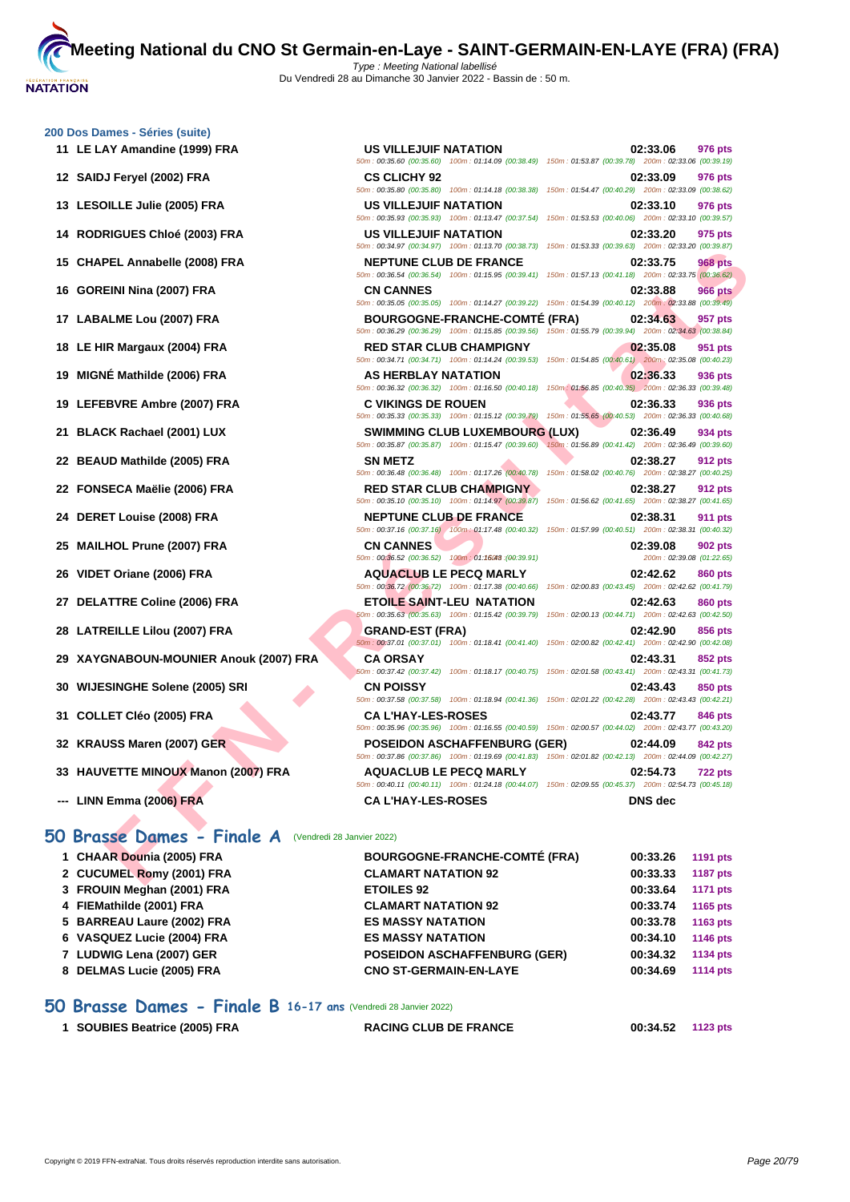**[200 Dos D](http://www.ffnatation.fr/webffn/index.php)ames - Séries (suite)**

50m : 00:35.60 (00:35.60) 100m : 01:14.09 (00:38.49) 150m : 01:53.87 (00:39.78) 200m : 02:33.06 (00:39.19)

**11 LE LAY Amandine (1999) FRA US VILLEJUIF NATATION 02:33.06 976 pts**

|                                                       | 50m: 00:35.60 (00:35.60) 100m: 01:14.09 (00:38.49) 150m: 01:53.87 (00:39.78) 200m: 02:33.06 (00:39.19)                                                                                                                                   |                                                                                   |
|-------------------------------------------------------|------------------------------------------------------------------------------------------------------------------------------------------------------------------------------------------------------------------------------------------|-----------------------------------------------------------------------------------|
| 12 SAIDJ Feryel (2002) FRA                            | <b>CS CLICHY 92</b><br>50m : 00:35.80 (00:35.80) 100m : 01:14.18 (00:38.38) 150m : 01:54.47 (00:40.29) 200m : 02:33.09 (00:38.62)                                                                                                        | 02:33.09<br>976 pts                                                               |
| 13 LESOILLE Julie (2005) FRA                          | US VILLEJUIF NATATION                                                                                                                                                                                                                    | 02:33.10<br>976 pts                                                               |
| <b>RODRIGUES Chloé (2003) FRA</b><br>14.              | 50m : 00:35.93 (00:35.93) 100m : 01:13.47 (00:37.54) 150m : 01:53.53 (00:40.06) 200m : 02:33.10 (00:39.57)<br>US VILLEJUIF NATATION                                                                                                      | 02:33.20<br>975 pts                                                               |
| 15 CHAPEL Annabelle (2008) FRA                        | 50m: 00:34.97 (00:34.97) 100m: 01:13.70 (00:38.73) 150m: 01:53.33 (00:39.63) 200m: 02:33.20 (00:39.87)<br><b>NEPTUNE CLUB DE FRANCE</b>                                                                                                  | 02:33.75<br>968 pts                                                               |
| 16 GOREINI Nina (2007) FRA                            | 50m : 00:36.54 (00:36.54) 100m : 01:15.95 (00:39.41) 150m : 01:57.13 (00:41.18) 200m : 02:33.75 (00:36.62)<br><b>CN CANNES</b><br>50m: 00:35.05 (00:35.05) 100m: 01:14.27 (00:39.22) 150m: 01:54.39 (00:40.12) 200m: 02:33.88 (00:39.49) | 02:33.88<br><b>966 pts</b>                                                        |
| 17 LABALME Lou (2007) FRA                             | <b>BOURGOGNE-FRANCHE-COMTE (FRA)</b><br>50m: 00:36.29 (00:36.29) 100m: 01:15.85 (00:39.56)                                                                                                                                               | 02:34.63<br>957 pts<br>150m: 01:55.79 (00:39.94) 200m: 02:34.63 (00:38.84)        |
| 18 LE HIR Margaux (2004) FRA                          | <b>RED STAR CLUB CHAMPIGNY</b><br>50m: 00:34.71 (00:34.71) 100m: 01:14.24 (00:39.53)                                                                                                                                                     | 02:35.08<br>951 pts<br>150m: 01:54.85 (00:40.61) 200m: 02:35.08 (00:40.23)        |
| MIGNÉ Mathilde (2006) FRA<br>19                       | AS HERBLAY NATATION<br>50m : 00:36.32 (00:36.32) 100m : 01:16.50 (00:40.18) 150m : 01:56.85 (00:40.35) 200m : 02:36.33 (00:39.48)                                                                                                        | 02:36.33<br>936 pts                                                               |
| 19 LEFEBVRE Ambre (2007) FRA                          | <b>C VIKINGS DE ROUEN</b><br>50m: 00:35.33 (00:35.33) 100m: 01:15.12 (00:39.79) 150m: 01:55.65 (00:40.53) 200m: 02:36.33 (00:40.68)                                                                                                      | 02:36.33<br>936 pts                                                               |
| <b>BLACK Rachael (2001) LUX</b><br>21                 | <b>SWIMMING CLUB LUXEMBOURG (LUX)</b><br>50m : 00:35.87 (00:35.87) 100m : 01:15.47 (00:39.60) 150m : 01:56.89 (00:41.42) 200m : 02:36.49 (00:39.60)                                                                                      | 02:36.49<br>934 pts                                                               |
| 22 BEAUD Mathilde (2005) FRA                          | <b>SN METZ</b><br>50m: 00:36.48 (00:36.48) 100m: 01:17.26 (00:40.78) 150m: 01:58.02 (00:40.76) 200m: 02:38.27 (00:40.25)                                                                                                                 | 02:38.27<br>912 pts                                                               |
| 22 FONSECA Maëlie (2006) FRA                          | <b>RED STAR CLUB CHAMPIGNY</b><br>50m : 00:35.10 (00:35.10) 100m : 01:14.97 (00:39.87) 150m : 01:56.62 (00:41.65) 200m : 02:38.27 (00:41.65)                                                                                             | 02:38.27<br>912 pts                                                               |
| 24 DERET Louise (2008) FRA                            | <b>NEPTUNE CLUB DE FRANCE</b><br>50m : 00:37.16 (00:37.16) / 100m : 01:17.48 (00:40.32) 150m : 01:57.99 (00:40.51) 200m : 02:38.31 (00:40.32)                                                                                            | 02:38.31<br><b>911 pts</b>                                                        |
| <b>MAILHOL Prune (2007) FRA</b><br>25                 | <b>CN CANNES</b><br>50m: 00:36.52 (00:36.52) 100m: 01:16048 (00:39.91)                                                                                                                                                                   | 02:39.08<br><b>902 pts</b><br>200m: 02:39.08 (01:22.65)                           |
| VIDET Oriane (2006) FRA<br>26                         | <b>AQUACLUB LE PECQ MARLY</b><br>50m: 00:36.72 (00:36.72) 100m: 01:17.38 (00:40.66)                                                                                                                                                      | 02:42.62<br><b>860 pts</b><br>150m: 02:00.83 (00:43.45) 200m: 02:42.62 (00:41.79) |
| 27 DELATTRE Coline (2006) FRA                         | <b>ETOILE SAINT-LEU NATATION</b><br>50m: 00:35.63 (00:35.63) 100m: 01:15.42 (00:39.79)                                                                                                                                                   | 02:42.63<br>860 pts<br>150m: 02:00.13 (00:44.71) 200m: 02:42.63 (00:42.50)        |
| 28 LATREILLE Lilou (2007) FRA                         | <b>GRAND-EST (FRA)</b><br>50m : 00:37.01 (00:37.01) 100m : 01:18.41 (00:41.40) 150m : 02:00.82 (00:42.41) 200m : 02:42.90 (00:42.08)                                                                                                     | 02:42.90<br>856 pts                                                               |
| XAYGNABOUN-MOUNIER Anouk (2007) FRA<br>29             | <b>CA ORSAY</b><br>50m: 00:37.42 (00:37.42) 100m: 01:18.17 (00:40.75) 150m: 02:01.58 (00:43.41) 200m: 02:43.31 (00:41.73)                                                                                                                | 02:43.31<br>852 pts                                                               |
| 30 WIJESINGHE Solene (2005) SRI                       | <b>CN POISSY</b><br>50m: 00:37.58 (00:37.58) 100m: 01:18.94 (00:41.36) 150m: 02:01.22 (00:42.28) 200m: 02:43.43 (00:42.21)                                                                                                               | 02:43.43<br>850 pts                                                               |
| <b>COLLET Cléo (2005) FRA</b><br>31                   | <b>CA L'HAY-LES-ROSES</b><br>50m: 00:35.96 (00:35.96) 100m: 01:16.55 (00:40.59) 150m: 02:00.57 (00:44.02) 200m: 02:43.77 (00:43.20)                                                                                                      | 02:43.77<br>846 pts                                                               |
| <b>KRAUSS Maren (2007) GER</b><br>32                  | <b>POSEIDON ASCHAFFENBURG (GER)</b><br>50m: 00:37.86 (00:37.86) 100m: 01:19.69 (00:41.83) 150m: 02:01.82 (00:42.13) 200m: 02:44.09 (00:42.27)                                                                                            | 02:44.09<br>842 pts                                                               |
| 33 HAUVETTE MINOUX Manon (2007) FRA                   | <b>AQUACLUB LE PECQ MARLY</b><br>50m: 00:40.11 (00:40.11) 100m: 01:24.18 (00:44.07) 150m: 02:09.55 (00:45.37) 200m: 02:54.73 (00:45.18)                                                                                                  | 02:54.73<br>722 pts                                                               |
| --- LINN Emma (2006) FRA                              | <b>CA L'HAY-LES-ROSES</b>                                                                                                                                                                                                                | <b>DNS</b> dec                                                                    |
| 50 Brasse Dames - Finale A (Vendredi 28 Janvier 2022) |                                                                                                                                                                                                                                          |                                                                                   |
| 1 CHAAR Dounia (2005) FRA                             | <b>BOURGOGNE-FRANCHE-COMTÉ (FRA)</b>                                                                                                                                                                                                     | 00:33.26<br>1191 pts                                                              |
| 2 CUCUMEL Romy (2001) FRA                             | <b>CLAMART NATATION 92</b>                                                                                                                                                                                                               | 00:33.33<br><b>1187 pts</b>                                                       |
|                                                       |                                                                                                                                                                                                                                          |                                                                                   |

| 1 CHAAR Dounia (2005) FRA  | <b>BOURGOGNE-FRANCHE-COMTÉ (FRA)</b> | 00:33.26 | 1191 pts        |
|----------------------------|--------------------------------------|----------|-----------------|
| 2 CUCUMEL Romy (2001) FRA  | <b>CLAMART NATATION 92</b>           | 00:33.33 | <b>1187 pts</b> |
| 3 FROUIN Meghan (2001) FRA | <b>ETOILES 92</b>                    | 00:33.64 | 1171 pts        |
| 4 FIEMathilde (2001) FRA   | <b>CLAMART NATATION 92</b>           | 00:33.74 | 1165 pts        |
| 5 BARREAU Laure (2002) FRA | <b>ES MASSY NATATION</b>             | 00:33.78 | 1163 pts        |
| 6 VASQUEZ Lucie (2004) FRA | <b>ES MASSY NATATION</b>             | 00:34.10 | 1146 pts        |
| 7 LUDWIG Lena (2007) GER   | <b>POSEIDON ASCHAFFENBURG (GER)</b>  | 00:34.32 | 1134 pts        |
| 8 DELMAS Lucie (2005) FRA  | <b>CNO ST-GERMAIN-EN-LAYE</b>        | 00:34.69 | 1114 pts        |

## **50 Brasse Dames - Finale B 16-17 ans** (Vendredi 28 Janvier 2022)

| 1 SOUBIES Beatrice (2005) FRA |  | <b>RACING CLUB DE FRANCE</b> | 00:34.52 1123 pts |  |
|-------------------------------|--|------------------------------|-------------------|--|
|-------------------------------|--|------------------------------|-------------------|--|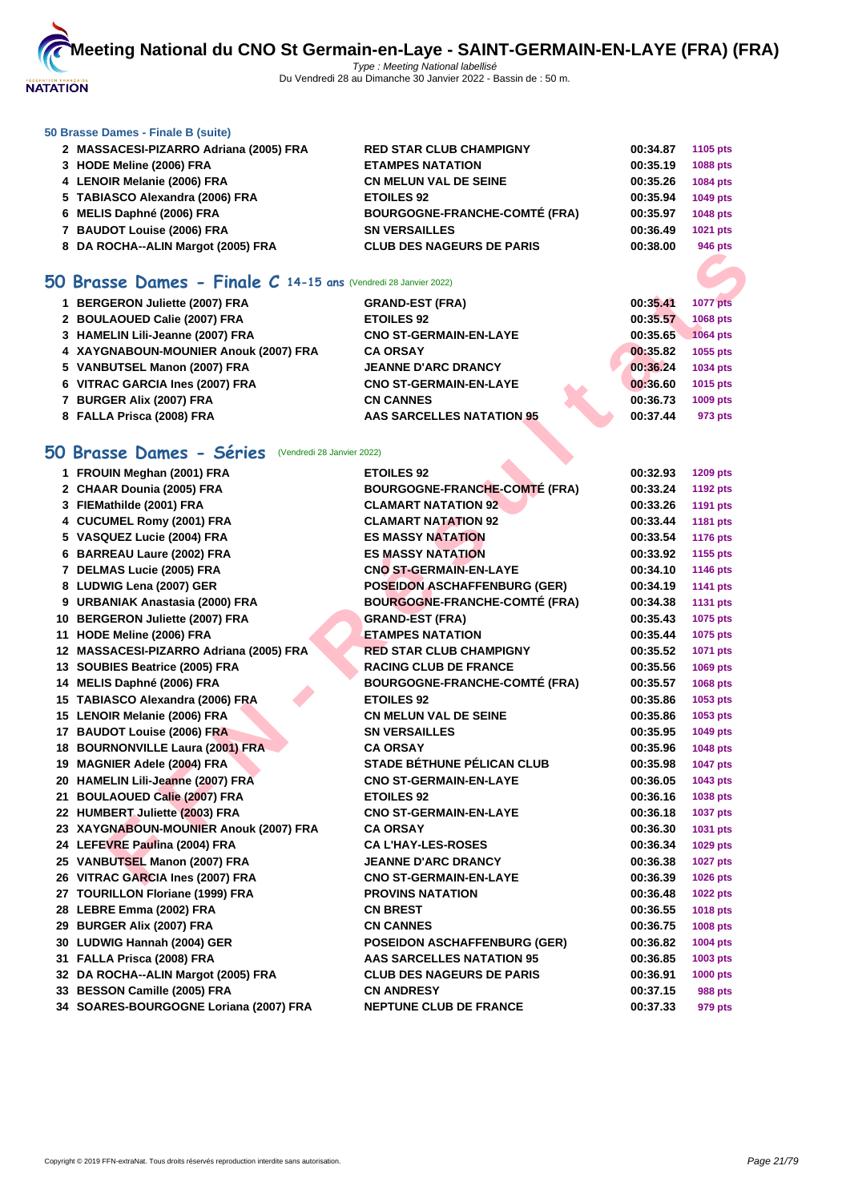

#### **[50 Brasse](http://www.ffnatation.fr/webffn/index.php) Dames - Finale B (suite)**

| 2 MASSACESI-PIZARRO Adriana (2005) FRA | <b>RED STAR CLUB CHAMPIGNY</b>       | 00:34.87 | 1105 pts        |
|----------------------------------------|--------------------------------------|----------|-----------------|
| 3 HODE Meline (2006) FRA               | <b>ETAMPES NATATION</b>              | 00:35.19 | <b>1088 pts</b> |
| 4 LENOIR Melanie (2006) FRA            | <b>CN MELUN VAL DE SEINE</b>         | 00:35.26 | 1084 pts        |
| 5 TABIASCO Alexandra (2006) FRA        | <b>ETOILES 92</b>                    | 00:35.94 | 1049 pts        |
| 6 MELIS Daphné (2006) FRA              | <b>BOURGOGNE-FRANCHE-COMTÉ (FRA)</b> | 00:35.97 | <b>1048 pts</b> |
| 7 BAUDOT Louise (2006) FRA             | <b>SN VERSAILLES</b>                 | 00:36.49 | 1021 pts        |
| 8 DA ROCHA--ALIN Margot (2005) FRA     | <b>CLUB DES NAGEURS DE PARIS</b>     | 00:38.00 | 946 pts         |
|                                        |                                      |          |                 |

## **50 Brasse Dames - Finale C 14-15 ans** (Vendredi 28 Janvier 2022)

| 1 BERGERON Juliette (2007) FRA        | <b>GRAND-EST (FRA)</b>        | 00:35.41 | <b>1077 pts</b> |
|---------------------------------------|-------------------------------|----------|-----------------|
| 2 BOULAOUED Calie (2007) FRA          | <b>ETOILES 92</b>             | 00:35.57 | 1068 pts        |
| 3 HAMELIN Lili-Jeanne (2007) FRA      | <b>CNO ST-GERMAIN-EN-LAYE</b> | 00:35.65 | 1064 pts        |
| 4 XAYGNABOUN-MOUNIER Anouk (2007) FRA | <b>CA ORSAY</b>               | 00:35.82 | 1055 pts        |
| 5 VANBUTSEL Manon (2007) FRA          | <b>JEANNE D'ARC DRANCY</b>    | 00:36.24 | 1034 pts        |
| 6 VITRAC GARCIA Ines (2007) FRA       | <b>CNO ST-GERMAIN-EN-LAYE</b> | 00:36.60 | 1015 pts        |
| 7 BURGER Alix (2007) FRA              | <b>CN CANNES</b>              | 00:36.73 | 1009 pts        |
| 8 FALLA Prisca (2008) FRA             | AAS SARCELLES NATATION 95     | 00:37.44 | 973 pts         |

## **50 Brasse Dames - Séries** (Vendredi 28 Janvier 2022)

| $\sigma$ DA NOCHA-ALIN Margor (2003) FMA                       | ו שט שאטשריט א                       |          | ວຯບ µເວ         |
|----------------------------------------------------------------|--------------------------------------|----------|-----------------|
| O Brasse Dames - Finale C 14-15 ans (Vendredi 28 Janvier 2022) |                                      |          |                 |
|                                                                |                                      |          |                 |
| 1 BERGERON Juliette (2007) FRA                                 | <b>GRAND-EST (FRA)</b>               | 00:35.41 | <b>1077 pts</b> |
| 2 BOULAOUED Calie (2007) FRA                                   | <b>ETOILES 92</b>                    | 00:35.57 | 1068 pts        |
| 3 HAMELIN Lili-Jeanne (2007) FRA                               | <b>CNO ST-GERMAIN-EN-LAYE</b>        | 00:35.65 | 1064 pts        |
| 4 XAYGNABOUN-MOUNIER Anouk (2007) FRA                          | <b>CA ORSAY</b>                      | 00:35.82 | 1055 pts        |
| 5 VANBUTSEL Manon (2007) FRA                                   | <b>JEANNE D'ARC DRANCY</b>           | 00:36.24 | 1034 pts        |
| 6 VITRAC GARCIA Ines (2007) FRA                                | <b>CNO ST-GERMAIN-EN-LAYE</b>        | 00:36.60 | 1015 pts        |
| 7 BURGER Alix (2007) FRA                                       | <b>CN CANNES</b>                     | 00:36.73 | 1009 pts        |
| 8 FALLA Prisca (2008) FRA                                      | AAS SARCELLES NATATION 95            | 00:37.44 | 973 pts         |
| O Brasse Dames - Séries (Vendredi 28 Janvier 2022)             |                                      |          |                 |
| 1 FROUIN Meghan (2001) FRA                                     | <b>ETOILES 92</b>                    | 00:32.93 | 1209 pts        |
| 2 CHAAR Dounia (2005) FRA                                      | <b>BOURGOGNE-FRANCHE-COMTÉ (FRA)</b> | 00:33.24 | <b>1192 pts</b> |
| 3 FIEMathilde (2001) FRA                                       | <b>CLAMART NATATION 92</b>           | 00:33.26 | 1191 pts        |
| 4 CUCUMEL Romy (2001) FRA                                      | <b>CLAMART NATATION 92</b>           | 00:33.44 | 1181 pts        |
| 5 VASQUEZ Lucie (2004) FRA                                     | <b>ES MASSY NATATION</b>             | 00:33.54 | <b>1176 pts</b> |
| 6 BARREAU Laure (2002) FRA                                     | <b>ES MASSY NATATION</b>             | 00:33.92 | 1155 pts        |
| 7 DELMAS Lucie (2005) FRA                                      | <b>CNO ST-GERMAIN-EN-LAYE</b>        | 00:34.10 | 1146 pts        |
| 8 LUDWIG Lena (2007) GER                                       | <b>POSEIDON ASCHAFFENBURG (GER)</b>  | 00:34.19 | 1141 pts        |
| 9 URBANIAK Anastasia (2000) FRA                                | <b>BOURGOGNE-FRANCHE-COMTÉ (FRA)</b> | 00:34.38 | <b>1131 pts</b> |
| 10 BERGERON Juliette (2007) FRA                                | <b>GRAND-EST (FRA)</b>               | 00:35.43 | 1075 pts        |
| 11 HODE Meline (2006) FRA                                      | <b>ETAMPES NATATION</b>              | 00:35.44 | 1075 pts        |
| 12 MASSACESI-PIZARRO Adriana (2005) FRA                        | <b>RED STAR CLUB CHAMPIGNY</b>       | 00:35.52 | 1071 pts        |
| 13 SOUBIES Beatrice (2005) FRA                                 | <b>RACING CLUB DE FRANCE</b>         | 00:35.56 | 1069 pts        |
| 14 MELIS Daphné (2006) FRA                                     | <b>BOURGOGNE-FRANCHE-COMTÉ (FRA)</b> | 00:35.57 | 1068 pts        |
| 15 TABIASCO Alexandra (2006) FRA                               | <b>ETOILES 92</b>                    | 00:35.86 | 1053 pts        |
| 15 LENOIR Melanie (2006) FRA                                   | <b>CN MELUN VAL DE SEINE</b>         | 00:35.86 | 1053 pts        |
| 17 BAUDOT Louise (2006) FRA                                    | <b>SN VERSAILLES</b>                 | 00:35.95 | 1049 pts        |
| 18 BOURNONVILLE Laura (2001) FRA                               | <b>CA ORSAY</b>                      | 00:35.96 | 1048 pts        |
| 19 MAGNIER Adele (2004) FRA                                    | <b>STADE BÉTHUNE PÉLICAN CLUB</b>    | 00:35.98 | 1047 pts        |
| 20 HAMELIN Lili-Jeanne (2007) FRA                              | <b>CNO ST-GERMAIN-EN-LAYE</b>        | 00:36.05 | 1043 pts        |
| 21 BOULAOUED Calie (2007) FRA                                  | <b>ETOILES 92</b>                    | 00:36.16 | 1038 pts        |
| 22 HUMBERT Juliette (2003) FRA                                 | <b>CNO ST-GERMAIN-EN-LAYE</b>        | 00:36.18 | <b>1037 pts</b> |
| 23 XAYGNABOUN-MOUNIER Anouk (2007) FRA                         | <b>CA ORSAY</b>                      | 00:36.30 | 1031 pts        |
| 24 LEFEVRE Paulina (2004) FRA                                  | <b>CA L'HAY-LES-ROSES</b>            | 00:36.34 | 1029 pts        |
| 25 VANBUTSEL Manon (2007) FRA                                  | <b>JEANNE D'ARC DRANCY</b>           | 00:36.38 | <b>1027 pts</b> |
| 26 VITRAC GARCIA Ines (2007) FRA                               | <b>CNO ST-GERMAIN-EN-LAYE</b>        | 00:36.39 | 1026 pts        |
| 27 TOURILLON Floriane (1999) FRA                               | <b>PROVINS NATATION</b>              | 00:36.48 | <b>1022 pts</b> |
| 28 LEBRE Emma (2002) FRA                                       | <b>CN BREST</b>                      | 00:36.55 | 1018 pts        |
| 29 BURGER Alix (2007) FRA                                      | <b>CN CANNES</b>                     | 00:36.75 |                 |
|                                                                |                                      |          | 1008 pts        |
| 30 LUDWIG Hannah (2004) GER                                    | <b>POSEIDON ASCHAFFENBURG (GER)</b>  | 00:36.82 | 1004 pts        |
| 31 FALLA Prisca (2008) FRA                                     | AAS SARCELLES NATATION 95            | 00:36.85 | 1003 pts        |
| 32 DA ROCHA--ALIN Margot (2005) FRA                            | <b>CLUB DES NAGEURS DE PARIS</b>     | 00:36.91 | 1000 pts        |
| 33 BESSON Camille (2005) FRA                                   | <b>CN ANDRESY</b>                    | 00:37.15 | <b>988 pts</b>  |
| 34 SOARES-BOURGOGNE Loriana (2007) FRA                         | <b>NEPTUNE CLUB DE FRANCE</b>        | 00:37.33 | 979 pts         |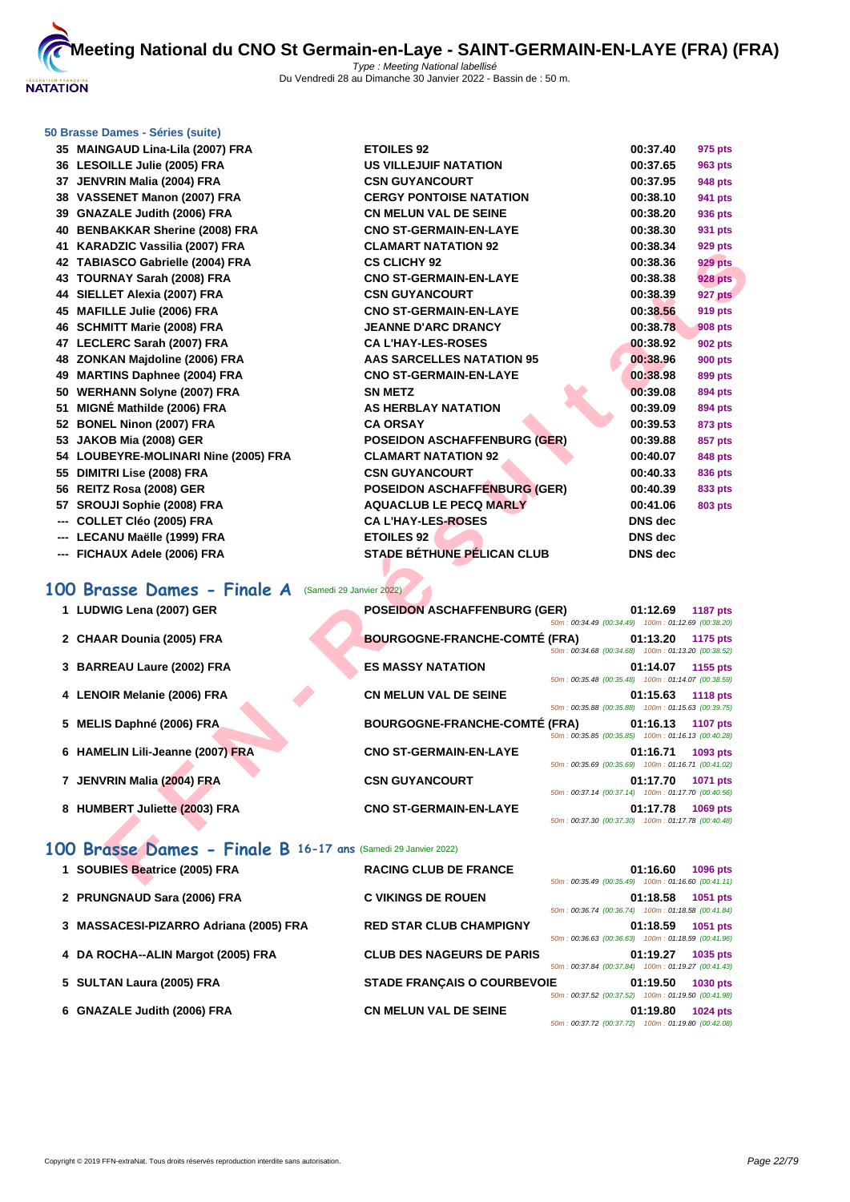

#### **[50 Brasse](http://www.ffnatation.fr/webffn/index.php) Dames - Séries (suite)**

| 35 MAINGAUD Lina-Lila (2007) FRA                              | <b>ETOILES 92</b>                    |                                                     | 00:37.40       | 975 pts         |
|---------------------------------------------------------------|--------------------------------------|-----------------------------------------------------|----------------|-----------------|
| 36 LESOILLE Julie (2005) FRA                                  | US VILLEJUIF NATATION                |                                                     | 00:37.65       | 963 pts         |
| 37 JENVRIN Malia (2004) FRA                                   | <b>CSN GUYANCOURT</b>                |                                                     | 00:37.95       | <b>948 pts</b>  |
| 38 VASSENET Manon (2007) FRA                                  | <b>CERGY PONTOISE NATATION</b>       |                                                     | 00:38.10       | 941 pts         |
| 39 GNAZALE Judith (2006) FRA                                  | <b>CN MELUN VAL DE SEINE</b>         |                                                     | 00:38.20       | 936 pts         |
| 40 BENBAKKAR Sherine (2008) FRA                               | <b>CNO ST-GERMAIN-EN-LAYE</b>        |                                                     | 00:38.30       | 931 pts         |
| 41 KARADZIC Vassilia (2007) FRA                               | <b>CLAMART NATATION 92</b>           |                                                     | 00:38.34       | <b>929 pts</b>  |
| 42 TABIASCO Gabrielle (2004) FRA                              | <b>CS CLICHY 92</b>                  |                                                     | 00:38.36       | <b>929 pts</b>  |
| 43 TOURNAY Sarah (2008) FRA                                   | <b>CNO ST-GERMAIN-EN-LAYE</b>        |                                                     | 00:38.38       | <b>928 pts</b>  |
| 44 SIELLET Alexia (2007) FRA                                  | <b>CSN GUYANCOURT</b>                |                                                     | 00:38.39       | 927 pts         |
| 45 MAFILLE Julie (2006) FRA                                   | <b>CNO ST-GERMAIN-EN-LAYE</b>        |                                                     | 00:38.56       | <b>919 pts</b>  |
| 46 SCHMITT Marie (2008) FRA                                   | <b>JEANNE D'ARC DRANCY</b>           |                                                     | 00:38.78       | <b>908 pts</b>  |
| 47 LECLERC Sarah (2007) FRA                                   | <b>CAL'HAY-LES-ROSES</b>             |                                                     | 00:38.92       | <b>902 pts</b>  |
| 48 ZONKAN Majdoline (2006) FRA                                | AAS SARCELLES NATATION 95            |                                                     | 00:38.96       | <b>900 pts</b>  |
| 49 MARTINS Daphnee (2004) FRA                                 | <b>CNO ST-GERMAIN-EN-LAYE</b>        |                                                     | 00:38.98       | 899 pts         |
| 50 WERHANN Solyne (2007) FRA                                  | <b>SN METZ</b>                       |                                                     | 00:39.08       | 894 pts         |
| 51 MIGNÉ Mathilde (2006) FRA                                  | <b>AS HERBLAY NATATION</b>           |                                                     | 00:39.09       | 894 pts         |
| 52 BONEL Ninon (2007) FRA                                     | <b>CA ORSAY</b>                      |                                                     | 00:39.53       | 873 pts         |
| 53 JAKOB Mia (2008) GER                                       | <b>POSEIDON ASCHAFFENBURG (GER)</b>  |                                                     | 00:39.88       | 857 pts         |
| 54 LOUBEYRE-MOLINARI Nine (2005) FRA                          | <b>CLAMART NATATION 92</b>           |                                                     | 00:40.07       | 848 pts         |
| 55 DIMITRI Lise (2008) FRA                                    | <b>CSN GUYANCOURT</b>                |                                                     | 00:40.33       | 836 pts         |
| 56 REITZ Rosa (2008) GER                                      | <b>POSEIDON ASCHAFFENBURG (GER)</b>  |                                                     | 00:40.39       | 833 pts         |
| 57 SROUJI Sophie (2008) FRA                                   | <b>AQUACLUB LE PECQ MARLY</b>        |                                                     | 00:41.06       | <b>803 pts</b>  |
| --- COLLET Cléo (2005) FRA                                    | <b>CA L'HAY-LES-ROSES</b>            |                                                     | <b>DNS</b> dec |                 |
| --- LECANU Maëlle (1999) FRA                                  | <b>ETOILES 92</b>                    |                                                     | <b>DNS</b> dec |                 |
| --- FICHAUX Adele (2006) FRA                                  | <b>STADE BÉTHUNE PÉLICAN CLUB</b>    |                                                     | <b>DNS</b> dec |                 |
|                                                               |                                      |                                                     |                |                 |
| 00 Brasse Dames - Finale A<br>(Samedi 29 Janvier 2022)        |                                      |                                                     |                |                 |
| 1 LUDWIG Lena (2007) GER                                      | <b>POSEIDON ASCHAFFENBURG (GER)</b>  |                                                     | 01:12.69       | <b>1187 pts</b> |
|                                                               |                                      | 50m: 00:34.49 (00:34.49) 100m: 01:12.69 (00:38.20)  |                |                 |
| 2 CHAAR Dounia (2005) FRA                                     | <b>BOURGOGNE-FRANCHE-COMTÉ (FRA)</b> |                                                     | 01:13.20       | 1175 pts        |
|                                                               |                                      | 50m: 00:34.68 (00:34.68) 100m: 01:13.20 (00:38.52)  |                |                 |
| 3 BARREAU Laure (2002) FRA                                    | <b>ES MASSY NATATION</b>             |                                                     | 01:14.07       | 1155 pts        |
|                                                               |                                      | 50m: 00:35.48 (00:35.48) 100m: 01:14.07 (00:38.59)  |                |                 |
| 4 LENOIR Melanie (2006) FRA                                   | <b>CN MELUN VAL DE SEINE</b>         | 50m: 00:35.88 (00:35.88) 100m: 01:15.63 (00:39.75)  | 01:15.63       | <b>1118 pts</b> |
| 5 MELIS Daphné (2006) FRA                                     | <b>BOURGOGNE-FRANCHE-COMTÉ (FRA)</b> |                                                     | 01:16.13       | <b>1107 pts</b> |
|                                                               |                                      | 50m: 00:35.85 (00:35.85)  100m: 01:16.13 (00:40.28) |                |                 |
| 6 HAMELIN Lili-Jeanne (2007) FRA                              | <b>CNO ST-GERMAIN-EN-LAYE</b>        |                                                     | 01:16.71       | 1093 pts        |
|                                                               |                                      | 50m: 00:35.69 (00:35.69) 100m: 01:16.71 (00:41.02)  |                |                 |
| 7 JENVRIN Malia (2004) FRA                                    | <b>CSN GUYANCOURT</b>                |                                                     | 01:17.70       | 1071 pts        |
|                                                               | <b>CNO ST-GERMAIN-EN-LAYE</b>        | 50m: 00:37.14 (00:37.14) 100m: 01:17.70 (00:40.56)  |                |                 |
| 8 HUMBERT Juliette (2003) FRA                                 |                                      | 50m: 00:37.30 (00:37.30) 100m: 01:17.78 (00:40.48)  | 01:17.78       | <b>1069 pts</b> |
|                                                               |                                      |                                                     |                |                 |
| 00 Brasse Dames - Finale B 16-17 ans (Samedi 29 Janvier 2022) |                                      |                                                     |                |                 |
| 1 SOUBIES Beatrice (2005) FRA                                 | <b>RACING CLUB DE FRANCE</b>         |                                                     | 01:16.60       | 1096 pts        |
|                                                               |                                      | 50m: 00:35.49 (00:35.49) 100m: 01:16.60 (00:41.11)  |                |                 |

# 100 Brasse Dames - Finale A (Samedi 29 Janvier 2022)

| 1 LUDWIG Lena (2007) GER         | <b>POSEIDON ASCHAFFENBURG (GER)</b>  |                                                                                                          | 01:12.69 | <b>1187 pts</b> |
|----------------------------------|--------------------------------------|----------------------------------------------------------------------------------------------------------|----------|-----------------|
| 2 CHAAR Dounia (2005) FRA        | <b>BOURGOGNE-FRANCHE-COMTÉ (FRA)</b> | 50m: 00:34.49 (00:34.49) 100m: 01:12.69 (00:38.20)<br>50m: 00:34.68 (00:34.68) 100m: 01:13.20 (00:38.52) | 01:13.20 | 1175 pts        |
| 3 BARREAU Laure (2002) FRA       | <b>ES MASSY NATATION</b>             | 50m: 00:35.48 (00:35.48) 100m: 01:14.07 (00:38.59)                                                       | 01:14.07 | 1155 pts        |
| 4 LENOIR Melanie (2006) FRA      | <b>CN MELUN VAL DE SEINE</b>         | 50m: 00:35.88 (00:35.88) 100m: 01:15.63 (00:39.75)                                                       | 01:15.63 | <b>1118 pts</b> |
| 5 MELIS Daphné (2006) FRA        | <b>BOURGOGNE-FRANCHE-COMTÉ (FRA)</b> | 50m: 00:35.85 (00:35.85) 100m: 01:16.13 (00:40.28)                                                       | 01:16.13 | <b>1107 pts</b> |
| 6 HAMELIN Lili-Jeanne (2007) FRA | <b>CNO ST-GERMAIN-EN-LAYE</b>        | 50m: 00:35.69 (00:35.69) 100m: 01:16.71 (00:41.02)                                                       | 01:16.71 | 1093 pts        |
| 7 JENVRIN Malia (2004) FRA       | <b>CSN GUYANCOURT</b>                | 50m: 00:37.14 (00:37.14) 100m: 01:17.70 (00:40.56)                                                       | 01:17.70 | <b>1071 pts</b> |
| 8 HUMBERT Juliette (2003) FRA    | <b>CNO ST-GERMAIN-EN-LAYE</b>        | 50m: 00:37.30 (00:37.30) 100m: 01:17.78 (00:40.48)                                                       | 01:17.78 | 1069 pts        |

## **100 Brasse Dames - Finale B 16-17 ans** (Samedi 29 Janvier 2022)

| 1 SOUBIES Beatrice (2005) FRA          | <b>RACING CLUB DE FRANCE</b>       | 50m: 00:35.49 (00:35.49) 100m: 01:16.60 (00:41.11) | 01:16.60 | <b>1096 pts</b> |
|----------------------------------------|------------------------------------|----------------------------------------------------|----------|-----------------|
| 2 PRUNGNAUD Sara (2006) FRA            | <b>C VIKINGS DE ROUEN</b>          | 50m: 00:36.74 (00:36.74) 100m: 01:18.58 (00:41.84) | 01:18.58 | 1051 pts        |
| 3 MASSACESI-PIZARRO Adriana (2005) FRA | <b>RED STAR CLUB CHAMPIGNY</b>     | 50m: 00:36.63 (00:36.63) 100m: 01:18.59 (00:41.96) | 01:18.59 | 1051 pts        |
| 4 DA ROCHA--ALIN Margot (2005) FRA     | <b>CLUB DES NAGEURS DE PARIS</b>   | 50m: 00:37.84 (00:37.84) 100m: 01:19.27 (00:41.43) | 01:19.27 | 1035 pts        |
| 5 SULTAN Laura (2005) FRA              | <b>STADE FRANCAIS O COURBEVOIE</b> | 50m: 00:37.52 (00:37.52) 100m: 01:19.50 (00:41.98) | 01:19.50 | 1030 pts        |
| 6 GNAZALE Judith (2006) FRA            | <b>CN MELUN VAL DE SEINE</b>       | 50m: 00:37.72 (00:37.72) 100m: 01:19.80 (00:42.08) | 01:19.80 | <b>1024 pts</b> |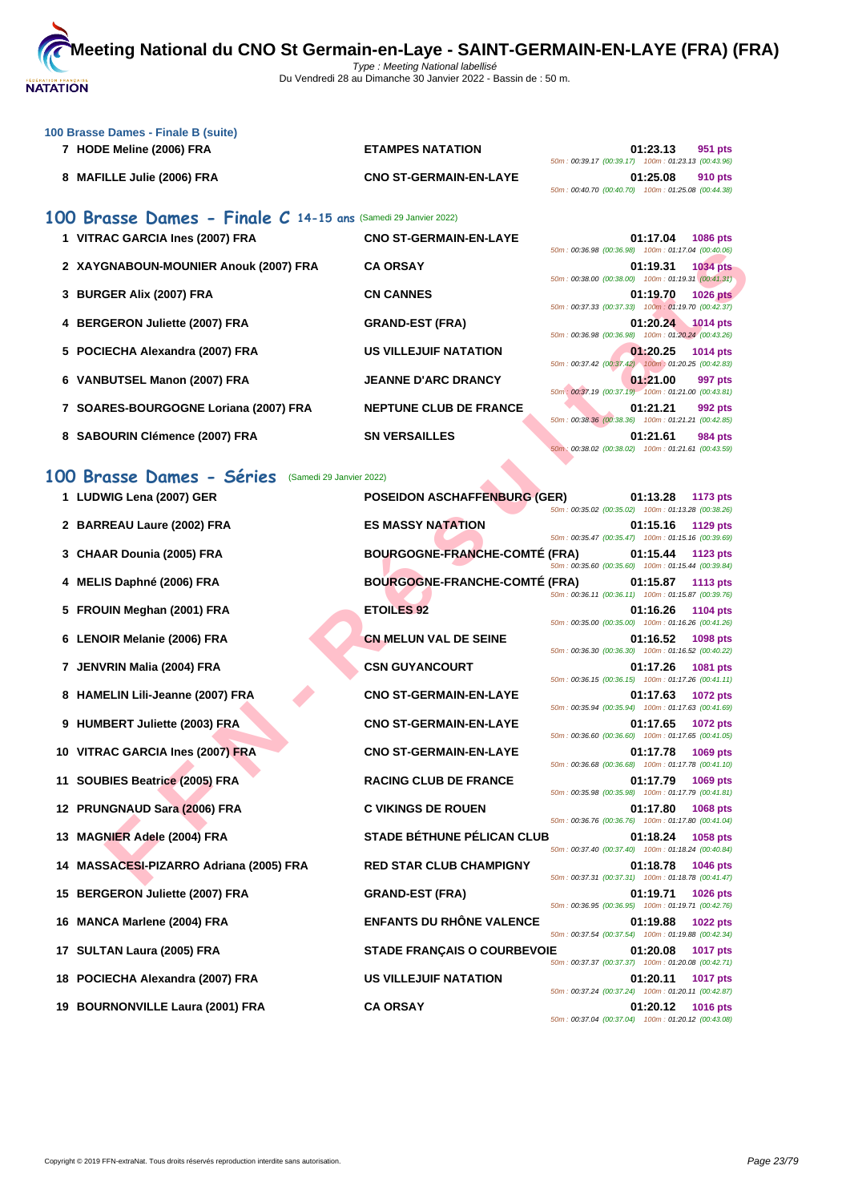

| 100 Brasse Dames - Finale B (suite)                              |                               |                                                                                   |
|------------------------------------------------------------------|-------------------------------|-----------------------------------------------------------------------------------|
| 7 HODE Meline (2006) FRA                                         | <b>ETAMPES NATATION</b>       | 01:23.13<br>951 pts<br>50m: 00:39.17 (00:39.17) 100m: 01:23.13 (00:43.96)         |
| 8 MAFILLE Julie (2006) FRA                                       | <b>CNO ST-GERMAIN-EN-LAYE</b> | 01:25.08<br>910 pts<br>50m: 00:40.70 (00:40.70) 100m: 01:25.08 (00:44.38)         |
| 100 Brasse Dames - Finale $C$ 14-15 ans (Samedi 29 Janvier 2022) |                               |                                                                                   |
| 1 VITRAC GARCIA Ines (2007) FRA                                  | <b>CNO ST-GERMAIN-EN-LAYE</b> | 01:17.04<br><b>1086 pts</b><br>50m: 00:36.98 (00:36.98) 100m: 01:17.04 (00:40.06) |
| 2 XAYGNABOUN-MOUNIER Anouk (2007) FRA                            | <b>CA ORSAY</b>               | 01:19.31 1034 pts<br>50m: 00:38.00 (00:38.00) 100m: 01:19.31 (00:41.31)           |
| 3 BURGER Alix (2007) FRA                                         | <b>CN CANNES</b>              | 01:19.70<br><b>1026 pts</b><br>50m: 00:37.33 (00:37.33) 100m: 01:19.70 (00:42.37) |
| 4 BERGERON Juliette (2007) FRA                                   | <b>GRAND-EST (FRA)</b>        | 01:20.24 1014 pts<br>50m: 00:36.98 (00:36.98) 100m: 01:20.24 (00:43.26)           |
| 5 POCIECHA Alexandra (2007) FRA                                  | <b>US VILLEJUIF NATATION</b>  | 01:20.25<br>1014 pts<br>50m: 00:37.42 (00:37.42) 100m: 01:20.25 (00:42.83)        |
| 6 VANBUTSEL Manon (2007) FRA                                     | <b>JEANNE D'ARC DRANCY</b>    | 01:21.00<br>997 pts<br>50m: 00:37.19 (00:37.19) 100m: 01:21.00 (00:43.81)         |
| 7 SOARES-BOURGOGNE Loriana (2007) FRA                            | <b>NEPTUNE CLUB DE FRANCE</b> | 01:21.21<br>992 pts<br>50m: 00:38.36 (00:38.36) 100m: 01:21.21 (00:42.85)         |
| 8 SABOURIN Clémence (2007) FRA                                   | <b>SN VERSAILLES</b>          | 01:21.61<br>984 pts<br>50m; 00:38.02 (00:38.02) 100m: 01:21.61 (00:43.59)         |
|                                                                  | $\blacktriangle$              |                                                                                   |

# **100 Brasse Dames - Séries** (Samedi 29 Janvier 2022)

|                                                      |                                      | 50m: 00:36.98 (00:36.98) 100m: 01:17.04 (00:40.06)                                |
|------------------------------------------------------|--------------------------------------|-----------------------------------------------------------------------------------|
| 2 XAYGNABOUN-MOUNIER Anouk (2007) FRA                | <b>CA ORSAY</b>                      | 01:19.31<br>1034 pts<br>50m: 00:38.00 (00:38.00) 100m: 01:19.31 (00:41.31)        |
| 3 BURGER Alix (2007) FRA                             | <b>CN CANNES</b>                     | 01:19.70<br><b>1026 pts</b><br>50m: 00:37.33 (00:37.33) 100m: 01:19.70 (00:42.37) |
| 4 BERGERON Juliette (2007) FRA                       | <b>GRAND-EST (FRA)</b>               | 01:20.24<br><b>1014 pts</b><br>50m: 00:36.98 (00:36.98) 100m: 01:20.24 (00:43.26) |
| 5 POCIECHA Alexandra (2007) FRA                      | <b>US VILLEJUIF NATATION</b>         | 01:20.25<br>1014 pts                                                              |
| 6 VANBUTSEL Manon (2007) FRA                         | <b>JEANNE D'ARC DRANCY</b>           | 50m: 00:37.42 (00:37.42) 100m: 01:20.25 (00:42.83)<br>01:21.00<br>997 pts         |
| 7 SOARES-BOURGOGNE Loriana (2007) FRA                | <b>NEPTUNE CLUB DE FRANCE</b>        | 50m: 00:37.19 (00:37.19) 100m: 01:21.00 (00:43.81)<br>01:21.21<br>992 pts         |
| 8 SABOURIN Clémence (2007) FRA                       | <b>SN VERSAILLES</b>                 | 50m: 00:38.36 (00:38.36) 100m: 01:21.21 (00:42.85)<br>01:21.61<br>984 pts         |
|                                                      |                                      | 50m: 00:38.02 (00:38.02) 100m: 01:21.61 (00:43.59)                                |
| 00 Brasse Dames - Séries<br>(Samedi 29 Janvier 2022) |                                      |                                                                                   |
| 1 LUDWIG Lena (2007) GER                             | <b>POSEIDON ASCHAFFENBURG (GER)</b>  | 01:13.28<br>1173 pts                                                              |
|                                                      |                                      | 50m: 00:35.02 (00:35.02) 100m: 01:13.28 (00:38.26)                                |
| 2 BARREAU Laure (2002) FRA                           | <b>ES MASSY NATATION</b>             | 01:15.16<br>1129 pts<br>50m: 00:35.47 (00:35.47) 100m: 01:15.16 (00:39.69)        |
| 3 CHAAR Dounia (2005) FRA                            | <b>BOURGOGNE-FRANCHE-COMTÉ (FRA)</b> | 01:15.44<br>1123 pts<br>50m: 00:35.60 (00:35.60) 100m: 01:15.44 (00:39.84)        |
| 4 MELIS Daphné (2006) FRA                            | <b>BOURGOGNE-FRANCHE-COMTÉ (FRA)</b> | 01:15.87<br>1113 pts<br>50m: 00:36.11 (00:36.11) 100m: 01:15.87 (00:39.76)        |
| 5 FROUIN Meghan (2001) FRA                           | <b>ETOILES 92</b>                    | 01:16.26<br>1104 pts<br>50m: 00:35.00 (00:35.00) 100m: 01:16.26 (00:41.26)        |
| 6 LENOIR Melanie (2006) FRA                          | <b>CN MELUN VAL DE SEINE</b>         | 01:16.52<br>1098 pts<br>50m: 00:36.30 (00:36.30) 100m: 01:16.52 (00:40.22)        |
| 7 JENVRIN Malia (2004) FRA                           | <b>CSN GUYANCOURT</b>                | 01:17.26<br>1081 pts<br>50m: 00:36.15 (00:36.15) 100m: 01:17.26 (00:41.11)        |
| 8 HAMELIN Lili-Jeanne (2007) FRA                     | <b>CNO ST-GERMAIN-EN-LAYE</b>        | 01:17.63<br>1072 pts                                                              |
| 9 HUMBERT Juliette (2003) FRA                        | <b>CNO ST-GERMAIN-EN-LAYE</b>        | 50m: 00:35.94 (00:35.94) 100m: 01:17.63 (00:41.69)<br>01:17.65<br>1072 pts        |
| 10 VITRAC GARCIA Ines (2007) FRA                     | <b>CNO ST-GERMAIN-EN-LAYE</b>        | 50m: 00:36.60 (00:36.60) 100m: 01:17.65 (00:41.05)<br>01:17.78<br>1069 pts        |
| 11 SOUBIES Beatrice (2005) FRA                       | <b>RACING CLUB DE FRANCE</b>         | 50m: 00:36.68 (00:36.68) 100m: 01:17.78 (00:41.10)<br>01:17.79<br>1069 pts        |
|                                                      |                                      | 50m: 00:35.98 (00:35.98) 100m: 01:17.79 (00:41.81)                                |
| 12 PRUNGNAUD Sara (2006) FRA                         | <b>C VIKINGS DE ROUEN</b>            | 01:17.80<br>1068 pts<br>50m: 00:36.76 (00:36.76) 100m: 01:17.80 (00:41.04)        |
| 13 MAGNIER Adele (2004) FRA                          | <b>STADE BÉTHUNE PÉLICAN CLUB</b>    | 01:18.24<br>1058 pts<br>50m: 00:37.40 (00:37.40) 100m: 01:18.24 (00:40.84)        |
| 14 MASSACESI-PIZARRO Adriana (2005) FRA              | <b>RED STAR CLUB CHAMPIGNY</b>       | 01:18.78<br><b>1046 pts</b><br>50m: 00:37.31 (00:37.31) 100m: 01:18.78 (00:41.47) |
| 15 BERGERON Juliette (2007) FRA                      | <b>GRAND-EST (FRA)</b>               | 01:19.71<br>1026 pts<br>50m: 00:36.95 (00:36.95) 100m: 01:19.71 (00:42.76)        |
| 16 MANCA Marlene (2004) FRA                          | <b>ENFANTS DU RHONE VALENCE</b>      | 01:19.88<br><b>1022 pts</b><br>50m: 00:37.54 (00:37.54) 100m: 01:19.88 (00:42.34) |
| 17 SULTAN Laura (2005) FRA                           | <b>STADE FRANÇAIS O COURBEVOIE</b>   | 01:20.08<br><b>1017 pts</b><br>50m: 00:37.37 (00:37.37) 100m: 01:20.08 (00:42.71) |
| 18 POCIECHA Alexandra (2007) FRA                     | <b>US VILLEJUIF NATATION</b>         | 01:20.11<br>1017 pts<br>50m: 00:37.24 (00:37.24) 100m: 01:20.11 (00:42.87)        |
| 19 BOURNONVILLE Laura (2001) FRA                     | <b>CA ORSAY</b>                      | 01:20.12<br><b>1016 pts</b><br>50m: 00:37.04 (00:37.04) 100m: 01:20.12 (00:43.08) |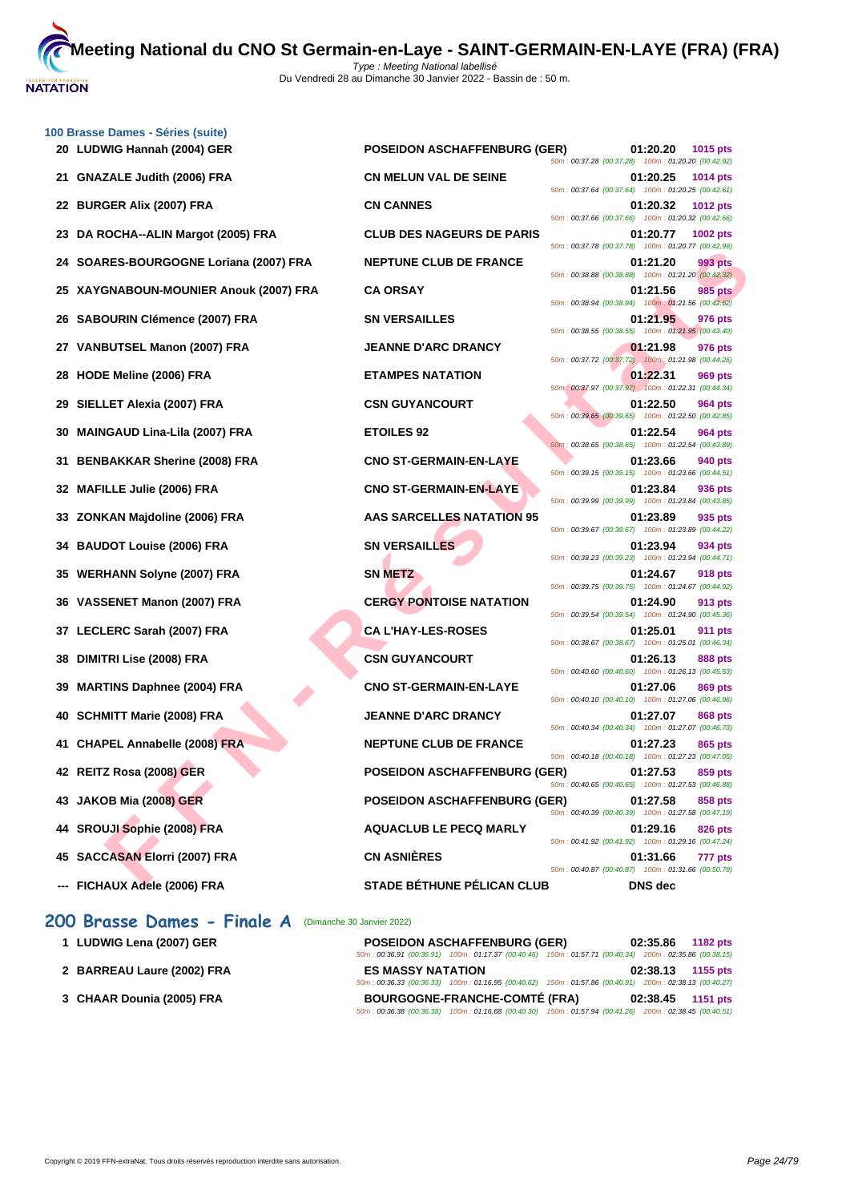**[100 Brass](http://www.ffnatation.fr/webffn/index.php)e Dames - Séries (suite)**

|    | 20 LUDWIG Hannah (2004) GER            | <b>POSEIDON ASCHAFFENBURG (GER)</b> | 50m: 00:37.28 (00:37.28) 100m: 01:20.20 (00:42.92) | 01:20.20 | 1015 pts        |
|----|----------------------------------------|-------------------------------------|----------------------------------------------------|----------|-----------------|
|    | 21 GNAZALE Judith (2006) FRA           | <b>CN MELUN VAL DE SEINE</b>        | 50m: 00:37.64 (00:37.64) 100m: 01:20.25 (00:42.61) | 01:20.25 | <b>1014 pts</b> |
|    | 22 BURGER Alix (2007) FRA              | <b>CN CANNES</b>                    | 50m: 00:37.66 (00:37.66) 100m: 01:20.32 (00:42.66) | 01:20.32 | <b>1012 pts</b> |
|    | 23 DA ROCHA--ALIN Margot (2005) FRA    | <b>CLUB DES NAGEURS DE PARIS</b>    | 50m: 00:37.78 (00:37.78) 100m: 01:20.77 (00:42.99) | 01:20.77 | 1002 pts        |
|    | 24 SOARES-BOURGOGNE Loriana (2007) FRA | <b>NEPTUNE CLUB DE FRANCE</b>       | 50m: 00:38.88 (00:38.88) 100m: 01:21.20 (00:42.32) | 01:21.20 | 993 pts         |
|    | 25 XAYGNABOUN-MOUNIER Anouk (2007) FRA | <b>CA ORSAY</b>                     | 50m: 00:38.94 (00:38.94) 100m: 01:21.56 (00:42.62) | 01:21.56 | 985 pts         |
|    | 26 SABOURIN Clémence (2007) FRA        | <b>SN VERSAILLES</b>                |                                                    | 01:21.95 | 976 pts         |
|    | 27 VANBUTSEL Manon (2007) FRA          | <b>JEANNE D'ARC DRANCY</b>          | 50m: 00:38.55 (00:38.55) 100m: 01:21.95 (00:43.40) | 01:21.98 | 976 pts         |
|    | 28 HODE Meline (2006) FRA              | <b>ETAMPES NATATION</b>             | 50m: 00:37.72 (00:37.72) 100m: 01:21.98 (00:44.26) | 01:22.31 | 969 pts         |
|    | 29 SIELLET Alexia (2007) FRA           | <b>CSN GUYANCOURT</b>               | 50m: 00:37.97 (00:37.97) 100m: 01:22.31 (00:44.34) | 01:22.50 | 964 pts         |
|    | 30 MAINGAUD Lina-Lila (2007) FRA       | <b>ETOILES 92</b>                   | 50m: 00:39.65 (00:39.65) 100m: 01:22.50 (00:42.85) | 01:22.54 | 964 pts         |
|    | 31 BENBAKKAR Sherine (2008) FRA        | <b>CNO ST-GERMAIN-EN-LAYE</b>       | 50m: 00:38.65 (00:38.65) 100m: 01:22.54 (00:43.89) | 01:23.66 | 940 pts         |
|    | 32 MAFILLE Julie (2006) FRA            | <b>CNO ST-GERMAIN-EN-LAYE</b>       | 50m: 00:39.15 (00:39.15) 100m: 01:23.66 (00:44.51) | 01:23.84 | 936 pts         |
|    | 33 ZONKAN Majdoline (2006) FRA         | <b>AAS SARCELLES NATATION 95</b>    | 50m: 00:39.99 (00:39.99) 100m: 01:23.84 (00:43.85) | 01:23.89 | 935 pts         |
|    | 34 BAUDOT Louise (2006) FRA            | <b>SN VERSAILLES</b>                | 50m: 00:39.67 (00:39.67) 100m: 01:23.89 (00:44.22) | 01:23.94 | 934 pts         |
|    | 35 WERHANN Solyne (2007) FRA           | <b>SN METZ</b>                      | 50m: 00:39.23 (00:39.23) 100m: 01:23.94 (00:44.71) | 01:24.67 | 918 pts         |
|    | 36 VASSENET Manon (2007) FRA           | <b>CERGY PONTOISE NATATION</b>      | 50m: 00:39.75 (00:39.75) 100m: 01:24.67 (00:44.92) | 01:24.90 | 913 pts         |
|    | 37 LECLERC Sarah (2007) FRA            | <b>CA L'HAY-LES-ROSES</b>           | 50m: 00:39.54 (00:39.54) 100m: 01:24.90 (00:45.36) | 01:25.01 | 911 pts         |
|    | 38 DIMITRI Lise (2008) FRA             | <b>CSN GUYANCOURT</b>               | 50m: 00:38.67 (00:38.67) 100m: 01:25.01 (00:46.34) | 01:26.13 | <b>888 pts</b>  |
| 39 | <b>MARTINS Daphnee (2004) FRA</b>      | <b>CNO ST-GERMAIN-EN-LAYE</b>       | 50m: 00:40.60 (00:40.60) 100m: 01:26.13 (00:45.53) | 01:27.06 | 869 pts         |
|    | 40 SCHMITT Marie (2008) FRA            | <b>JEANNE D'ARC DRANCY</b>          | 50m: 00:40.10 (00:40.10) 100m: 01:27.06 (00:46.96) | 01:27.07 | 868 pts         |
|    | 41 CHAPEL Annabelle (2008) FRA         | <b>NEPTUNE CLUB DE FRANCE</b>       | 50m: 00:40.34 (00:40.34) 100m: 01:27.07 (00:46.73) | 01:27.23 | 865 pts         |
|    | 42   REITZ Rosa (2008) GER             | <b>POSEIDON ASCHAFFENBURG (GER)</b> | 50m: 00:40.18 (00:40.18) 100m: 01:27.23 (00:47.05) | 01:27.53 | 859 pts         |
|    | 43 JAKOB Mia (2008) GER                | <b>POSEIDON ASCHAFFENBURG (GER)</b> | 50m: 00:40.65 (00:40.65) 100m: 01:27.53 (00:46.88) | 01:27.58 | 858 pts         |
|    | 44 SROUJI Sophie (2008) FRA            | <b>AQUACLUB LE PECQ MARLY</b>       | 50m: 00:40.39 (00:40.39) 100m: 01:27.58 (00:47.19) | 01:29.16 | 826 pts         |
|    | 45 SACCASAN Elorri (2007) FRA          | <b>CN ASNIÈRES</b>                  | 50m: 00:41.92 (00:41.92) 100m: 01:29.16 (00:47.24) | 01:31.66 | 777 pts         |
|    | --- FICHAUX Adele (2006) FRA           | <b>STADE BÉTHUNE PÉLICAN CLUB</b>   | 50m: 00:40.87 (00:40.87) 100m: 01:31.66 (00:50.79) | DNS dec  |                 |
|    |                                        |                                     |                                                    |          |                 |

## **200 Brasse Dames - Finale A** (Dimanche 30 Janvier 2022)

| 1 LUDWIG Lena (2007) GER   | <b>POSEIDON ASCHAFFENBURG (GER)</b>                                                                    | 02:35.86 | 1182 pts |
|----------------------------|--------------------------------------------------------------------------------------------------------|----------|----------|
|                            | 50m: 00:36.91 (00:36.91) 100m: 01:17.37 (00:40.46) 150m: 01:57.71 (00:40.34) 200m: 02:35.86 (00:38.15) |          |          |
| 2 BARREAU Laure (2002) FRA | <b>ES MASSY NATATION</b>                                                                               | 02:38.13 | 1155 pts |
|                            | 50m: 00:36.33 (00:36.33) 100m: 01:16.95 (00:40.62) 150m: 01:57.86 (00:40.91) 200m: 02:38.13 (00:40.27) |          |          |
| 3 CHAAR Dounia (2005) FRA  | <b>BOURGOGNE-FRANCHE-COMTÉ (FRA)</b>                                                                   | 02:38.45 | 1151 pts |
|                            | 50m: 00:36.38 (00:36.38) 100m: 01:16.68 (00:40.30) 150m: 01:57.94 (00:41.26) 200m: 02:38.45 (00:40.51) |          |          |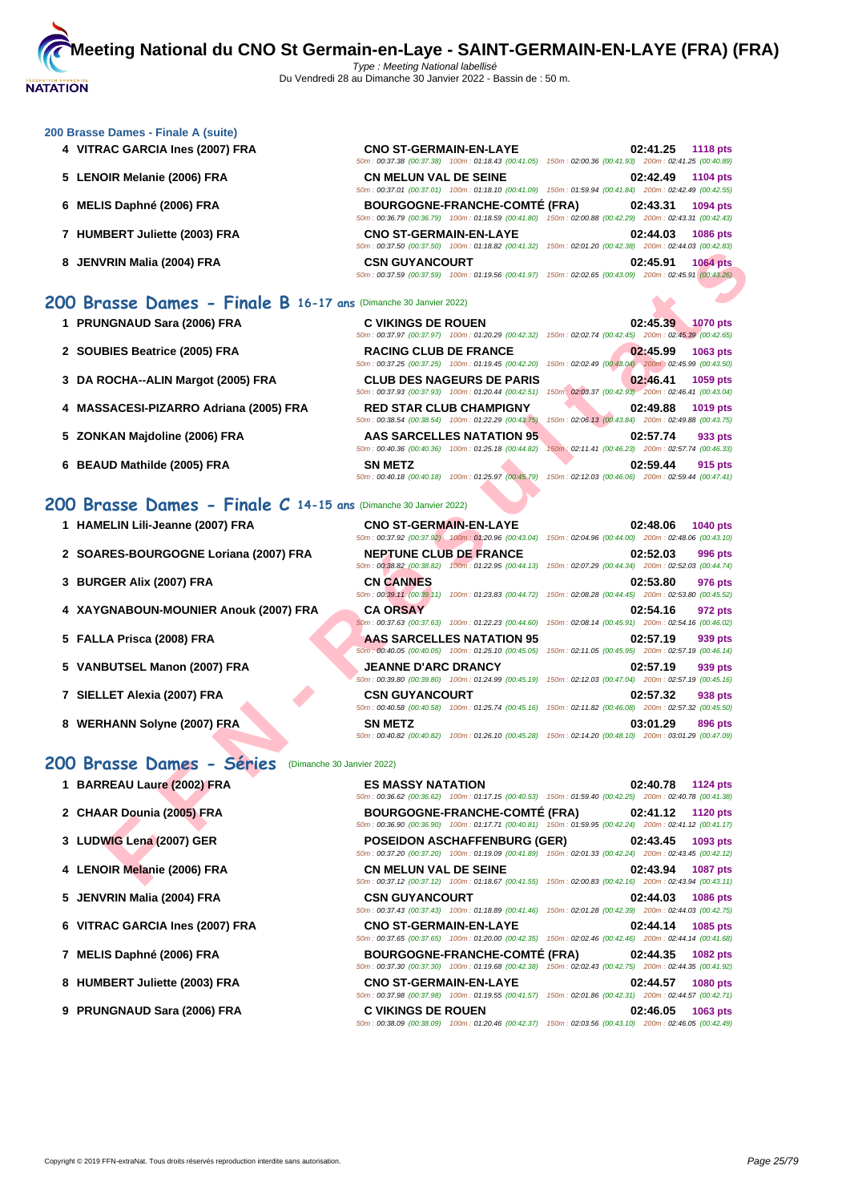#### **[200 Brass](http://www.ffnatation.fr/webffn/index.php)e Dames - Finale A (suite)**

- **4 VITRAC GARCIA Ines (2007) FRA**
- **5** LENOIR Melanie (2006) FRA
- **6 MELIS Daphné (2006) FRA**
- **7 HUMBERT Juliette (2003) FRA**
- **8 JENVRIN Malia (2004) FRA**

### **200 Brasse Dames - Finale B 16-17 ans** (Dimanche 30 Janvier 2022)

- 
- 
- 
- **4 MASSACESI-PIZARRO Adriana (2005) FRA RED STAR CLUB CHAMPIGNY 02:49.88 1019 pts**
- 
- **6 BEAUD Mathilde (2005) FRA SN METZ 02:59.44 915 pts**

#### **200 Brasse Dames - Finale C 14-15 ans** (Dimanche 30 Janvier 2022)

|  |  |  | 1 HAMELIN Lili-Jeanne (2007) FRA |  |  |  |
|--|--|--|----------------------------------|--|--|--|
|--|--|--|----------------------------------|--|--|--|

- **2** SOARES-BOURGOGNE Loriana (2007) FRA
- **3 BURGER Alix (2007) FRA**
- **4** XAYGNABOUN-MOUNIER Anouk (2007) FRA
- **5 FALLA Prisca (2008) FRA**
- **5 VANBUTSEL Manon (2007) FRA**
- **7** SIELLET Alexia (2007) FRA
- **8 WERHANN Solyne (2007) ERA**

#### **200 Brasse Dames - Séries** (Dimanche 30 Janvier 2022)

- **1 BARREAU Laure (2002) FRA ES MASSY NATATION 02:40.78 1124 pts**
- **2 CHAAR Dounia (2005) FRA BOURGOGNE-FRANCHE-COMTÉ (FRA) 02:41.12 1120 pts**
- **3 LUDWIG Lena (2007) GER POSEIDON ASCHAFFENBURG (GER) 02:43.45 1093 pts**
- **4 LENOIR Melanie (2006) FRA CN MELUN VAL DE SEINE 02:43.94 1087 pts**
- **5 JENVRIN Malia (2004) FRA CSN GUYANCOURT 02:44.03 1086 pts**
- **6 VITRAC GARCIA Ines (2007) FRA CNO ST-GERMAIN-EN-LAYE 02:44.14 1085 pts**
- **7 MELIS Daphné (2006) FRA BOURGOGNE-FRANCHE-COMTÉ (FRA) 02:44.35 1082 pts**
- **8 HUMBERT Juliette (2003) FRA CNO ST-GERMAIN-EN-LAYE 02:44.57 1080 pts**
- **9 PRUNGNAUD Sara (2006) FRA C VIKINGS DE ROUEN 02:46.05 1063 pts**

| <b>CNO ST-GERMAIN-EN-LAYE</b> |                                                                                                        |                                                     | 02:41.25 1118 pts |                 |
|-------------------------------|--------------------------------------------------------------------------------------------------------|-----------------------------------------------------|-------------------|-----------------|
|                               | 50m: 00:37.38 (00:37.38) 100m: 01:18.43 (00:41.05) 150m: 02:00.36 (00:41.93) 200m: 02:41.25 (00:40.89) |                                                     |                   |                 |
| <b>CN MELUN VAL DE SEINE</b>  |                                                                                                        |                                                     | 02:42.49          | <b>1104 pts</b> |
|                               | 50m; 00:37.01 (00:37.01) 100m; 01:18.10 (00:41.09) 150m; 01:59.94 (00:41.84) 200m; 02:42.49 (00:42.55) |                                                     |                   |                 |
|                               | <b>BOURGOGNE-FRANCHE-COMTÉ (FRA)</b>                                                                   |                                                     | 02:43.31          | 1094 pts        |
|                               | 50m: 00:36.79 (00:36.79) 100m: 01:18.59 (00:41.80) 150m: 02:00.88 (00:42.29) 200m: 02:43.31 (00:42.43) |                                                     |                   |                 |
| <b>CNO ST-GERMAIN-EN-LAYE</b> |                                                                                                        |                                                     | 02:44.03          | <b>1086 pts</b> |
|                               | 50m: 00:37.50 (00:37.50) 100m: 01:18.82 (00:41.32) 150m: 02:01.20 (00:42.38) 200m: 02:44.03 (00:42.83) |                                                     |                   |                 |
| <b>CSN GUYANCOURT</b>         |                                                                                                        |                                                     | 02:45.91          | <b>1064 pts</b> |
|                               | 50m: 00:37.59 (00:37.59) 100m: 01:19.56 (00:41.97)                                                     | 150m: 02:02.65 (00:43.09) 200m: 02:45.91 (00:43.26) |                   |                 |

|                                                                        | $10011. 00131.001 10011.011.010.02 100141.321 10011.02101.20 100142.301$             |                                                                                                                                           |
|------------------------------------------------------------------------|--------------------------------------------------------------------------------------|-------------------------------------------------------------------------------------------------------------------------------------------|
| 8 JENVRIN Malia (2004) FRA                                             | <b>CSN GUYANCOURT</b>                                                                | 02:45.91<br><b>1064 pts</b><br>50m: 00:37.59 (00:37.59) 100m: 01:19.56 (00:41.97) 150m: 02:02.65 (00:43.09) 200m: 02:45.91 (00:43.26)     |
| O Brasse Dames - Finale B 16-17 ans (Dimanche 30 Janvier 2022)         |                                                                                      |                                                                                                                                           |
| 1 PRUNGNAUD Sara (2006) FRA                                            | <b>C VIKINGS DE ROUEN</b>                                                            | 02:45.39<br><b>1070 pts</b><br>50m: 00:37.97 (00:37.97) 100m: 01:20.29 (00:42.32) 150m: 02:02.74 (00:42.45) 200m: 02:45.39 (00:42.65)     |
| 2 SOUBIES Beatrice (2005) FRA                                          | <b>RACING CLUB DE FRANCE</b>                                                         | 02:45.99<br>1063 pts<br>50m: 00:37.25 (00:37.25) 100m: 01:19.45 (00:42.20) 150m: 02:02.49 (00:43.04) 200m: 02:45.99 (00:43.50)            |
| 3 DA ROCHA--ALIN Margot (2005) FRA                                     | <b>CLUB DES NAGEURS DE PARIS</b>                                                     | 02:46.41<br>1059 pts<br>50m: 00:37.93 (00:37.93) 100m: 01:20.44 (00:42.51) 150m: 02:03.37 (00:42.93) 200m: 02:46.41 (00:43.04)            |
| 4 MASSACESI-PIZARRO Adriana (2005) FRA                                 | <b>RED STAR CLUB CHAMPIGNY</b><br>50m: 00:38.54 (00:38.54) 100m: 01:22.29 (00:43.75) | 02:49.88<br>1019 pts<br>150m: 02:06.13 (00:43.84) 200m: 02:49.88 (00:43.75)                                                               |
| 5 ZONKAN Majdoline (2006) FRA                                          | AAS SARCELLES NATATION 95<br>50m: 00:40.36 (00:40.36) 100m: 01:25.18 (00:44.82)      | 02:57.74<br>933 pts<br>150m: 02:11.41 (00:46.23) 200m: 02:57.74 (00:46.33)                                                                |
| 6 BEAUD Mathilde (2005) FRA                                            | <b>SN METZ</b>                                                                       | 02:59.44<br>915 pts<br>50m : 00:40.18 (00:40.18) 100m : 01:25.97 (00:45.79) 150m : 02:12.03 (00:46.06) 200m : 02:59.44 (00:47.41)         |
| <b>00 Brasse Dames - Finale C 14-15 ans (Dimanche 30 Janvier 2022)</b> |                                                                                      |                                                                                                                                           |
| 1 HAMELIN Lili-Jeanne (2007) FRA                                       | <b>CNO ST-GERMAIN-EN-LAYE</b>                                                        | 02:48.06<br><b>1040 pts</b><br>50m : 00:37.92 (00:37.92) 100m : 01:20.96 (00:43.04) 150m : 02:04.96 (00:44.00) 200m : 02:48.06 (00:43.10) |
| 2 SOARES-BOURGOGNE Loriana (2007) FRA                                  | <b>NEPTUNE CLUB DE FRANCE</b>                                                        | 02:52.03<br>996 pts<br>50m: 00:38.82 (00:38.82) 100m: 01:22.95 (00:44.13) 150m: 02:07.29 (00:44.34) 200m: 02:52.03 (00:44.74)             |
| 3 BURGER Alix (2007) FRA                                               | <b>CN CANNES</b>                                                                     | 02:53.80<br>976 pts<br>50m: 00:39.11 (00:39.11) 100m: 01:23.83 (00:44.72) 150m: 02:08.28 (00:44.45) 200m: 02:53.80 (00:45.52)             |
| 4 XAYGNABOUN-MOUNIER Anouk (2007) FRA                                  | <b>CA ORSAY</b>                                                                      | 02:54.16<br>972 pts<br>60m : 00:37.63 (00:37.63) 100m : 01:22.23 (00:44.60) 150m : 02:08.14 (00:45.91) 200m : 02:54.16 (00:46.02)         |
| 5 FALLA Prisca (2008) FRA                                              | AAS SARCELLES NATATION 95                                                            | 02:57.19<br>939 pts<br>50m : 00:40.05 (00:40.05) 100m : 01:25.10 (00:45.05) 150m : 02:11.05 (00:45.95) 200m : 02:57.19 (00:46.14)         |
| 5 VANBUTSEL Manon (2007) FRA                                           | <b>JEANNE D'ARC DRANCY</b>                                                           | 02:57.19<br>939 pts<br>50m: 00:39.80 (00:39.80) 100m: 01:24.99 (00:45.19) 150m: 02:12.03 (00:47.04) 200m: 02:57.19 (00:45.16)             |
| 7 SIELLET Alexia (2007) FRA                                            | <b>CSN GUYANCOURT</b>                                                                | 02:57.32<br>938 pts<br>50m: 00:40.58 (00:40.58) 100m: 01:25.74 (00:45.16) 150m: 02:11.82 (00:46.08) 200m: 02:57.32 (00:45.50)             |
| 8 WERHANN Solyne (2007) ERA                                            | <b>SN METZ</b>                                                                       | 03:01.29<br>896 pts<br>50m: 00:40.82 (00:40.82) 100m: 01:26.10 (00:45.28) 150m: 02:14.20 (00:48.10) 200m: 03:01.29 (00:47.09)             |
| 10 Brasse Dames - Séries                                               | (Dimanche 30 Janvier 2022)                                                           |                                                                                                                                           |
| 1 BARREAU Laure (2002) FRA                                             | <b>ES MASSY NATATION</b>                                                             | 02:40.78<br><b>1124 pts</b><br>50m : 00:36.62 (00:36.62) 100m : 01:17.15 (00:40.53) 150m : 01:59.40 (00:42.25) 200m : 02:40.78 (00:41.38) |
| 2 CHAAR Dounia (2005) FRA                                              | <b>BOURGOGNE-FRANCHE-COMTÉ (FRA)</b>                                                 | 02:41.12<br><b>1120 pts</b><br>50m : 00:36.90 (00:36.90) 100m : 01:17.71 (00:40.81) 150m : 01:59.95 (00:42.24) 200m : 02:41.12 (00:41.17) |
| 3 LUDWIG Lena (2007) GER                                               | <b>POSEIDON ASCHAFFENBURG (GER)</b>                                                  | 02:43.45<br>1093 pts<br>50m : 00:37.20 (00:37.20) 100m : 01:19.09 (00:41.89) 150m : 02:01.33 (00:42.24) 200m : 02:43.45 (00:42.12)        |
| 4   LENOIR Melanie (2006) FRA                                          | <b>CN MELUN VAL DE SEINE</b>                                                         | 02:43.94<br><b>1087 pts</b><br>50m: 00:37.12 (00:37.12) 100m: 01:18.67 (00:41.55) 150m: 02:00.83 (00:42.16) 200m: 02:43.94 (00:43.11)     |

50m : 00:37.43 (00:37.43) 100m : 01:18.89 (00:41.46) 150m : 02:01.28 (00:42.39) 200m : 02:44.03 (00:42.75)

50m : 00:37.65 (00:37.65) 100m : 01:20.00 (00:42.35) 150m : 02:02.46 (00:42.46) 200m : 02:44.14 (00:41.68)

50m : 00:37.30 (00:37.30) 100m : 01:19.68 (00:42.38) 150m : 02:02.43 (00:42.75) 200m : 02:44.35 (00:41.92)

50m : 00:37.98 (00:37.98) 100m : 01:19.55 (00:41.57) 150m : 02:01.86 (00:42.31) 200m : 02:44.57 (00:42.71)

50m : 00:38.09 (00:38.09) 100m : 01:20.46 (00:42.37) 150m : 02:03.56 (00:43.10) 200m : 02:46.05 (00:42.49)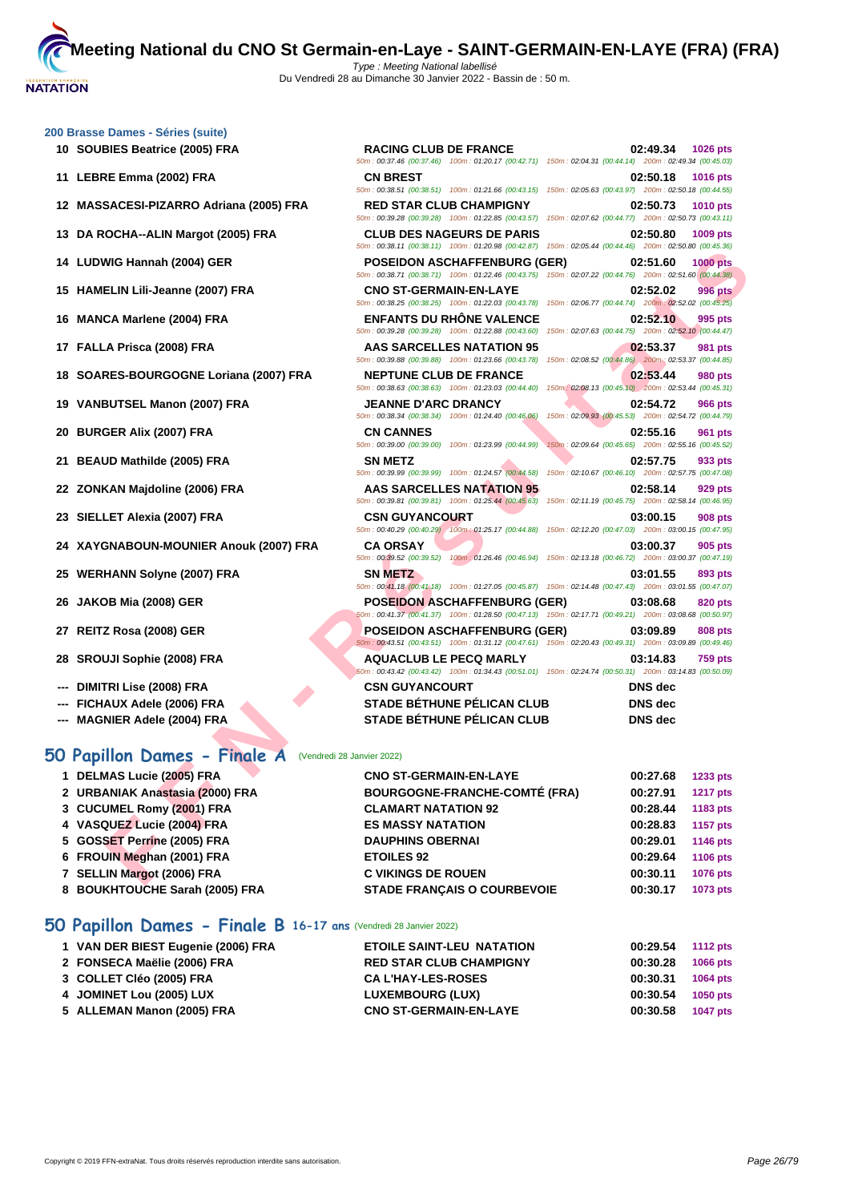**[200 Brass](http://www.ffnatation.fr/webffn/index.php)e Dames - Séries (suite)**

| 10 SOUBIES Beatrice (2005) FRA                            | <b>RACING CLUB DE FRANCE</b><br>50m : 00:37.46 (00:37.46) 100m : 01:20.17 (00:42.71) 150m : 02:04.31 (00:44.14) 200m : 02:49.34 (00:45.03)        | 02:49.34                                                        | 1026 pts        |
|-----------------------------------------------------------|---------------------------------------------------------------------------------------------------------------------------------------------------|-----------------------------------------------------------------|-----------------|
| 11 LEBRE Emma (2002) FRA                                  | <b>CN BREST</b><br>50m : 00:38.51 (00:38.51) 100m : 01:21.66 (00:43.15) 150m : 02:05.63 (00:43.97) 200m : 02:50.18 (00:44.55)                     | 02:50.18                                                        | 1016 pts        |
| 12 MASSACESI-PIZARRO Adriana (2005) FRA                   | <b>RED STAR CLUB CHAMPIGNY</b><br>50m: 00:39.28 (00:39.28) 100m: 01:22.85 (00:43.57) 150m: 02:07.62 (00:44.77) 200m: 02:50.73 (00:43.11)          | 02:50.73                                                        | <b>1010 pts</b> |
| 13 DA ROCHA--ALIN Margot (2005) FRA                       | <b>CLUB DES NAGEURS DE PARIS</b><br>50m: 00:38.11 (00:38.11) 100m: 01:20.98 (00:42.87) 150m: 02:05.44 (00:44.46) 200m: 02:50.80 (00:45.36)        | 02:50.80                                                        | 1009 pts        |
| 14 LUDWIG Hannah (2004) GER                               | <b>POSEIDON ASCHAFFENBURG (GER)</b><br>50m : 00:38.71 (00:38.71) 100m : 01:22.46 (00:43.75) 150m : 02:07.22 (00:44.76) 200m : 02:51.60 (00:44.38) | 02:51.60                                                        | <b>1000 pts</b> |
| 15 HAMELIN Lili-Jeanne (2007) FRA                         | <b>CNO ST-GERMAIN-EN-LAYE</b><br>50m: 00:38.25 (00:38.25) 100m: 01:22.03 (00:43.78) 150m: 02:06.77 (00:44.74) 200m: 02:52.02 (00:45.25)           | 02:52.02                                                        | <b>996 pts</b>  |
| 16 MANCA Marlene (2004) FRA                               | <b>ENFANTS DU RHONE VALENCE</b><br>50m: 00:39.28 (00:39.28) 100m: 01:22.88 (00:43.60) 150m: 02:07.63 (00:44.75) 200m: 02:52.10 (00:44.47)         | 02:52.10                                                        | 995 pts         |
| 17 FALLA Prisca (2008) FRA                                | <b>AAS SARCELLES NATATION 95</b><br>50m: 00:39.88 (00:39.88) 100m: 01:23.66 (00:43.78)                                                            | 02:53.37<br>150m: 02:08.52 (00:44.86) 200m: 02:53.37 (00:44.85) | 981 pts         |
| 18 SOARES-BOURGOGNE Loriana (2007) FRA                    | <b>NEPTUNE CLUB DE FRANCE</b><br>50m: 00:38.63 (00:38.63) 100m: 01:23.03 (00:44.40)                                                               | 02:53.44<br>150m: 02:08.13 (00:45.10) 200m: 02:53.44 (00:45.31) | <b>980 pts</b>  |
| 19 VANBUTSEL Manon (2007) FRA                             | <b>JEANNE D'ARC DRANCY</b><br>50m: 00:38.34 (00:38.34) 100m: 01:24.40 (00:46.06)                                                                  | 02:54.72<br>150m: 02:09.93 (00:45.53) 200m: 02:54.72 (00:44.79) | <b>966 pts</b>  |
| 20 BURGER Alix (2007) FRA                                 | <b>CN CANNES</b><br>50m: 00:39.00 (00:39.00) 100m: 01:23.99 (00:44.99)                                                                            | 02:55.16<br>150m: 02:09.64 (00:45.65) 200m: 02:55.16 (00:45.52) | 961 pts         |
| 21 BEAUD Mathilde (2005) FRA                              | <b>SN METZ</b><br>50m: 00:39.99 (00:39.99) 100m: 01:24.57 (00:44.58)                                                                              | 02:57.75<br>150m: 02:10.67 (00:46.10) 200m: 02:57.75 (00:47.08) | 933 pts         |
| 22 ZONKAN Majdoline (2006) FRA                            | <b>AAS SARCELLES NATATION 95</b><br>50m : 00:39.81 (00:39.81) 100m : 01:25.44 (00:45.63) 150m : 02:11.19 (00:45.75) 200m : 02:58.14 (00:46.95)    | 02:58.14                                                        | 929 pts         |
| 23 SIELLET Alexia (2007) FRA                              | <b>CSN GUYANCOURT</b><br>50m : 00:40.29 (00:40.29) 100m : 01:25.17 (00:44.88) 150m : 02:12.20 (00:47.03) 200m : 03:00.15 (00:47.95)               | 03:00.15                                                        | <b>908 pts</b>  |
| 24 XAYGNABOUN-MOUNIER Anouk (2007) FRA                    | <b>CA ORSAY</b><br>100m: 01:26.46 (00:46.94)<br>50m: 00:39.52 (00:39.52)                                                                          | 03:00.37<br>150m: 02:13.18 (00:46.72) 200m: 03:00.37 (00:47.19) | 905 pts         |
| 25 WERHANN Solyne (2007) FRA                              | <b>SN METZ</b><br>50m: 00:41.18 (00:41.18) 100m: 01:27.05 (00:45.87) 150m: 02:14.48 (00:47.43) 200m: 03:01.55 (00:47.07)                          | 03:01.55                                                        | 893 pts         |
| 26 JAKOB Mia (2008) GER                                   | <b>POSEIDON ASCHAFFENBURG (GER)</b><br>50m: 00:41.37 (00:41.37) 100m: 01:28.50 (00:47.13) 150m: 02:17.71 (00:49.21) 200m: 03:08.68 (00:50.97)     | 03:08.68                                                        | <b>820 pts</b>  |
| 27 REITZ Rosa (2008) GER                                  | <b>POSEIDON ASCHAFFENBURG (GER)</b><br>50m: 00:43.51 (00:43.51) 100m: 01:31.12 (00:47.61) 150m: 02:20.43 (00:49.31) 200m: 03:09.89 (00:49.46)     | 03:09.89                                                        | 808 pts         |
| 28 SROUJI Sophie (2008) FRA                               | <b>AQUACLUB LE PECQ MARLY</b><br>60m : 00:43.42 (00:43.42) 100m : 01:34.43 (00:51.01) 150m : 02:24.74 (00:50.31) 200m : 03:14.83 (00:50.09)       | 03:14.83                                                        | <b>759 pts</b>  |
| --- DIMITRI Lise (2008) FRA                               | <b>CSN GUYANCOURT</b>                                                                                                                             | <b>DNS</b> dec                                                  |                 |
| FICHAUX Adele (2006) FRA                                  | <b>STADE BÉTHUNE PÉLICAN CLUB</b>                                                                                                                 | <b>DNS</b> dec                                                  |                 |
| --- MAGNIER Adele (2004) FRA                              | <b>STADE BÉTHUNE PÉLICAN CLUB</b>                                                                                                                 | <b>DNS</b> dec                                                  |                 |
| O Papillon Dames - Finale A<br>(Vendredi 28 Janvier 2022) |                                                                                                                                                   |                                                                 |                 |
| 1 DELMAS Lucie (2005) FRA                                 | <b>CNO ST-GERMAIN-EN-LAYE</b>                                                                                                                     | 00:27.68                                                        | 1233 pts        |
| 2 URBANIAK Anastasia (2000) FRA                           | <b>BOURGOGNE-FRANCHE-COMTÉ (FRA)</b>                                                                                                              | 00:27.91                                                        | <b>1217 pts</b> |
| 3 CUCUMEL Romy (2001) FRA                                 | <b>CLAMART NATATION 92</b>                                                                                                                        | 00:28.44                                                        | 1183 pts        |
| 4 VASQUEZ Lucie (2004) FRA                                | <b>ES MASSY NATATION</b>                                                                                                                          | 00:28.83                                                        | <b>1157 pts</b> |
| 5 GOSSET Perrine (2005) FRA                               | <b>DAUPHINS OBERNAI</b>                                                                                                                           | 00:29.01                                                        | 1146 pts        |
| 6 FROUIN Meghan (2001) FRA                                | <b>ETOILES 92</b>                                                                                                                                 | 00:29.64                                                        | <b>1106 pts</b> |
| 7 SELLIN Margot (2006) FRA                                | <b>C VIKINGS DE ROUEN</b>                                                                                                                         | 00:30.11                                                        | 1076 pts        |

## **50 Papillon Dames - Finale A** (Vendredi 28 Janvier 2022) **1 DELMAS Lucie (2005) FRA CNO ST-GERMAIN-EN-LAYE 00:27.68 1233 pts**

| 1.522117702200012120071117      |                                      | ,,,,,,,,,,, | $1 - 00 - 100$  |
|---------------------------------|--------------------------------------|-------------|-----------------|
| 2 URBANIAK Anastasia (2000) FRA | <b>BOURGOGNE-FRANCHE-COMTÉ (FRA)</b> | 00:27.91    | <b>1217 pts</b> |
| 3 CUCUMEL Romy (2001) FRA       | <b>CLAMART NATATION 92</b>           | 00:28.44    | 1183 pts        |
| 4 VASQUEZ Lucie (2004) FRA      | <b>ES MASSY NATATION</b>             | 00:28.83    | 1157 pts        |
| 5 GOSSET Perrine (2005) FRA     | <b>DAUPHINS OBERNAI</b>              | 00:29.01    | 1146 pts        |
| 6 FROUIN Meghan (2001) FRA      | <b>ETOILES 92</b>                    | 00:29.64    | <b>1106 pts</b> |
| 7 SELLIN Margot (2006) FRA      | <b>C VIKINGS DE ROUEN</b>            | 00:30.11    | <b>1076 pts</b> |
| 8 BOUKHTOUCHE Sarah (2005) FRA  | <b>STADE FRANCAIS O COURBEVOIE</b>   | 00:30.17    | 1073 pts        |
|                                 |                                      |             |                 |

## **50 Papillon Dames - Finale B 16-17 ans** (Vendredi 28 Janvier 2022)

| 1 VAN DER BIEST Eugenie (2006) FRA | <b>ETOILE SAINT-LEU NATATION</b> | 00:29.54 | <b>1112 pts</b> |
|------------------------------------|----------------------------------|----------|-----------------|
| 2 FONSECA Maëlie (2006) FRA        | <b>RED STAR CLUB CHAMPIGNY</b>   | 00:30.28 | <b>1066 pts</b> |
| 3 COLLET Cléo (2005) FRA           | <b>CA L'HAY-LES-ROSES</b>        | 00:30.31 | <b>1064 pts</b> |
| 4 JOMINET Lou (2005) LUX           | <b>LUXEMBOURG (LUX)</b>          | 00:30.54 | 1050 pts        |
| 5 ALLEMAN Manon (2005) FRA         | <b>CNO ST-GERMAIN-EN-LAYE</b>    | 00:30.58 | <b>1047 pts</b> |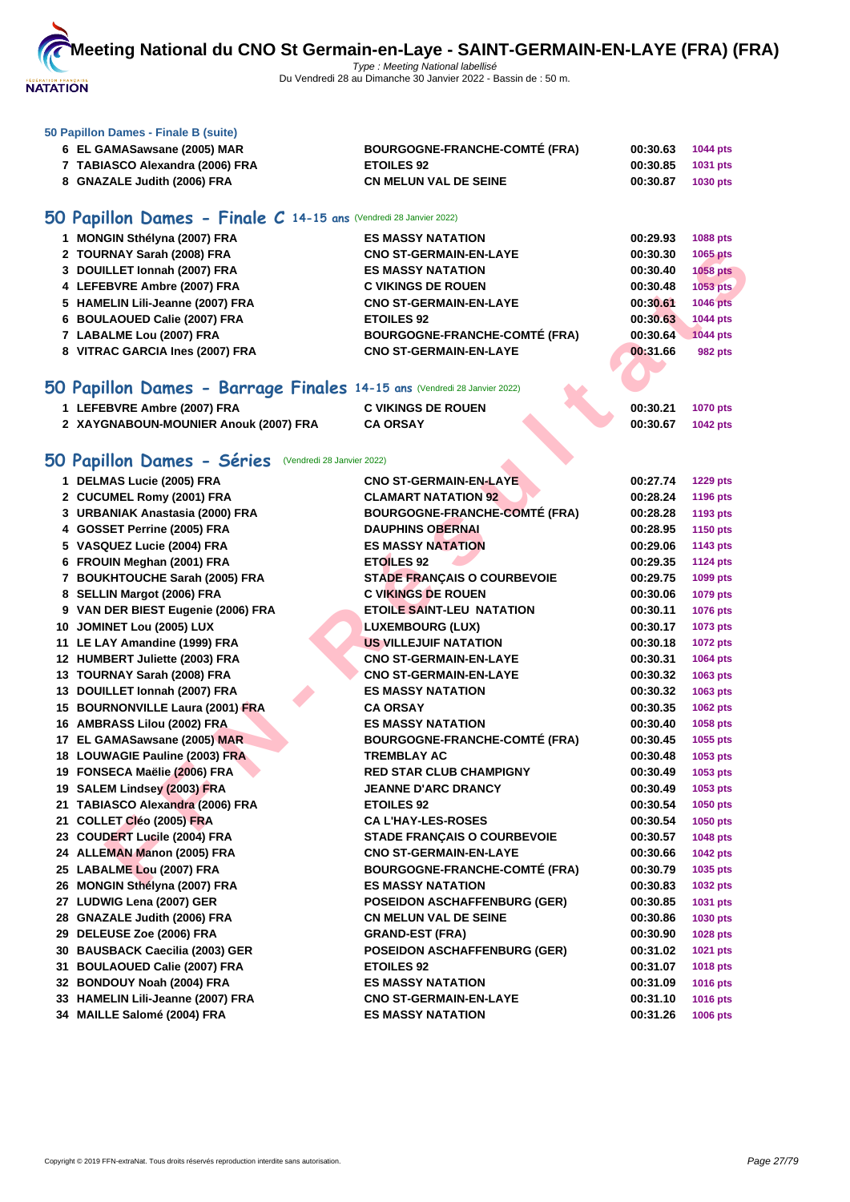

#### **[50 Papillo](http://www.ffnatation.fr/webffn/index.php)n Dames - Finale B (suite)**

| 6 EL GAMASawsane (2005) MAR     | <b>BOURGOGNE-FRANCHE-COMTÉ (FRA)</b> | 00:30.63          | <b>1044 pts</b> |
|---------------------------------|--------------------------------------|-------------------|-----------------|
| 7 TABIASCO Alexandra (2006) FRA | <b>ETOILES 92</b>                    | 00:30.85 1031 pts |                 |
| 8 GNAZALE Judith (2006) FRA     | <b>CN MELUN VAL DE SEINE</b>         | 00:30.87          | <b>1030 pts</b> |

## **50 Papillon Dames - Finale C 14-15 ans** (Vendredi 28 Janvier 2022)

| 1 MONGIN Sthélyna (2007) FRA     | <b>ES MASSY NATATION</b>             | 00:29.93 | <b>1088 pts</b> |
|----------------------------------|--------------------------------------|----------|-----------------|
| 2 TOURNAY Sarah (2008) FRA       | <b>CNO ST-GERMAIN-EN-LAYE</b>        | 00:30.30 | 1065 pts        |
| 3 DOUILLET Ionnah (2007) FRA     | <b>ES MASSY NATATION</b>             | 00:30.40 | <b>1058 pts</b> |
| 4 LEFEBVRE Ambre (2007) FRA      | <b>C VIKINGS DE ROUEN</b>            | 00:30.48 | 1053 pts        |
| 5 HAMELIN Lili-Jeanne (2007) FRA | <b>CNO ST-GERMAIN-EN-LAYE</b>        | 00:30.61 | <b>1046 pts</b> |
| 6 BOULAOUED Calie (2007) FRA     | <b>ETOILES 92</b>                    | 00:30.63 | <b>1044 pts</b> |
| 7 LABALME Lou (2007) FRA         | <b>BOURGOGNE-FRANCHE-COMTÉ (FRA)</b> | 00:30.64 | <b>1044 pts</b> |
| 8 VITRAC GARCIA Ines (2007) FRA  | <b>CNO ST-GERMAIN-EN-LAYE</b>        | 00:31.66 | <b>982 pts</b>  |
|                                  |                                      |          |                 |

## **50 Papillon Dames - Barrage Finales 14-15 ans** (Vendredi 28 Janvier 2022)

| 1 LEFEBVRE Ambre (2007) FRA           | <b>C VIKINGS DE ROUEN</b> |  | 00:30.21 | <b>1070 pts</b> |
|---------------------------------------|---------------------------|--|----------|-----------------|
| 2 XAYGNABOUN-MOUNIER Anouk (2007) FRA | <b>CA ORSAY</b>           |  | 00:30.67 | <b>1042 pts</b> |

## **50 Papillon Dames - Séries** (Vendredi 28 Janvier 2022)

| 2 TOURNAY Sarah (2008) FRA                                              | <b>CNO ST-GERMAIN-EN-LAYE</b>        | 00:30.30 | 1065 pts        |
|-------------------------------------------------------------------------|--------------------------------------|----------|-----------------|
| 3 DOUILLET Ionnah (2007) FRA                                            | <b>ES MASSY NATATION</b>             | 00:30.40 | <b>1058 pts</b> |
| 4 LEFEBVRE Ambre (2007) FRA                                             | <b>C VIKINGS DE ROUEN</b>            | 00:30.48 | 1053 pts        |
| 5 HAMELIN Lili-Jeanne (2007) FRA                                        | <b>CNO ST-GERMAIN-EN-LAYE</b>        | 00:30.61 | <b>1046 pts</b> |
| 6 BOULAOUED Calie (2007) FRA                                            | <b>ETOILES 92</b>                    | 00:30.63 | 1044 pts        |
| 7 LABALME Lou (2007) FRA                                                | <b>BOURGOGNE-FRANCHE-COMTÉ (FRA)</b> | 00:30.64 | 1044 pts        |
| 8 VITRAC GARCIA Ines (2007) FRA                                         | <b>CNO ST-GERMAIN-EN-LAYE</b>        | 00:31.66 | 982 pts         |
|                                                                         |                                      |          |                 |
| O Papillon Dames - Barrage Finales 14-15 ans (Vendredi 28 Janvier 2022) |                                      |          |                 |
| 1 LEFEBVRE Ambre (2007) FRA                                             | <b>C VIKINGS DE ROUEN</b>            | 00:30.21 | <b>1070 pts</b> |
| 2 XAYGNABOUN-MOUNIER Anouk (2007) FRA                                   | <b>CA ORSAY</b>                      | 00:30.67 | <b>1042 pts</b> |
|                                                                         |                                      |          |                 |
| O Papillon Dames - Séries (Vendredi 28 Janvier 2022)                    |                                      |          |                 |
| 1 DELMAS Lucie (2005) FRA                                               | <b>CNO ST-GERMAIN-EN-LAYE</b>        | 00:27.74 | <b>1229 pts</b> |
| 2 CUCUMEL Romy (2001) FRA                                               | <b>CLAMART NATATION 92</b>           | 00:28.24 | 1196 pts        |
| 3 URBANIAK Anastasia (2000) FRA                                         | <b>BOURGOGNE-FRANCHE-COMTE (FRA)</b> | 00:28.28 | 1193 pts        |
| 4 GOSSET Perrine (2005) FRA                                             | <b>DAUPHINS OBERNAL</b>              | 00:28.95 | 1150 pts        |
| 5 VASQUEZ Lucie (2004) FRA                                              | <b>ES MASSY NATATION</b>             | 00:29.06 | 1143 pts        |
| 6 FROUIN Meghan (2001) FRA                                              | <b>ETOILES 92</b>                    | 00:29.35 | <b>1124 pts</b> |
| 7 BOUKHTOUCHE Sarah (2005) FRA                                          | <b>STADE FRANÇAIS O COURBEVOIE</b>   | 00:29.75 | 1099 pts        |
| 8 SELLIN Margot (2006) FRA                                              | <b>C VIKINGS DE ROUEN</b>            | 00:30.06 | 1079 pts        |
| 9 VAN DER BIEST Eugenie (2006) FRA                                      | <b>ETOILE SAINT-LEU NATATION</b>     | 00:30.11 | 1076 pts        |
| 10 JOMINET Lou (2005) LUX                                               | <b>LUXEMBOURG (LUX)</b>              | 00:30.17 | 1073 pts        |
| 11 LE LAY Amandine (1999) FRA                                           | <b>US VILLEJUIF NATATION</b>         | 00:30.18 | <b>1072 pts</b> |
| 12 HUMBERT Juliette (2003) FRA                                          | <b>CNO ST-GERMAIN-EN-LAYE</b>        | 00:30.31 | 1064 pts        |
| 13 TOURNAY Sarah (2008) FRA                                             | <b>CNO ST-GERMAIN-EN-LAYE</b>        | 00:30.32 | 1063 pts        |
| 13 DOUILLET Ionnah (2007) FRA                                           | <b>ES MASSY NATATION</b>             | 00:30.32 | 1063 pts        |
| 15 BOURNONVILLE Laura (2001) FRA                                        | <b>CA ORSAY</b>                      | 00:30.35 | 1062 pts        |
| 16 AMBRASS Lilou (2002) FRA                                             | <b>ES MASSY NATATION</b>             | 00:30.40 | 1058 pts        |
| 17 EL GAMASawsane (2005) MAR                                            | <b>BOURGOGNE-FRANCHE-COMTÉ (FRA)</b> | 00:30.45 | 1055 pts        |
| 18 LOUWAGIE Pauline (2003) FRA                                          | <b>TREMBLAY AC</b>                   | 00:30.48 | 1053 pts        |
| 19 FONSECA Maëlie (2006) FRA                                            | <b>RED STAR CLUB CHAMPIGNY</b>       | 00:30.49 | 1053 pts        |
| 19 SALEM Lindsey (2003) FRA                                             | <b>JEANNE D'ARC DRANCY</b>           | 00:30.49 | 1053 pts        |
| 21 TABIASCO Alexandra (2006) FRA                                        | <b>ETOILES 92</b>                    | 00:30.54 | 1050 pts        |
| 21 COLLET Cléo (2005) FRA                                               | <b>CA L'HAY-LES-ROSES</b>            | 00:30.54 | 1050 pts        |
| 23 COUDERT Lucile (2004) FRA                                            | <b>STADE FRANÇAIS O COURBEVOIE</b>   | 00:30.57 | 1048 pts        |
| 24 ALLEMAN Manon (2005) FRA                                             | <b>CNO ST-GERMAIN-EN-LAYE</b>        | 00:30.66 | <b>1042 pts</b> |
| 25 LABALME Lou (2007) FRA                                               | <b>BOURGOGNE-FRANCHE-COMTÉ (FRA)</b> | 00:30.79 | 1035 pts        |
| 26 MONGIN Sthélyna (2007) FRA                                           | <b>ES MASSY NATATION</b>             | 00:30.83 | 1032 pts        |
| 27 LUDWIG Lena (2007) GER                                               | <b>POSEIDON ASCHAFFENBURG (GER)</b>  | 00:30.85 | 1031 pts        |
| 28 GNAZALE Judith (2006) FRA                                            | <b>CN MELUN VAL DE SEINE</b>         | 00:30.86 | 1030 pts        |
| 29 DELEUSE Zoe (2006) FRA                                               | <b>GRAND-EST (FRA)</b>               | 00:30.90 | 1028 pts        |
| 30 BAUSBACK Caecilia (2003) GER                                         | <b>POSEIDON ASCHAFFENBURG (GER)</b>  | 00:31.02 | 1021 pts        |
| 31 BOULAOUED Calie (2007) FRA                                           | <b>ETOILES 92</b>                    | 00:31.07 | 1018 pts        |
| 32 BONDOUY Noah (2004) FRA                                              | <b>ES MASSY NATATION</b>             | 00:31.09 | 1016 pts        |
| 33 HAMELIN Lili-Jeanne (2007) FRA                                       | <b>CNO ST-GERMAIN-EN-LAYE</b>        | 00:31.10 | 1016 pts        |
| 34 MAILLE Salomé (2004) FRA                                             | <b>ES MASSY NATATION</b>             | 00:31.26 | <b>1006 pts</b> |
|                                                                         |                                      |          |                 |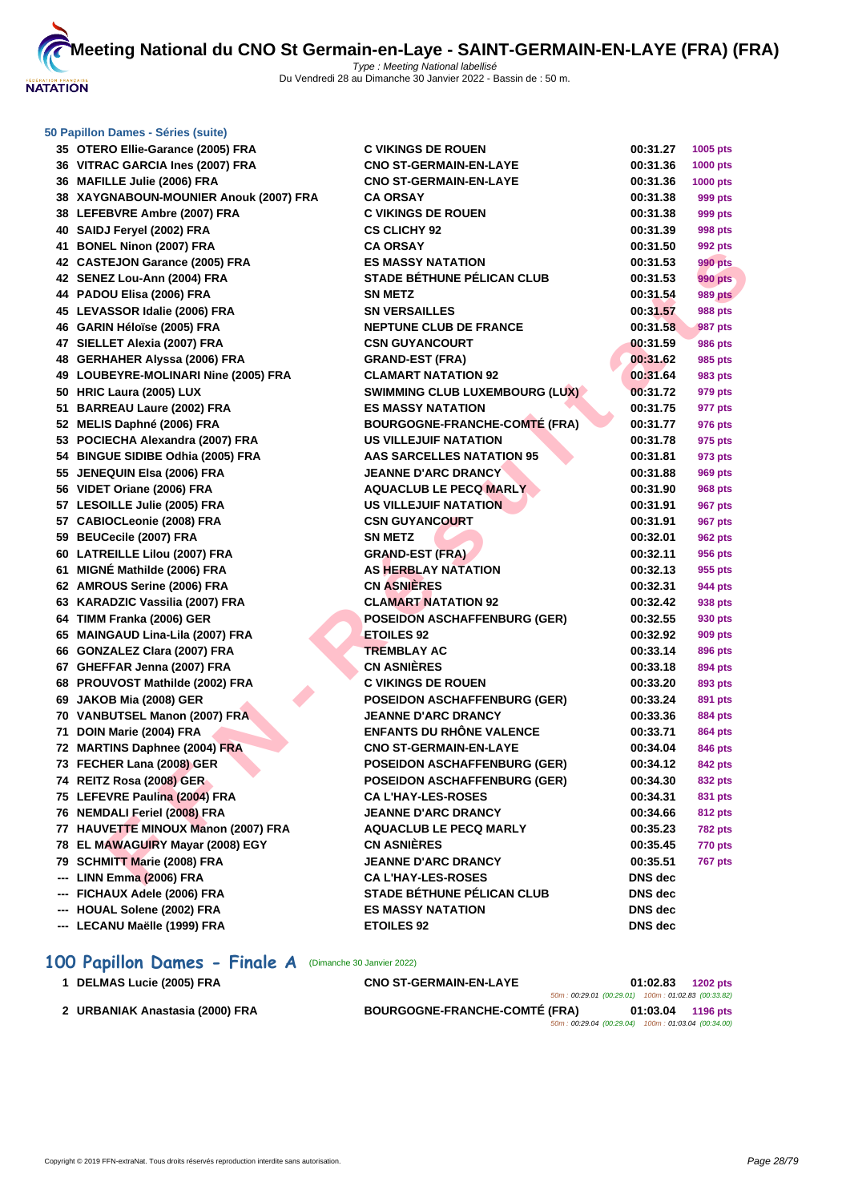

|     | 50 Papillon Dames - Séries (suite)     |                                       |                |                 |
|-----|----------------------------------------|---------------------------------------|----------------|-----------------|
|     | 35 OTERO Ellie-Garance (2005) FRA      | <b>C VIKINGS DE ROUEN</b>             | 00:31.27       | 1005 pts        |
|     | 36 VITRAC GARCIA Ines (2007) FRA       | <b>CNO ST-GERMAIN-EN-LAYE</b>         | 00:31.36       | <b>1000 pts</b> |
|     | 36 MAFILLE Julie (2006) FRA            | <b>CNO ST-GERMAIN-EN-LAYE</b>         | 00:31.36       | <b>1000 pts</b> |
|     | 38 XAYGNABOUN-MOUNIER Anouk (2007) FRA | <b>CA ORSAY</b>                       | 00:31.38       | 999 pts         |
|     | 38 LEFEBVRE Ambre (2007) FRA           | <b>C VIKINGS DE ROUEN</b>             | 00:31.38       | 999 pts         |
|     | 40 SAIDJ Feryel (2002) FRA             | <b>CS CLICHY 92</b>                   | 00:31.39       | 998 pts         |
|     | 41 BONEL Ninon (2007) FRA              | <b>CA ORSAY</b>                       | 00:31.50       | 992 pts         |
|     | 42 CASTEJON Garance (2005) FRA         | <b>ES MASSY NATATION</b>              | 00:31.53       | 990 pts         |
|     | 42 SENEZ Lou-Ann (2004) FRA            | <b>STADE BÉTHUNE PÉLICAN CLUB</b>     | 00:31.53       | <b>990 pts</b>  |
|     | 44 PADOU Elisa (2006) FRA              | <b>SN METZ</b>                        | 00:31.54       | <b>989 pts</b>  |
|     | 45 LEVASSOR Idalie (2006) FRA          | <b>SN VERSAILLES</b>                  | 00:31.57       | <b>988 pts</b>  |
|     | 46 GARIN Héloïse (2005) FRA            | <b>NEPTUNE CLUB DE FRANCE</b>         | 00:31.58       | <b>987 pts</b>  |
|     | 47 SIELLET Alexia (2007) FRA           | <b>CSN GUYANCOURT</b>                 | 00:31.59       | 986 pts         |
|     | 48 GERHAHER Alyssa (2006) FRA          | <b>GRAND-EST (FRA)</b>                | 00:31.62       | 985 pts         |
|     | 49 LOUBEYRE-MOLINARI Nine (2005) FRA   | <b>CLAMART NATATION 92</b>            | 00:31.64       | 983 pts         |
|     | 50 HRIC Laura (2005) LUX               | <b>SWIMMING CLUB LUXEMBOURG (LUX)</b> | 00:31.72       | 979 pts         |
|     | 51 BARREAU Laure (2002) FRA            | <b>ES MASSY NATATION</b>              | 00:31.75       | 977 pts         |
|     | 52 MELIS Daphné (2006) FRA             | <b>BOURGOGNE-FRANCHE-COMTE (FRA)</b>  | 00:31.77       | 976 pts         |
|     | 53 POCIECHA Alexandra (2007) FRA       | <b>US VILLEJUIF NATATION</b>          | 00:31.78       | 975 pts         |
|     | 54 BINGUE SIDIBE Odhia (2005) FRA      | <b>AAS SARCELLES NATATION 95</b>      | 00:31.81       | 973 pts         |
|     | 55 JENEQUIN Elsa (2006) FRA            | <b>JEANNE D'ARC DRANCY</b>            | 00:31.88       | 969 pts         |
|     | 56 VIDET Oriane (2006) FRA             | <b>AQUACLUB LE PECQ MARLY</b>         | 00:31.90       | 968 pts         |
|     | 57 LESOILLE Julie (2005) FRA           | US VILLEJUIF NATATION                 | 00:31.91       | 967 pts         |
|     | 57 CABIOCLeonie (2008) FRA             | <b>CSN GUYANCOURT</b>                 | 00:31.91       | 967 pts         |
|     | 59 BEUCecile (2007) FRA                | <b>SN METZ</b>                        | 00:32.01       | 962 pts         |
|     | 60 LATREILLE Lilou (2007) FRA          | <b>GRAND-EST (FRA)</b>                | 00:32.11       | 956 pts         |
|     | 61 MIGNÉ Mathilde (2006) FRA           | <b>AS HERBLAY NATATION</b>            | 00:32.13       | 955 pts         |
|     | 62 AMROUS Serine (2006) FRA            | <b>CN ASNIERES</b>                    | 00:32.31       | 944 pts         |
|     | 63 KARADZIC Vassilia (2007) FRA        | <b>CLAMART NATATION 92</b>            | 00:32.42       | 938 pts         |
|     | 64 TIMM Franka (2006) GER              | <b>POSEIDON ASCHAFFENBURG (GER)</b>   | 00:32.55       | 930 pts         |
|     | 65 MAINGAUD Lina-Lila (2007) FRA       | <b>ETOILES 92</b>                     | 00:32.92       | 909 pts         |
|     | 66 GONZALEZ Clara (2007) FRA           | <b>TREMBLAY AC</b>                    | 00:33.14       | 896 pts         |
|     | 67 GHEFFAR Jenna (2007) FRA            | <b>CN ASNIÈRES</b>                    | 00:33.18       | 894 pts         |
|     | 68 PROUVOST Mathilde (2002) FRA        | <b>C VIKINGS DE ROUEN</b>             | 00:33.20       | 893 pts         |
|     | 69 JAKOB Mia (2008) GER                | <b>POSEIDON ASCHAFFENBURG (GER)</b>   | 00:33.24       | 891 pts         |
|     | 70 VANBUTSEL Manon (2007) FRA          | <b>JEANNE D'ARC DRANCY</b>            | 00:33.36       | 884 pts         |
|     | 71 DOIN Marie (2004) FRA               | <b>ENFANTS DU RHÔNE VALENCE</b>       | 00:33.71       | 864 pts         |
|     | 72 MARTINS Daphnee (2004) FRA          | <b>CNO ST-GERMAIN-EN-LAYE</b>         | 00:34.04       | 846 pts         |
|     | 73 FECHER Lana (2008) GER              | <b>POSEIDON ASCHAFFENBURG (GER)</b>   | 00:34.12       | 842 pts         |
|     | 74 REITZ Rosa (2008) GER               | <b>POSEIDON ASCHAFFENBURG (GER)</b>   | 00:34.30       | 832 pts         |
|     | 75 LEFEVRE Paulina (2004) FRA          | <b>CA L'HAY-LES-ROSES</b>             | 00:34.31       | 831 pts         |
|     | 76 NEMDALI Feriel (2008) FRA           | <b>JEANNE D'ARC DRANCY</b>            | 00:34.66       | 812 pts         |
|     | 77 HAUVETTE MINOUX Manon (2007) FRA    | <b>AQUACLUB LE PECQ MARLY</b>         | 00:35.23       | <b>782 pts</b>  |
|     | 78 EL MAWAGUIRY Mayar (2008) EGY       | <b>CN ASNIÈRES</b>                    | 00:35.45       | <b>770 pts</b>  |
|     | 79 SCHMITT Marie (2008) FRA            | <b>JEANNE D'ARC DRANCY</b>            | 00:35.51       | <b>767 pts</b>  |
| --- | LINN Emma (2006) FRA                   | <b>CA L'HAY-LES-ROSES</b>             | DNS dec        |                 |
|     | FICHAUX Adele (2006) FRA               | <b>STADE BÉTHUNE PÉLICAN CLUB</b>     | <b>DNS</b> dec |                 |
|     | HOUAL Solene (2002) FRA                | <b>ES MASSY NATATION</b>              | <b>DNS</b> dec |                 |
|     | --- LECANU Maëlle (1999) FRA           | <b>ETOILES 92</b>                     | DNS dec        |                 |
|     |                                        |                                       |                |                 |

## 100 Papillon Dames - Finale A (Dimanche 30 Janvier 2022)

| <b>DELMAS Lucie (2005) FRA</b>  | <b>CNO ST-GERMAIN-EN-LAYE</b>        |                                                    | 01:02.83 | <b>1202 pts</b> |
|---------------------------------|--------------------------------------|----------------------------------------------------|----------|-----------------|
|                                 |                                      | 50m: 00:29.01 (00:29.01) 100m: 01:02.83 (00:33.82) |          |                 |
| 2 URBANIAK Anastasia (2000) FRA | <b>BOURGOGNE-FRANCHE-COMTÉ (FRA)</b> |                                                    | 01:03.04 | 1196 pts        |
|                                 |                                      | 50m: 00:29.04 (00:29.04) 100m: 01:03.04 (00:34.00) |          |                 |
|                                 |                                      |                                                    |          |                 |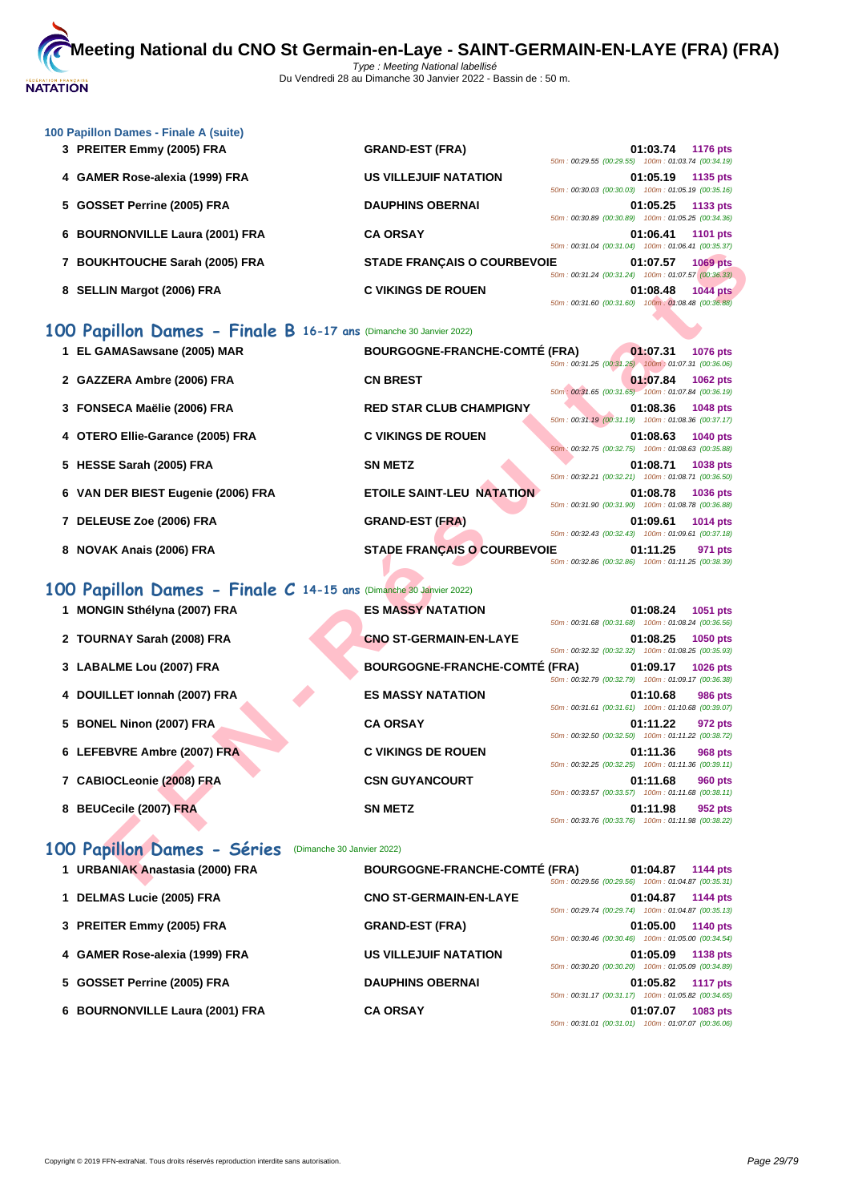

| 100 Papillon Dames - Finale A (suite) |                                                                                                                         |
|---------------------------------------|-------------------------------------------------------------------------------------------------------------------------|
| 3 PREITER Emmy (2005) FRA             | <b>GRAND-EST (FRA)</b><br>01:03.74<br><b>1176 pts</b><br>50m: 00:29.55 (00:29.55) 100m: 01:03.74 (00:34.19)             |
| 4 GAMER Rose-alexia (1999) FRA        | <b>US VILLEJUIF NATATION</b><br>01:05.19<br>1135 pts<br>50m: 00:30.03 (00:30.03) 100m: 01:05.19 (00:35.16)              |
| 5 GOSSET Perrine (2005) FRA           | <b>DAUPHINS OBERNAI</b><br>01:05.25<br>1133 pts<br>50m: 00:30.89 (00:30.89) 100m: 01:05.25 (00:34.36)                   |
| 6 BOURNONVILLE Laura (2001) FRA       | <b>CA ORSAY</b><br>01:06.41<br><b>1101 pts</b><br>50m: 00:31.04 (00:31.04) 100m: 01:06.41 (00:35.37)                    |
| <b>BOUKHTOUCHE Sarah (2005) FRA</b>   | <b>STADE FRANCAIS O COURBEVOIE</b><br>01:07.57<br><b>1069 pts</b><br>50m: 00:31.24 (00:31.24) 100m: 01:07.57 (00:36.33) |
| <b>SELLIN Margot (2006) FRA</b><br>8  | <b>C VIKINGS DE ROUEN</b><br>01:08.48<br><b>1044 pts</b><br>50m: 00:31.60 (00:31.60) 100m: 01:08.48 (00:36.88)          |

## **100 Papillon Dames - Finale B 16-17 ans** (Dimanche 30 Janvier 2022)

|                                                                   |                                      | <u>JUINTO 00.31.04 (UU.ST.04)</u> TUUMT. 01.00.41 (UU.SU.ST) |                   |                 |
|-------------------------------------------------------------------|--------------------------------------|--------------------------------------------------------------|-------------------|-----------------|
| 7 BOUKHTOUCHE Sarah (2005) FRA                                    | <b>STADE FRANÇAIS O COURBEVOIE</b>   | 50m: 00:31.24 (00:31.24) 100m: 01:07.57 (00:36.33)           | 01:07.57          | <b>1069 pts</b> |
| 8 SELLIN Margot (2006) FRA                                        | <b>C VIKINGS DE ROUEN</b>            | 50m: 00:31.60 (00:31.60) 100m: 01:08.48 (00:36.88)           | 01:08.48          | <b>1044 pts</b> |
| 00 Papillon Dames - Finale B 16-17 ans (Dimanche 30 Janvier 2022) |                                      |                                                              |                   |                 |
| 1 EL GAMASawsane (2005) MAR                                       | <b>BOURGOGNE-FRANCHE-COMTÉ (FRA)</b> | 50m: 00:31.25 (00:31.25) 100m: 01:07.31 (00:36.06)           | 01:07.31          | 1076 pts        |
| 2 GAZZERA Ambre (2006) FRA                                        | <b>CN BREST</b>                      | 50m: 00:31.65 (00:31.65) 100m: 01:07.84 (00:36.19)           | 01:07.84          | 1062 pts        |
| 3 FONSECA Maëlie (2006) FRA                                       | <b>RED STAR CLUB CHAMPIGNY</b>       | 50m: 00:31.19 (00:31.19) 100m: 01:08.36 (00:37.17)           | 01:08.36          | 1048 pts        |
| 4 OTERO Ellie-Garance (2005) FRA                                  | <b>C VIKINGS DE ROUEN</b>            | 50m: 00:32.75 (00:32.75) 100m: 01:08.63 (00:35.88)           | 01:08.63          | <b>1040 pts</b> |
| 5 HESSE Sarah (2005) FRA                                          | <b>SN METZ</b>                       | 50m: 00:32.21 (00:32.21) 100m: 01:08.71 (00:36.50)           | 01:08.71          | 1038 pts        |
| 6 VAN DER BIEST Eugenie (2006) FRA                                | <b>ETOILE SAINT-LEU NATATION</b>     | 50m: 00:31.90 (00:31.90) 100m: 01:08.78 (00:36.88)           | 01:08.78          | 1036 pts        |
| 7 DELEUSE Zoe (2006) FRA                                          | <b>GRAND-EST (FRA)</b>               | 50m: 00:32.43 (00:32.43) 100m: 01:09.61 (00:37.18)           | 01:09.61          | 1014 pts        |
| 8 NOVAK Anais (2006) FRA                                          | <b>STADE FRANÇAIS O COURBEVOIE</b>   | 50m: 00:32.86 (00:32.86) 100m: 01:11.25 (00:38.39)           | 01:11.25          | 971 pts         |
| 00 Papillon Dames - Finale C 14-15 ans (Dimanche 30 Janvier 2022) |                                      |                                                              |                   |                 |
| 1 MONGIN Sthélyna (2007) FRA                                      | <b>ES MASSY NATATION</b>             | 50m: 00:31.68 (00:31.68) 100m: 01:08.24 (00:36.56)           | 01:08.24          | 1051 pts        |
| 2 TOURNAY Sarah (2008) FRA                                        | <b>CNO ST-GERMAIN-EN-LAYE</b>        | 50m: 00:32.32 (00:32.32) 100m: 01:08.25 (00:35.93)           | 01:08.25          | 1050 pts        |
| 3 LABALME Lou (2007) FRA                                          | <b>BOURGOGNE-FRANCHE-COMTÉ (FRA)</b> | 50m: 00:32.79 (00:32.79) 100m: 01:09.17 (00:36.38)           | 01:09.17          | 1026 pts        |
| 4 DOUILLET Ionnah (2007) FRA                                      | <b>ES MASSY NATATION</b>             | 50m: 00:31.61 (00:31.61) 100m: 01:10.68 (00:39.07)           | 01:10.68          | <b>986 pts</b>  |
| 5 BONEL Ninon (2007) FRA                                          | <b>CA ORSAY</b>                      | 50m: 00:32.50 (00:32.50) 100m: 01:11.22 (00:38.72)           | 01:11.22          | 972 pts         |
| 6 LEFEBVRE Ambre (2007) FRA                                       | <b>C VIKINGS DE ROUEN</b>            | 50m: 00:32.25 (00:32.25) 100m: 01:11.36 (00:39.11)           | 01:11.36          | 968 pts         |
| 7 CABIOCLeonie (2008) FRA                                         | <b>CSN GUYANCOURT</b>                | 50m: 00:33.57 (00:33.57) 100m: 01:11.68 (00:38.11)           | 01:11.68          | <b>960 pts</b>  |
| 8 BEUCecile (2007) FRA                                            | <b>SN METZ</b>                       | 50m: 00:33.76 (00:33.76) 100m: 01:11.98 (00:38.22)           | 01:11.98          | 952 pts         |
| 00 Papillon Dames - Séries<br>(Dimanche 30 Janvier 2022)          |                                      |                                                              |                   |                 |
| 1 URBANIAK Anastasia (2000) FRA                                   | <b>BOURGOGNE-FRANCHE-COMTÉ (FRA)</b> | 50m: 00:29.56 (00:29.56) 100m: 01:04.87 (00:35.31)           | 01:04.87 1144 pts |                 |

## **100 Papillon Dames - Finale C 14-15 ans** (Dimanche 30 Janvier 2022)

| <b>MONGIN Sthélyna (2007) FRA</b> | <b>ES MASSY NATATION</b>             | 50m: 00:31.68 (00:31.68) 100m: 01:08.24 (00:36.56)                                                       | 01:08.24 | 1051 pts        |
|-----------------------------------|--------------------------------------|----------------------------------------------------------------------------------------------------------|----------|-----------------|
| 2 TOURNAY Sarah (2008) FRA        | <b>CNO ST-GERMAIN-EN-LAYE</b>        | 50m: 00:32.32 (00:32.32) 100m: 01:08.25 (00:35.93)                                                       | 01:08.25 | 1050 pts        |
| 3 LABALME Lou (2007) FRA          | <b>BOURGOGNE-FRANCHE-COMTÉ (FRA)</b> | 50m: 00:32.79 (00:32.79) 100m: 01:09.17 (00:36.38)                                                       | 01:09.17 | <b>1026 pts</b> |
| 4 DOUILLET Ionnah (2007) FRA      | <b>ES MASSY NATATION</b>             | 50m: 00:31.61 (00:31.61) 100m: 01:10.68 (00:39.07)                                                       | 01:10.68 | 986 pts         |
| 5 BONEL Ninon (2007) FRA          | <b>CA ORSAY</b>                      | 50m: 00:32.50 (00:32.50) 100m: 01:11.22 (00:38.72)                                                       | 01:11.22 | 972 pts         |
| 6 LEFEBVRE Ambre (2007) FRA       | <b>C VIKINGS DE ROUEN</b>            | 50m: 00:32.25 (00:32.25) 100m: 01:11.36 (00:39.11)                                                       | 01:11.36 | 968 pts         |
| 7 CABIOCLeonie (2008) FRA         | <b>CSN GUYANCOURT</b>                |                                                                                                          | 01:11.68 | 960 pts         |
| <b>BEUCecile (2007) FRA</b><br>8  | <b>SN METZ</b>                       | 50m: 00:33.57 (00:33.57) 100m: 01:11.68 (00:38.11)<br>50m: 00:33.76 (00:33.76) 100m: 01:11.98 (00:38.22) | 01:11.98 | 952 pts         |

# 100 Papillon Dames - Séries (Dimanche 30 Janvier 2022)

| 1 URBANIAK Anastasia (2000) FRA | <b>BOURGOGNE-FRANCHE-COMTÉ (FRA)</b> | 50m: 00:29.56 (00:29.56)                           | 01:04.87 | <b>1144 pts</b><br>100m: 01:04.87 (00:35.31) |
|---------------------------------|--------------------------------------|----------------------------------------------------|----------|----------------------------------------------|
| 1 DELMAS Lucie (2005) FRA       | <b>CNO ST-GERMAIN-EN-LAYE</b>        | 50m: 00:29.74 (00:29.74) 100m: 01:04.87 (00:35.13) | 01:04.87 | <b>1144 pts</b>                              |
| 3 PREITER Emmy (2005) FRA       | <b>GRAND-EST (FRA)</b>               | 50m: 00:30.46 (00:30.46) 100m: 01:05.00 (00:34.54) | 01:05.00 | <b>1140 pts</b>                              |
| 4 GAMER Rose-alexia (1999) FRA  | <b>US VILLEJUIF NATATION</b>         | 50m: 00:30.20 (00:30.20)                           | 01:05.09 | <b>1138 pts</b><br>100m: 01:05.09 (00:34.89) |
| 5 GOSSET Perrine (2005) FRA     | <b>DAUPHINS OBERNAI</b>              | 50m: 00:31.17 (00:31.17) 100m: 01:05.82 (00:34.65) | 01:05.82 | <b>1117 pts</b>                              |
| 6 BOURNONVILLE Laura (2001) FRA | <b>CA ORSAY</b>                      | 50m: 00:31.01 (00:31.01) 100m: 01:07.07 (00:36.06) | 01:07.07 | 1083 pts                                     |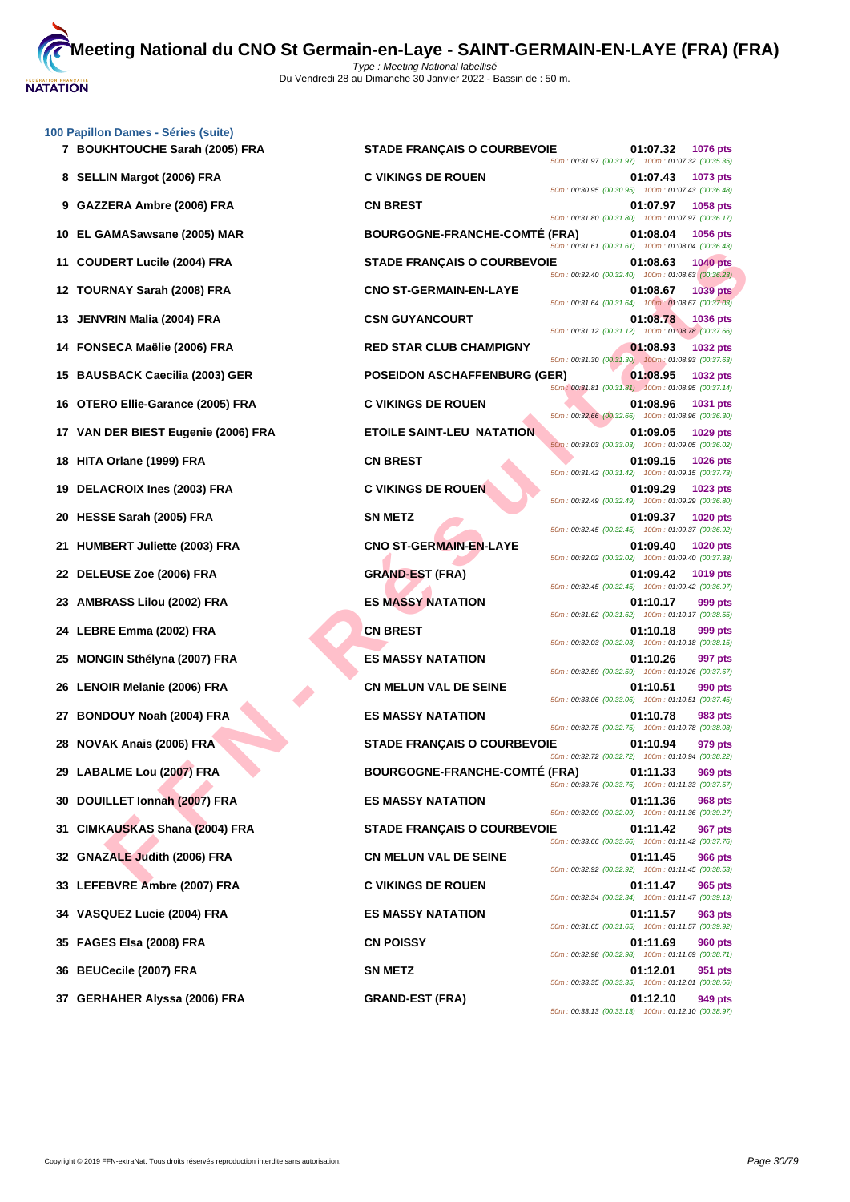

| 100 Papillon Dames - Séries (suite)<br>7 BOUKHTOUCHE Sarah (2005) FRA | <b>STADE FRANÇAIS O COURBEVOIE</b>   | 01:07.32<br>1076 pts                                                                                                                    |
|-----------------------------------------------------------------------|--------------------------------------|-----------------------------------------------------------------------------------------------------------------------------------------|
| 8 SELLIN Margot (2006) FRA                                            | <b>C VIKINGS DE ROUEN</b>            | 50m: 00:31.97 (00:31.97) 100m: 01:07.32 (00:35.35)<br>01:07.43<br>1073 pts                                                              |
| 9 GAZZERA Ambre (2006) FRA                                            | <b>CN BREST</b>                      | 50m: 00:30.95 (00:30.95) 100m: 01:07.43 (00:36.48)<br>01:07.97<br>1058 pts                                                              |
| 10 EL GAMASawsane (2005) MAR                                          | <b>BOURGOGNE-FRANCHE-COMTE (FRA)</b> | 50m: 00:31.80 (00:31.80) 100m: 01:07.97 (00:36.17)<br>01:08.04<br>1056 pts                                                              |
| 11 COUDERT Lucile (2004) FRA                                          | <b>STADE FRANÇAIS O COURBEVOIE</b>   | 50m: 00:31.61 (00:31.61) 100m: 01:08.04 (00:36.43)<br>01:08.63<br><b>1040 pts</b><br>50m: 00:32.40 (00:32.40) 100m: 01:08.63 (00:36.23) |
| 12 TOURNAY Sarah (2008) FRA                                           | <b>CNO ST-GERMAIN-EN-LAYE</b>        | 01:08.67<br><b>1039 pts</b><br>50m: 00:31.64 (00:31.64) 100m: 01:08.67 (00:37.03)                                                       |
| 13 JENVRIN Malia (2004) FRA                                           | <b>CSN GUYANCOURT</b>                | 01:08.78<br><b>1036 pts</b><br>50m: 00:31.12 (00:31.12) 100m: 01:08.78 (00:37.66)                                                       |
| 14 FONSECA Maëlie (2006) FRA                                          | <b>RED STAR CLUB CHAMPIGNY</b>       | 01:08.93<br>1032 pts<br>50m: 00:31.30 (00:31.30) 100m: 01:08.93 (00:37.63)                                                              |
| 15 BAUSBACK Caecilia (2003) GER                                       | <b>POSEIDON ASCHAFFENBURG (GER)</b>  | 01:08.95<br>1032 pts<br>50m: 00:31.81 (00:31.81) 100m: 01:08.95 (00:37.14)                                                              |
| 16 OTERO Ellie-Garance (2005) FRA                                     | <b>C VIKINGS DE ROUEN</b>            | 01:08.96<br>1031 pts                                                                                                                    |
| 17 VAN DER BIEST Eugenie (2006) FRA                                   | <b>ETOILE SAINT-LEU NATATION</b>     | 50m: 00:32.66 (00:32.66) 100m: 01:08.96 (00:36.30)<br>01:09.05<br>1029 pts<br>50m: 00:33.03 (00:33.03) 100m: 01:09.05 (00:36.02)        |
| 18 HITA Orlane (1999) FRA                                             | <b>CN BREST</b>                      | 01:09.15<br><b>1026 pts</b><br>50m: 00:31.42 (00:31.42) 100m: 01:09.15 (00:37.73)                                                       |
| 19 DELACROIX Ines (2003) FRA                                          | <b>C VIKINGS DE ROUEN</b>            | 01:09.29<br>1023 pts<br>50m: 00:32.49 (00:32.49) 100m: 01:09.29 (00:36.80)                                                              |
| 20 HESSE Sarah (2005) FRA                                             | <b>SN METZ</b>                       | 01:09.37<br><b>1020 pts</b><br>50m: 00:32.45 (00:32.45) 100m: 01:09.37 (00:36.92)                                                       |
| 21 HUMBERT Juliette (2003) FRA                                        | <b>CNO ST-GERMAIN-EN-LAYE</b>        | 01:09.40<br>1020 pts<br>50m: 00:32.02 (00:32.02) 100m: 01:09.40 (00:37.38)                                                              |
| 22 DELEUSE Zoe (2006) FRA                                             | <b>GRAND-EST (FRA)</b>               | 01:09.42<br>1019 pts<br>50m: 00:32.45 (00:32.45) 100m: 01:09.42 (00:36.97)                                                              |
| 23 AMBRASS Lilou (2002) FRA                                           | <b>ES MASSY NATATION</b>             | 01:10.17<br>999 pts<br>50m: 00:31.62 (00:31.62) 100m: 01:10.17 (00:38.55)                                                               |
| 24 LEBRE Emma (2002) FRA                                              | <b>CN BREST</b>                      | 01:10.18<br>999 pts<br>50m: 00:32.03 (00:32.03) 100m: 01:10.18 (00:38.15)                                                               |
| 25 MONGIN Sthélyna (2007) FRA                                         | <b>ES MASSY NATATION</b>             | 01:10.26<br>997 pts<br>50m: 00:32.59 (00:32.59) 100m: 01:10.26 (00:37.67)                                                               |
| 26 LENOIR Melanie (2006) FRA                                          | <b>CN MELUN VAL DE SEINE</b>         | 01:10.51<br>990 pts<br>50m: 00:33.06 (00:33.06) 100m: 01:10.51 (00:37.45)                                                               |
| 27 BONDOUY Noah (2004) FRA                                            | <b>ES MASSY NATATION</b>             | 01:10.78<br>983 pts<br>50m: 00:32.75 (00:32.75) 100m: 01:10.78 (00:38.03)                                                               |
| 28 NOVAK Anais (2006) FRA                                             | <b>STADE FRANÇAIS O COURBEVOIE</b>   | 01:10.94<br>979 pts<br>50m: 00:32.72 (00:32.72) 100m: 01:10.94 (00:38.22)                                                               |
| 29 LABALME Lou (2007) FRA                                             | <b>BOURGOGNE-FRANCHE-COMTE (FRA)</b> | 01:11.33<br>969 pts<br>50m: 00:33.76 (00:33.76) 100m: 01:11.33 (00:37.57)                                                               |
| 30 DOUILLET Ionnah (2007) FRA                                         | <b>ES MASSY NATATION</b>             | 01:11.36<br><b>968 pts</b><br>50m: 00:32.09 (00:32.09) 100m: 01:11.36 (00:39.27)                                                        |
| 31 CIMKAUSKAS Shana (2004) FRA                                        | <b>STADE FRANÇAIS O COURBEVOIE</b>   | 01:11.42<br><b>967 pts</b><br>50m: 00:33.66 (00:33.66) 100m: 01:11.42 (00:37.76)                                                        |
| 32 GNAZALE Judith (2006) FRA                                          | <b>CN MELUN VAL DE SEINE</b>         | 01:11.45<br><b>966 pts</b><br>50m: 00:32.92 (00:32.92) 100m: 01:11.45 (00:38.53)                                                        |
| 33 LEFEBVRE Ambre (2007) FRA                                          | <b>C VIKINGS DE ROUEN</b>            | 01:11.47<br>965 pts<br>50m: 00:32.34 (00:32.34) 100m: 01:11.47 (00:39.13)                                                               |
| 34 VASQUEZ Lucie (2004) FRA                                           | <b>ES MASSY NATATION</b>             | 01:11.57<br>963 pts<br>50m: 00:31.65 (00:31.65) 100m: 01:11.57 (00:39.92)                                                               |
| 35 FAGES Elsa (2008) FRA                                              | <b>CN POISSY</b>                     | 01:11.69<br><b>960 pts</b>                                                                                                              |
| 36 BEUCecile (2007) FRA                                               | <b>SN METZ</b>                       | 50m: 00:32.98 (00:32.98) 100m: 01:11.69 (00:38.71)<br>01:12.01<br>951 pts                                                               |
| 37 GERHAHER Alyssa (2006) FRA                                         | <b>GRAND-EST (FRA)</b>               | 50m: 00:33.35 (00:33.35) 100m: 01:12.01 (00:38.66)<br>01:12.10<br>949 pts                                                               |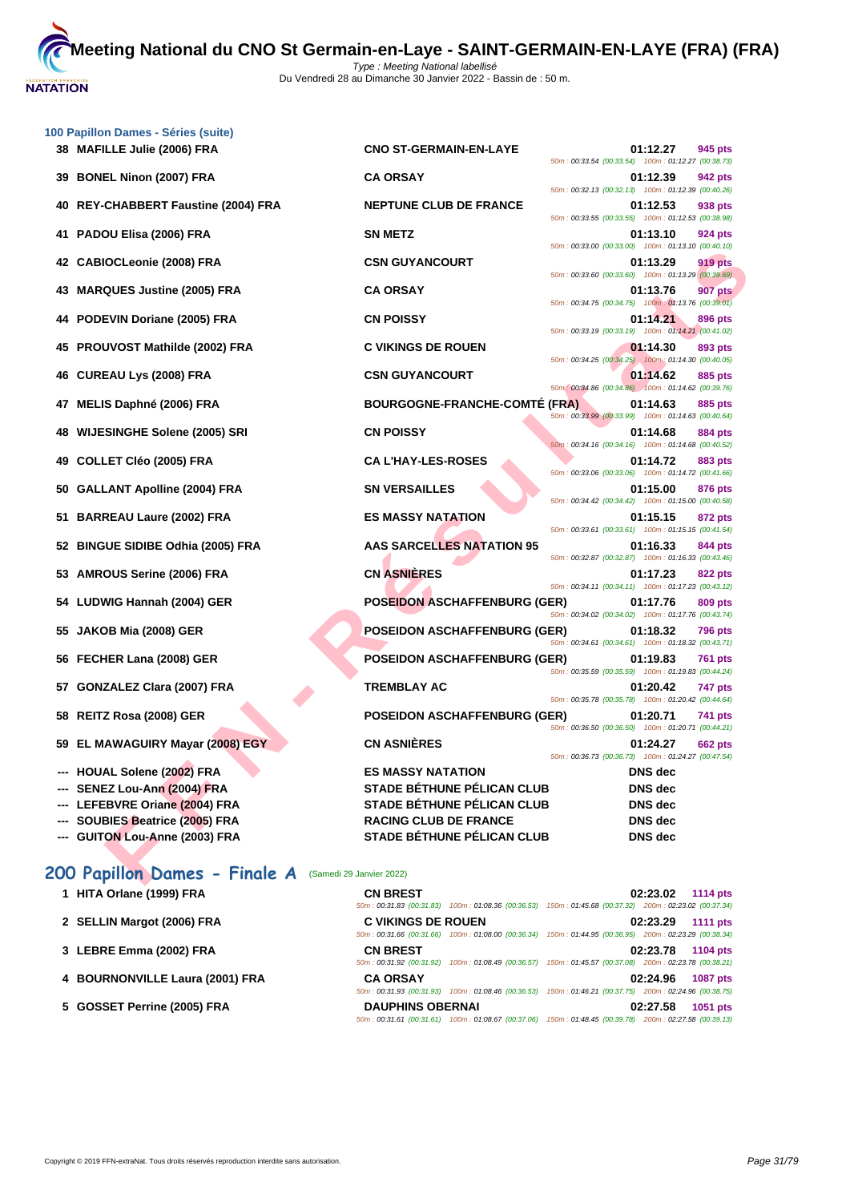| 100 Papillon Dames - Séries (suite)                             |                                      |                                                                                  |
|-----------------------------------------------------------------|--------------------------------------|----------------------------------------------------------------------------------|
| 38 MAFILLE Julie (2006) FRA                                     | <b>CNO ST-GERMAIN-EN-LAYE</b>        | 01:12.27<br>945 pts<br>50m: 00:33.54 (00:33.54) 100m: 01:12.27 (00:38.73)        |
| <b>BONEL Ninon (2007) FRA</b><br>39                             | <b>CA ORSAY</b>                      | 01:12.39<br>942 pts<br>50m: 00:32.13 (00:32.13) 100m: 01:12.39 (00:40.26)        |
| <b>REY-CHABBERT Faustine (2004) FRA</b><br>40                   | <b>NEPTUNE CLUB DE FRANCE</b>        | 01:12.53<br>938 pts<br>50m: 00:33.55 (00:33.55) 100m: 01:12.53 (00:38.98)        |
| PADOU Elisa (2006) FRA<br>41.                                   | <b>SN METZ</b>                       | 01:13.10<br>924 pts<br>50m: 00:33.00 (00:33.00) 100m: 01:13.10 (00:40.10)        |
| 42 CABIOCLeonie (2008) FRA                                      | <b>CSN GUYANCOURT</b>                | 01:13.29<br>919 pts<br>50m: 00:33.60 (00:33.60) 100m: 01:13.29 (00:39.69)        |
| 43 MARQUES Justine (2005) FRA                                   | <b>CA ORSAY</b>                      | 01:13.76<br><b>907 pts</b>                                                       |
| 44 PODEVIN Doriane (2005) FRA                                   | <b>CN POISSY</b>                     | 50m: 00:34.75 (00:34.75) 100m: 01:13.76 (00:39.01)<br>01:14.21<br>896 pts        |
| 45 PROUVOST Mathilde (2002) FRA                                 | <b>C VIKINGS DE ROUEN</b>            | 50m: 00:33.19 (00:33.19) 100m: 01:14.21 (00:41.02)<br>01:14.30<br>893 pts        |
| 46 CUREAU Lys (2008) FRA                                        | <b>CSN GUYANCOURT</b>                | 50m: 00:34.25 (00:34.25) 100m: 01:14.30 (00:40.05)<br>01:14.62<br>885 pts        |
| MELIS Daphné (2006) FRA<br>47                                   | <b>BOURGOGNE-FRANCHE-COMTÉ (FRA)</b> | 50m: 00:34.86 (00:34.86) 100m: 01:14.62 (00:39.76)<br>01:14.63<br>885 pts        |
| <b>WIJESINGHE Solene (2005) SRI</b><br>48                       | <b>CN POISSY</b>                     | 50m: 00:33.99 (00:33.99) 100m: 01:14.63 (00:40.64)<br>01:14.68<br>884 pts        |
| 49 COLLET Cléo (2005) FRA                                       | <b>CA L'HAY-LES-ROSES</b>            | 50m: 00:34.16 (00:34.16) 100m: 01:14.68 (00:40.52)<br>01:14.72<br>883 pts        |
|                                                                 |                                      | 50m: 00:33.06 (00:33.06) 100m: 01:14.72 (00:41.66)                               |
| <b>GALLANT Apolline (2004) FRA</b><br>50                        | <b>SN VERSAILLES</b>                 | 01:15.00<br>876 pts<br>50m: 00:34.42 (00:34.42) 100m: 01:15.00 (00:40.58)        |
| 51 BARREAU Laure (2002) FRA                                     | <b>ES MASSY NATATION</b>             | 01:15.15<br>872 pts<br>50m: 00:33.61 (00:33.61) 100m: 01:15.15 (00:41.54)        |
| 52 BINGUE SIDIBE Odhia (2005) FRA                               | <b>AAS SARCELLES NATATION 95</b>     | 01:16.33<br>844 pts<br>50m: 00:32.87 (00:32.87) 100m: 01:16.33 (00:43.46)        |
| 53 AMROUS Serine (2006) FRA                                     | <b>CN ASNIERES</b>                   | 01:17.23<br>822 pts<br>50m: 00:34.11 (00:34.11) 100m: 01:17.23 (00:43.12)        |
| 54 LUDWIG Hannah (2004) GER                                     | <b>POSEIDON ASCHAFFENBURG (GER)</b>  | 01:17.76<br>809 pts<br>50m: 00:34.02 (00:34.02) 100m: 01:17.76 (00:43.74)        |
| 55 JAKOB Mia (2008) GER                                         | <b>POSEIDON ASCHAFFENBURG (GER)</b>  | 01:18.32<br><b>796 pts</b><br>50m: 00:34.61 (00:34.61) 100m: 01:18.32 (00:43.71) |
| 56 FECHER Lana (2008) GER                                       | <b>POSEIDON ASCHAFFENBURG (GER)</b>  | 01:19.83<br>761 pts                                                              |
| 57 GONZALEZ Clara (2007) FRA                                    | <b>TREMBLAY AC</b>                   | 50m: 00:35.59 (00:35.59) 100m: 01:19.83 (00:44.24)<br>01:20.42<br>747 pts        |
| 58 REITZ Rosa (2008) GER                                        | <b>POSEIDON ASCHAFFENBURG (GER)</b>  | 50m: 00:35.78 (00:35.78) 100m: 01:20.42 (00:44.64)<br>01:20.71<br>741 pts        |
| 59 EL MAWAGUIRY Mayar (2008) EGY                                | <b>CN ASNIÈRES</b>                   | 50m: 00:36.50 (00:36.50) 100m: 01:20.71 (00:44.21)<br>01:24.27<br><b>662 pts</b> |
|                                                                 | <b>ES MASSY NATATION</b>             | 50m: 00:36.73 (00:36.73) 100m: 01:24.27 (00:47.54)                               |
| --- HOUAL Solene (2002) FRA<br>--- SENEZ Lou-Ann (2004) FRA     | <b>STADE BÉTHUNE PÉLICAN CLUB</b>    | <b>DNS</b> dec<br>DNS dec                                                        |
| --- LEFEBVRE Oriane (2004) FRA                                  | STADE BÉTHUNE PÉLICAN CLUB           | <b>DNS</b> dec                                                                   |
| --- SOUBIES Beatrice (2005) FRA                                 | <b>RACING CLUB DE FRANCE</b>         | DNS dec                                                                          |
|                                                                 | STADE BÉTHUNE PÉLICAN CLUB           |                                                                                  |
| --- GUITON Lou-Anne (2003) FRA<br>200 Papillon Dames - Finale A | (Samedi 29 Janvier 2022)             | DNS dec                                                                          |

| 200 Papillon Dames - Finale A   | (Samedi 29 Janvier 2022)                    |                                                                                                                                       |
|---------------------------------|---------------------------------------------|---------------------------------------------------------------------------------------------------------------------------------------|
| HITA Orlane (1999) FRA          | <b>CN BREST</b>                             | 02:23.02<br><b>1114 pts</b><br>50m: 00:31.83 (00:31.83) 100m: 01:08.36 (00:36.53) 150m: 01:45.68 (00:37.32) 200m: 02:23.02 (00:37.34) |
| 2 SELLIN Margot (2006) FRA      | <b>C VIKINGS DE ROUEN</b>                   | 02:23.29<br><b>1111 pts</b><br>50m: 00:31.66 (00:31.66) 100m: 01:08.00 (00:36.34) 150m: 01:44.95 (00:36.95) 200m: 02:23.29 (00:38.34) |
| 3 LEBRE Emma (2002) FRA         | <b>CN BREST</b><br>50m: 00:31.92 (00:31.92) | 02:23.78<br><b>1104 pts</b><br>100m: 01:08.49 (00:36.57) 150m: 01:45.57 (00:37.08) 200m: 02:23.78 (00:38.21)                          |
| 4 BOURNONVILLE Laura (2001) FRA | <b>CA ORSAY</b>                             | 02:24.96<br><b>1087 pts</b><br>50m: 00:31.93 (00:31.93) 100m: 01:08.46 (00:36.53) 150m: 01:46.21 (00:37.75) 200m: 02:24.96 (00:38.75) |
| 5 GOSSET Perrine (2005) FRA     | <b>DAUPHINS OBERNAI</b>                     | 02:27.58<br>1051 pts<br>50m: 00:31.61 (00:31.61) 100m: 01:08.67 (00:37.06) 150m: 01:48.45 (00:39.78) 200m: 02:27.58 (00:39.13)        |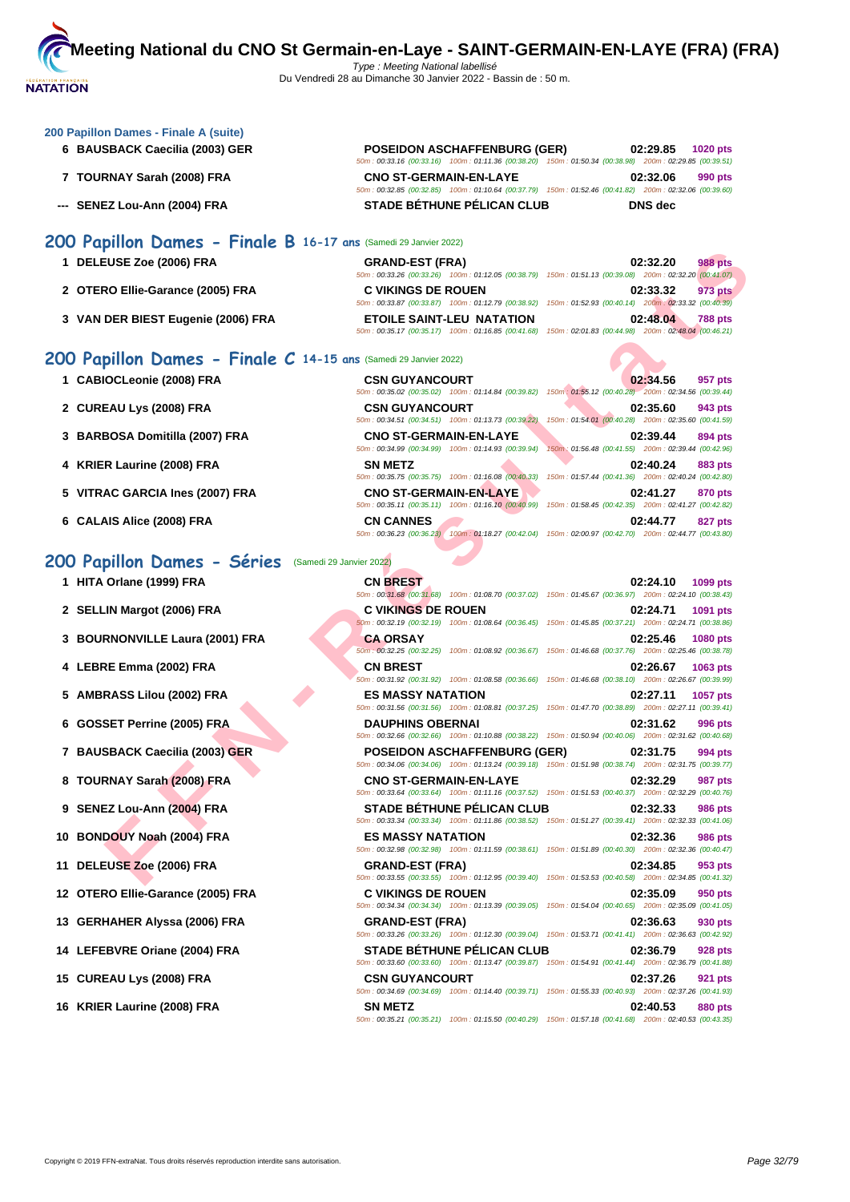#### **[200 Papil](http://www.ffnatation.fr/webffn/index.php)lon Dames - Finale A (suite)**

- 
- 
- 

#### **6 BAUSBACK Caecilia (2003) GER POSEIDON ASCHAFFENBURG (GER) 02:29.85 1020 pts** 50m : 00:33.16 (00:33.16) 100m : 01:11.36 (00:38.20) 150m : 01:50.34 (00:38.98) 200m : 02:29.85 (00:39.51) **7 TOURNAY Sarah (2008) FRA CNO ST-GERMAIN-EN-LAYE 02:32.06 990 pts** 50m : 00:32.85 (00:32.85) 100m : 01:10.64 (00:37.79) 150m : 01:52.46 (00:41.82) 200m : 02:32.06 (00:39.60) **--- SENEZ Lou-Ann (2004) FRA STADE BÉTHUNE PÉLICAN CLUB DNS dec**

## **200 Papillon Dames - Finale B 16-17 ans** (Samedi 29 Janvier 2022)

| 1 DELEUSE Zoe (2006) FRA           | <b>GRAND-EST (FRA)</b>                             | <b>988 pts</b><br>02:32.20                                                                             |
|------------------------------------|----------------------------------------------------|--------------------------------------------------------------------------------------------------------|
|                                    | 50m: 00:33.26 (00:33.26) 100m: 01:12.05 (00:38.79) | 150m: 01:51.13 (00:39.08) 200m: 02:32.20 (00:41.07)                                                    |
| 2 OTERO Ellie-Garance (2005) FRA   | <b>C VIKINGS DE ROUEN</b>                          | 973 pts<br>02:33.32                                                                                    |
|                                    |                                                    | 50m: 00:33.87 (00:33.87) 100m: 01:12.79 (00:38.92) 150m: 01:52.93 (00:40.14) 200m: 02:33.32 (00:40.39) |
| 3 VAN DER BIEST Eugenie (2006) FRA | <b>ETOILE SAINT-LEU NATATION</b>                   | 02:48.04<br><b>788 pts</b>                                                                             |
|                                    | 50m: 00:35.17 (00:35.17) 100m: 01:16.85 (00:41.68) | 150m: 02:01.83 (00:44.98) 200m: 02:48.04 (00:46.21)                                                    |

#### **200 Papillon Dames - Finale C 14-15 ans** (Samedi 29 Janvier 2022)

| 1 CABIOCLeonie (2008) FRA |  |
|---------------------------|--|
|                           |  |

- **2 CUREAU Lys (2008) FRA CSN GUYANCOURT 02:35.60 943 pts**
- **3 BARBOSA Domitilla (2007) FRA CNO ST-GERMAIN-EN-LAYE 02:39.94 02:39.44 894 pts**<br> **50m**: 00:34.99 **(00:34.99) 100m**: 01:14.93 **(00:39.94) 150m**: 01:56.48 **(00:41.55) 200m**: 02:39.44 **(00:42.96)**
- **4 KRIER Laurine (2008) FRA SN METZ 02:40.24 883 pts**
- **5 VITRAC GARCIA Ines (2007) FRA CNO ST-GERMAIN-EN-LAYE 02:41.27 870 pts**
- **6 CALAIS Alice (2008) FRA CN CANNES 02:44.77 827 pts**

### 200 Papillon Dames - Séries (Samedi 29 Jan

- **1 HITA Orlane (1999) FRA**
- **2 SELLIN Margot (2006) FRA C VIKINGS DE ROUEN 02:24.71 1091 pts**
- **3 BOURNONVILLE Laura (2001) FRA**
- **4 LEBRE Emma (2002) FRA CN BREST 02:26.67 1063 pts**
- **5 AMBRASS Lilou (2002) FRA ES MASSY NATATION 02:27.11 1057 pts**
- **6 GOSSET Perrine (2005) FRA**
- **7 BAUSBACK Caecilia (2003) GER**
- **8 TOURNAY Sarah (2008) FRA**
- **9 SENEZ Lou-Ann (2004) FRA**
- **10 BONDOUY Noah (2004) FRA**
- **11 DELEUSE Zoe (2006) FRA GRAND-EST (FRA) 02:34.85 953 pts**
- **12 OTERO Ellie-Garance (2005) FRA**
- **13 GERHAHER Alyssa (2006) FRA GRAND-EST (FRA) 02:36.63 930 pts**
- **14** LEFEBVRE Oriane (2004) FRA
- **15 CUREAU Lys (2008) FRA**
- **16 KRIER Laurine (2008) FRA**

| EUSE Zoe (2006) FRA                                          | <b>GRAND-EST (FRA)</b>                                                              | 02:32.20<br><b>988 pts</b>                                                                                                            |
|--------------------------------------------------------------|-------------------------------------------------------------------------------------|---------------------------------------------------------------------------------------------------------------------------------------|
| RO Ellie-Garance (2005) FRA                                  | <b>C VIKINGS DE ROUEN</b>                                                           | 50m: 00:33.26 (00:33.26) 100m: 01:12.05 (00:38.79) 150m: 01:51.13 (00:39.08) 200m: 02:32.20 (00:41.07)<br>02:33.32<br>973 pts         |
|                                                              |                                                                                     | 50m: 00:33.87 (00:33.87) 100m: 01:12.79 (00:38.92) 150m: 01:52.93 (00:40.14) 200m: 02:33.32 (00:40.39)                                |
| DER BIEST Eugenie (2006) FRA                                 | <b>ETOILE SAINT-LEU NATATION</b>                                                    | 02:48.04<br><b>788 pts</b><br>50m: 00:35.17 (00:35.17) 100m: 01:16.85 (00:41.68) 150m: 02:01.83 (00:44.98) 200m: 02:48.04 (00:46.21)  |
| $pillon$ Dames - Finale C 14-15 ans (Samedi 29 Janvier 2022) |                                                                                     |                                                                                                                                       |
| <b>IOCLeonie (2008) FRA</b>                                  | <b>CSN GUYANCOURT</b>                                                               | 02:34.56<br>957 pts                                                                                                                   |
| EAU Lys (2008) FRA                                           | <b>CSN GUYANCOURT</b>                                                               | 50m : 00:35.02 (00:35.02) 100m : 01:14.84 (00:39.82) 150m : 01:55.12 (00:40.28) 200m : 02:34.56 (00:39.44)<br>02:35.60<br>943 pts     |
|                                                              | 50m: 00:34.51 (00:34.51) 100m: 01:13.73 (00:39.22)                                  | 150m: 01:54.01 (00:40.28) 200m: 02:35.60 (00:41.59)                                                                                   |
| BOSA Domitilla (2007) FRA                                    | <b>CNO ST-GERMAIN-EN-LAYE</b><br>50m: 00:34.99 (00:34.99) 100m: 01:14.93 (00:39.94) | 02:39.44<br>894 pts<br>150m: 01:56.48 (00:41.55) 200m: 02:39.44 (00:42.96)                                                            |
| R Laurine (2008) FRA:                                        | <b>SN METZ</b>                                                                      | 02:40.24<br>883 pts                                                                                                                   |
|                                                              |                                                                                     | 50m: 00:35.75 (00:35.75) 100m: 01:16.08 (00:40.33) 150m: 01:57.44 (00:41.36) 200m: 02:40.24 (00:42.80)                                |
| AC GARCIA Ines (2007) FRA                                    | <b>CNO ST-GERMAIN-EN-LAYE</b>                                                       | 02:41.27<br>870 pts<br>50m : 00:35.11 (00:35.11) 100m : 01:16.10 (00:40.99) 150m : 01:58.45 (00:42.35) 200m : 02:41.27 (00:42.82)     |
| <b>AIS Alice (2008) FRA</b>                                  | <b>CN CANNES</b>                                                                    | 02:44.77<br>827 pts                                                                                                                   |
|                                                              |                                                                                     | 50m: 00:36.23 (00:36.23) 100m: 01:18.27 (00:42.04) 150m: 02:00.97 (00:42.70) 200m: 02:44.77 (00:43.80)                                |
| pillon Dames - Séries                                        | (Samedi 29 Janvier 2022)                                                            |                                                                                                                                       |
|                                                              |                                                                                     |                                                                                                                                       |
| Orlane (1999) FRA                                            | <b>CN BREST</b>                                                                     | 02:24.10<br>1099 pts<br>50m: 00:31.68 (00:31.68) 100m: 01:08.70 (00:37.02) 150m: 01:45.67 (00:36.97) 200m: 02:24.10 (00:38.43)        |
| IN Margot (2006) FRA                                         | <b>C VIKINGS DE ROUEN</b>                                                           | 02:24.71<br>1091 pts                                                                                                                  |
|                                                              |                                                                                     | 60m : 00:32.19 (00:32.19) 100m : 01:08.64 (00:36.45) 150m : 01:45.85 (00:37.21) 200m : 02:24.71 (00:38.86)                            |
| RNONVILLE Laura (2001) FRA                                   | <b>CA ORSAY</b>                                                                     | 02:25.46<br><b>1080 pts</b><br>50m; 00:32.25 (00:32.25) 100m; 01:08.92 (00:36.67) 150m; 01:46.68 (00:37.76) 200m; 02:25.46 (00:38.78) |
| <b>RE Emma (2002) FRA</b>                                    | <b>CN BREST</b>                                                                     | 02:26.67<br>1063 pts                                                                                                                  |
|                                                              |                                                                                     | 50m : 00:31.92 (00:31.92) 100m : 01:08.58 (00:36.66) 150m : 01:46.68 (00:38.10) 200m : 02:26.67 (00:39.99)                            |
| RASS Lilou (2002) FRA                                        | <b>ES MASSY NATATION</b>                                                            | 02:27.11<br>1057 pts                                                                                                                  |
| SET Perrine (2005) FRA                                       | <b>DAUPHINS OBERNAI</b>                                                             | 50m: 00:31.56 (00:31.56) 100m: 01:08.81 (00:37.25) 150m: 01:47.70 (00:38.89) 200m: 02:27.11 (00:39.41)<br>02:31.62                    |
|                                                              |                                                                                     | 996 pts<br>50m : 00:32.66 (00:32.66) 100m : 01:10.88 (00:38.22) 150m : 01:50.94 (00:40.06) 200m : 02:31.62 (00:40.68)                 |
| SBACK Caecilia (2003) GER                                    | <b>POSEIDON ASCHAFFENBURG (GER)</b>                                                 | 02:31.75<br>994 pts                                                                                                                   |
|                                                              |                                                                                     | 50m: 00:34.06 (00:34.06) 100m: 01:13.24 (00:39.18) 150m: 01:51.98 (00:38.74) 200m: 02:31.75 (00:39.77)                                |
| RNAY Sarah (2008) FRA                                        | <b>CNO ST-GERMAIN-EN-LAYE</b>                                                       | 02:32.29<br>987 pts<br>50m: 00:33.64 (00:33.64) 100m: 01:11.16 (00:37.52) 150m: 01:51.53 (00:40.37) 200m: 02:32.29 (00:40.76)         |
| EZ Lou-Ann (2004) FRA                                        | <b>STADE BETHUNE PELICAN CLUB</b>                                                   | 02:32.33<br>986 pts                                                                                                                   |
|                                                              |                                                                                     | 50m: 00:33.34 (00:33.34) 100m: 01:11.86 (00:38.52) 150m: 01:51.27 (00:39.41) 200m: 02:32.33 (00:41.06)                                |
| DOUY Noah (2004) FRA                                         | <b>ES MASSY NATATION</b>                                                            | 02:32.36<br>986 pts<br>50m : 00:32.98 (00:32.98) 100m : 01:11.59 (00:38.61) 150m : 01:51.89 (00:40.30) 200m : 02:32.36 (00:40.47)     |
| EUSE Zoe (2006) FRA                                          | <b>GRAND-EST (FRA)</b>                                                              | 02:34.85<br>953 pts                                                                                                                   |
|                                                              |                                                                                     | 50m : 00:33.55 (00:33.55) 100m : 01:12.95 (00:39.40) 150m : 01:53.53 (00:40.58) 200m : 02:34.85 (00:41.32)                            |
| RO Ellie-Garance (2005) FRA                                  | <b>C VIKINGS DE ROUEN</b>                                                           | 02:35.09<br>950 pts                                                                                                                   |
| HAHER Alyssa (2006) FRA                                      | <b>GRAND-EST (FRA)</b>                                                              | 50m: 00:34.34 (00:34.34) 100m: 01:13.39 (00:39.05) 150m: 01:54.04 (00:40.65) 200m: 02:35.09 (00:41.05)<br>02:36.63<br>930 pts         |
|                                                              |                                                                                     | 50m : 00:33.26 (00:33.26) 100m : 01:12.30 (00:39.04) 150m : 01:53.71 (00:41.41) 200m : 02:36.63 (00:42.92)                            |
| EBVRE Oriane (2004) FRA                                      | <b>STADE BETHUNE PELICAN CLUB</b>                                                   | 02:36.79<br>928 pts                                                                                                                   |
|                                                              |                                                                                     | 50m : 00:33.60 (00:33.60) 100m : 01:13.47 (00:39.87) 150m : 01:54.91 (00:41.44) 200m : 02:36.79 (00:41.88)                            |
| <b>EAU Lys (2008) FRA</b>                                    | <b>CSN GUYANCOURT</b>                                                               | 02:37.26<br>921 pts<br>50m: 00:34.69 (00:34.69) 100m: 01:14.40 (00:39.71) 150m: 01:55.33 (00:40.93) 200m: 02:37.26 (00:41.93)         |
| R Laurine (2008) FRA                                         | <b>SN METZ</b>                                                                      | 02:40.53<br>880 pts                                                                                                                   |
|                                                              |                                                                                     | 50m: 00:35.21 (00:35.21) 100m: 01:15.50 (00:40.29) 150m: 01:57.18 (00:41.68) 200m: 02:40.53 (00:43.35)                                |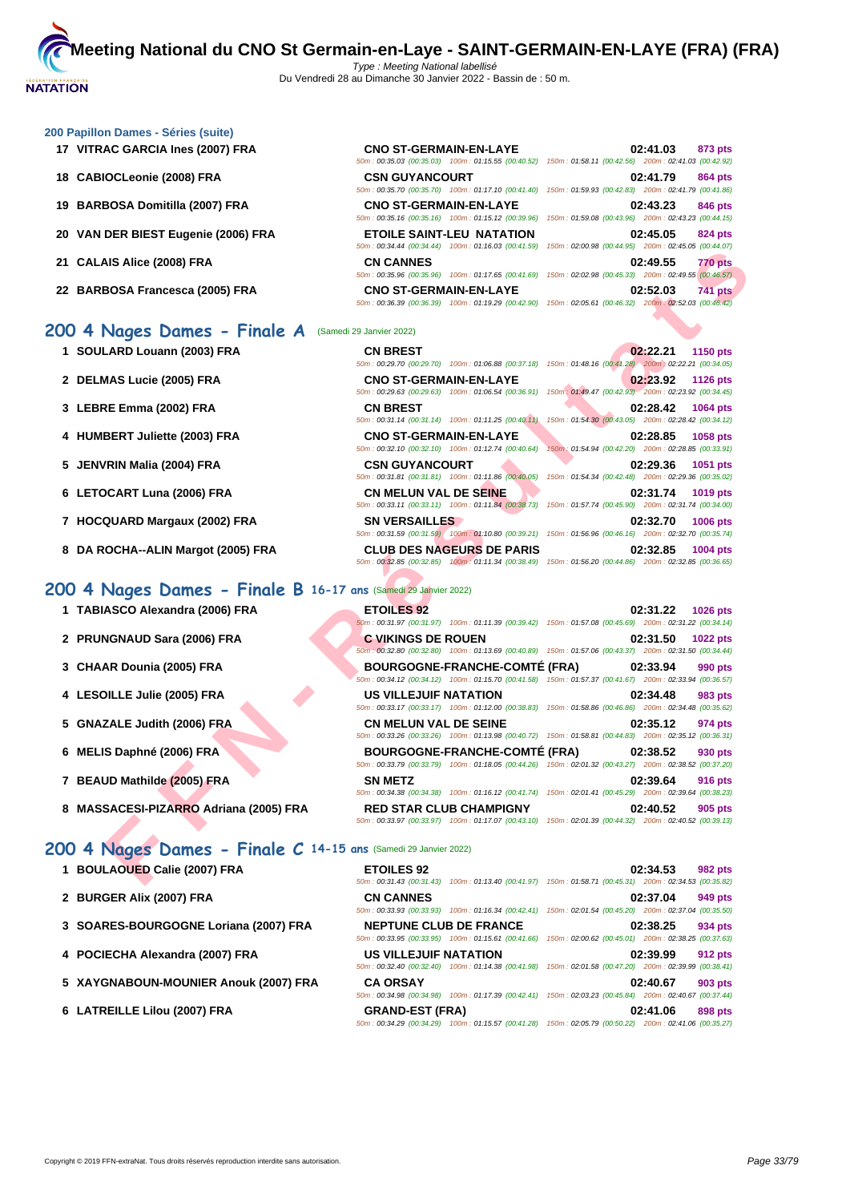#### **[200 Papil](http://www.ffnatation.fr/webffn/index.php)lon Dames - Séries (suite)**

- **17 VITRAC GARCIA Ines (2007) FRA**
- **18 CABIOCLeonie (2008) FRA**
- **19 BARBOSA Domitilla (2007) FRA**
- **20 VAN DER BIEST Eugenie (2006) FRA**
- **21 CALAIS Alice (2008) FRA CN CANNES 02:49.55 770 pts**
- **22 BARBOSA Francesca (2005) FRA**

## **200 4 Nages Dames - Finale A** (Samedi 29 Janvier 2022)

- **1 SOULARD Louann (2003) FRA**
- **2 DELMAS Lucie (2005) FRA CNO ST-GERMAIN-EN-LAYE 02:23.92 1126 pts**
- **3** LEBRE Emma (2002) FRA
- **4 HUMBERT Juliette (2003) FRA**
- **5 JENVRIN Malia (2004) FRA**
- **6** LETOCART Luna (2006) FRA
- **7 HOCQUARD Margaux (2002) FRA**
- **8 DA ROCHA--ALIN Margot (2005) FRA**

## **200 4 Nages Dames - Finale B 16-17 ans** (Samedi 29 Janvier 2022)

- **1 TABIASCO Alexandra (2006) FRA**
- **2 PRUNGNAUD Sara (2006) FRA C VIKINGS DE ROUEN 02:31.50 1022 pts**
- **3 CHAAR Dounia (2005) FRA**
- **4 LESOILLE Julie (2005) FRA US VILLEJUIF NATATION 02:34.48 983 pts**
- **5 GNAZALE Judith (2006) FRA**
- **6 MELIS Daphné (2006) FRA**
- **7 BEAUD Mathilde (2005) FRA**
- **8 MASSACESI-PIZARRO Adriana (2005) FRA**

## **200 4 Nages Dames - Finale C 14-15 ans** (Samedi 29 Janvier 2022)

- **1 BOULAOUED Calie (2007) FRA EXECUTED EQUILAOUED CALCE**
- **2 BURGER Alix (2007) FRA CONS CONS CONS CONS CONS CONS**
- **3 [SOARES-BOURGOGNE Loriana \(2007\) FRA](http://www.ffnatation.fr/webffn/resultats.php?idact=nat&go=epr&idcpt=75485&idepr=41)**
- **4 POCIECHA Alexandra (2007) FRA US**
- **5 XAYGNABOUN-MOUNIER Anouk (2007) FRA**
- **6** LATREILLE Lilou (2007) FRA

| <b>CNO ST-GERMAIN-EN-LAYE</b>                                                                          |  | 02:41.03 873 pts |         |
|--------------------------------------------------------------------------------------------------------|--|------------------|---------|
| 50m: 00:35.03 (00:35.03) 100m: 01:15.55 (00:40.52) 150m: 01:58.11 (00:42.56) 200m: 02:41.03 (00:42.92) |  |                  |         |
| <b>CSN GUYANCOURT</b>                                                                                  |  | 02:41.79         | 864 pts |
| 50m: 00:35.70 (00:35.70) 100m: 01:17.10 (00:41.40) 150m: 01:59.93 (00:42.83) 200m: 02:41.79 (00:41.86) |  |                  |         |
| <b>CNO ST-GERMAIN-EN-LAYE</b>                                                                          |  | 02:43.23 846 pts |         |
| 50m: 00:35.16 (00:35.16) 100m: 01:15.12 (00:39.96) 150m: 01:59.08 (00:43.96) 200m: 02:43.23 (00:44.15) |  |                  |         |
| <b>ETOILE SAINT-LEU NATATION</b>                                                                       |  | 02:45.05 824 pts |         |
| 50m: 00:34.44 (00:34.44) 100m: 01:16.03 (00:41.59) 150m: 02:00.98 (00:44.95) 200m: 02:45.05 (00:44.07) |  |                  |         |
| <b>CN CANNES</b>                                                                                       |  |                  |         |
|                                                                                                        |  | 02:49.55 770 pts |         |
| 50m: 00:35.96 (00:35.96) 100m: 01:17.65 (00:41.69) 150m: 02:02.98 (00:45.33) 200m: 02:49.55 (00:46.57) |  |                  |         |
| <b>CNO ST-GERMAIN-EN-LAYE</b>                                                                          |  | 02:52.03         | 741 pts |

| <b>CN BREST</b>               |                                                                                                        |                                                     |          | 02:22.21 1150 pts |
|-------------------------------|--------------------------------------------------------------------------------------------------------|-----------------------------------------------------|----------|-------------------|
|                               | 50m: 00:29.70 (00:29.70) 100m: 01:06.88 (00:37.18)                                                     | 150m: 01:48.16 (00:41.28) 200m: 02:22.21 (00:34.05) |          |                   |
| <b>CNO ST-GERMAIN-EN-LAYE</b> |                                                                                                        |                                                     |          | 02:23.92 1126 pts |
|                               | 50m: 00:29.63 (00:29.63) 100m: 01:06.54 (00:36.91)                                                     | 150m: 01:49.47 (00:42.93) 200m: 02:23.92 (00:34.45) |          |                   |
| <b>CN BREST</b>               |                                                                                                        |                                                     |          | 02:28.42 1064 pts |
|                               | 50m: 00:31.14 (00:31.14) 100m: 01:11.25 (00:40.11)                                                     | 150m: 01:54.30 (00:43.05) 200m: 02:28.42 (00:34.12) |          |                   |
| <b>CNO ST-GERMAIN-EN-LAYE</b> |                                                                                                        |                                                     |          | 02:28.85 1058 pts |
|                               | 50m: 00:32.10 (00:32.10) 100m: 01:12.74 (00:40.64)                                                     | 150m; 01:54.94 (00:42.20) 200m: 02:28.85 (00:33.91) |          |                   |
| <b>CSN GUYANCOURT</b>         |                                                                                                        |                                                     |          | 02:29.36 1051 pts |
|                               | 50m: 00:31.81 (00:31.81) 100m: 01:11.86 (00:40.05) 150m: 01:54.34 (00:42.48) 200m: 02:29.36 (00:35.02) |                                                     |          |                   |
| <b>CN MELUN VAL DE SEINE</b>  |                                                                                                        |                                                     |          | 02:31.74 1019 pts |
|                               | 50m: 00:33.11 (00:33.11) 100m: 01:11.84 (00:38.73)                                                     | 150m: 01:57.74 (00:45.90) 200m: 02:31.74 (00:34.00) |          |                   |
| <b>SN VERSAILLES</b>          |                                                                                                        |                                                     | 02:32.70 | 1006 pts          |
|                               | 50m: 00:31.59 (00:31.59) 100m: 01:10.80 (00:39.21)                                                     | 150m: 01:56.96 (00:46.16) 200m: 02:32.70 (00:35.74) |          |                   |
|                               | <b>CLUB DES NAGEURS DE PARIS</b>                                                                       |                                                     | 02:32.85 | <b>1004 pts</b>   |
|                               | 50m: 00:32.85 (00:32.85) 100m: 01:11.34 (00:38.49)                                                     | 150m: 01:56.20 (00:44.86) 200m: 02:32.85 (00:36.65) |          |                   |

| <b>AIS Alice (2008) FRA</b><br><b>CN CANNES</b><br>02:49.55<br>50m : 00:35.96 (00:35.96) 100m : 01:17.65 (00:41.69) 150m : 02:02.98 (00:45.33) 200m : 02:49.55 (00:46.57)<br>02:52.03<br>BOSA Francesca (2005) FRA<br><b>CNO ST-GERMAIN-EN-LAYE</b><br>50m: 00:36.39 (00:36.39) 100m: 01:19.29 (00:42.90) 150m: 02:05.61 (00:46.32) 200m: 02:52.03 (00:46.42)<br>Nages Dames - Finale A<br>(Samedi 29 Janvier 2022)<br>LARD Louann (2003) FRA<br>02:22.21<br><b>CN BREST</b><br>50m: 00:29.70 (00:29.70) 100m: 01:06.88 (00:37.18) 150m: 01:48.16 (00:41.28) 200m: 02:22.21 (00:34.05)<br><b>MAS Lucie (2005) FRA</b><br><b>CNO ST-GERMAIN-EN-LAYE</b><br>02:23.92<br>50m: 00:29.63 (00:29.63) 100m: 01:06.54 (00:36.91) 150m: 01:49.47 (00:42.93) 200m: 02:23.92 (00:34.45)<br>RE Emma (2002) FRA<br><b>CN BREST</b><br>02:28.42<br>50m: 00:31.14 (00:31.14) 100m: 01:11.25 (00:40.11) 150m: 01:54.30 (00:43.05) 200m: 02:28.42 (00:34.12)<br><b>BERT Juliette (2003) FRA</b><br><b>CNO ST-GERMAIN-EN-LAYE</b><br>02:28.85<br>50m: 00:32.10 (00:32.10) 100m: 01:12.74 (00:40.64)<br>/RIN Malia (2004) FRA<br><b>CSN GUYANCOURT</b><br>02:29.36<br>50m : 00:31.81 (00:31.81) 100m : 01:11.86 (00:40.05) 150m : 01:54.34 (00:42.48) 200m : 02:29.36 (00:35.02)<br><b>CN MELUN VAL DE SEINE</b><br><b>DCART Luna (2006) FRA</b><br>02:31.74<br>50m: 00:33.11 (00:33.11) 100m: 01:11.84 (00:38.73) 150m: 01:57.74 (00:45.90) 200m: 02:31.74 (00:34.00)<br>QUARD Margaux (2002) FRA<br>02:32.70<br><b>SN VERSAILLES</b><br>50m : 00:31.59 (00:31.59) 100m : 01:10.80 (00:39.21) 150m : 01:56.96 (00:46.16) 200m : 02:32.70 (00:35.74)<br>OCHA--ALIN Margot (2005) FRA<br><b>CLUB DES NAGEURS DE PARIS</b><br>02:32.85<br>50m: 00:32.85 (00:32.85) 100m: 01:11.34 (00:38.49) 150m: 01:56.20 (00:44.86) 200m: 02:32.85 (00:36.65)<br>Nages Dames - Finale B 16-17 ans (Samedi 29 Janvier 2022)<br>ASCO Alexandra (2006) FRA<br><b>ETOILES 92</b><br>02:31.22<br>50m: 00:31.97 (00:31.97) 100m: 01:11.39 (00:39.42) 150m: 01:57.08 (00:45.69) 200m: 02:31.22 (00:34.14)<br><b>NGNAUD Sara (2006) FRA</b><br><b>C VIKINGS DE ROUEN</b><br>02:31.50<br>50m : 00:32.80 (00:32.80) 100m : 01:13.69 (00:40.89) 150m : 01:57.06 (00:43.37) 200m : 02:31.50 (00:34.44)<br><b>BOURGOGNE-FRANCHE-COMTE (FRA)</b><br>AR Dounia (2005) FRA<br>02:33.94<br>50m: 00:34.12 (00:34.12) 100m: 01:15.70 (00:41.58) 150m: 01:57.37 (00:41.67) 200m: 02:33.94 (00:36.57)<br><b>US VILLEJUIF NATATION</b><br><b>DILLE Julie (2005) FRA</b><br>02:34.48<br>50m : 00:33.17 (00:33.17) 100m : 01:12.00 (00:38.83) 150m : 01:58.86 (00:46.86) 200m : 02:34.48 (00:35.62)<br>ZALE Judith (2006) FRA<br><b>CN MELUN VAL DE SEINE</b><br>02:35.12<br>50m : 00:33.26 (00:33.26) 100m : 01:13.98 (00:40.72) 150m : 01:58.81 (00:44.83) 200m : 02:35.12 (00:36.31)<br>S Daphné (2006) FRA<br><b>BOURGOGNE-FRANCHE-COMTÉ (FRA)</b><br>02:38.52<br>50m: 00:33.79 (00:33.79) 100m: 01:18.05 (00:44.26) 150m: 02:01.32 (00:43.27) 200m: 02:38.52 (00:37.20)<br><b>SN METZ</b><br>UD Mathilde (2005) FRA<br>02:39.64<br>50m: 00:34.38 (00:34.38) 100m: 01:16.12 (00:41.74) 150m: 02:01.41 (00:45.29) 200m: 02:39.64 (00:38.23)<br>SACESI-PIZARRO Adriana (2005) FRA<br><b>RED STAR CLUB CHAMPIGNY</b><br>02:40.52<br>50m: 00:33.97 (00:33.97) 100m: 01:17.07 (00:43.10) 150m: 02:01.39 (00:44.32) 200m: 02:40.52 (00:39.13)<br>Nages Dames - Finale C 14-15 ans (Samedi 29 Janvier 2022) |                         | $10011. 00034.44$ $100034.44$ $10011. 01110.03$ $100.41.33$ $10011. 02100.30$ $10014.30$ |                                                                 |
|------------------------------------------------------------------------------------------------------------------------------------------------------------------------------------------------------------------------------------------------------------------------------------------------------------------------------------------------------------------------------------------------------------------------------------------------------------------------------------------------------------------------------------------------------------------------------------------------------------------------------------------------------------------------------------------------------------------------------------------------------------------------------------------------------------------------------------------------------------------------------------------------------------------------------------------------------------------------------------------------------------------------------------------------------------------------------------------------------------------------------------------------------------------------------------------------------------------------------------------------------------------------------------------------------------------------------------------------------------------------------------------------------------------------------------------------------------------------------------------------------------------------------------------------------------------------------------------------------------------------------------------------------------------------------------------------------------------------------------------------------------------------------------------------------------------------------------------------------------------------------------------------------------------------------------------------------------------------------------------------------------------------------------------------------------------------------------------------------------------------------------------------------------------------------------------------------------------------------------------------------------------------------------------------------------------------------------------------------------------------------------------------------------------------------------------------------------------------------------------------------------------------------------------------------------------------------------------------------------------------------------------------------------------------------------------------------------------------------------------------------------------------------------------------------------------------------------------------------------------------------------------------------------------------------------------------------------------------------------------------------------------------------------------------------------------------------------------------------------------------------------------------------------------------------------------------------------------------------------------------------------------------------------------------------------------------------------------------------------------------------------------------------------------------------------------------|-------------------------|------------------------------------------------------------------------------------------|-----------------------------------------------------------------|
|                                                                                                                                                                                                                                                                                                                                                                                                                                                                                                                                                                                                                                                                                                                                                                                                                                                                                                                                                                                                                                                                                                                                                                                                                                                                                                                                                                                                                                                                                                                                                                                                                                                                                                                                                                                                                                                                                                                                                                                                                                                                                                                                                                                                                                                                                                                                                                                                                                                                                                                                                                                                                                                                                                                                                                                                                                                                                                                                                                                                                                                                                                                                                                                                                                                                                                                                                                                                                                                |                         |                                                                                          | <b>770 pts</b>                                                  |
|                                                                                                                                                                                                                                                                                                                                                                                                                                                                                                                                                                                                                                                                                                                                                                                                                                                                                                                                                                                                                                                                                                                                                                                                                                                                                                                                                                                                                                                                                                                                                                                                                                                                                                                                                                                                                                                                                                                                                                                                                                                                                                                                                                                                                                                                                                                                                                                                                                                                                                                                                                                                                                                                                                                                                                                                                                                                                                                                                                                                                                                                                                                                                                                                                                                                                                                                                                                                                                                |                         |                                                                                          | <b>741 pts</b>                                                  |
|                                                                                                                                                                                                                                                                                                                                                                                                                                                                                                                                                                                                                                                                                                                                                                                                                                                                                                                                                                                                                                                                                                                                                                                                                                                                                                                                                                                                                                                                                                                                                                                                                                                                                                                                                                                                                                                                                                                                                                                                                                                                                                                                                                                                                                                                                                                                                                                                                                                                                                                                                                                                                                                                                                                                                                                                                                                                                                                                                                                                                                                                                                                                                                                                                                                                                                                                                                                                                                                |                         |                                                                                          |                                                                 |
|                                                                                                                                                                                                                                                                                                                                                                                                                                                                                                                                                                                                                                                                                                                                                                                                                                                                                                                                                                                                                                                                                                                                                                                                                                                                                                                                                                                                                                                                                                                                                                                                                                                                                                                                                                                                                                                                                                                                                                                                                                                                                                                                                                                                                                                                                                                                                                                                                                                                                                                                                                                                                                                                                                                                                                                                                                                                                                                                                                                                                                                                                                                                                                                                                                                                                                                                                                                                                                                |                         |                                                                                          | <b>1150 pts</b>                                                 |
|                                                                                                                                                                                                                                                                                                                                                                                                                                                                                                                                                                                                                                                                                                                                                                                                                                                                                                                                                                                                                                                                                                                                                                                                                                                                                                                                                                                                                                                                                                                                                                                                                                                                                                                                                                                                                                                                                                                                                                                                                                                                                                                                                                                                                                                                                                                                                                                                                                                                                                                                                                                                                                                                                                                                                                                                                                                                                                                                                                                                                                                                                                                                                                                                                                                                                                                                                                                                                                                |                         |                                                                                          | <b>1126 pts</b>                                                 |
|                                                                                                                                                                                                                                                                                                                                                                                                                                                                                                                                                                                                                                                                                                                                                                                                                                                                                                                                                                                                                                                                                                                                                                                                                                                                                                                                                                                                                                                                                                                                                                                                                                                                                                                                                                                                                                                                                                                                                                                                                                                                                                                                                                                                                                                                                                                                                                                                                                                                                                                                                                                                                                                                                                                                                                                                                                                                                                                                                                                                                                                                                                                                                                                                                                                                                                                                                                                                                                                |                         |                                                                                          | 1064 pts                                                        |
|                                                                                                                                                                                                                                                                                                                                                                                                                                                                                                                                                                                                                                                                                                                                                                                                                                                                                                                                                                                                                                                                                                                                                                                                                                                                                                                                                                                                                                                                                                                                                                                                                                                                                                                                                                                                                                                                                                                                                                                                                                                                                                                                                                                                                                                                                                                                                                                                                                                                                                                                                                                                                                                                                                                                                                                                                                                                                                                                                                                                                                                                                                                                                                                                                                                                                                                                                                                                                                                |                         |                                                                                          | 1058 pts<br>150m: 01:54.94 (00:42.20) 200m: 02:28.85 (00:33.91) |
|                                                                                                                                                                                                                                                                                                                                                                                                                                                                                                                                                                                                                                                                                                                                                                                                                                                                                                                                                                                                                                                                                                                                                                                                                                                                                                                                                                                                                                                                                                                                                                                                                                                                                                                                                                                                                                                                                                                                                                                                                                                                                                                                                                                                                                                                                                                                                                                                                                                                                                                                                                                                                                                                                                                                                                                                                                                                                                                                                                                                                                                                                                                                                                                                                                                                                                                                                                                                                                                |                         |                                                                                          | 1051 pts                                                        |
|                                                                                                                                                                                                                                                                                                                                                                                                                                                                                                                                                                                                                                                                                                                                                                                                                                                                                                                                                                                                                                                                                                                                                                                                                                                                                                                                                                                                                                                                                                                                                                                                                                                                                                                                                                                                                                                                                                                                                                                                                                                                                                                                                                                                                                                                                                                                                                                                                                                                                                                                                                                                                                                                                                                                                                                                                                                                                                                                                                                                                                                                                                                                                                                                                                                                                                                                                                                                                                                |                         |                                                                                          | 1019 pts                                                        |
|                                                                                                                                                                                                                                                                                                                                                                                                                                                                                                                                                                                                                                                                                                                                                                                                                                                                                                                                                                                                                                                                                                                                                                                                                                                                                                                                                                                                                                                                                                                                                                                                                                                                                                                                                                                                                                                                                                                                                                                                                                                                                                                                                                                                                                                                                                                                                                                                                                                                                                                                                                                                                                                                                                                                                                                                                                                                                                                                                                                                                                                                                                                                                                                                                                                                                                                                                                                                                                                |                         |                                                                                          | <b>1006 pts</b>                                                 |
|                                                                                                                                                                                                                                                                                                                                                                                                                                                                                                                                                                                                                                                                                                                                                                                                                                                                                                                                                                                                                                                                                                                                                                                                                                                                                                                                                                                                                                                                                                                                                                                                                                                                                                                                                                                                                                                                                                                                                                                                                                                                                                                                                                                                                                                                                                                                                                                                                                                                                                                                                                                                                                                                                                                                                                                                                                                                                                                                                                                                                                                                                                                                                                                                                                                                                                                                                                                                                                                |                         |                                                                                          | 1004 pts                                                        |
|                                                                                                                                                                                                                                                                                                                                                                                                                                                                                                                                                                                                                                                                                                                                                                                                                                                                                                                                                                                                                                                                                                                                                                                                                                                                                                                                                                                                                                                                                                                                                                                                                                                                                                                                                                                                                                                                                                                                                                                                                                                                                                                                                                                                                                                                                                                                                                                                                                                                                                                                                                                                                                                                                                                                                                                                                                                                                                                                                                                                                                                                                                                                                                                                                                                                                                                                                                                                                                                |                         |                                                                                          |                                                                 |
|                                                                                                                                                                                                                                                                                                                                                                                                                                                                                                                                                                                                                                                                                                                                                                                                                                                                                                                                                                                                                                                                                                                                                                                                                                                                                                                                                                                                                                                                                                                                                                                                                                                                                                                                                                                                                                                                                                                                                                                                                                                                                                                                                                                                                                                                                                                                                                                                                                                                                                                                                                                                                                                                                                                                                                                                                                                                                                                                                                                                                                                                                                                                                                                                                                                                                                                                                                                                                                                |                         |                                                                                          | 1026 pts                                                        |
|                                                                                                                                                                                                                                                                                                                                                                                                                                                                                                                                                                                                                                                                                                                                                                                                                                                                                                                                                                                                                                                                                                                                                                                                                                                                                                                                                                                                                                                                                                                                                                                                                                                                                                                                                                                                                                                                                                                                                                                                                                                                                                                                                                                                                                                                                                                                                                                                                                                                                                                                                                                                                                                                                                                                                                                                                                                                                                                                                                                                                                                                                                                                                                                                                                                                                                                                                                                                                                                |                         |                                                                                          | 1022 pts                                                        |
|                                                                                                                                                                                                                                                                                                                                                                                                                                                                                                                                                                                                                                                                                                                                                                                                                                                                                                                                                                                                                                                                                                                                                                                                                                                                                                                                                                                                                                                                                                                                                                                                                                                                                                                                                                                                                                                                                                                                                                                                                                                                                                                                                                                                                                                                                                                                                                                                                                                                                                                                                                                                                                                                                                                                                                                                                                                                                                                                                                                                                                                                                                                                                                                                                                                                                                                                                                                                                                                |                         |                                                                                          | 990 pts                                                         |
|                                                                                                                                                                                                                                                                                                                                                                                                                                                                                                                                                                                                                                                                                                                                                                                                                                                                                                                                                                                                                                                                                                                                                                                                                                                                                                                                                                                                                                                                                                                                                                                                                                                                                                                                                                                                                                                                                                                                                                                                                                                                                                                                                                                                                                                                                                                                                                                                                                                                                                                                                                                                                                                                                                                                                                                                                                                                                                                                                                                                                                                                                                                                                                                                                                                                                                                                                                                                                                                |                         |                                                                                          | 983 pts                                                         |
|                                                                                                                                                                                                                                                                                                                                                                                                                                                                                                                                                                                                                                                                                                                                                                                                                                                                                                                                                                                                                                                                                                                                                                                                                                                                                                                                                                                                                                                                                                                                                                                                                                                                                                                                                                                                                                                                                                                                                                                                                                                                                                                                                                                                                                                                                                                                                                                                                                                                                                                                                                                                                                                                                                                                                                                                                                                                                                                                                                                                                                                                                                                                                                                                                                                                                                                                                                                                                                                |                         |                                                                                          | 974 pts                                                         |
|                                                                                                                                                                                                                                                                                                                                                                                                                                                                                                                                                                                                                                                                                                                                                                                                                                                                                                                                                                                                                                                                                                                                                                                                                                                                                                                                                                                                                                                                                                                                                                                                                                                                                                                                                                                                                                                                                                                                                                                                                                                                                                                                                                                                                                                                                                                                                                                                                                                                                                                                                                                                                                                                                                                                                                                                                                                                                                                                                                                                                                                                                                                                                                                                                                                                                                                                                                                                                                                |                         |                                                                                          | 930 pts                                                         |
|                                                                                                                                                                                                                                                                                                                                                                                                                                                                                                                                                                                                                                                                                                                                                                                                                                                                                                                                                                                                                                                                                                                                                                                                                                                                                                                                                                                                                                                                                                                                                                                                                                                                                                                                                                                                                                                                                                                                                                                                                                                                                                                                                                                                                                                                                                                                                                                                                                                                                                                                                                                                                                                                                                                                                                                                                                                                                                                                                                                                                                                                                                                                                                                                                                                                                                                                                                                                                                                |                         |                                                                                          | 916 pts                                                         |
|                                                                                                                                                                                                                                                                                                                                                                                                                                                                                                                                                                                                                                                                                                                                                                                                                                                                                                                                                                                                                                                                                                                                                                                                                                                                                                                                                                                                                                                                                                                                                                                                                                                                                                                                                                                                                                                                                                                                                                                                                                                                                                                                                                                                                                                                                                                                                                                                                                                                                                                                                                                                                                                                                                                                                                                                                                                                                                                                                                                                                                                                                                                                                                                                                                                                                                                                                                                                                                                |                         |                                                                                          | 905 pts                                                         |
|                                                                                                                                                                                                                                                                                                                                                                                                                                                                                                                                                                                                                                                                                                                                                                                                                                                                                                                                                                                                                                                                                                                                                                                                                                                                                                                                                                                                                                                                                                                                                                                                                                                                                                                                                                                                                                                                                                                                                                                                                                                                                                                                                                                                                                                                                                                                                                                                                                                                                                                                                                                                                                                                                                                                                                                                                                                                                                                                                                                                                                                                                                                                                                                                                                                                                                                                                                                                                                                |                         |                                                                                          |                                                                 |
| 50m: 00:31.43 (00:31.43) 100m: 01:13.40 (00:41.97) 150m: 01:58.71 (00:45.31) 200m: 02:34.53 (00:35.82)                                                                                                                                                                                                                                                                                                                                                                                                                                                                                                                                                                                                                                                                                                                                                                                                                                                                                                                                                                                                                                                                                                                                                                                                                                                                                                                                                                                                                                                                                                                                                                                                                                                                                                                                                                                                                                                                                                                                                                                                                                                                                                                                                                                                                                                                                                                                                                                                                                                                                                                                                                                                                                                                                                                                                                                                                                                                                                                                                                                                                                                                                                                                                                                                                                                                                                                                         | LAOUED Calie (2007) FRA | <b>ETOILES 92</b>                                                                        | 02:34.53<br>982 pts                                             |

| <b>ETOILES 92</b>             |                                                    | 02:34.53<br>982 pts                                                                                    |
|-------------------------------|----------------------------------------------------|--------------------------------------------------------------------------------------------------------|
|                               |                                                    | 50m: 00:31.43 (00:31.43) 100m: 01:13.40 (00:41.97) 150m: 01:58.71 (00:45.31) 200m: 02:34.53 (00:35.82) |
| <b>CN CANNES</b>              |                                                    | 02:37.04<br>949 pts                                                                                    |
|                               | 50m: 00:33.93 (00:33.93) 100m: 01:16.34 (00:42.41) | 150m: 02:01.54 (00:45.20) 200m: 02:37.04 (00:35.50)                                                    |
| <b>NEPTUNE CLUB DE FRANCE</b> |                                                    | 02:38.25<br>934 pts                                                                                    |
|                               |                                                    | 50m: 00:33.95 (00:33.95) 100m: 01:15.61 (00:41.66) 150m: 02:00.62 (00:45.01) 200m: 02:38.25 (00:37.63) |
| <b>US VILLEJUIF NATATION</b>  |                                                    | 02:39.99<br>912 pts                                                                                    |
|                               |                                                    | 50m: 00:32.40 (00:32.40) 100m: 01:14.38 (00:41.98) 150m: 02:01.58 (00:47.20) 200m: 02:39.99 (00:38.41) |
| <b>CA ORSAY</b>               |                                                    | 02:40.67<br>903 pts                                                                                    |
|                               |                                                    | 50m: 00:34.98 (00:34.98) 100m: 01:17.39 (00:42.41) 150m: 02:03.23 (00:45.84) 200m: 02:40.67 (00:37.44) |
| <b>GRAND-EST (FRA)</b>        |                                                    | 02:41.06<br>898 pts                                                                                    |
|                               |                                                    | 50m: 00:34.29 (00:34.29) 100m: 01:15.57 (00:41.28) 150m: 02:05.79 (00:50.22) 200m: 02:41.06 (00:35.27) |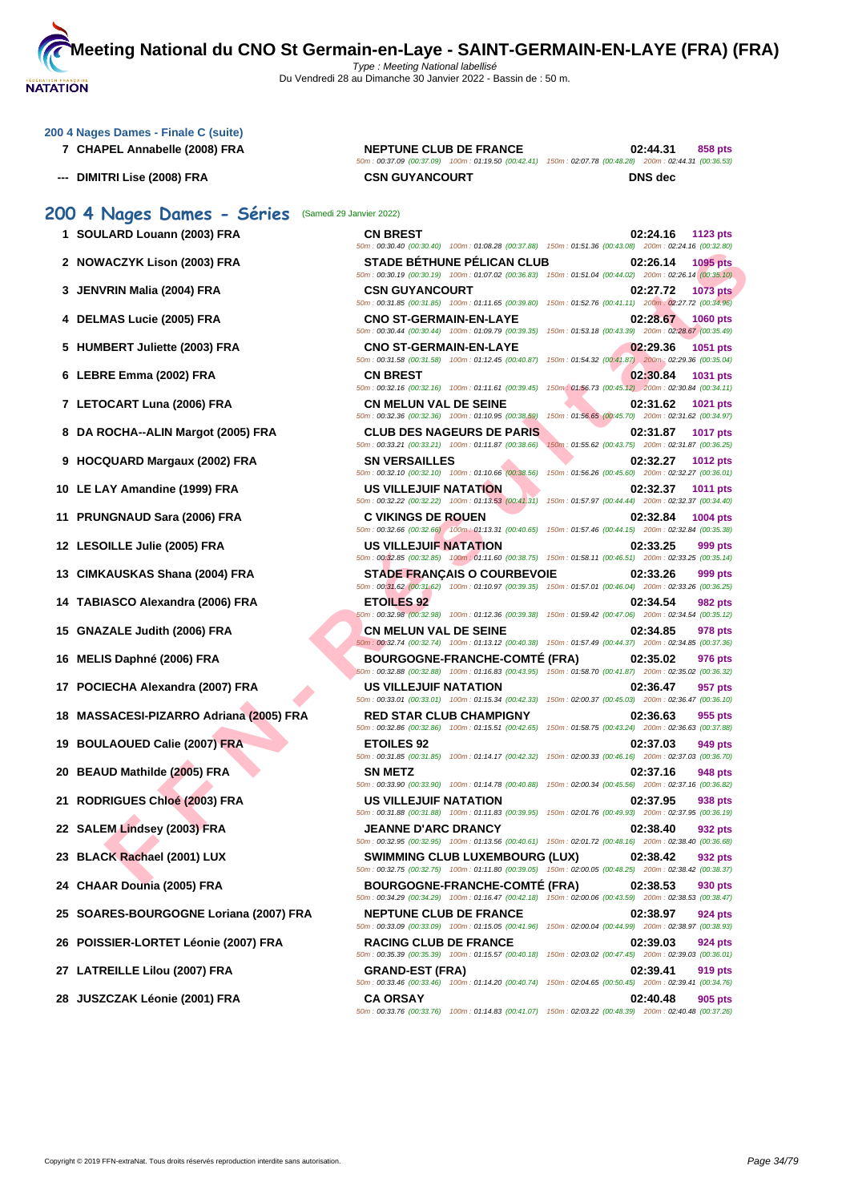| 200 4 Nages Dames - Finale C (suite)<br>7 CHAPEL Annabelle (2008) FRA | <b>NEPTUNE CLUB DE FRANCE</b>                                                                                                                       | 02:44.31<br>858 pts                                                         |
|-----------------------------------------------------------------------|-----------------------------------------------------------------------------------------------------------------------------------------------------|-----------------------------------------------------------------------------|
| <b>DIMITRI Lise (2008) FRA</b>                                        | 50m: 00:37.09 (00:37.09) 100m: 01:19.50 (00:42.41) 150m: 02:07.78 (00:48.28) 200m: 02:44.31 (00:36.53)<br><b>CSN GUYANCOURT</b>                     | <b>DNS</b> dec                                                              |
| 200 4 Nages Dames - Séries                                            | (Samedi 29 Janvier 2022)                                                                                                                            |                                                                             |
| 1 SOULARD Louann (2003) FRA                                           | <b>CN BREST</b><br>50m : 00:30.40 (00:30.40) 100m : 01:08.28 (00:37.88) 150m : 01:51.36 (00:43.08) 200m : 02:24.16 (00:32.80)                       | 02:24.16<br>1123 pts                                                        |
| 2 NOWACZYK Lison (2003) FRA                                           | <b>STADE BÉTHUNE PÉLICAN CLUB</b><br>50m : 00:30.19 (00:30.19) 100m : 01:07.02 (00:36.83) 150m : 01:51.04 (00:44.02) 200m : 02:26.14 (00:35.10)     | 02:26.14<br>1095 pts                                                        |
| 3 JENVRIN Malia (2004) FRA                                            | <b>CSN GUYANCOURT</b><br>50m : 00:31.85 (00:31.85) 100m : 01:11.65 (00:39.80) 150m : 01:52.76 (00:41.11) 200m : 02:27.72 (00:34.96)                 | 02:27.72<br><b>1073 pts</b>                                                 |
| 4 DELMAS Lucie (2005) FRA                                             | <b>CNO ST-GERMAIN-EN-LAYE</b><br>50m: 00:30.44 (00:30.44) 100m: 01:09.79 (00:39.35) 150m: 01:53.18 (00:43.39) 200m: 02:28.67 (00:35.49)             | 02:28.67<br><b>1060 pts</b>                                                 |
| 5 HUMBERT Juliette (2003) FRA                                         | <b>CNO ST-GERMAIN-EN-LAYE</b><br>50m: 00:31.58 (00:31.58) 100m: 01:12.45 (00:40.87) 150m: 01:54.32 (00:41.87) 200m: 02:29.36 (00:35.04)             | 02:29.36<br>1051 pts                                                        |
| 6 LEBRE Emma (2002) FRA                                               | <b>CN BREST</b><br>50m : 00:32.16 (00:32.16) 100m : 01:11.61 (00:39.45) 150m : 01:56.73 (00:45.12) 200m : 02:30.84 (00:34.11)                       | 02:30.84<br>1031 pts                                                        |
| 7 LETOCART Luna (2006) FRA                                            | <b>CN MELUN VAL DE SEINE</b><br>50m: 00:32.36 (00:32.36) 100m: 01:10.95 (00:38.59)                                                                  | 02:31.62<br>1021 pts<br>150m: 01:56.65 (00:45.70) 200m: 02:31.62 (00:34.97) |
| 8 DA ROCHA--ALIN Margot (2005) FRA                                    | <b>CLUB DES NAGEURS DE PARIS</b><br>50m: 00:33.21 (00:33.21) 100m: 01:11.87 (00:38.66)                                                              | 02:31.87<br>1017 pts<br>150m: 01:55.62 (00:43.75) 200m: 02:31.87 (00:36.25) |
| 9 HOCQUARD Margaux (2002) FRA                                         | <b>SN VERSAILLES</b><br>50m : 00:32.10 (00:32.10) 100m : 01:10.66 (00:38.56) 150m : 01:56.26 (00:45.60) 200m : 02:32.27 (00:36.01)                  | 02:32.27<br><b>1012 pts</b>                                                 |
| 10 LE LAY Amandine (1999) FRA                                         | <b>US VILLEJUIF NATATION</b><br>50m: 00:32.22 (00:32.22) 100m: 01:13.53 (00:41.31) 150m: 01:57.97 (00:44.44) 200m: 02:32.37 (00:34.40)              | 02:32.37<br><b>1011 pts</b>                                                 |
| <b>PRUNGNAUD Sara (2006) FRA</b><br>11                                | <b>C VIKINGS DE ROUEN</b><br>50m : 00:32.66 (00:32.66) 100m : 01:13.31 (00:40.65) 150m : 01:57.46 (00:44.15) 200m : 02:32.84 (00:35.38)             | 02:32.84<br>1004 pts                                                        |
| 12 LESOILLE Julie (2005) FRA                                          | US VILLEJUIF NATATION                                                                                                                               | 02:33.25<br>999 pts                                                         |
| 13 CIMKAUSKAS Shana (2004) FRA                                        | 50m : 00:32.85 (00:32.85) 100m : 01:11.60 (00:38.75) 150m : 01:58.11 (00:46.51) 200m : 02:33.25 (00:35.14)<br><b>STADE FRANÇAIS O COURBEVOIE</b>    | 02:33.26<br>999 pts                                                         |
| 14 TABIASCO Alexandra (2006) FRA                                      | 50m : 00:31.62 (00:31.62) 100m : 01:10.97 (00:39.35) 150m : 01:57.01 (00:46.04) 200m : 02:33.26 (00:36.25)<br><b>ETOILES 92</b>                     | 02:34.54<br>982 pts                                                         |
| 15 GNAZALE Judith (2006) FRA                                          | 50m : 00:32.98 (00:32.98) 100m : 01:12.36 (00:39.38) 150m : 01:59.42 (00:47.06) 200m : 02:34.54 (00:35.12)<br><b>CN MELUN VAL DE SEINE</b>          | 02:34.85<br>978 pts                                                         |
| 16 MELIS Daphné (2006) FRA                                            | 50m : 00:32.74 (00:32.74) 100m : 01:13.12 (00:40.38) 150m : 01:57.49 (00:44.37) 200m : 02:34.85 (00:37.36)<br><b>BOURGOGNE-FRANCHE-COMTE (FRA)</b>  | 02:35.02<br>976 pts                                                         |
| 17 POCIECHA Alexandra (2007) FRA                                      | 50m : 00:32.88 (00:32.88) 100m : 01:16.83 (00:43.95) 150m : 01:58.70 (00:41.87) 200m : 02:35.02 (00:36.32)<br>US VILLEJUIF NATATION                 | 02:36.47<br>957 pts                                                         |
| 18 MASSACESI-PIZARRO Adriana (2005) FRA                               | 50m: 00:33.01 (00:33.01) 100m: 01:15.34 (00:42.33) 150m: 02:00.37 (00:45.03) 200m: 02:36.47 (00:36.10)<br><b>RED STAR CLUB CHAMPIGNY</b>            | 02:36.63<br>955 pts                                                         |
| 19 BOULAOUED Calie (2007) FRA                                         | 50m : 00:32.86 (00:32.86) 100m : 01:15.51 (00:42.65) 150m : 01:58.75 (00:43.24) 200m : 02:36.63 (00:37.88)<br><b>ETOILES 92</b>                     | 02:37.03<br>949 pts                                                         |
| 20 BEAUD Mathilde (2005) FRA                                          | 50m: 00:31.85 (00:31.85) 100m: 01:14.17 (00:42.32) 150m: 02:00.33 (00:46.16) 200m: 02:37.03 (00:36.70)<br><b>SN METZ</b>                            | 02:37.16<br>948 pts                                                         |
| 21 RODRIGUES Chloé (2003) FRA                                         | 50m : 00:33.90 (00:33.90) 100m : 01:14.78 (00:40.88) 150m : 02:00.34 (00:45.56) 200m : 02:37.16 (00:36.82)<br>US VILLEJUIF NATATION                 | 02:37.95<br>938 pts                                                         |
| 22 SALEM Lindsey (2003) FRA                                           | 50m: 00:31.88 (00:31.88) 100m: 01:11.83 (00:39.95) 150m: 02:01.76 (00:49.93) 200m: 02:37.95 (00:36.19)<br><b>JEANNE D'ARC DRANCY</b>                | 02:38.40<br>932 pts                                                         |
| <b>BLACK Rachael (2001) LUX</b><br>23                                 | 50m : 00:32.95 (00:32.95) 100m : 01:13.56 (00:40.61) 150m : 02:01.72 (00:48.16) 200m : 02:38.40 (00:36.68)<br><b>SWIMMING CLUB LUXEMBOURG (LUX)</b> | 02:38.42<br>932 pts                                                         |
| 24 CHAAR Dounia (2005) FRA                                            | 50m: 00:32.75 (00:32.75) 100m: 01:11.80 (00:39.05) 150m: 02:00.05 (00:48.25) 200m: 02:38.42 (00:38.37)<br>BOURGOGNE-FRANCHE-COMTE (FRA)             | 02:38.53<br>930 pts                                                         |
| 25 SOARES-BOURGOGNE Loriana (2007) FRA                                | 50m : 00:34.29 (00:34.29) 100m : 01:16.47 (00:42.18) 150m : 02:00.06 (00:43.59) 200m : 02:38.53 (00:38.47)<br><b>NEPTUNE CLUB DE FRANCE</b>         | 02:38.97<br>924 pts                                                         |
| 26 POISSIER-LORTET Léonie (2007) FRA                                  | 50m : 00:33.09 (00:33.09) 100m : 01:15.05 (00:41.96) 150m : 02:00.04 (00:44.99) 200m : 02:38.97 (00:38.93)<br><b>RACING CLUB DE FRANCE</b>          | 02:39.03<br>924 pts                                                         |
| 27 LATREILLE Lilou (2007) FRA                                         | 50m : 00:35.39 (00:35.39) 100m : 01:15.57 (00:40.18) 150m : 02:03.02 (00:47.45) 200m : 02:39.03 (00:36.01)<br><b>GRAND-EST (FRA)</b>                | 02:39.41<br>919 pts                                                         |
| 28 JUSZCZAK Léonie (2001) FRA                                         | 50m : 00:33.46 (00:33.46) 100m : 01:14.20 (00:40.74) 150m : 02:04.65 (00:50.45) 200m : 02:39.41 (00:34.76)<br><b>CA ORSAY</b>                       | 02:40.48<br>905 pts                                                         |
|                                                                       | 50m: 00:33.76 (00:33.76) 100m: 01:14.83 (00:41.07) 150m: 02:03.22 (00:48.39) 200m: 02:40.48 (00:37.26)                                              |                                                                             |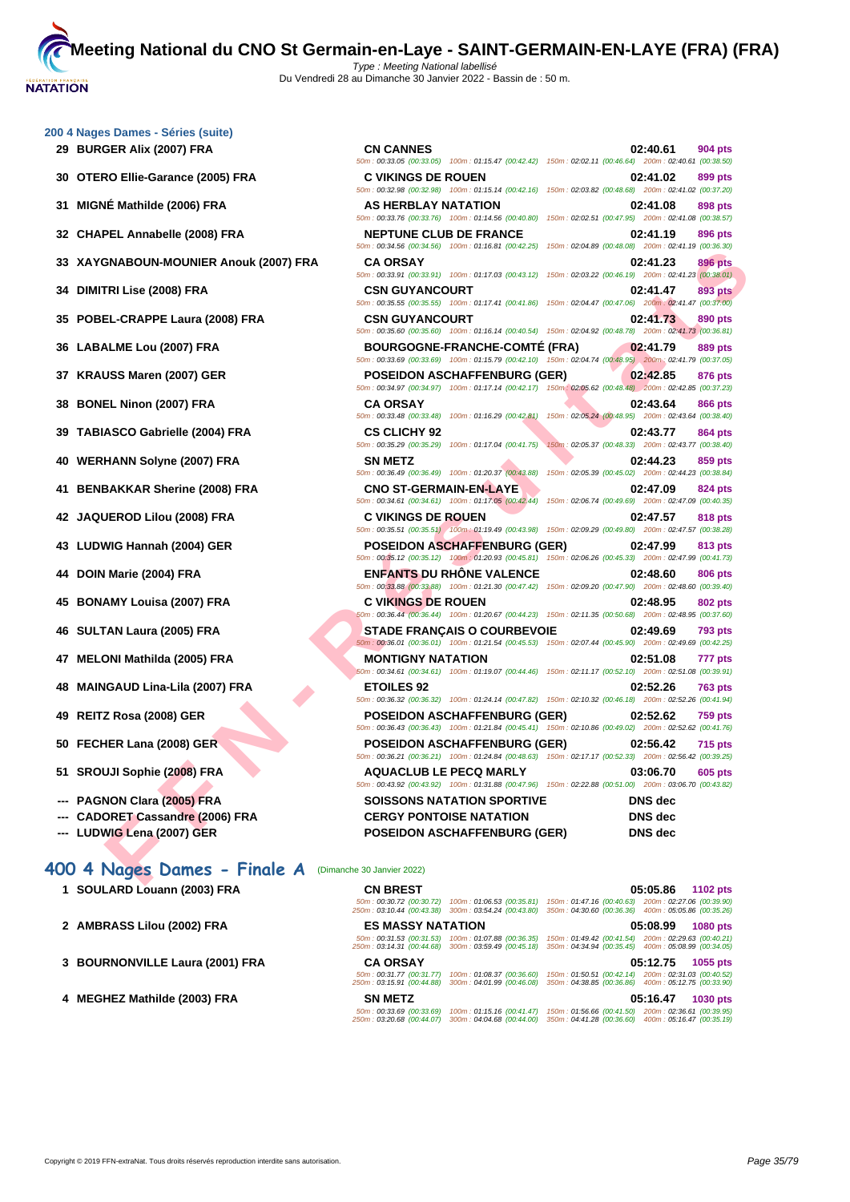| 200 4 Nages Dames - Séries (suite) |  |  |  |
|------------------------------------|--|--|--|
|------------------------------------|--|--|--|

- 
- **30 OTERO Ellie-Garance (2005) FRA**
- **31 MIGNÉ Mathilde (2006) FRA AS HERBLAY NATATION 02:41.08 898 pts**
- **32 CHAPEL Annabelle (2008) FRA**
- **33 XAYGNABOUN-MOUNIER Anouk (2007) FRA**
- **34 DIMITRI Lise (2008) FRA**
- **35 POBEL-CRAPPE Laura (2008) FRA**
- **36 LABALME Lou (2007) FRA**
- **37 <b>KRAUSS Maren (2007) GER**
- **38 BONEL Ninon (2007) FRA**
- **39 TABIASCO Gabrielle (2004) FRA**
- **40** WERHANN Solyne (2007) FRA
- **41 BENBAKKAR Sherine (2008) FRA**
- **42 JAQUEROD Lilou (2008) FRA C VIKINGS DE ROUEN 02:47.57 818 pts**
- **43 LUDWIG Hannah (2004) GER**
- **44 DOIN Marie (2004) FRA**
- **45 BONAMY Louisa (2007) FRA C VIKINGS DE ROUEN 02:48.95 802 pts**
- **46 SULTAN Laura (2005) FRA STADE FRANÇAIS O COURBEVOIE 02:49.69 793 pts**
- **47 MELONI Mathilda (2005) FRA**
- **48 MAINGAUD Lina-Lila (2007) FRA**
- **49 REITZ Rosa (2008) GER POSEIDON ASCHAFFENBURG (GER) 02:52.62 759 pts**
- **50 FECHER Lana (2008) GER**
- **51 SROUJI Sophie (2008) FRA**
- **--- PAGNON Clara (2005) FRA**
- **---** CADORET Cassandre (2006) FRA
- 

## **400 4 Nages Dames - Finale A** (Dimanche 30 Janvier 2022)

| 1 SOULARD Louann (2003) FRA     | <b>CN BREST</b>                                                                 |                           |                                                                                                            | 05:05.86<br><b>1102 pts</b> |
|---------------------------------|---------------------------------------------------------------------------------|---------------------------|------------------------------------------------------------------------------------------------------------|-----------------------------|
|                                 | 50m: 00:30.72 (00:30.72)<br>250m: 03:10.44 (00:43.38) 300m: 03:54.24 (00:43.80) | 100m: 01:06.53 (00:35.81) | 150m: 01:47.16 (00:40.63) 200m: 02:27.06 (00:39.90)<br>350m: 04:30.60 (00:36.36) 400m: 05:05.86 (00:35.26) |                             |
| 2 AMBRASS Lilou (2002) FRA      | <b>ES MASSY NATATION</b>                                                        |                           |                                                                                                            | 05:08.99<br>1080 pts        |
|                                 | 50m: 00:31.53 (00:31.53)<br>250m: 03:14.31 (00:44.68) 300m: 03:59.49 (00:45.18) | 100m: 01:07.88 (00:36.35) | 150m : 01:49.42 (00:41.54)<br>350m: 04:34.94 (00:35.45) 400m: 05:08.99 (00:34.05)                          | 200m: 02:29.63 (00:40.21)   |
|                                 |                                                                                 |                           |                                                                                                            |                             |
| 3 BOURNONVILLE Laura (2001) FRA | <b>CA ORSAY</b>                                                                 |                           |                                                                                                            | 05:12.75<br>1055 pts        |
|                                 | 50m: 00:31.77 (00:31.77)<br>250m: 03:15.91 (00:44.88) 300m: 04:01.99 (00:46.08) | 100m: 01:08.37 (00:36.60) | 150m: 01:50.51 (00:42.14) 200m: 02:31.03 (00:40.52)<br>350m: 04:38.85 (00:36.86) 400m: 05:12.75 (00:33.90) |                             |
| 4 MEGHEZ Mathilde (2003) FRA    | <b>SN METZ</b>                                                                  |                           |                                                                                                            | 05:16.47<br><b>1030 pts</b> |

| 50m: 00:33.05 (00:33.05) 100m: 01:15.47 (00:42.42) 150m: 02:02.11 (00:46.64) 200m: 02:40.61 (00:38.50)<br>30 OTERO Ellie-Garance (2005) FRA<br><b>C VIKINGS DE ROUEN</b><br>50m: 00:32.98 (00:32.98) 100m: 01:15.14 (00:42.16) 150m: 02:03.82 (00:48.68) 200m: 02:41.02 (00:37.20) | 02:41.02<br>899 pts                                                                                                                                                                                                                                                                                                                                                                                                                                                                                                                                                                                                                                                                                                                                                                                                                                                                                                                                                                                                                                                                                                                                                                                                                                                                                                                                                                                                                                                                                                                                                                                                                                                                                                                                                                                                                                                                                                                                                                                                                                                                                                                                                                                                                                                                                     |
|------------------------------------------------------------------------------------------------------------------------------------------------------------------------------------------------------------------------------------------------------------------------------------|---------------------------------------------------------------------------------------------------------------------------------------------------------------------------------------------------------------------------------------------------------------------------------------------------------------------------------------------------------------------------------------------------------------------------------------------------------------------------------------------------------------------------------------------------------------------------------------------------------------------------------------------------------------------------------------------------------------------------------------------------------------------------------------------------------------------------------------------------------------------------------------------------------------------------------------------------------------------------------------------------------------------------------------------------------------------------------------------------------------------------------------------------------------------------------------------------------------------------------------------------------------------------------------------------------------------------------------------------------------------------------------------------------------------------------------------------------------------------------------------------------------------------------------------------------------------------------------------------------------------------------------------------------------------------------------------------------------------------------------------------------------------------------------------------------------------------------------------------------------------------------------------------------------------------------------------------------------------------------------------------------------------------------------------------------------------------------------------------------------------------------------------------------------------------------------------------------------------------------------------------------------------------------------------------------|
|                                                                                                                                                                                                                                                                                    |                                                                                                                                                                                                                                                                                                                                                                                                                                                                                                                                                                                                                                                                                                                                                                                                                                                                                                                                                                                                                                                                                                                                                                                                                                                                                                                                                                                                                                                                                                                                                                                                                                                                                                                                                                                                                                                                                                                                                                                                                                                                                                                                                                                                                                                                                                         |
| <b>AS HERBLAY NATATION</b><br>50m : 00:33.76 (00:33.76) 100m : 01:14.56 (00:40.80) 150m : 02:02.51 (00:47.95) 200m : 02:41.08 (00:38.57)                                                                                                                                           | 02:41.08<br>898 pts                                                                                                                                                                                                                                                                                                                                                                                                                                                                                                                                                                                                                                                                                                                                                                                                                                                                                                                                                                                                                                                                                                                                                                                                                                                                                                                                                                                                                                                                                                                                                                                                                                                                                                                                                                                                                                                                                                                                                                                                                                                                                                                                                                                                                                                                                     |
| <b>NEPTUNE CLUB DE FRANCE</b>                                                                                                                                                                                                                                                      | 02:41.19<br>896 pts                                                                                                                                                                                                                                                                                                                                                                                                                                                                                                                                                                                                                                                                                                                                                                                                                                                                                                                                                                                                                                                                                                                                                                                                                                                                                                                                                                                                                                                                                                                                                                                                                                                                                                                                                                                                                                                                                                                                                                                                                                                                                                                                                                                                                                                                                     |
| <b>CA ORSAY</b>                                                                                                                                                                                                                                                                    | 02:41.23<br><b>896 pts</b>                                                                                                                                                                                                                                                                                                                                                                                                                                                                                                                                                                                                                                                                                                                                                                                                                                                                                                                                                                                                                                                                                                                                                                                                                                                                                                                                                                                                                                                                                                                                                                                                                                                                                                                                                                                                                                                                                                                                                                                                                                                                                                                                                                                                                                                                              |
| <b>CSN GUYANCOURT</b>                                                                                                                                                                                                                                                              | 02:41.47<br>893 pts                                                                                                                                                                                                                                                                                                                                                                                                                                                                                                                                                                                                                                                                                                                                                                                                                                                                                                                                                                                                                                                                                                                                                                                                                                                                                                                                                                                                                                                                                                                                                                                                                                                                                                                                                                                                                                                                                                                                                                                                                                                                                                                                                                                                                                                                                     |
| <b>CSN GUYANCOURT</b>                                                                                                                                                                                                                                                              | 02:41.73<br>890 pts                                                                                                                                                                                                                                                                                                                                                                                                                                                                                                                                                                                                                                                                                                                                                                                                                                                                                                                                                                                                                                                                                                                                                                                                                                                                                                                                                                                                                                                                                                                                                                                                                                                                                                                                                                                                                                                                                                                                                                                                                                                                                                                                                                                                                                                                                     |
| <b>BOURGOGNE-FRANCHE-COMTÉ (FRA)</b>                                                                                                                                                                                                                                               | 02:41.79<br><b>889 pts</b>                                                                                                                                                                                                                                                                                                                                                                                                                                                                                                                                                                                                                                                                                                                                                                                                                                                                                                                                                                                                                                                                                                                                                                                                                                                                                                                                                                                                                                                                                                                                                                                                                                                                                                                                                                                                                                                                                                                                                                                                                                                                                                                                                                                                                                                                              |
| <b>POSEIDON ASCHAFFENBURG (GER)</b>                                                                                                                                                                                                                                                | 02:42.85<br>876 pts                                                                                                                                                                                                                                                                                                                                                                                                                                                                                                                                                                                                                                                                                                                                                                                                                                                                                                                                                                                                                                                                                                                                                                                                                                                                                                                                                                                                                                                                                                                                                                                                                                                                                                                                                                                                                                                                                                                                                                                                                                                                                                                                                                                                                                                                                     |
| <b>CA ORSAY</b>                                                                                                                                                                                                                                                                    | 02:43.64<br><b>866 pts</b>                                                                                                                                                                                                                                                                                                                                                                                                                                                                                                                                                                                                                                                                                                                                                                                                                                                                                                                                                                                                                                                                                                                                                                                                                                                                                                                                                                                                                                                                                                                                                                                                                                                                                                                                                                                                                                                                                                                                                                                                                                                                                                                                                                                                                                                                              |
| <b>CS CLICHY 92</b>                                                                                                                                                                                                                                                                | 02:43.77<br>864 pts<br>150m: 02:05.37 (00:48.33) 200m: 02:43.77 (00:38.40)                                                                                                                                                                                                                                                                                                                                                                                                                                                                                                                                                                                                                                                                                                                                                                                                                                                                                                                                                                                                                                                                                                                                                                                                                                                                                                                                                                                                                                                                                                                                                                                                                                                                                                                                                                                                                                                                                                                                                                                                                                                                                                                                                                                                                              |
| <b>SN METZ</b>                                                                                                                                                                                                                                                                     | 02:44.23<br>859 pts<br>150m: 02:05.39 (00:45.02) 200m: 02:44.23 (00:38.84)                                                                                                                                                                                                                                                                                                                                                                                                                                                                                                                                                                                                                                                                                                                                                                                                                                                                                                                                                                                                                                                                                                                                                                                                                                                                                                                                                                                                                                                                                                                                                                                                                                                                                                                                                                                                                                                                                                                                                                                                                                                                                                                                                                                                                              |
| <b>CNO ST-GERMAIN-EN-LAYE</b>                                                                                                                                                                                                                                                      | 02:47.09<br>824 pts                                                                                                                                                                                                                                                                                                                                                                                                                                                                                                                                                                                                                                                                                                                                                                                                                                                                                                                                                                                                                                                                                                                                                                                                                                                                                                                                                                                                                                                                                                                                                                                                                                                                                                                                                                                                                                                                                                                                                                                                                                                                                                                                                                                                                                                                                     |
| <b>C VIKINGS DE ROUEN</b>                                                                                                                                                                                                                                                          | 02:47.57<br>818 pts                                                                                                                                                                                                                                                                                                                                                                                                                                                                                                                                                                                                                                                                                                                                                                                                                                                                                                                                                                                                                                                                                                                                                                                                                                                                                                                                                                                                                                                                                                                                                                                                                                                                                                                                                                                                                                                                                                                                                                                                                                                                                                                                                                                                                                                                                     |
| <b>POSEIDON ASCHAFFENBURG (GER)</b>                                                                                                                                                                                                                                                | 02:47.99<br>813 pts                                                                                                                                                                                                                                                                                                                                                                                                                                                                                                                                                                                                                                                                                                                                                                                                                                                                                                                                                                                                                                                                                                                                                                                                                                                                                                                                                                                                                                                                                                                                                                                                                                                                                                                                                                                                                                                                                                                                                                                                                                                                                                                                                                                                                                                                                     |
| <b>ENFANTS DU RHONE VALENCE</b>                                                                                                                                                                                                                                                    | 02:48.60<br>806 pts                                                                                                                                                                                                                                                                                                                                                                                                                                                                                                                                                                                                                                                                                                                                                                                                                                                                                                                                                                                                                                                                                                                                                                                                                                                                                                                                                                                                                                                                                                                                                                                                                                                                                                                                                                                                                                                                                                                                                                                                                                                                                                                                                                                                                                                                                     |
| <b>C VIKINGS DE ROUEN</b>                                                                                                                                                                                                                                                          | 02:48.95<br><b>802 pts</b>                                                                                                                                                                                                                                                                                                                                                                                                                                                                                                                                                                                                                                                                                                                                                                                                                                                                                                                                                                                                                                                                                                                                                                                                                                                                                                                                                                                                                                                                                                                                                                                                                                                                                                                                                                                                                                                                                                                                                                                                                                                                                                                                                                                                                                                                              |
| <b>STADE FRANÇAIS O COURBEVOIE</b>                                                                                                                                                                                                                                                 | 02:49.69<br>793 pts                                                                                                                                                                                                                                                                                                                                                                                                                                                                                                                                                                                                                                                                                                                                                                                                                                                                                                                                                                                                                                                                                                                                                                                                                                                                                                                                                                                                                                                                                                                                                                                                                                                                                                                                                                                                                                                                                                                                                                                                                                                                                                                                                                                                                                                                                     |
| <b>MONTIGNY NATATION</b>                                                                                                                                                                                                                                                           | 02:51.08<br>777 pts                                                                                                                                                                                                                                                                                                                                                                                                                                                                                                                                                                                                                                                                                                                                                                                                                                                                                                                                                                                                                                                                                                                                                                                                                                                                                                                                                                                                                                                                                                                                                                                                                                                                                                                                                                                                                                                                                                                                                                                                                                                                                                                                                                                                                                                                                     |
| <b>ETOILES 92</b>                                                                                                                                                                                                                                                                  | 02:52.26<br><b>763 pts</b>                                                                                                                                                                                                                                                                                                                                                                                                                                                                                                                                                                                                                                                                                                                                                                                                                                                                                                                                                                                                                                                                                                                                                                                                                                                                                                                                                                                                                                                                                                                                                                                                                                                                                                                                                                                                                                                                                                                                                                                                                                                                                                                                                                                                                                                                              |
| <b>POSEIDON ASCHAFFENBURG (GER)</b>                                                                                                                                                                                                                                                | 02:52.62<br><b>759 pts</b>                                                                                                                                                                                                                                                                                                                                                                                                                                                                                                                                                                                                                                                                                                                                                                                                                                                                                                                                                                                                                                                                                                                                                                                                                                                                                                                                                                                                                                                                                                                                                                                                                                                                                                                                                                                                                                                                                                                                                                                                                                                                                                                                                                                                                                                                              |
| <b>POSEIDON ASCHAFFENBURG (GER)</b>                                                                                                                                                                                                                                                | 02:56.42<br><b>715 pts</b>                                                                                                                                                                                                                                                                                                                                                                                                                                                                                                                                                                                                                                                                                                                                                                                                                                                                                                                                                                                                                                                                                                                                                                                                                                                                                                                                                                                                                                                                                                                                                                                                                                                                                                                                                                                                                                                                                                                                                                                                                                                                                                                                                                                                                                                                              |
| <b>AQUACLUB LE PECQ MARLY</b><br>50m: 00:43.92 (00:43.92) 100m: 01:31.88 (00:47.96) 150m: 02:22.88 (00:51.00) 200m: 03:06.70 (00:43.82)                                                                                                                                            | 03:06.70<br><b>605 pts</b>                                                                                                                                                                                                                                                                                                                                                                                                                                                                                                                                                                                                                                                                                                                                                                                                                                                                                                                                                                                                                                                                                                                                                                                                                                                                                                                                                                                                                                                                                                                                                                                                                                                                                                                                                                                                                                                                                                                                                                                                                                                                                                                                                                                                                                                                              |
| <b>SOISSONS NATATION SPORTIVE</b>                                                                                                                                                                                                                                                  | <b>DNS</b> dec                                                                                                                                                                                                                                                                                                                                                                                                                                                                                                                                                                                                                                                                                                                                                                                                                                                                                                                                                                                                                                                                                                                                                                                                                                                                                                                                                                                                                                                                                                                                                                                                                                                                                                                                                                                                                                                                                                                                                                                                                                                                                                                                                                                                                                                                                          |
| <b>POSEIDON ASCHAFFENBURG (GER)</b>                                                                                                                                                                                                                                                | <b>DNS</b> dec<br><b>DNS</b> dec                                                                                                                                                                                                                                                                                                                                                                                                                                                                                                                                                                                                                                                                                                                                                                                                                                                                                                                                                                                                                                                                                                                                                                                                                                                                                                                                                                                                                                                                                                                                                                                                                                                                                                                                                                                                                                                                                                                                                                                                                                                                                                                                                                                                                                                                        |
|                                                                                                                                                                                                                                                                                    | 50m: 00:34.56 (00:34.56) 100m: 01:16.81 (00:42.25) 150m: 02:04.89 (00:48.08) 200m: 02:41.19 (00:36.30)<br>33 XAYGNABOUN-MOUNIER Anouk (2007) FRA<br>50m: 00:33.91 (00:33.91) 100m: 01:17.03 (00:43.12) 150m: 02:03.22 (00:46.19) 200m: 02:41.23 (00:38.01)<br>50m: 00:35.55 (00:35.55) 100m: 01:17.41 (00:41.86) 150m: 02:04.47 (00:47.06) 200m: 02:41.47 (00:37.00)<br>35 POBEL-CRAPPE Laura (2008) FRA<br>50m : 00:35.60 (00:35.60) 100m : 01:16.14 (00:40.54) 150m : 02:04.92 (00:48.78) 200m : 02:41.73 (00:36.81)<br>50m: 00:33.69 (00:33.69) 100m: 01:15.79 (00:42.10) 150m: 02:04.74 (00:48.95) 200m: 02:41.79 (00:37.05)<br>50m: 00:34.97 (00:34.97) 100m: 01:17.14 (00:42.17) 150m: 02:05.62 (00:48.48) 200m: 02:42.85 (00:37.23)<br>50m : 00:33.48 (00:33.48) 100m : 01:16.29 (00:42.81) 150m : 02:05.24 (00:48.95) 200m : 02:43.64 (00:38.40)<br>39 TABIASCO Gabrielle (2004) FRA<br>50m: 00:35.29 (00:35.29) 100m: 01:17.04 (00:41.75)<br>50m: 00:36.49 (00:36.49) 100m: 01:20.37 (00:43.88)<br>41 BENBAKKAR Sherine (2008) FRA<br>50m : 00:34.61 (00:34.61) 100m : 01:17.05 (00:42.44) 150m : 02:06.74 (00:49.69) 200m : 02:47.09 (00:40.35)<br>50m: 00:35.51 (00:35.51) 100m: 01:19.49 (00:43.98) 150m: 02:09.29 (00:49.80) 200m: 02:47.57 (00:38.28)<br>50m: 00:35.12 (00:35.12) 100m: 01:20.93 (00:45.81) 150m: 02:06.26 (00:45.33) 200m: 02:47.99 (00:41.73)<br>50m: 00:33.88 (00:33.88) 100m: 01:21.30 (00:47.42) 150m: 02:09.20 (00:47.90) 200m: 02:48.60 (00:39.40)<br>50m: 00:36.44 (00:36.44) 100m: 01:20.67 (00:44.23) 150m: 02:11.35 (00:50.68) 200m: 02:48.95 (00:37.60)<br>50m : 00:36.01 (00:36.01) 100m : 01:21.54 (00:45.53) 150m : 02:07.44 (00:45.90) 200m : 02:49.69 (00:42.25)<br>60m: 00:34.61 (00:34.61) 100m: 01:19.07 (00:44.46) 150m: 02:11.17 (00:52.10) 200m: 02:51.08 (00:39.91)<br>48 MAINGAUD Lina-Lila (2007) FRA<br>50m : 00:36.32 (00:36.32) 100m : 01:24.14 (00:47.82) 150m : 02:10.32 (00:46.18) 200m : 02:52.26 (00:41.94)<br>50m: 00:36.43 (00:36.43) 100m: 01:21.84 (00:45.41) 150m: 02:10.86 (00:49.02) 200m: 02:52.62 (00:41.76)<br>50m: 00:36.21 (00:36.21) 100m: 01:24.84 (00:48.63) 150m: 02:17.17 (00:52.33) 200m: 02:56.42 (00:39.25)<br><b>CADORET Cassandre (2006) FRA</b><br><b>CERGY PONTOISE NATATION</b><br>00 4 Nages Dames - Finale A |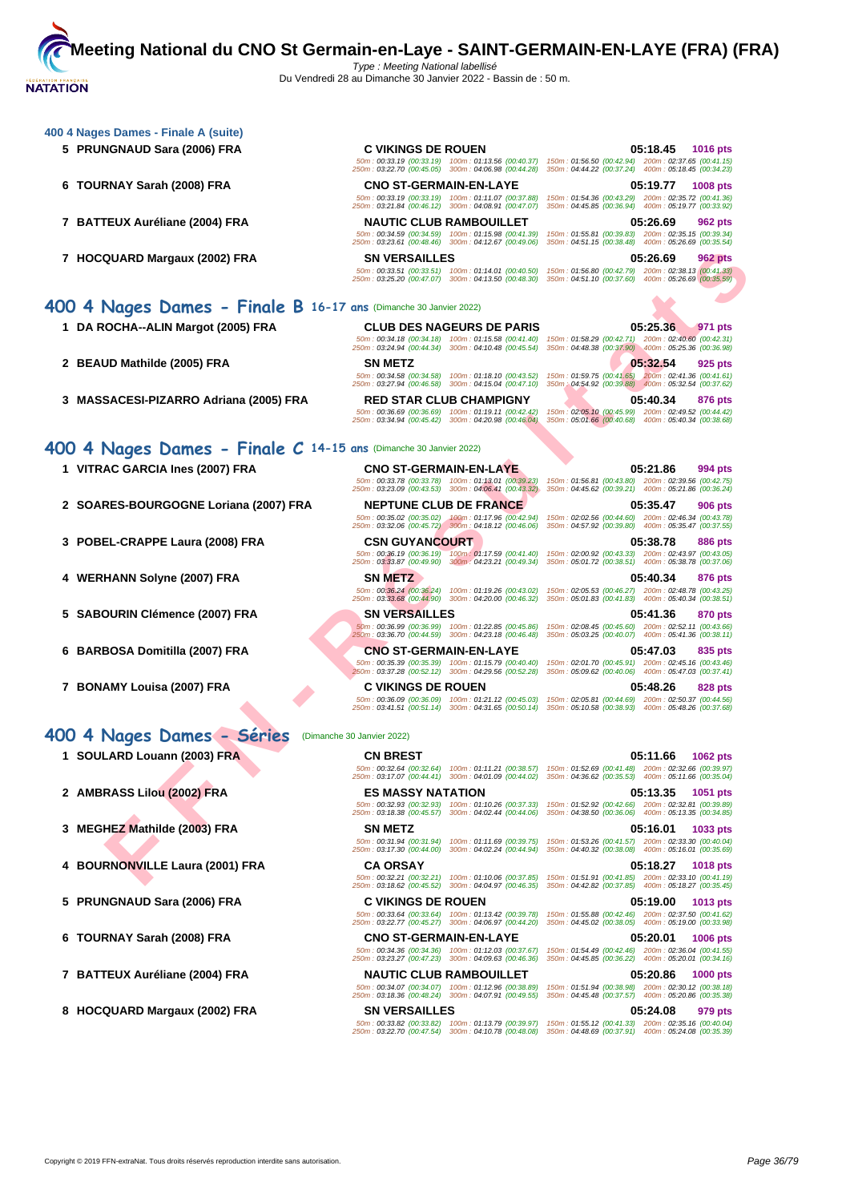| 5 PRUNGNAUD Sara (2006) FRA                                       | <b>C VIKINGS DE ROUEN</b>                                                                                                           | 05:18.45<br><b>1016 pts</b><br>50m: 00:33.19 (00:33.19) 100m: 01:13.56 (00:40.37) 150m: 01:56.50 (00:42.94) 200m: 02:37.65 (00:41.15) |
|-------------------------------------------------------------------|-------------------------------------------------------------------------------------------------------------------------------------|---------------------------------------------------------------------------------------------------------------------------------------|
| 6 TOURNAY Sarah (2008) FRA                                        | 250m: 03:22.70 (00:45.05) 300m: 04:06.98 (00:44.28)<br><b>CNO ST-GERMAIN-EN-LAYE</b>                                                | 350m: 04:44.22 (00:37.24) 400m: 05:18.45 (00:34.23)<br>05:19.77<br><b>1008 pts</b>                                                    |
|                                                                   | 50m: 00:33.19 (00:33.19) 100m: 01:11.07 (00:37.88)<br>250m: 03:21.84 (00:46.12) 300m: 04:08.91 (00:47.07)                           | 150m: 01:54.36 (00:43.29) 200m: 02:35.72 (00:41.36)<br>350m: 04:45.85 (00:36.94) 400m: 05:19.77 (00:33.92)                            |
| 7 BATTEUX Auréliane (2004) FRA                                    | <b>NAUTIC CLUB RAMBOUILLET</b>                                                                                                      | 05:26.69<br>962 pts                                                                                                                   |
|                                                                   | 50m: 00:34.59 (00:34.59) 100m: 01:15.98 (00:41.39)<br>250m: 03:23.61 (00:48.46) 300m: 04:12.67 (00:49.06)                           | 150m: 01:55.81 (00:39.83) 200m: 02:35.15 (00:39.34)<br>350m: 04:51.15 (00:38.48) 400m: 05:26.69 (00:35.54)                            |
| 7 HOCQUARD Margaux (2002) FRA                                     | <b>SN VERSAILLES</b>                                                                                                                | 05:26.69<br><b>962 pts</b>                                                                                                            |
|                                                                   | 50m: 00:33.51 (00:33.51) 100m: 01:14.01 (00:40.50)<br>250m: 03:25.20 (00:47.07) 300m: 04:13.50 (00:48.30)                           | 150m: 01:56.80 (00:42.79) 200m: 02:38.13 (00:41.33)<br>350m: 04:51.10 (00:37.60) 400m: 05:26.69 (00:35.59)                            |
| 400 4 Nages Dames - Finale B 16-17 ans (Dimanche 30 Janvier 2022) |                                                                                                                                     |                                                                                                                                       |
| 1 DA ROCHA--ALIN Margot (2005) FRA                                | <b>CLUB DES NAGEURS DE PARIS</b>                                                                                                    | 05:25.36<br>971 pts                                                                                                                   |
|                                                                   | 50m: 00:34.18 (00:34.18) 100m: 01:15.58 (00:41.40)<br>250m: 03:24.94 (00:44.34) 300m: 04:10.48 (00:45.54)                           | 150m: 01:58.29 (00:42.71) 200m: 02:40.60 (00:42.31)<br>350m: 04:48.38 (00:37.90) 400m: 05:25.36 (00:36.98)                            |
| 2 BEAUD Mathilde (2005) FRA                                       | <b>SN METZ</b>                                                                                                                      | 05:32.54<br>925 pts                                                                                                                   |
|                                                                   | 50m: 00:34.58 (00:34.58) 100m: 01:18.10 (00:43.52)<br>250m: 03:27.94 (00:46.58) 300m: 04:15.04 (00:47.10)                           | 150m: 01:59.75 (00:41.65) 200m: 02:41.36 (00:41.61)<br>350m : 04:54.92 (00:39.88) 400m : 05:32.54 (00:37.62)                          |
| 3 MASSACESI-PIZARRO Adriana (2005) FRA                            | <b>RED STAR CLUB CHAMPIGNY</b>                                                                                                      | 05:40.34<br>876 pts                                                                                                                   |
|                                                                   | 50m: 00:36.69 (00:36.69) 100m: 01:19.11 (00:42.42)                                                                                  | 150m: 02:05.10 (00:45.99) 200m: 02:49.52 (00:44.42)                                                                                   |
|                                                                   | 250m: 03:34.94 (00:45.42) 300m: 04:20.98 (00:46.04)                                                                                 | 350m: 05:01.66 (00:40.68) 400m: 05:40.34 (00:38.68)                                                                                   |
| 400 4 Nages Dames - Finale C 14-15 ans (Dimanche 30 Janvier 2022) |                                                                                                                                     |                                                                                                                                       |
| 1 VITRAC GARCIA Ines (2007) FRA                                   | <b>CNO ST-GERMAIN-EN-LAYE</b>                                                                                                       | 05:21.86<br>994 pts                                                                                                                   |
|                                                                   | 50m: 00:33.78 (00:33.78) 100m: 01:13.01 (00:39.23)<br>250m: 03:23.09 (00:43.53) 300m: 04:06.41 (00:43.32)                           | 150m: 01:56.81 (00:43.80) 200m: 02:39.56 (00:42.75)<br>350m: 04:45.62 (00:39.21) 400m: 05:21.86 (00:36.24)                            |
| 2 SOARES-BOURGOGNE Loriana (2007) FRA                             | <b>NEPTUNE CLUB DE FRANCE</b>                                                                                                       | 05:35.47<br>906 pts                                                                                                                   |
|                                                                   | 50m: 00:35.02 (00:35.02) 100m: 01:17.96 (00:42.94)<br>250m: 03:32.06 (00:45.72) 300m: 04:18.12 (00:46.06)                           | 150m: 02:02.56 (00:44.60) 200m: 02:46.34 (00:43.78)<br>350m: 04:57.92 (00:39.80) 400m: 05:35.47 (00:37.55)                            |
| 3 POBEL-CRAPPE Laura (2008) FRA                                   | <b>CSN GUYANCOURT</b>                                                                                                               | 05:38.78<br>886 pts                                                                                                                   |
|                                                                   | 50m: 00:36.19 (00:36.19) 100m: 01:17.59 (00:41.40)<br>250m: 03:33.87 (00:49.90) 300m: 04:23.21 (00:49.34)                           | 150m: 02:00.92 (00:43.33) 200m: 02:43.97 (00:43.05)<br>350m: 05:01.72 (00:38.51) 400m: 05:38.78 (00:37.06)                            |
| 4 WERHANN Solyne (2007) FRA                                       | <b>SN METZ</b>                                                                                                                      | 05:40.34<br>876 pts                                                                                                                   |
|                                                                   | 50m: 00:36.24 (00:36.24) 100m: 01:19.26 (00:43.02)<br>250m: 03:33.68 (00:44.90) 300m: 04:20.00 (00:46.32)                           | 150m: 02:05.53 (00:46.27) 200m: 02:48.78 (00:43.25)<br>350m: 05:01.83 (00:41.83) 400m: 05:40.34 (00:38.51)                            |
| 5 SABOURIN Clémence (2007) FRA                                    | <b>SN VERSAILLES</b>                                                                                                                | 05:41.36<br>870 pts                                                                                                                   |
|                                                                   | 50m: 00:36.99 (00:36.99) 100m: 01:22.85 (00:45.86)<br>250m: 03:36.70 (00:44.59) 300m: 04:23.18 (00:46.48)                           | 150m: 02:08.45 (00:45.60) 200m: 02:52.11 (00:43.66)<br>350m: 05:03.25 (00:40.07) 400m: 05:41.36 (00:38.11)                            |
| 6 BARBOSA Domitilla (2007) FRA                                    | <b>CNO ST-GERMAIN-EN-LAYE</b>                                                                                                       | 05:47.03<br>835 pts                                                                                                                   |
|                                                                   | 50m: 00:35.39 (00:35.39) 100m: 01:15.79 (00:40.40)<br>250m: 03:37.28 (00:52.12) 300m: 04:29.56 (00:52.28)                           | 150m: 02:01.70 (00:45.91) 200m: 02:45.16 (00:43.46)<br>350m: 05:09.62 (00:40.06) 400m: 05:47.03 (00:37.41)                            |
| 7 BONAMY Louisa (2007) FRA                                        | <b>C VIKINGS DE ROUEN</b>                                                                                                           | 05:48.26<br>828 pts                                                                                                                   |
|                                                                   | 250m: 03:41.51 (00:51.14) 300m: 04:31.65 (00:50.14) 350m: 05:10.58 (00:38.93) 400m: 05:48.26 (00:37.68)                             | 50m: 00:36.09 (00:36.09) 100m: 01:21.12 (00:45.03) 150m: 02:05.81 (00:44.69) 200m: 02:50.37 (00:44.56)                                |
| 400 4 Nages Dames - Séries                                        | (Dimanche 30 Janvier 2022)                                                                                                          |                                                                                                                                       |
| 1 SOULARD Louann (2003) FRA                                       | <b>CN BREST</b>                                                                                                                     | 05:11.66<br><b>1062 pts</b>                                                                                                           |
|                                                                   |                                                                                                                                     | 50m: 00:32.64 (00:32.64) 100m: 01:11.21 (00:38.57) 150m: 01:52.69 (00:41.48) 200m: 02:32.66 (00:39.97)                                |
| 2 AMBRASS Lilou (2002) FRA                                        | 250m: 03:17.07 (00:44.41) 300m: 04:01.09 (00:44.02) 350m: 04:36.62 (00:35.53) 400m: 05:11.66 (00:35.04)<br><b>ES MASSY NATATION</b> | 05:13.35<br>1051 pts                                                                                                                  |
|                                                                   | 50m: 00:32.93 (00:32.93) 100m: 01:10.26 (00:37.33)                                                                                  | 150m: 01:52.92 (00:42.66) 200m: 02:32.81 (00:39.89)                                                                                   |
|                                                                   | 250m: 03:18.38 (00:45.57) 300m: 04:02.44 (00:44.06) 350m: 04:38.50 (00:36.06) 400m: 05:13.35 (00:34.85)                             |                                                                                                                                       |
| 3 MEGH <u>EZ</u> Mathilde (2003) FRA                              | SN METZ<br>50m: 00:31.94 (00:31.94) 100m: 01:11.69 (00:39.75)                                                                       | 05:16.01<br>1033 pts<br>150m: 01:53.26 (00:41.57) 200m: 02:33.30 (00:40.04)                                                           |
|                                                                   | 250m: 03:17.30 (00:44.00) 300m: 04:02.24 (00:44.94)                                                                                 | 350m: 04:40.32 (00:38.08) 400m: 05:16.01 (00:35.69)                                                                                   |
| 4 BOURNONVILLE Laura (2001) FRA                                   | <b>CA ORSAY</b><br>50m: 00:32.21 (00:32.21) 100m: 01:10.06 (00:37.85)                                                               | 05:18.27<br><b>1018 pts</b><br>150m: 01:51.91 (00:41.85) 200m: 02:33.10 (00:41.19)                                                    |
|                                                                   | 250m: 03:18.62 (00:45.52)<br>300m: 04:04.97 (00:46.35)                                                                              | 350m: 04:42.82 (00:37.85) 400m: 05:18.27 (00:35.45)                                                                                   |
| 5 PRUNGNAUD Sara (2006) FRA                                       | <b>C VIKINGS DE ROUEN</b>                                                                                                           | 05:19.00<br>1013 pts                                                                                                                  |

50m : 00:33.64 (00:33.64) 100m : 01:13.42 (00:39.78) 150m : 01:55.88 (00:42.46) 200m : 02:37.50 (00:41.62) 250m : 03:22.77 (00:45.27) 300m : 04:06.97 (00:44.20) 350m : 04:45.02 (00:38.05) 400m : 05:19.00 (00:33.98)

50m : 00:34.36 (00:34.36) 100m : 01:12.03 (00:37.67) 150m : 01:54.49 (00:42.46) 200m : 02:36.04 (00:41.55) 250m : 03:23.27 (00:47.23) 300m : 04:09.63 (00:46.36) 350m : 04:45.85 (00:36.22) 400m : 05:20.01 (00:34.16)

50m : 00:34.07 (00:34.07) 100m : 01:12.96 (00:38.89) 150m : 01:51.94 (00:38.98) 200m : 02:30.12 (00:38.18) 250m : 03:18.36 (00:48.24) 300m : 04:07.91 (00:49.55) 350m : 04:45.48 (00:37.57) 400m : 05:20.86 (00:35.38)

50m : 00:33.82 (00:33.82) 100m : 01:13.79 (00:39.97) 150m : 01:55.12 (00:41.33) 200m : 02:35.16 (00:40.04) 250m : 03:22.70 (00:47.54) 300m : 04:10.78 (00:48.08) 350m : 04:48.69 (00:37.91) 400m : 05:24.08 (00:35.39)

- **6 TOURNAY Sarah (2008) FRA CNO ST-GERMAIN-EN-LAYE 05:20.01 1006 pts**
- **7 BATTEUX Auréliane (2004) FRA NAUTIC CLUB RAMBOUILLET 05:20.86 1000 pts**
- **8 HOCQUARD Margaux (2002) FRA SN VERSAILLES 05:24.08 979 pts**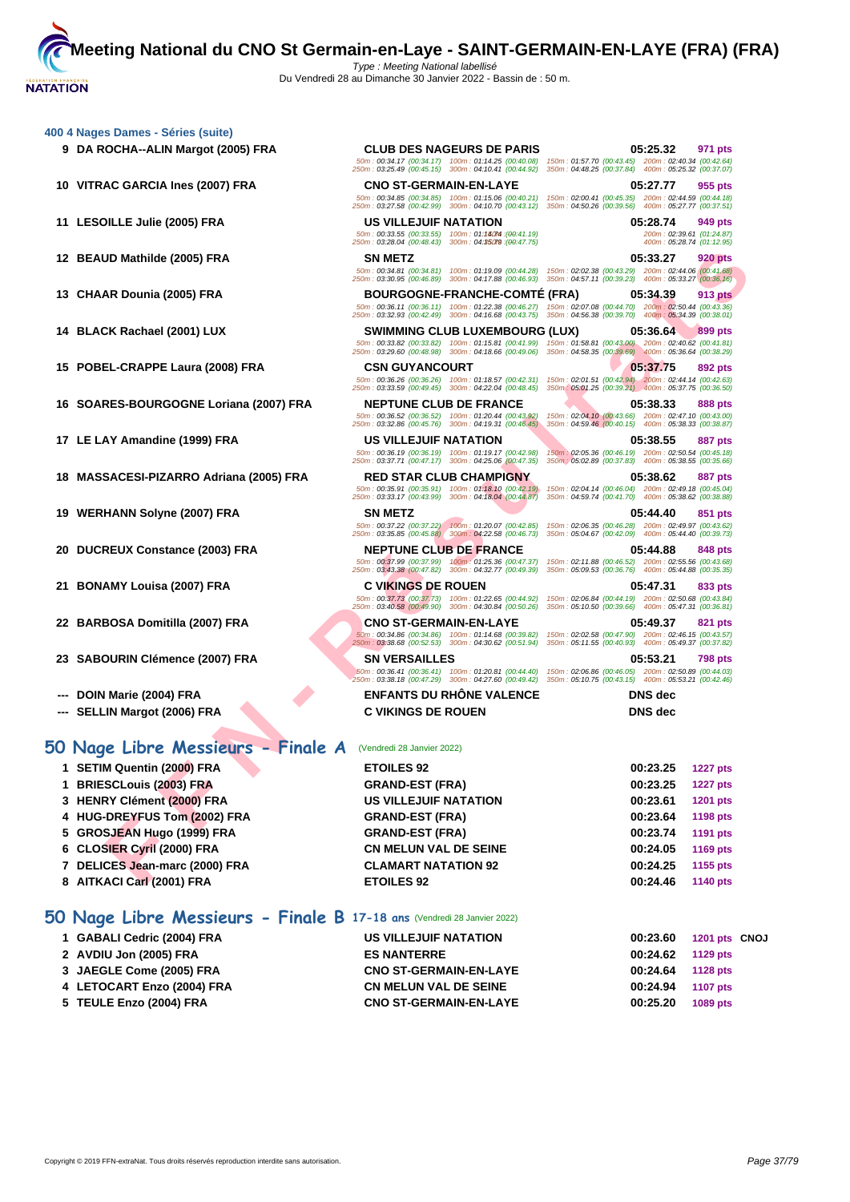# **[400 4 Nag](http://www.ffnatation.fr/webffn/index.php)es Dames - Séries (suite)**

- 
- 
- 
- 
- 
- 
- 
- 
- 
- 
- 
- 
- 
- 
- 
- 

# **50 Nage Libre Messieurs - Finale A** (Vendredi 28 Janvier 2022)

## **50 Nage Libre Messieurs - Finale B 17-18 ans** (Vendredi 28 Janvier 2022)

| 1 GABALI Cedric (2004) FRA | US VILLEJUIF NATATION         | 00:23.60 1201 pts CNOJ      |
|----------------------------|-------------------------------|-----------------------------|
| 2 AVDIU Jon (2005) FRA     | <b>ES NANTERRE</b>            | $00:24.62$ 1129 pts         |
| 3 JAEGLE Come (2005) FRA   | <b>CNO ST-GERMAIN-EN-LAYE</b> | 00:24.64 1128 pts           |
| 4 LETOCART Enzo (2004) FRA | <b>CN MELUN VAL DE SEINE</b>  | <b>1107 pts</b><br>00:24.94 |
| 5 TEULE Enzo (2004) FRA    | <b>CNO ST-GERMAIN-EN-LAYE</b> | 00:25.20<br>1089 pts        |

| 9 DA ROCHA--ALIN Margot (2005) FRA      | <b>CLUB DES NAGEURS DE PARIS</b>                                                                                                                                                                                      | 05:25.32<br>971 pts                                                                                          |
|-----------------------------------------|-----------------------------------------------------------------------------------------------------------------------------------------------------------------------------------------------------------------------|--------------------------------------------------------------------------------------------------------------|
|                                         | 50m: 00:34.17 (00:34.17) 100m: 01:14.25 (00:40.08)<br>250m: 03:25.49 (00:45.15) 300m: 04:10.41 (00:44.92)                                                                                                             | 150m: 01:57.70 (00:43.45) 200m: 02:40.34 (00:42.64)<br>350m: 04:48.25 (00:37.84) 400m: 05:25.32 (00:37.07)   |
| 10 VITRAC GARCIA Ines (2007) FRA        | <b>CNO ST-GERMAIN-EN-LAYE</b>                                                                                                                                                                                         | 05:27.77<br>955 pts                                                                                          |
|                                         | 50m : 00:34.85 (00:34.85) 100m : 01:15.06 (00:40.21) 150m : 02:00.41 (00:45.35) 200m : 02:44.59 (00:44.18)<br>250m: 03:27.58 (00:42.99) 300m: 04:10.70 (00:43.12) 350m: 04:50.26 (00:39.56) 400m: 05:27.77 (00:37.51) |                                                                                                              |
| 11 LESOILLE Julie (2005) FRA            | US VILLEJUIF NATATION                                                                                                                                                                                                 | 05:28.74<br>949 pts                                                                                          |
|                                         | 50m: 00:33.55 (00:33.55) 100m: 01:14074 : (00:41.19)<br>250m: 03:28.04 (00:48.43) 300m: 04:35079 : (00:47.75)                                                                                                         | 200m: 02:39.61 (01:24.87)<br>400m: 05:28.74 (01:12.95)                                                       |
| 12 BEAUD Mathilde (2005) FRA            | <b>SN METZ</b>                                                                                                                                                                                                        | 05:33.27<br><b>920 pts</b>                                                                                   |
|                                         | 50m: 00:34.81 (00:34.81) 100m: 01:19.09 (00:44.28)<br>250m: 03:30.95 (00:46.89) 300m: 04:17.88 (00:46.93)                                                                                                             | 150m: 02:02.38 (00:43.29) 200m: 02:44.06 (00:41.68)<br>350m: 04:57.11 (00:39.23) 400m: 05:33.27 (00:36.16)   |
| 13 CHAAR Dounia (2005) FRA              | <b>BOURGOGNE-FRANCHE-COMTE (FRA)</b>                                                                                                                                                                                  | 05:34.39<br><b>913 pts</b>                                                                                   |
|                                         | 50m: 00:36.11 (00:36.11) 100m: 01:22.38 (00:46.27)                                                                                                                                                                    | 150m: 02:07.08 (00:44.70) 200m: 02:50.44 (00:43.36)                                                          |
|                                         | 250m: 03:32.93 (00:42.49) 300m: 04:16.68 (00:43.75)                                                                                                                                                                   | 350m: 04:56.38 (00:39.70) 400m: 05:34.39 (00:38.01)                                                          |
| 14 BLACK Rachael (2001) LUX             | <b>SWIMMING CLUB LUXEMBOURG (LUX)</b><br>50m: 00:33.82 (00:33.82) 100m: 01:15.81 (00:41.99)                                                                                                                           | 05.36.64<br>899 pts<br>150m: 01:58.81 (00:43.00) 200m: 02:40.62 (00:41.81)                                   |
|                                         | 250m: 03:29.60 (00:48.98) 300m: 04:18.66 (00:49.06) 350m: 04:58.35 (00:39.69) 400m: 05:36.64 (00:38.29)                                                                                                               |                                                                                                              |
| 15 POBEL-CRAPPE Laura (2008) FRA        | <b>CSN GUYANCOURT</b><br>50m: 00:36.26 (00:36.26) 100m: 01:18.57 (00:42.31) 150m: 02:01.51 (00:42.94) 200m: 02:44.14 (00:42.63)                                                                                       | 05:37.75<br>892 pts                                                                                          |
|                                         | 250m: 03:33.59 (00:49.45) 300m: 04:22.04 (00:48.45)                                                                                                                                                                   | 350m: 05:01.25 (00:39.21) 400m: 05:37.75 (00:36.50)                                                          |
| 16 SOARES-BOURGOGNE Loriana (2007) FRA  | <b>NEPTUNE CLUB DE FRANCE</b>                                                                                                                                                                                         | 05:38.33<br>888 pts                                                                                          |
|                                         | 50m: 00:36.52 (00:36.52) 100m: 01:20.44 (00:43.92)<br>250m: 03:32.86 (00:45.76) 300m: 04:19.31 (00:46.45)                                                                                                             | 150m: 02:04.10 (00:43.66) 200m: 02:47.10 (00:43.00)<br>350m: 04:59.46 (00:40.15) 400m: 05:38.33 (00:38.87)   |
| 17 LE LAY Amandine (1999) FRA           | <b>US VILLEJUIF NATATION</b>                                                                                                                                                                                          | 05:38.55<br><b>887 pts</b>                                                                                   |
|                                         | 50m: 00:36.19 (00:36.19) 100m: 01:19.17 (00:42.98)<br>250m: 03:37.71 (00:47.17) 300m: 04:25.06 (00:47.35)                                                                                                             | 150m: 02:05.36 (00:46.19) 200m: 02:50.54 (00:45.18)<br>350m ; 05:02.89 (00:37.83) 400m : 05:38.55 (00:35.66) |
| 18 MASSACESI-PIZARRO Adriana (2005) FRA | <b>RED STAR CLUB CHAMPIGNY</b>                                                                                                                                                                                        | 05:38.62<br>887 pts                                                                                          |
|                                         | 50m: 00:35.91 (00:35.91) 100m: 01:18.10 (00:42.19)<br>250m: 03:33.17 (00:43.99) 300m: 04:18.04 (00:44.87)                                                                                                             | 150m: 02:04.14 (00:46.04) 200m: 02:49.18 (00:45.04)<br>350m: 04:59.74 (00:41.70)  400m: 05:38.62 (00:38.88)  |
| 19 WERHANN Solyne (2007) FRA            | <b>SN METZ</b>                                                                                                                                                                                                        | 05:44.40<br>851 pts                                                                                          |
|                                         | 50m: 00:37.22 (00:37.22) 100m: 01:20.07 (00:42.85)                                                                                                                                                                    | 150m: 02:06.35 (00:46.28) 200m: 02:49.97 (00:43.62)                                                          |
|                                         | 250m: 03:35.85 (00:45.88) 300m: 04:22.58 (00:46.73)                                                                                                                                                                   | 350m: 05:04.67 (00:42.09) 400m: 05:44.40 (00:39.73)                                                          |
| 20 DUCREUX Constance (2003) FRA         | <b>NEPTUNE CLUB DE FRANCE</b><br>50m: 00:37.99 (00:37.99) 100m: 01:25.36 (00:47.37)                                                                                                                                   | 05:44.88<br>848 pts<br>150m: 02:11.88 (00:46.52) 200m: 02:55.56 (00:43.68)                                   |
|                                         | 250m: 03:43.38 (00:47.82) 300m: 04:32.77 (00:49.39)                                                                                                                                                                   | 350m: 05:09.53 (00:36.76) 400m: 05:44.88 (00:35.35)                                                          |
| 21 BONAMY Louisa (2007) FRA             | <b>C VIKINGS DE ROUEN</b><br>50m : 00:37.73 (00:37.73) 100m : 01:22.65 (00:44.92) 150m : 02:06.84 (00:44.19) 200m : 02:50.68 (00:43.84)                                                                               | 05:47.31<br>833 pts                                                                                          |
|                                         | 250m: 03:40.58 (00:49.90) 300m: 04:30.84 (00:50.26)                                                                                                                                                                   | 350m: 05:10.50 (00:39.66) 400m: 05:47.31 (00:36.81)                                                          |
| 22 BARBOSA Domitilla (2007) FRA         | <b>CNO ST-GERMAIN-EN-LAYE</b>                                                                                                                                                                                         | 05:49.37<br>821 pts                                                                                          |
|                                         | 50m: 00:34.86 (00:34.86) 100m: 01:14.68 (00:39.82)<br>250m: 03:38.68 (00:52.53) 300m: 04:30.62 (00:51.94)                                                                                                             | 150m: 02:02.58 (00:47.90) 200m: 02:46.15 (00:43.57)<br>350m: 05:11.55 (00:40.93) 400m: 05:49.37 (00:37.82)   |
| 23 SABOURIN Clémence (2007) FRA         | <b>SN VERSAILLES</b>                                                                                                                                                                                                  | 05:53.21<br><b>798 pts</b>                                                                                   |
|                                         | 60m : 00:36.41 (00:36.41) 100m : 01:20.81 (00:44.40) 150m : 02:06.86 (00:46.05) 200m : 02:50.89 (00:44.03)<br>250m: 03:38.18 (00:47.29) 300m: 04:27.60 (00:49.42) 350m: 05:10.75 (00:43.15) 400m: 05:53.21 (00:42.46) |                                                                                                              |
| DOIN Marie (2004) FRA                   | <b>ENFANTS DU RHONE VALENCE</b>                                                                                                                                                                                       | <b>DNS</b> dec                                                                                               |
| --- SELLIN Margot (2006) FRA            | <b>C VIKINGS DE ROUEN</b>                                                                                                                                                                                             | <b>DNS</b> dec                                                                                               |
|                                         |                                                                                                                                                                                                                       |                                                                                                              |
| 0 Nage Libre Messieurs - Finale A       | (Vendredi 28 Janvier 2022)                                                                                                                                                                                            |                                                                                                              |
| 1 SETIM Quentin (2000) FRA              | <b>ETOILES 92</b>                                                                                                                                                                                                     | 00:23.25<br><b>1227 pts</b>                                                                                  |
| 1 BRIESCLouis (2003) FRA                | <b>GRAND-EST (FRA)</b>                                                                                                                                                                                                | 00:23.25<br><b>1227 pts</b>                                                                                  |
| 3 HENRY Clément (2000) FRA              | US VILLEJUIF NATATION                                                                                                                                                                                                 | 00:23.61<br>1201 pts                                                                                         |
| 4 HUG-DREYFUS Tom (2002) FRA            | <b>GRAND-EST (FRA)</b>                                                                                                                                                                                                | 00:23.64<br>1198 pts                                                                                         |
| 5 GROSJEAN Hugo (1999) FRA              | <b>GRAND-EST (FRA)</b>                                                                                                                                                                                                | 00:23.74<br>1191 pts                                                                                         |
| 6 CLOSIER Cyril (2000) FRA              | <b>CN MELUN VAL DE SEINE</b>                                                                                                                                                                                          | 00:24.05<br>1169 pts                                                                                         |
| 7 DELICES Jean-marc (2000) FRA          | <b>CLAMART NATATION 92</b>                                                                                                                                                                                            | 00:24.25<br>1155 pts                                                                                         |
| 8 AITKACI Carl (2001) FRA               | <b>ETOILES 92</b>                                                                                                                                                                                                     | 00:24.46<br><b>1140 pts</b>                                                                                  |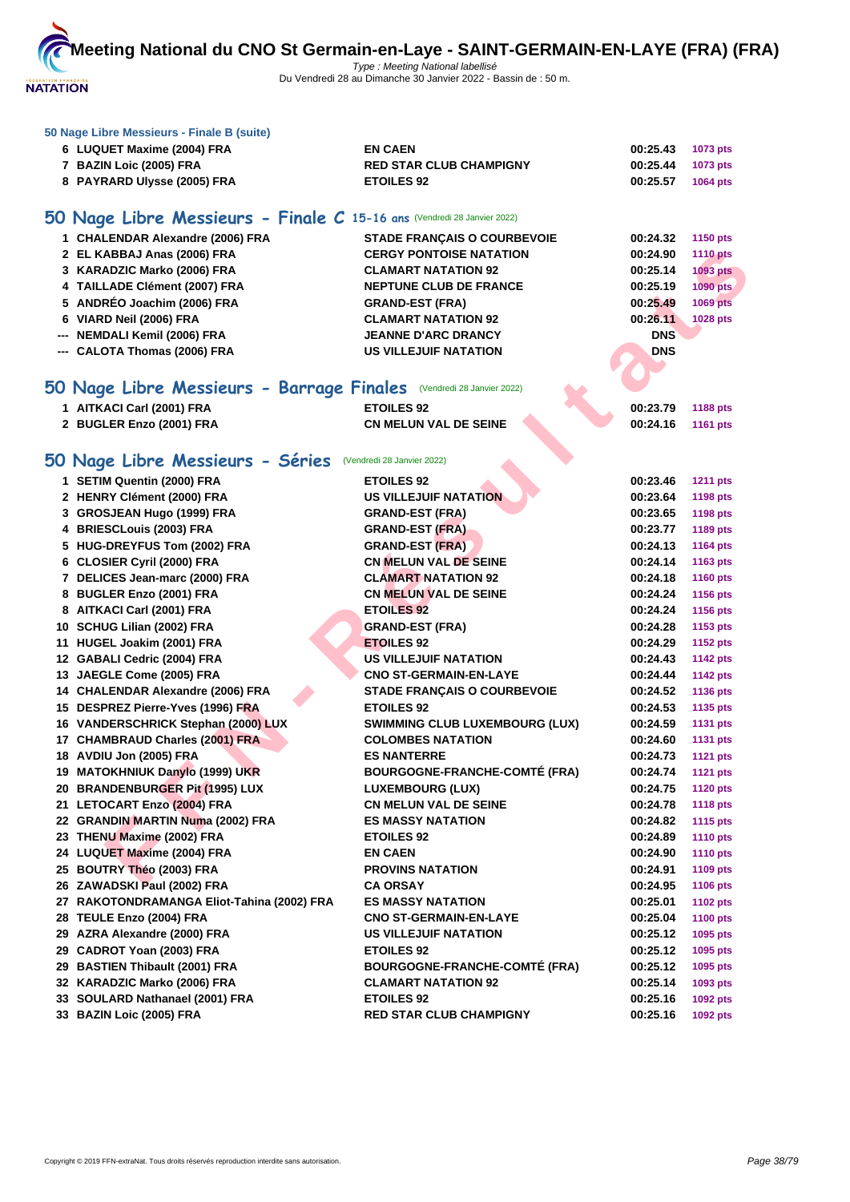

#### **[50 Nage L](http://www.ffnatation.fr/webffn/index.php)ibre Messieurs - Finale B (suite)**

| 6 LUQUET Maxime (2004) FRA  | <b>EN CAEN</b>                 | 00:25.43          | 1073 pts        |
|-----------------------------|--------------------------------|-------------------|-----------------|
| 7 BAZIN Loic (2005) FRA     | <b>RED STAR CLUB CHAMPIGNY</b> | 00:25.44 1073 pts |                 |
| 8 PAYRARD Ulysse (2005) FRA | <b>ETOILES 92</b>              | 00:25.57          | <b>1064 pts</b> |

# **50 Nage Libre Messieurs - Finale C 15-16 ans** (Vendredi 28 Janvier 2022)

| 1 CHALENDAR Alexandre (2006) FRA | <b>STADE FRANCAIS O COURBEVOIE</b> | 00:24.32   | 1150 pts        |
|----------------------------------|------------------------------------|------------|-----------------|
| 2 EL KABBAJ Anas (2006) FRA      | <b>CERGY PONTOISE NATATION</b>     | 00:24.90   | <b>1110 pts</b> |
| 3 KARADZIC Marko (2006) FRA      | <b>CLAMART NATATION 92</b>         | 00:25.14   | <b>1093 pts</b> |
| 4 TAILLADE Clément (2007) FRA    | <b>NEPTUNE CLUB DE FRANCE</b>      | 00:25.19   | 1090 pts        |
| 5 ANDRÉO Joachim (2006) FRA      | <b>GRAND-EST (FRA)</b>             | 00:25.49   | <b>1069 pts</b> |
| 6 VIARD Neil (2006) FRA          | <b>CLAMART NATATION 92</b>         | 00:26.11   | 1028 pts        |
| --- NEMDALI Kemil (2006) FRA     | <b>JEANNE D'ARC DRANCY</b>         | <b>DNS</b> |                 |
| --- CALOTA Thomas (2006) FRA     | <b>US VILLEJUIF NATATION</b>       | <b>DNS</b> |                 |
|                                  |                                    |            |                 |

# **50 Nage Libre Messieurs - Barrage Finales** (Vendredi 28 Janvier 2022)

| 1 AITKACI Carl (2001) FRA | <b>ETOILES 92</b>            |  | 00:23.79 | 1188 pts        |
|---------------------------|------------------------------|--|----------|-----------------|
| 2 BUGLER Enzo (2001) FRA  | <b>CN MELUN VAL DE SEINE</b> |  | 00:24.16 | <b>1161 pts</b> |
|                           |                              |  |          |                 |

# **50 Nage Libre Messieurs - Séries** (Vendredi 28 Janvier 2022)

| 2 EL KABBAJ Anas (2006) FRA                                          | <b>CERGY PONTOISE NATATION</b>                    | 00:24.90             | <b>1110 pts</b> |
|----------------------------------------------------------------------|---------------------------------------------------|----------------------|-----------------|
| 3 KARADZIC Marko (2006) FRA                                          | <b>CLAMART NATATION 92</b>                        | 00:25.14             | <b>1093 pts</b> |
| 4 TAILLADE Clément (2007) FRA                                        | <b>NEPTUNE CLUB DE FRANCE</b>                     | 00:25.19             | 1090 pts        |
| 5 ANDRÉO Joachim (2006) FRA                                          | <b>GRAND-EST (FRA)</b>                            | 00:25.49             | 1069 pts        |
| 6 VIARD Neil (2006) FRA                                              | <b>CLAMART NATATION 92</b>                        | 00:26.11             | 1028 pts        |
| --- NEMDALI Kemil (2006) FRA                                         | <b>JEANNE D'ARC DRANCY</b>                        | <b>DNS</b>           |                 |
| --- CALOTA Thomas (2006) FRA                                         | <b>US VILLEJUIF NATATION</b>                      | <b>DNS</b>           |                 |
|                                                                      |                                                   |                      |                 |
| iO Nage Libre Messieurs - Barrage Finales (Vendredi 28 Janvier 2022) |                                                   |                      |                 |
|                                                                      |                                                   |                      | 1188 pts        |
| 1 AITKACI Carl (2001) FRA<br>2 BUGLER Enzo (2001) FRA                | <b>ETOILES 92</b><br><b>CN MELUN VAL DE SEINE</b> | 00:23.79<br>00:24.16 |                 |
|                                                                      |                                                   |                      | <b>1161 pts</b> |
| 10 Nage Libre Messieurs - Séries (Vendredi 28 Janvier 2022)          |                                                   |                      |                 |
|                                                                      |                                                   |                      |                 |
| 1 SETIM Quentin (2000) FRA                                           | <b>ETOILES 92</b>                                 | 00:23.46             | <b>1211 pts</b> |
| 2 HENRY Clément (2000) FRA                                           | <b>US VILLEJUIF NATATION</b>                      | 00:23.64             | <b>1198 pts</b> |
| 3 GROSJEAN Hugo (1999) FRA                                           | <b>GRAND-EST (FRA)</b>                            | 00:23.65             | <b>1198 pts</b> |
| 4 BRIESCLouis (2003) FRA                                             | <b>GRAND-EST (FRA)</b>                            | 00:23.77             | 1189 pts        |
| 5 HUG-DREYFUS Tom (2002) FRA                                         | <b>GRAND-EST (FRA)</b>                            | 00:24.13             | <b>1164 pts</b> |
| 6 CLOSIER Cyril (2000) FRA                                           | <b>CN MELUN VAL DE SEINE</b>                      | 00:24.14             | <b>1163 pts</b> |
| 7 DELICES Jean-marc (2000) FRA                                       | <b>CLAMART NATATION 92</b>                        | 00:24.18             | <b>1160 pts</b> |
| 8 BUGLER Enzo (2001) FRA                                             | <b>CN MELUN VAL DE SEINE</b>                      | 00:24.24             | 1156 pts        |
| 8 AITKACI Carl (2001) FRA                                            | <b>ETOILES 92</b>                                 | 00:24.24             | 1156 pts        |
| 10 SCHUG Lilian (2002) FRA                                           | <b>GRAND-EST (FRA)</b>                            | 00:24.28             | 1153 pts        |
| 11 HUGEL Joakim (2001) FRA                                           | <b>ETOILES 92</b>                                 | 00:24.29             | <b>1152 pts</b> |
| 12 GABALI Cedric (2004) FRA                                          | US VILLEJUIF NATATION                             | 00:24.43             | <b>1142 pts</b> |
| 13 JAEGLE Come (2005) FRA                                            | <b>CNO ST-GERMAIN-EN-LAYE</b>                     | 00:24.44             | <b>1142 pts</b> |
| 14 CHALENDAR Alexandre (2006) FRA                                    | <b>STADE FRANÇAIS O COURBEVOIE</b>                | 00:24.52             | 1136 pts        |
| 15 DESPREZ Pierre-Yves (1996) FRA                                    | <b>ETOILES 92</b>                                 | 00:24.53             | 1135 pts        |
| 16 VANDERSCHRICK Stephan (2000) LUX                                  | <b>SWIMMING CLUB LUXEMBOURG (LUX)</b>             | 00:24.59             | <b>1131 pts</b> |
| 17 CHAMBRAUD Charles (2001) FRA                                      | <b>COLOMBES NATATION</b>                          | 00:24.60             | <b>1131 pts</b> |
| 18 AVDIU Jon (2005) FRA                                              | <b>ES NANTERRE</b>                                | 00:24.73             | <b>1121 pts</b> |
| 19 MATOKHNIUK Danylo (1999) UKR                                      | <b>BOURGOGNE-FRANCHE-COMTÉ (FRA)</b>              | 00:24.74             | <b>1121 pts</b> |
| 20 BRANDENBURGER Pit (1995) LUX                                      | <b>LUXEMBOURG (LUX)</b>                           | 00:24.75             | <b>1120 pts</b> |
| 21 LETOCART Enzo (2004) FRA                                          | <b>CN MELUN VAL DE SEINE</b>                      | 00:24.78             | <b>1118 pts</b> |
| 22 GRANDIN MARTIN Numa (2002) FRA                                    | <b>ES MASSY NATATION</b>                          | 00:24.82             | <b>1115 pts</b> |
| 23 THENU Maxime (2002) FRA                                           | <b>ETOILES 92</b>                                 | 00:24.89             | <b>1110 pts</b> |
| 24 LUQUET Maxime (2004) FRA                                          | <b>EN CAEN</b>                                    | 00:24.90             | <b>1110 pts</b> |
| 25 BOUTRY Théo (2003) FRA                                            | <b>PROVINS NATATION</b>                           | 00:24.91             | 1109 pts        |
| 26 ZAWADSKI Paul (2002) FRA                                          | <b>CA ORSAY</b>                                   | 00:24.95             | <b>1106 pts</b> |
| 27 RAKOTONDRAMANGA Eliot-Tahina (2002) FRA                           | <b>ES MASSY NATATION</b>                          | 00:25.01             | <b>1102 pts</b> |
| 28 TEULE Enzo (2004) FRA                                             | <b>CNO ST-GERMAIN-EN-LAYE</b>                     | 00:25.04             | <b>1100 pts</b> |
| 29 AZRA Alexandre (2000) FRA                                         | US VILLEJUIF NATATION                             | 00:25.12             | 1095 pts        |
| 29 CADROT Yoan (2003) FRA                                            | <b>ETOILES 92</b>                                 | 00:25.12             | 1095 pts        |
| 29 BASTIEN Thibault (2001) FRA                                       | <b>BOURGOGNE-FRANCHE-COMTÉ (FRA)</b>              | 00:25.12             | 1095 pts        |
| 32 KARADZIC Marko (2006) FRA                                         | <b>CLAMART NATATION 92</b>                        | 00:25.14             | 1093 pts        |
| 33 SOULARD Nathanael (2001) FRA                                      | <b>ETOILES 92</b>                                 | 00:25.16             | 1092 pts        |
| 33 BAZIN Loic (2005) FRA                                             | <b>RED STAR CLUB CHAMPIGNY</b>                    | 00:25.16             | 1092 pts        |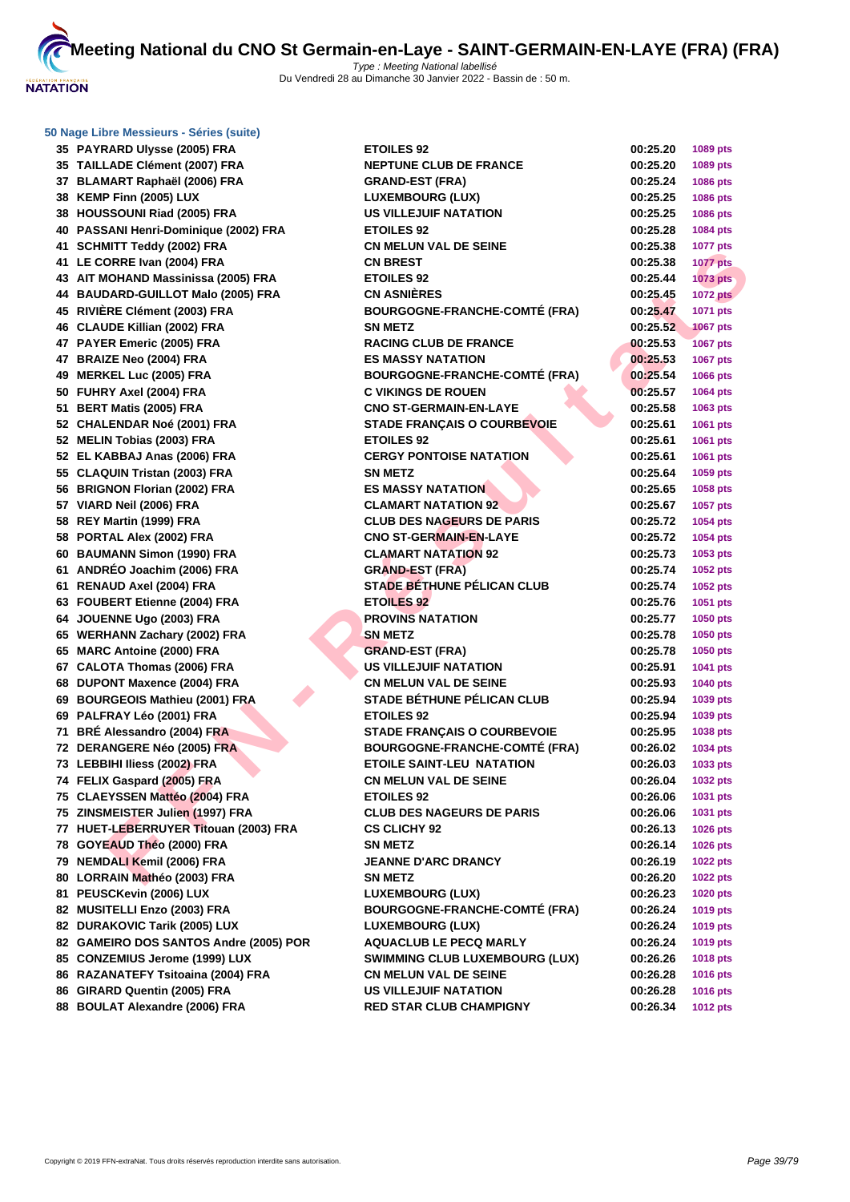

|  | 50 Nage Libre Messieurs - Séries (suite) |  |  |
|--|------------------------------------------|--|--|

| კე | <b>PAYRARD UIVSSE (2005) FRA</b>          |
|----|-------------------------------------------|
| 35 | <b>TAILLADE Clément (2007) FRA</b>        |
| 37 | BLAMART Raphaël (2006) FRA                |
| 38 | KEMP Finn (2005) LUX                      |
| 38 | <b>HOUSSOUNI Riad (2005) FRA</b>          |
| 40 | PASSANI Henri-Dominique (2002) FRA        |
| 41 | <b>SCHMITT Teddy (2002) FRA</b>           |
| 41 | LE CORRE Ivan (2004) FRA                  |
| 43 | AIT MOHAND Massinissa (2005) FRA          |
| 44 | <b>BAUDARD-GUILLOT Malo (2005) FRA</b>    |
| 45 | RIVIÈRE Clément (2003) FRA                |
| 46 | <b>CLAUDE Killian (2002) FRA</b>          |
| 47 | PAYER Emeric (2005) FRA                   |
| 47 | <b>BRAIZE Neo (2004) FRA</b>              |
| 49 | <b>MERKEL Luc (2005) FRA</b>              |
|    |                                           |
| 50 | FUHRY Axel (2004) FRA                     |
| 51 | BERT Matis (2005) FRA                     |
| 52 | <b>CHALENDAR Noé (2001) FRA</b>           |
| 52 | <b>MELIN Tobias (2003) FRA</b>            |
| 52 | EL KABBAJ Anas (2006) FRA                 |
| 55 | <b>CLAQUIN Tristan (2003) FRA</b>         |
| 56 | <b>BRIGNON Florian (2002) FRA</b>         |
| 57 | VIARD Neil (2006) FRA                     |
| 58 | REY Martin (1999) FRA                     |
| 58 | PORTAL Alex (2002) FRA                    |
| 60 | <b>BAUMANN Simon (1990) FRA</b>           |
| 61 | ANDRÉO Joachim (2006) FRA                 |
| 61 | <b>RENAUD Axel (2004) FRA</b>             |
| 63 | <b>FOUBERT Etienne (2004) FRA</b>         |
| 64 | JOUENNE Ugo (2003) FRA                    |
| 65 | <b>WERHANN Zachary (2002) FRA</b>         |
| 65 | <b>MARC Antoine (2000) FRA</b>            |
| 67 | <b>CALOTA Thomas (2006) FRA</b>           |
| 68 | <b>DUPONT Maxence (2004) FRA</b>          |
| 69 | <b>BOURGEOIS Mathieu (2001) FRA</b>       |
| 69 | PALFRAY Léo (2001) FRA                    |
| 71 | BRÉ Alessandro (2004) FRA                 |
| 72 | DERANGERE Néo (2005) FRA                  |
| 73 | LEBBIHI Iliess (2002) FRA                 |
| 74 | FELIX Gaspard (2005) FRA                  |
| 75 | CLAEYSSEN Mattéo (2004) FRA               |
| 75 | ZINSMEISTER Julien (1997) FRA             |
| 77 | HUET-LEBERRUYER Titouan (2003) FRA        |
| 78 | GOYEAUD Théo (2000) FRA                   |
| 79 | <b>NEMDALI Kemil (2006) FRA</b>           |
| 80 | LORRAIN Mathéo (2003) FRA                 |
| 81 | PEUSCKevin (2006) LUX                     |
|    |                                           |
| 82 | <b>MUSITELLI Enzo (2003) FRA</b>          |
| 82 | <b>DURAKOVIC Tarik (2005) LUX</b>         |
| 82 | <b>GAMEIRO DOS SANTOS Andre (2005) PO</b> |
| 85 | <b>CONZEMIUS Jerome (1999) LUX</b>        |
| 86 | RAZANATEFY Tsitoaina (2004) FRA           |
| 86 | GIRARD Quentin (2005) FRA                 |
| 88 | <b>BOULAT Alexandre (2006) FRA</b>        |

| 35 PAYRARD Ulysse (2005) FRA           | <b>ETOILES 92</b>                     | 00:25.20 | 1089 pts        |
|----------------------------------------|---------------------------------------|----------|-----------------|
| 35 TAILLADE Clément (2007) FRA         | <b>NEPTUNE CLUB DE FRANCE</b>         | 00:25.20 | 1089 pts        |
| 37 BLAMART Raphaël (2006) FRA          | <b>GRAND-EST (FRA)</b>                | 00:25.24 | 1086 pts        |
| 38 KEMP Finn (2005) LUX                | <b>LUXEMBOURG (LUX)</b>               | 00:25.25 | 1086 pts        |
| 38 HOUSSOUNI Riad (2005) FRA           | <b>US VILLEJUIF NATATION</b>          | 00:25.25 | 1086 pts        |
| 40 PASSANI Henri-Dominique (2002) FRA  | <b>ETOILES 92</b>                     | 00:25.28 | <b>1084 pts</b> |
| 41 SCHMITT Teddy (2002) FRA            | <b>CN MELUN VAL DE SEINE</b>          | 00:25.38 | <b>1077 pts</b> |
| 41 LE CORRE Ivan (2004) FRA            | <b>CN BREST</b>                       | 00:25.38 | <b>1077 pts</b> |
| 43 AIT MOHAND Massinissa (2005) FRA    | <b>ETOILES 92</b>                     | 00:25.44 | <b>1073 pts</b> |
| 44 BAUDARD-GUILLOT Malo (2005) FRA     | <b>CN ASNIÈRES</b>                    | 00:25.45 | <b>1072 pts</b> |
| 45 RIVIÈRE Clément (2003) FRA          | <b>BOURGOGNE-FRANCHE-COMTÉ (FRA)</b>  | 00:25.47 | 1071 pts        |
| 46 CLAUDE Killian (2002) FRA           | <b>SN METZ</b>                        | 00:25.52 | <b>1067 pts</b> |
| 47 PAYER Emeric (2005) FRA             | <b>RACING CLUB DE FRANCE</b>          | 00:25.53 | <b>1067 pts</b> |
| 47 BRAIZE Neo (2004) FRA               | <b>ES MASSY NATATION</b>              | 00:25.53 | 1067 pts        |
| 49 MERKEL Luc (2005) FRA               | <b>BOURGOGNE-FRANCHE-COMTÉ (FRA)</b>  | 00:25.54 | 1066 pts        |
| 50 FUHRY Axel (2004) FRA               | <b>C VIKINGS DE ROUEN</b>             | 00:25.57 | 1064 pts        |
| 51 BERT Matis (2005) FRA               | <b>CNO ST-GERMAIN-EN-LAYE</b>         | 00:25.58 | 1063 pts        |
| 52 CHALENDAR Noé (2001) FRA            | <b>STADE FRANÇAIS O COURBEVOIE</b>    | 00:25.61 | 1061 pts        |
| 52 MELIN Tobias (2003) FRA             | <b>ETOILES 92</b>                     | 00:25.61 | 1061 pts        |
| 52 EL KABBAJ Anas (2006) FRA           | <b>CERGY PONTOISE NATATION</b>        | 00:25.61 | 1061 pts        |
| 55 CLAQUIN Tristan (2003) FRA          | <b>SN METZ</b>                        | 00:25.64 | 1059 pts        |
| 56 BRIGNON Florian (2002) FRA          | <b>ES MASSY NATATION</b>              | 00:25.65 | 1058 pts        |
| 57 VIARD Neil (2006) FRA               | <b>CLAMART NATATION 92</b>            | 00:25.67 | 1057 pts        |
| 58 REY Martin (1999) FRA               | <b>CLUB DES NAGEURS DE PARIS</b>      | 00:25.72 | 1054 pts        |
| 58 PORTAL Alex (2002) FRA              | <b>CNO ST-GERMAIN-EN-LAYE</b>         | 00:25.72 | 1054 pts        |
| 60 BAUMANN Simon (1990) FRA            | <b>CLAMART NATATION 92</b>            | 00:25.73 | 1053 pts        |
| 61 ANDRÉO Joachim (2006) FRA           | <b>GRAND-EST (FRA)</b>                | 00:25.74 | 1052 pts        |
| 61 RENAUD Axel (2004) FRA              | STADE BETHUNE PÉLICAN CLUB            | 00:25.74 | 1052 pts        |
| 63 FOUBERT Etienne (2004) FRA          | <b>ETOILES 92</b>                     | 00:25.76 | 1051 pts        |
| 64 JOUENNE Ugo (2003) FRA              | <b>PROVINS NATATION</b>               | 00:25.77 | 1050 pts        |
| 65 WERHANN Zachary (2002) FRA          | <b>SN METZ</b>                        | 00:25.78 | 1050 pts        |
| 65 MARC Antoine (2000) FRA             | <b>GRAND-EST (FRA)</b>                | 00:25.78 | 1050 pts        |
| 67 CALOTA Thomas (2006) FRA            | <b>US VILLEJUIF NATATION</b>          | 00:25.91 | 1041 pts        |
| 68 DUPONT Maxence (2004) FRA           | <b>CN MELUN VAL DE SEINE</b>          | 00:25.93 | <b>1040 pts</b> |
| 69 BOURGEOIS Mathieu (2001) FRA        | <b>STADE BÉTHUNE PÉLICAN CLUB</b>     | 00:25.94 | 1039 pts        |
| 69 PALFRAY Léo (2001) FRA              | <b>ETOILES 92</b>                     | 00:25.94 | 1039 pts        |
| 71 BRÉ Alessandro (2004) FRA           | <b>STADE FRANÇAIS O COURBEVOIE</b>    | 00:25.95 | 1038 pts        |
| 72 DERANGERE Néo (2005) FRA            | <b>BOURGOGNE-FRANCHE-COMTÉ (FRA)</b>  | 00:26.02 | 1034 pts        |
| 73 LEBBIHI Iliess (2002) FRA           | <b>ETOILE SAINT-LEU NATATION</b>      | 00:26.03 | 1033 pts        |
| 74 FELIX Gaspard (2005) FRA            | CN MELUN VAL DE SEINE                 | 00:26.04 | <b>1032 pts</b> |
| 75 CLAEYSSEN Mattéo (2004) FRA         | <b>ETOILES 92</b>                     | 00:26.06 | 1031 pts        |
| 75 ZINSMEISTER Julien (1997) FRA       | <b>CLUB DES NAGEURS DE PARIS</b>      | 00:26.06 | 1031 pts        |
| 77 HUET-LEBERRUYER Titouan (2003) FRA  | <b>CS CLICHY 92</b>                   | 00:26.13 | <b>1026 pts</b> |
| 78   GOYEAUD Théo (2000) FRA           | SN METZ                               | 00:26.14 | <b>1026 pts</b> |
| 79   NEMDALI Kemil (2006) FRA          | <b>JEANNE D'ARC DRANCY</b>            | 00:26.19 | <b>1022 pts</b> |
| 80 LORRAIN Mathéo (2003) FRA           | SN METZ                               | 00:26.20 | <b>1022 pts</b> |
| 81 PEUSCKevin (2006) LUX               | LUXEMBOURG (LUX)                      | 00:26.23 | 1020 pts        |
| 82 MUSITELLI Enzo (2003) FRA           | <b>BOURGOGNE-FRANCHE-COMTÉ (FRA)</b>  | 00:26.24 | 1019 pts        |
| 82 DURAKOVIC Tarik (2005) LUX          | <b>LUXEMBOURG (LUX)</b>               | 00:26.24 | 1019 pts        |
| 82 GAMEIRO DOS SANTOS Andre (2005) POR | <b>AQUACLUB LE PECQ MARLY</b>         | 00:26.24 | 1019 pts        |
| 85 CONZEMIUS Jerome (1999) LUX         | <b>SWIMMING CLUB LUXEMBOURG (LUX)</b> | 00:26.26 | <b>1018 pts</b> |
| 86 RAZANATEFY Tsitoaina (2004) FRA     | <b>CN MELUN VAL DE SEINE</b>          | 00:26.28 | <b>1016 pts</b> |
| 86 GIRARD Quentin (2005) FRA           | <b>US VILLEJUIF NATATION</b>          | 00:26.28 | 1016 pts        |
| 88 BOULAT Alexandre (2006) FRA         | <b>RED STAR CLUB CHAMPIGNY</b>        | 00:26.34 | <b>1012 pts</b> |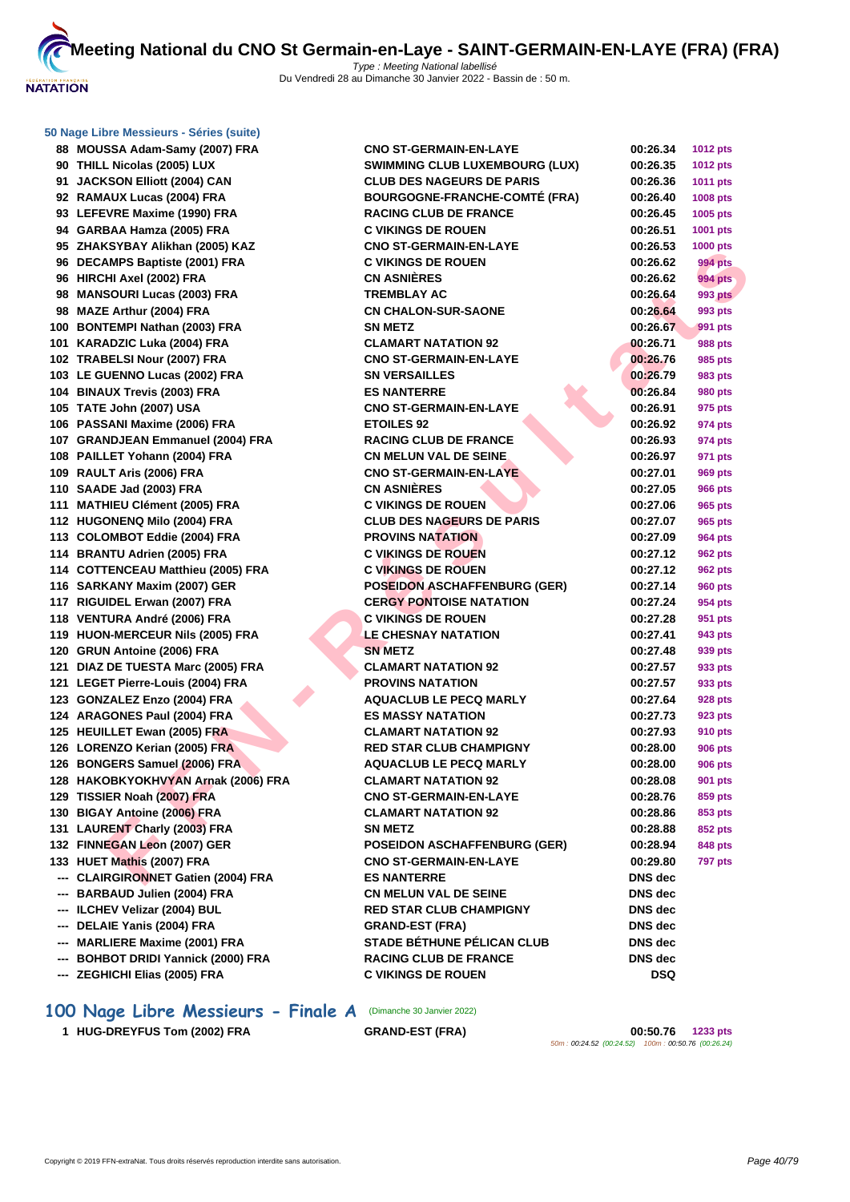|     | 50 Nage Libre Messieurs - Séries (suite) |                                                           |                |                 |
|-----|------------------------------------------|-----------------------------------------------------------|----------------|-----------------|
|     | 88 MOUSSA Adam-Samy (2007) FRA           | <b>CNO ST-GERMAIN-EN-LAYE</b>                             | 00:26.34       | <b>1012 pts</b> |
|     | 90 THILL Nicolas (2005) LUX              | <b>SWIMMING CLUB LUXEMBOURG (LUX)</b>                     | 00:26.35       | <b>1012 pts</b> |
|     | 91 JACKSON Elliott (2004) CAN            | <b>CLUB DES NAGEURS DE PARIS</b>                          | 00:26.36       | 1011 pts        |
|     | 92 RAMAUX Lucas (2004) FRA               | <b>BOURGOGNE-FRANCHE-COMTÉ (FRA)</b>                      | 00:26.40       | <b>1008 pts</b> |
|     | 93 LEFEVRE Maxime (1990) FRA             | <b>RACING CLUB DE FRANCE</b>                              | 00:26.45       | 1005 pts        |
|     | 94 GARBAA Hamza (2005) FRA               | <b>C VIKINGS DE ROUEN</b>                                 | 00:26.51       | 1001 pts        |
|     | 95 ZHAKSYBAY Alikhan (2005) KAZ          | <b>CNO ST-GERMAIN-EN-LAYE</b>                             | 00:26.53       | 1000 pts        |
|     | 96 DECAMPS Baptiste (2001) FRA           | <b>C VIKINGS DE ROUEN</b>                                 | 00:26.62       | <b>994 pts</b>  |
|     | 96 HIRCHI Axel (2002) FRA                | <b>CN ASNIÈRES</b>                                        | 00:26.62       | 994 pts         |
|     | 98 MANSOURI Lucas (2003) FRA             | <b>TREMBLAY AC</b>                                        | 00:26.64       | 993 pts         |
|     | 98 MAZE Arthur (2004) FRA                | <b>CN CHALON-SUR-SAONE</b>                                | 00:26.64       | 993 pts         |
|     | 100 BONTEMPI Nathan (2003) FRA           | <b>SN METZ</b>                                            | 00:26.67       | 991 pts         |
|     | 101 KARADZIC Luka (2004) FRA             | <b>CLAMART NATATION 92</b>                                | 00:26.71       | 988 pts         |
|     | 102 TRABELSI Nour (2007) FRA             | <b>CNO ST-GERMAIN-EN-LAYE</b>                             | 00:26.76       | 985 pts         |
|     | 103 LE GUENNO Lucas (2002) FRA           | <b>SN VERSAILLES</b>                                      | 00:26.79       | 983 pts         |
|     | 104 BINAUX Trevis (2003) FRA             | <b>ES NANTERRE</b>                                        | 00:26.84       | 980 pts         |
|     | 105 TATE John (2007) USA                 | <b>CNO ST-GERMAIN-EN-LAYE</b>                             | 00:26.91       | 975 pts         |
|     | 106 PASSANI Maxime (2006) FRA            | <b>ETOILES 92</b>                                         | 00:26.92       | 974 pts         |
|     | 107 GRANDJEAN Emmanuel (2004) FRA        | <b>RACING CLUB DE FRANCE</b>                              | 00:26.93       | 974 pts         |
|     | 108 PAILLET Yohann (2004) FRA            | <b>CN MELUN VAL DE SEINE</b>                              | 00:26.97       | 971 pts         |
|     | 109 RAULT Aris (2006) FRA                | <b>CNO ST-GERMAIN-EN-LAYE</b>                             | 00:27.01       | 969 pts         |
|     | 110 SAADE Jad (2003) FRA                 | <b>CN ASNIÈRES</b>                                        | 00:27.05       | <b>966 pts</b>  |
|     | 111 MATHIEU Clément (2005) FRA           | <b>C VIKINGS DE ROUEN</b>                                 | 00:27.06       | 965 pts         |
|     | 112 HUGONENQ Milo (2004) FRA             | <b>CLUB DES NAGEURS DE PARIS</b>                          | 00:27.07       | 965 pts         |
|     | 113 COLOMBOT Eddie (2004) FRA            | <b>PROVINS NATATION</b>                                   | 00:27.09       | 964 pts         |
|     | 114 BRANTU Adrien (2005) FRA             | <b>C VIKINGS DE ROUEN</b>                                 | 00:27.12       | 962 pts         |
|     | 114 COTTENCEAU Matthieu (2005) FRA       | <b>C VIKINGS DE ROUEN</b>                                 | 00:27.12       | 962 pts         |
|     | 116 SARKANY Maxim (2007) GER             | <b>POSEIDON ASCHAFFENBURG (GER)</b>                       | 00:27.14       | <b>960 pts</b>  |
|     | 117 RIGUIDEL Erwan (2007) FRA            | <b>CERGY PONTOISE NATATION</b>                            | 00:27.24       | 954 pts         |
|     | 118 VENTURA André (2006) FRA             | <b>C VIKINGS DE ROUEN</b>                                 | 00:27.28       | 951 pts         |
|     | 119 HUON-MERCEUR Nils (2005) FRA         | <b>LE CHESNAY NATATION</b>                                | 00:27.41       | 943 pts         |
|     | 120 GRUN Antoine (2006) FRA              | <b>SN METZ</b>                                            | 00:27.48       | 939 pts         |
|     | 121 DIAZ DE TUESTA Marc (2005) FRA       | <b>CLAMART NATATION 92</b>                                | 00:27.57       |                 |
|     | 121 LEGET Pierre-Louis (2004) FRA        | <b>PROVINS NATATION</b>                                   |                | 933 pts         |
|     | 123 GONZALEZ Enzo (2004) FRA             |                                                           | 00:27.57       | 933 pts         |
|     |                                          | <b>AQUACLUB LE PECQ MARLY</b><br><b>ES MASSY NATATION</b> | 00:27.64       | 928 pts         |
|     | 124 ARAGONES Paul (2004) FRA             |                                                           | 00:27.73       | 923 pts         |
|     | 125 HEUILLET Ewan (2005) FRA             | <b>CLAMART NATATION 92</b>                                | 00:27.93       | 910 pts         |
|     | 126 LORENZO Kerian (2005) FRA            | <b>RED STAR CLUB CHAMPIGNY</b>                            | 00:28.00       | 906 pts         |
|     | 126 BONGERS Samuel (2006) FRA            | <b>AQUACLUB LE PECQ MARLY</b>                             | 00:28.00       | 906 pts         |
|     | 128 HAKOBKYOKHVYAN Arnak (2006) FRA      | <b>CLAMART NATATION 92</b>                                | 00:28.08       | 901 pts         |
|     | 129 TISSIER Noah (2007) FRA              | <b>CNO ST-GERMAIN-EN-LAYE</b>                             | 00:28.76       | 859 pts         |
|     | 130 BIGAY Antoine (2006) FRA             | <b>CLAMART NATATION 92</b>                                | 00:28.86       | 853 pts         |
|     | 131 LAURENT Charly (2003) FRA            | <b>SN METZ</b>                                            | 00:28.88       | 852 pts         |
|     | 132 FINNEGAN Leon (2007) GER             | <b>POSEIDON ASCHAFFENBURG (GER)</b>                       | 00:28.94       | 848 pts         |
|     | 133 HUET Mathis (2007) FRA               | <b>CNO ST-GERMAIN-EN-LAYE</b>                             | 00:29.80       | <b>797 pts</b>  |
|     | --- CLAIRGIRONNET Gatien (2004) FRA      | <b>ES NANTERRE</b>                                        | DNS dec        |                 |
|     | --- BARBAUD Julien (2004) FRA            | <b>CN MELUN VAL DE SEINE</b>                              | DNS dec        |                 |
|     | --- ILCHEV Velizar (2004) BUL            | <b>RED STAR CLUB CHAMPIGNY</b>                            | DNS dec        |                 |
|     | --- DELAIE Yanis (2004) FRA              | <b>GRAND-EST (FRA)</b>                                    | <b>DNS</b> dec |                 |
|     | --- MARLIERE Maxime (2001) FRA           | <b>STADE BÉTHUNE PÉLICAN CLUB</b>                         | DNS dec        |                 |
| --- | <b>BOHBOT DRIDI Yannick (2000) FRA</b>   | <b>RACING CLUB DE FRANCE</b>                              | DNS dec        |                 |
|     | --- ZEGHICHI Elias (2005) FRA            | <b>C VIKINGS DE ROUEN</b>                                 | DSQ            |                 |
|     |                                          |                                                           |                |                 |

# 100 Nage Libre Messieurs - Finale A (Dimanche 30 Janvier 2022)

**HUG-DREYFUS Tom (2002) FRA GRAND-EST (FRA) 00:50.76 1233 pts**

50m : 00:24.52 (00:24.52) 100m : 00:50.76 (00:26.24)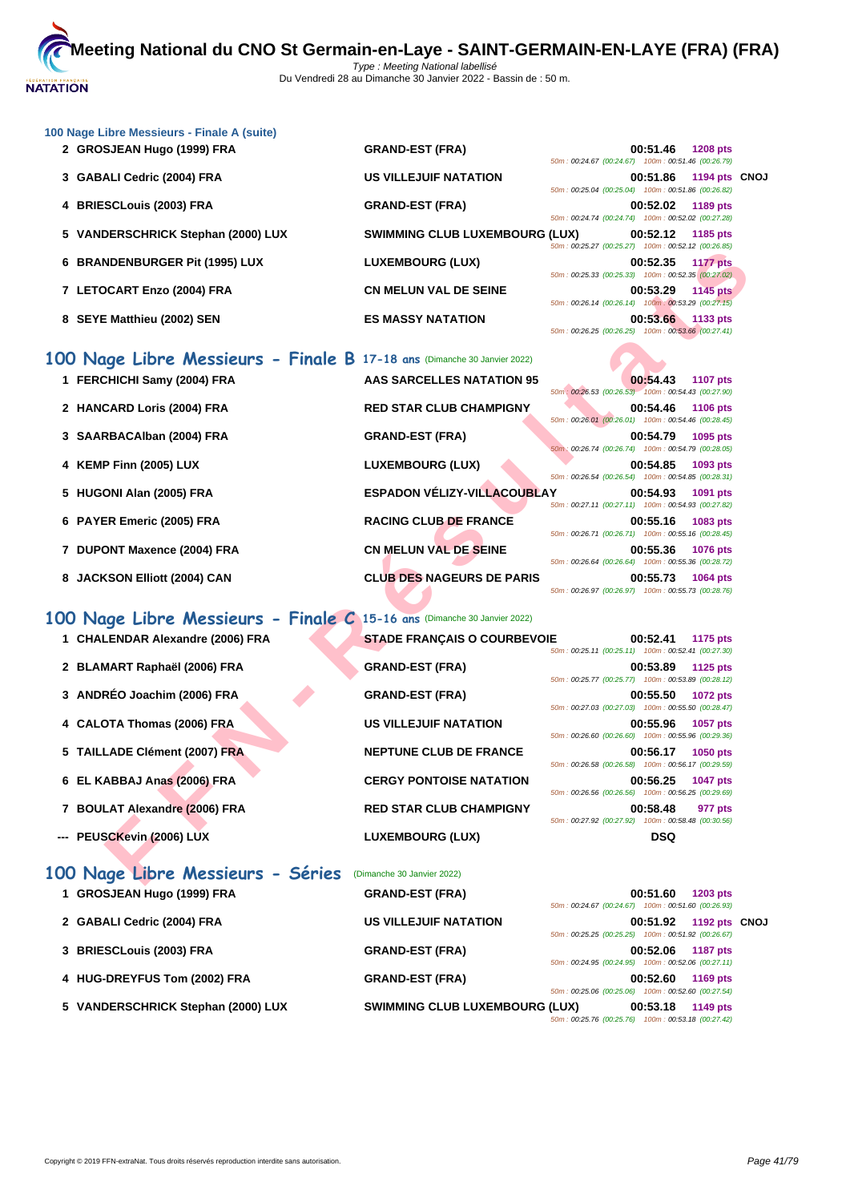

| 100 Nage Libre Messieurs - Finale A (suite) |                                       |                                                                                   |  |
|---------------------------------------------|---------------------------------------|-----------------------------------------------------------------------------------|--|
| 2 GROSJEAN Hugo (1999) FRA                  | <b>GRAND-EST (FRA)</b>                | 00:51.46<br><b>1208 pts</b><br>50m: 00:24.67 (00:24.67) 100m: 00:51.46 (00:26.79) |  |
| 3 GABALI Cedric (2004) FRA                  | <b>US VILLEJUIF NATATION</b>          | 1194 pts CNOJ<br>00:51.86<br>50m: 00:25.04 (00:25.04) 100m: 00:51.86 (00:26.82)   |  |
| 4 BRIESCLouis (2003) FRA                    | <b>GRAND-EST (FRA)</b>                | 00:52.02<br>1189 pts<br>50m: 00:24.74 (00:24.74) 100m: 00:52.02 (00:27.28)        |  |
| 5 VANDERSCHRICK Stephan (2000) LUX          | <b>SWIMMING CLUB LUXEMBOURG (LUX)</b> | 00:52.12<br>1185 pts<br>50m: 00:25.27 (00:25.27) 100m: 00:52.12 (00:26.85)        |  |
| 6 BRANDENBURGER Pit (1995) LUX              | LUXEMBOURG (LUX)                      | 00:52.35<br><b>1177 pts</b><br>50m: 00:25.33 (00:25.33) 100m: 00:52.35 (00:27.02) |  |
| 7 LETOCART Enzo (2004) FRA                  | <b>CN MELUN VAL DE SEINE</b>          | 00:53.29<br><b>1145 pts</b><br>50m: 00:26.14 (00:26.14) 100m: 00:53.29 (00:27.15) |  |
| 8 SEYE Matthieu (2002) SEN                  | <b>ES MASSY NATATION</b>              | 00:53.66<br>1133 pts<br>$50m: 00:26.25$ (00:26.25)<br>100m: 00:53.66 (00:27.41)   |  |

|                                                                          |                                      | $0.20111$ . $0.021211$ ( $0.0212111$ $0.00111$ . $0.0012112$ ( $0.021010$         |
|--------------------------------------------------------------------------|--------------------------------------|-----------------------------------------------------------------------------------|
| 6 BRANDENBURGER Pit (1995) LUX                                           | <b>LUXEMBOURG (LUX)</b>              | 00:52.35<br><b>1177 pts</b><br>50m: 00:25.33 (00:25.33) 100m: 00:52.35 (00:27.02) |
| 7 LETOCART Enzo (2004) FRA                                               | <b>CN MELUN VAL DE SEINE</b>         | 00:53.29<br><b>1145 pts</b><br>50m: 00:26.14 (00:26.14) 100m: 00:53.29 (00:27.15) |
| 8 SEYE Matthieu (2002) SEN                                               | <b>ES MASSY NATATION</b>             | 00:53.66<br>1133 pts<br>50m: 00:26.25 (00:26.25) 100m: 00:53.66 (00:27.41)        |
| 100 Nage Libre Messieurs - Finale B 17-18 ans (Dimanche 30 Janvier 2022) |                                      |                                                                                   |
| 1 FERCHICHI Samy (2004) FRA                                              | <b>AAS SARCELLES NATATION 95</b>     | 00:54.43<br><b>1107 pts</b><br>50m: 00:26.53 (00:26.53) 100m: 00:54.43 (00:27.90) |
| 2 HANCARD Loris (2004) FRA                                               | <b>RED STAR CLUB CHAMPIGNY</b>       | 00:54.46<br>1106 pts<br>50m: 00:26.01 (00:26.01) 100m: 00:54.46 (00:28.45)        |
| 3 SAARBACAIban (2004) FRA                                                | <b>GRAND-EST (FRA)</b>               | 00:54.79<br>1095 pts<br>50m: 00:26.74 (00:26.74) 100m: 00:54.79 (00:28.05)        |
| 4 KEMP Finn (2005) LUX                                                   | <b>LUXEMBOURG (LUX)</b>              | 00:54.85<br>1093 pts<br>50m: 00:26.54 (00:26.54) 100m: 00:54.85 (00:28.31)        |
| 5 HUGONI Alan (2005) FRA                                                 | <b>ESPADON VÉLIZY-VILLACOUBLAY</b>   | 00:54.93<br>1091 pts<br>50m: 00:27.11 (00:27.11) 100m: 00:54.93 (00:27.82)        |
| 6 PAYER Emeric (2005) FRA                                                | <b>RACING CLUB DE FRANCE</b>         | 00:55.16<br>1083 pts<br>50m: 00:26.71 (00:26.71) 100m: 00:55.16 (00:28.45)        |
| 7 DUPONT Maxence (2004) FRA                                              | <b>CN MELUN VAL DE SEINE</b>         | 00:55.36<br><b>1076 pts</b><br>50m: 00:26.64 (00:26.64) 100m: 00:55.36 (00:28.72) |
| 8 JACKSON Elliott (2004) CAN                                             | <b>CLUB DES NAGEURS DE PARIS</b>     | 00:55.73<br>1064 pts<br>50m: 00:26.97 (00:26.97) 100m: 00:55.73 (00:28.76)        |
| 100 Nage Libre Messieurs - Finale C                                      | 15-16 ans (Dimanche 30 Janvier 2022) |                                                                                   |
| 1 CHALENDAR Alexandre (2006) FRA                                         | <b>STADE FRANÇAIS O COURBEVOIE</b>   | 00:52.41<br>1175 pts<br>50m: 00:25.11 (00:25.11) 100m: 00:52.41 (00:27.30)        |
| 2 BLAMART Raphaël (2006) FRA                                             | <b>GRAND-EST (FRA)</b>               | 00:53.89<br>1125 pts<br>50m: 00:25.77 (00:25.77) 100m: 00:53.89 (00:28.12)        |
| 3 ANDRÉO Joachim (2006) FRA                                              | <b>GRAND-EST (FRA)</b>               | 00:55.50<br>1072 pts<br>50m: 00:27.03 (00:27.03) 100m: 00:55.50 (00:28.47)        |
| 4 CALOTA Thomas (2006) FRA                                               | <b>US VILLEJUIF NATATION</b>         | 00:55.96<br>1057 pts<br>50m: 00:26.60 (00:26.60) 100m: 00:55.96 (00:29.36)        |
| 5 TAILLADE Clément (2007) FRA                                            | <b>NEPTUNE CLUB DE FRANCE</b>        | 00:56.17<br>1050 pts<br>50m: 00:26.58 (00:26.58) 100m: 00:56.17 (00:29.59)        |
| 6 EL KABBAJ Anas (2006) FRA                                              | <b>CERGY PONTOISE NATATION</b>       | 00:56.25<br><b>1047 pts</b><br>50m: 00:26.56 (00:26.56) 100m: 00:56.25 (00:29.69) |
| 7 BOULAT Alexandre (2006) FRA                                            | <b>RED STAR CLUB CHAMPIGNY</b>       | 00:58.48<br>977 pts<br>50m: 00:27.92 (00:27.92) 100m: 00:58.48 (00:30.56)         |
| --- PEUSCKevin (2006) LUX                                                | <b>LUXEMBOURG (LUX)</b>              | <b>DSQ</b>                                                                        |
| 100 Nage Libre Messieurs - Séries                                        | (Dimanche 30 Janvier 2022)           |                                                                                   |

# **100 Nage Libre Messieurs - Finale C 15-16 ans** (Dimanche 30 Janvier 2022)

- 
- 
- 
- 

100 Nage Libre Messieurs **1 GROSJEAN Hugo (1999) FRA GRAND-EST (FRA) 00:51.60 1203 pts**

- 
- **--- PEUSCKevin (2006) LUX**

|                                  |                              | 100m: 00:58.48 (00:30.56)<br>50m: 00:27.92 (00:27.92)                             |  |
|----------------------------------|------------------------------|-----------------------------------------------------------------------------------|--|
| -- PEUSCKevin (2006) LUX         | <b>LUXEMBOURG (LUX)</b>      | <b>DSQ</b>                                                                        |  |
| 00 Nage Libre Messieurs - Séries | (Dimanche 30 Janvier 2022)   |                                                                                   |  |
| 1 GROSJEAN Hugo (1999) FRA       | <b>GRAND-EST (FRA)</b>       | 00:51.60<br><b>1203 pts</b><br>50m: 00:24.67 (00:24.67) 100m: 00:51.60 (00:26.93) |  |
| 2 GABALI Cedric (2004) FRA       | <b>US VILLEJUIF NATATION</b> | 1192 pts CNOJ<br>00:51.92<br>50m: 00:25.25 (00:25.25) 100m: 00:51.92 (00:26.67)   |  |
| 3 BRIESCLouis (2003) FRA         | <b>GRAND-EST (FRA)</b>       | 00:52.06<br><b>1187 pts</b><br>50m: 00:24.95 (00:24.95) 100m: 00:52.06 (00:27.11) |  |
| 4 HUG-DREYFUS Tom (2002) FRA     | <b>GRAND-EST (FRA)</b>       | 00:52.60<br><b>1169 pts</b>                                                       |  |

**5 VANDERSCHRICK Stephan (2000) LUX SWIMMING CLUB LUXEMBOURG (LUX) 00:53.18 1149 pts**

50m : 00:25.06 (00:25.06) 100m : 00:52.60 (00:27.54) 50m : 00:25.76 (00:25.76) 100m : 00:53.18 (00:27.42)

| 5 TAILLADE Clément (2007) FRA | <b>NEPTUNE CLUB DE FRANCE</b>  | 00:56.17<br><b>1050 pts</b>                        |
|-------------------------------|--------------------------------|----------------------------------------------------|
|                               |                                | 50m: 00:26.58 (00:26.58) 100m: 00:56.17 (00:29.59) |
| 6 EL KABBAJ Anas (2006) FRA   | <b>CERGY PONTOISE NATATION</b> | <b>1047 pts</b><br>00:56.25                        |
|                               |                                | 50m: 00:26.56 (00:26.56) 100m: 00:56.25 (00:29.69) |
| 7 BOULAT Alexandre (2006) FRA | <b>RED STAR CLUB CHAMPIGNY</b> | 00:58.48<br>977 pts                                |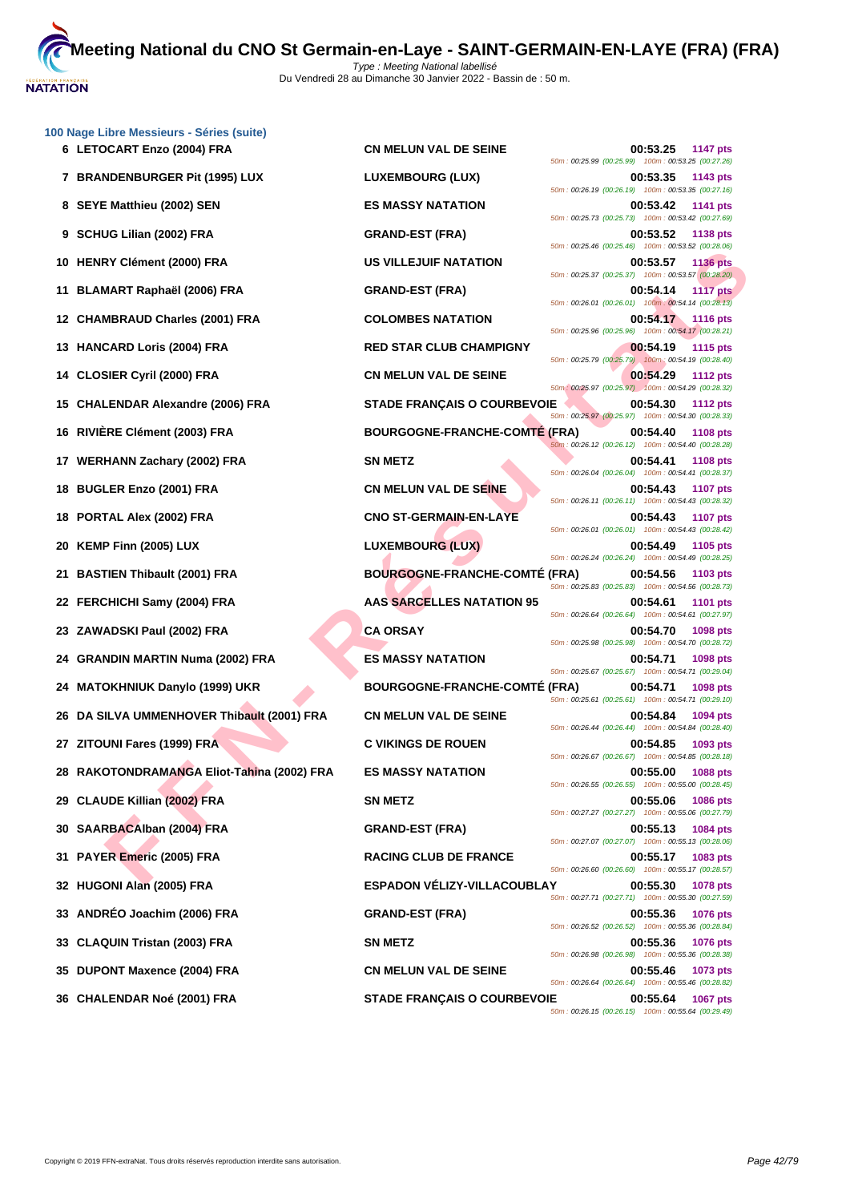

| 100 Nage Libre Messieurs - Séries (suite)<br>6 LETOCART Enzo (2004) FRA | <b>CN MELUN VAL DE SEINE</b>         | 00:53.25<br>1147 pts                                                                                                                    |
|-------------------------------------------------------------------------|--------------------------------------|-----------------------------------------------------------------------------------------------------------------------------------------|
| 7 BRANDENBURGER Pit (1995) LUX                                          | <b>LUXEMBOURG (LUX)</b>              | 50m: 00:25.99 (00:25.99) 100m: 00:53.25 (00:27.26)<br>00:53.35<br>1143 pts                                                              |
| 8 SEYE Matthieu (2002) SEN                                              | <b>ES MASSY NATATION</b>             | 50m: 00:26.19 (00:26.19) 100m: 00:53.35 (00:27.16)<br>00:53.42<br><b>1141 pts</b>                                                       |
| 9 SCHUG Lilian (2002) FRA                                               | <b>GRAND-EST (FRA)</b>               | 50m: 00:25.73 (00:25.73) 100m: 00:53.42 (00:27.69)<br>00:53.52<br><b>1138 pts</b>                                                       |
| 10 HENRY Clément (2000) FRA                                             | US VILLEJUIF NATATION                | 50m: 00:25.46 (00:25.46) 100m: 00:53.52 (00:28.06)<br>00:53.57<br><b>1136 pts</b>                                                       |
| 11 BLAMART Raphaël (2006) FRA                                           | <b>GRAND-EST (FRA)</b>               | 50m: 00:25.37 (00:25.37) 100m: 00:53.57 (00:28.20)<br>00:54.14<br><b>1117 pts</b>                                                       |
| 12 CHAMBRAUD Charles (2001) FRA                                         | <b>COLOMBES NATATION</b>             | 50m: 00:26.01 (00:26.01) 100m: 00:54.14 (00:28.13)<br>00:54.17<br><b>1116 pts</b>                                                       |
| 13 HANCARD Loris (2004) FRA                                             | <b>RED STAR CLUB CHAMPIGNY</b>       | 50m: 00:25.96 (00:25.96) 100m: 00:54.17 (00:28.21)<br>00:54.19<br><b>1115 pts</b>                                                       |
| 14 CLOSIER Cyril (2000) FRA                                             | <b>CN MELUN VAL DE SEINE</b>         | 50m: 00:25.79 (00:25.79) 100m: 00:54.19 (00:28.40)<br>00:54.29<br><b>1112 pts</b>                                                       |
| 15 CHALENDAR Alexandre (2006) FRA                                       | <b>STADE FRANÇAIS O COURBEVOIE</b>   | 50m: 00:25.97 (00:25.97) 100m: 00:54.29 (00:28.32)<br>00:54.30<br><b>1112 pts</b>                                                       |
| RIVIÊRE Clément (2003) FRA<br>16.                                       | <b>BOURGOGNE-FRANCHE-COMTÉ (FRA)</b> | 50m: 00:25.97 (00:25.97) 100m: 00:54.30 (00:28.33)<br>00:54.40<br><b>1108 pts</b>                                                       |
| 17 WERHANN Zachary (2002) FRA                                           | <b>SN METZ</b>                       | 50m: 00:26.12 (00:26.12) 100m: 00:54.40 (00:28.28)<br>00:54.41<br><b>1108 pts</b>                                                       |
| 18 BUGLER Enzo (2001) FRA                                               | <b>CN MELUN VAL DE SEINE</b>         | 50m: 00:26.04 (00:26.04) 100m: 00:54.41 (00:28.37)<br>00:54.43<br><b>1107 pts</b>                                                       |
| PORTAL Alex (2002) FRA<br>18                                            | <b>CNO ST-GERMAIN-EN-LAYE</b>        | 50m: 00:26.11 (00:26.11) 100m: 00:54.43 (00:28.32)<br>00:54.43<br><b>1107 pts</b>                                                       |
| KEMP Finn (2005) LUX<br>20                                              | <b>LUXEMBOURG (LUX)</b>              | 50m: 00:26.01 (00:26.01) 100m: 00:54.43 (00:28.42)<br>00:54.49<br>1105 pts                                                              |
| 21 BASTIEN Thibault (2001) FRA                                          | <b>BOURGOGNE-FRANCHE-COMTÉ (FRA)</b> | 50m: 00:26.24 (00:26.24) 100m: 00:54.49 (00:28.25)<br>00:54.56<br>1103 pts                                                              |
| 22 FERCHICHI Samy (2004) FRA                                            | <b>AAS SARCELLES NATATION 95</b>     | 50m: 00:25.83 (00:25.83) 100m: 00:54.56 (00:28.73)<br>00:54.61<br><b>1101 pts</b>                                                       |
| 23 ZAWADSKI Paul (2002) FRA                                             | <b>CA ORSAY</b>                      | 50m: 00:26.64 (00:26.64) 100m: 00:54.61 (00:27.97)<br>00:54.70<br>1098 pts                                                              |
| <b>GRANDIN MARTIN Numa (2002) FRA</b><br>24                             | <b>ES MASSY NATATION</b>             | 50m: 00:25.98 (00:25.98) 100m: 00:54.70 (00:28.72)<br>00:54.71<br>1098 pts                                                              |
| 24 MATOKHNIUK Danylo (1999) UKR                                         | <b>BOURGOGNE-FRANCHE-COMTÉ (FRA)</b> | 50m: 00:25.67 (00:25.67) 100m: 00:54.71 (00:29.04)<br>00:54.71<br>1098 pts                                                              |
| 26 DA SILVA UMMENHOVER Thibault (2001) FRA                              | <b>CN MELUN VAL DE SEINE</b>         | 50m: 00:25.61 (00:25.61) 100m: 00:54.71 (00:29.10)<br>00:54.84<br>1094 pts                                                              |
| 27 ZITOUNI Fares (1999) FRA                                             | <b>C VIKINGS DE ROUEN</b>            | 50m: 00:26.44 (00:26.44) 100m: 00:54.84 (00:28.40)<br>00:54.85<br>1093 pts                                                              |
| 28 RAKOTONDRAMANGA Eliot-Tahina (2002) FRA                              | <b>ES MASSY NATATION</b>             | 50m: 00:26.67 (00:26.67) 100m: 00:54.85 (00:28.18)<br>00:55.00<br><b>1088 pts</b>                                                       |
| 29 CLAUDE Killian (2002) FRA                                            | <b>SN METZ</b>                       | 50m: 00:26.55 (00:26.55) 100m: 00:55.00 (00:28.45)<br>00:55.06<br><b>1086 pts</b><br>50m: 00:27.27 (00:27.27) 100m: 00:55.06 (00:27.79) |
| 30 SAARBACAIban (2004) FRA                                              | <b>GRAND-EST (FRA)</b>               | 00:55.13<br><b>1084 pts</b>                                                                                                             |
| 31 PAYER Emeric (2005) FRA                                              | <b>RACING CLUB DE FRANCE</b>         | 50m: 00:27.07 (00:27.07) 100m: 00:55.13 (00:28.06)<br>00:55.17<br>1083 pts<br>50m: 00:26.60 (00:26.60) 100m: 00:55.17 (00:28.57)        |
| 32 HUGONI Alan (2005) FRA                                               | ESPADON VÉLIZY-VILLACOUBLAY          | 00:55.30<br><b>1078 pts</b><br>50m: 00:27.71 (00:27.71) 100m: 00:55.30 (00:27.59)                                                       |
| 33 ANDRÉO Joachim (2006) FRA                                            | <b>GRAND-EST (FRA)</b>               | 00:55.36<br><b>1076 pts</b><br>50m: 00:26.52 (00:26.52) 100m: 00:55.36 (00:28.84)                                                       |
| 33 CLAQUIN Tristan (2003) FRA                                           | <b>SN METZ</b>                       | 00:55.36<br><b>1076 pts</b><br>50m: 00:26.98 (00:26.98) 100m: 00:55.36 (00:28.38)                                                       |
| 35 DUPONT Maxence (2004) FRA                                            | <b>CN MELUN VAL DE SEINE</b>         | 00:55.46<br><b>1073 pts</b><br>50m: 00:26.64 (00:26.64) 100m: 00:55.46 (00:28.82)                                                       |
| 36 CHALENDAR Noé (2001) FRA                                             | <b>STADE FRANÇAIS O COURBEVOIE</b>   | 00:55.64<br>1067 pts<br>50m: 00:26.15 (00:26.15) 100m: 00:55.64 (00:29.49)                                                              |
|                                                                         |                                      |                                                                                                                                         |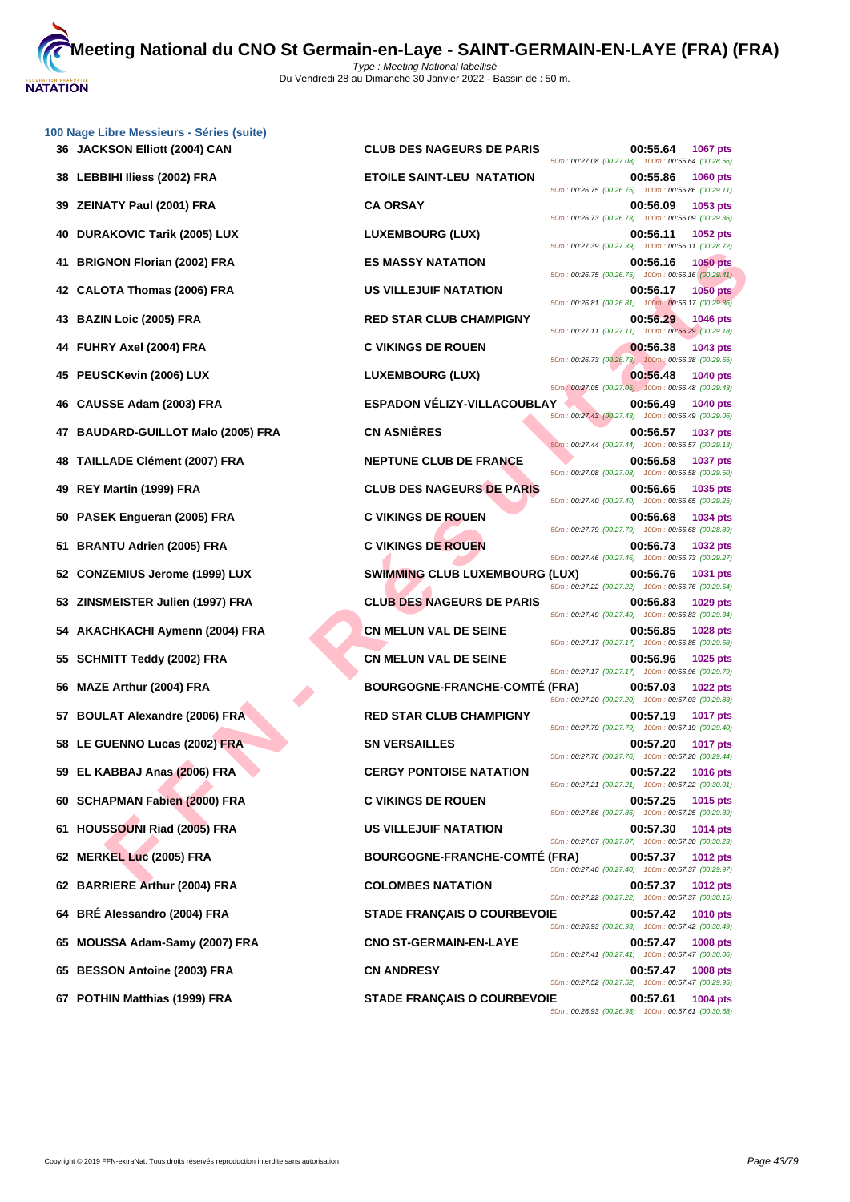|    | 100 Nage Libre Messieurs - Séries (suite) |                                       |                                                                                                                                         |
|----|-------------------------------------------|---------------------------------------|-----------------------------------------------------------------------------------------------------------------------------------------|
|    | 36 JACKSON Elliott (2004) CAN             | <b>CLUB DES NAGEURS DE PARIS</b>      | 00:55.64<br><b>1067 pts</b><br>50m: 00:27.08 (00:27.08) 100m: 00:55.64 (00:28.56)                                                       |
| 38 | LEBBIHI Iliess (2002) FRA                 | <b>ETOILE SAINT-LEU NATATION</b>      | 00:55.86<br><b>1060 pts</b><br>50m: 00:26.75 (00:26.75) 100m: 00:55.86 (00:29.11)                                                       |
| 39 | ZEINATY Paul (2001) FRA                   | <b>CA ORSAY</b>                       | 00:56.09<br>1053 pts<br>50m: 00:26.73 (00:26.73) 100m: 00:56.09 (00:29.36)                                                              |
| 40 | <b>DURAKOVIC Tarik (2005) LUX</b>         | <b>LUXEMBOURG (LUX)</b>               | 00:56.11<br>1052 pts<br>50m: 00:27.39 (00:27.39) 100m: 00:56.11 (00:28.72)                                                              |
| 41 | <b>BRIGNON Florian (2002) FRA</b>         | <b>ES MASSY NATATION</b>              | 00:56.16<br><b>1050 pts</b><br>50m: 00:26.75 (00:26.75) 100m: 00:56.16 (00:29.41)                                                       |
|    | 42 CALOTA Thomas (2006) FRA               | US VILLEJUIF NATATION                 | 00:56.17<br><b>1050 pts</b><br>$50m: 00:26.81$ (00:26.81) $100m: 00:56.17$ (00:29.36)                                                   |
|    | 43 BAZIN Loic (2005) FRA                  | <b>RED STAR CLUB CHAMPIGNY</b>        | 00:56.29<br><b>1046 pts</b><br>50m: 00:27.11 (00:27.11) 100m: 00:56.29 (00:29.18)                                                       |
|    | 44 FUHRY Axel (2004) FRA                  | <b>C VIKINGS DE ROUEN</b>             | 00:56.38<br>1043 pts<br>50m : 00:26.73 (00:26.73) 100m : 00:56.38 (00:29.65)                                                            |
|    | 45 PEUSCKevin (2006) LUX                  | <b>LUXEMBOURG (LUX)</b>               | 00:56.48<br><b>1040 pts</b><br>50m: 00:27.05 (00:27.05) 100m: 00:56.48 (00:29.43)                                                       |
| 46 | CAUSSE Adam (2003) FRA                    | <b>ESPADON VÉLIZY-VILLACOUBLAY</b>    | 00:56.49<br><b>1040 pts</b>                                                                                                             |
|    | 47 BAUDARD-GUILLOT Malo (2005) FRA        | <b>CN ASNIÈRES</b>                    | 50m: 00:27.43 (00:27.43) 100m: 00:56.49 (00:29.06)<br>00:56.57<br><b>1037 pts</b><br>50m: 00:27.44 (00:27.44) 100m: 00:56.57 (00:29.13) |
| 48 | <b>TAILLADE Clément (2007) FRA</b>        | NEPTUNE CLUB DE FRANCE                | 00:56.58<br><b>1037 pts</b>                                                                                                             |
| 49 | REY Martin (1999) FRA                     | <b>CLUB DES NAGEURS DE PARIS</b>      | 50m: 00:27.08 (00:27.08) 100m: 00:56.58 (00:29.50)<br>00:56.65<br>1035 pts                                                              |
|    | 50 PASEK Engueran (2005) FRA              | <b>C VIKINGS DE ROUEN</b>             | 50m: 00:27.40 (00:27.40) 100m: 00:56.65 (00:29.25)<br>00:56.68<br>1034 pts                                                              |
| 51 | <b>BRANTU Adrien (2005) FRA</b>           | <b>C VIKINGS DE ROUEN</b>             | 50m: 00:27.79 (00:27.79) 100m: 00:56.68 (00:28.89)<br>00:56.73<br>1032 pts                                                              |
|    | 52 CONZEMIUS Jerome (1999) LUX            | <b>SWIMMING CLUB LUXEMBOURG (LUX)</b> | 50m: 00:27.46 (00:27.46) 100m: 00:56.73 (00:29.27)<br>00:56.76<br>1031 pts                                                              |
|    | 53 ZINSMEISTER Julien (1997) FRA          | <b>CLUB DES NAGEURS DE PARIS</b>      | 50m: 00:27.22 (00:27.22) 100m: 00:56.76 (00:29.54)<br>00:56.83<br>1029 pts                                                              |
|    | 54 AKACHKACHI Aymenn (2004) FRA           | <b>CN MELUN VAL DE SEINE</b>          | 50m: 00:27.49 (00:27.49) 100m: 00:56.83 (00:29.34)<br>00:56.85<br>1028 pts                                                              |
| 55 | <b>SCHMITT Teddy (2002) FRA</b>           | <b>CN MELUN VAL DE SEINE</b>          | 50m: 00:27.17 (00:27.17) 100m: 00:56.85 (00:29.68)<br>00:56.96<br>1025 pts                                                              |
| 56 | <b>MAZE Arthur (2004) FRA</b>             | <b>BOURGOGNE-FRANCHE-COMTÉ (FRA)</b>  | 50m: 00:27.17 (00:27.17) 100m: 00:56.96 (00:29.79)<br>00:57.03<br>1022 pts                                                              |
|    | 57 BOULAT Alexandre (2006) FRA            | <b>RED STAR CLUB CHAMPIGNY</b>        | 50m: 00:27.20 (00:27.20) 100m: 00:57.03 (00:29.83)<br>00:57.19<br><b>1017 pts</b>                                                       |
|    | 58 LE GUENNO Lucas (2002) FRA             | <b>SN VERSAILLES</b>                  | 50m: 00:27.79 (00:27.79) 100m: 00:57.19 (00:29.40)<br>00:57.20<br><b>1017 pts</b>                                                       |
|    | 59 EL KABBAJ Anas (2006) FRA              | <b>CERGY PONTOISE NATATION</b>        | 50m: 00:27.76 (00:27.76) 100m: 00:57.20 (00:29.44)<br>00:57.22<br><b>1016 pts</b>                                                       |
|    | 60 SCHAPMAN Fabien (2000) FRA             | <b>C VIKINGS DE ROUEN</b>             | 50m: 00:27.21 (00:27.21) 100m: 00:57.22 (00:30.01)<br>00:57.25<br><b>1015 pts</b>                                                       |
|    | 61 HOUSSOUNI Riad (2005) FRA              | US VILLEJUIF NATATION                 | 50m: 00:27.86 (00:27.86) 100m: 00:57.25 (00:29.39)<br>00:57.30<br><b>1014 pts</b>                                                       |
|    | 62 MERKEL Luc (2005) FRA                  | <b>BOURGOGNE-FRANCHE-COMTÉ (FRA)</b>  | 50m: 00:27.07 (00:27.07) 100m: 00:57.30 (00:30.23)<br>00:57.37<br><b>1012 pts</b>                                                       |
|    | 62 BARRIERE Arthur (2004) FRA             | <b>COLOMBES NATATION</b>              | 50m: 00:27.40 (00:27.40) 100m: 00:57.37 (00:29.97)<br>00:57.37<br><b>1012 pts</b>                                                       |
|    | 64 BRÉ Alessandro (2004) FRA              | <b>STADE FRANÇAIS O COURBEVOIE</b>    | 50m: 00:27.22 (00:27.22) 100m: 00:57.37 (00:30.15)<br>00:57.42<br><b>1010 pts</b>                                                       |
| 65 | MOUSSA Adam-Samy (2007) FRA               | <b>CNO ST-GERMAIN-EN-LAYE</b>         | 50m: 00:26.93 (00:26.93) 100m: 00:57.42 (00:30.49)<br>00:57.47<br><b>1008 pts</b>                                                       |
|    | 65 BESSON Antoine (2003) FRA              | <b>CN ANDRESY</b>                     | 50m: 00:27.41 (00:27.41) 100m: 00:57.47 (00:30.06)<br>00:57.47<br><b>1008 pts</b>                                                       |
|    | 67 POTHIN Matthias (1999) FRA             | <b>STADE FRANÇAIS O COURBEVOIE</b>    | 50m: 00:27.52 (00:27.52) 100m: 00:57.47 (00:29.95)<br>00:57.61<br>1004 pts                                                              |
|    |                                           |                                       |                                                                                                                                         |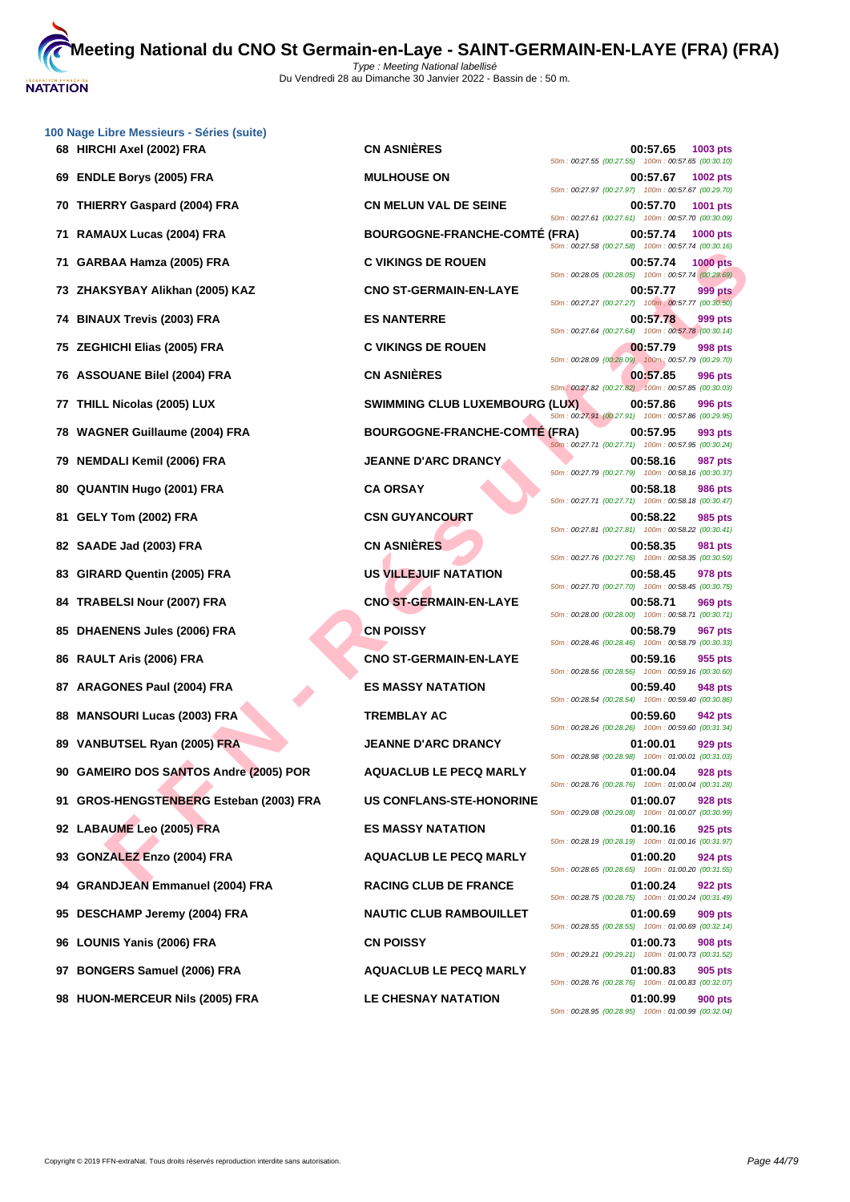

|     | 100 Nage Libre Messieurs - Séries (suite)<br>68 HIRCHI Axel (2002) FRA | <b>CN ASNIÈRES</b>                    | 00:57.65<br>1003 pts                                                              |
|-----|------------------------------------------------------------------------|---------------------------------------|-----------------------------------------------------------------------------------|
| 69  | <b>ENDLE Borys (2005) FRA</b>                                          | <b>MULHOUSE ON</b>                    | 50m: 00:27.55 (00:27.55) 100m: 00:57.65 (00:30.10)<br>00:57.67<br>1002 pts        |
| 70  | <b>THIERRY Gaspard (2004) FRA</b>                                      | <b>CN MELUN VAL DE SEINE</b>          | 50m: 00:27.97 (00:27.97) 100m: 00:57.67 (00:29.70)<br>00:57.70<br>1001 pts        |
|     | 71 RAMAUX Lucas (2004) FRA                                             | <b>BOURGOGNE-FRANCHE-COMTE (FRA)</b>  | 50m: 00:27.61 (00:27.61) 100m: 00:57.70 (00:30.09)<br>00:57.74<br><b>1000 pts</b> |
| 71. | GARBAA Hamza (2005) FRA                                                | <b>C VIKINGS DE ROUEN</b>             | 50m: 00:27.58 (00:27.58) 100m: 00:57.74 (00:30.16)<br>00:57.74<br><b>1000 pts</b> |
| 73. | ZHAKSYBAY Alikhan (2005) KAZ                                           | <b>CNO ST-GERMAIN-EN-LAYE</b>         | 50m: 00:28.05 (00:28.05) 100m: 00:57.74 (00:29.69)<br>00:57.77<br>999 pts         |
|     | 74 BINAUX Trevis (2003) FRA                                            | <b>ES NANTERRE</b>                    | 50m: 00:27.27 (00:27.27) 100m: 00:57.77 (00:30.50)<br>00:57.78<br>999 pts         |
| 75  | <b>ZEGHICHI Elias (2005) FRA</b>                                       | <b>C VIKINGS DE ROUEN</b>             | 50m: 00:27.64 (00:27.64) 100m: 00:57.78 (00:30.14)<br>00:57.79<br>998 pts         |
| 76  | <b>ASSOUANE Bilel (2004) FRA</b>                                       | <b>CN ASNIÈRES</b>                    | 50m: 00:28.09 (00:28.09) 100m: 00:57.79 (00:29.70)<br>00:57.85<br>996 pts         |
| 77  | THILL Nicolas (2005) LUX                                               | <b>SWIMMING CLUB LUXEMBOURG (LUX)</b> | 50m: 00:27.82 (00:27.82) 100m: 00:57.85 (00:30.03)<br>00:57.86<br>996 pts         |
| 78. | <b>WAGNER Guillaume (2004) FRA</b>                                     | BOURGOGNE-FRANCHE-COMTÉ (FRA)         | 50m: 00:27.91 (00:27.91) 100m: 00:57.86 (00:29.95)<br>00:57.95<br>993 pts         |
| 79  | <b>NEMDALI Kemil (2006) FRA</b>                                        | <b>JEANNE D'ARC DRANCY</b>            | 50m: 00:27.71 (00:27.71) 100m: 00:57.95 (00:30.24)<br>00:58.16<br>987 pts         |
| 80  | <b>QUANTIN Hugo (2001) FRA</b>                                         | <b>CA ORSAY</b>                       | 50m: 00:27.79 (00:27.79) 100m: 00:58.16 (00:30.37)<br>00:58.18<br><b>986 pts</b>  |
| 81. | GELY Tom (2002) FRA                                                    | <b>CSN GUYANCOURT</b>                 | 50m: 00:27.71 (00:27.71) 100m: 00:58.18 (00:30.47)<br>00:58.22<br>985 pts         |
|     |                                                                        | <b>CN ASNIÈRES</b>                    | 50m: 00:27.81 (00:27.81) 100m: 00:58.22 (00:30.41)<br>00:58.35                    |
|     | 82 SAADE Jad (2003) FRA                                                |                                       | 981 pts<br>50m: 00:27.76 (00:27.76) 100m: 00:58.35 (00:30.59)                     |
| 83. | GIRARD Quentin (2005) FRA                                              | <b>US VILLEJUIF NATATION</b>          | 00:58.45<br>978 pts<br>50m: 00:27.70 (00:27.70) 100m: 00:58.45 (00:30.75)         |
|     | 84 TRABELSI Nour (2007) FRA                                            | <b>CNO ST-GERMAIN-EN-LAYE</b>         | 00:58.71<br>969 pts<br>50m: 00:28.00 (00:28.00) 100m: 00:58.71 (00:30.71)         |
| 85  | <b>DHAENENS Jules (2006) FRA</b>                                       | <b>CN POISSY</b>                      | 00:58.79<br>967 pts<br>50m: 00:28.46 (00:28.46) 100m: 00:58.79 (00:30.33)         |
| 86  | RAULT Aris (2006) FRA                                                  | <b>CNO ST-GERMAIN-EN-LAYE</b>         | 00:59.16<br>955 pts<br>50m: 00:28.56 (00:28.56) 100m: 00:59.16 (00:30.60)         |
| 87  | <b>ARAGONES Paul (2004) FRA</b>                                        | <b>ES MASSY NATATION</b>              | 00:59.40<br>948 pts<br>50m: 00:28.54 (00:28.54) 100m: 00:59.40 (00:30.86)         |
| 88  | <b>MANSOURI Lucas (2003) FRA</b>                                       | <b>TREMBLAY AC</b>                    | 00:59.60<br>942 pts<br>50m: 00:28.26 (00:28.26) 100m: 00:59.60 (00:31.34)         |
| 89  | <b>VANBUTSEL Ryan (2005) FRA</b>                                       | <b>JEANNE D'ARC DRANCY</b>            | 01:00.01<br>929 pts<br>50m: 00:28.98 (00:28.98) 100m: 01:00.01 (00:31.03)         |
|     | 90 GAMEIRO DOS SANTOS Andre (2005) POR                                 | <b>AQUACLUB LE PECQ MARLY</b>         | 01:00.04<br><b>928 pts</b><br>50m: 00:28.76 (00:28.76) 100m: 01:00.04 (00:31.28)  |
|     | 91 GROS-HENGSTENBERG Esteban (2003) FRA                                | <b>US CONFLANS-STE-HONORINE</b>       | 01:00.07<br>928 pts<br>50m: 00:29.08 (00:29.08) 100m: 01:00.07 (00:30.99)         |
|     | 92 LABAUME Leo (2005) FRA                                              | <b>ES MASSY NATATION</b>              | 01:00.16<br>925 pts<br>50m: 00:28.19 (00:28.19) 100m: 01:00.16 (00:31.97)         |
|     | 93 GONZALEZ Enzo (2004) FRA                                            | <b>AQUACLUB LE PECQ MARLY</b>         | 01:00.20<br>924 pts                                                               |
|     | 94 GRANDJEAN Emmanuel (2004) FRA                                       | <b>RACING CLUB DE FRANCE</b>          | 50m: 00:28.65 (00:28.65) 100m: 01:00.20 (00:31.55)<br>01:00.24<br>922 pts         |
| 95  | DESCHAMP Jeremy (2004) FRA                                             | <b>NAUTIC CLUB RAMBOUILLET</b>        | 50m: 00:28.75 (00:28.75) 100m: 01:00.24 (00:31.49)<br>01:00.69<br>909 pts         |
| 96. | <b>LOUNIS Yanis (2006) FRA</b>                                         | <b>CN POISSY</b>                      | 50m: 00:28.55 (00:28.55) 100m: 01:00.69 (00:32.14)<br>01:00.73<br>908 pts         |
| 97  | <b>BONGERS Samuel (2006) FRA</b>                                       | <b>AQUACLUB LE PECQ MARLY</b>         | 50m: 00:29.21 (00:29.21) 100m: 01:00.73 (00:31.52)<br>01:00.83<br>905 pts         |
|     | 98 HUON-MERCEUR Nils (2005) FRA                                        | LE CHESNAY NATATION                   | 50m: 00:28.76 (00:28.76) 100m: 01:00.83 (00:32.07)<br>01:00.99<br><b>900 pts</b>  |
|     |                                                                        |                                       |                                                                                   |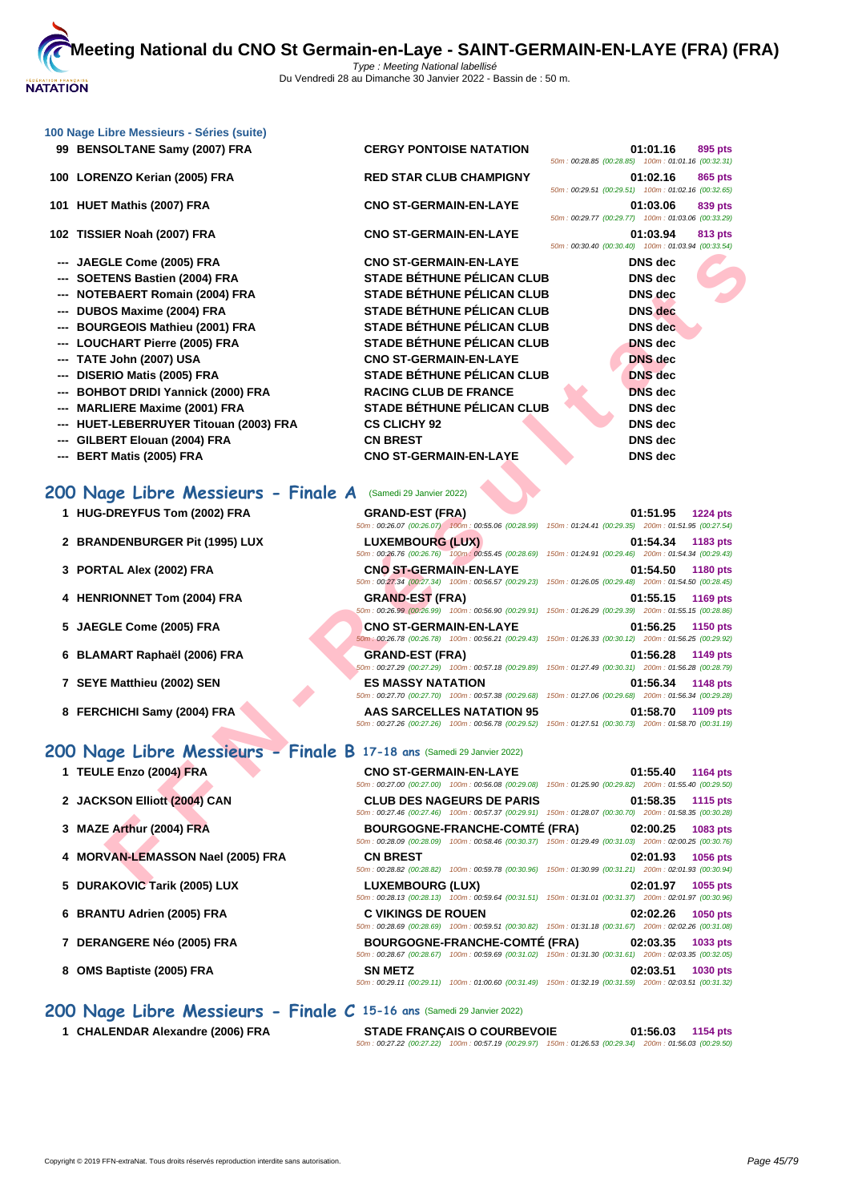|  | 100 Nage Libre Messieurs - Séries (suite) |  |
|--|-------------------------------------------|--|
|  |                                           |  |

**100 LORENZO Kerian (2005) FRA RED STAR CLUB CHAMPIGNY 01:02.16 865 pts**

**101 HUET Mathis (2007) FRA CNO ST-GERMAIN-EN-LAYE 01:03.06 839 pts**

**102 TISSIER Noah (2007) FRA CNO ST-GERMAIN-EN-LAYE 01:03.94 813 pts**

- **--- JAEGLE Come (2005) FRA CNO ST-GERMAIN-EN-LAYE**
- 
- 
- 
- 
- 
- 
- 
- --- **BOHBOT DRIDI Yannick (2000) FRA RACING CLUB DE FRANCE**
- 
- --- **HUET-LEBERRUYER Titouan (2003) FRA** CS CLICHY 92
- --- **GILBERT Elouan (2004) FRA CN BREST**
- **--- BERT Matis (2005) FRA CNO ST-GERMAIN-EN-LAYE DNS dec**

# **200 Nage Libre Messieurs - Finale A** (Samedi 29 Janvier 2022)

- 1 **HUG-DREYFUS Tom (2002) FRA GRA**
- **2 BRANDENBURGER Pit (1995) LUX LUX LUX 100:**
- **3 PORTAL Alex (2002) FRA CNO**
- **4 HENRIONNET Tom (2004) FRA GRA**<br>50m:00:
- **5 JAEGLE Come (2005) FRA CNO**
- **6 BLAMART Raphaël (2006) FRA GRA**
- **1 SEYE Matthieu (2002) SEN 1148 <b>12:56.34 12:56.34 12:56.34**
- **8 FERCHICHI Samy (2004) FRA AAS**

# **200 Nage Libre Messieurs - Finale B 17-18 ans** (Samedi 29 Janvier 2022)

- **1 TEULE Enzo (2004) FRA**
- **2 JACKSON Elliott (2004) CAN**
- **3 MAZE Arthur (2004) FRA**
- **4** MORVAN-LEMASSON Nael (2005) FRA
- **5 DURAKOVIC Tarik (2005) LUX**
- **6 BRANTU Adrien (2005) FRA C VIKINGS DE ROUEN 02:02.26 1050 pts**
- **7** DERANGERE Néo (2005) FRA
- **8 OMS** Baptiste (2005) FRA

**200 Nage Libre Messieurs - Finale C 15-16 ans** (Samedi 29 Janvier 2022)

**1 CHALENDAR Alexandre (2006) FRA** 

**99 BENSOLTANE Samy (2007) FRA CERGY PONTOISE NATATION 01:01.16 895 pts**

**--- SOETENS Bastien (2004) FRA STADE BÉTHUNE PÉLICAN CLUB --- NOTEBAERT Romain (2004) FRA STADE BÉTHUNE PÉLICAN CLUB --- DUBOS Maxime (2004) FRA STADE BÉTHUNE PÉLICAN CLUB DNS dec --- BOURGEOIS Mathieu (2001) FRA STADE BÉTHUNE PÉLICAN CLUB** --- **LOUCHART Pierre (2005) FRA** STADE BÉTHUNE PÉLICAN CLUB --- **TATE John (2007) USA CNO ST-GERMAIN-EN-LAYE** --- **DISERIO Matis (2005) FRA** STADE BÉTHUNE PÉLICAN CLUB --- **MARLIERE Maxime (2001) FRA** STADE BÉTHUNE PÉLICAN CLUB

|                                                    | 01:01.16 895 pts |         |
|----------------------------------------------------|------------------|---------|
| 50m: 00:28.85 (00:28.85) 100m: 01:01.16 (00:32.31) |                  |         |
|                                                    | 01:02.16         | 865 pts |
| 50m: 00:29.51 (00:29.51) 100m: 01:02.16 (00:32.65) |                  |         |
|                                                    | 01:03.06 839 pts |         |
| 50m: 00:29.77 (00:29.77) 100m: 01:03.06 (00:33.29) |                  |         |
|                                                    | 01:03.94         | 813 pts |
| 50m: 00:30.40 (00:30.40) 100m: 01:03.94 (00:33.54) |                  |         |
|                                                    | DNS dec          |         |
|                                                    | DNS dec          |         |
|                                                    | DNS dec          |         |
|                                                    | DNS dec          |         |
|                                                    | DNS dec          |         |
|                                                    | <b>DNS</b> dec   |         |
|                                                    | <b>DNS</b> dec   |         |
|                                                    | <b>DNS</b> dec   |         |
|                                                    | <b>DNS</b> dec   |         |
|                                                    | DNS dec          |         |
|                                                    | DNS dec          |         |
|                                                    | DNS dec          |         |
|                                                    |                  |         |

|                                                                   |                                                                                                                                     | JUIN. 00.JU. TUO.JU. TUON. 100111. UT.0J.34 100.JJ.J47                                                                                |
|-------------------------------------------------------------------|-------------------------------------------------------------------------------------------------------------------------------------|---------------------------------------------------------------------------------------------------------------------------------------|
| <b>GLE Come (2005) FRA</b>                                        | <b>CNO ST-GERMAIN-EN-LAYE</b>                                                                                                       | <b>DNS</b> dec                                                                                                                        |
| TENS Bastien (2004) FRA                                           | <b>STADE BÉTHUNE PÉLICAN CLUB</b>                                                                                                   | <b>DNS</b> dec                                                                                                                        |
| EBAERT Romain (2004) FRA                                          | <b>STADE BÉTHUNE PÉLICAN CLUB</b>                                                                                                   | DNS dec                                                                                                                               |
| OS Maxime (2004) FRA                                              | <b>STADE BÉTHUNE PÉLICAN CLUB</b>                                                                                                   | <b>DNS</b> dec                                                                                                                        |
| RGEOIS Mathieu (2001) FRA                                         | STADE BÉTHUNE PÉLICAN CLUB                                                                                                          | <b>DNS</b> dec                                                                                                                        |
| <b>CHART Pierre (2005) FRA</b>                                    | <b>STADE BÉTHUNE PÉLICAN CLUB</b>                                                                                                   | <b>DNS</b> dec                                                                                                                        |
| E John (2007) USA                                                 | <b>CNO ST-GERMAIN-EN-LAYE</b>                                                                                                       | <b>DNS</b> dec                                                                                                                        |
| RIO Matis (2005) FRA                                              | STADE BÉTHUNE PÉLICAN CLUB                                                                                                          | <b>DNS</b> dec                                                                                                                        |
| BOT DRIDI Yannick (2000) FRA                                      | <b>RACING CLUB DE FRANCE</b>                                                                                                        | <b>DNS</b> dec                                                                                                                        |
| LIERE Maxime (2001) FRA                                           | <b>STADE BÉTHUNE PÉLICAN CLUB</b>                                                                                                   | <b>DNS</b> dec                                                                                                                        |
| T-LEBERRUYER Titouan (2003) FRA                                   | <b>CS CLICHY 92</b>                                                                                                                 | DNS dec                                                                                                                               |
| ERT Elouan (2004) FRA                                             | <b>CN BREST</b>                                                                                                                     | <b>DNS</b> dec                                                                                                                        |
| <b>T Matis (2005) FRA</b>                                         | <b>CNO ST-GERMAIN-EN-LAYE</b>                                                                                                       | <b>DNS</b> dec                                                                                                                        |
|                                                                   |                                                                                                                                     |                                                                                                                                       |
| age Libre Messieurs - Finale A (Samedi 29 Janvier 2022)           |                                                                                                                                     |                                                                                                                                       |
| -DREYFUS Tom (2002) FRA                                           | <b>GRAND-EST (FRA)</b>                                                                                                              | 01:51.95<br><b>1224 pts</b>                                                                                                           |
|                                                                   |                                                                                                                                     | 50m : 00:26.07 (00:26.07) 100m : 00:55.06 (00:28.99) 150m : 01:24.41 (00:29.35) 200m : 01:51.95 (00:27.54)                            |
| <b>NDENBURGER Pit (1995) LUX</b>                                  | <b>LUXEMBOURG (LUX)</b>                                                                                                             | 01:54.34<br>1183 pts                                                                                                                  |
|                                                                   |                                                                                                                                     | 50m : 00:26.76 (00:26.76) 100m : 00:55.45 (00:28.69) 150m : 01:24.91 (00:29.46) 200m : 01:54.34 (00:29.43)                            |
| TAL Alex (2002) FRA                                               | <b>CNO ST-GERMAIN-EN-LAYE</b>                                                                                                       | 01:54.50<br>1180 pts                                                                                                                  |
|                                                                   |                                                                                                                                     | 50m: 00:27.34 (00:27.34) 100m: 00:56.57 (00:29.23) 150m: 01:26.05 (00:29.48) 200m: 01:54.50 (00:28.45)                                |
| <b>RIONNET Tom (2004) FRA</b>                                     | <b>GRAND-EST (FRA)</b>                                                                                                              | 01:55.15<br><b>1169 pts</b><br>50m: 00:26.99 (00:26.99) 100m: 00:56.90 (00:29.91) 150m: 01:26.29 (00:29.39) 200m: 01:55.15 (00:28.86) |
| <b>GLE Come (2005) FRA</b>                                        | <b>CNO ST-GERMAIN-EN-LAYE</b>                                                                                                       | 01:56.25<br>1150 pts                                                                                                                  |
|                                                                   |                                                                                                                                     | 50m; 00:26.78 (00:26.78) 100m; 00:56.21 (00:29.43) 150m; 01:26.33 (00:30.12) 200m; 01:56.25 (00:29.92)                                |
| <b>MART Raphaël (2006) FRA</b>                                    | <b>GRAND-EST (FRA)</b>                                                                                                              | 01:56.28<br>1149 pts                                                                                                                  |
|                                                                   |                                                                                                                                     | 50m: 00:27.29 (00:27.29) 100m: 00:57.18 (00:29.89) 150m: 01:27.49 (00:30.31) 200m: 01:56.28 (00:28.79)                                |
| E Matthieu (2002) SEN                                             | <b>ES MASSY NATATION</b>                                                                                                            | 01:56.34<br>1148 pts                                                                                                                  |
|                                                                   |                                                                                                                                     | 50m: 00:27.70 (00:27.70) 100m: 00:57.38 (00:29.68) 150m: 01:27.06 (00:29.68) 200m: 01:56.34 (00:29.28)                                |
| <b>CHICHI Samy (2004) FRA</b>                                     | AAS SARCELLES NATATION 95<br>50m: 00:27.26 (00:27.26) 100m: 00:56.78 (00:29.52) 150m: 01:27.51 (00:30.73) 200m: 01:58.70 (00:31.19) | 01:58.70<br>1109 pts                                                                                                                  |
|                                                                   |                                                                                                                                     |                                                                                                                                       |
| 1ge Libre Messieurs - Finale B 17-18 ans (Samedi 29 Janvier 2022) |                                                                                                                                     |                                                                                                                                       |
| E Enzo (2004) FRA                                                 | <b>CNO ST-GERMAIN-EN-LAYE</b>                                                                                                       | 01:55.40<br>1164 pts                                                                                                                  |
|                                                                   |                                                                                                                                     | 50m : 00:27.00 (00:27.00) 100m : 00:56.08 (00:29.08) 150m : 01:25.90 (00:29.82) 200m : 01:55.40 (00:29.50)                            |
| <b>SON Elliott (2004) CAN</b>                                     | <b>CLUB DES NAGEURS DE PARIS</b>                                                                                                    | 01:58.35<br>1115 pts                                                                                                                  |
|                                                                   |                                                                                                                                     | 50m: 00:27.46 (00:27.46) 100m: 00:57.37 (00:29.91) 150m: 01:28.07 (00:30.70) 200m: 01:58.35 (00:30.28)                                |
| E Arthur (2004) FRA                                               | <b>BOURGOGNE-FRANCHE-COMTÉ (FRA)</b>                                                                                                | 02:00.25<br>1083 pts                                                                                                                  |
|                                                                   |                                                                                                                                     | 50m: 00:28.09 (00:28.09) 100m: 00:58.46 (00:30.37) 150m: 01:29.49 (00:31.03) 200m: 02:00.25 (00:30.76)                                |
| VAN-LEMASSON Nael (2005) FRA                                      | <b>CN BREST</b>                                                                                                                     | 02:01.93<br>1056 pts<br>50m: 00:28.82 (00:28.82) 100m: 00:59.78 (00:30.96) 150m: 01:30.99 (00:31.21) 200m: 02:01.93 (00:30.94)        |
| A KOVIC TALL (OOOE) LIIV                                          | LUVEMBOUDS (LUV)                                                                                                                    | $0.0407 - 4055$ $\mu$                                                                                                                 |

| <b>CNO ST-GERMAIN-EN-LAYE</b> |                                  |                                                                                                                                                           | 01:55.40 1164 pts |  |
|-------------------------------|----------------------------------|-----------------------------------------------------------------------------------------------------------------------------------------------------------|-------------------|--|
|                               |                                  | 50m: 00:27.00 (00:27.00) 100m: 00:56.08 (00:29.08) 150m: 01:25.90 (00:29.82) 200m: 01:55.40 (00:29.50)                                                    |                   |  |
|                               | <b>CLUB DES NAGEURS DE PARIS</b> |                                                                                                                                                           | 01:58.35 1115 pts |  |
|                               |                                  | 50m: 00:27.46 (00:27.46) 100m: 00:57.37 (00:29.91) 150m: 01:28.07 (00:30.70) 200m: 01:58.35 (00:30.28)                                                    |                   |  |
|                               |                                  | BOURGOGNE-FRANCHE-COMTÉ (FRA) 02:00.25 1083 pts                                                                                                           |                   |  |
|                               |                                  | 50m: 00:28.09 (00:28.09) 100m: 00:58.46 (00:30.37) 150m: 01:29.49 (00:31.03) 200m: 02:00.25 (00:30.76)                                                    |                   |  |
| <b>CN BREST</b>               |                                  |                                                                                                                                                           | 02:01.93 1056 pts |  |
|                               |                                  | 50m: 00:28.82 (00:28.82) 100m: 00:59.78 (00:30.96) 150m: 01:30.99 (00:31.21) 200m: 02:01.93 (00:30.94)                                                    |                   |  |
|                               |                                  |                                                                                                                                                           |                   |  |
| <b>LUXEMBOURG (LUX)</b>       |                                  |                                                                                                                                                           | 02:01.97 1055 pts |  |
|                               |                                  | 50m: 00:28.13 (00:28.13) 100m: 00:59.64 (00:31.51) 150m: 01:31.01 (00:31.37) 200m: 02:01.97 (00:30.96)                                                    |                   |  |
| <b>C VIKINGS DE ROUEN</b>     |                                  |                                                                                                                                                           | 02:02.26 1050 pts |  |
|                               |                                  | 50m: 00:28.69 (00:28.69) 100m: 00:59.51 (00:30.82) 150m: 01:31.18 (00:31.67) 200m: 02:02.26 (00:31.08)                                                    |                   |  |
|                               |                                  |                                                                                                                                                           |                   |  |
|                               |                                  | BOURGOGNE-FRANCHE-COMTÉ (FRA) 02:03.35 1033 pts<br>50m: 00:28.67 (00:28.67) 100m: 00:59.69 (00:31.02) 150m: 01:31.30 (00:31.61) 200m: 02:03.35 (00:32.05) |                   |  |
| <b>SN METZ</b>                |                                  |                                                                                                                                                           | 02:03.51 1030 pts |  |

| <b>STADE FRANÇAIS O COURBEVOIE</b>                                                                     | 01:56.03 | 1154 pts |
|--------------------------------------------------------------------------------------------------------|----------|----------|
| 50m: 00:27.22 (00:27.22) 100m: 00:57.19 (00:29.97) 150m: 01:26.53 (00:29.34) 200m: 01:56.03 (00:29.50) |          |          |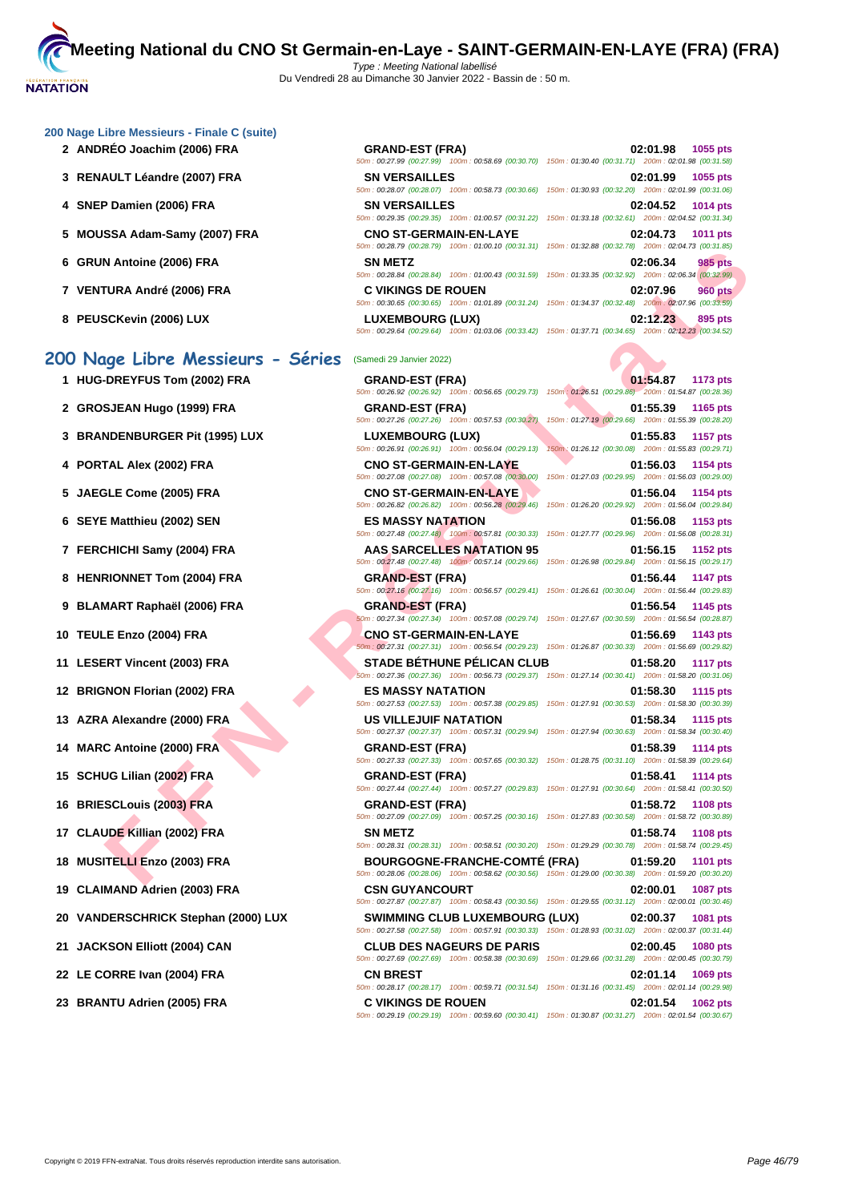#### **[200 Nage](http://www.ffnatation.fr/webffn/index.php) Libre Messieurs - Finale C (suite)**

- **2 ANDRÉO Joachim (2006) FRA GRAND-EST (FRA) 02:01.98 1055 pts**
- **3** RENAULT Léandre (2007) FRA
- **4 SNEP Damien (2006) FRA**
- **5 MOUSSA Adam-Samy (2007) FRA**
- **6 GRUN Antoine (2006) FRA**
- **7 VENTURA André (2006) FRA C VIKINGS DE ROUEN 02:07.96 960 pts**
- **8 PEUSCKevin (2006) LUX**

# **200 Nage Libre Messieurs - Séries** (Samedi 29 Janvier 2022)

- 
- 
- 
- 
- 
- 
- 
- 
- 
- 
- 
- 
- 
- 
- 
- 
- 
- 
- 
- 
- 
- 
- 

| 02:01.98 1055 pts          | <b>GRAND-EST (FRA)</b><br>50m: 00:27.99 (00:27.99) 100m: 00:58.69 (00:30.70) 150m: 01:30.40 (00:31.71) 200m: 02:01.98 (00:31.58)        |
|----------------------------|-----------------------------------------------------------------------------------------------------------------------------------------|
| 02:01.99 1055 pts          | <b>SN VERSAILLES</b><br>50m: 00:28.07 (00:28.07) 100m: 00:58.73 (00:30.66) 150m: 01:30.93 (00:32.20) 200m: 02:01.99 (00:31.06)          |
| 02:04.52 1014 pts          | <b>SN VERSAILLES</b><br>50m: 00:29.35 (00:29.35) 100m: 01:00.57 (00:31.22) 150m: 01:33.18 (00:32.61) 200m: 02:04.52 (00:31.34)          |
| 02:04.73 1011 pts          | <b>CNO ST-GERMAIN-EN-LAYE</b><br>50m: 00:28.79 (00:28.79) 100m: 01:00.10 (00:31.31) 150m: 01:32.88 (00:32.78) 200m: 02:04.73 (00:31.85) |
| 02:06.34<br>985 pts        | <b>SN METZ</b><br>50m: 00:28.84 (00:28.84) 100m: 01:00.43 (00:31.59) 150m: 01:33.35 (00:32.92) 200m: 02:06.34 (00:32.99)                |
| 02:07.96<br><b>960 pts</b> | <b>C VIKINGS DE ROUEN</b><br>50m: 00:30.65 (00:30.65) 100m: 01:01.89 (00:31.24) 150m: 01:34.37 (00:32.48) 200m: 02:07.96 (00:33.59)     |
| 02:12.23<br>895 pts        | <b>LUXEMBOURG (LUX)</b><br>50m: 00:29.64 (00:29.64) 100m: 01:03.06 (00:33.42) 150m: 01:37.71 (00:34.65) 200m: 02:12.23 (00:34.52)       |

**FINDING (2000) FRA**<br> **FRA - SUNATELY SAMPLE DEAD CONTENT FRA - SUNATELY SAMPLE DEAD CONTENT FRA - CONTENT CONTENT CONTENT CONTENT CONTENT CONTENT CONTENT CONTENT CONTENT CONTENT CONTENT CONTENT CONTENT CONTENT CONTENT CO 1 HUG-DREYFUS Tom (2002) FRA GRAND-EST (FRA) 01:54.87 1173 pts** 50m : 00:26.92 (00:26.92) 100m : 00:56.65 (00:29.73) 150m : 01:26.51 (00:29.86) 200m : 01:54.87 (00:28.36) **2 GROSJEAN Hugo (1999) FRA GRAND-EST (FRA) 01:55.39 1165 pts** 50m : 00:27.26 (00:27.26) 100m : 00:57.53 (00:30.27) 150m : 01:27.19 (00:29.66) 200m : 01:55.39 (00:28.20) **3 BRANDENBURGER Pit (1995) LUX LUXEMBOURG (LUX) 01:55.83 1157 pts** 50m : 00:26.91 (00:26.91) 100m : 00:56.04 (00:29.13) 150m : 01:26.12 (00:30.08) 200m : 01:55.83 (00:29.71) **4 PORTAL Alex (2002) FRA CNO ST-GERMAIN-EN-LAYE 01:56.03 1154 pts** 50m : 00:27.08 (00:27.08) 100m : 00:57.08 (00:30.00) 150m : 01:27.03 (00:29.95) 200m : 01:56.03 (00:29.00) **5 JAEGLE Come (2005) FRA CNO ST-GERMAIN-EN-LAYE 01:56.04 1154 pts** 50m : 00:26.82 (00:26.82) 100m : 00:56.28 (00:29.46) 150m : 01:26.20 (00:29.92) 200m : 01:56.04 (00:29.84) **6 SEYE Matthieu (2002) SEN ES MASSY NATATION 01:56.08 1153 pts** 50m : 00:27.48 (00:27.48) 100m : 00:57.81 (00:30.33) 150m : 01:27.77 (00:29.96) 200m : 01:56.08 (00:28.31) **7 FERCHICHI Samy (2004) FRA AAS SARCELLES NATATION 95 01:56.15 1152 pts** 50m : 00:27.48 (00:27.48) 100m : 00:57.14 (00:29.66) 150m : 01:26.98 (00:29.84) 200m : 01:56.15 (00:29.17) **8 HENRIONNET Tom (2004) FRA GRAND-EST (FRA) 01:56.44 1147 pts** 50m : 00:27.16 (00:27.16) 100m : 00:56.57 (00:29.41) 150m : 01:26.61 (00:30.04) 200m : 01:56.44 (00:29.83) **9 BLAMART Raphaël (2006) FRA GRAND-EST (FRA) 01:56.54 1145 pts** 50m : 00:27.34 (00:27.34) 100m : 00:57.08 (00:29.74) 150m : 01:27.67 (00:30.59) 200m : 01:56.54 (00:28.87) **10 TEULE Enzo (2004) FRA CNO ST-GERMAIN-EN-LAYE 01:56.69 1143 pts** 50m : 00:27.31 (00:27.31) 100m : 00:56.54 (00:29.23) 150m : 01:26.87 (00:30.33) 200m : 01:56.69 (00:29.82) **11 LESERT Vincent (2003) FRA STADE BÉTHUNE PÉLICAN CLUB 01:58.20 1117 pts** 50m : 00:27.36 (00:27.36) 100m : 00:56.73 (00:29.37) 150m : 01:27.14 (00:30.41) 200m : 01:58.20 (00:31.06) **12 BRIGNON Florian (2002) FRA ES MASSY NATATION 01:58.30 1115 pts** 50m : 00:27.53 (00:27.53) 100m : 00:57.38 (00:29.85) 150m : 01:27.91 (00:30.53) 200m : 01:58.30 (00:30.39) **13 AZRA Alexandre (2000) FRA US VILLEJUIF NATATION 01:58.34 1115 pts** 50m : 00:27.37 (00:27.37) 100m : 00:57.31 (00:29.94) 150m : 01:27.94 (00:30.63) 200m : 01:58.34 (00:30.40) **14 MARC Antoine (2000) FRA GRAND-EST (FRA) 01:58.39 1114 pts** 50m : 00:27.33 (00:27.33) 100m : 00:57.65 (00:30.32) 150m : 01:28.75 (00:31.10) 200m : 01:58.39 (00:29.64) **15 SCHUG Lilian (2002) FRA GRAND-EST (FRA) 01:58.41 1114 pts** 50m : 00:27.44 (00:27.44) 100m : 00:57.27 (00:29.83) 150m : 01:27.91 (00:30.64) 200m : 01:58.41 (00:30.50) **16 BRIESCLouis (2003) FRA GRAND-EST (FRA) 01:58.72 1108 pts** 50m : 00:27.09 (00:27.09) 100m : 00:57.25 (00:30.16) 150m : 01:27.83 (00:30.58) 200m : 01:58.72 (00:30.89) **17 CLAUDE Killian (2002) FRA SN METZ 01:58.74 1108 pts** 50m : 00:28.31 (00:28.31) 100m : 00:58.51 (00:30.20) 150m : 01:29.29 (00:30.78) 200m : 01:58.74 (00:29.45) **18 MUSITELLI Enzo (2003) FRA BOURGOGNE-FRANCHE-COMTÉ (FRA) 01:59.20 1101 pts** 50m : 00:28.06 (00:28.06) 100m : 00:58.62 (00:30.56) 150m : 01:29.00 (00:30.38) 200m : 01:59.20 (00:30.20) **19 CLAIMAND Adrien (2003) FRA CSN GUYANCOURT 02:00.01 1087 pts** 50m : 00:27.87 (00:27.87) 100m : 00:58.43 (00:30.56) 150m : 01:29.55 (00:31.12) 200m : 02:00.01 (00:30.46) **20 VANDERSCHRICK Stephan (2000) LUX SWIMMING CLUB LUXEMBOURG (LUX) 02:00.37 1081 pts** 50m : 00:27.58 (00:27.58) 100m : 00:57.91 (00:30.33) 150m : 01:28.93 (00:31.02) 200m : 02:00.37 (00:31.44) **21 JACKSON Elliott (2004) CAN CLUB DES NAGEURS DE PARIS 02:00.45 1080 pts** 50m : 00:27.69 (00:27.69) 100m : 00:58.38 (00:30.69) 150m : 01:29.66 (00:31.28) 200m : 02:00.45 (00:30.79) **22 LE CORRE Ivan (2004) FRA CN BREST 02:01.14 1069 pts** 50m : 00:28.17 (00:28.17) 100m : 00:59.71 (00:31.54) 150m : 01:31.16 (00:31.45) 200m : 02:01.14 (00:29.98) **23 BRANTU Adrien (2005) FRA C VIKINGS DE ROUEN 02:01.54 1062 pts** 50m : 00:29.19 (00:29.19) 100m : 00:59.60 (00:30.41) 150m : 01:30.87 (00:31.27) 200m : 02:01.54 (00:30.67)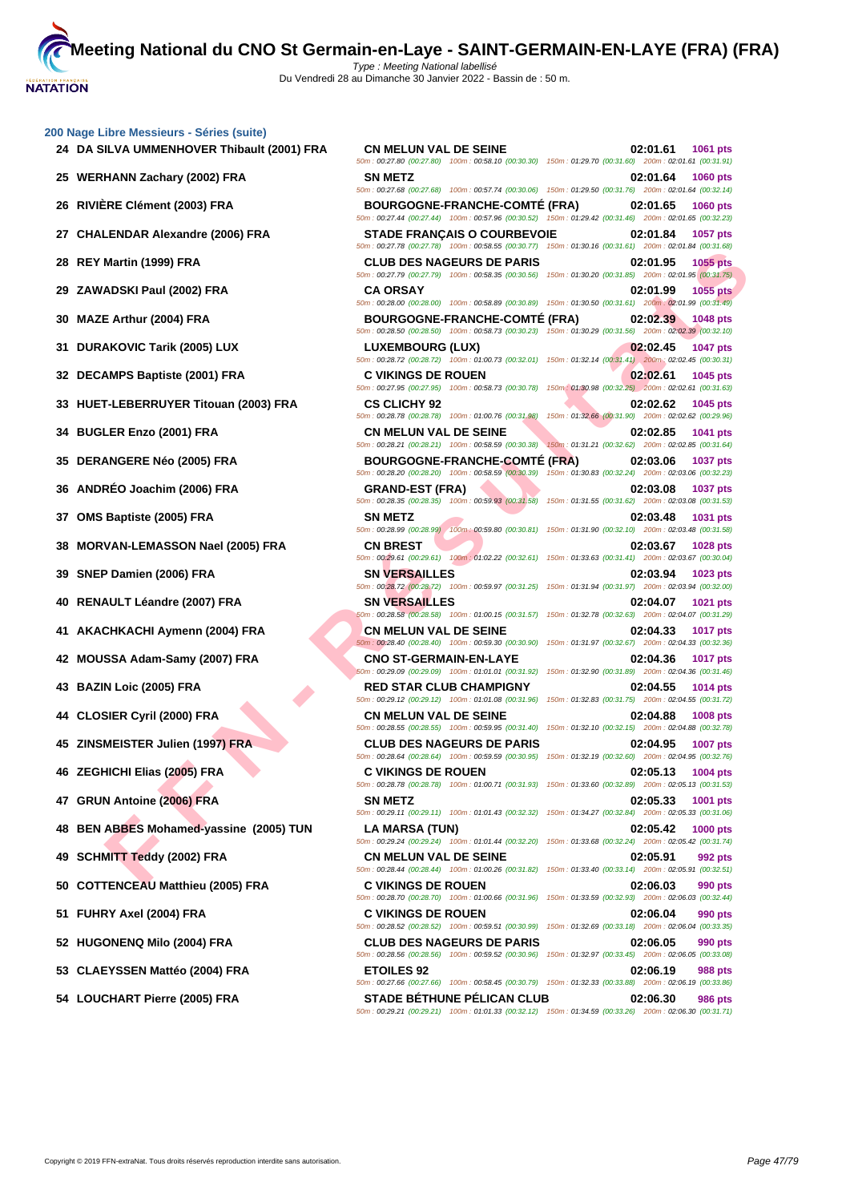| 200 Nage Libre Messieurs - Séries (suite)    |                                                                                                                                                |                                                                                    |
|----------------------------------------------|------------------------------------------------------------------------------------------------------------------------------------------------|------------------------------------------------------------------------------------|
| 24 DA SILVA UMMENHOVER Thibault (2001) FRA   | <b>CN MELUN VAL DE SEINE</b><br>50m : 00:27.80 (00:27.80) 100m : 00:58.10 (00:30.30) 150m : 01:29.70 (00:31.60) 200m : 02:01.61 (00:31.91)     | 02:01.61<br>1061 pts                                                               |
| 25 WERHANN Zachary (2002) FRA                | <b>SN METZ</b><br>50m: 00:27.68 (00:27.68) 100m: 00:57.74 (00:30.06) 150m: 01:29.50 (00:31.76) 200m: 02:01.64 (00:32.14)                       | 02:01.64<br>1060 pts                                                               |
| 26 RIVIÈRE Clément (2003) FRA                | <b>BOURGOGNE-FRANCHE-COMTÉ (FRA)</b><br>50m: 00:27.44 (00:27.44) 100m: 00:57.96 (00:30.52) 150m: 01:29.42 (00:31.46) 200m: 02:01.65 (00:32.23) | 02:01.65<br>1060 pts                                                               |
| 27 CHALENDAR Alexandre (2006) FRA            | <b>STADE FRANÇAIS O COURBEVOIE</b><br>50m: 00:27.78 (00:27.78) 100m: 00:58.55 (00:30.77) 150m: 01:30.16 (00:31.61) 200m: 02:01.84 (00:31.68)   | 02:01.84<br>1057 pts                                                               |
| REY Martin (1999) FRA<br>28                  | <b>CLUB DES NAGEURS DE PARIS</b><br>50m: 00:27.79 (00:27.79) 100m: 00:58.35 (00:30.56) 150m: 01:30.20 (00:31.85) 200m: 02:01.95 (00:31.75)     | 02:01.95<br>1055 pts                                                               |
| ZAWADSKI Paul (2002) FRA                     | <b>CA ORSAY</b><br>50m : 00:28.00 (00:28.00) 100m : 00:58.89 (00:30.89) 150m : 01:30.50 (00:31.61) 200m : 02:01.99 (00:31.49)                  | 02:01.99<br>1055 pts                                                               |
| <b>MAZE Arthur (2004) FRA</b><br>30          | <b>BOURGOGNE-FRANCHE-COMTÉ (FRA)</b><br>50m: 00:28.50 (00:28.50) 100m: 00:58.73 (00:30.23) 150m: 01:30.29 (00:31.56) 200m: 02:02.39 (00:32.10) | 02:02.39<br>1048 pts                                                               |
| <b>DURAKOVIC Tarik (2005) LUX</b><br>31      | LUXEMBOURG (LUX)                                                                                                                               | 02:02.45<br><b>1047 pts</b>                                                        |
| DECAMPS Baptiste (2001) FRA<br>32            | 50m: 00:28.72 (00:28.72) 100m: 01:00.73 (00:32.01) 150m: 01:32.14 (00:31.41) 200m: 02:02.45 (00:30.31)<br><b>C VIKINGS DE ROUEN</b>            | 02:02.61<br>1045 pts                                                               |
| 33 HUET-LEBERRUYER Titouan (2003) FRA        | 50m: 00:27.95 (00:27.95) 100m: 00:58.73 (00:30.78) 150m: 01:30.98 (00:32.25) 200m: 02:02.61 (00:31.63)<br><b>CS CLICHY 92</b>                  | 02:02.62<br>1045 pts                                                               |
| <b>BUGLER Enzo (2001) FRA</b><br>34          | 50m: 00:28.78 (00:28.78) 100m: 01:00.76 (00:31.98)<br><b>CN MELUN VAL DE SEINE</b>                                                             | 150m: 01:32.66 (00:31.90) 200m: 02:02.62 (00:29.96)<br>02:02.85<br>1041 pts        |
| <b>DERANGERE Néo (2005) FRA</b><br>35        | 50m: 00:28.21 (00:28.21) 100m: 00:58.59 (00:30.38)<br><b>BOURGOGNE-FRANCHE-COMTE (FRA)</b>                                                     | 150m: 01:31.21 (00:32.62) 200m: 02:02.85 (00:31.64)<br>02:03.06<br>1037 pts        |
| ANDRÉO Joachim (2006) FRA<br>36              | 50m : 00:28.20 (00:28.20) 100m : 00:58.59 (00:30.39) 150m : 01:30.83 (00:32.24) 200m : 02:03.06 (00:32.23)<br><b>GRAND-EST (FRA)</b>           | 02:03.08<br>1037 pts                                                               |
| OMS Baptiste (2005) FRA<br>37                | 50m: 00:28.35 (00:28.35) 100m: 00:59.93 (00:31.58) 150m: 01:31.55 (00:31.62) 200m: 02:03.08 (00:31.53)<br><b>SN METZ</b>                       | 02:03.48<br>1031 pts                                                               |
| <b>MORVAN-LEMASSON Nael (2005) FRA</b><br>38 | 50m: 00:28.99 (00:28.99) 100m: 00:59.80 (00:30.81) 150m: 01:31.90 (00:32.10) 200m: 02:03.48 (00:31.58)<br><b>CN BREST</b>                      | 02:03.67<br>1028 pts                                                               |
| SNEP Damien (2006) FRA<br>39                 | 50m: 00:29.61 (00:29.61) 100m: 01:02.22 (00:32.61) 150m: 01:33.63 (00:31.41) 200m: 02:03.67 (00:30.04)<br><b>SN VERSAILLES</b>                 | 02:03.94<br>1023 pts                                                               |
| RENAULT Léandre (2007) FRA<br>40             | 50m : 00:28.72 (00:28.72) 100m : 00:59.97 (00:31.25) 150m : 01:31.94 (00:31.97) 200m : 02:03.94 (00:32.00)<br><b>SN VERSAILLES</b>             | 02:04.07<br>1021 pts                                                               |
| AKACHKACHI Aymenn (2004) FRA<br>41           | 50m: 00:28.58 (00:28.58) 100m: 01:00.15 (00:31.57)<br><b>CN MELUN VAL DE SEINE</b>                                                             | 150m: 01:32.78 (00:32.63) 200m: 02:04.07 (00:31.29)<br>02:04.33<br><b>1017 pts</b> |
| MOUSSA Adam-Samy (2007) FRA<br>42            | 50m: 00:28.40 (00:28.40) 100m: 00:59.30 (00:30.90)<br><b>CNO ST-GERMAIN-EN-LAYE</b>                                                            | 150m: 01:31.97 (00:32.67) 200m: 02:04.33 (00:32.36)<br>02:04.36<br>1017 pts        |
| <b>BAZIN Loic (2005) FRA</b><br>43           | 50m: 00:29.09 (00:29.09) 100m: 01:01.01 (00:31.92)<br><b>RED STAR CLUB CHAMPIGNY</b>                                                           | 150m: 01:32.90 (00:31.89) 200m: 02:04.36 (00:31.46)<br>02:04.55<br><b>1014 pts</b> |
| 44 CLOSIER Cyril (2000) FRA                  | 50m: 00:29.12 (00:29.12) 100m: 01:01.08 (00:31.96)<br><b>CN MELUN VAL DE SEINE</b>                                                             | 150m: 01:32.83 (00:31.75) 200m: 02:04.55 (00:31.72)<br>02:04.88<br>1008 pts        |
| 45 ZINSMEISTER Julien (1997) FRA             | 50m: 00:28.55 (00:28.55) 100m: 00:59.95 (00:31.40)<br><b>CLUB DES NAGEURS DE PARIS</b>                                                         | 150m: 01:32.10 (00:32.15) 200m: 02:04.88 (00:32.78)<br>02:04.95<br><b>1007 pts</b> |
| 46 ZEGHICHI Elias (2005) FRA                 | 50m : 00:28.64 (00:28.64) 100m : 00:59.59 (00:30.95) 150m : 01:32.19 (00:32.60) 200m : 02:04.95 (00:32.76)<br><b>C VIKINGS DE ROUEN</b>        | 02:05.13<br><b>1004 pts</b>                                                        |
| 47 GRUN Antoine (2006) FRA                   | 50m: 00:28.78 (00:28.78) 100m: 01:00.71 (00:31.93) 150m: 01:33.60 (00:32.89) 200m: 02:05.13 (00:31.53)<br>SN METZ                              | 02:05.33<br>1001 pts                                                               |
| 48 BEN ABBES Mohamed-yassine (2005) TUN      | 50m: 00:29.11 (00:29.11) 100m: 01:01.43 (00:32.32) 150m: 01:34.27 (00:32.84) 200m: 02:05.33 (00:31.06)<br>LA MARSA (TUN)                       | 02:05.42<br>1000 pts                                                               |
| 49 SCHMITT Teddy (2002) FRA                  | 50m: 00:29.24 (00:29.24) 100m: 01:01.44 (00:32.20) 150m: 01:33.68 (00:32.24) 200m: 02:05.42 (00:31.74)<br><b>CN MELUN VAL DE SEINE</b>         | 02:05.91<br>992 pts                                                                |
| 50 COTTENCEAU Matthieu (2005) FRA            | 50m: 00:28.44 (00:28.44) 100m: 01:00.26 (00:31.82)<br><b>C VIKINGS DE ROUEN</b>                                                                | 150m: 01:33.40 (00:33.14) 200m: 02:05.91 (00:32.51)<br>02:06.03<br>990 pts         |
| 51 FUHRY Axel (2004) FRA                     | 50m : 00:28.70 (00:28.70) 100m : 01:00.66 (00:31.96) 150m : 01:33.59 (00:32.93) 200m : 02:06.03 (00:32.44)<br>C VIKINGS DE ROUEN               | 02:06.04<br>990 pts                                                                |
|                                              | 50m : 00:28.52 (00:28.52) 100m : 00:59.51 (00:30.99) 150m : 01:32.69 (00:33.18) 200m : 02:06.04 (00:33.35)                                     |                                                                                    |

50m : 00:27.68 (00:27.68) 100m : 00:57.74 (00:30.06) 150m : 01:29.50 (00:31.76) 200m : 02:01.64 (00:32.14) 50m : 00:27.44 (00:27.44) 100m : 00:57.96 (00:30.52) 150m : 01:29.42 (00:31.46) 200m : 02:01.65 (00:32.23) 50m : 02:01.84 (00:31.68) 16(00:31.68) 50m : 00:27.79 (00:27.79) 100m : 00:58.35 (00:30.56) 150m : 01:30.20 (00:31.85) 200m : 02:01.95 (00:31.75) 50 (00:31.61) 200m : 02:01.99 (00:31.49) 50m : 00:28.50 (00:28.50) 100m : 00:58.73 (00:30.23) 150m : 01:30.29 (00:31.56) 200m : 02:02.39 (00:32.10) 50m : 02:02.45 (00:30.31) 14 (00:31.41) 200m : 02:02.45 50m : 00:27.95 (00:27.95) 100m : 00:58.73 (00:30.78) 150m : 01:30.98 (00:32.25) 200m : 02:02.61 (00:31.63) 50m : 00:28.78 (00:28.78) 100m : 01:00.76 (00:31.98) 150m : 01:32.66 (00:31.90) 200m : 02:02.62 (00:29.96) 50m : 00:28.21 (00:28.21) 100m : 00:58.59 (00:30.38) 150m : 01:31.21 (00:32.62) 200m : 02:02.85 (00:31.64) 50m : 00:28.20 (00:28.20) 100m : 00:58.59 (00:30.39) 150m : 01:30.83 (00:32.24) 200m : 02:03.06 (00:32.23) 50m : 00:28.35 (00:28.35) 100m : 00:59.93 (00:31.58) 150m : 01:31.55 (00:31.62) 200m : 02:03.08 (00:31.53) 50m : 00:28.99 (00:28.99) 100m : 00:59.80 (00:30.81) 150m : 01:31.90 (00:32.10) 200m : 02:03.48 (00:31.58) 50m : 00:29.61 (00:29.61) 100m : 01:02.22 (00:32.61) 150m : 01:33.63 (00:31.41) 200m : 02:03.67 (00:30.04) 50m : 00:28.72 (00:28.72) 100m : 00:59.97 (00:31.25) 150m : 01:31.94 (00:31.97) 200m : 02:03.94 (00:32.00) 50m : 00:28.58 (00:28.58) 100m : 01:00.15 (00:31.57) 150m : 01:32.78 (00:32.63) 200m : 02:04.07 (00:31.29) 50m : 00:28.40 (00:28.40) 100m : 00:59.30 (00:30.90) 150m : 01:31.97 (00:32.67) 200m : 02:04.33 (00:32.36) 50m : 00:29.09 (00:29.09) 100m : 01:01.01 (00:31.92) 150m : 01:32.90 (00:31.89) 200m : 02:04.36 (00:31.46) 500m : 02:04.55 (00:31.72) 100:31.75) 200m : 02:04.55 50m : 00:28.55 (00:28.55) 100m : 00:59.95 (00:31.40) 150m : 01:32.10 (00:32.15) 200m : 02:04.88 (00:32.78) 50m : 00:28.64 (00:28.64) 100m : 00:59.59 (00:30.95) 150m : 01:32.19 (00:32.60) 200m : 02:04.95 (00:32.76) 50m : 00:28.78 (00:28.78) 100m : 01:00.71 (00:31.93) 150m : 01:33.60 (00:32.89) 200m : 02:05.13 (00:31.53) 50m : 02:05.33 (00:31.06) 100:32.84) 200m : 02:05.33 50m : 00:29.24 (00:29.24) 100m : 01:01.44 (00:32.20) 150m : 01:33.68 (00:32.24) 200m : 02:05.42 (00:31.74) 50m : 00:28.44 (00:28.44) 100m : 01:00.26 (00:31.82) 150m : 01:33.40 (00:33.14) 200m : 02:05.91 (00:32.51) 59 (00:32.93) 200m : 02:06.03 (00:32.44) 50m : 00:28.52 (00:28.52) 100m : 00:59.51 (00:30.99) 150m : 01:32.69 (00:33.18) 200m : 02:06.04 (00:33.35) **52 HUGONENQ Milo (2004) FRA CLUB DES NAGEURS DE PARIS 02:06.05 990 pts** 50m : 00:28.56 (00:28.56) 100m : 00:59.52 (00:30.96) 150m : 01:32.97 (00:33.45) 200m : 02:06.05 (00:33.08) **53 CLAEYSSEN Mattéo (2004) FRA ETOILES 92 02:06.19 988 pts** 50m : 00:27.66 (00:27.66) 100m : 00:58.45 (00:30.79) 150m : 01:32.33 (00:33.88) 200m : 02:06.19 (00:33.86) **54 LOUCHART Pierre (2005) FRA STADE BÉTHUNE PÉLICAN CLUB 02:06.30 986 pts** 50m : 00:29.21 (00:29.21) 100m : 01:01.33 (00:32.12) 150m : 01:34.59 (00:33.26) 200m : 02:06.30 (00:31.71)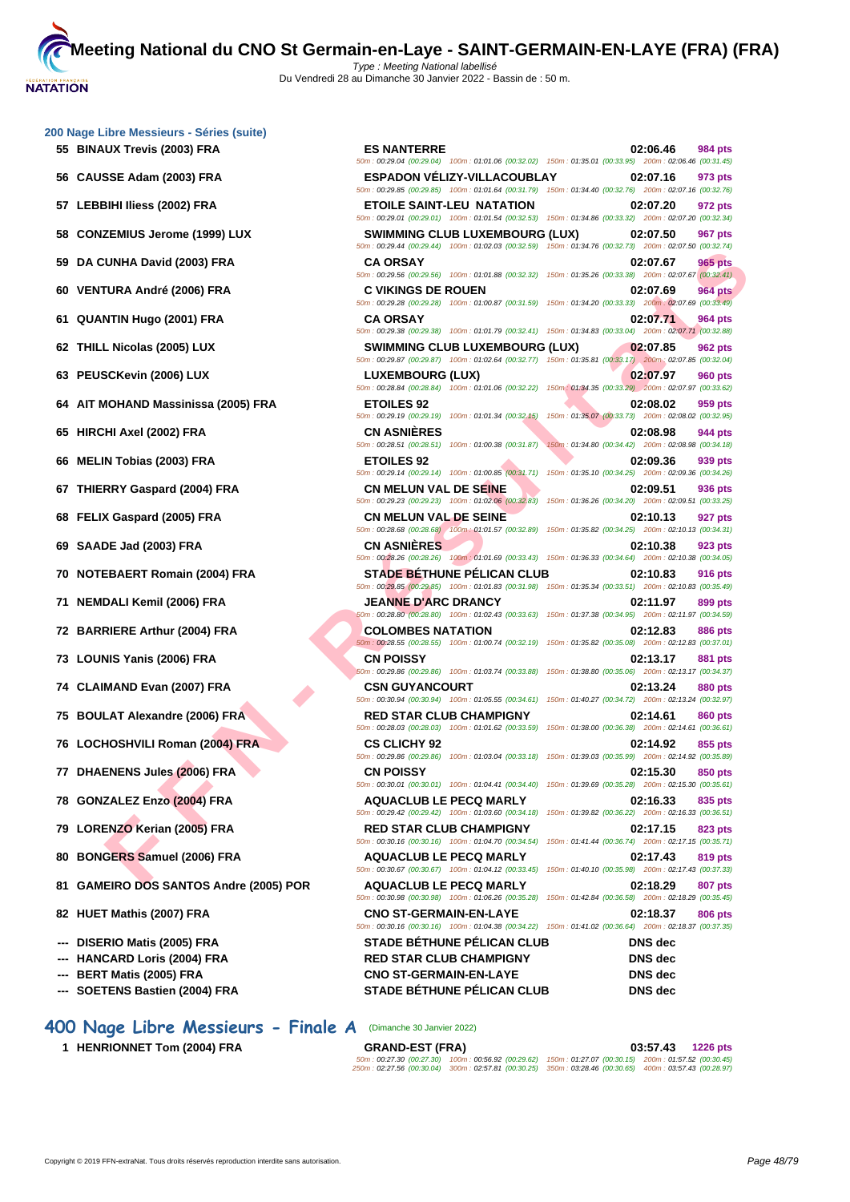**[200 Nage](http://www.ffnatation.fr/webffn/index.php) Libre Messieurs - Séries (suite)**

- **55 BINAUX Trevis (2003) FRA ES NANTERRE 02:06.46 984 pts**
- **56 CAUSSE Adam (2003) FRA ESPADON VÉLIZY-VILLACOUBLAY 02:07.16 973 pts**
- **57 LEBBIHI Iliess (2002) FRA ETOILE SAINT-LEU NATATION 02:07.20 972 pts**
- **58 CONZEMIUS Jerome (1999) LUX SWIMMING CLUB LUXEMBOURG (LUX) 02:07.50 967 pts**
- **59 DA CUNHA David (2003) FRA CA ORSAY 02:07.67 965 pts**
- 
- 
- 
- 
- 
- 
- 
- 
- 
- 
- 
- 
- 
- 
- 
- 
- 
- 
- 
- 
- 
- 
- 
- 
- 
- 
- 

# **400 Nage Libre Messieurs - Finale A** (Dimanche 30 Janvier 2022)

**1 HENRIONNET Tom (2004) FRA** 

**FURA David (2005) FRA** CAOS ANY MANUAL DESERVE TO COMPASS ANY CONTINUES INTERESTS and the state and the state and the state and the state and the state and the state and the state and the state and the state and the stat **60 VENTURA André (2006) FRA C VIKINGS DE ROUEN 02:07.69 964 pts** 50m : 00:29.28 (00:29.28) 100m : 01:00.87 (00:31.59) 150m : 01:34.20 (00:33.33) 200m : 02:07.69 (00:33.49) **61 QUANTIN Hugo (2001) FRA CA ORSAY 02:07.71 964 pts** 50m : 00:29.38 (00:29.38) 100m : 01:01.79 (00:32.41) 150m : 01:34.83 (00:33.04) 200m : 02:07.71 (00:32.88) **62 THILL Nicolas (2005) LUX SWIMMING CLUB LUXEMBOURG (LUX) 02:07.85 962 pts** 50m : 00:29.87 (00:29.87) 100m : 01:02.64 (00:32.77) 150m : 01:35.81 (00:33.17) 200m : 02:07.85 (00:32.04) **63 PEUSCKevin (2006) LUX LUXEMBOURG (LUX) 02:07.97 960 pts** 50m : 00:28.84 (00:28.84) 100m : 01:01.06 (00:32.22) 150m : 01:34.35 (00:33.29) 200m : 02:07.97 (00:33.62) **64 AIT MOHAND Massinissa (2005) FRA ETOILES 92 02:08.02 959 pts** 50m : 00:29.19 (00:29.19) 100m : 01:01.34 (00:32.15) 150m : 01:35.07 (00:33.73) 200m : 02:08.02 (00:32.95) **65 HIRCHI Axel (2002) FRA CN ASNIÈRES 02:08.98 944 pts** 50m : 00:28.51 (00:28.51) 100m : 01:00.38 (00:31.87) 150m : 01:34.80 (00:34.42) 200m : 02:08.98 (00:34.18) **66 MELIN Tobias (2003) FRA ETOILES 92 02:09.36 939 pts** 50m : 00:29.14 (00:29.14) 100m : 01:00.85 (00:31.71) 150m : 01:35.10 (00:34.25) 200m : 02:09.36 (00:34.26) **67 THIERRY Gaspard (2004) FRA CN MELUN VAL DE SEINE 02:09.51 936 pts** 50m : 00:29.23 (00:29.23) 100m : 01:02.06 (00:32.83) 150m : 01:36.26 (00:34.20) 200m : 02:09.51 (00:33.25) **68 FELIX Gaspard (2005) FRA CN MELUN VAL DE SEINE 02:10.13 927 pts** 50m : 00:28.68 (00:28.68) 100m : 01:01.57 (00:32.89) 150m : 01:35.82 (00:34.25) 200m : 02:10.13 (00:34.31) **69 SAADE Jad (2003) FRA CN ASNIÈRES 02:10.38 923 pts** 50m : 00:28.26 (00:28.26) 100m : 01:01.69 (00:33.43) 150m : 01:36.33 (00:34.64) 200m : 02:10.38 (00:34.05) **70 NOTEBAERT Romain (2004) FRA STADE BÉTHUNE PÉLICAN CLUB 02:10.83 916 pts** 50m : 00:29.85 (00:29.85) 100m : 01:01.83 (00:31.98) 150m : 01:35.34 (00:33.51) 200m : 02:10.83 (00:35.49) **71 NEMDALI Kemil (2006) FRA JEANNE D'ARC DRANCY 02:11.97 899 pts** 50m : 00:28.80 (00:28.80) 100m : 01:02.43 (00:33.63) 150m : 01:37.38 (00:34.95) 200m : 02:11.97 (00:34.59) **72 BARRIERE Arthur (2004) FRA COLOMBES NATATION 02:12.83 886 pts** 50m : 00:28.55 (00:28.55) 100m : 01:00.74 (00:32.19) 150m : 01:35.82 (00:35.08) 200m : 02:12.83 (00:37.01) **73 LOUNIS Yanis (2006) FRA CN POISSY 02:13.17 881 pts** 50m : 00:29.86 (00:29.86) 100m : 01:03.74 (00:33.88) 150m : 01:38.80 (00:35.06) 200m : 02:13.17 (00:34.37) **74 CLAIMAND Evan (2007) FRA CSN GUYANCOURT 02:13.24 880 pts** 50m : 00:30.94 (00:30.94) 100m : 01:05.55 (00:34.61) 150m : 01:40.27 (00:34.72) 200m : 02:13.24 (00:32.97) **75 BOULAT Alexandre (2006) FRA RED STAR CLUB CHAMPIGNY 02:14.61 860 pts** 50m : 00:28.03 (00:28.03) 100m : 01:01.62 (00:33.59) 150m : 01:38.00 (00:36.38) 200m : 02:14.61 (00:36.61) **76 LOCHOSHVILI Roman (2004) FRA CS CLICHY 92 02:14.92 855 pts** 50m : 00:29.86 (00:29.86) 100m : 01:03.04 (00:33.18) 150m : 01:39.03 (00:35.99) 200m : 02:14.92 (00:35.89) **77 DHAENENS Jules (2006) FRA CN POISSY 02:15.30 850 pts** 50m : 00:30.01 (00:30.01) 100m : 01:04.41 (00:34.40) 150m : 01:39.69 (00:35.28) 200m : 02:15.30 (00:35.61) **78 GONZALEZ Enzo (2004) FRA AQUACLUB LE PECQ MARLY 02:16.33 835 pts** 50m : 00:29.42 (00:29.42) 100m : 01:03.60 (00:34.18) 150m : 01:39.82 (00:36.22) 200m : 02:16.33 (00:36.51) **79 LORENZO Kerian (2005) FRA RED STAR CLUB CHAMPIGNY 02:17.15 823 pts** 50m : 00:30.16 (00:30.16) 100m : 01:04.70 (00:34.54) 150m : 01:41.44 (00:36.74) 200m : 02:17.15 (00:35.71) **80 BONGERS Samuel (2006) FRA AQUACLUB LE PECQ MARLY 02:17.43 819 pts** 50m : 00:30.67 (00:30.67) 100m : 01:04.12 (00:33.45) 150m : 01:40.10 (00:35.98) 200m : 02:17.43 (00:37.33) **81 GAMEIRO DOS SANTOS Andre (2005) POR AQUACLUB LE PECQ MARLY 02:18.29 807 pts** 50m : 00:30.98 (00:30.98) 100m : 01:06.26 (00:35.28) 150m : 01:42.84 (00:36.58) 200m : 02:18.29 (00:35.45) **82 HUET Mathis (2007) FRA CNO ST-GERMAIN-EN-LAYE 02:18.37 806 pts** 50m : 00:30.16 (00:30.16) 100m : 01:04.38 (00:34.22) 150m : 01:41.02 (00:36.64) 200m : 02:18.37 (00:37.35) **--- DISERIO Matis (2005) FRA STADE BÉTHUNE PÉLICAN CLUB DNS dec --- HANCARD Loris (2004) FRA RED STAR CLUB CHAMPIGNY DNS dec --- BERT Matis (2005) FRA CNO ST-GERMAIN-EN-LAYE DNS dec --- SOETENS Bastien (2004) FRA STADE BÉTHUNE PÉLICAN CLUB DNS dec**

50m : 00:29.04 (00:29.04) 100m : 01:01.06 (00:32.02) 150m : 01:35.01 (00:33.95) 200m : 02:06.46 (00:31.45)

50m : 00:29.85 (00:29.85) 100m : 01:01.64 (00:31.79) 150m : 01:34.40 (00:32.76) 200m : 02:07.16 (00:32.76)

50m : 00:29.01 (00:29.01) 100m : 01:01.54 (00:32.53) 150m : 01:34.86 (00:33.32) 200m : 02:07.20 (00:32.34)

50m : 00:29.44 (00:29.44) 100m : 01:02.03 (00:32.59) 150m : 01:34.76 (00:32.73) 200m : 02:07.50 (00:32.74)

50m : 00:29.56 (00:29.56) 100m : 01:01.88 (00:32.32) 150m : 01:35.26 (00:33.38) 200m : 02:07.67 (00:32.41)

| <b>GRAND-EST (FRA)</b> |                                                                                                             | 03:57.43 | 1226 pts |
|------------------------|-------------------------------------------------------------------------------------------------------------|----------|----------|
|                        | 50m; 00:27.30 (00:27.30) 100m; 00:56.92 (00:29.62) 150m; 01:27.07 (00:30.15) 200m; 01:57.52 (00:30.45)      |          |          |
|                        | 250m : 02:27.56 (00:30.04) 300m : 02:57.81 (00:30.25) 350m : 03:28.46 (00:30.65) 400m : 03:57.43 (00:28.97) |          |          |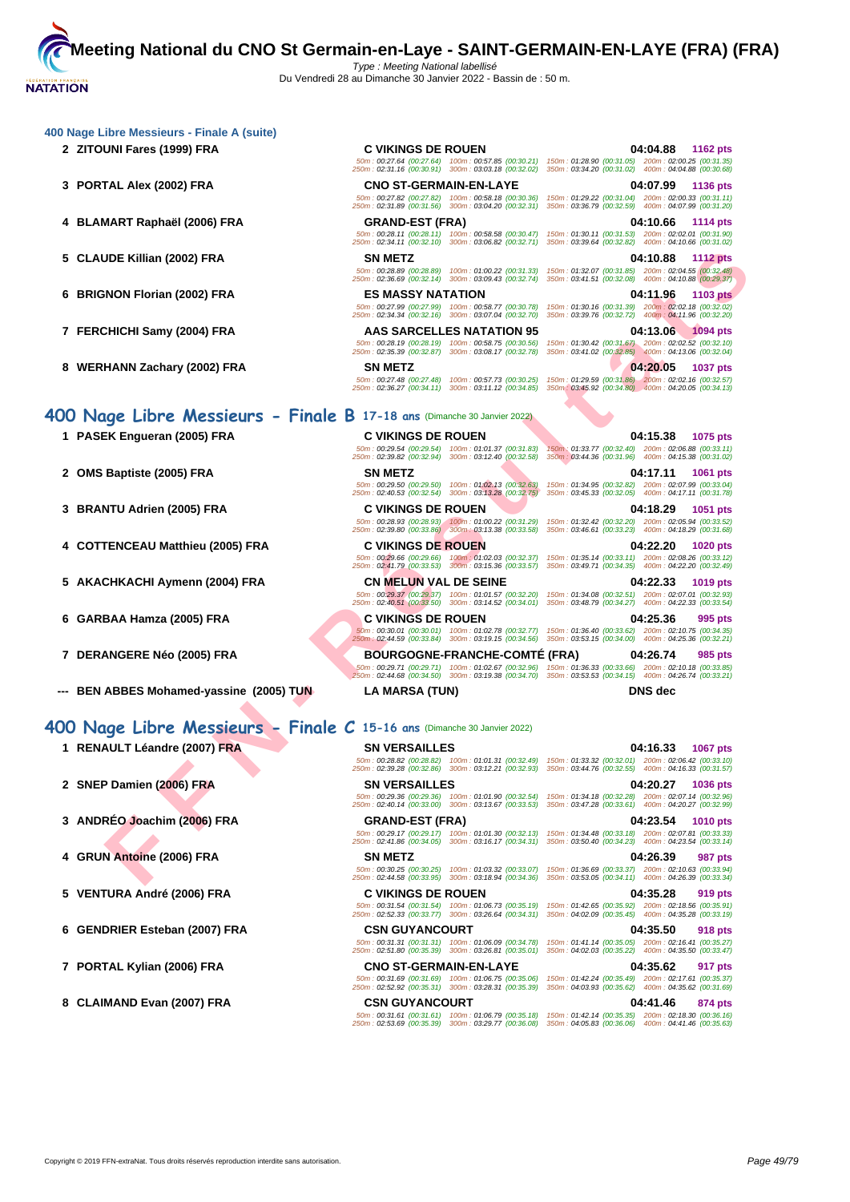#### **[400 Nage](http://www.ffnatation.fr/webffn/index.php) Libre Messieurs - Finale A (suite)**

- 
- 
- 
- 
- 
- 
- **8 WERHANN Zachary (2002) FRA SN METZ 04:20.05 1037 pts**

## **400 Nage Libre Messieurs - Finale B 17-18 ans** (Dimanche 30 Janvier 2022)

- 
- 
- 
- **4 COTTENCEAU Matthieu (2005) FRA C VIKINGS DE ROUEN 04:22.20 1020 pts**
- **5 AKACHKACHI Aymenn (2004) FRA CN MELUN VAL DE SEINE 04:22.33 1019 pts**
- 
- 
- **--- BEN ABBES Mohamed-yassine (2005) TUN LA MARSA (TUN) DNS dec**

- 
- 
- 
- 
- 
- 
- 
- **8 CLAIMAND Evan (2007) FRA CSN GUYANCOURT 04:41.46 874 pts**

**2 ZITOUNI Fares (1999) FRA C VIKINGS DE ROUEN 04:04.88 1162 pts** 50m : 00:27.64 (00:27.64) 100m : 00:57.85 (00:30.21) 150m : 01:28.90 (00:31.05) 200m : 02:00.25 (00:31.35) 250m : 02:31.16 (00:30.91) 300m : 03:03.18 (00:32.02) 350m : 03:34.20 (00:31.02) 400m : 04:04.88 (00:30.68) **3 PORTAL Alex (2002) FRA CNO ST-GERMAIN-EN-LAYE 04:07.99 1136 pts** 50m : 00:27.82 (00:27.82) 100m : 00:58.18 (00:30.36) 150m : 01:29.22 (00:31.04) 200m : 02:00.33 (00:31.11) 250m : 02:31.89 (00:31.56) 300m : 03:04.20 (00:32.31) 350m : 03:36.79 (00:32.59) 400m : 04:07.99 (00:31.20) **4 BLAMART Raphaël (2006) FRA GRAND-EST (FRA) 04:10.66 1114 pts** 50m : 00:28.11 (00:28.11) 100m : 00:58.58 (00:30.47) 150m : 01:30.11 (00:31.53) 200m : 02:02.01 (00:31.90) 250m : 02:34.11 (00:32.10) 300m : 03:06.82 (00:32.71) 350m : 03:39.64 (00:32.82) 400m : 04:10.66 (00:31.02) **5 CLAUDE Killian (2002) FRA SN METZ 04:10.88 1112 pts** 50m : 00:28.89 (00:28.89) 100m : 01:00.22 (00:31.33) 150m : 01:32.07 (00:31.85) 200m : 02:04.55 (00:32.48) 250m : 02:36.69 (00:32.14) 300m : 03:09.43 (00:32.74) 350m : 03:41.51 (00:32.08) 400m : 04:10.88 (00:29.37)

**6 BRIGNON Florian (2002) FRA ES MASSY NATATION 04:11.96 1103 pts**

# 50m : 00:27.99 (00:27.99) 100m : 00:58.77 (00:30.78) 150m : 01:30.16 (00:31.39) 200m : 02:02.18 (00:32.02) 250m : 02:34.34 (00:32.16) 300m : 03:07.04 (00:32.70) 350m : 03:39.76 (00:32.72) 400m : 04:11.96 (00:32.20) **7 FERCHICHI Samy (2004) FRA AAS SARCELLES NATATION 95 04:13.06 1094 pts** 50m : 00:28.19 (00:28.19) 100m : 00:58.75 (00:30.56) 150m : 01:30.42 (00:31.67) 200m : 02:02.52 (00:32.10) 250m : 02:35.39 (00:32.87) 300m : 03:08.17 (00:32.78) 350m : 03:41.02 (00:32.85) 400m : 04:13.06 (00:32.04)

# 50m : 00:27.48 (00:27.48) 100m : 00:57.73 (00:30.25) 150m : 01:29.59 (00:31.86) 200m : 02:02.16 (00:32.57) 250m : 02:36.27 (00:34.11) 300m : 03:11.12 (00:34.85) 350m : 03:45.92 (00:34.80) 400m : 04:20.05 (00:34.13)

**1 PASEK Engueran (2005) FRA C VIKINGS DE ROUEN 04:15.38 1075 pts**

**3 BRANTU Adrien (2005) FRA C VIKINGS DE ROUEN 04:18.29 1051 pts**

50m : 00:29.37 (00:29.37) 100m : 01:01.57 (00:32.20) 150m : 01:34.08 (00:32.51) 200m : 02:07.01 (00:32.93) 250m : 02:40.51 (00:33.50) 300m : 03:14.52 (00:34.01) 350m : 03:48.79 (00:34.27) 400m : 04:22.33 (00:33.54)

**6 GARBAA Hamza (2005) FRA C VIKINGS DE ROUEN 04:25.36 995 pts**

**7 DERANGERE Néo (2005) FRA BOURGOGNE-FRANCHE-COMTÉ (FRA) 04:26.74 985 pts**

# **400 Nage Libre Messieurs - Finale C 15-16 ans** (Dimanche 30 Janvier 2022)

THE NOT HOT COOP FRANTIC COOP FRANTIC STATE O[F](http://www.ffnatation.fr/webffn/resultats.php?idact=nat&go=epr&idcpt=75485&idepr=54) COOP FRANTIC STATE OF COOPERATION COOPERATION COOPERATION COOPERATION COOPERATION COOPERATION COOPERATION COOPERATION COOPERATION COOPERATION COOPERATION COOPERATION COOPERA **1 RENAULT Léandre (2007) FRA SN VERSAILLES 04:16.33 1067 pts** 50m : 00:28.82 (00:28.82) 100m : 01:01.31 (00:32.49) 150m : 01:33.32 (00:32.01) 200m : 02:06.42 (00:33.10) 250m : 02:39.28 (00:32.86) 300m : 03:12.21 (00:32.93) 350m : 03:44.76 (00:32.55) 400m : 04:16.33 (00:31.57) **2 SNEP Damien (2006) FRA SN VERSAILLES 04:20.27 1036 pts** 50m : 00:29.36 (00:29.36) 100m : 01:01.90 (00:32.54) 150m : 01:34.18 (00:32.28) 200m : 02:07.14 (00:32.96) 250m : 02:40.14 (00:33.00) 300m : 03:13.67 (00:33.53) 350m : 03:47.28 (00:33.61) 400m : 04:20.27 (00:32.99) **3 ANDRÉO Joachim (2006) FRA GRAND-EST (FRA) 04:23.54 1010 pts** 50m : 00:29.17 (00:29.17) 100m : 01:01.30 (00:32.13) 150m : 01:34.48 (00:33.18) 200m : 02:07.81 (00:33.33) 250m : 02:41.86 (00:34.05) 300m : 03:16.17 (00:34.31) 350m : 03:50.40 (00:34.23) 400m : 04:23.54 (00:33.14) **4 GRUN Antoine (2006) FRA SN METZ 04:26.39 987 pts** 50m : 00:30.25 (00:30.25) 100m : 01:03.32 (00:33.07) 150m : 01:36.69 (00:33.37) 200m : 02:10.63 (00:33.94) 250m : 02:44.58 (00:33.95) 300m : 03:18.94 (00:34.36) 350m : 03:53.05 (00:34.11) 400m : 04:26.39 (00:33.34) **5 VENTURA André (2006) FRA C VIKINGS DE ROUEN 04:35.28 919 pts** 50m : 00:31.54 (00:31.54) 100m : 01:06.73 (00:35.19) 150m : 01:42.65 (00:35.92) 200m : 02:18.56 (00:35.91) 250m : 02:52.33 (00:33.77) 300m : 03:26.64 (00:34.31) 350m : 04:02.09 (00:35.45) 400m : 04:35.28 (00:33.19) **6 GENDRIER Esteban (2007) FRA CSN GUYANCOURT 04:35.50 918 pts** 50m : 00:31.31 (00:31.31) 100m : 01:06.09 (00:34.78) 150m : 01:41.14 (00:35.05) 200m : 02:16.41 (00:35.27) 250m : 02:51.80 (00:35.39) 300m : 03:26.81 (00:35.01) 350m : 04:02.03 (00:35.22) 400m : 04:35.50 (00:33.47)

50m : 00:31.61 (00:31.61) 100m : 01:06.79 (00:35.18) 150m : 01:42.14 (00:35.35) 200m : 02:18.30 (00:36.16) 250m : 02:53.69 (00:35.39) 300m : 03:29.77 (00:36.08) 350m : 04:05.83 (00:36.06) 400m : 04:41.46 (00:35.63)

50m : 00:29.54 (00:29.54) 100m : 01:01.37 (00:31.83) 150m : 01:33.77 (00:32.40) 200m : 02:06.88 (00:33.11) 250m : 02:39.82 (00:32.94) 300m : 03:12.40 (00:32.58) 350m : 03:44.36 (00:31.96) 400m : 04:15.38 (00:31.02) **2 OMS Baptiste (2005) FRA SN METZ 04:17.11 1061 pts** 50m : 00:29.50 (00:29.50) 100m : 01:02.13 (00:32.63) 150m : 01:34.95 (00:32.82) 200m : 02:07.99 (00:33.04) 250m : 02:40.53 (00:32.54) 300m : 03:13.28 (00:32.75) 350m : 03:45.33 (00:32.05) 400m : 04:17.11 (00:31.78)

50m : 00:28.93 (00:28.93) 100m : 01:00.22 (00:31.29) 150m : 01:32.42 (00:32.20) 200m : 02:05.94 (00:33.52) 250m : 02:39.80 (00:33.86) 300m : 03:13.38 (00:33.58) 350m : 03:46.61 (00:33.23) 400m : 04:18.29 (00:31.68)

50m : 00:29.66 (00:29.66) 100m : 01:02.03 (00:32.37) 150m : 01:35.14 (00:33.11) 200m : 02:08.26 (00:33.12) 250m : 02:41.79 (00:33.53) 300m : 03:15.36 (00:33.57) 350m : 03:49.71 (00:34.35) 400m : 04:22.20 (00:32.49)

50m : 00:30.01 (00:30.01) 100m : 01:02.78 (00:32.77) 150m : 01:36.40 (00:33.62) 200m : 02:10.75 (00:34.35) 250m : 02:44.59 (00:33.84) 300m : 03:19.15 (00:34.56) 350m : 03:53.15 (00:34.00) 400m : 04:25.36 (00:32.21)

50m : 00:29.71 (00:29.71) 100m : 01:02.67 (00:32.96) 150m : 01:36.33 (00:33.66) 200m : 02:10.18 (00:33.85) 250m : 02:44.68 (00:34.50) 300m : 03:19.38 (00:34.70) 350m : 03:53.53 (00:34.15) 400m : 04:26.74 (00:33.21)

**7 PORTAL Kylian (2006) FRA CNO ST-GERMAIN-EN-LAYE 04:35.62 917 pts** 50m : 00:31.69 (00:31.69) 100m : 01:06.75 (00:35.06) 150m : 01:42.24 (00:35.49) 200m : 02:17.61 (00:35.37) 250m : 02:52.92 (00:35.31) 300m : 03:28.31 (00:35.39) 350m : 04:03.93 (00:35.62) 400m : 04:35.62 (00:31.69)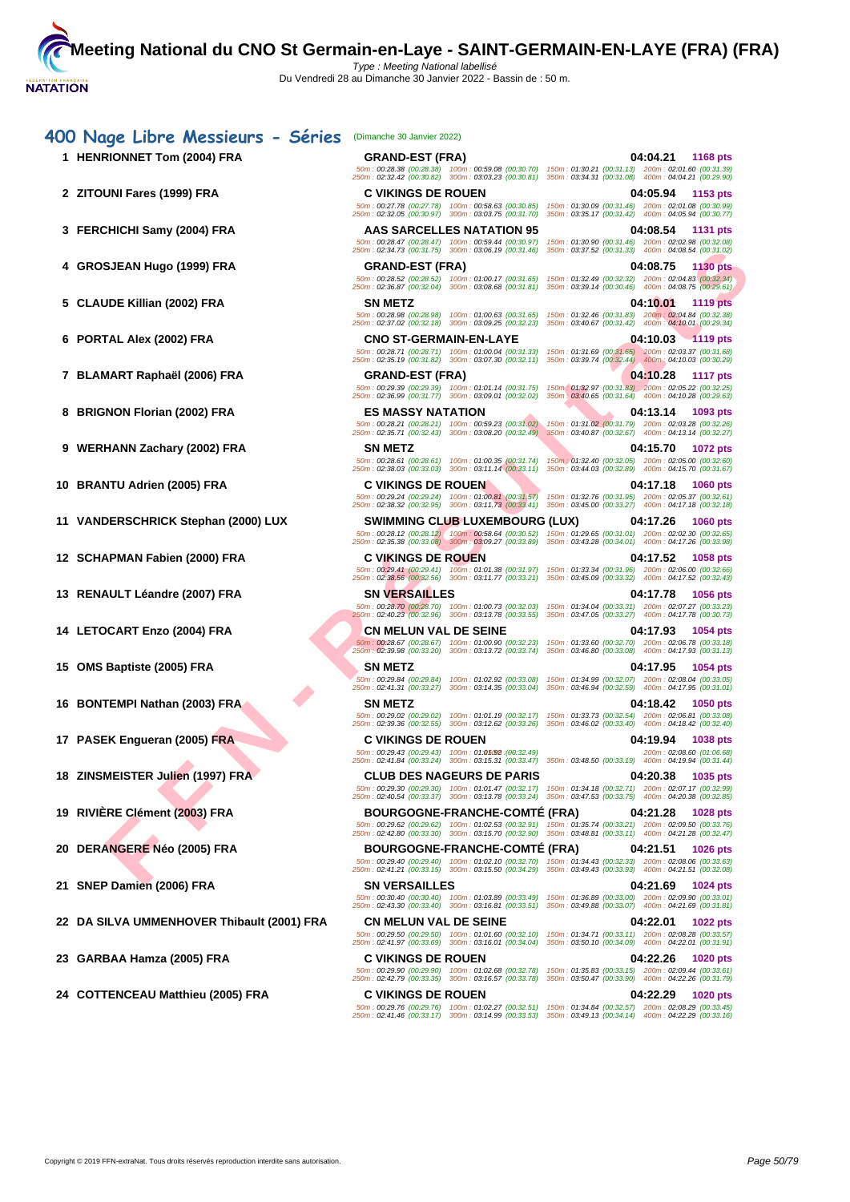| 400 Nage Libre Messieurs - Séries          | (Dimanche 30 Janvier 2022)                                                                                |                                                                                                                                                                                                                           |
|--------------------------------------------|-----------------------------------------------------------------------------------------------------------|---------------------------------------------------------------------------------------------------------------------------------------------------------------------------------------------------------------------------|
| 1 HENRIONNET Tom (2004) FRA                | <b>GRAND-EST (FRA)</b>                                                                                    | 04:04.21<br><b>1168 pts</b><br>50m: 00:28.38 (00:28.38) 100m: 00:59.08 (00:30.70) 150m: 01:30.21 (00:31.13) 200m: 02:01.60 (00:31.39)                                                                                     |
|                                            |                                                                                                           | 250m: 02:32.42 (00:30.82) 300m: 03:03.23 (00:30.81) 350m: 03:34.31 (00:31.08) 400m: 04:04.21 (00:29.90)                                                                                                                   |
| 2 ZITOUNI Fares (1999) FRA                 | <b>C VIKINGS DE ROUEN</b>                                                                                 | 04:05.94<br>1153 pts                                                                                                                                                                                                      |
|                                            | 50m: 00:27.78 (00:27.78) 100m: 00:58.63 (00:30.85)<br>250m: 02:32.05 (00:30.97) 300m: 03:03.75 (00:31.70) | 150m: 01:30.09 (00:31.46) 200m: 02:01.08 (00:30.99)<br>350m: 03:35.17 (00:31.42) 400m: 04:05.94 (00:30.77)                                                                                                                |
| 3 FERCHICHI Samy (2004) FRA                | AAS SARCELLES NATATION 95                                                                                 | 04:08.54<br>1131 pts                                                                                                                                                                                                      |
|                                            | 50m: 00:28.47 (00:28.47) 100m: 00:59.44 (00:30.97)<br>250m: 02:34.73 (00:31.75) 300m: 03:06.19 (00:31.46) | 150m: 01:30.90 (00:31.46) 200m: 02:02.98 (00:32.08)<br>350m: 03:37.52 (00:31.33) 400m: 04:08.54 (00:31.02)                                                                                                                |
| 4 GROSJEAN Hugo (1999) FRA                 | <b>GRAND-EST (FRA)</b>                                                                                    | 04:08.75<br><b>1130 pts</b>                                                                                                                                                                                               |
|                                            | 50m: 00:28.52 (00:28.52) 100m: 01:00.17 (00:31.65)                                                        | 150m: 01:32.49 (00:32.32) 200m: 02:04.83 (00:32.34)                                                                                                                                                                       |
|                                            |                                                                                                           | 250m: 02:36.87 (00:32.04) 300m: 03:08.68 (00:31.81) 350m: 03:39.14 (00:30.46) 400m: 04:08.75 (00:29.61)                                                                                                                   |
| 5 CLAUDE Killian (2002) FRA                | <b>SN METZ</b><br>50m: 00:28.98 (00:28.98) 100m: 01:00.63 (00:31.65)                                      | 04:10.01<br><b>1119 pts</b><br>150m: 01:32.46 (00:31.83) 200m: 02:04.84 (00:32.38)                                                                                                                                        |
|                                            | 250m: 02:37.02 (00:32.18) 300m: 03:09.25 (00:32.23)                                                       | 350m: 03:40.67 (00:31.42) 400m: 04:10.01 (00:29.34)                                                                                                                                                                       |
| 6 PORTAL Alex (2002) FRA                   | <b>CNO ST-GERMAIN-EN-LAYE</b>                                                                             | 04:10.03 1119 pts                                                                                                                                                                                                         |
|                                            |                                                                                                           | 50m: 00:28.71 (00:28.71) 100m: 01:00.04 (00:31.33) 150m: 01:31.69 (00:31.65) 200m: 02:03.37 (00:31.68)<br>250m: 02:35.19 (00:31.82) 300m: 03:07.30 (00:32.11) 350m: 03:39.74 (00:32.44) 400m: 04:10.03 (00:30.29)         |
| 7 BLAMART Raphaël (2006) FRA               | <b>GRAND-EST (FRA)</b>                                                                                    | 04:10.28<br>1117 pts                                                                                                                                                                                                      |
|                                            | 50m: 00:29.39 (00:29.39) 100m: 01:01.14 (00:31.75)                                                        | 150m: 01:32.97 (00:31.83) 200m: 02:05.22 (00:32.25)<br>250m: 02:36.99 (00:31.77) 300m: 03:09.01 (00:32.02) 350m: 03:40.65 (00:31.64) 400m: 04:10.28 (00:29.63)                                                            |
| 8 BRIGNON Florian (2002) FRA               | <b>ES MASSY NATATION</b>                                                                                  |                                                                                                                                                                                                                           |
|                                            |                                                                                                           | 04:13.14<br>1093 pts<br>50m: 00:28.21 (00:28.21) 100m: 00:59.23 (00:31.02) 150m: 01:31.02 (00:31.79) 200m: 02:03.28 (00:32.26)                                                                                            |
|                                            |                                                                                                           | 250m: 02:35.71 (00:32.43) 300m: 03:08.20 (00:32.49) 350m: 03:40.87 (00:32.67) 400m: 04:13.14 (00:32.27)                                                                                                                   |
| 9 WERHANN Zachary (2002) FRA               | <b>SN METZ</b>                                                                                            | 04:15.70<br><b>1072 pts</b>                                                                                                                                                                                               |
|                                            | 50m: 00:28.61 (00:28.61) 100m: 01:00.35 (00:31.74)<br>250m: 02:38.03 (00:33.03) 300m: 03:11.14 (00:33.11) | 150m : 01:32.40 (00:32.05) 200m : 02:05.00 (00:32.60)<br>350m: 03:44.03 (00:32.89) 400m: 04:15.70 (00:31.67)                                                                                                              |
| 10 BRANTU Adrien (2005) FRA                | <b>C VIKINGS DE ROUEN</b>                                                                                 | 04:17.18<br><b>1060 pts</b>                                                                                                                                                                                               |
|                                            |                                                                                                           | 50m: 00:29.24 (00:29.24) 100m: 01:00.81 (00:31.57) 150m: 01:32.76 (00:31.95) 200m: 02:05.37 (00:32.61)<br>250m: 02:38.32 (00:32.95) 300m: 03:11.73 (00:33.41) 350m: 03:45.00 (00:33.27) 400m: 04:17.18 (00:32.18)         |
| 11 VANDERSCHRICK Stephan (2000) LUX        | <b>SWIMMING CLUB LUXEMBOURG (LUX)</b>                                                                     | 04:17.26<br><b>1060 pts</b>                                                                                                                                                                                               |
|                                            |                                                                                                           | 50m : 00:28.12 (00:28.12) 100m : 00:58.64 (00:30.52) 150m : 01:29.65 (00:31.01) 200m : 02:02.30 (00:32.65)<br>250m : 02:35.38 (00:33.08) 300m : 03:09.27 (00:33.89) 350m : 03:43.28 (00:34.01) 400m : 04:17.26 (00:33.98) |
|                                            |                                                                                                           |                                                                                                                                                                                                                           |
| 12 SCHAPMAN Fabien (2000) FRA              | <b>C VIKINGS DE ROUEN</b>                                                                                 | 04:17.52<br><b>1058 pts</b><br>50m: 00:29.41 (00:29.41) 100m: 01:01.38 (00:31.97) 150m: 01:33.34 (00:31.96) 200m: 02:06.00 (00:32.66)                                                                                     |
|                                            |                                                                                                           | 250m: 02:38.56 (00:32.56) 300m: 03:11.77 (00:33.21) 350m: 03:45.09 (00:33.32) 400m: 04:17.52 (00:32.43)                                                                                                                   |
| 13 RENAULT Léandre (2007) FRA              | <b>SN VERSAILLES</b>                                                                                      | 04:17.78<br><b>1056 pts</b>                                                                                                                                                                                               |
|                                            | 250m: 02:40.23 (00:32.96) 300m: 03:13.78 (00:33.55)                                                       | 50m: 00:28.70 (00:28.70) 100m: 01:00.73 (00:32.03) 150m: 01:34.04 (00:33.31) 200m: 02:07.27 (00:33.23)<br>350m: 03:47.05 (00:33.27) 400m: 04:17.78 (00:30.73)                                                             |
| 14 LETOCART Enzo (2004) FRA                | <b>CN MELUN VAL DE SEINE</b>                                                                              | 04:17.93<br>1054 pts                                                                                                                                                                                                      |
|                                            |                                                                                                           | 50m: 00:28.67 (00:28.67) 100m: 01:00.90 (00:32.23) 150m: 01:33.60 (00:32.70) 200m: 02:06.78 (00:33.18)<br>250m: 02:39.98 (00:33.20) 300m: 03:13.72 (00:33.74) 350m: 03:46.80 (00:33.08) 400m: 04:17.93 (00:31.13)         |
|                                            |                                                                                                           |                                                                                                                                                                                                                           |
| 15 OMS Baptiste (2005) FRA                 | <b>SN METZ</b><br>50m: 00:29.84 (00:29.84) 100m: 01:02.92 (00:33.08)                                      | 04:17.95<br><b>1054 pts</b><br>150m: 01:34.99 (00:32.07) 200m: 02:08.04 (00:33.05)                                                                                                                                        |
|                                            | 250m: 02:41.31 (00:33.27)<br>300m: 03:14.35 (00:33.04)                                                    | 350m: 03:46.94 (00:32.59) 400m: 04:17.95 (00:31.01)                                                                                                                                                                       |
| 16 BONTEMPI Nathan (2003) FRA              | <b>SN METZ</b>                                                                                            | 04:18.42<br><b>1050 pts</b><br>150m: 01:33.73 (00:32.54) 200m: 02:06.81 (00:33.08)                                                                                                                                        |
|                                            | 50m: 00:29.02 (00:29.02) 100m: 01:01.19 (00:32.17)                                                        | 250m: 02:39.36 (00:32.55) 300m: 03:12.62 (00:33.26) 350m: 03:46.02 (00:33.40) 400m: 04:18.42 (00:32.40)                                                                                                                   |
| 17 PASEK Engueran (2005) FRA               | <b>C VIKINGS DE ROUEN</b>                                                                                 | 04:19.94<br><b>1038 pts</b>                                                                                                                                                                                               |
|                                            | 50m: 00:29.43 (00:29.43) 100m: 01:05092 : (00:32.49)                                                      | 200m: 02:08.60 (01:06.68)<br>250m: 02:41.84 (00:33.24) 300m: 03:15.31 (00:33.47) 350m: 03:48.50 (00:33.19) 400m: 04:19.94 (00:31.44)                                                                                      |
| 18 ZINSMEISTER Julien (1997) FRA           | <b>CLUB DES NAGEURS DE PARIS</b>                                                                          | 04:20.38<br><b>1035 pts</b>                                                                                                                                                                                               |
|                                            |                                                                                                           | 50m : 00:29.30 (00:29.30) 100m : 01:01.47 (00:32.17) 150m : 01:34.18 (00:32.71) 200m : 02:07.17 (00:32.99)                                                                                                                |
|                                            |                                                                                                           | 250m: 02:40.54 (00:33.37) 300m: 03:13.78 (00:33.24) 350m: 03:47.53 (00:33.75) 400m: 04:20.38 (00:32.85)                                                                                                                   |
| 19 RIVIÈRE Clément (2003) FRA              | <b>BOURGOGNE-FRANCHE-COMTE (FRA)</b><br>50m: 00:29.62 (00:29.62) 100m: 01:02.53 (00:32.91)                | 04:21.28<br><b>1028 pts</b><br>150m: 01:35.74 (00:33.21) 200m: 02:09.50 (00:33.76)                                                                                                                                        |
|                                            | 250m: 02:42.80 (00:33.30) 300m: 03:15.70 (00:32.90)                                                       | 350m: 03:48.81 (00:33.11) 400m: 04:21.28 (00:32.47)                                                                                                                                                                       |
| <b>DERANGERE Néo (2005) FRA</b><br>20      | BOURGOGNE-FRANCHE-COMTE (FRA)                                                                             | 04:21.51<br><b>1026 pts</b>                                                                                                                                                                                               |
|                                            | 50m: 00:29.40 (00:29.40) 100m: 01:02.10 (00:32.70)<br>250m: 02:41.21 (00:33.15) 300m: 03:15.50 (00:34.29) | 150m: 01:34.43 (00:32.33) 200m: 02:08.06 (00:33.63)<br>350m: 03:49.43 (00:33.93) 400m: 04:21.51 (00:32.08)                                                                                                                |
| SNEP Damien (2006) FRA<br>21.              | <b>SN VERSAILLES</b>                                                                                      | 04:21.69<br><b>1024 pts</b>                                                                                                                                                                                               |
|                                            | 50m: 00:30.40 (00:30.40) 100m: 01:03.89 (00:33.49)<br>250m: 02:43.30 (00:33.40) 300m: 03:16.81 (00:33.51) | 150m: 01:36.89 (00:33.00) 200m: 02:09.90 (00:33.01)<br>350m: 03:49.88 (00:33.07) 400m: 04:21.69 (00:31.81)                                                                                                                |
| 22 DA SILVA UMMENHOVER Thibault (2001) FRA | <b>CN MELUN VAL DE SEINE</b>                                                                              | 04:22.01<br><b>1022 pts</b>                                                                                                                                                                                               |
|                                            |                                                                                                           | 50m: 00:29.50 (00:29.50) 100m: 01:01.60 (00:32.10) 150m: 01:34.71 (00:33.11) 200m: 02:08.28 (00:33.57)                                                                                                                    |
|                                            |                                                                                                           | 250m: 02:41.97 (00:33.69) 300m: 03:16.01 (00:34.04) 350m: 03:50.10 (00:34.09) 400m: 04:22.01 (00:31.91)                                                                                                                   |
| 23 GARBAA Hamza (2005) FRA                 | <b>C VIKINGS DE ROUEN</b>                                                                                 | 04:22.26<br><b>1020 pts</b><br>50m : 00:29.90 (00:29.90) 100m : 01:02.68 (00:32.78) 150m : 01:35.83 (00:33.15) 200m : 02:09.44 (00:33.61)                                                                                 |
|                                            |                                                                                                           | 250m: 02:42.79 (00:33.35) 300m: 03:16.57 (00:33.78) 350m: 03:50.47 (00:33.90) 400m: 04:22.26 (00:31.79)                                                                                                                   |
| 24 COTTENCEAU Matthieu (2005) FRA          | <b>C VIKINGS DE ROUEN</b>                                                                                 | 04:22.29<br><b>1020 pts</b>                                                                                                                                                                                               |
|                                            |                                                                                                           |                                                                                                                                                                                                                           |

50m : 00:29.76 (00:29.76) 100m : 01:02.27 (00:32.51) 150m : 01:34.84 (00:32.57) 200m : 02:08.29 (00:33.45) 250m : 02:41.46 (00:33.17) 300m : 03:14.99 (00:33.53) 350m : 03:49.13 (00:34.14) 400m : 04:22.29 (00:33.16)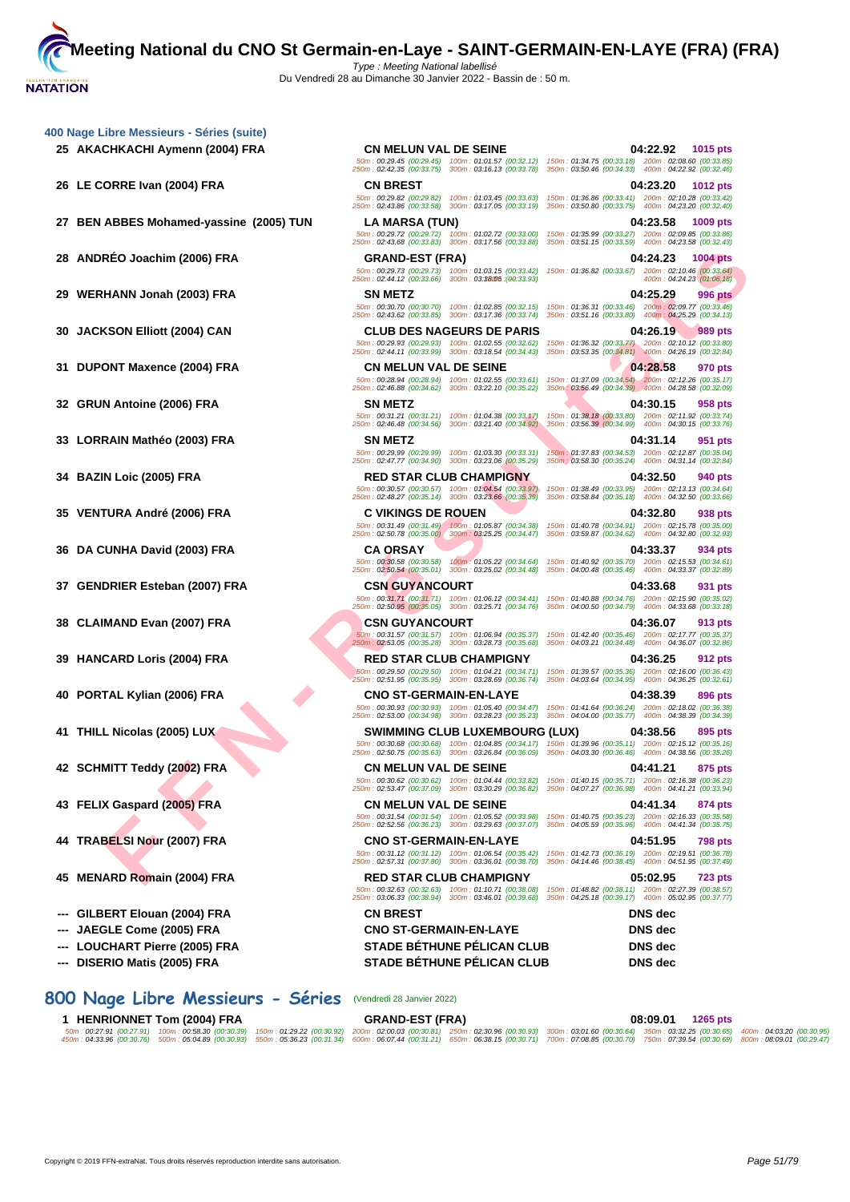**[400 Nage](http://www.ffnatation.fr/webffn/index.php) Libre Messieurs - Séries (suite)**

|                                         |                                                                                                              | 250m: 02:42.35 (00:33.75) 300m: 03:16.13 (00:33.78) 350m: 03:50.46 (00:34.33) 400m: 04:22.92 (00:32.46)                                                                                                               |
|-----------------------------------------|--------------------------------------------------------------------------------------------------------------|-----------------------------------------------------------------------------------------------------------------------------------------------------------------------------------------------------------------------|
| 26 LE CORRE Ivan (2004) FRA             | <b>CN BREST</b>                                                                                              | 04:23.20<br><b>1012 pts</b>                                                                                                                                                                                           |
|                                         | 50m: 00:29.82 (00:29.82)<br>100m: 01:03.45 (00:33.63)<br>250m: 02:43.86 (00:33.58) 300m: 03:17.05 (00:33.19) | 150m: 01:36.86 (00:33.41) 200m: 02:10.28 (00:33.42)<br>350m: 03:50.80 (00:33.75) 400m: 04:23.20 (00:32.40)                                                                                                            |
| 27 BEN ABBES Mohamed-yassine (2005) TUN | LA MARSA (TUN)                                                                                               | 04:23.58<br>1009 pts                                                                                                                                                                                                  |
|                                         |                                                                                                              | 50m : 00:29.72 (00:29.72) 100m : 01:02.72 (00:33.00) 150m : 01:35.99 (00:33.27) 200m : 02:09.85 (00:33.86)                                                                                                            |
|                                         | 250m: 02:43.68 (00:33.83) 300m: 03:17.56 (00:33.88)                                                          | 350m: 03:51.15 (00:33.59) 400m: 04:23.58 (00:32.43)                                                                                                                                                                   |
| 28 ANDRÉO Joachim (2006) FRA            | <b>GRAND-EST (FRA)</b><br>50m: 00:29.73 (00:29.73) 100m: 01:03.15 (00:33.42)                                 | 04:24.23<br><b>1004 pts</b><br>150m: 01:36.82 (00:33.67) 200m: 02:10.46 (00:33.64)                                                                                                                                    |
|                                         | 250m: 02:44.12 (00:33.66) 300m: 03:38005 : (00:33.93)                                                        | 400m: 04:24.23 (01:06.18)                                                                                                                                                                                             |
| 29 WERHANN Jonah (2003) FRA             | <b>SN METZ</b>                                                                                               | 04:25.29<br><b>996 pts</b>                                                                                                                                                                                            |
|                                         | 50m: 00:30.70 (00:30.70) 100m: 01:02.85 (00:32.15)<br>250m: 02:43.62 (00:33.85) 300m: 03:17.36 (00:33.74)    | 150m: 01:36.31 (00:33.46) 200m: 02:09.77 (00:33.46)<br>350m: 03:51.16 (00:33.80) 400m: 04:25.29 (00:34.13)                                                                                                            |
| 30 JACKSON Elliott (2004) CAN           | <b>CLUB DES NAGEURS DE PARIS</b>                                                                             | 04:26.19<br>989 pts                                                                                                                                                                                                   |
|                                         | 50m: 00:29.93 (00:29.93) 100m: 01:02.55 (00:32.62)<br>250m: 02:44.11 (00:33.99) 300m: 03:18.54 (00:34.43)    | 150m: 01:36.32 (00:33.77) 200m: 02:10.12 (00:33.80)<br>350m: 03:53.35 (00:34.81) 400m: 04:26.19 (00:32.84)                                                                                                            |
| 31 DUPONT Maxence (2004) FRA            | <b>CN MELUN VAL DE SEINE</b>                                                                                 | 04:28.58<br>970 pts                                                                                                                                                                                                   |
|                                         | 50m: 00:28.94 (00:28.94) 100m: 01:02.55 (00:33.61)                                                           | 150m; 01:37.09 (00:34.54) 200m: 02:12.26 (00:35.17)                                                                                                                                                                   |
|                                         | 250m: 02:46.88 (00:34.62) 300m: 03:22.10 (00:35.22)                                                          | 350m: 03:56.49 (00:34.39) 400m: 04:28.58 (00:32.09)                                                                                                                                                                   |
| 32 GRUN Antoine (2006) FRA              | <b>SN METZ</b><br>50m: 00:31.21 (00:31.21) 100m: 01:04.38 (00:33.17)                                         | 04:30.15<br>958 pts<br>150m: 01:38.18 (00:33.80) 200m: 02:11.92 (00:33.74)                                                                                                                                            |
|                                         | 250m: 02:46.48 (00:34.56) 300m: 03:21.40 (00:34.92)                                                          | 350m: 03:56.39 (00:34.99) 400m: 04:30.15 (00:33.76)                                                                                                                                                                   |
| 33 LORRAIN Mathéo (2003) FRA            | <b>SN METZ</b>                                                                                               | 04:31.14<br>951 pts                                                                                                                                                                                                   |
|                                         | 50m: 00:29.99 (00:29.99) 100m: 01:03.30 (00:33.31)<br>250m: 02:47.77 (00:34.90) 300m: 03:23.06 (00:35.29)    | 150m: 01:37.83 (00:34.53) 200m: 02:12.87 (00:35.04)<br>350m : 03:58.30 (00:35.24)  400m : 04:31.14 (00:32.84)                                                                                                         |
| 34 BAZIN Loic (2005) FRA                | <b>RED STAR CLUB CHAMPIGNY</b>                                                                               | 04:32.50<br>940 pts                                                                                                                                                                                                   |
|                                         | 50m: 00:30.57 (00:30.57) 100m: 01:04.54 (00:33.97)                                                           | 150m: 01:38.49 (00:33.95) 200m: 02:13.13 (00:34.64)                                                                                                                                                                   |
|                                         | 250m: 02:48.27 (00:35.14) 300m: 03:23.66 (00:35.39)<br><b>C VIKINGS DE ROUEN</b>                             | 350m: 03:58.84 (00:35.18) 400m: 04:32.50 (00:33.66)<br>04:32.80                                                                                                                                                       |
| 35   VENTURA André (2006) FRA           |                                                                                                              | 938 pts<br>50m : 00:31.49 (00:31.49) 100m : 01:05.87 (00:34.38) 150m : 01:40.78 (00:34.91) 200m : 02:15.78 (00:35.00)                                                                                                 |
|                                         | 250m: 02:50.78 (00:35.00) 300m: 03:25.25 (00:34.47)                                                          | 350m: 03:59.87 (00:34.62) 400m: 04:32.80 (00:32.93)                                                                                                                                                                   |
| 36 DA CUNHA David (2003) FRA            | <b>CA ORSAY</b>                                                                                              | 04:33.37<br>934 pts                                                                                                                                                                                                   |
|                                         | 50m: 00:30.58 (00:30.58) 100m: 01:05.22 (00:34.64)<br>250m: 02:50.54 (00:35.01) 300m: 03:25.02 (00:34.48)    | 150m: 01:40.92 (00:35.70) 200m: 02:15.53 (00:34.61)<br>350m: 04:00.48 (00:35.46) 400m: 04:33.37 (00:32.89)                                                                                                            |
| 37 GENDRIER Esteban (2007) FRA          | <b>CSN GUYANCOURT</b>                                                                                        | 04:33.68<br>931 pts                                                                                                                                                                                                   |
|                                         | 250m: 02:50.95 (00:35.05) 300m: 03:25.71 (00:34.76)                                                          | 50m: 00:31.71 (00:31.71) 100m: 01:06.12 (00:34.41) 150m: 01:40.88 (00:34.76) 200m: 02:15.90 (00:35.02)<br>350m: 04:00.50 (00:34.79) 400m: 04:33.68 (00:33.18)                                                         |
| 38 CLAIMAND Evan (2007) FRA             | <b>CSN GUYANCOURT</b>                                                                                        | 04:36.07<br>913 pts                                                                                                                                                                                                   |
|                                         | 50m: 00:31.57 (00:31.57) 100m: 01:06.94 (00:35.37)<br>250m: 02:53.05 (00:35.28) 300m: 03:28.73 (00:35.68)    | 150m: 01:42.40 (00:35.46) 200m: 02:17.77 (00:35.37)                                                                                                                                                                   |
|                                         | <b>RED STAR CLUB CHAMPIGNY</b>                                                                               | 350m: 04:03.21 (00:34.48) 400m: 04:36.07 (00:32.86)<br>04:36.25                                                                                                                                                       |
| 39 HANCARD Loris (2004) FRA             | 50m: 00:29.50 (00:29.50) 100m: 01:04.21 (00:34.71)                                                           | <b>912 pts</b><br>150m: 01:39.57 (00:35.36) 200m: 02:16.00 (00:36.43)                                                                                                                                                 |
|                                         | 250m: 02:51.95 (00:35.95) 300m: 03:28.69 (00:36.74)                                                          | 350m: 04:03.64 (00:34.95) 400m: 04:36.25 (00:32.61)                                                                                                                                                                   |
| 40 PORTAL Kylian (2006) FRA             | <b>CNO ST-GERMAIN-EN-LAYE</b>                                                                                | 04:38.39<br>896 pts<br>50m : 00:30.93 (00:30.93) 100m : 01:05.40 (00:34.47) 150m : 01:41.64 (00:36.24) 200m : 02:18.02 (00:36.38)                                                                                     |
|                                         |                                                                                                              | 250m: 02:53.00 (00:34.98) 300m: 03:28.23 (00:35.23) 350m: 04:04.00 (00:35.77) 400m: 04:38.39 (00:34.39)                                                                                                               |
| 41 THILL Nicolas (2005) LUX             | <b>SWIMMING CLUB LUXEMBOURG (LUX)</b>                                                                        | 04:38.56<br>895 pts                                                                                                                                                                                                   |
|                                         |                                                                                                              | 50m : 00:30.68 (00:30.68) 100m : 01:04.85 (00:34.17) 150m : 01:39.96 (00:35.11) 200m : 02:15.12 (00:35.16)<br>250m: 02:50.75 (00:35.63) 300m: 03:26.84 (00:36.09) 350m: 04:03.30 (00:36.46) 400m: 04:38.56 (00:35.26) |
| 42 SCHMITT Teddy (2002) FRA             | <b>CN MELUN VAL DE SEINE</b>                                                                                 | 04:41.21<br>875 pts                                                                                                                                                                                                   |
|                                         | 50m: 00:30.62 (00:30.62) 100m: 01:04.44 (00:33.82)                                                           | 150m: 01:40.15 (00:35.71) 200m: 02:16.38 (00:36.23)<br>250m: 02:53.47 (00:37.09) 300m: 03:30.29 (00:36.82) 350m: 04:07.27 (00:36.98) 400m: 04:41.21 (00:33.94)                                                        |
|                                         | <b>CN MELUN VAL DE SEINE</b>                                                                                 |                                                                                                                                                                                                                       |
| 43 FELIX Gaspard (2005) FRA             | 50m: 00:31.54 (00:31.54) 100m: 01:05.52 (00:33.98)                                                           | 04:41.34<br>874 pts<br>150m: 01:40.75 (00:35.23) 200m: 02:16.33 (00:35.58)                                                                                                                                            |
|                                         |                                                                                                              | 250m: 02:52.56 (00:36.23) 300m: 03:29.63 (00:37.07) 350m: 04:05.59 (00:35.96) 400m: 04:41.34 (00:35.75)                                                                                                               |
| 44 TRABELSI Nour (2007) FRA             | <b>CNO ST-GERMAIN-EN-LAYE</b><br>50m: 00:31.12 (00:31.12) 100m: 01:06.54 (00:35.42)                          | 04:51.95<br>798 pts                                                                                                                                                                                                   |
|                                         | 250m: 02:57.31 (00:37.80) 300m: 03:36.01 (00:38.70)                                                          | 150m: 01:42.73 (00:36.19) 200m: 02:19.51 (00:36.78)<br>350m: 04:14.46 (00:38.45) 400m: 04:51.95 (00:37.49)                                                                                                            |
| 45 MENARD Romain (2004) FRA             | <b>RED STAR CLUB CHAMPIGNY</b>                                                                               | 05:02.95<br><b>723 pts</b>                                                                                                                                                                                            |
|                                         | 50m: 00:32.63 (00:32.63) 100m: 01:10.71 (00:38.08)<br>250m: 03:06.33 (00:38.94) 300m: 03:46.01 (00:39.68)    | 150m: 01:48.82 (00:38.11) 200m: 02:27.39 (00:38.57)<br>350m: 04:25.18 (00:39.17) 400m: 05:02.95 (00:37.77)                                                                                                            |
| GILBERT Elouan (2004) FRA               | <b>CN BREST</b>                                                                                              | <b>DNS</b> dec                                                                                                                                                                                                        |
| JAEGLE Come (2005) FRA                  | <b>CNO ST-GERMAIN-EN-LAYE</b>                                                                                | <b>DNS</b> dec                                                                                                                                                                                                        |
| LOUCHART Pierre (2005) FRA              | <b>STADE BÉTHUNE PÉLICAN CLUB</b>                                                                            | <b>DNS</b> dec                                                                                                                                                                                                        |
|                                         |                                                                                                              |                                                                                                                                                                                                                       |

**800 Nage Libre Messieurs - Séries** (Vendredi 28 Janvier 2022)

| <b>HENRIONNET Tom (2004) FRA</b>                                                                                                                                                                               |  | <b>GRAND-EST (FRA)</b> |  | 08:09.01<br>1265 pts |  |
|----------------------------------------------------------------------------------------------------------------------------------------------------------------------------------------------------------------|--|------------------------|--|----------------------|--|
| 50m; 00:27.91 (00:27.91) 100m; 00:58.30 (00:30.39) 150m; 01:29.22 (00:30.92) 200m; 02:00.03 (00:30.81) 250m; 02:30.96 (00:30.93) 300m; 03:01.60 (00:30.64) 350m; 03:32.25 (00:30.65) 400m; 04:03.20 (00:30.95) |  |                        |  |                      |  |
| 450m:04:33.96 (00:30.76) 500m:05:04.89 (00:30.93) 550m:05:36.23 (00:31.34) 600m:06:07.44 (00:31.21) 650m:06:38.15 (00:30.71) 700m:07:08.85 (00:30.70) 750m:07:39.54 (00:30.69) 800m:08:09.01 (00:29.47)        |  |                        |  |                      |  |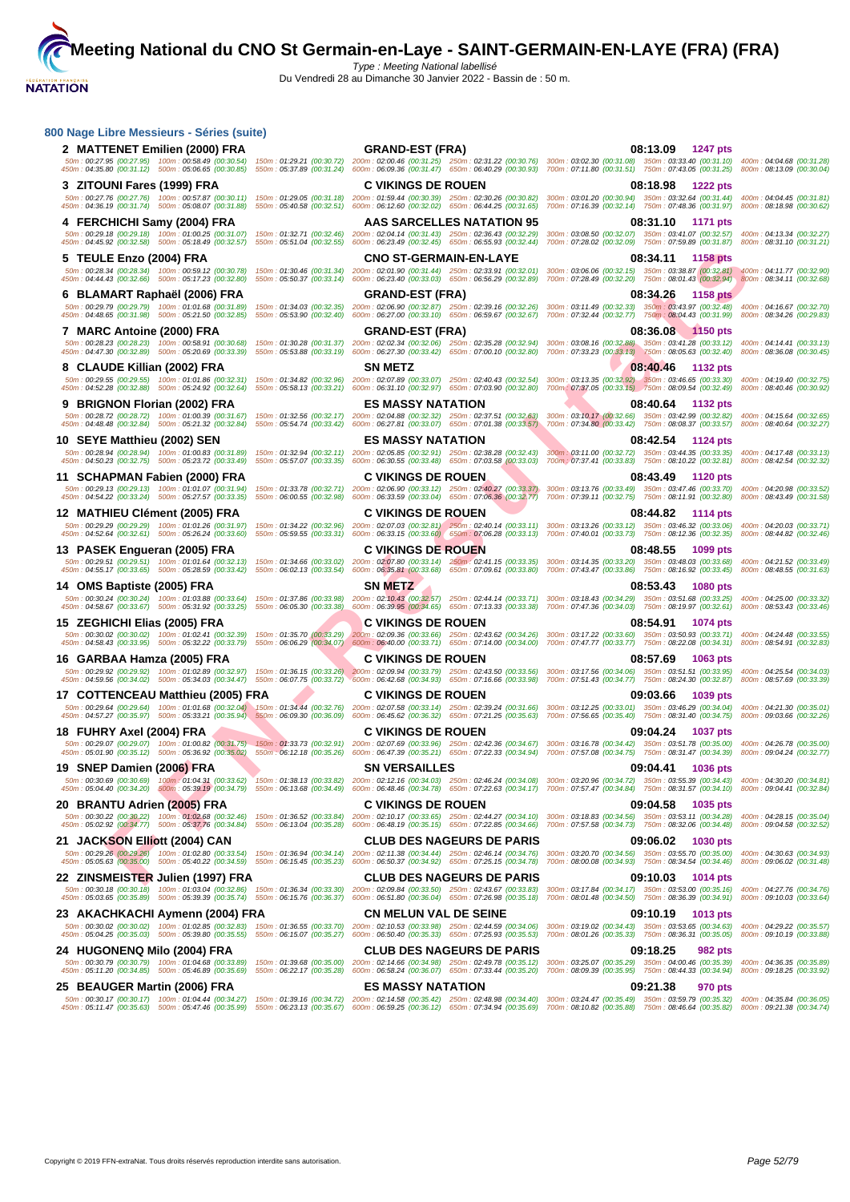| 800 Nage Libre Messieurs - Séries (suite)                                                                                                                     |                           |                                                                                                                                                                      |                                                                                                                                                                                                                                                                                                                                                                                                                                                  |                           |  |
|---------------------------------------------------------------------------------------------------------------------------------------------------------------|---------------------------|----------------------------------------------------------------------------------------------------------------------------------------------------------------------|--------------------------------------------------------------------------------------------------------------------------------------------------------------------------------------------------------------------------------------------------------------------------------------------------------------------------------------------------------------------------------------------------------------------------------------------------|---------------------------|--|
| 2 MATTENET Emilien (2000) FRA                                                                                                                                 |                           | <b>GRAND-EST (FRA)</b>                                                                                                                                               | 08:13.09 1247 pts                                                                                                                                                                                                                                                                                                                                                                                                                                |                           |  |
| 450m: 04:35.80 (00:31.12) 500m: 05:06.65 (00:30.85)                                                                                                           |                           |                                                                                                                                                                      | 50m: 00:27.95 (00:27.95) 100m: 00:58.49 (00:30.54) 150m: 01:29.21 (00:30.72) 200m: 02:00.46 (00:31.25) 250m: 02:31.22 (00:30.76) 300m: 03:02.30 (00:31.08) 350m: 03:33.40 (00:31.10) 400m: 04:04.68 (00:31.28)<br>550m : 05:37.89 (00:31.24) 600m : 06:09.36 (00:31.47) 650m : 06:40.29 (00:30.93) 700m : 07:11.80 (00:31.51) 750m : 07:43.05 (00:31.25) 800m : 08:13.09 (00:30.04)                                                              |                           |  |
| 3 ZITOUNI Fares (1999) FRA                                                                                                                                    |                           | <b>C VIKINGS DE ROUEN</b>                                                                                                                                            | 08:18.98 1222 pts                                                                                                                                                                                                                                                                                                                                                                                                                                |                           |  |
| 450m: 04:36.19 (00:31.74) 500m: 05:08.07 (00:31.88) 550m: 05:40.58 (00:32.51) 600m: 06:12.60 (00:32.02) 650m: 06:44.25 (00:31.65)                             |                           | 50m: 00:27.76 (00:27.76) 100m: 00:57.87 (00:30.11) 150m: 01:29.05 (00:31.18) 200m: 01:59.44 (00:30.39) 250m: 02:30.26 (00:30.82)                                     | 300m: 03:01.20 (00:30.94) 350m: 03:32.64 (00:31.44) 400m: 04:04.45 (00:31.81)<br>700m: 07:16.39 (00:32.14) 750m: 07:48.36 (00:31.97) 800m: 08:18.98 (00:30.62)                                                                                                                                                                                                                                                                                   |                           |  |
| 4 FERCHICHI Samy (2004) FRA                                                                                                                                   |                           | <b>AAS SARCELLES NATATION 95</b>                                                                                                                                     | 08:31.10 1171 pts                                                                                                                                                                                                                                                                                                                                                                                                                                |                           |  |
| 50m: 00:29.18 (00:29.18) 100m: 01:00.25 (00:31.07)<br>450m: 04:45.92 (00:32.58) 500m: 05:18.49 (00:32.57)                                                     | 550m: 05:51.04 (00:32.55) | 150m: 01:32.71 (00:32.46) 200m: 02:04.14 (00:31.43) 250m: 02:36.43 (00:32.29)<br>600m: 06:23.49 (00:32.45) 650m: 06:55.93 (00:32.44)                                 | 300m: 03:08.50 (00:32.07) 350m: 03:41.07 (00:32.57) 400m: 04:13.34 (00:32.27)<br>700m: 07:28.02 (00:32.09) 750m: 07:59.89 (00:31.87) 800m: 08:31.10 (00:31.21)                                                                                                                                                                                                                                                                                   |                           |  |
| 5 TEULE Enzo (2004) FRA                                                                                                                                       |                           | <b>CNO ST-GERMAIN-EN-LAYE</b>                                                                                                                                        | 08:34.11 1158 pts                                                                                                                                                                                                                                                                                                                                                                                                                                |                           |  |
| 450m: 04:44.43 (00:32.66) 500m: 05:17.23 (00:32.80) 550m: 05:50.37 (00:33.14) 600m: 06:23.40 (00:33.03) 650m: 06:56.29 (00:32.89)                             |                           |                                                                                                                                                                      | 50m: 00:28.34 (00:28.34) 100m: 00:59.12 (00:30.78) 150m: 01:30.46 (00:31.34) 200m: 02:01.90 (00:31.44) 250m: 02:33.91 (00:32.01) 300m: 03:06.06 (00:32.15) 350m: 03:38.87 (00:32.41) 400m: 04:11.77 (00:32.90)<br>700m: 07:28.49 (00:32.20) 750m: 08:01.43 (00:32.94) 800m: 08:34.11 (00:32.68)                                                                                                                                                  |                           |  |
| 6 BLAMART Raphaël (2006) FRA                                                                                                                                  |                           | <b>GRAND-EST (FRA)</b>                                                                                                                                               | 08:34.26<br><b>1158 pts</b>                                                                                                                                                                                                                                                                                                                                                                                                                      |                           |  |
| 50m: 00:29.79 (00:29.79) 100m: 01:01.68 (00:31.89)<br>450m: 04:48.65 (00:31.98) 500m: 05:21.50 (00:32.85)                                                     |                           | 150m: 01:34.03 (00:32.35) 200m: 02:06.90 (00:32.87) 250m: 02:39.16 (00:32.26)                                                                                        | 300m: 03:11.49 (00:32.33) 350m: 03:43.97 (00:32.48) 400m: 04:16.67 (00:32.70)<br>550m: 05:53.90 (00:32.40) 600m: 06:27.00 (00:33.10) 650m: 06:59.67 (00:32.67) 700m: 07:32.44 (00:32.77) 750m: 08:04.43 (00:31.99) 800m: 08:34.26 (00:29.83)                                                                                                                                                                                                     |                           |  |
| 7 MARC Antoine (2000) FRA                                                                                                                                     |                           | <b>GRAND-EST (FRA)</b>                                                                                                                                               | 08:36.08 1150 pts                                                                                                                                                                                                                                                                                                                                                                                                                                |                           |  |
|                                                                                                                                                               |                           |                                                                                                                                                                      | 50m: 00:28.23 (00:28.23) 100m: 00:58.91 (00:30.68) 150m: 01:30.28 (00:31.37) 200m: 02:02.34 (00:32.06) 250m: 02:35.28 (00:32.94) 300m: 03:08.16 (00:32.88) 350m: 03:41.28 (00:33.12) 400m: 04:14.41 (00:33.13)<br>450m: 04:47.30 (00:32.89) 500m: 05:20.69 (00:33.39) 550m: 05:53.88 (00:33.19) 600m: 06:27.30 (00:33.42) 650m: 07:00.10 (00:32.80) 700m: 07:33.23 (00:33.13) 750m: 08:05.63 (00:32.40) 800m: 08:05.63 (00:32.40) 800m: 08:36.08 |                           |  |
| 8 CLAUDE Killian (2002) FRA                                                                                                                                   |                           | <b>SN METZ</b>                                                                                                                                                       | 08:40.46<br>1132 pts                                                                                                                                                                                                                                                                                                                                                                                                                             |                           |  |
|                                                                                                                                                               |                           | 50m: 00:29.55 (00:29.55) 100m: 01:01.86 (00:32.31) 150m: 01:34.82 (00:32.96) 200m: 02:07.89 (00:33.07) 250m: 02:40.43 (00:32.54)                                     | 300m; 03:13.35 (00:32.92) 350m: 03:46.65 (00:33.30) 400m: 04:19.40 (00:32.75)                                                                                                                                                                                                                                                                                                                                                                    |                           |  |
|                                                                                                                                                               |                           | <b>ES MASSY NATATION</b>                                                                                                                                             | 450m : 04:52.28 (00:32.88) 500m : 05:24.92 (00:32.64) 550m : 05:58.13 (00:33.21) 600m : 06:31.10 (00:32.97) 650m : 07:03.90 (00:32.80) 700m 07:37.05 (00:33.15) 750m : 08:09.54 (00:32.49) 800m : 08:40.46 (00:30.92)<br>08:40.64 1132 pts                                                                                                                                                                                                       |                           |  |
| 9 BRIGNON Florian (2002) FRA<br>50m: 00:28.72 (00:28.72) 100m: 01:00.39 (00:31.67)                                                                            |                           |                                                                                                                                                                      | 150m: 01:32.56 (00:32.17) 200m: 02:04.88 (00:32.32) 250m: 02:37.51 (00:32.63) 300m: 03:10.17 (00:32.66) 350m: 03:42.99 (00:32.82) 400m: 04:15.64 (00:32.65)                                                                                                                                                                                                                                                                                      |                           |  |
| 450m: 04:48.48 (00:32.84) 500m: 05:21.32 (00:32.84)                                                                                                           |                           |                                                                                                                                                                      | 550m; 05:54.74 (00:33.42) 600m; 06:27.81 (00:33.07) 650m; 07:01.38 (00:33.57) 700m; 07:34.80 (00:33.42) 750m; 08:08.37 (00:33.57) 800m; 08:40.64 (00:32.27)                                                                                                                                                                                                                                                                                      |                           |  |
| 10 SEYE Matthieu (2002) SEN                                                                                                                                   |                           | <b>ES MASSY NATATION</b><br>50m: 00:28.94 (00:28.94) 100m: 01:00.83 (00:31.89) 150m: 01:32.94 (00:32.11) 200m: 02:05.85 (00:32.91) 250m: 02:38.28 (00:32.43)         | 08:42.54 1124 pts<br>300m: 03:11.00 (00:32.72) 350m: 03:44.35 (00:33.35) 400m: 04:17.48 (00:33.13)                                                                                                                                                                                                                                                                                                                                               |                           |  |
| 450m: 04:50.23 (00:32.75) 500m: 05:23.72 (00:33.49)                                                                                                           |                           | 550m: 05:57.07 (00:33.35) 600m: 06:30.55 (00:33.48) 650m: 07:03.58 (00:33.03)                                                                                        | 700m : 07:37.41 (00:33.83) 750m : 08:10.22 (00:32.81) 800m : 08:42.54 (00:32.32)                                                                                                                                                                                                                                                                                                                                                                 |                           |  |
| 11 SCHAPMAN Fabien (2000) FRA<br>50m: 00:29.13 (00:29.13) 100m: 01:01.07 (00:31.94)                                                                           |                           | <b>C VIKINGS DE ROUEN</b><br>150m: 01:33.78 (00:32.71) 200m: 02:06.90 (00:33.12) 250m: 02:40.27 (00:33.37)                                                           | 08:43.49 1120 pts<br>300m: 03:13.76 (00:33.49) 350m: 03:47.46 (00:33.70) 400m: 04:20.98 (00:33.52)                                                                                                                                                                                                                                                                                                                                               |                           |  |
| 450m: 04:54.22 (00:33.24) 500m: 05:27.57 (00:33.35)                                                                                                           | 550m: 06:00.55 (00:32.98) | 600m: 06:33.59 (00:33.04) 650m: 07:06.36 (00:32.77)                                                                                                                  | 700m: 07:39.11 (00:32.75) 750m: 08:11.91 (00:32.80) 800m: 08:43.49 (00:31.58)                                                                                                                                                                                                                                                                                                                                                                    |                           |  |
| 12 MATHIEU Clément (2005) FRA<br>50m: 00:29.29 (00:29.29) 100m: 01:01.26 (00:31.97)                                                                           |                           | <b>C VIKINGS DE ROUEN</b>                                                                                                                                            | 08:44.82 1114 pts<br>150m: 01:34.22 (00:32.96) 200m: 02:07.03 (00:32.81) 250m: 02:40.14 (00:33.11) 300m: 03:13.26 (00:33.12) 350m: 03:46.32 (00:33.06)                                                                                                                                                                                                                                                                                           | 400m: 04:20.03 (00:33.71) |  |
| 450m: 04:52.64 (00:32.61) 500m: 05:26.24 (00:33.60)                                                                                                           | 550m: 05:59.55 (00:33.31) |                                                                                                                                                                      | 600m: 06:33.15 (00:33.60) 650m: 07:06.28 (00:33.13) 700m: 07:40.01 (00:33.73) 750m: 08:12.36 (00:32.35)                                                                                                                                                                                                                                                                                                                                          | 800m: 08:44.82 (00:32.46) |  |
| 13 PASEK Engueran (2005) FRA                                                                                                                                  |                           | <b>C VIKINGS DE ROUEN</b>                                                                                                                                            | 08:48.55<br>1099 pts                                                                                                                                                                                                                                                                                                                                                                                                                             |                           |  |
| 450m: 04:55.17 (00:33.65) 500m: 05:28.59 (00:33.42) 550m: 06:02.13 (00:33.54)                                                                                 |                           |                                                                                                                                                                      | 50m: 00:29.51 (00:29.51) 100m: 01:01.64 (00:32.13) 150m: 01:34.66 (00:33.02) 200m: 02:07.80 (00:33.14) 250m: 02:41.15 (00:33.35) 300m: 03:14.35 (00:33.20) 350m: 03:48.03 (00:33.68) 400m: 04:21.52 (00:33.49)<br>600m: 06:35.81 (00:33.68) 650m: 07:09.61 (00:33.80) 700m: 07:43.47 (00:33.86) 750m: 08:16.92 (00:33.45) 800m: 08:48.55 (00:31.63)                                                                                              |                           |  |
| 14 OMS Baptiste (2005) FRA                                                                                                                                    |                           | <b>SN METZ</b>                                                                                                                                                       | 08:53.43 1080 pts                                                                                                                                                                                                                                                                                                                                                                                                                                |                           |  |
| 50m: 00:30.24 (00:30.24) 100m: 01:03.88 (00:33.64) 150m: 01:37.86 (00:33.98)<br>450m: 04:58.67 (00:33.67) 500m: 05:31.92 (00:33.25) 550m: 06:05.30 (00:33.38) |                           |                                                                                                                                                                      | 200m: 02:10.43 (00:32.57) 250m: 02:44.14 (00:33.71) 300m: 03:18.43 (00:34.29) 350m: 03:51.68 (00:33.25) 400m: 04:25.00 (00:33.32)<br>600m : 06:39.95 (00:34.65) 650m : 07:13.33 (00:33.36) 700m : 07:47.36 (00:34.03) 750m : 08:19.97 (00:32.61) 800m : 08:53.43 (00:33.46)                                                                                                                                                                      |                           |  |
| 15 ZEGHICHI Elias (2005) FRA                                                                                                                                  |                           | <b>C VIKINGS DE ROUEN</b>                                                                                                                                            | 08:54.91<br><b>1074 pts</b>                                                                                                                                                                                                                                                                                                                                                                                                                      |                           |  |
| 450m : 04:58.43 (00:33.95) 500m : 05:32.22 (00:33.79) 550m : 06:06.29 (00:34.07) 600m : 06:40.00 (00:33.71) 650m : 07:14.00 (00:34.00)                        |                           |                                                                                                                                                                      | 50m: 00:30.02 (00:30.02) 100m: 01:02.41 (00:32.39) 150m: 01:35.70 (00:33.29) 200m: 02:09.36 (00:33.66) 250m: 02:43.62 (00:34.26) 300m: 03:17.22 (00:33.60) 350m: 03:50.93 (00:33.71) 400m: 04:24.48 (00:33.55)<br>700m: 07:47.77 (00:33.77) 750m: 08:22.08 (00:34.31) 800m: 08:54.91 (00:32.83)                                                                                                                                                  |                           |  |
| 16 GARBAA Hamza (2005) FRA                                                                                                                                    |                           | <b>C VIKINGS DE ROUEN</b>                                                                                                                                            | 08:57.69 1063 pts                                                                                                                                                                                                                                                                                                                                                                                                                                |                           |  |
|                                                                                                                                                               |                           | 50m: 00:29.92 (00:29.92) 100m: 01:02.89 (00:32.97) 150m: 01:36.15 (00:33.26) 200m: 02:09.94 (00:33.79) 250m: 02:43.50 (00:33.56)                                     | 300m: 03:17.56 (00:34.06) 350m: 03:51.51 (00:33.95) 400m: 04:25.54 (00:34.03)<br>450m : 04:59.56 (00:34.02) 500m : 05:34.03 (00:34.47) 550m : 06:07.75 (00:33.72) 600m : 06:42.68 (00:34.93) 650m : 07:16.66 (00:33.99) 700m : 07:51.43 (00:34.77) 750m : 08:24.30 (00:32.87) 800m : 08:57.69 (00:33.39)                                                                                                                                         |                           |  |
| 17 COTTENCEAU Matthieu (2005) FRA                                                                                                                             |                           | <b>C VIKINGS DE ROUEN</b>                                                                                                                                            | 09:03.66<br>1039 pts                                                                                                                                                                                                                                                                                                                                                                                                                             |                           |  |
|                                                                                                                                                               |                           |                                                                                                                                                                      | 50m: 00:29.64 (00:29.64) 100m: 01:01.68 (00:32.04) 150m: 01:34.44 (00:32.76) 200m: 02:07.58 (00:33.14) 250m: 02:39.24 (00:31.66) 300m: 03:12.25 (00:33.01) 350m: 03:46.29 (00:34.04) 400m: 04:21.30 (00:35.01)<br>450m : 04:57.27 (00:35.97) 500m : 05:33.21 (00:35.94) 550m : 06:09.30 (00:36.09) 600m : 06:45.62 (00:36.32) 650m : 07:21.25 (00:35.63) 700m : 07:56.65 (00:36.40) 750m : 08:31.40 (00:34.75) 800m : 09:03.66 (00:32.26)        |                           |  |
| 18 FUHRY Axel (2004) FRA                                                                                                                                      |                           | <b>C VIKINGS DE ROUEN</b>                                                                                                                                            | 09:04.24<br>1037 pts                                                                                                                                                                                                                                                                                                                                                                                                                             |                           |  |
|                                                                                                                                                               |                           |                                                                                                                                                                      | 50m: 00:29.07 (00:29.07) 100m: 01:00.82 (00:31.75) 150m: 01:33.73 (00:32.91) 200m: 02:07.69 (00:33.96) 250m: 02:42.36 (00:34.67) 300m: 03:16.78 (00:34.42) 350m: 03:51.78 (00:35.00) 400m: 04:26.78 (00:36.00)<br>450m : 05:01.90 (00:35.12) 500m : 05:36.92 (00:35.02) 550m : 06:12.18 (00:35.26) 600m : 06:47.39 (00:35.21) 650m : 07:22.33 (00:34.94) 700m : 07:77.08 (00:34.75) 750m : 08:31.47 (00:34.39) 800m : 09:04.24 (00:32.77)        |                           |  |
| 19 SNEP Damien (2006) FRA                                                                                                                                     |                           | SN VERSAILLES                                                                                                                                                        | <b>1036 pts</b><br>09:04.41                                                                                                                                                                                                                                                                                                                                                                                                                      |                           |  |
|                                                                                                                                                               |                           |                                                                                                                                                                      | 50m: 00:30.69 (00:30.69) 100m: 01:04:31 (00:33.62) 150m: 01:38.13 (00:33.82) 200m: 02:12.16 (00:34.03) 250m: 02:46.24 (00:34.08) 300m: 03:20.96 (00:34.72) 350m: 03:55.39 (00:34.43) 400m: 04:30.20 (00:34.81)<br>450m : 05:04.40 (00:34.20) 600m : 05:39.19 (00:34.79) 550m : 06:13.68 (00:34.49) 600m : 06:48.46 (00:34.78) 650m : 07:22.63 (00:34.17) 700m : 07:57.47 (00:34.84) 750m : 08:31.57 (00:34.10) 800m : 09:04.41 (00:32.84)        |                           |  |
| 20 BRANTU Adrien (2005) FRA                                                                                                                                   |                           | <b>C VIKINGS DE ROUEN</b>                                                                                                                                            | 09:04.58<br>1035 pts                                                                                                                                                                                                                                                                                                                                                                                                                             |                           |  |
|                                                                                                                                                               |                           |                                                                                                                                                                      | 50m: 00:30.22 (00:30.22) 100m: 01:02.68 (00:32.46) 150m: 01:36.52 (00:33.84) 200m: 02:10.17 (00:33.65) 250m: 02:44.27 (00:34.10) 300m: 03:18.83 (00:34.56) 350m: 03:53.11 (00:34.8) 400m: 04:28.15 (00:34.85)                                                                                                                                                                                                                                    |                           |  |
|                                                                                                                                                               |                           |                                                                                                                                                                      |                                                                                                                                                                                                                                                                                                                                                                                                                                                  |                           |  |
|                                                                                                                                                               |                           |                                                                                                                                                                      | 450m : 05:02.92 (00:34.77) 500m : 05:37.76 (00:34.84) 550m : 06:13.04 (00:35.28) 600m : 06:48.19 (00:35.15) 650m : 07:22.85 (00:34.66) 700m : 07:57.58 (00:34.73) 750m : 08:32.06 (00:34.48) 800m : 09:04.58 (00:32.52)                                                                                                                                                                                                                          |                           |  |
| 21 JACKSON Elliott (2004) CAN                                                                                                                                 |                           | <b>CLUB DES NAGEURS DE PARIS</b><br>50m: 00:29.26 (00:29.26) 100m: 01:02.80 (00:33.54) 150m: 01:36.94 (00:34.14) 200m: 02:11.38 (00:34.44) 250m: 02:46.14 (00:34.76) | 09:06.02<br>1030 pts<br>300m: 03:20.70 (00:34.56) 350m: 03:55.70 (00:35.00) 400m: 04:30.63 (00:34.93)                                                                                                                                                                                                                                                                                                                                            |                           |  |
| 450m : 05:05.63 (00:35.00) 500m : 05:40.22 (00:34.59) 550m : 06:15.45 (00:35.23) 600m : 06:50.37 (00:34.92) 650m : 07:25.15 (00:34.78)                        |                           |                                                                                                                                                                      | 700m: 08:00.08 (00:34.93) 750m: 08:34.54 (00:34.46) 800m: 09:06.02 (00:31.48)                                                                                                                                                                                                                                                                                                                                                                    |                           |  |
| 22 ZINSMEISTER Julien (1997) FRA                                                                                                                              |                           | <b>CLUB DES NAGEURS DE PARIS</b><br>50m: 00:30.18 (00:30.18) 100m: 01:03.04 (00:32.86) 150m: 01:36.34 (00:33.30) 200m: 02:09.84 (00:33.50) 250m: 02:43.67 (00:33.83) | 09:10.03<br>1014 pts<br>300m: 03:17.84 (00:34.17) 350m: 03:53.00 (00:35.16) 400m: 04:27.76 (00:34.76)                                                                                                                                                                                                                                                                                                                                            |                           |  |
| 450m : 05:03.65 (00:35.89) 500m : 05:39.39 (00:35.74) 550m : 06:15.76 (00:36.37) 600m : 06:51.80 (00:36.04) 650m : 07:26.98 (00:35.18)                        |                           |                                                                                                                                                                      | 700m: 08:01.48 (00:34.50) 750m: 08:36.39 (00:34.91) 800m: 09:10.03 (00:33.64)                                                                                                                                                                                                                                                                                                                                                                    |                           |  |
| 23 AKACHKACHI Aymenn (2004) FRA                                                                                                                               |                           | <b>CN MELUN VAL DE SEINE</b><br>50m: 00:30.02 (00:30.02) 100m: 01:02.85 (00:32.83) 150m: 01:36.55 (00:33.70) 200m: 02:10.53 (00:33.98) 250m: 02:44.59 (00:34.06)     | 09:10.19<br>1013 pts<br>300m: 03:19.02 (00:34.43) 350m: 03:53.65 (00:34.63) 400m: 04:29.22 (00:35.57)                                                                                                                                                                                                                                                                                                                                            |                           |  |
| 450m: 05:04.25 (00:35.03) 500m: 05:39.80 (00:35.55)                                                                                                           |                           | 550m: 06:15.07 (00:35.27) 600m: 06:50.40 (00:35.33) 650m: 07:25.93 (00:35.53)                                                                                        | 700m: 08:01.26 (00:35.33) 750m: 08:36.31 (00:35.05) 800m: 09:10.19 (00:33.88)                                                                                                                                                                                                                                                                                                                                                                    |                           |  |
| 24 HUGONENQ Milo (2004) FRA<br>50m: 00:30.79 (00:30.79) 100m: 01:04.68 (00:33.89)                                                                             |                           | <b>CLUB DES NAGEURS DE PARIS</b><br>150m: 01:39.68 (00:35.00) 200m: 02:14.66 (00:34.98) 250m: 02:49.78 (00:35.12)                                                    | 09:18.25<br><b>982 pts</b><br>300m: 03:25.07 (00:35.29) 350m: 04:00.46 (00:35.39) 400m: 04:36.35 (00:35.89)                                                                                                                                                                                                                                                                                                                                      |                           |  |
| 450m: 05:11.20 (00:34.85) 500m: 05:46.89 (00:35.69)                                                                                                           |                           | 550m: 06:22.17 (00:35.28) 600m: 06:58.24 (00:36.07) 650m: 07:33.44 (00:35.20)                                                                                        | 700m: 08:09.39 (00:35.95) 750m: 08:44.33 (00:34.94) 800m: 09:18.25 (00:33.92)                                                                                                                                                                                                                                                                                                                                                                    |                           |  |
| 25 BEAUGER Martin (2006) FRA                                                                                                                                  |                           | <b>ES MASSY NATATION</b>                                                                                                                                             | 09:21.38<br>970 pts<br>50m: 00:30.17 (00:30.17) 100m: 01:04.44 (00:34.27) 150m: 01:39.16 (00:34.72) 200m: 02:14.58 (00:35.42) 250m: 02:48.98 (00:34.40) 300m: 03:24.47 (00:35.49) 350m: 03:59.79 (00:35.32) 400m: 04:35.84 (00:36.05)                                                                                                                                                                                                            |                           |  |
|                                                                                                                                                               |                           |                                                                                                                                                                      | 450m : 05:11.47 (00:35.63) 500m : 05:47.46 (00:35.99) 550m : 06:23.13 (00:35.67) 600m : 06:59.25 (00:36.12) 650m : 07:34.94 (00:35.69) 700m : 08:10.82 (00:35.88) 750m : 08:46.64 (00:35.82) 800m : 09:21.38 (00:34.74)                                                                                                                                                                                                                          |                           |  |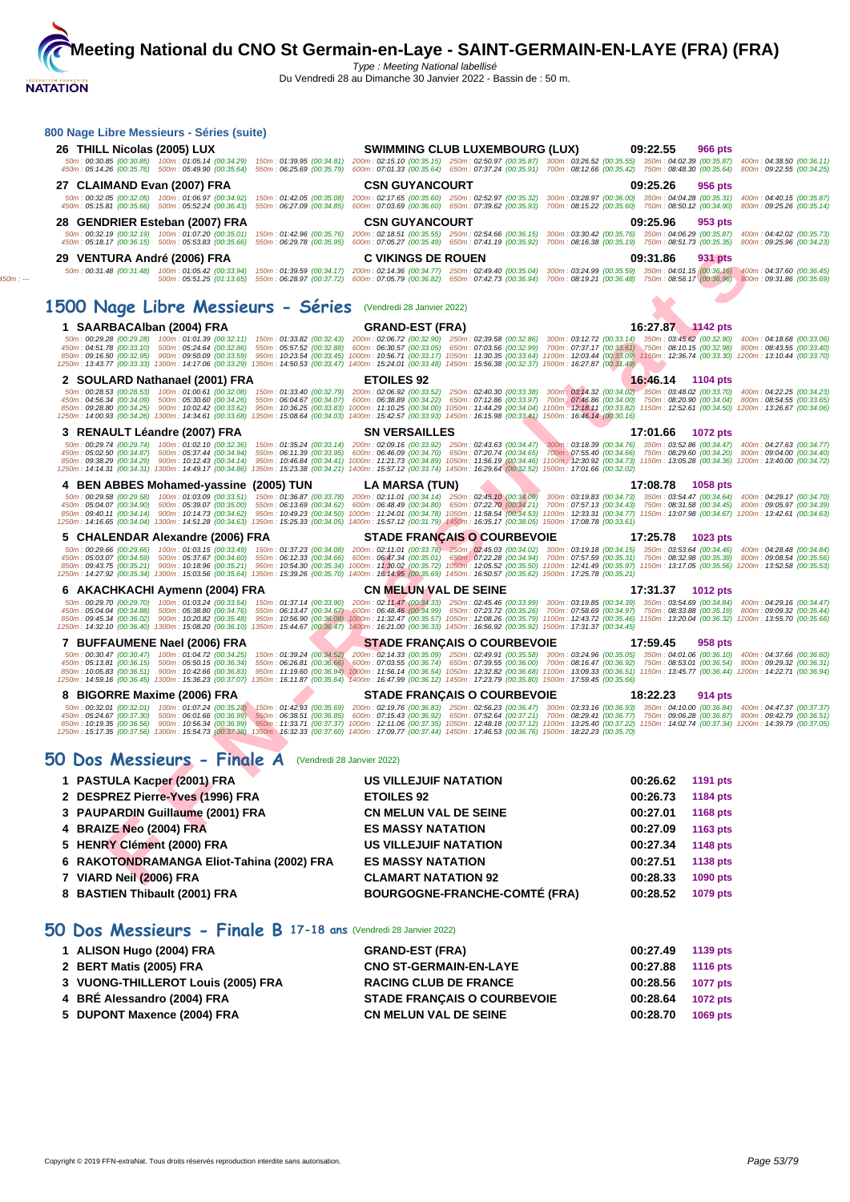|                       | 09:22.55<br><b>966 pts</b>                                                                                                                                                                                                                                                                                                                                                                                                                                                                                                                                                                                                                                                                                                                                                                                                                                                                                                                                                                                                                                                                                                                                                                                                                                                                                                                                                                                                                                                                                                                                                                                                                                                                                                                                                                                                                                                                                                                                                                                                                                                                                                                                                                                                                                                                                                                                                                                                                                                                                                     |
|-----------------------|--------------------------------------------------------------------------------------------------------------------------------------------------------------------------------------------------------------------------------------------------------------------------------------------------------------------------------------------------------------------------------------------------------------------------------------------------------------------------------------------------------------------------------------------------------------------------------------------------------------------------------------------------------------------------------------------------------------------------------------------------------------------------------------------------------------------------------------------------------------------------------------------------------------------------------------------------------------------------------------------------------------------------------------------------------------------------------------------------------------------------------------------------------------------------------------------------------------------------------------------------------------------------------------------------------------------------------------------------------------------------------------------------------------------------------------------------------------------------------------------------------------------------------------------------------------------------------------------------------------------------------------------------------------------------------------------------------------------------------------------------------------------------------------------------------------------------------------------------------------------------------------------------------------------------------------------------------------------------------------------------------------------------------------------------------------------------------------------------------------------------------------------------------------------------------------------------------------------------------------------------------------------------------------------------------------------------------------------------------------------------------------------------------------------------------------------------------------------------------------------------------------------------------|
|                       | 50m: 00:30.85 (00:30.85) 100m: 01:05.14 (00:34.29) 150m: 01:39.95 (00:34.81) 200m: 02:15.10 (00:35.15) 250m: 02:50.97 (00:35.87) 300m: 03:26.52 (00:35.55) 350m: 04:02.39 (00:35.87) 400m: 04:38.50 (00:36.11)<br>450m : 05:14.26 (00:35.76) 500m : 05:49.90 (00:35.64) 550m : 06:25.69 (00:35.79) 600m : 07:01.33 (00:35.64) 650m : 07:37.24 (00:35.91) 700m : 08:12.66 (00:35.42) 750m : 08:48.30 (00:35.64) 800m : 09:22.55 (00:34.25)                                                                                                                                                                                                                                                                                                                                                                                                                                                                                                                                                                                                                                                                                                                                                                                                                                                                                                                                                                                                                                                                                                                                                                                                                                                                                                                                                                                                                                                                                                                                                                                                                                                                                                                                                                                                                                                                                                                                                                                                                                                                                      |
| <b>CSN GUYANCOURT</b> | 09:25.26<br>956 pts                                                                                                                                                                                                                                                                                                                                                                                                                                                                                                                                                                                                                                                                                                                                                                                                                                                                                                                                                                                                                                                                                                                                                                                                                                                                                                                                                                                                                                                                                                                                                                                                                                                                                                                                                                                                                                                                                                                                                                                                                                                                                                                                                                                                                                                                                                                                                                                                                                                                                                            |
|                       | 50m: 00:32.05 (00:32.05) 100m: 01:06.97 (00:34.92) 150m: 01:42.05 (00:35.08) 200m: 02:17.65 (00:35.60) 250m: 02:52.97 (00:35.32) 300m: 03:28.97 (00:36.00) 350m: 04:04.28 (00:35.31) 400m: 04:40.15 (00:35.87)<br>450m : 05:15.81 (00:35.66) 500m : 05:52.24 (00:36.43) 550m : 06:27.09 (00:34.85) 600m : 07:03.69 (00:36.60) 650m : 07:39.62 (00:35.93) 700m : 08:15.22 (00:35.60) 750m : 08:50.12 (00:34.90) 800m : 09:25.26 (00:35.14)                                                                                                                                                                                                                                                                                                                                                                                                                                                                                                                                                                                                                                                                                                                                                                                                                                                                                                                                                                                                                                                                                                                                                                                                                                                                                                                                                                                                                                                                                                                                                                                                                                                                                                                                                                                                                                                                                                                                                                                                                                                                                      |
|                       | 09:25.96<br>953 pts                                                                                                                                                                                                                                                                                                                                                                                                                                                                                                                                                                                                                                                                                                                                                                                                                                                                                                                                                                                                                                                                                                                                                                                                                                                                                                                                                                                                                                                                                                                                                                                                                                                                                                                                                                                                                                                                                                                                                                                                                                                                                                                                                                                                                                                                                                                                                                                                                                                                                                            |
|                       | 50m: 00:32.19 (00:32.19) 100m: 01:07.20 (00:35.01) 150m: 01:42.96 (00:35.76) 200m: 02:18.51 (00:35.55) 250m: 02:54.66 (00:36.15) 300m: 03:30.42 (00:35.76) 350m: 04:06.29 (00:35.87) 400m: 04:42.02 (00:35.73)                                                                                                                                                                                                                                                                                                                                                                                                                                                                                                                                                                                                                                                                                                                                                                                                                                                                                                                                                                                                                                                                                                                                                                                                                                                                                                                                                                                                                                                                                                                                                                                                                                                                                                                                                                                                                                                                                                                                                                                                                                                                                                                                                                                                                                                                                                                 |
|                       |                                                                                                                                                                                                                                                                                                                                                                                                                                                                                                                                                                                                                                                                                                                                                                                                                                                                                                                                                                                                                                                                                                                                                                                                                                                                                                                                                                                                                                                                                                                                                                                                                                                                                                                                                                                                                                                                                                                                                                                                                                                                                                                                                                                                                                                                                                                                                                                                                                                                                                                                |
|                       | 09:31.86<br>931 pts<br>50m: 00:31.48 (00:31.48) 100m: 01:05.42 (00:33.94) 150m: 01:39.59 (00:34.17) 200m: 02:14.36 (00:34.77) 250m: 02:49.40 (00:35.04) 300m: 03:24.99 (00:35.59) 350m: 04:01.15 (00:36.16) 400m: 04:37.60 (00:36.45)<br>500m : 05:51.25 (01:13.65) 550m : 06:28.97 (00:37.72) 600m : 07:05.79 (00:36.82) 650m : 07:42.73 (00:36.94) 700m : 08:19.21 (00:36.48) 750m : 08:56.17 (00:36.96) 800m : 09:31.86 (00:35.69)                                                                                                                                                                                                                                                                                                                                                                                                                                                                                                                                                                                                                                                                                                                                                                                                                                                                                                                                                                                                                                                                                                                                                                                                                                                                                                                                                                                                                                                                                                                                                                                                                                                                                                                                                                                                                                                                                                                                                                                                                                                                                          |
|                       |                                                                                                                                                                                                                                                                                                                                                                                                                                                                                                                                                                                                                                                                                                                                                                                                                                                                                                                                                                                                                                                                                                                                                                                                                                                                                                                                                                                                                                                                                                                                                                                                                                                                                                                                                                                                                                                                                                                                                                                                                                                                                                                                                                                                                                                                                                                                                                                                                                                                                                                                |
|                       | 16:27.87 1142 pts                                                                                                                                                                                                                                                                                                                                                                                                                                                                                                                                                                                                                                                                                                                                                                                                                                                                                                                                                                                                                                                                                                                                                                                                                                                                                                                                                                                                                                                                                                                                                                                                                                                                                                                                                                                                                                                                                                                                                                                                                                                                                                                                                                                                                                                                                                                                                                                                                                                                                                              |
|                       | 50m: 00:29.28 (00:29.28) 100m: 01:01.39 (00:32.11) 150m: 01:33.82 (00:32.43) 200m: 02:06.72 (00:32.90) 250m: 02:39.58 (00:32.86) 300m: 03:12.72 (00:32.14) 350m: 03:45.62 (00:32.90) 400m: 04:18.68 (00:32.06)<br>450m : 04:51.78 (00:33.10) 500m : 05:24.64 (00:32.86) 550m : 05:57.52 (00:32.88) 600m : 06:30.57 (00:33.05) 650m : 07:03.56 (00:32.99) 700m : 07:37.17 (00:32.61) 750m : 08:10.15 (00:32.98) 800m : 08:43.55 (00:33.40)<br>850m: 09:16.50 (00:32.95) 900m: 09:50.09 (00:33.59) 950m: 10:23.54 (00:33.45) 1000m: 10:56.71 (00:33.17) 1050m: 11:30.35 (00:33.64) 1100m: 12:03.44 (00:33.09) 1150m: 12:36.74 (00:33.30) 1200m: 13:10.44 (00:33.70)                                                                                                                                                                                                                                                                                                                                                                                                                                                                                                                                                                                                                                                                                                                                                                                                                                                                                                                                                                                                                                                                                                                                                                                                                                                                                                                                                                                                                                                                                                                                                                                                                                                                                                                                                                                                                                                              |
| <b>ETOILES 92</b>     | 16:46.14 1104 pts                                                                                                                                                                                                                                                                                                                                                                                                                                                                                                                                                                                                                                                                                                                                                                                                                                                                                                                                                                                                                                                                                                                                                                                                                                                                                                                                                                                                                                                                                                                                                                                                                                                                                                                                                                                                                                                                                                                                                                                                                                                                                                                                                                                                                                                                                                                                                                                                                                                                                                              |
|                       | 50m : 00:28.53 (00:28.53) 100m : 01:00.61 (00:32.08) 150m : 01:33.40 (00:32.79) 200m : 02:06.92 (00:33.52) 250m : 02:40.30 (00:33.38) 300m : 03:14.32 (00:34.02) 350m : 03:48.02 (00:33.70) 400m : 04:22.25 (00:34.23)<br>450m : 04:56.34 (00:34.09) 500m : 05:30.60 (00:34.26) 550m : 06:04.67 (00:34.07) 600m : 06:38.89 (00:34.22) 650m : 07:12.86 (00:33.97) 700m : 07:46.86 (00:34.00) 750m : 08:20.90 (00:34.04) 800m : 08:54.55 (00:33.65)                                                                                                                                                                                                                                                                                                                                                                                                                                                                                                                                                                                                                                                                                                                                                                                                                                                                                                                                                                                                                                                                                                                                                                                                                                                                                                                                                                                                                                                                                                                                                                                                                                                                                                                                                                                                                                                                                                                                                                                                                                                                              |
|                       | 850m : 09:28.80 (00:34.25) 900m : 10:02.42 (00:33.62) 950m : 10:36.25 (00:33.83) 1000m : 11:10.25 (00:34.00) 1050m : 11:44.29 (00:34.04) 1100m : 12:18.11 (00:33.82) 1150m : 12:52.61 (00:34.50) 1200m : 13:26.67 (00:34.06)                                                                                                                                                                                                                                                                                                                                                                                                                                                                                                                                                                                                                                                                                                                                                                                                                                                                                                                                                                                                                                                                                                                                                                                                                                                                                                                                                                                                                                                                                                                                                                                                                                                                                                                                                                                                                                                                                                                                                                                                                                                                                                                                                                                                                                                                                                   |
| <b>SN VERSAILLES</b>  | 17:01.66 1072 pts                                                                                                                                                                                                                                                                                                                                                                                                                                                                                                                                                                                                                                                                                                                                                                                                                                                                                                                                                                                                                                                                                                                                                                                                                                                                                                                                                                                                                                                                                                                                                                                                                                                                                                                                                                                                                                                                                                                                                                                                                                                                                                                                                                                                                                                                                                                                                                                                                                                                                                              |
|                       | 50m: 00:29.74 (00:29.74) 100m: 01:02.10 (00:32.36) 150m: 01:35.24 (00:33.14) 200m: 02:09.16 (00:33.92) 250m: 02:43.63 (00:34.47) 300m: 03:18.39 (00:34.76) 350m: 03:52.86 (00:34.47) 400m: 04:27.63 (00:34.47)                                                                                                                                                                                                                                                                                                                                                                                                                                                                                                                                                                                                                                                                                                                                                                                                                                                                                                                                                                                                                                                                                                                                                                                                                                                                                                                                                                                                                                                                                                                                                                                                                                                                                                                                                                                                                                                                                                                                                                                                                                                                                                                                                                                                                                                                                                                 |
|                       | 850m : 09:38.29 (00:34.29) 900m : 10:12.43 (00:34.14) 950m : 10:46.84 (00:34.41) 1000m : 11:21.73 (00:34.89) 1050m : 11:56.19 (00:34.6) 1100m : 13:092 (00:34.73) 1150m : 13:05.28 (00:34.36) 1200m : 13:40.00 (00:34.72)                                                                                                                                                                                                                                                                                                                                                                                                                                                                                                                                                                                                                                                                                                                                                                                                                                                                                                                                                                                                                                                                                                                                                                                                                                                                                                                                                                                                                                                                                                                                                                                                                                                                                                                                                                                                                                                                                                                                                                                                                                                                                                                                                                                                                                                                                                      |
|                       | 17:08.78<br>1058 pts                                                                                                                                                                                                                                                                                                                                                                                                                                                                                                                                                                                                                                                                                                                                                                                                                                                                                                                                                                                                                                                                                                                                                                                                                                                                                                                                                                                                                                                                                                                                                                                                                                                                                                                                                                                                                                                                                                                                                                                                                                                                                                                                                                                                                                                                                                                                                                                                                                                                                                           |
|                       | 50m: 00:29.58 (00:29.58) 100m: 01:03.09 (00:33.51) 150m: 01:36.87 (00:33.78) 200m: 02:11.01 (00:34.14) 250m: 02:45.10 (00:34.09) 300m: 03:19.83 (00:34.73) 350m: 03:54.47 (00:34.64) 400m: 04:29.17 (00:34.70)                                                                                                                                                                                                                                                                                                                                                                                                                                                                                                                                                                                                                                                                                                                                                                                                                                                                                                                                                                                                                                                                                                                                                                                                                                                                                                                                                                                                                                                                                                                                                                                                                                                                                                                                                                                                                                                                                                                                                                                                                                                                                                                                                                                                                                                                                                                 |
|                       | 850m : 09:40.11 (00:34.14) 900m : 10:14.73 (00:34.62) 950m : 10:49.23 (00:34.50) 1000m : 11:24.01 (00:34.78) 1050m : 11:58.54 (00:34.53) 1100m : 12:33.31 (00:34.77) 1150m : 13:07.98 (00:34.67) 1200m : 13:42.61 (00:34.63)                                                                                                                                                                                                                                                                                                                                                                                                                                                                                                                                                                                                                                                                                                                                                                                                                                                                                                                                                                                                                                                                                                                                                                                                                                                                                                                                                                                                                                                                                                                                                                                                                                                                                                                                                                                                                                                                                                                                                                                                                                                                                                                                                                                                                                                                                                   |
|                       | 17:25.78 1023 pts                                                                                                                                                                                                                                                                                                                                                                                                                                                                                                                                                                                                                                                                                                                                                                                                                                                                                                                                                                                                                                                                                                                                                                                                                                                                                                                                                                                                                                                                                                                                                                                                                                                                                                                                                                                                                                                                                                                                                                                                                                                                                                                                                                                                                                                                                                                                                                                                                                                                                                              |
|                       | 50m: 00:29.66 (00:29.66) 100m: 01:03.15 (00:33.49) 150m: 01:37.23 (00:34.08) 200m: 02:11.01 (00:33.78) 250m: 02:45.03 (00:34.02) 300m: 03:19.18 (00:34.15) 350m: 03:53.64 (00:34.46) 400m: 04:28.48 (00:34.84)<br>450m : 05:03.07 (00:34.59) 500m : 05:37.67 (00:34.60) 550m : 06:12.33 (00:34.66) 600m : 06:47.34 (00:35.01) 650m : 07:22.28 (00:34.94) 700m : 07:57.59 (00:35.31) 750m : 08:32.98 (00:35.39) 800m : 09:08.54 (00:35.56)                                                                                                                                                                                                                                                                                                                                                                                                                                                                                                                                                                                                                                                                                                                                                                                                                                                                                                                                                                                                                                                                                                                                                                                                                                                                                                                                                                                                                                                                                                                                                                                                                                                                                                                                                                                                                                                                                                                                                                                                                                                                                      |
|                       | 850m : 09:43.75 (00:35.21) 900m : 10:18.96 (00:35.21) 950m : 10:54.30 (00:35.34) 1000m : 11:30.02 (00:35.72) 1050m : 12:05.52 (00:35.50) 1100m : 12:41.49 (00:35.97) 1150m : 13:17.05 (00:35.56) 1200m : 13:52.58 (00:35.53)                                                                                                                                                                                                                                                                                                                                                                                                                                                                                                                                                                                                                                                                                                                                                                                                                                                                                                                                                                                                                                                                                                                                                                                                                                                                                                                                                                                                                                                                                                                                                                                                                                                                                                                                                                                                                                                                                                                                                                                                                                                                                                                                                                                                                                                                                                   |
|                       | 17:31.37 1012 pts                                                                                                                                                                                                                                                                                                                                                                                                                                                                                                                                                                                                                                                                                                                                                                                                                                                                                                                                                                                                                                                                                                                                                                                                                                                                                                                                                                                                                                                                                                                                                                                                                                                                                                                                                                                                                                                                                                                                                                                                                                                                                                                                                                                                                                                                                                                                                                                                                                                                                                              |
|                       | 50m: 00:29.70 (00:29.70) 100m: 01:03.24 (00:33.54) 150m: 01:37.14 (00:33.90) 200m: 02:11.47 (00:34.33) 250m: 02:45.46 (00:33.99) 300m: 03:19.85 (00:34.39) 350m: 03:54.69 (00:34.84) 400m: 04:29.16 (00:34.47)                                                                                                                                                                                                                                                                                                                                                                                                                                                                                                                                                                                                                                                                                                                                                                                                                                                                                                                                                                                                                                                                                                                                                                                                                                                                                                                                                                                                                                                                                                                                                                                                                                                                                                                                                                                                                                                                                                                                                                                                                                                                                                                                                                                                                                                                                                                 |
|                       | 850m: 09:45.34 (00:36.02) 900m: 10:20.82 (00:35.48) 950m: 10:56.90 (00:36.08) 1000m: 11:32.47 (00:35.57) 1050m: 12:08.26 (00:35.79) 1100m: 12:43.72 (00:35.46) 1150m: 13:50.04 (00:36.32) 1200m: 13:55.70 (00:35.66)                                                                                                                                                                                                                                                                                                                                                                                                                                                                                                                                                                                                                                                                                                                                                                                                                                                                                                                                                                                                                                                                                                                                                                                                                                                                                                                                                                                                                                                                                                                                                                                                                                                                                                                                                                                                                                                                                                                                                                                                                                                                                                                                                                                                                                                                                                           |
|                       | 17:59.45<br>958 pts                                                                                                                                                                                                                                                                                                                                                                                                                                                                                                                                                                                                                                                                                                                                                                                                                                                                                                                                                                                                                                                                                                                                                                                                                                                                                                                                                                                                                                                                                                                                                                                                                                                                                                                                                                                                                                                                                                                                                                                                                                                                                                                                                                                                                                                                                                                                                                                                                                                                                                            |
|                       | 150m: 01:39.24 (00:34.52) 200m: 02:14.33 (00:35.09) 250m: 02:49.91 (00:35.58) 300m: 03:24.96 (00:35.05) 350m: 04:01.06 (00:36.10) 400m: 04:37.66 (00:36.60)                                                                                                                                                                                                                                                                                                                                                                                                                                                                                                                                                                                                                                                                                                                                                                                                                                                                                                                                                                                                                                                                                                                                                                                                                                                                                                                                                                                                                                                                                                                                                                                                                                                                                                                                                                                                                                                                                                                                                                                                                                                                                                                                                                                                                                                                                                                                                                    |
|                       | 850m: 10:05.83 (00:36.51) 900m: 10:42.66 (00:36.83) 950m: 11:19.60 (00:36.94) 1000m: 11:56.14 (00:36.54) 1050m: 12:32.82 (00:36.68) 1100m: 13:09.33 (00:36.51) 1150m: 13:45.77 (00:36.84) 1200m: 14:22.71 (00:36.94)                                                                                                                                                                                                                                                                                                                                                                                                                                                                                                                                                                                                                                                                                                                                                                                                                                                                                                                                                                                                                                                                                                                                                                                                                                                                                                                                                                                                                                                                                                                                                                                                                                                                                                                                                                                                                                                                                                                                                                                                                                                                                                                                                                                                                                                                                                           |
|                       | 18:22.23<br>914 pts                                                                                                                                                                                                                                                                                                                                                                                                                                                                                                                                                                                                                                                                                                                                                                                                                                                                                                                                                                                                                                                                                                                                                                                                                                                                                                                                                                                                                                                                                                                                                                                                                                                                                                                                                                                                                                                                                                                                                                                                                                                                                                                                                                                                                                                                                                                                                                                                                                                                                                            |
|                       |                                                                                                                                                                                                                                                                                                                                                                                                                                                                                                                                                                                                                                                                                                                                                                                                                                                                                                                                                                                                                                                                                                                                                                                                                                                                                                                                                                                                                                                                                                                                                                                                                                                                                                                                                                                                                                                                                                                                                                                                                                                                                                                                                                                                                                                                                                                                                                                                                                                                                                                                |
|                       | 50m: 00:32.01 (00:32.01) 100m: 01:07.24 (00:35.23) 150m: 01:42.93 (00:35.69) 200m: 02:19.76 (00:36.83) 250m: 02:56.23 (00:36.47) 300m: 03:33.16 (00:36.93) 350m: 04:10.00 (00:36.84) 400m: 04:47.37 (00:37.37)<br>450m : 05:24.67 (00:37.30) 500m : 06:01.66 (00:36.99) 550m : 06:38.51 (00:36.85) 600m : 07:15.43 (00:36.92) 650m : 07:52.64 (00:37.21) 700m : 08:29.41 (00:36.77) 750m : 09:06.28 (00:36.87) 800m : 09:42.79 (00:36.51)                                                                                                                                                                                                                                                                                                                                                                                                                                                                                                                                                                                                                                                                                                                                                                                                                                                                                                                                                                                                                                                                                                                                                                                                                                                                                                                                                                                                                                                                                                                                                                                                                                                                                                                                                                                                                                                                                                                                                                                                                                                                                      |
|                       | <b>SWIMMING CLUB LUXEMBOURG (LUX)</b><br><b>CSN GUYANCOURT</b><br>450m : 05:18.17 (00:36.15) 500m : 05:53.83 (00:35.66) 550m : 06:29.78 (00:35.95) 600m : 07:05.27 (00:35.49) 650m : 07:41.19 (00:35.92) 700m : 08:16.38 (00:35.19) 750m : 08:51.73 (00:35.5) 800m : 09:25.96 (00:34.23)<br><b>C VIKINGS DE ROUEN</b><br>1500 Nage Libre Messieurs - Séries (Vendredi 28 Janvier 2022)<br><b>GRAND-EST (FRA)</b><br>1250m: 13:43.77 (00:33.33) 1300m: 14:17.06 (00:33.29) 1350m: 14:50.53 (00:33.47) 1400m: 15:24.01 (00:33.48) 1450m: 15:56.38 (00:32.37) 1500m: 16:27.87 (00:31.49)<br>1250m: 14:00.93 (00:34.26) 1300m: 14:34.61 (00:33.68) 1350m: 15:08.64 (00:34.03) 1400m: 15:42.57 (00:33.93) 1450m: 16:15.98 (00:33.41) 1500m: 16:46.14 (00:30.16)<br>450m : 05:02.50 (00:34.87) 500m : 05:37.44 (00:34.94) 550m : 06:11.39 (00:33.95) 600m : 06:46.09 (00:34.70) 650m : 07:20.74 (00:34.65) 700m : 07:55.40 (00:34.66) 750m : 08:29.60 (00:34.20) 800m : 09:04.00 (00:34.40)<br>1250m: 14:14.31 (00:34.31) 1300m: 14:49.17 (00:34.86) 1350m: 15:23.38 (00:34.21) 1400m: 15:57.12 (00:33.74) 1450m: 16:29.64 (00:32.52) 1500m: 17:01.66 (00:32.02)<br>LA MARSA (TUN)<br>450m : 05:04.07 (00:34.90) 500m : 05:39.07 (00:35.00) 550m : 06:13.69 (00:34.62) 600m : 06:48.49 (00:34.80) 650m : 07:22.70 (00:34.21) 700m : 07:57.13 (00:34.43) 750m : 08:31.58 (00:34.45) 800m : 09:05.97 (00:34.39)<br><b>STADE FRANÇAIS O COURBEVOIE</b><br>1250m: 14:27.92 (00:35.34) 1300m: 15:03.56 (00:35.64) 1350m: 15:39.26 (00:35.70) 1400m: 16:14.95 (00:35.69) 1450m: 16:50.57 (00:35.62) 1500m: 17:25.78 (00:35.21)<br><b>CN MELUN VAL DE SEINE</b><br>450m : 05:04.04 (00:34.88) 500m : 05:38.80 (00:34.76) 550m : 06:13.47 (00:34.67) 600m : 06:48.46 (00:34.99) 650m : 07:23.72 (00:35.26) 700m : 07:58.69 (00:34.97) 750m : 08:33.88 (00:35.19) 800m : 09:09.32 (00:35.44)<br>1250m: 14:32.10 (00:36.40) 1300m: 15:08.20 (00:36.10) 1350m: 15:44.67 (00:36.47) 1400m: 16:21.00 (00:36.33) 1450m: 16:56.92 (00:35.92) 1500m: 17:31.37 (00:34.45)<br><b>STADE FRANÇAIS O COURBEVOIE</b><br>450m : 05:13.81 (00:36.15) 500m : 05:50.15 (00:36.34) 550m : 06:26.81 (00:36.66) 600m : 07:03.55 (00:36.74) 650m : 07:39.55 (00:36.00) 700m : 08:16.47 (00:36.92) 750m : 08:53.01 (00:36.54) 800m : 09:29.32 (00:36.31)<br>1250m: 14:59.16 (00:36.45) 1300m: 15:36.23 (00:37.07) 1350m: 16:11.87 (00:35.64) 1400m: 16:47.99 (00:36.12) 1450m: 17:23.79 (00:35.80) 1500m: 17:59.45 (00:35.86)<br><b>STADE FRANÇAIS O COURBEVOIE</b> |

# **50 Dos Messieurs - Finale A** (Vendredi 28 Janvier 2022)

| 1 PASTULA Kacper (2001) FRA               | <b>US VILLEJUIF NATATION</b>         | 00:26.62 | 1191 pts        |
|-------------------------------------------|--------------------------------------|----------|-----------------|
| 2 DESPREZ Pierre-Yves (1996) FRA          | <b>ETOILES 92</b>                    | 00:26.73 | 1184 pts        |
| 3 PAUPARDIN Guillaume (2001) FRA          | <b>CN MELUN VAL DE SEINE</b>         | 00:27.01 | <b>1168 pts</b> |
| 4 BRAIZE Neo (2004) FRA                   | <b>ES MASSY NATATION</b>             | 00:27.09 | 1163 pts        |
| 5 HENRY Clément (2000) FRA                | <b>US VILLEJUIF NATATION</b>         | 00:27.34 | <b>1148 pts</b> |
| 6 RAKOTONDRAMANGA Eliot-Tahina (2002) FRA | <b>ES MASSY NATATION</b>             | 00:27.51 | 1138 pts        |
| 7 VIARD Neil (2006) FRA                   | <b>CLAMART NATATION 92</b>           | 00:28.33 | <b>1090 pts</b> |
| 8 BASTIEN Thibault (2001) FRA             | <b>BOURGOGNE-FRANCHE-COMTÉ (FRA)</b> | 00:28.52 | <b>1079 pts</b> |
|                                           |                                      |          |                 |

# **50 Dos Messieurs - Finale B 17-18 ans** (Vendredi 28 Janvier 2022)

| 1 ALISON Hugo (2004) FRA           | <b>GRAND-EST (FRA)</b>             | 00:27.49 | 1139 pts        |
|------------------------------------|------------------------------------|----------|-----------------|
| 2 BERT Matis (2005) FRA            | <b>CNO ST-GERMAIN-EN-LAYE</b>      | 00:27.88 | <b>1116 pts</b> |
| 3 VUONG-THILLEROT Louis (2005) FRA | <b>RACING CLUB DE FRANCE</b>       | 00:28.56 | <b>1077 pts</b> |
| 4 BRÉ Alessandro (2004) FRA        | <b>STADE FRANCAIS O COURBEVOIE</b> | 00:28.64 | <b>1072 pts</b> |
| 5 DUPONT Maxence (2004) FRA        | CN MELUN VAL DE SEINE              | 00:28.70 | 1069 pts        |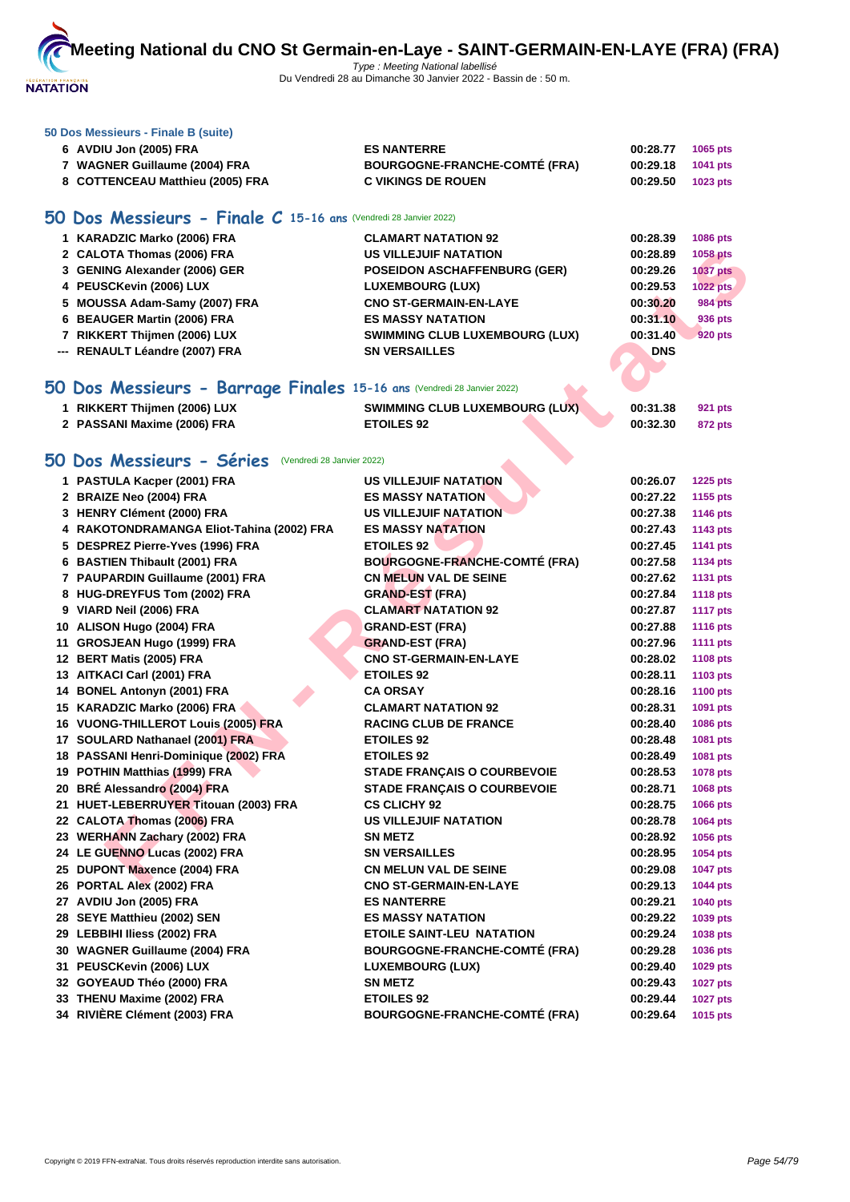

#### **[50 Dos M](http://www.ffnatation.fr/webffn/index.php)essieurs - Finale B (suite)**

| 6 AVDIU Jon (2005) FRA           | <b>ES NANTERRE</b>                   | 00:28.77 | <b>1065 pts</b> |
|----------------------------------|--------------------------------------|----------|-----------------|
| 7 WAGNER Guillaume (2004) FRA    | <b>BOURGOGNE-FRANCHE-COMTE (FRA)</b> | 00:29.18 | 1041 pts        |
| 8 COTTENCEAU Matthieu (2005) FRA | <b>C VIKINGS DE ROUEN</b>            | 00:29.50 | 1023 pts        |

# **50 Dos Messieurs - Finale C 15-16 ans** (Vendredi 28 Janvier 2022)

| 1 KARADZIC Marko (2006) FRA    | <b>CLAMART NATATION 92</b>            | 00:28.39   | <b>1086 pts</b> |
|--------------------------------|---------------------------------------|------------|-----------------|
| 2 CALOTA Thomas (2006) FRA     | <b>US VILLEJUIF NATATION</b>          | 00:28.89   | <b>1058 pts</b> |
| 3 GENING Alexander (2006) GER  | <b>POSEIDON ASCHAFFENBURG (GER)</b>   | 00:29.26   | <b>1037 pts</b> |
| 4 PEUSCKevin (2006) LUX        | <b>LUXEMBOURG (LUX)</b>               | 00:29.53   | 1022 pts        |
| 5 MOUSSA Adam-Samy (2007) FRA  | <b>CNO ST-GERMAIN-EN-LAYE</b>         | 00:30.20   | <b>984 pts</b>  |
| 6 BEAUGER Martin (2006) FRA    | <b>ES MASSY NATATION</b>              | 00:31.10   | 936 pts         |
| 7 RIKKERT Thijmen (2006) LUX   | <b>SWIMMING CLUB LUXEMBOURG (LUX)</b> | 00:31.40   | <b>920 pts</b>  |
| --- RENAULT Léandre (2007) FRA | <b>SN VERSAILLES</b>                  | <b>DNS</b> |                 |
|                                |                                       |            |                 |

# **50 Dos Messieurs - Barrage Finales 15-16 ans** (Vendredi 28 Janvier 2022)

| 1 RIKKERT Thijmen (2006) LUX | <b>SWIMMING CLUB LUXEMBOURG (LUX)</b> | 00:31.38 | 921 pts |
|------------------------------|---------------------------------------|----------|---------|
| 2 PASSANI Maxime (2006) FRA  | <b>ETOILES 92</b>                     | 00:32.30 | 872 pts |

# **50 Dos Messieurs - Séries** (Vendredi 28 Janvier 2022)

| 2 CALOTA Thomas (2006) FRA                                             | <b>US VILLEJUIF NATATION</b>          | 00:28.89   | 1058 pts        |
|------------------------------------------------------------------------|---------------------------------------|------------|-----------------|
| 3 GENING Alexander (2006) GER                                          | <b>POSEIDON ASCHAFFENBURG (GER)</b>   | 00:29.26   | <b>1037 pts</b> |
| 4 PEUSCKevin (2006) LUX                                                | <b>LUXEMBOURG (LUX)</b>               | 00:29.53   | 1022 pts        |
| 5 MOUSSA Adam-Samy (2007) FRA                                          | <b>CNO ST-GERMAIN-EN-LAYE</b>         | 00:30.20   | <b>984 pts</b>  |
| 6 BEAUGER Martin (2006) FRA                                            | <b>ES MASSY NATATION</b>              | 00:31.10   | 936 pts         |
| 7 RIKKERT Thijmen (2006) LUX                                           | <b>SWIMMING CLUB LUXEMBOURG (LUX)</b> | 00:31.40   | <b>920 pts</b>  |
| --- RENAULT Léandre (2007) FRA                                         | <b>SN VERSAILLES</b>                  | <b>DNS</b> |                 |
|                                                                        |                                       |            |                 |
|                                                                        |                                       |            |                 |
| O Dos Messieurs - Barrage Finales 15-16 ans (Vendredi 28 Janvier 2022) |                                       |            |                 |
| 1 RIKKERT Thijmen (2006) LUX                                           | <b>SWIMMING CLUB LUXEMBOURG (LUX)</b> | 00:31.38   | 921 pts         |
| 2 PASSANI Maxime (2006) FRA                                            | <b>ETOILES 92</b>                     | 00:32.30   | 872 pts         |
|                                                                        |                                       |            |                 |
| O Dos Messieurs - Séries (Vendredi 28 Janvier 2022)                    |                                       |            |                 |
| 1 PASTULA Kacper (2001) FRA                                            | <b>US VILLEJUIF NATATION</b>          | 00:26.07   | 1225 pts        |
| 2 BRAIZE Neo (2004) FRA                                                | <b>ES MASSY NATATION</b>              | 00:27.22   | 1155 pts        |
| 3 HENRY Clément (2000) FRA                                             | US VILLEJUIF NATATION                 | 00:27.38   | <b>1146 pts</b> |
| 4 RAKOTONDRAMANGA Eliot-Tahina (2002) FRA                              | <b>ES MASSY NATATION</b>              | 00:27.43   | 1143 pts        |
| 5 DESPREZ Pierre-Yves (1996) FRA                                       | <b>ETOILES 92</b>                     | 00:27.45   | 1141 pts        |
| 6 BASTIEN Thibault (2001) FRA                                          | <b>BOURGOGNE-FRANCHE-COMTÉ (FRA)</b>  | 00:27.58   | <b>1134 pts</b> |
| 7 PAUPARDIN Guillaume (2001) FRA                                       | <b>CN MELUN VAL DE SEINE</b>          | 00:27.62   | <b>1131 pts</b> |
| 8 HUG-DREYFUS Tom (2002) FRA                                           | <b>GRAND-EST (FRA)</b>                | 00:27.84   | <b>1118 pts</b> |
| 9 VIARD Neil (2006) FRA                                                | <b>CLAMART NATATION 92</b>            | 00:27.87   | <b>1117 pts</b> |
| 10 ALISON Hugo (2004) FRA                                              | <b>GRAND-EST (FRA)</b>                | 00:27.88   | <b>1116 pts</b> |
| 11 GROSJEAN Hugo (1999) FRA                                            | <b>GRAND-EST (FRA)</b>                | 00:27.96   | <b>1111 pts</b> |
| 12 BERT Matis (2005) FRA                                               | <b>CNO ST-GERMAIN-EN-LAYE</b>         | 00:28.02   | 1108 pts        |
| 13 AITKACI Carl (2001) FRA                                             | <b>ETOILES 92</b>                     | 00:28.11   | 1103 pts        |
| 14 BONEL Antonyn (2001) FRA                                            | <b>CA ORSAY</b>                       | 00:28.16   | 1100 pts        |
| 15 KARADZIC Marko (2006) FRA                                           | <b>CLAMART NATATION 92</b>            | 00:28.31   | 1091 pts        |
| 16 VUONG-THILLEROT Louis (2005) FRA                                    | <b>RACING CLUB DE FRANCE</b>          | 00:28.40   | 1086 pts        |
| 17 SOULARD Nathanael (2001) FRA                                        | <b>ETOILES 92</b>                     | 00:28.48   | 1081 pts        |
| 18 PASSANI Henri-Dominique (2002) FRA                                  | <b>ETOILES 92</b>                     | 00:28.49   | 1081 pts        |
| 19 POTHIN Matthias (1999) FRA                                          | <b>STADE FRANÇAIS O COURBEVOIE</b>    | 00:28.53   | 1078 pts        |
| 20 BRÉ Alessandro (2004) FRA                                           | <b>STADE FRANÇAIS O COURBEVOIE</b>    | 00:28.71   | 1068 pts        |
| 21 HUET-LEBERRUYER Titouan (2003) FRA                                  | <b>CS CLICHY 92</b>                   | 00:28.75   | 1066 pts        |
| 22 CALOTA Thomas (2006) FRA                                            | <b>US VILLEJUIF NATATION</b>          | 00:28.78   | 1064 pts        |
| 23 WERHANN Zachary (2002) FRA                                          | <b>SN METZ</b>                        | 00:28.92   | 1056 pts        |
| 24 LE GUENNO Lucas (2002) FRA                                          | <b>SN VERSAILLES</b>                  | 00:28.95   | 1054 pts        |
| 25 DUPONT Maxence (2004) FRA                                           | <b>CN MELUN VAL DE SEINE</b>          | 00:29.08   | <b>1047 pts</b> |
| 26 PORTAL Alex (2002) FRA                                              | <b>CNO ST-GERMAIN-EN-LAYE</b>         | 00:29.13   | <b>1044 pts</b> |
| 27 AVDIU Jon (2005) FRA                                                | <b>ES NANTERRE</b>                    | 00:29.21   | <b>1040 pts</b> |
| 28 SEYE Matthieu (2002) SEN                                            | <b>ES MASSY NATATION</b>              | 00:29.22   | 1039 pts        |
| 29 LEBBIHI Iliess (2002) FRA                                           | <b>ETOILE SAINT-LEU NATATION</b>      | 00:29.24   | 1038 pts        |
| 30 WAGNER Guillaume (2004) FRA                                         | <b>BOURGOGNE-FRANCHE-COMTÉ (FRA)</b>  | 00:29.28   | 1036 pts        |
| 31 PEUSCKevin (2006) LUX                                               | <b>LUXEMBOURG (LUX)</b>               | 00:29.40   | 1029 pts        |
| 32 GOYEAUD Théo (2000) FRA                                             | <b>SN METZ</b>                        | 00:29.43   | <b>1027 pts</b> |
| 33 THENU Maxime (2002) FRA                                             | <b>ETOILES 92</b>                     | 00:29.44   | <b>1027 pts</b> |
| 34 RIVIÈRE Clément (2003) FRA                                          | <b>BOURGOGNE-FRANCHE-COMTÉ (FRA)</b>  | 00:29.64   |                 |
|                                                                        |                                       |            | 1015 pts        |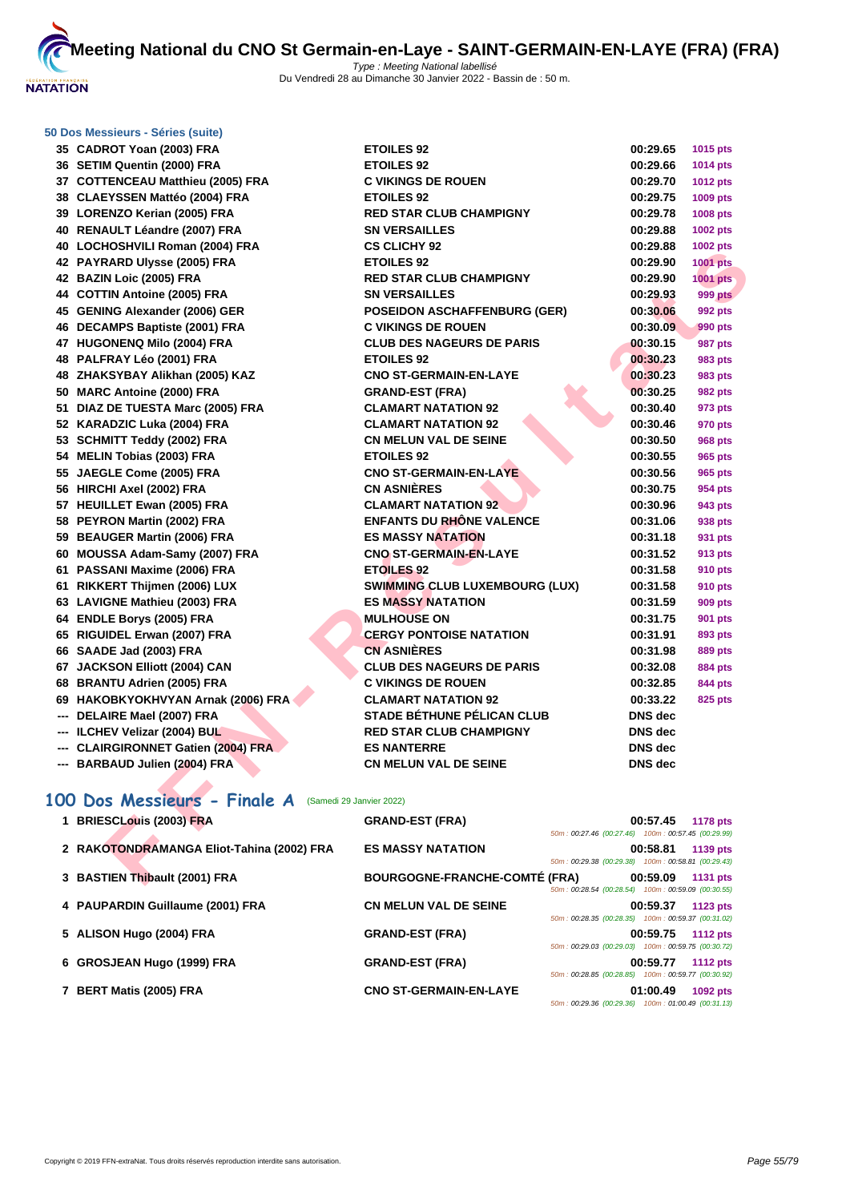

#### **[50 Dos M](http://www.ffnatation.fr/webffn/index.php)essieurs - Séries (suite)**

| 35 CADROT Yoan (2003) FRA                                | <b>ETOILES 92</b>                     | 00:29.65                                           | 1015 pts        |
|----------------------------------------------------------|---------------------------------------|----------------------------------------------------|-----------------|
| 36 SETIM Quentin (2000) FRA                              | <b>ETOILES 92</b>                     | 00:29.66                                           | <b>1014 pts</b> |
| 37 COTTENCEAU Matthieu (2005) FRA                        | <b>C VIKINGS DE ROUEN</b>             | 00:29.70                                           | <b>1012 pts</b> |
| 38 CLAEYSSEN Mattéo (2004) FRA                           | <b>ETOILES 92</b>                     | 00:29.75                                           | 1009 pts        |
| 39 LORENZO Kerian (2005) FRA                             | <b>RED STAR CLUB CHAMPIGNY</b>        | 00:29.78                                           | 1008 pts        |
| 40 RENAULT Léandre (2007) FRA                            | <b>SN VERSAILLES</b>                  | 00:29.88                                           | 1002 pts        |
| 40 LOCHOSHVILI Roman (2004) FRA                          | <b>CS CLICHY 92</b>                   | 00:29.88                                           | <b>1002 pts</b> |
| 42 PAYRARD Ulysse (2005) FRA                             | <b>ETOILES 92</b>                     | 00:29.90                                           | <b>1001 pts</b> |
| 42 BAZIN Loic (2005) FRA                                 | <b>RED STAR CLUB CHAMPIGNY</b>        | 00:29.90                                           | 1001 pts        |
| 44 COTTIN Antoine (2005) FRA                             | <b>SN VERSAILLES</b>                  | 00:29.93                                           | <b>999 pts</b>  |
| 45 GENING Alexander (2006) GER                           | <b>POSEIDON ASCHAFFENBURG (GER)</b>   | 00:30.06                                           | 992 pts         |
| 46 DECAMPS Baptiste (2001) FRA                           | <b>C VIKINGS DE ROUEN</b>             | 00:30.09                                           | 990 pts         |
| 47 HUGONENQ Milo (2004) FRA                              | <b>CLUB DES NAGEURS DE PARIS</b>      | 00:30.15                                           | 987 pts         |
| 48 PALFRAY Léo (2001) FRA                                | <b>ETOILES 92</b>                     | 00:30.23                                           | 983 pts         |
| 48 ZHAKSYBAY Alikhan (2005) KAZ                          | <b>CNO ST-GERMAIN-EN-LAYE</b>         | 00:30.23                                           | 983 pts         |
| 50 MARC Antoine (2000) FRA                               | <b>GRAND-EST (FRA)</b>                | 00:30.25                                           | 982 pts         |
| 51 DIAZ DE TUESTA Marc (2005) FRA                        | <b>CLAMART NATATION 92</b>            | 00:30.40                                           | 973 pts         |
| 52 KARADZIC Luka (2004) FRA                              | <b>CLAMART NATATION 92</b>            | 00:30.46                                           | 970 pts         |
| 53 SCHMITT Teddy (2002) FRA                              | <b>CN MELUN VAL DE SEINE</b>          | 00:30.50                                           | <b>968 pts</b>  |
| 54 MELIN Tobias (2003) FRA                               | <b>ETOILES 92</b>                     | 00:30.55                                           | 965 pts         |
| 55 JAEGLE Come (2005) FRA                                | <b>CNO ST-GERMAIN-EN-LAYE</b>         | 00:30.56                                           | 965 pts         |
| 56 HIRCHI Axel (2002) FRA                                | <b>CN ASNIÈRES</b>                    | 00:30.75                                           | 954 pts         |
| 57 HEUILLET Ewan (2005) FRA                              | <b>CLAMART NATATION 92</b>            | 00:30.96                                           | 943 pts         |
| 58 PEYRON Martin (2002) FRA                              | <b>ENFANTS DU RHÔNE VALENCE</b>       | 00:31.06                                           | 938 pts         |
| 59 BEAUGER Martin (2006) FRA                             | <b>ES MASSY NATATION</b>              | 00:31.18                                           | 931 pts         |
| 60 MOUSSA Adam-Samy (2007) FRA                           | <b>CNO ST-GERMAIN-EN-LAYE</b>         | 00:31.52                                           | 913 pts         |
| 61 PASSANI Maxime (2006) FRA                             | <b>ETOILES 92</b>                     | 00:31.58                                           | 910 pts         |
| 61 RIKKERT Thijmen (2006) LUX                            | <b>SWIMMING CLUB LUXEMBOURG (LUX)</b> | 00:31.58                                           | <b>910 pts</b>  |
| 63 LAVIGNE Mathieu (2003) FRA                            | <b>ES MASSY NATATION</b>              | 00:31.59                                           | <b>909 pts</b>  |
| 64 ENDLE Borys (2005) FRA                                | <b>MULHOUSE ON</b>                    | 00:31.75                                           | 901 pts         |
| 65 RIGUIDEL Erwan (2007) FRA                             | <b>CERGY PONTOISE NATATION</b>        | 00:31.91                                           | 893 pts         |
| 66 SAADE Jad (2003) FRA                                  | <b>CN ASNIÈRES</b>                    | 00:31.98                                           | 889 pts         |
| 67 JACKSON Elliott (2004) CAN                            | <b>CLUB DES NAGEURS DE PARIS</b>      | 00:32.08                                           | <b>884 pts</b>  |
| 68 BRANTU Adrien (2005) FRA                              | <b>C VIKINGS DE ROUEN</b>             | 00:32.85                                           | 844 pts         |
| 69 HAKOBKYOKHVYAN Arnak (2006) FRA                       | <b>CLAMART NATATION 92</b>            | 00:33.22                                           | 825 pts         |
| --- DELAIRE Mael (2007) FRA                              | <b>STADE BÉTHUNE PÉLICAN CLUB</b>     | DNS dec                                            |                 |
| --- ILCHEV Velizar (2004) BUL                            | <b>RED STAR CLUB CHAMPIGNY</b>        | DNS dec                                            |                 |
| --- CLAIRGIRONNET Gatien (2004) FRA                      | <b>ES NANTERRE</b>                    | <b>DNS</b> dec                                     |                 |
| --- BARBAUD Julien (2004) FRA                            | <b>CN MELUN VAL DE SEINE</b>          | DNS dec                                            |                 |
|                                                          |                                       |                                                    |                 |
| 100 Dos Messieurs - Finale A<br>(Samedi 29 Janvier 2022) |                                       |                                                    |                 |
| 1 BRIESCLouis (2003) FRA                                 | <b>GRAND-EST (FRA)</b>                | 00:57.45                                           | <b>1178 pts</b> |
|                                                          |                                       | 50m: 00:27.46 (00:27.46) 100m: 00:57.45 (00:29.99) |                 |
| 2 RAKOTONDRAMANGA Eliot-Tahina (2002) FRA                | <b>ES MASSY NATATION</b>              | 00:58.81                                           | 1139 pts        |
|                                                          |                                       | 50m: 00:29.38 (00:29.38) 100m: 00:58.81 (00:29.43) |                 |
| 3 BASTIEN Thibault (2001) FRA                            | <b>BOURGOGNE-FRANCHE-COMTÉ (FRA)</b>  | 00:59.09                                           | <b>1131 pts</b> |

# **100 Dos Messieurs - Finale A** (Samedi 29 Janvier 2022)

| 1 BRIESCLouis (2003) FRA                  | <b>GRAND-EST (FRA)</b>               |                                                    | 00:57.45 | 1178 pts        |
|-------------------------------------------|--------------------------------------|----------------------------------------------------|----------|-----------------|
|                                           |                                      | 50m: 00:27.46 (00:27.46) 100m: 00:57.45 (00:29.99) |          |                 |
| 2 RAKOTONDRAMANGA Eliot-Tahina (2002) FRA | <b>ES MASSY NATATION</b>             |                                                    | 00:58.81 | 1139 pts        |
|                                           |                                      | 50m: 00:29.38 (00:29.38) 100m: 00:58.81 (00:29.43) |          |                 |
| 3 BASTIEN Thibault (2001) FRA             | <b>BOURGOGNE-FRANCHE-COMTÉ (FRA)</b> |                                                    | 00:59.09 | <b>1131 pts</b> |
|                                           |                                      | 50m: 00:28.54 (00:28.54) 100m: 00:59.09 (00:30.55) |          |                 |
| 4 PAUPARDIN Guillaume (2001) FRA          | <b>CN MELUN VAL DE SEINE</b>         |                                                    | 00:59.37 | 1123 pts        |
|                                           |                                      | 50m: 00:28.35 (00:28.35) 100m: 00:59.37 (00:31.02) |          |                 |
| 5 ALISON Hugo (2004) FRA                  | <b>GRAND-EST (FRA)</b>               |                                                    | 00:59.75 | <b>1112 pts</b> |
|                                           |                                      | 50m: 00:29.03 (00:29.03) 100m: 00:59.75 (00:30.72) |          |                 |
| 6 GROSJEAN Hugo (1999) FRA                | <b>GRAND-EST (FRA)</b>               |                                                    | 00:59.77 | <b>1112 pts</b> |
|                                           |                                      | 50m: 00:28.85 (00:28.85) 100m: 00:59.77 (00:30.92) |          |                 |
| 7 BERT Matis (2005) FRA                   | <b>CNO ST-GERMAIN-EN-LAYE</b>        |                                                    | 01:00.49 | 1092 pts        |
|                                           |                                      | 50m: 00:29.36 (00:29.36) 100m: 01:00.49 (00:31.13) |          |                 |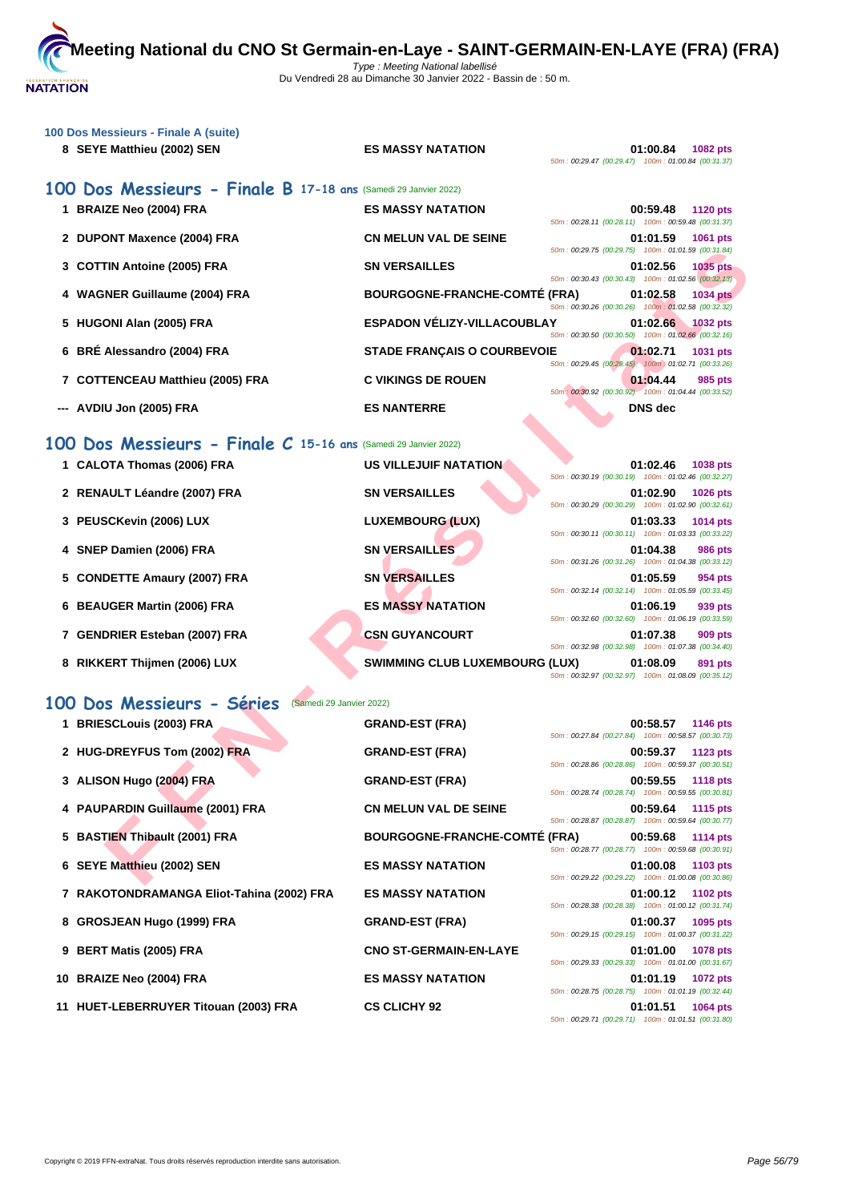

| 100 Dos Messieurs - Finale A (suite)<br>8 SEYE Matthieu (2002) SEN | <b>ES MASSY NATATION</b>             | 50m: 00:29.47 (00:29.47) 100m: 01:00.84 (00:31.37) | 01:00.84 1082 pts |                 |
|--------------------------------------------------------------------|--------------------------------------|----------------------------------------------------|-------------------|-----------------|
| 100 Dos Messieurs - Finale B 17-18 ans (Samedi 29 Janvier 2022)    |                                      |                                                    |                   |                 |
| 1 BRAIZE Neo (2004) FRA                                            | <b>ES MASSY NATATION</b>             | 50m: 00:28.11 (00:28.11) 100m: 00:59.48 (00:31.37) | 00:59.48          | <b>1120 pts</b> |
| 2 DUPONT Maxence (2004) FRA                                        | <b>CN MELUN VAL DE SEINE</b>         | 50m: 00:29.75 (00:29.75) 100m: 01:01.59 (00:31.84) | 01:01.59 1061 pts |                 |
| 3 COTTIN Antoine (2005) FRA                                        | <b>SN VERSAILLES</b>                 | 50m: 00:30.43 (00:30.43) 100m: 01:02.56 (00:32.13) | 01:02.56 1035 pts |                 |
| 4 WAGNER Guillaume (2004) FRA                                      | <b>BOURGOGNE-FRANCHE-COMTÉ (FRA)</b> | 50m: 00:30.26 (00:30.26) 100m: 01:02.58 (00:32.32) | 01:02.58 1034 pts |                 |
| 5 HUGONI Alan (2005) FRA                                           | ESPADON VÉLIZY-VILLACOUBLAY          | 50m: 00:30.50 (00:30.50) 100m: 01:02.66 (00:32.16) | 01:02.66 1032 pts |                 |
| 6 BRÉ Alessandro (2004) FRA                                        | <b>STADE FRANÇAIS O COURBEVOIE</b>   | 50m: 00:29.45 (00:29.45) 100m: 01:02.71 (00:33.26) | 01:02.71          | 1031 pts        |
| 7 COTTENCEAU Matthieu (2005) FRA                                   | <b>C VIKINGS DE ROUEN</b>            | 50m: 00:30.92 (00:30.92) 100m: 01:04.44 (00:33.52) | 01:04.44          | 985 pts         |
| --- AVDIU Jon (2005) FRA                                           | <b>ES NANTERRE</b>                   |                                                    | <b>DNS</b> dec    |                 |
| 100 Dos Messieurs - Finale C 15-16 ans (Samedi 29 Janvier 2022)    |                                      |                                                    |                   |                 |

|           |                                                             |                                       | 50m: 00:29.75 (00:29.75)  100m: 01:01.59 (00:31.84)                                                      |                |                 |
|-----------|-------------------------------------------------------------|---------------------------------------|----------------------------------------------------------------------------------------------------------|----------------|-----------------|
|           | 3 COTTIN Antoine (2005) FRA                                 | <b>SN VERSAILLES</b>                  | 50m: 00:30.43 (00:30.43) 100m: 01:02.56 (00:32.13)                                                       | 01:02.56       | <b>1035 pts</b> |
|           | 4 WAGNER Guillaume (2004) FRA                               | <b>BOURGOGNE-FRANCHE-COMTÉ (FRA)</b>  | 50m: 00:30.26 (00:30.26) 100m: 01:02.58 (00:32.32)                                                       | 01:02.58       | <b>1034 pts</b> |
|           | 5 HUGONI Alan (2005) FRA                                    | <b>ESPADON VÉLIZY-VILLACOUBLAY</b>    | 50m: 00:30.50 (00:30.50) 100m: 01:02.66 (00:32.16)                                                       | 01:02.66       | $1032$ pts      |
|           | 6 BRÉ Alessandro (2004) FRA                                 | <b>STADE FRANÇAIS O COURBEVOIE</b>    | 50m: 00:29.45 (00:29.45) 100m: 01:02.71 (00:33.26)                                                       | 01:02.71       | 1031 pts        |
|           | 7 COTTENCEAU Matthieu (2005) FRA                            | <b>C VIKINGS DE ROUEN</b>             | 50m: 00:30.92 (00:30.92) 100m: 01:04.44 (00:33.52)                                                       | 01:04.44       | 985 pts         |
|           | AVDIU Jon (2005) FRA                                        | <b>ES NANTERRE</b>                    |                                                                                                          | <b>DNS</b> dec |                 |
| <b>OO</b> | Dos Messieurs - Finale C 15-16 ans (Samedi 29 Janvier 2022) |                                       |                                                                                                          |                |                 |
|           | 1 CALOTA Thomas (2006) FRA                                  | <b>US VILLEJUIF NATATION</b>          | 50m: 00:30.19 (00:30.19) 100m: 01:02.46 (00:32.27)                                                       | 01:02.46       | 1038 pts        |
|           | 2 RENAULT Léandre (2007) FRA                                | <b>SN VERSAILLES</b>                  | 50m: 00:30.29 (00:30.29) 100m: 01:02.90 (00:32.61)                                                       | 01:02.90       | 1026 pts        |
|           | 3 PEUSCKevin (2006) LUX                                     | <b>LUXEMBOURG (LUX)</b>               | 50m: 00:30.11 (00:30.11) 100m: 01:03.33 (00:33.22)                                                       | 01:03.33       | 1014 pts        |
|           | 4 SNEP Damien (2006) FRA                                    | <b>SN VERSAILLES</b>                  |                                                                                                          | 01:04.38       | <b>986 pts</b>  |
|           | 5 CONDETTE Amaury (2007) FRA                                | <b>SN VERSAILLES</b>                  | 50m: 00:31.26 (00:31.26) 100m: 01:04.38 (00:33.12)                                                       | 01:05.59       | 954 pts         |
|           | 6 BEAUGER Martin (2006) FRA                                 | <b>ES MASSY NATATION</b>              | 50m: 00:32.14 (00:32.14) 100m: 01:05.59 (00:33.45)                                                       | 01:06.19       | 939 pts         |
|           | 7 GENDRIER Esteban (2007) FRA                               | <b>CSN GUYANCOURT</b>                 | 50m: 00:32.60 (00:32.60) 100m: 01:06.19 (00:33.59)                                                       | 01:07.38       | 909 pts         |
|           | 8 RIKKERT Thijmen (2006) LUX                                | <b>SWIMMING CLUB LUXEMBOURG (LUX)</b> | 50m: 00:32.98 (00:32.98) 100m: 01:07.38 (00:34.40)<br>50m: 00:32.97 (00:32.97) 100m: 01:08.09 (00:35.12) | 01:08.09       | 891 pts         |
|           | 00 Dos Messieurs - Séries<br>(Samedi 29 Janvier 2022)       |                                       |                                                                                                          |                |                 |
|           | 1 BRIESCLouis (2003) FRA                                    | <b>GRAND-EST (FRA)</b>                |                                                                                                          | 00:58.57       | 1146 pts        |
|           | 2 HUG-DREYFUS Tom (2002) FRA                                | <b>GRAND-EST (FRA)</b>                | 50m: 00:27.84 (00:27.84) 100m: 00:58.57 (00:30.73)                                                       | 00:59.37       | 1123 pts        |
|           | 3 ALISON Hugo (2004) FRA                                    | <b>GRAND-EST (FRA)</b>                | 50m: 00:28.86 (00:28.86) 100m: 00:59.37 (00:30.51)                                                       | 00:59.55       | <b>1118 pts</b> |
|           | 4 PAUPARDIN Guillaume (2001) FRA                            | <b>CN MELUN VAL DE SEINE</b>          | 50m: 00:28.74 (00:28.74) 100m: 00:59.55 (00:30.81)                                                       | 00:59.64       | <b>1115 pts</b> |
|           | 5 BASTIEN Thibault (2001) FRA                               | <b>BOURGOGNE-FRANCHE-COMTÉ (FRA)</b>  | 50m: 00:28.87 (00:28.87) 100m: 00:59.64 (00:30.77)                                                       | 00:59.68       | <b>1114 pts</b> |
|           | 6 SEYE Matthieu (2002) SEN                                  | <b>ES MASSY NATATION</b>              | 50m: 00:28.77 (00:28.77) 100m: 00:59.68 (00:30.91)                                                       | 01:00.08       | 1103 pts        |
|           |                                                             |                                       | 50m: 00:29.22 (00:29.22) 100m: 01:00.08 (00:30.86)                                                       |                |                 |

# **100 Dos Messieurs - Séries** (Samedi 29 Janvier 2022)

| 1 BRIESCLouis (2003) FRA                  | <b>GRAND-EST (FRA)</b>               |                                                    | 00:58.57 | 1146 pts          |
|-------------------------------------------|--------------------------------------|----------------------------------------------------|----------|-------------------|
| 2 HUG-DREYFUS Tom (2002) FRA              | <b>GRAND-EST (FRA)</b>               | 50m: 00:27.84 (00:27.84) 100m: 00:58.57 (00:30.73) | 00:59.37 | 1123 pts          |
|                                           |                                      | 50m: 00:28.86 (00:28.86) 100m: 00:59.37 (00:30.51) |          |                   |
| 3 ALISON Hugo (2004) FRA                  | <b>GRAND-EST (FRA)</b>               | 50m: 00:28.74 (00:28.74) 100m: 00:59.55 (00:30.81) |          | 00:59.55 1118 pts |
| 4 PAUPARDIN Guillaume (2001) FRA          | <b>CN MELUN VAL DE SEINE</b>         |                                                    |          | 00:59.64 1115 pts |
|                                           |                                      | 50m: 00:28.87 (00:28.87) 100m: 00:59.64 (00:30.77) |          |                   |
| 5 BASTIEN Thibault (2001) FRA             | <b>BOURGOGNE-FRANCHE-COMTÉ (FRA)</b> | 50m: 00:28.77 (00:28.77) 100m: 00:59.68 (00:30.91) |          | 00:59.68 1114 pts |
| 6 SEYE Matthieu (2002) SEN                | <b>ES MASSY NATATION</b>             |                                                    | 01:00.08 | 1103 pts          |
|                                           |                                      | 50m: 00:29.22 (00:29.22) 100m: 01:00.08 (00:30.86) |          |                   |
| 7 RAKOTONDRAMANGA Eliot-Tahina (2002) FRA | <b>ES MASSY NATATION</b>             |                                                    |          | 01:00.12 1102 pts |
|                                           |                                      | 50m: 00:28.38 (00:28.38) 100m: 01:00.12 (00:31.74) |          |                   |
| 8 GROSJEAN Hugo (1999) FRA                | <b>GRAND-EST (FRA)</b>               | 50m: 00:29.15 (00:29.15) 100m: 01:00.37 (00:31.22) | 01:00.37 | 1095 pts          |
| 9 BERT Matis (2005) FRA                   | <b>CNO ST-GERMAIN-EN-LAYE</b>        |                                                    | 01:01.00 | <b>1078 pts</b>   |
|                                           |                                      | 50m: 00:29.33 (00:29.33) 100m: 01:01.00 (00:31.67) |          |                   |
| 10 BRAIZE Neo (2004) FRA                  | <b>ES MASSY NATATION</b>             |                                                    | 01:01.19 | 1072 pts          |
|                                           |                                      | 50m: 00:28.75 (00:28.75) 100m: 01:01.19 (00:32.44) |          |                   |
| 11 HUET-LEBERRUYER Titouan (2003) FRA     | <b>CS CLICHY 92</b>                  |                                                    | 01:01.51 | 1064 pts          |
|                                           |                                      | 50m: 00:29.71 (00:29.71) 100m: 01:01.51 (00:31.80) |          |                   |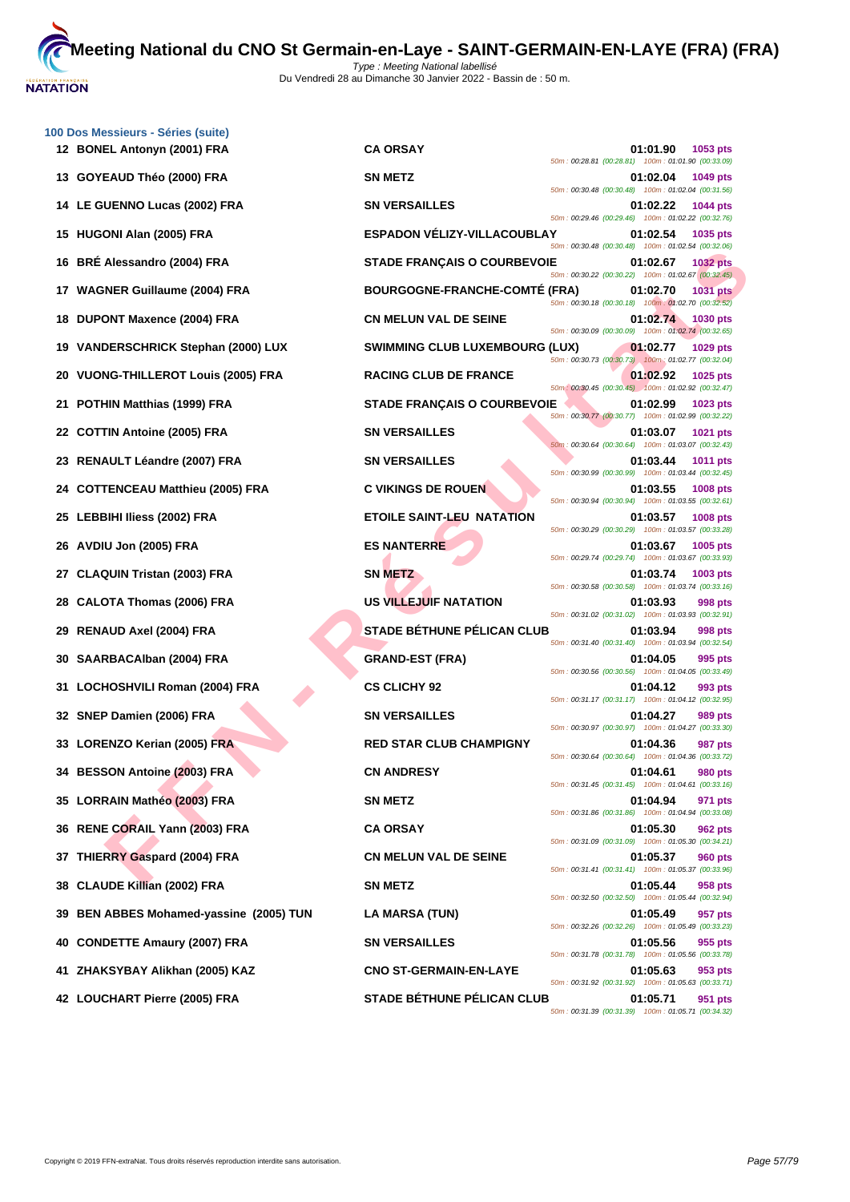

| 100 Dos Messieurs - Séries (suite)<br>12 BONEL Antonyn (2001) FRA | <b>CA ORSAY</b>                       | 01:01.90<br>1053 pts                                                                                                             |
|-------------------------------------------------------------------|---------------------------------------|----------------------------------------------------------------------------------------------------------------------------------|
| 13 GOYEAUD Théo (2000) FRA                                        | <b>SN METZ</b>                        | 50m: 00:28.81 (00:28.81) 100m: 01:01.90 (00:33.09)<br>01:02.04<br>1049 pts                                                       |
| 14 LE GUENNO Lucas (2002) FRA                                     | <b>SN VERSAILLES</b>                  | 50m: 00:30.48 (00:30.48) 100m: 01:02.04 (00:31.56)<br>01:02.22<br>1044 pts                                                       |
| 15 HUGONI Alan (2005) FRA                                         | <b>ESPADON VÉLIZY-VILLACOUBLAY</b>    | 50m: 00:29.46 (00:29.46) 100m: 01:02.22 (00:32.76)<br>01:02.54<br>1035 pts                                                       |
| <b>BRE Alessandro (2004) FRA</b><br>16.                           | <b>STADE FRANÇAIS O COURBEVOIE</b>    | 50m: 00:30.48 (00:30.48) 100m: 01:02.54 (00:32.06)<br>01:02.67<br><b>1032 pts</b>                                                |
| 17 WAGNER Guillaume (2004) FRA                                    | <b>BOURGOGNE-FRANCHE-COMTE (FRA)</b>  | 50m: 00:30.22 (00:30.22) 100m: 01:02.67 (00:32.45)<br>01:02.70<br><b>1031 pts</b>                                                |
| <b>DUPONT Maxence (2004) FRA</b><br>18.                           | <b>CN MELUN VAL DE SEINE</b>          | 50m: 00:30.18 (00:30.18) 100m: 01:02.70 (00:32.52)<br>01:02.74<br><b>1030 pts</b>                                                |
| <b>VANDERSCHRICK Stephan (2000) LUX</b><br>19.                    | <b>SWIMMING CLUB LUXEMBOURG (LUX)</b> | 50m: 00:30.09 (00:30.09) 100m: 01:02.74 (00:32.65)<br>01:02.77<br>1029 pts                                                       |
| 20 VUONG-THILLEROT Louis (2005) FRA                               | <b>RACING CLUB DE FRANCE</b>          | 50m: 00:30.73 (00:30.73) 100m: 01:02.77 (00:32.04)<br>01:02.92<br>1025 pts                                                       |
| POTHIN Matthias (1999) FRA<br>21                                  | <b>STADE FRANÇAIS O COURBEVOIE</b>    | 50m: 00:30.45 (00:30.45) 100m: 01:02.92 (00:32.47)<br>01:02.99<br>1023 pts                                                       |
| <b>COTTIN Antoine (2005) FRA</b><br>22                            | <b>SN VERSAILLES</b>                  | 50m: 00:30.77 (00:30.77) 100m: 01:02.99 (00:32.22)<br>01:03.07<br>1021 pts                                                       |
| 23 RENAULT Léandre (2007) FRA                                     | <b>SN VERSAILLES</b>                  | 50m: 00:30.64 (00:30.64) 100m: 01:03.07 (00:32.43)<br>01:03.44<br>1011 pts<br>50m: 00:30.99 (00:30.99) 100m: 01:03.44 (00:32.45) |
| 24 COTTENCEAU Matthieu (2005) FRA                                 | <b>C VIKINGS DE ROUEN</b>             | 01:03.55<br>1008 pts<br>50m: 00:30.94 (00:30.94) 100m: 01:03.55 (00:32.61)                                                       |
| <b>LEBBIHI Iliess (2002) FRA</b><br>25                            | <b>ETOILE SAINT-LEU NATATION</b>      | 01:03.57<br>1008 pts<br>50m: 00:30.29 (00:30.29) 100m: 01:03.57 (00:33.28)                                                       |
| 26 AVDIU Jon (2005) FRA                                           | <b>ES NANTERRE</b>                    | 01:03.67<br>1005 pts<br>50m: 00:29.74 (00:29.74) 100m: 01:03.67 (00:33.93)                                                       |
| <b>CLAQUIN Tristan (2003) FRA</b><br>27                           | <b>SN METZ</b>                        | 01:03.74<br>1003 pts<br>50m: 00:30.58 (00:30.58) 100m: 01:03.74 (00:33.16)                                                       |
| <b>CALOTA Thomas (2006) FRA</b><br>28                             | US VILLEJUIF NATATION                 | 01:03.93<br>998 pts<br>50m: 00:31.02 (00:31.02) 100m: 01:03.93 (00:32.91)                                                        |
| <b>RENAUD Axel (2004) FRA</b><br>29                               | <b>STADE BÉTHUNE PÉLICAN CLUB</b>     | 01:03.94<br>998 pts<br>50m: 00:31.40 (00:31.40) 100m: 01:03.94 (00:32.54)                                                        |
| SAARBACAIban (2004) FRA<br>30                                     | <b>GRAND-EST (FRA)</b>                | 01:04.05<br>995 pts<br>50m: 00:30.56 (00:30.56) 100m: 01:04.05 (00:33.49)                                                        |
| LOCHOSHVILI Roman (2004) FRA<br>31.                               | <b>CS CLICHY 92</b>                   | 01:04.12<br>993 pts<br>50m: 00:31.17 (00:31.17) 100m: 01:04.12 (00:32.95)                                                        |
| 32 SNEP Damien (2006) FRA                                         | <b>SN VERSAILLES</b>                  | 01:04.27<br>989 pts<br>50m: 00:30.97 (00:30.97) 100m: 01:04.27 (00:33.30)                                                        |
| 33 LORENZO Kerian (2005) FRA                                      | <b>RED STAR CLUB CHAMPIGNY</b>        | 01:04.36<br>987 pts<br>50m: 00:30.64 (00:30.64) 100m: 01:04.36 (00:33.72)                                                        |
| 34 BESSON Antoine (2003) FRA                                      | <b>CN ANDRESY</b>                     | 01:04.61<br>980 pts<br>50m: 00:31.45 (00:31.45) 100m: 01:04.61 (00:33.16)                                                        |
| 35 LORRAIN Mathéo (2003) FRA                                      | <b>SN METZ</b>                        | 01:04.94<br>971 pts<br>50m: 00:31.86 (00:31.86) 100m: 01:04.94 (00:33.08)                                                        |
| 36 RENE CORAIL Yann (2003) FRA                                    | <b>CA ORSAY</b>                       | 01:05.30<br>962 pts<br>50m: 00:31.09 (00:31.09) 100m: 01:05.30 (00:34.21)                                                        |
| 37 THIERRY Gaspard (2004) FRA                                     | <b>CN MELUN VAL DE SEINE</b>          | 01:05.37<br><b>960 pts</b><br>50m: 00:31.41 (00:31.41) 100m: 01:05.37 (00:33.96)                                                 |
| <b>CLAUDE Killian (2002) FRA</b><br>38                            | <b>SN METZ</b>                        | 01:05.44<br>958 pts<br>50m: 00:32.50 (00:32.50) 100m: 01:05.44 (00:32.94)                                                        |
| BEN ABBES Mohamed-yassine (2005) TUN<br>39                        | <b>LA MARSA (TUN)</b>                 | 01:05.49<br>957 pts<br>50m: 00:32.26 (00:32.26) 100m: 01:05.49 (00:33.23)                                                        |
| <b>CONDETTE Amaury (2007) FRA</b><br>40.                          | <b>SN VERSAILLES</b>                  | 01:05.56<br>955 pts<br>50m: 00:31.78 (00:31.78) 100m: 01:05.56 (00:33.78)                                                        |
| ZHAKSYBAY Alikhan (2005) KAZ<br>41                                | <b>CNO ST-GERMAIN-EN-LAYE</b>         | 01:05.63<br>953 pts<br>50m: 00:31.92 (00:31.92) 100m: 01:05.63 (00:33.71)                                                        |
| 42 LOUCHART Pierre (2005) FRA                                     | <b>STADE BÉTHUNE PÉLICAN CLUB</b>     | 01:05.71<br>951 pts<br>50m: 00:31.39 (00:31.39) 100m: 01:05.71 (00:34.32)                                                        |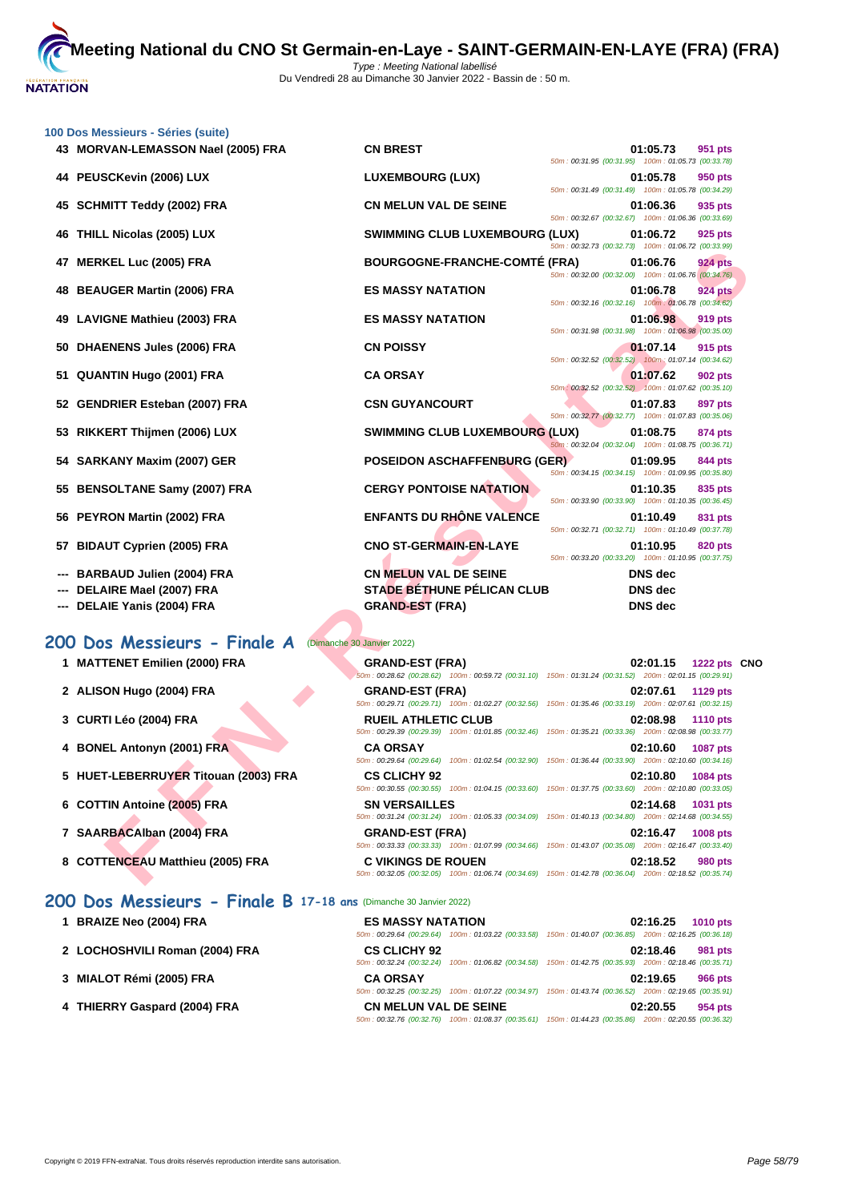

| 43 MORVAN-LEMASSON Nael (2005) FRA<br><b>CN BREST</b><br>01:05.73<br>50m: 00:31.95 (00:31.95) 100m: 01:05.73 (00:33.78)<br>44 PEUSCKevin (2006) LUX<br><b>LUXEMBOURG (LUX)</b><br>01:05.78<br>50m: 00:31.49 (00:31.49) 100m: 01:05.78 (00:34.29)<br><b>SCHMITT Teddy (2002) FRA</b><br><b>CN MELUN VAL DE SEINE</b><br>45<br>01:06.36<br>50m: 00:32.67 (00:32.67) 100m: 01:06.36 (00:33.69)<br><b>THILL Nicolas (2005) LUX</b><br><b>SWIMMING CLUB LUXEMBOURG (LUX)</b><br>46<br>01:06.72<br>50m: 00:32.73 (00:32.73) 100m: 01:06.72 (00:33.99)<br><b>BOURGOGNE-FRANCHE-COMTÉ (FRA)</b><br><b>MERKEL Luc (2005) FRA</b><br>01:06.76<br>47<br>50m: 00:32.00 (00:32.00) 100m: 01:06.76 (00:34.76)<br><b>BEAUGER Martin (2006) FRA</b><br><b>ES MASSY NATATION</b><br>01:06.78<br>48<br>50m: 00:32.16 (00:32.16) 100m: 01:06.78 (00:34.62)<br><b>LAVIGNE Mathieu (2003) FRA</b><br><b>ES MASSY NATATION</b><br>49<br>01:06.98<br>50m: 00:31.98 (00:31.98) 100m: 01:06.98 (00:35.00)<br><b>DHAENENS Jules (2006) FRA</b><br><b>CN POISSY</b><br>01:07.14<br>50<br>50m: 00:32.52 (00:32.52) 100m: 01:07.14 (00:34.62)<br>51 QUANTIN Hugo (2001) FRA<br><b>CA ORSAY</b><br>01:07.62<br>50m: 00:32.52 (00:32.52) 100m: 01:07.62 (00:35.10)<br><b>CSN GUYANCOURT</b><br>52 GENDRIER Esteban (2007) FRA<br>01:07.83<br>50m: 00:32.77 (00:32.77) 100m: 01:07.83 (00:35.06)<br>RIKKERT Thijmen (2006) LUX<br><b>SWIMMING CLUB LUXEMBOURG (LUX)</b><br>01:08.75<br>53<br>50m: 00:32.04 (00:32.04) 100m: 01:08.75 (00:36.71)<br>54 SARKANY Maxim (2007) GER<br><b>POSEIDON ASCHAFFENBURG (GER)</b><br>01:09.95<br>50m: 00:34.15 (00:34.15) 100m: 01:09.95 (00:35.80)<br><b>CERGY PONTOISE NATATION</b><br><b>BENSOLTANE Samy (2007) FRA</b><br>01:10.35<br>55<br>50m: 00:33.90 (00:33.90) 100m: 01:10.35 (00:36.45)<br><b>ENFANTS DU RHÔNE VALENCE</b><br><b>PEYRON Martin (2002) FRA</b><br>01:10.49<br>56<br>50m: 00:32.71 (00:32.71) 100m: 01:10.49 (00:37.78)<br><b>BIDAUT Cyprien (2005) FRA</b><br><b>CNO ST-GERMAIN-EN-LAYE</b><br>01:10.95<br>57<br>50m: 00:33.20 (00:33.20) 100m: 01:10.95 (00:37.75)<br><b>CN MELUN VAL DE SEINE</b><br><b>DNS</b> dec<br>BARBAUD Julien (2004) FRA<br><b>STADE BÉTHUNE PÉLICAN CLUB</b><br>DELAIRE Mael (2007) FRA<br><b>DNS</b> dec<br>DELAIE Yanis (2004) FRA<br><b>GRAND-EST (FRA)</b><br>DNS dec<br>200 Dos Messieurs - Finale A<br>(Dimanche 30 Janvier 2022)<br>1 MATTENET Emilien (2000) FRA<br><b>GRAND-EST (FRA)</b><br>02:01.15<br>50m: 00:28.62 (00:28.62) 100m: 00:59.72 (00:31.10) 150m: 01:31.24 (00:31.52) 200m: 02:01.15 (00:29.91)<br>2 ALISON Hugo (2004) FRA<br><b>GRAND-EST (FRA)</b><br>02:07.61<br>50m: 00:29.71 (00:29.71) 100m: 01:02.27 (00:32.56) 150m: 01:35.46 (00:33.19) 200m: 02:07.61 (00:32.15)<br>3 CURTI Léo (2004) FRA<br><b>RUEIL ATHLETIC CLUB</b><br>02:08.98<br>50m: 00:29.39 (00:29.39) 100m: 01:01.85 (00:32.46) 150m: 01:35.21 (00:33.36) 200m: 02:08.98 (00:33.77)<br>4 BONEL Antonyn (2001) FRA<br><b>CA ORSAY</b><br>02:10.60<br>50m : 00:29.64 (00:29.64) 100m : 01:02.54 (00:32.90) 150m : 01:36.44 (00:33.90) 200m : 02:10.60 (00:34.16)<br>5 HUET-LEBERRUYER Titouan (2003) FRA<br><b>CS CLICHY 92</b><br>02:10.80<br>50m: 00:30.55 (00:30.55) 100m: 01:04.15 (00:33.60) 150m: 01:37.75 (00:33.60) 200m: 02:10.80 (00:33.05)<br>6 COTTIN Antoine (2005) FRA<br><b>SN VERSAILLES</b><br>02:14.68<br>50m: 00:31.24 (00:31.24) 100m: 01:05.33 (00:34.09)<br>150m: 01:40.13 (00:34.80) 200m: 02:14.68 (00:34.55)<br>7 SAARBACAIban (2004) FRA<br><b>GRAND-EST (FRA)</b><br>02:16.47<br>50m: 00:33.33 (00:33.33) 100m: 01:07.99 (00:34.66)<br>150m: 01:43.07 (00:35.08) 200m: 02:16.47 (00:33.40)<br>8 COTTENCEAU Matthieu (2005) FRA<br><b>C VIKINGS DE ROUEN</b><br>02:18.52<br>50m: 00:32.05 (00:32.05) 100m: 01:06.74 (00:34.69) 150m: 01:42.78 (00:36.04) 200m: 02:18.52 (00:35.74) | 100 Dos Messieurs - Séries (suite) |  |                 |  |
|--------------------------------------------------------------------------------------------------------------------------------------------------------------------------------------------------------------------------------------------------------------------------------------------------------------------------------------------------------------------------------------------------------------------------------------------------------------------------------------------------------------------------------------------------------------------------------------------------------------------------------------------------------------------------------------------------------------------------------------------------------------------------------------------------------------------------------------------------------------------------------------------------------------------------------------------------------------------------------------------------------------------------------------------------------------------------------------------------------------------------------------------------------------------------------------------------------------------------------------------------------------------------------------------------------------------------------------------------------------------------------------------------------------------------------------------------------------------------------------------------------------------------------------------------------------------------------------------------------------------------------------------------------------------------------------------------------------------------------------------------------------------------------------------------------------------------------------------------------------------------------------------------------------------------------------------------------------------------------------------------------------------------------------------------------------------------------------------------------------------------------------------------------------------------------------------------------------------------------------------------------------------------------------------------------------------------------------------------------------------------------------------------------------------------------------------------------------------------------------------------------------------------------------------------------------------------------------------------------------------------------------------------------------------------------------------------------------------------------------------------------------------------------------------------------------------------------------------------------------------------------------------------------------------------------------------------------------------------------------------------------------------------------------------------------------------------------------------------------------------------------------------------------------------------------------------------------------------------------------------------------------------------------------------------------------------------------------------------------------------------------------------------------------------------------------------------------------------------------------------------------------------------------------------------------------------------------------------------------------------------------------------------------------------------------------------------------------------------------------------------------------------------------------------------------------------------------------------------------------------|------------------------------------|--|-----------------|--|
|                                                                                                                                                                                                                                                                                                                                                                                                                                                                                                                                                                                                                                                                                                                                                                                                                                                                                                                                                                                                                                                                                                                                                                                                                                                                                                                                                                                                                                                                                                                                                                                                                                                                                                                                                                                                                                                                                                                                                                                                                                                                                                                                                                                                                                                                                                                                                                                                                                                                                                                                                                                                                                                                                                                                                                                                                                                                                                                                                                                                                                                                                                                                                                                                                                                                                                                                                                                                                                                                                                                                                                                                                                                                                                                                                                                                                                                                    |                                    |  | 951 pts         |  |
|                                                                                                                                                                                                                                                                                                                                                                                                                                                                                                                                                                                                                                                                                                                                                                                                                                                                                                                                                                                                                                                                                                                                                                                                                                                                                                                                                                                                                                                                                                                                                                                                                                                                                                                                                                                                                                                                                                                                                                                                                                                                                                                                                                                                                                                                                                                                                                                                                                                                                                                                                                                                                                                                                                                                                                                                                                                                                                                                                                                                                                                                                                                                                                                                                                                                                                                                                                                                                                                                                                                                                                                                                                                                                                                                                                                                                                                                    |                                    |  | 950 pts         |  |
|                                                                                                                                                                                                                                                                                                                                                                                                                                                                                                                                                                                                                                                                                                                                                                                                                                                                                                                                                                                                                                                                                                                                                                                                                                                                                                                                                                                                                                                                                                                                                                                                                                                                                                                                                                                                                                                                                                                                                                                                                                                                                                                                                                                                                                                                                                                                                                                                                                                                                                                                                                                                                                                                                                                                                                                                                                                                                                                                                                                                                                                                                                                                                                                                                                                                                                                                                                                                                                                                                                                                                                                                                                                                                                                                                                                                                                                                    |                                    |  | 935 pts         |  |
|                                                                                                                                                                                                                                                                                                                                                                                                                                                                                                                                                                                                                                                                                                                                                                                                                                                                                                                                                                                                                                                                                                                                                                                                                                                                                                                                                                                                                                                                                                                                                                                                                                                                                                                                                                                                                                                                                                                                                                                                                                                                                                                                                                                                                                                                                                                                                                                                                                                                                                                                                                                                                                                                                                                                                                                                                                                                                                                                                                                                                                                                                                                                                                                                                                                                                                                                                                                                                                                                                                                                                                                                                                                                                                                                                                                                                                                                    |                                    |  | 925 pts         |  |
|                                                                                                                                                                                                                                                                                                                                                                                                                                                                                                                                                                                                                                                                                                                                                                                                                                                                                                                                                                                                                                                                                                                                                                                                                                                                                                                                                                                                                                                                                                                                                                                                                                                                                                                                                                                                                                                                                                                                                                                                                                                                                                                                                                                                                                                                                                                                                                                                                                                                                                                                                                                                                                                                                                                                                                                                                                                                                                                                                                                                                                                                                                                                                                                                                                                                                                                                                                                                                                                                                                                                                                                                                                                                                                                                                                                                                                                                    |                                    |  | <b>924 pts</b>  |  |
|                                                                                                                                                                                                                                                                                                                                                                                                                                                                                                                                                                                                                                                                                                                                                                                                                                                                                                                                                                                                                                                                                                                                                                                                                                                                                                                                                                                                                                                                                                                                                                                                                                                                                                                                                                                                                                                                                                                                                                                                                                                                                                                                                                                                                                                                                                                                                                                                                                                                                                                                                                                                                                                                                                                                                                                                                                                                                                                                                                                                                                                                                                                                                                                                                                                                                                                                                                                                                                                                                                                                                                                                                                                                                                                                                                                                                                                                    |                                    |  | <b>924 pts</b>  |  |
|                                                                                                                                                                                                                                                                                                                                                                                                                                                                                                                                                                                                                                                                                                                                                                                                                                                                                                                                                                                                                                                                                                                                                                                                                                                                                                                                                                                                                                                                                                                                                                                                                                                                                                                                                                                                                                                                                                                                                                                                                                                                                                                                                                                                                                                                                                                                                                                                                                                                                                                                                                                                                                                                                                                                                                                                                                                                                                                                                                                                                                                                                                                                                                                                                                                                                                                                                                                                                                                                                                                                                                                                                                                                                                                                                                                                                                                                    |                                    |  | 919 pts         |  |
|                                                                                                                                                                                                                                                                                                                                                                                                                                                                                                                                                                                                                                                                                                                                                                                                                                                                                                                                                                                                                                                                                                                                                                                                                                                                                                                                                                                                                                                                                                                                                                                                                                                                                                                                                                                                                                                                                                                                                                                                                                                                                                                                                                                                                                                                                                                                                                                                                                                                                                                                                                                                                                                                                                                                                                                                                                                                                                                                                                                                                                                                                                                                                                                                                                                                                                                                                                                                                                                                                                                                                                                                                                                                                                                                                                                                                                                                    |                                    |  | 915 pts         |  |
|                                                                                                                                                                                                                                                                                                                                                                                                                                                                                                                                                                                                                                                                                                                                                                                                                                                                                                                                                                                                                                                                                                                                                                                                                                                                                                                                                                                                                                                                                                                                                                                                                                                                                                                                                                                                                                                                                                                                                                                                                                                                                                                                                                                                                                                                                                                                                                                                                                                                                                                                                                                                                                                                                                                                                                                                                                                                                                                                                                                                                                                                                                                                                                                                                                                                                                                                                                                                                                                                                                                                                                                                                                                                                                                                                                                                                                                                    |                                    |  | 902 pts         |  |
|                                                                                                                                                                                                                                                                                                                                                                                                                                                                                                                                                                                                                                                                                                                                                                                                                                                                                                                                                                                                                                                                                                                                                                                                                                                                                                                                                                                                                                                                                                                                                                                                                                                                                                                                                                                                                                                                                                                                                                                                                                                                                                                                                                                                                                                                                                                                                                                                                                                                                                                                                                                                                                                                                                                                                                                                                                                                                                                                                                                                                                                                                                                                                                                                                                                                                                                                                                                                                                                                                                                                                                                                                                                                                                                                                                                                                                                                    |                                    |  | 897 pts         |  |
|                                                                                                                                                                                                                                                                                                                                                                                                                                                                                                                                                                                                                                                                                                                                                                                                                                                                                                                                                                                                                                                                                                                                                                                                                                                                                                                                                                                                                                                                                                                                                                                                                                                                                                                                                                                                                                                                                                                                                                                                                                                                                                                                                                                                                                                                                                                                                                                                                                                                                                                                                                                                                                                                                                                                                                                                                                                                                                                                                                                                                                                                                                                                                                                                                                                                                                                                                                                                                                                                                                                                                                                                                                                                                                                                                                                                                                                                    |                                    |  | 874 pts         |  |
|                                                                                                                                                                                                                                                                                                                                                                                                                                                                                                                                                                                                                                                                                                                                                                                                                                                                                                                                                                                                                                                                                                                                                                                                                                                                                                                                                                                                                                                                                                                                                                                                                                                                                                                                                                                                                                                                                                                                                                                                                                                                                                                                                                                                                                                                                                                                                                                                                                                                                                                                                                                                                                                                                                                                                                                                                                                                                                                                                                                                                                                                                                                                                                                                                                                                                                                                                                                                                                                                                                                                                                                                                                                                                                                                                                                                                                                                    |                                    |  | 844 pts         |  |
|                                                                                                                                                                                                                                                                                                                                                                                                                                                                                                                                                                                                                                                                                                                                                                                                                                                                                                                                                                                                                                                                                                                                                                                                                                                                                                                                                                                                                                                                                                                                                                                                                                                                                                                                                                                                                                                                                                                                                                                                                                                                                                                                                                                                                                                                                                                                                                                                                                                                                                                                                                                                                                                                                                                                                                                                                                                                                                                                                                                                                                                                                                                                                                                                                                                                                                                                                                                                                                                                                                                                                                                                                                                                                                                                                                                                                                                                    |                                    |  | 835 pts         |  |
|                                                                                                                                                                                                                                                                                                                                                                                                                                                                                                                                                                                                                                                                                                                                                                                                                                                                                                                                                                                                                                                                                                                                                                                                                                                                                                                                                                                                                                                                                                                                                                                                                                                                                                                                                                                                                                                                                                                                                                                                                                                                                                                                                                                                                                                                                                                                                                                                                                                                                                                                                                                                                                                                                                                                                                                                                                                                                                                                                                                                                                                                                                                                                                                                                                                                                                                                                                                                                                                                                                                                                                                                                                                                                                                                                                                                                                                                    |                                    |  | 831 pts         |  |
|                                                                                                                                                                                                                                                                                                                                                                                                                                                                                                                                                                                                                                                                                                                                                                                                                                                                                                                                                                                                                                                                                                                                                                                                                                                                                                                                                                                                                                                                                                                                                                                                                                                                                                                                                                                                                                                                                                                                                                                                                                                                                                                                                                                                                                                                                                                                                                                                                                                                                                                                                                                                                                                                                                                                                                                                                                                                                                                                                                                                                                                                                                                                                                                                                                                                                                                                                                                                                                                                                                                                                                                                                                                                                                                                                                                                                                                                    |                                    |  | 820 pts         |  |
|                                                                                                                                                                                                                                                                                                                                                                                                                                                                                                                                                                                                                                                                                                                                                                                                                                                                                                                                                                                                                                                                                                                                                                                                                                                                                                                                                                                                                                                                                                                                                                                                                                                                                                                                                                                                                                                                                                                                                                                                                                                                                                                                                                                                                                                                                                                                                                                                                                                                                                                                                                                                                                                                                                                                                                                                                                                                                                                                                                                                                                                                                                                                                                                                                                                                                                                                                                                                                                                                                                                                                                                                                                                                                                                                                                                                                                                                    |                                    |  |                 |  |
|                                                                                                                                                                                                                                                                                                                                                                                                                                                                                                                                                                                                                                                                                                                                                                                                                                                                                                                                                                                                                                                                                                                                                                                                                                                                                                                                                                                                                                                                                                                                                                                                                                                                                                                                                                                                                                                                                                                                                                                                                                                                                                                                                                                                                                                                                                                                                                                                                                                                                                                                                                                                                                                                                                                                                                                                                                                                                                                                                                                                                                                                                                                                                                                                                                                                                                                                                                                                                                                                                                                                                                                                                                                                                                                                                                                                                                                                    |                                    |  |                 |  |
|                                                                                                                                                                                                                                                                                                                                                                                                                                                                                                                                                                                                                                                                                                                                                                                                                                                                                                                                                                                                                                                                                                                                                                                                                                                                                                                                                                                                                                                                                                                                                                                                                                                                                                                                                                                                                                                                                                                                                                                                                                                                                                                                                                                                                                                                                                                                                                                                                                                                                                                                                                                                                                                                                                                                                                                                                                                                                                                                                                                                                                                                                                                                                                                                                                                                                                                                                                                                                                                                                                                                                                                                                                                                                                                                                                                                                                                                    |                                    |  |                 |  |
|                                                                                                                                                                                                                                                                                                                                                                                                                                                                                                                                                                                                                                                                                                                                                                                                                                                                                                                                                                                                                                                                                                                                                                                                                                                                                                                                                                                                                                                                                                                                                                                                                                                                                                                                                                                                                                                                                                                                                                                                                                                                                                                                                                                                                                                                                                                                                                                                                                                                                                                                                                                                                                                                                                                                                                                                                                                                                                                                                                                                                                                                                                                                                                                                                                                                                                                                                                                                                                                                                                                                                                                                                                                                                                                                                                                                                                                                    |                                    |  |                 |  |
|                                                                                                                                                                                                                                                                                                                                                                                                                                                                                                                                                                                                                                                                                                                                                                                                                                                                                                                                                                                                                                                                                                                                                                                                                                                                                                                                                                                                                                                                                                                                                                                                                                                                                                                                                                                                                                                                                                                                                                                                                                                                                                                                                                                                                                                                                                                                                                                                                                                                                                                                                                                                                                                                                                                                                                                                                                                                                                                                                                                                                                                                                                                                                                                                                                                                                                                                                                                                                                                                                                                                                                                                                                                                                                                                                                                                                                                                    |                                    |  | 1222 pts CNO    |  |
|                                                                                                                                                                                                                                                                                                                                                                                                                                                                                                                                                                                                                                                                                                                                                                                                                                                                                                                                                                                                                                                                                                                                                                                                                                                                                                                                                                                                                                                                                                                                                                                                                                                                                                                                                                                                                                                                                                                                                                                                                                                                                                                                                                                                                                                                                                                                                                                                                                                                                                                                                                                                                                                                                                                                                                                                                                                                                                                                                                                                                                                                                                                                                                                                                                                                                                                                                                                                                                                                                                                                                                                                                                                                                                                                                                                                                                                                    |                                    |  |                 |  |
|                                                                                                                                                                                                                                                                                                                                                                                                                                                                                                                                                                                                                                                                                                                                                                                                                                                                                                                                                                                                                                                                                                                                                                                                                                                                                                                                                                                                                                                                                                                                                                                                                                                                                                                                                                                                                                                                                                                                                                                                                                                                                                                                                                                                                                                                                                                                                                                                                                                                                                                                                                                                                                                                                                                                                                                                                                                                                                                                                                                                                                                                                                                                                                                                                                                                                                                                                                                                                                                                                                                                                                                                                                                                                                                                                                                                                                                                    |                                    |  | 1129 pts        |  |
|                                                                                                                                                                                                                                                                                                                                                                                                                                                                                                                                                                                                                                                                                                                                                                                                                                                                                                                                                                                                                                                                                                                                                                                                                                                                                                                                                                                                                                                                                                                                                                                                                                                                                                                                                                                                                                                                                                                                                                                                                                                                                                                                                                                                                                                                                                                                                                                                                                                                                                                                                                                                                                                                                                                                                                                                                                                                                                                                                                                                                                                                                                                                                                                                                                                                                                                                                                                                                                                                                                                                                                                                                                                                                                                                                                                                                                                                    |                                    |  | <b>1110 pts</b> |  |
|                                                                                                                                                                                                                                                                                                                                                                                                                                                                                                                                                                                                                                                                                                                                                                                                                                                                                                                                                                                                                                                                                                                                                                                                                                                                                                                                                                                                                                                                                                                                                                                                                                                                                                                                                                                                                                                                                                                                                                                                                                                                                                                                                                                                                                                                                                                                                                                                                                                                                                                                                                                                                                                                                                                                                                                                                                                                                                                                                                                                                                                                                                                                                                                                                                                                                                                                                                                                                                                                                                                                                                                                                                                                                                                                                                                                                                                                    |                                    |  | <b>1087 pts</b> |  |
|                                                                                                                                                                                                                                                                                                                                                                                                                                                                                                                                                                                                                                                                                                                                                                                                                                                                                                                                                                                                                                                                                                                                                                                                                                                                                                                                                                                                                                                                                                                                                                                                                                                                                                                                                                                                                                                                                                                                                                                                                                                                                                                                                                                                                                                                                                                                                                                                                                                                                                                                                                                                                                                                                                                                                                                                                                                                                                                                                                                                                                                                                                                                                                                                                                                                                                                                                                                                                                                                                                                                                                                                                                                                                                                                                                                                                                                                    |                                    |  | 1084 pts        |  |
|                                                                                                                                                                                                                                                                                                                                                                                                                                                                                                                                                                                                                                                                                                                                                                                                                                                                                                                                                                                                                                                                                                                                                                                                                                                                                                                                                                                                                                                                                                                                                                                                                                                                                                                                                                                                                                                                                                                                                                                                                                                                                                                                                                                                                                                                                                                                                                                                                                                                                                                                                                                                                                                                                                                                                                                                                                                                                                                                                                                                                                                                                                                                                                                                                                                                                                                                                                                                                                                                                                                                                                                                                                                                                                                                                                                                                                                                    |                                    |  | 1031 pts        |  |
|                                                                                                                                                                                                                                                                                                                                                                                                                                                                                                                                                                                                                                                                                                                                                                                                                                                                                                                                                                                                                                                                                                                                                                                                                                                                                                                                                                                                                                                                                                                                                                                                                                                                                                                                                                                                                                                                                                                                                                                                                                                                                                                                                                                                                                                                                                                                                                                                                                                                                                                                                                                                                                                                                                                                                                                                                                                                                                                                                                                                                                                                                                                                                                                                                                                                                                                                                                                                                                                                                                                                                                                                                                                                                                                                                                                                                                                                    |                                    |  | <b>1008 pts</b> |  |
|                                                                                                                                                                                                                                                                                                                                                                                                                                                                                                                                                                                                                                                                                                                                                                                                                                                                                                                                                                                                                                                                                                                                                                                                                                                                                                                                                                                                                                                                                                                                                                                                                                                                                                                                                                                                                                                                                                                                                                                                                                                                                                                                                                                                                                                                                                                                                                                                                                                                                                                                                                                                                                                                                                                                                                                                                                                                                                                                                                                                                                                                                                                                                                                                                                                                                                                                                                                                                                                                                                                                                                                                                                                                                                                                                                                                                                                                    |                                    |  |                 |  |
|                                                                                                                                                                                                                                                                                                                                                                                                                                                                                                                                                                                                                                                                                                                                                                                                                                                                                                                                                                                                                                                                                                                                                                                                                                                                                                                                                                                                                                                                                                                                                                                                                                                                                                                                                                                                                                                                                                                                                                                                                                                                                                                                                                                                                                                                                                                                                                                                                                                                                                                                                                                                                                                                                                                                                                                                                                                                                                                                                                                                                                                                                                                                                                                                                                                                                                                                                                                                                                                                                                                                                                                                                                                                                                                                                                                                                                                                    |                                    |  | 980 pts         |  |

### **200 Dos Messieurs - Finale A** (Dimanche 30 Janvier 2022)

- 
- 
- 
- 
- 
- 
- 

# **200 Dos Messieurs - Finale B 17-18 ans** (Dimanche 30 Janvier 2022)

- 
- **2** LOCHOSHVILI Roman (2004) FRA
- **3 [MIALOT Rémi \(2005\) FRA](http://www.ffnatation.fr/webffn/resultats.php?idact=nat&go=epr&idcpt=75485&idepr=63) CA ORSAY 02:19.65 966 pts**
- **4 THIERRY Gaspard (2004) FRA**

|  |  | <b>ESSIEUMS - FINQUE D</b> 17-10 ans (Dimanche 30 Janvier 2022) |  |
|--|--|-----------------------------------------------------------------|--|
|  |  | _ _ _ _ _ _ _ _ _ _ _ _ _ _ _ _ _ _                             |  |

| 1 BRAIZE Neo (2004) FRA        | <b>ES MASSY NATATION</b>     |                                                                                                        | 02:16.25 | 1010 $pts$ |
|--------------------------------|------------------------------|--------------------------------------------------------------------------------------------------------|----------|------------|
|                                |                              | 50m: 00:29.64 (00:29.64) 100m: 01:03.22 (00:33.58) 150m: 01:40.07 (00:36.85) 200m: 02:16.25 (00:36.18) |          |            |
| 2 LOCHOSHVILI Roman (2004) FRA | <b>CS CLICHY 92</b>          |                                                                                                        | 02:18.46 | 981 pts    |
|                                |                              | 50m: 00:32.24 (00:32.24) 100m: 01:06.82 (00:34.58) 150m: 01:42.75 (00:35.93) 200m: 02:18.46 (00:35.71) |          |            |
| 3 MIALOT Rémi (2005) FRA       | <b>CA ORSAY</b>              |                                                                                                        | 02:19.65 | 966 pts    |
|                                |                              | 50m: 00:32.25 (00:32.25) 100m: 01:07.22 (00:34.97) 150m: 01:43.74 (00:36.52) 200m: 02:19.65 (00:35.91) |          |            |
| 4 THIERRY Gaspard (2004) FRA   | <b>CN MELUN VAL DE SEINE</b> |                                                                                                        | 02:20.55 | 954 pts    |
|                                |                              | 50m: 00:32.76 (00:32.76) 100m: 01:08.37 (00:35.61) 150m: 01:44.23 (00:35.86) 200m: 02:20.55 (00:36.32) |          |            |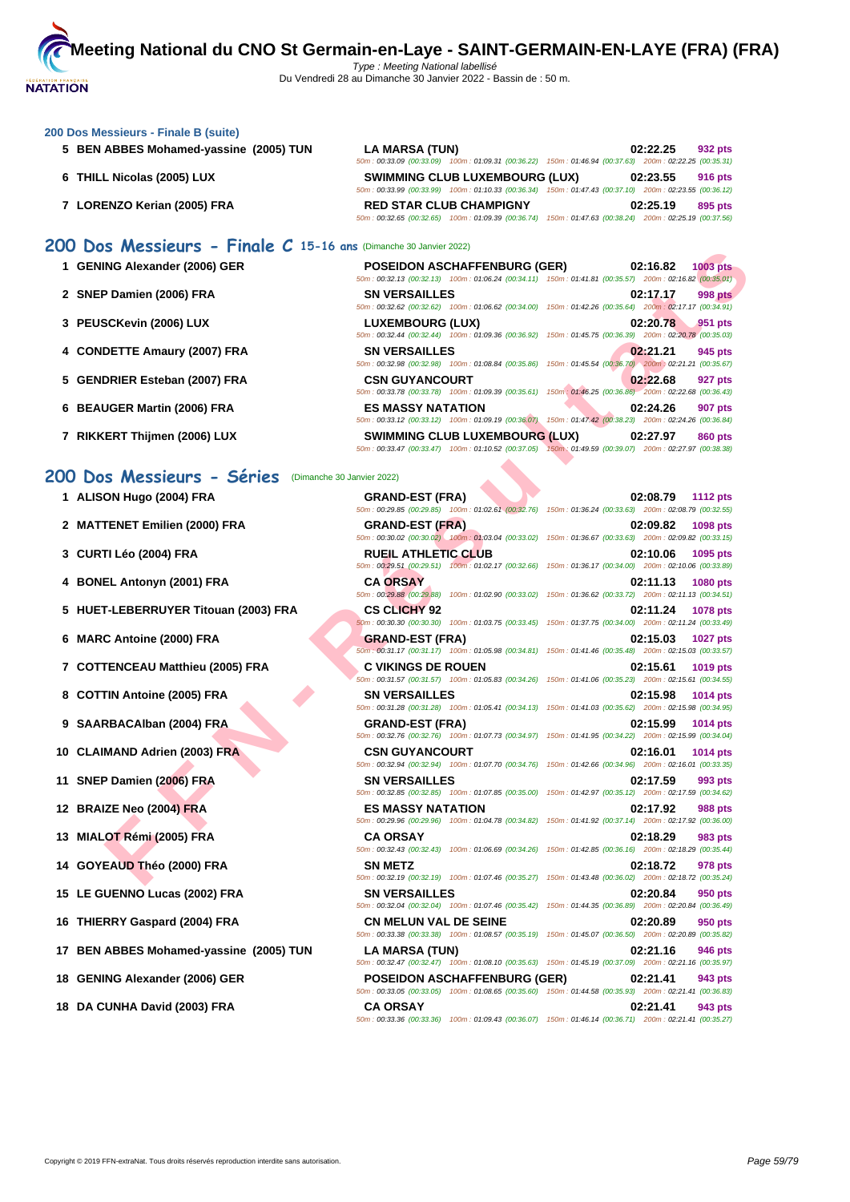#### **[200 Dos M](http://www.ffnatation.fr/webffn/index.php)essieurs - Finale B (suite)**

- **5 BEN ABBES Mohamed-yassine (2005) TUN LA MARSA (TUN) 02:22.25 932 pts**
- **6 THILL Nicolas (2005) LUX SWIMMING CLUB LUXEMBOURG (LUX) 02:23.55 916 pts**
- **7 LORENZO Kerian (2005) FRA RED STAR CLUB CHAMPIGNY 02:25.19 895 pts**

**1 GENING Alexander (2006) GER** 

**4** CONDETTE Amaury (2007) FRA

**5 GENDRIER Esteban (2007) FRA** 

**6 BEAUGER Martin (2006) FRA ES MASSY NATATION 02:24.26 907 pts**

**7 RIKKERT Thijmen (2006) LUX** 

**2 SNEP Damien (2006) FRA** 

**3 PEUSCKevin (2006) LUX LUXEMBOURG (LUX) 02:20.78 951 pts**

## **200 Dos Messieurs - Finale C 15-16 ans** (Dimanche 30 Janvier 2022)

|                          | <b>POSEIDON ASCHAFFENBURG (GER)</b>                                                                    |                                                     | 02:16.82<br><b>1003 pts</b> |  |
|--------------------------|--------------------------------------------------------------------------------------------------------|-----------------------------------------------------|-----------------------------|--|
|                          | 50m: 00:32.13 (00:32.13) 100m: 01:06.24 (00:34.11) 150m: 01:41.81 (00:35.57) 200m: 02:16.82 (00:35.01) |                                                     |                             |  |
| <b>SN VERSAILLES</b>     |                                                                                                        |                                                     | 02:17.17<br><b>998 pts</b>  |  |
|                          | 50m: 00:32.62 (00:32.62) 100m: 01:06.62 (00:34.00) 150m: 01:42.26 (00:35.64) 200m: 02:17.17 (00:34.91) |                                                     |                             |  |
| LUXEMBOURG (LUX)         | 50m: 00:32.44 (00:32.44) 100m: 01:09.36 (00:36.92) 150m: 01:45.75 (00:36.39) 200m: 02:20.78 (00:35.03) |                                                     | 02:20.78<br>951 pts         |  |
| <b>SN VERSAILLES</b>     | 50m: 00:32.98 (00:32.98) 100m: 01:08.84 (00:35.86) 150m: 01:45.54 (00:36.70) 200m: 02:21.21 (00:35.67) |                                                     | 02:21.21<br>945 pts         |  |
| <b>CSN GUYANCOURT</b>    | 50m: 00:33.78 (00:33.78) 100m: 01:09.39 (00:35.61) 150m: 01:46.25 (00:36.86) 200m: 02:22.68 (00:36.43) |                                                     | 02:22.68<br>927 pts         |  |
| <b>ES MASSY NATATION</b> | 50m: 00:33.12 (00:33.12) 100m: 01:09.19 (00:36.07) 150m: 01:47.42 (00:38.23) 200m: 02:24.26 (00:36.84) |                                                     | 02:24.26<br>907 pts         |  |
|                          | <b>SWIMMING CLUB LUXEMBOURG (LUX)</b><br>$50m: 00:33.47 (00:33.47) 100m: 01:10.52 (00:37.05)$          | 150m; 01:49.59 (00:39.07) 200m; 02:27.97 (00:38.38) | 02:27.97<br>860 pts         |  |

50m : 00:33.09 (00:33.09) 100m : 01:09.31 (00:36.22) 150m : 01:46.94 (00:37.63) 200m : 02:22.25 (00:35.31)

50m : 00:33.99 (00:33.99) 100m : 01:10.33 (00:36.34) 150m : 01:47.43 (00:37.10) 200m : 02:23.55 (00:36.12)

50m : 00:32.65 (00:32.65) 100m : 01:09.39 (00:36.74) 150m : 01:47.63 (00:38.24) 200m : 02:25.19 (00:37.56)

#### **200 Dos Messieurs - Séries** (Dimanche 30 Janvier 2022)

- 1 **ALISON Hugo (2004) FRA GRAND-EST (FRA**
- **2 MATTENET Emilien (2000) FRA** (*SOC*
- **3 CURTI Léo (2004) FRA RUEIL ATHLETIC CLUBBER <b>RUEIL ATHLETIC CLUBBER PTS**
- **4 BONEL Antonyn (2001) FRA CA ORSAY 02:11.13 02:11.13 02:11.13 02:11.13 02:11.13 02:11.13 02:11.13 02:11.13 02:11.13 02:11.13 02:11.13 02:11.13 02:11.13 02:11.13 02:11.13 02:11.13 02:**
- **5 HUET-LEBERRUYER Titouan (2003) FRA**
- **6 MARC Antoine (2000) FRA**
- **7 COTTENCEAU Matthieu (2005) FRA**
- **8 COTTIN** Antoine (2005) FRA
- **9 SAARBACAlban (2004) FRA C**
- **10 CLAIMAND Adrien (2003) FRA COURT 02:16.01 1014 pts**
- **11 SNEP Damien (2006) FRA SNEP Damien (2006) FRA**
- **12 BRAIZE Neo (2004) FRA ESSAY RESERVED BY A RESERVED BY A RESERVED BY A RESERVED BY A RESERVED BY A RESERVED BY A RESERVED BY A RESERVED BY A RESERVED BY A RESERVED BY A RESERVED BY A RESERVED BY A RESERVED BY A RESE**
- **13 MIALOT Rémi (2005) FRA CA ORSAY 02:18.29 02:29 02:29 02:29 02:29 02:29 02:29 02:29 02:29 02:29 02:29 02:29 02:29 02:29 02:29 02:29 02:29 02:29 02:29 02:29 02:29 02:29 0**
- **14 GOYEAUD Théo (2000) FRA** S<sub>50n</sub> S<sub>50n</sub>
- **15 LE GUENNO Lucas (2002) FRA S**
- **16 THIERRY Gaspard (2004) FRA C**<br> **CON BULLER CONSUMERS**
- 17 **BEN ABBES Mohamed-yassine (2005) TUN**
- **18 GENING Alexander (2006) GER POSENT BURG (GER) POSENDING**
- **18 DA CUNHA David (2003) FRA CA ORSAY 02:21.41 02:21.41 02:21.41 02:21.41 02:21.41 02:21.41 02:31.41 02:31.41 02:41.41 02:41.41 02:41.41 02:41.41 02:41.41 02:41.41 02:41.41 02:41.41 0**

| $\sim$ <i>I</i> The $\sim$ 10 and $\sim$ 10 and $\sim$ 10 and $\sim$ 10 and $\sim$ 10 and $\sim$ 10 and 10 and 10 and 10 and 10 and 10 and 10 and 10 and 10 and 10 and 10 and 10 and 10 and 10 and 10 and 10 and 10 and 10 and 10 and 10 and 10 |                                                                                                                                                     |                                                                                                                                       |
|-------------------------------------------------------------------------------------------------------------------------------------------------------------------------------------------------------------------------------------------------|-----------------------------------------------------------------------------------------------------------------------------------------------------|---------------------------------------------------------------------------------------------------------------------------------------|
| ING Alexander (2006) GER                                                                                                                                                                                                                        | <b>POSEIDON ASCHAFFENBURG (GER)</b>                                                                                                                 | <b>1003 pts</b><br>02:16.82<br>50m: 00:32.13 (00:32.13) 100m: 01:06.24 (00:34.11) 150m: 01:41.81 (00:35.57) 200m: 02:16.82 (00:35.01) |
| P Damien (2006) FRA                                                                                                                                                                                                                             | <b>SN VERSAILLES</b>                                                                                                                                | <b>998 pts</b><br>02:17.17                                                                                                            |
| SCKevin (2006) LUX                                                                                                                                                                                                                              | LUXEMBOURG (LUX)                                                                                                                                    | 50m : 00:32.62 (00:32.62) 100m : 01:06.62 (00:34.00) 150m : 01:42.26 (00:35.64) 200m : 02:17.17 (00:34.91)<br>02:20.78<br>951 pts     |
| DETTE Amaury (2007) FRA                                                                                                                                                                                                                         | <b>SN VERSAILLES</b>                                                                                                                                | 50m : 00:32.44 (00:32.44) 100m : 01:09.36 (00:36.92) 150m : 01:45.75 (00:36.39) 200m : 02:20.78 (00:35.03)<br>02:21.21<br>945 pts     |
| DRIER Esteban (2007) FRA                                                                                                                                                                                                                        | <b>CSN GUYANCOURT</b>                                                                                                                               | 50m: 00:32.98 (00:32.98) 100m: 01:08.84 (00:35.86) 150m: 01:45.54 (00:36.70) 200m: 02:21.21 (00:35.67)<br>02:22.68<br>927 pts         |
| UGER Martin (2006) FRA                                                                                                                                                                                                                          | <b>ES MASSY NATATION</b>                                                                                                                            | 50m : 00:33.78 (00:33.78) 100m : 01:09.39 (00:35.61) 150m : 01:46.25 (00:36.86) 200m : 02:22.68 (00:36.43)<br>02:24.26<br>907 pts     |
|                                                                                                                                                                                                                                                 |                                                                                                                                                     | 50m: 00:33.12 (00:33.12) 100m: 01:09.19 (00:36.07) 150m: 01:47.42 (00:38.23) 200m: 02:24.26 (00:36.84)                                |
| ERT Thijmen (2006) LUX                                                                                                                                                                                                                          | <b>SWIMMING CLUB LUXEMBOURG (LUX)</b><br>50m : 00:33.47 (00:33.47) 100m : 01:10.52 (00:37.05) 150m : 01:49.59 (00:39.07) 200m : 02:27.97 (00:38.38) | 02:27.97<br>860 pts                                                                                                                   |
| s Messieurs - Séries                                                                                                                                                                                                                            | (Dimanche 30 Janvier 2022)                                                                                                                          |                                                                                                                                       |
| ON Hugo (2004) FRA                                                                                                                                                                                                                              | <b>GRAND-EST (FRA)</b>                                                                                                                              | 02:08.79<br><b>1112 pts</b><br>50m: 00:29.85 (00:29.85) 100m: 01:02.61 (00:32.76) 150m: 01:36.24 (00:33.63) 200m: 02:08.79 (00:32.55) |
| TENET Emilien (2000) FRA                                                                                                                                                                                                                        | <b>GRAND-EST (FRA)</b><br>50m : 00:30.02 (00:30.02) 400m : 01:03.04 (00:33.02) 150m : 01:36.67 (00:33.63) 200m : 02:09.82 (00:33.15)                | 02:09.82<br>1098 pts                                                                                                                  |
| TI Léo (2004) FRA                                                                                                                                                                                                                               | <b>RUEIL ATHLETIC CLUB</b><br>50m: 00:29.51 (00:29.51) 100m: 01:02.17 (00:32.66) 150m: 01:36.17 (00:34.00) 200m: 02:10.06 (00:33.89)                | 02:10.06<br>1095 pts                                                                                                                  |
| EL Antonyn (2001) FRA                                                                                                                                                                                                                           | <b>CA ORSAY</b>                                                                                                                                     | 02:11.13<br>1080 pts                                                                                                                  |
| T-LEBERRUYER Titouan (2003) FRA                                                                                                                                                                                                                 | 50m: 00:29.88 (00:29.88) 100m: 01:02.90 (00:33.02) 150m: 01:36.62 (00:33.72) 200m: 02:11.13 (00:34.51)<br><b>CS CLICHY 92</b>                       | 02:11.24<br>1078 pts                                                                                                                  |
| C Antoine (2000) FRA                                                                                                                                                                                                                            | 50m : 00:30.30 (00:30.30) 100m : 01:03.75 (00:33.45) 150m : 01:37.75 (00:34.00) 200m : 02:11.24 (00:33.49)<br><b>GRAND-EST (FRA)</b>                | 02:15.03<br><b>1027 pts</b>                                                                                                           |
| TENCEAU Matthieu (2005) FRA                                                                                                                                                                                                                     | 50m : 00:31.17 (00:31.17) 100m : 01:05.98 (00:34.81) 150m : 01:41.46 (00:35.48) 200m : 02:15.03 (00:33.57)<br><b>C VIKINGS DE ROUEN</b>             | 02:15.61<br>1019 pts                                                                                                                  |
| TIN Antoine (2005) FRA                                                                                                                                                                                                                          | 50m: 00:31.57 (00:31.57) 100m: 01:05.83 (00:34.26) 150m: 01:41.06 (00:35.23) 200m: 02:15.61 (00:34.55)<br><b>SN VERSAILLES</b>                      | 02:15.98<br>1014 pts                                                                                                                  |
| RBACAlban (2004) FRA                                                                                                                                                                                                                            | 50m: 00:31.28 (00:31.28) 100m: 01:05.41 (00:34.13) 150m: 01:41.03 (00:35.62) 200m: 02:15.98 (00:34.95)<br><b>GRAND-EST (FRA)</b>                    | 02:15.99                                                                                                                              |
|                                                                                                                                                                                                                                                 | 50m: 00:32.76 (00:32.76) 100m: 01:07.73 (00:34.97) 150m: 01:41.95 (00:34.22) 200m: 02:15.99 (00:34.04)                                              | 1014 pts                                                                                                                              |
| MAND Adrien (2003) FRA                                                                                                                                                                                                                          | <b>CSN GUYANCOURT</b><br>50m : 00:32.94 (00:32.94) 100m : 01:07.70 (00:34.76) 150m : 01:42.66 (00:34.96) 200m : 02:16.01 (00:33.35)                 | 02:16.01<br>1014 pts                                                                                                                  |
| P Damien (2006) FRA                                                                                                                                                                                                                             | <b>SN VERSAILLES</b><br>50m: 00:32.85 (00:32.85) 100m: 01:07.85 (00:35.00) 150m: 01:42.97 (00:35.12) 200m: 02:17.59 (00:34.62)                      | 02:17.59<br>993 pts                                                                                                                   |
| IZE N <u>e</u> o (2004) FRA                                                                                                                                                                                                                     | <b>ES MASSY NATATION</b>                                                                                                                            | 02:17.92<br><b>988 pts</b>                                                                                                            |
| .OT Rémi (2005) FRA                                                                                                                                                                                                                             | 50m : 00:29.96 (00:29.96) 100m : 01:04.78 (00:34.82) 150m : 01:41.92 (00:37.14) 200m : 02:17.92 (00:36.00)<br><b>CA ORSAY</b>                       | 02:18.29<br>983 pts                                                                                                                   |
| EAUD Théo (2000) FRA                                                                                                                                                                                                                            | 50m : 00:32.43 (00:32.43) 100m : 01:06.69 (00:34.26) 150m : 01:42.85 (00:36.16) 200m : 02:18.29 (00:35.44)<br><b>SN METZ</b>                        | 02:18.72<br>978 pts                                                                                                                   |
| <b>UENNO Lucas (2002) FRA</b>                                                                                                                                                                                                                   | 50m: 00:32.19 (00:32.19) 100m: 01:07.46 (00:35.27) 150m: 01:43.48 (00:36.02) 200m: 02:18.72 (00:35.24)<br><b>SN VERSAILLES</b>                      | 02:20.84<br>950 pts                                                                                                                   |
| RRY Gaspard (2004) FRA                                                                                                                                                                                                                          | 50m : 00:32.04 (00:32.04) 100m : 01:07.46 (00:35.42) 150m : 01:44.35 (00:36.89) 200m : 02:20.84 (00:36.49)<br><b>CN MELUN VAL DE SEINE</b>          | 02:20.89<br>950 pts                                                                                                                   |
| ABBES Mohamed-yassine (2005) TUN                                                                                                                                                                                                                | 50m : 00:33.38 (00:33.38) 100m : 01:08.57 (00:35.19) 150m : 01:45.07 (00:36.50) 200m : 02:20.89 (00:35.82)                                          | 02:21.16                                                                                                                              |
|                                                                                                                                                                                                                                                 | LA MARSA (TUN)<br>50m : 00:32.47 (00:32.47) 100m : 01:08.10 (00:35.63) 150m : 01:45.19 (00:37.09) 200m : 02:21.16 (00:35.97)                        | 946 pts                                                                                                                               |
| ING Alexander (2006) GER                                                                                                                                                                                                                        | <b>POSEIDON ASCHAFFENBURG (GER)</b><br>50m : 00:33.05 (00:33.05) 100m : 01:08.65 (00:35.60) 150m : 01:44.58 (00:35.93) 200m : 02:21.41 (00:36.83)   | 02:21.41<br>943 pts                                                                                                                   |
| UNHA David (2003) FRA                                                                                                                                                                                                                           | <b>CA ORSAY</b>                                                                                                                                     | 02:21.41<br>943 pts<br>50m: 00:33.36 (00:33.36) 100m: 01:09.43 (00:36.07) 150m: 01:46.14 (00:36.71) 200m: 02:21.41 (00:35.27)         |
|                                                                                                                                                                                                                                                 |                                                                                                                                                     |                                                                                                                                       |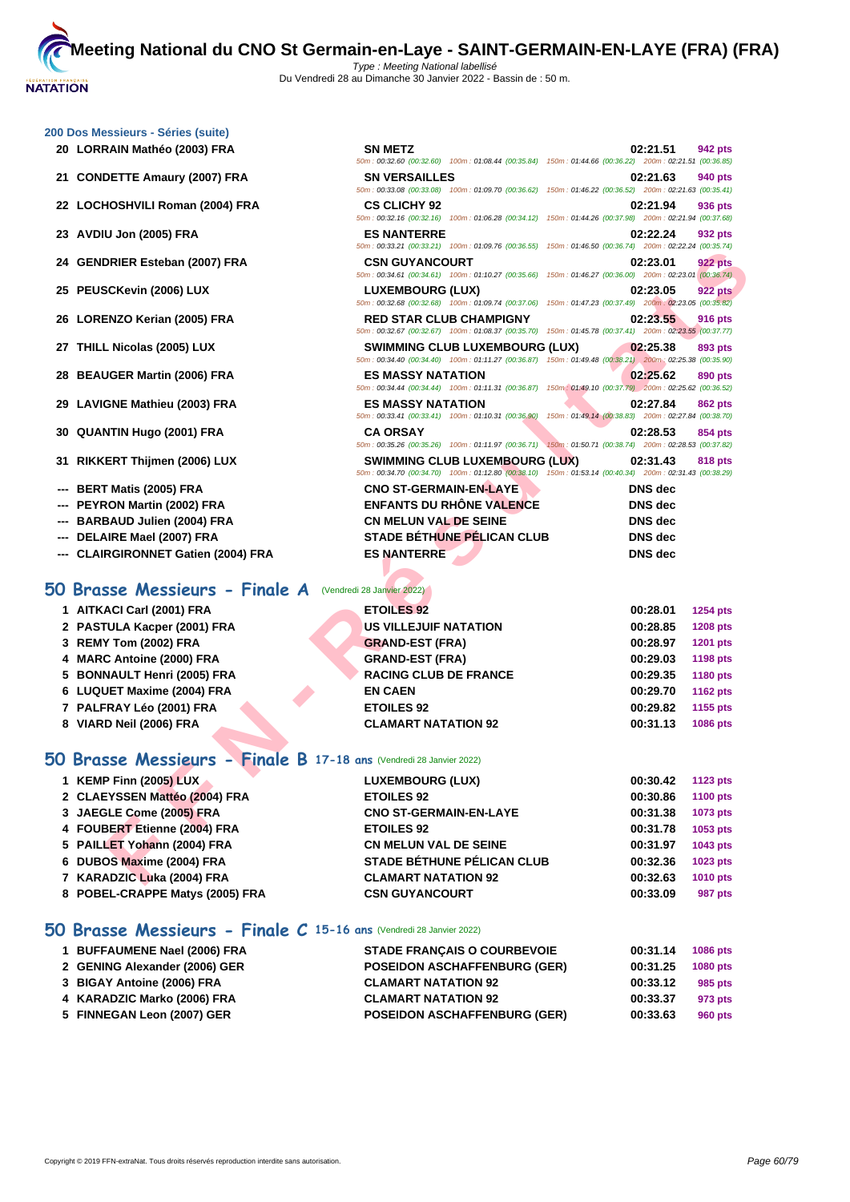50m : 00:32.60 (00:32.60) 100m : 01:08.44 (00:35.84) 150m : 01:44.66 (00:36.22) 200m : 02:21.51 (00:36.85)

50m : 00:33.08 (00:33.08) 100m : 01:09.70 (00:36.62) 150m : 01:46.22 (00:36.52) 200m : 02:21.63 (00:35.41)

50m : 00:32.16 (00:32.16) 100m : 01:06.28 (00:34.12) 150m : 01:44.26 (00:37.98) 200m : 02:21.94 (00:37.68)

50m : 00:33.21 (00:33.21) 100m : 01:09.76 (00:36.55) 150m : 01:46.50 (00:36.74) 200m : 02:22.24 (00:35.74)

#### **[200 Dos M](http://www.ffnatation.fr/webffn/index.php)essieurs - Séries (suite)**

- **20 LORRAIN Mathéo (2003) FRA SN METZ 02:21.51 942 pts**
- **21 CONDETTE Amaury (2007) FRA SN VERSAILLES 02:21.63 940 pts**
- **22 LOCHOSHVILI Roman (2004) FRA CS CLICHY 92 02:21.94 936 pts**
- **23 AVDIU Jon (2005) FRA ES NANTERRE 02:22.24 932 pts**
- **24 GENDRIER Esteban (2007) FRA CSN GUYANCOURT 02:23.01 922 pts**
- **25 PEUSCKevin (2006) LUX LUXEMBOURG (LUX) 02:23.05 922 pts**
- **26 LORENZO Kerian (2005) FRA RED STAR CLUB CHAMPIGNY 02:23.55 916 pts**
- **27 THILL Nicolas (2005) LUX SWIMMING CLUB LUXEMBOURG (LUX) 02:25.38 893 pts**
- **28 BEAUGER Martin (2006) FRA ES MASSY NATATION 02:25.62 890 pts**
- **29 LAVIGNE Mathieu (2003) FRA ES MASSY NATATION 02:27.84 862 pts**
- **30 QUANTIN Hugo (2001) FRA CA ORSAY 02:28.53 854 pts**
- **31 RIKKERT Thijmen (2006) LUX SWIMMING CLUB LUXEMBOURG (LUX) 02:31.43 818 pts**
- **--- BERT Matis (2005) FRA CNO ST-GERMAIN-EN-LAYE DNS dec**
- **--- PEYRON Martin (2002) FRA ENFANTS DU RHÔNE VALENCE DNS dec**
- **--- BARBAUD Julien (2004) FRA CN MELUN VAL DE SEINE DNS dec**
- **--- DELAIRE Mael (2007) FRA STADE BÉTHUNE PÉLICAN CLUB DNS dec**
- **--- CLAIRGIRONNET Gatien (2004) FRA ES NANTERRE DNS dec**

## **50 Brasse Messieurs - Finale A** (Vendredi 28 Janvier 2022)

| 24 GENDRIER Esteban (2007) FRA                                            | <b>CSN GUYANCOURT</b><br>02:23.01                                                                                                                        | <b>922 pts</b>  |
|---------------------------------------------------------------------------|----------------------------------------------------------------------------------------------------------------------------------------------------------|-----------------|
|                                                                           | 50m: 00:34.61 (00:34.61) 100m: 01:10.27 (00:35.66) 150m: 01:46.27 (00:36.00) 200m: 02:23.01 (00:36.74)                                                   |                 |
| 25 PEUSCKevin (2006) LUX                                                  | LUXEMBOURG (LUX)<br>02:23.05                                                                                                                             | <b>922 pts</b>  |
| 26 LORENZO Kerian (2005) FRA                                              | 50m : 00:32.68 (00:32.68) 100m : 01:09.74 (00:37.06) 150m : 01:47.23 (00:37.49) 200m : 02:23.05 (00:35.82)<br><b>RED STAR CLUB CHAMPIGNY</b><br>02:23.55 | 916 pts         |
|                                                                           | 50m: 00:32.67 (00:32.67) 100m: 01:08.37 (00:35.70) 150m: 01:45.78 (00:37.41) 200m: 02:23.55 (00:37.77)                                                   |                 |
| 27 THILL Nicolas (2005) LUX                                               | <b>SWIMMING CLUB LUXEMBOURG (LUX)</b><br>02:25.38                                                                                                        | 893 pts         |
|                                                                           | 50m: 00:34.40 (00:34.40) 100m: 01:11.27 (00:36.87) 150m: 01:49.48 (00:38.21) 200m: 02:25.38 (00:35.90)                                                   |                 |
| 28 BEAUGER Martin (2006) FRA                                              | <b>ES MASSY NATATION</b><br>02:25.62                                                                                                                     | 890 pts         |
|                                                                           | 50m : 00:34.44 (00:34.44) 100m : 01:11.31 (00:36.87) 150m : 01:49.10 (00:37.79) 200m : 02:25.62 (00:36.52)                                               |                 |
| 29 LAVIGNE Mathieu (2003) FRA                                             | <b>ES MASSY NATATION</b><br>02:27.84<br>50m: 00:33.41 (00:33.41) 100m: 01:10.31 (00:36.90) 150m: 01:49.14 (00:38.83) 200m: 02:27.84 (00:38.70)           | 862 pts         |
| 30 QUANTIN Hugo (2001) FRA<br><b>CA ORSAY</b>                             | 02:28.53                                                                                                                                                 | 854 pts         |
|                                                                           | 50m: 00:35.26 (00:35.26) 100m: 01:11.97 (00:36.71) 150m: 01:50.71 (00:38.74) 200m: 02:28.53 (00:37.82)                                                   |                 |
| 31 RIKKERT Thijmen (2006) LUX                                             | <b>SWIMMING CLUB LUXEMBOURG (LUX)</b><br>02:31.43                                                                                                        | 818 pts         |
|                                                                           | 50m: 00:34.70 (00:34.70) 100m: 01:12.80 (00:38.10) 150m: 01:53.14 (00:40.34) 200m: 02:31.43 (00:38.29)                                                   |                 |
| --- BERT Matis (2005) FRA                                                 | <b>CNO ST-GERMAIN-EN-LAYE</b><br><b>DNS</b> dec                                                                                                          |                 |
| --- PEYRON Martin (2002) FRA                                              | <b>ENFANTS DU RHÔNE VALENCE</b><br><b>DNS</b> dec                                                                                                        |                 |
| --- BARBAUD Julien (2004) FRA                                             | <b>CN MELUN VAL DE SEINE</b><br><b>DNS</b> dec                                                                                                           |                 |
| DELAIRE Mael (2007) FRA                                                   | <b>STADE BÉTHUNE PÉLICAN CLUB</b><br><b>DNS</b> dec                                                                                                      |                 |
| --- CLAIRGIRONNET Gatien (2004) FRA                                       | <b>ES NANTERRE</b><br><b>DNS</b> dec                                                                                                                     |                 |
|                                                                           |                                                                                                                                                          |                 |
| <b>O Brasse Messieurs - Finale A</b> (Vendredi 28 Janvier 2022)           |                                                                                                                                                          |                 |
| 1 AITKACI Carl (2001) FRA<br><b>ETOILES 92</b>                            | 00:28.01                                                                                                                                                 | 1254 pts        |
| 2 PASTULA Kacper (2001) FRA                                               | <b>US VILLEJUIF NATATION</b><br>00:28.85                                                                                                                 | <b>1208 pts</b> |
| 3 REMY Tom (2002) FRA                                                     | <b>GRAND-EST (FRA)</b><br>00:28.97                                                                                                                       | 1201 pts        |
| 4 MARC Antoine (2000) FRA                                                 | <b>GRAND-EST (FRA)</b><br>00:29.03                                                                                                                       | <b>1198 pts</b> |
| 5 BONNAULT Henri (2005) FRA                                               | <b>RACING CLUB DE FRANCE</b><br>00:29.35                                                                                                                 | <b>1180 pts</b> |
| 6 LUQUET Maxime (2004) FRA<br><b>EN CAEN</b>                              | 00:29.70                                                                                                                                                 | <b>1162 pts</b> |
| 7 PALFRAY Léo (2001) FRA<br><b>ETOILES 92</b>                             | 00:29.82                                                                                                                                                 | 1155 pts        |
| 8 VIARD Neil (2006) FRA                                                   | <b>CLAMART NATATION 92</b><br>00:31.13                                                                                                                   | 1086 pts        |
|                                                                           |                                                                                                                                                          |                 |
| <b>O Brasse Messieurs - Finale B 17-18 ans (Vendredi 28 Janvier 2022)</b> |                                                                                                                                                          |                 |
| 1 KEMP Finn (2005) LUX                                                    | LUXEMBOURG (LUX)<br>00:30.42                                                                                                                             | <b>1123 pts</b> |
| 2 CLAEYSSEN Mattéo (2004) FRA<br><b>ETOILES 92</b>                        | 00:30.86                                                                                                                                                 | <b>1100 pts</b> |
| 3 JAEGLE Come (2005) FRA                                                  | <b>CNO ST-GERMAIN-EN-LAYE</b><br>00:31.38                                                                                                                | 1073 pts        |
| 4 FOUBERT Etienne (2004) FRA<br><b>ETOILES 92</b>                         | 00:31.78                                                                                                                                                 | 1053 pts        |
| 5 PAILLET Yohann (2004) FRA                                               | <b>CN MELUN VAL DE SEINE</b><br>00:31.97                                                                                                                 | 1043 pts        |
| 6 DUBOS Maxime (2004) FRA                                                 | <b>STADE BÉTHUNE PÉLICAN CLUB</b><br>00:32.36                                                                                                            | 1023 pts        |
| 7 KARADZIC Luka (2004) FRA                                                | <b>CLAMART NATATION 92</b><br>00:32.63                                                                                                                   | 1010 pts        |

### **50 Brasse Messieurs - Finale B 17-18 ans** (Vendredi 28 Janvier 2022)

| 1 KEMP Finn (2005) LUX          | <b>LUXEMBOURG (LUX)</b>           | 00:30.42 | 1123 pts        |
|---------------------------------|-----------------------------------|----------|-----------------|
| 2 CLAEYSSEN Mattéo (2004) FRA   | <b>ETOILES 92</b>                 | 00:30.86 | <b>1100 pts</b> |
| 3 JAEGLE Come (2005) FRA        | <b>CNO ST-GERMAIN-EN-LAYE</b>     | 00:31.38 | 1073 pts        |
| 4 FOUBERT Etienne (2004) FRA    | <b>ETOILES 92</b>                 | 00:31.78 | 1053 pts        |
| 5 PAILLET Yohann (2004) FRA     | <b>CN MELUN VAL DE SEINE</b>      | 00:31.97 | 1043 pts        |
| 6 DUBOS Maxime (2004) FRA       | <b>STADE BÉTHUNE PÉLICAN CLUB</b> | 00:32.36 | 1023 pts        |
| 7 KARADZIC Luka (2004) FRA      | <b>CLAMART NATATION 92</b>        | 00:32.63 | <b>1010 pts</b> |
| 8 POBEL-CRAPPE Matys (2005) FRA | <b>CSN GUYANCOURT</b>             | 00:33.09 | 987 pts         |

### **50 Brasse Messieurs - Finale C 15-16 ans** (Vendredi 28 Janvier 2022)

| 1 BUFFAUMENE Nael (2006) FRA  | <b>STADE FRANCAIS O COURBEVOIE</b>  | 00:31.14 | <b>1086 pts</b> |
|-------------------------------|-------------------------------------|----------|-----------------|
| 2 GENING Alexander (2006) GER | <b>POSEIDON ASCHAFFENBURG (GER)</b> | 00:31.25 | <b>1080 pts</b> |
| 3 BIGAY Antoine (2006) FRA    | <b>CLAMART NATATION 92</b>          | 00:33.12 | 985 pts         |
| 4 KARADZIC Marko (2006) FRA   | <b>CLAMART NATATION 92</b>          | 00:33.37 | 973 pts         |
| 5 FINNEGAN Leon (2007) GER    | <b>POSEIDON ASCHAFFENBURG (GER)</b> | 00:33.63 | 960 pts         |
|                               |                                     |          |                 |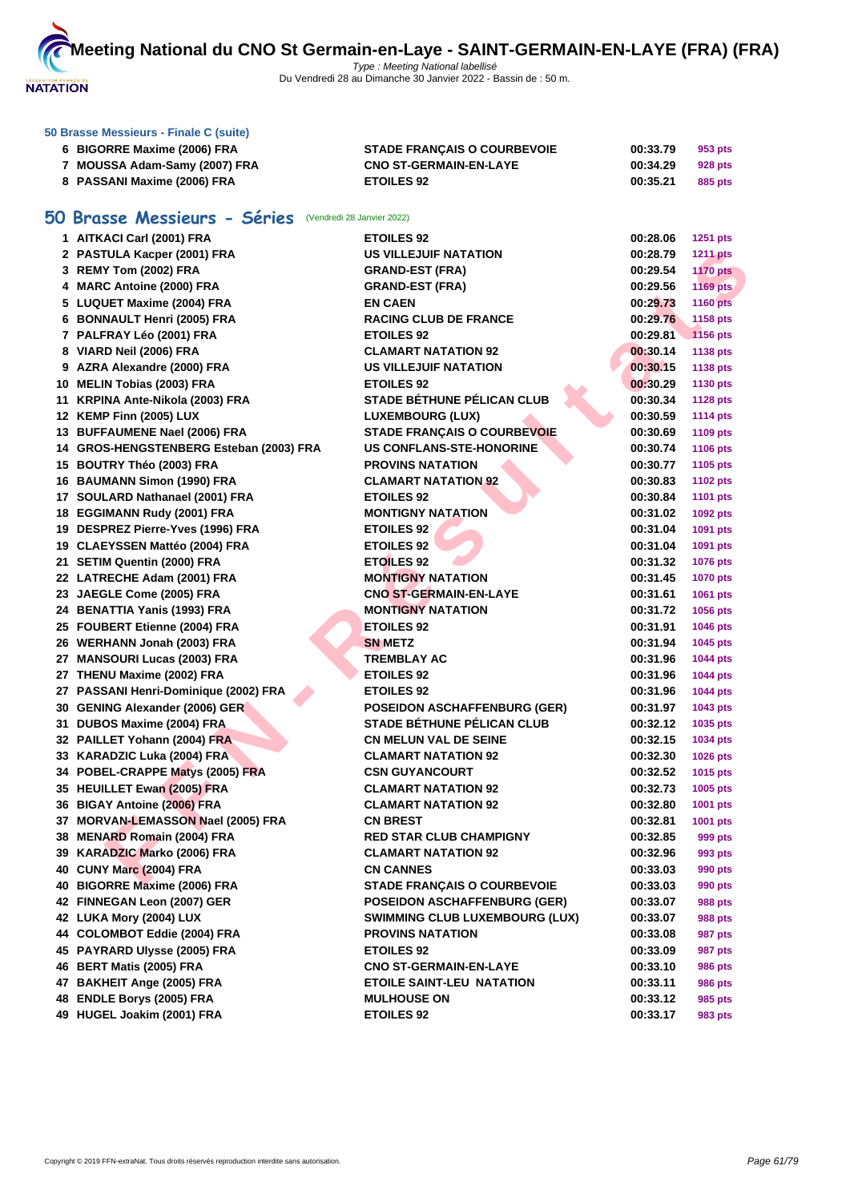

|    | 50 Brasse Messieurs - Finale C (suite)               |                                       |          |                 |
|----|------------------------------------------------------|---------------------------------------|----------|-----------------|
|    | 6 BIGORRE Maxime (2006) FRA                          | <b>STADE FRANCAIS O COURBEVOIE</b>    | 00:33.79 | 953 pts         |
|    | 7 MOUSSA Adam-Samy (2007) FRA                        | <b>CNO ST-GERMAIN-EN-LAYE</b>         | 00:34.29 | 928 pts         |
|    | 8 PASSANI Maxime (2006) FRA                          | <b>ETOILES 92</b>                     | 00:35.21 | 885 pts         |
|    |                                                      |                                       |          |                 |
| 50 | Brasse Messieurs - Séries (Vendredi 28 Janvier 2022) |                                       |          |                 |
|    | 1 AITKACI Carl (2001) FRA                            | <b>ETOILES 92</b>                     | 00:28.06 | <b>1251 pts</b> |
|    | 2 PASTULA Kacper (2001) FRA                          | <b>US VILLEJUIF NATATION</b>          | 00:28.79 | <b>1211 pts</b> |
|    | 3 REMY Tom (2002) FRA                                | <b>GRAND-EST (FRA)</b>                | 00:29.54 | <b>1170 pts</b> |
|    | 4 MARC Antoine (2000) FRA                            | <b>GRAND-EST (FRA)</b>                | 00:29.56 | <b>1169 pts</b> |
|    | 5 LUQUET Maxime (2004) FRA                           | <b>EN CAEN</b>                        | 00:29.73 | <b>1160 pts</b> |
|    | 6 BONNAULT Henri (2005) FRA                          | <b>RACING CLUB DE FRANCE</b>          | 00:29.76 | 1158 pts        |
|    | 7 PALFRAY Léo (2001) FRA                             | <b>ETOILES 92</b>                     | 00:29.81 | <b>1156 pts</b> |
|    | 8 VIARD Neil (2006) FRA                              | <b>CLAMART NATATION 92</b>            | 00:30.14 | 1138 pts        |
|    | 9 AZRA Alexandre (2000) FRA                          | <b>US VILLEJUIF NATATION</b>          | 00:30.15 | <b>1138 pts</b> |
|    | 10 MELIN Tobias (2003) FRA                           | <b>ETOILES 92</b>                     | 00:30.29 | 1130 pts        |
|    | 11 KRPINA Ante-Nikola (2003) FRA                     | <b>STADE BÉTHUNE PÉLICAN CLUB</b>     | 00:30.34 | <b>1128 pts</b> |
|    | 12 KEMP Finn (2005) LUX                              | <b>LUXEMBOURG (LUX)</b>               | 00:30.59 | <b>1114 pts</b> |
|    | 13 BUFFAUMENE Nael (2006) FRA                        | STADE FRANÇAIS O COURBEVOIE           | 00:30.69 | <b>1109 pts</b> |
|    | 14 GROS-HENGSTENBERG Esteban (2003) FRA              | <b>US CONFLANS-STE-HONORINE</b>       | 00:30.74 | <b>1106 pts</b> |
|    | 15 BOUTRY Théo (2003) FRA                            | <b>PROVINS NATATION</b>               | 00:30.77 | 1105 pts        |
|    | 16 BAUMANN Simon (1990) FRA                          | <b>CLAMART NATATION 92</b>            | 00:30.83 | <b>1102 pts</b> |
|    | 17 SOULARD Nathanael (2001) FRA                      | <b>ETOILES 92</b>                     | 00:30.84 | <b>1101 pts</b> |
|    | 18 EGGIMANN Rudy (2001) FRA                          | <b>MONTIGNY NATATION</b>              | 00:31.02 | 1092 pts        |
|    | 19 DESPREZ Pierre-Yves (1996) FRA                    | <b>ETOILES 92</b>                     | 00:31.04 | 1091 pts        |
|    | 19 CLAEYSSEN Mattéo (2004) FRA                       | <b>ETOILES 92</b>                     | 00:31.04 | 1091 pts        |
|    | 21 SETIM Quentin (2000) FRA                          | <b>ETOILES 92</b>                     | 00:31.32 | 1076 pts        |
|    | 22 LATRECHE Adam (2001) FRA                          | <b>MONTIGNY NATATION</b>              | 00:31.45 | <b>1070 pts</b> |
|    | 23 JAEGLE Come (2005) FRA                            | <b>CNO ST-GERMAIN-EN-LAYE</b>         | 00:31.61 | 1061 pts        |
|    | 24 BENATTIA Yanis (1993) FRA                         | <b>MONTIGNY NATATION</b>              | 00:31.72 | <b>1056 pts</b> |
|    | 25 FOUBERT Etienne (2004) FRA                        | <b>ETOILES 92</b>                     | 00:31.91 | <b>1046 pts</b> |
|    | 26 WERHANN Jonah (2003) FRA                          | <b>SN METZ</b>                        | 00:31.94 | 1045 pts        |
|    | 27 MANSOURI Lucas (2003) FRA                         | <b>TREMBLAY AC</b>                    | 00:31.96 | <b>1044 pts</b> |
|    | 27 THENU Maxime (2002) FRA                           | <b>ETOILES 92</b>                     | 00:31.96 | <b>1044 pts</b> |
|    | 27 PASSANI Henri-Dominique (2002) FRA                | <b>ETOILES 92</b>                     | 00:31.96 | <b>1044 pts</b> |
|    | 30 GENING Alexander (2006) GER                       | <b>POSEIDON ASCHAFFENBURG (GER)</b>   | 00:31.97 | 1043 pts        |
|    | 31 DUBOS Maxime (2004) FRA                           | STADE BÉTHUNE PÉLICAN CLUB            | 00:32.12 | 1035 pts        |
|    | 32 PAILLET Yohann (2004) FRA                         | <b>CN MELUN VAL DE SEINE</b>          | 00:32.15 | 1034 pts        |
|    | 33 KARADZIC Luka (2004) FRA                          | <b>CLAMART NATATION 92</b>            | 00:32.30 | 1026 pts        |
|    | 34 POBEL-CRAPPE Matys (2005) FRA                     | <b>CSN GUYANCOURT</b>                 | 00:32.52 | 1015 pts        |
|    | 35 HEUILLET Ewan (2005) FRA                          | <b>CLAMART NATATION 92</b>            | 00:32.73 | 1005 pts        |
|    | 36 BIGAY Antoine (2006) FRA                          | <b>CLAMART NATATION 92</b>            | 00:32.80 | 1001 pts        |
|    | 37 MORVAN-LEMASSON Nael (2005) FRA                   | <b>CN BREST</b>                       | 00:32.81 | 1001 pts        |
|    | 38 MENARD Romain (2004) FRA                          | <b>RED STAR CLUB CHAMPIGNY</b>        | 00:32.85 | 999 pts         |
|    | 39 KARADZIC Marko (2006) FRA                         | <b>CLAMART NATATION 92</b>            | 00:32.96 | 993 pts         |
|    | 40 CUNY Marc (2004) FRA                              | <b>CN CANNES</b>                      | 00:33.03 | 990 pts         |
|    | 40 BIGORRE Maxime (2006) FRA                         | <b>STADE FRANCAIS O COURBEVOIE</b>    | 00:33.03 | 990 pts         |
|    | 42 FINNEGAN Leon (2007) GER                          | <b>POSEIDON ASCHAFFENBURG (GER)</b>   | 00:33.07 | 988 pts         |
|    | 42 LUKA Mory (2004) LUX                              | <b>SWIMMING CLUB LUXEMBOURG (LUX)</b> | 00:33.07 | 988 pts         |
|    | 44 COLOMBOT Eddie (2004) FRA                         | <b>PROVINS NATATION</b>               | 00:33.08 | 987 pts         |
|    | 45 PAYRARD Ulysse (2005) FRA                         | <b>ETOILES 92</b>                     | 00:33.09 | 987 pts         |
|    | 46 BERT Matis (2005) FRA                             | <b>CNO ST-GERMAIN-EN-LAYE</b>         | 00:33.10 | 986 pts         |
|    | 47 BAKHEIT Ange (2005) FRA                           | <b>ETOILE SAINT-LEU NATATION</b>      | 00:33.11 | 986 pts         |
|    | 48 ENDLE Borys (2005) FRA                            | <b>MULHOUSE ON</b>                    | 00:33.12 | 985 pts         |

**HUGEL Joakim (2001) FRA ETOILES 92 00:33.17 983 pts**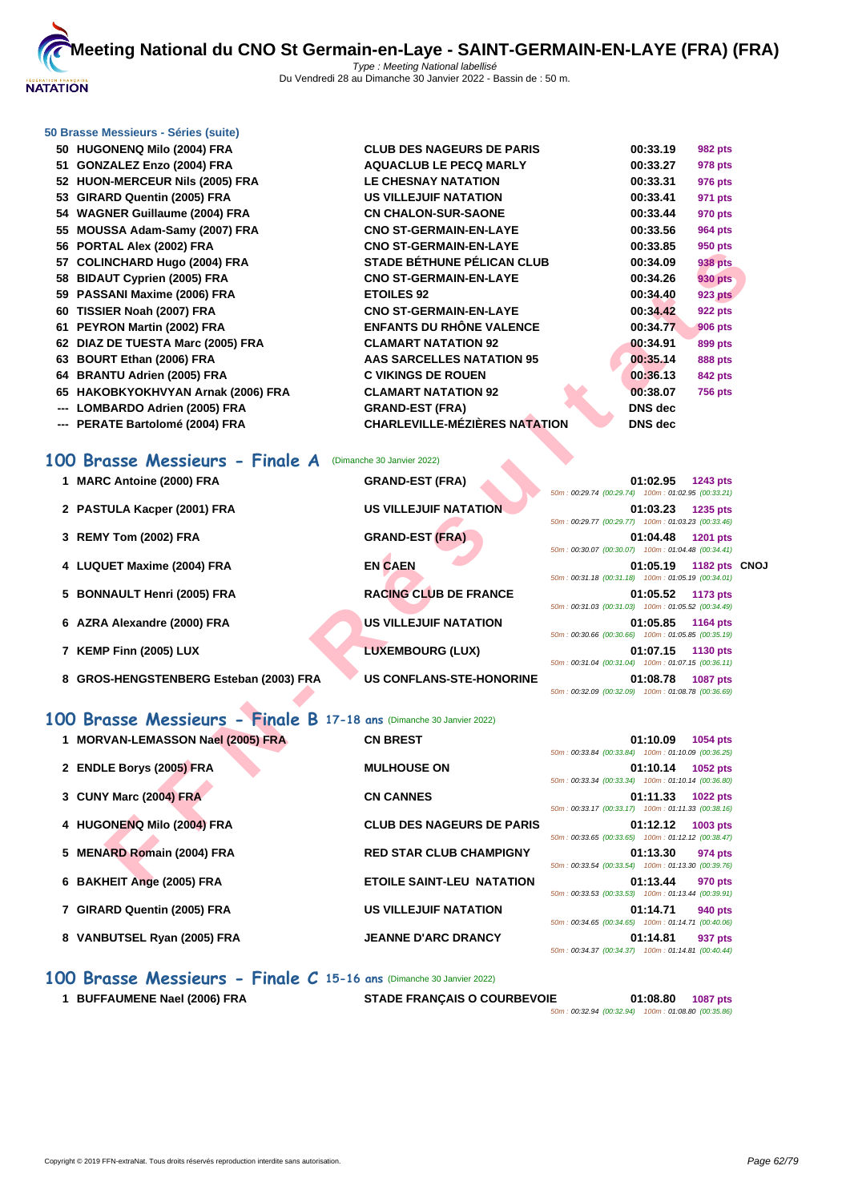

#### **[50 Brasse](http://www.ffnatation.fr/webffn/index.php) Messieurs - Séries (suite)**

| 50 HUGONENQ Milo (2004) FRA        | <b>CLUB DES NAGEURS DE PARIS</b>     | 00:33.19       | <b>982 pts</b> |
|------------------------------------|--------------------------------------|----------------|----------------|
| 51 GONZALEZ Enzo (2004) FRA        | <b>AQUACLUB LE PECQ MARLY</b>        | 00:33.27       | 978 pts        |
| 52 HUON-MERCEUR Nils (2005) FRA    | <b>LE CHESNAY NATATION</b>           | 00:33.31       | 976 pts        |
| 53 GIRARD Quentin (2005) FRA       | <b>US VILLEJUIF NATATION</b>         | 00:33.41       | 971 pts        |
| 54 WAGNER Guillaume (2004) FRA     | <b>CN CHALON-SUR-SAONE</b>           | 00:33.44       | 970 pts        |
| 55 MOUSSA Adam-Samy (2007) FRA     | <b>CNO ST-GERMAIN-EN-LAYE</b>        | 00:33.56       | 964 pts        |
| 56 PORTAL Alex (2002) FRA          | <b>CNO ST-GERMAIN-EN-LAYE</b>        | 00:33.85       | 950 pts        |
| 57 COLINCHARD Hugo (2004) FRA      | <b>STADE BÉTHUNE PÉLICAN CLUB</b>    | 00:34.09       | <b>938 pts</b> |
| 58 BIDAUT Cyprien (2005) FRA       | <b>CNO ST-GERMAIN-EN-LAYE</b>        | 00:34.26       | <b>930 pts</b> |
| 59 PASSANI Maxime (2006) FRA       | <b>ETOILES 92</b>                    | 00:34.40       | <b>923 pts</b> |
| 60 TISSIER Noah (2007) FRA         | <b>CNO ST-GERMAIN-EN-LAYE</b>        | 00:34.42       | <b>922 pts</b> |
| 61 PEYRON Martin (2002) FRA        | <b>ENFANTS DU RHÔNE VALENCE</b>      | 00:34.77       | <b>906 pts</b> |
| 62 DIAZ DE TUESTA Marc (2005) FRA  | <b>CLAMART NATATION 92</b>           | 00:34.91       | 899 pts        |
| 63 BOURT Ethan (2006) FRA          | AAS SARCELLES NATATION 95            | 00:35.14       | <b>888 pts</b> |
| 64 BRANTU Adrien (2005) FRA        | <b>C VIKINGS DE ROUEN</b>            | 00:36.13       | <b>842 pts</b> |
| 65 HAKOBKYOKHVYAN Arnak (2006) FRA | <b>CLAMART NATATION 92</b>           | 00:38.07       | <b>756 pts</b> |
| --- LOMBARDO Adrien (2005) FRA     | <b>GRAND-EST (FRA)</b>               | <b>DNS</b> dec |                |
| --- PERATE Bartolomé (2004) FRA    | <b>CHARLEVILLE-MÉZIÈRES NATATION</b> | <b>DNS</b> dec |                |

|  |  |  |  |  | 100 Brasse Messieurs - Finale A (Dimanche 30 Janvier 2022) |
|--|--|--|--|--|------------------------------------------------------------|
|--|--|--|--|--|------------------------------------------------------------|

**EXERCISION TRANGENT CONDUSION CONTRANGEMENT CONDUSION CONDUSION CONDUSION CONDUSION CONDUSION CONDUSION CONDUSION CONDUSION CONDUSION CONDUSION CONDUSION CONDUSION CONDUSION CONDUSION CONDUSION CONDUSION CONDUSION CONDUSI 1 MARC Antoine (2000) FRA GRAND-EST (FRA) 01:02.95 1243 pts** 50m : 00:29.74 (00:29.74) 100m : 01:02.95 (00:33.21) **2 PASTULA Kacper (2001) FRA US VILLEJUIF NATATION 01:03.23 1235 pts** 50m : 00:29.77 (00:29.77) 100m : 01:03.23 (00:33.46) **3 REMY Tom (2002) FRA GRAND-EST (FRA) 01:04.48 1201 pts** 50m : 00:30.07 (00:30.07) 100m : 01:04.48 (00:34.41) **4 LUQUET Maxime (2004) FRA EN CAEN 01:05.19 1182 pts CNOJ** 50m : 00:31.18 (00:31.18) 100m : 01:05.19 (00:34.01) **5 BONNAULT Henri (2005) FRA RACING CLUB DE FRANCE 01:05.52 1173 pts** 50m : 00:31.03 (00:31.03) 100m : 01:05.52 (00:34.49) **6 AZRA Alexandre (2000) FRA US VILLEJUIF NATATION 01:05.85 1164 pts** 50m : 00:30.66 (00:30.66) 100m : 01:05.85 (00:35.19) **7 KEMP Finn (2005) LUX LUXEMBOURG (LUX) 01:07.15 1130 pts** 50m : 00:31.04 (00:31.04) 100m : 01:07.15 (00:36.11) **8 GROS-HENGSTENBERG Esteban (2003) FRA US CONFLANS-STE-HONORINE 01:08.78 1087 pts** 50m : 00:32.09 (00:32.09) 100m : 01:08.78 (00:36.69) **100 Brasse Messieurs - Finale B 17-18 ans** (Dimanche 30 Janvier 2022) 1 **MORVAN-LEMASSON Nael (2005) FRA CN BREST 1054 products 01:10.09 11:10.09** 

| 2 ENDLE Borys (2005) FRA    | <b>MULHOUSE ON</b>               | 01:10.14<br>50m: 00:33.34 (00:33.34) 100m: 01:10.14 (00:36.80)                              | 1052 pts        |
|-----------------------------|----------------------------------|---------------------------------------------------------------------------------------------|-----------------|
| 3 CUNY Marc (2004) FRA      | <b>CN CANNES</b>                 | 01:11.33<br>50m: 00:33.17 (00:33.17) 100m: 01:11.33 (00:38.16)                              | <b>1022 pts</b> |
| 4 HUGONENQ Milo (2004) FRA  | <b>CLUB DES NAGEURS DE PARIS</b> | 01:12.12<br>50m: 00:33.65 (00:33.65) 100m: 01:12.12 (00:38.47)                              | 1003 pts        |
| 5 MENARD Romain (2004) FRA  | <b>RED STAR CLUB CHAMPIGNY</b>   | 01:13.30<br>50m: 00:33.54 (00:33.54) 100m: 01:13.30 (00:39.76)                              | 974 pts         |
| 6 BAKHEIT Ange (2005) FRA   | <b>ETOILE SAINT-LEU NATATION</b> | 01:13.44<br>50m: 00:33.53 (00:33.53) 100m: 01:13.44 (00:39.91)                              | 970 pts         |
| 7 GIRARD Quentin (2005) FRA | <b>US VILLEJUIF NATATION</b>     | 01:14.71<br>50m: 00:34.65 (00:34.65) 100m: 01:14.71 (00:40.06)                              | 940 pts         |
| 8 VANBUTSEL Ryan (2005) FRA | <b>JEANNE D'ARC DRANCY</b>       | 01:14.81<br>$F(0, 0, 0, 0)$ $F(0, 0, 0, 0)$ $F(0, 0, 0, 0)$ $F(0, 0, 0, 0)$ $F(0, 0, 0, 0)$ | 937 pts         |

|                                                    |  | $01:10.09$ 1054 pts |
|----------------------------------------------------|--|---------------------|
| 50m: 00:33.84 (00:33.84) 100m: 01:10.09 (00:36.25) |  |                     |
|                                                    |  | 01:10.14 1052 pts   |
| 50m: 00:33.34 (00:33.34) 100m: 01:10.14 (00:36.80) |  |                     |
|                                                    |  | 01:11.33 1022 pts   |
| 50m: 00:33.17 (00:33.17) 100m: 01:11.33 (00:38.16) |  |                     |
|                                                    |  | $01:12.12$ 1003 pts |
| 50m: 00:33.65 (00:33.65) 100m: 01:12.12 (00:38.47) |  |                     |
|                                                    |  | 01:13.30 974 pts    |
| 50m: 00:33.54 (00:33.54) 100m: 01:13.30 (00:39.76) |  |                     |
|                                                    |  | 01:13.44 970 pts    |
| 50m: 00:33.53 (00:33.53) 100m: 01:13.44 (00:39.91) |  |                     |
|                                                    |  | 01:14.71 940 pts    |
| 50m: 00:34.65 (00:34.65) 100m: 01:14.71 (00:40.06) |  |                     |
|                                                    |  | 01:14.81 937 pts    |
| 50m: 00:34.37 (00:34.37) 100m: 01:14.81 (00:40.44) |  |                     |
|                                                    |  |                     |

### **100 Brasse Messieurs - Finale C 15-16 ans** (Dimanche 30 Janvier 2022)

**1 BUFFAUMENE Nael (2006) FRA STADE FRANÇAIS O COURBEVOIE 01:08.80 1087 pts** 50m : 00:32.94 (00:32.94) 100m : 01:08.80 (00:35.86)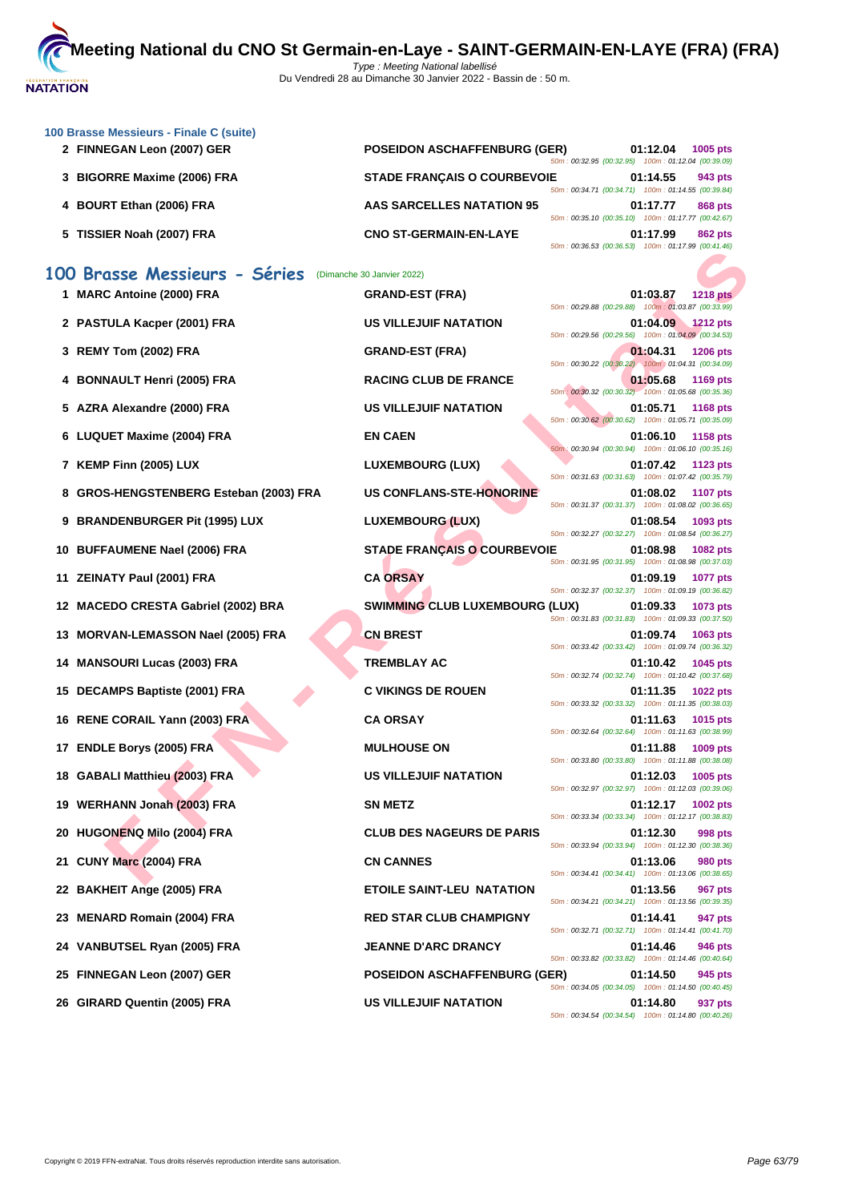

|    | 100 Brasse Messieurs - Finale C (suite) |                                       |                                                                                                          |          |                 |
|----|-----------------------------------------|---------------------------------------|----------------------------------------------------------------------------------------------------------|----------|-----------------|
|    | 2 FINNEGAN Leon (2007) GER              | <b>POSEIDON ASCHAFFENBURG (GER)</b>   | 50m: 00:32.95 (00:32.95) 100m: 01:12.04 (00:39.09)                                                       | 01:12.04 | 1005 pts        |
|    | 3 BIGORRE Maxime (2006) FRA             | <b>STADE FRANÇAIS O COURBEVOIE</b>    | 50m: 00:34.71 (00:34.71) 100m: 01:14.55 (00:39.84)                                                       | 01:14.55 | 943 pts         |
|    | 4 BOURT Ethan (2006) FRA                | <b>AAS SARCELLES NATATION 95</b>      | 50m: 00:35.10 (00:35.10) 100m: 01:17.77 (00:42.67)                                                       | 01:17.77 | 868 pts         |
|    | 5 TISSIER Noah (2007) FRA               | <b>CNO ST-GERMAIN-EN-LAYE</b>         | 50m: 00:36.53 (00:36.53) 100m: 01:17.99 (00:41.46)                                                       | 01:17.99 | <b>862 pts</b>  |
|    | 100 Brasse Messieurs - Séries           | (Dimanche 30 Janvier 2022)            |                                                                                                          |          |                 |
|    | 1 MARC Antoine (2000) FRA               | <b>GRAND-EST (FRA)</b>                | 50m: 00:29.88 (00:29.88) 100m: 01:03.87 (00:33.99)                                                       | 01:03.87 | <b>1218 pts</b> |
|    | 2 PASTULA Kacper (2001) FRA             | US VILLEJUIF NATATION                 | 50m: 00:29.56 (00:29.56) 100m: 01:04.09 (00:34.53)                                                       | 01:04.09 | 1212 pts        |
|    | 3 REMY Tom (2002) FRA                   | <b>GRAND-EST (FRA)</b>                | 50m: 00:30.22 (00:30.22) 100m: 01:04.31 (00:34.09)                                                       | 01:04.31 | <b>1206 pts</b> |
|    | 4 BONNAULT Henri (2005) FRA             | <b>RACING CLUB DE FRANCE</b>          | 50m : 00:30.32 (00:30.32) 100m : 01:05.68 (00:35.36)                                                     | 01:05.68 | <b>1169 pts</b> |
|    | 5 AZRA Alexandre (2000) FRA             | <b>US VILLEJUIF NATATION</b>          | 50m: 00:30.62 (00:30.62) 100m: 01:05.71 (00:35.09)                                                       | 01:05.71 | <b>1168 pts</b> |
|    | 6 LUQUET Maxime (2004) FRA              | <b>EN CAEN</b>                        | 50m: 00:30.94 (00:30.94) 100m: 01:06.10 (00:35.16)                                                       | 01:06.10 | 1158 pts        |
|    | 7 KEMP Finn (2005) LUX                  | <b>LUXEMBOURG (LUX)</b>               | 50m: 00:31.63 (00:31.63) 100m: 01:07.42 (00:35.79)                                                       | 01:07.42 | 1123 pts        |
| 8  | GROS-HENGSTENBERG Esteban (2003) FRA    | <b>US CONFLANS-STE-HONORINE</b>       | 50m: 00:31.37 (00:31.37) 100m: 01:08.02 (00:36.65)                                                       | 01:08.02 | <b>1107 pts</b> |
|    | 9 BRANDENBURGER Pit (1995) LUX          | <b>LUXEMBOURG (LUX)</b>               | 50m: 00:32.27 (00:32.27) 100m: 01:08.54 (00:36.27)                                                       | 01:08.54 | 1093 pts        |
|    | 10 BUFFAUMENE Nael (2006) FRA           | <b>STADE FRANÇAIS O COURBEVOIE</b>    | 50m: 00:31.95 (00:31.95) 100m: 01:08.98 (00:37.03)                                                       | 01:08.98 | 1082 pts        |
|    | 11 ZEINATY Paul (2001) FRA              | <b>CA ORSAY</b>                       |                                                                                                          | 01:09.19 | 1077 pts        |
|    | 12 MACEDO CRESTA Gabriel (2002) BRA     | <b>SWIMMING CLUB LUXEMBOURG (LUX)</b> | 50m: 00:32.37 (00:32.37) 100m: 01:09.19 (00:36.82)<br>50m: 00:31.83 (00:31.83) 100m: 01:09.33 (00:37.50) | 01:09.33 | 1073 pts        |
| 13 | <b>MORVAN-LEMASSON Nael (2005) FRA</b>  | <b>CN BREST</b>                       |                                                                                                          | 01:09.74 | 1063 pts        |
|    | 14 MANSOURI Lucas (2003) FRA            | <b>TREMBLAY AC</b>                    | 50m: 00:33.42 (00:33.42) 100m: 01:09.74 (00:36.32)                                                       | 01:10.42 | 1045 pts        |
|    | 15 DECAMPS Baptiste (2001) FRA          | <b>C VIKINGS DE ROUEN</b>             | 50m: 00:32.74 (00:32.74) 100m: 01:10.42 (00:37.68)                                                       | 01:11.35 | 1022 pts        |
|    | 16 RENE CORAIL Yann (2003) FRA          | <b>CA ORSAY</b>                       | 50m: 00:33.32 (00:33.32) 100m: 01:11.35 (00:38.03)                                                       | 01:11.63 | 1015 pts        |
|    | 17 ENDLE Borys (2005) FRA               | <b>MULHOUSE ON</b>                    | 50m: 00:32.64 (00:32.64) 100m: 01:11.63 (00:38.99)                                                       | 01:11.88 | 1009 pts        |
|    | 18 GABALI Matthieu (2003) FRA           | <b>US VILLEJUIF NATATION</b>          | 50m: 00:33.80 (00:33.80) 100m: 01:11.88 (00:38.08)                                                       | 01:12.03 | 1005 pts        |
|    | 19 WERHANN Jonah (2003) FRA             | <b>SN METZ</b>                        | 50m: 00:32.97 (00:32.97) 100m: 01:12.03 (00:39.06)                                                       | 01:12.17 | 1002 pts        |
|    | 20 HUGONENQ Milo (2004) FRA             | <b>CLUB DES NAGEURS DE PARIS</b>      | 50m: 00:33.34 (00:33.34) 100m: 01:12.17 (00:38.83)                                                       | 01:12.30 | 998 pts         |
|    | 21 CUNY Marc (2004) FRA                 | <b>CN CANNES</b>                      | 50m: 00:33.94 (00:33.94) 100m: 01:12.30 (00:38.36)                                                       | 01:13.06 | <b>980 pts</b>  |
|    | 22 BAKHEIT Ange (2005) FRA              | <b>ETOILE SAINT-LEU NATATION</b>      | 50m: 00:34.41 (00:34.41) 100m: 01:13.06 (00:38.65)                                                       | 01:13.56 | <b>967 pts</b>  |
| 23 | <b>MENARD Romain (2004) FRA</b>         | <b>RED STAR CLUB CHAMPIGNY</b>        | 50m: 00:34.21 (00:34.21) 100m: 01:13.56 (00:39.35)                                                       | 01:14.41 | 947 pts         |
|    | 24 VANBUTSEL Ryan (2005) FRA            | <b>JEANNE D'ARC DRANCY</b>            | 50m: 00:32.71 (00:32.71) 100m: 01:14.41 (00:41.70)                                                       | 01:14.46 | 946 pts         |
|    | 25 FINNEGAN Leon (2007) GER             | <b>POSEIDON ASCHAFFENBURG (GER)</b>   | 50m: 00:33.82 (00:33.82) 100m: 01:14.46 (00:40.64)                                                       | 01:14.50 | 945 pts         |
|    | 26 GIRARD Quentin (2005) FRA            | <b>US VILLEJUIF NATATION</b>          | 50m: 00:34.05 (00:34.05) 100m: 01:14.50 (00:40.45)                                                       | 01:14.80 | 937 pts         |
|    |                                         |                                       | 50m: 00:34.54 (00:34.54) 100m: 01:14.80 (00:40.26)                                                       |          |                 |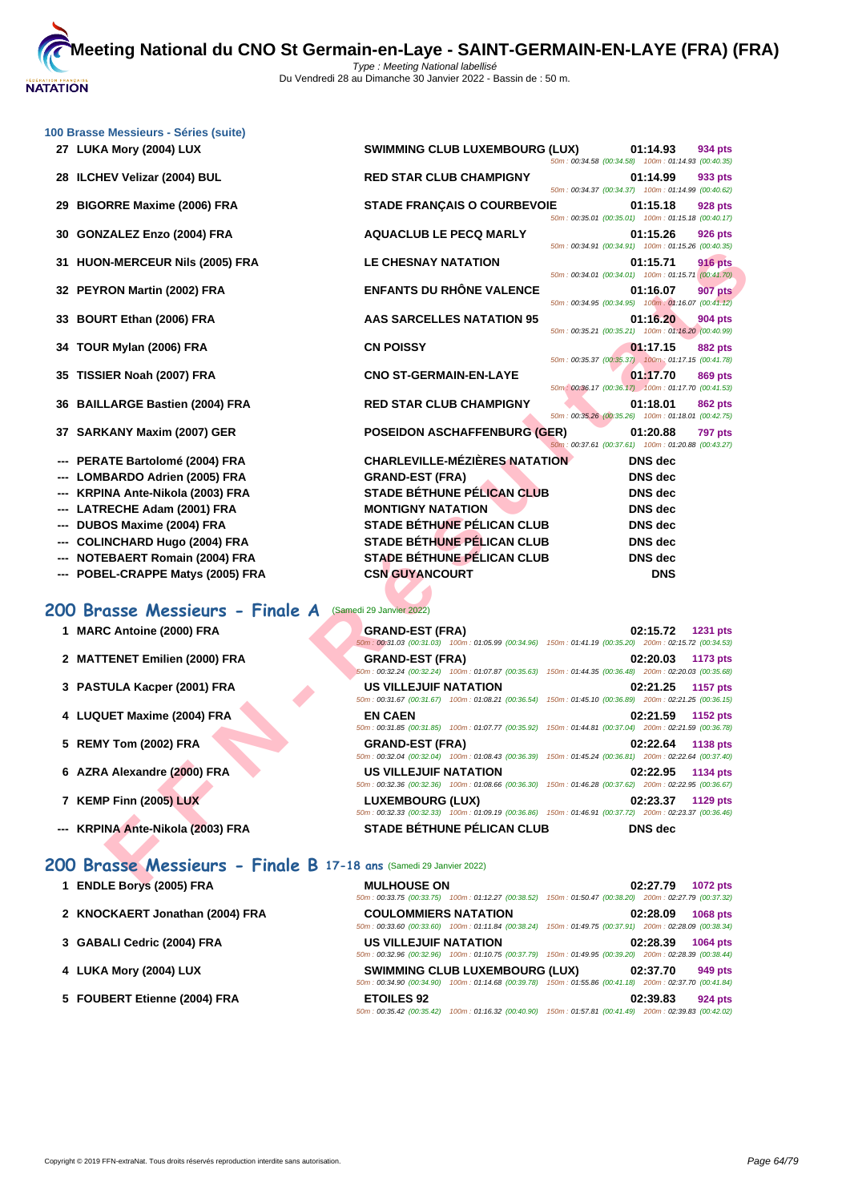| 100 Brasse Messieurs - Séries (suite)                              |                                                                                                                                            |                                                                                  |
|--------------------------------------------------------------------|--------------------------------------------------------------------------------------------------------------------------------------------|----------------------------------------------------------------------------------|
| 27 LUKA Mory (2004) LUX                                            | <b>SWIMMING CLUB LUXEMBOURG (LUX)</b>                                                                                                      | 01:14.93<br>934 pts<br>50m: 00:34.58 (00:34.58) 100m: 01:14.93 (00:40.35)        |
| 28 ILCHEV Velizar (2004) BUL                                       | <b>RED STAR CLUB CHAMPIGNY</b>                                                                                                             | 01:14.99<br>933 pts<br>50m: 00:34.37 (00:34.37) 100m: 01:14.99 (00:40.62)        |
| <b>BIGORRE Maxime (2006) FRA</b><br>29                             | <b>STADE FRANÇAIS O COURBEVOIE</b>                                                                                                         | 01:15.18<br>928 pts<br>50m: 00:35.01 (00:35.01) 100m: 01:15.18 (00:40.17)        |
| <b>GONZALEZ Enzo (2004) FRA</b><br>30                              | <b>AQUACLUB LE PECQ MARLY</b>                                                                                                              | 01:15.26<br>926 pts<br>50m: 00:34.91 (00:34.91) 100m: 01:15.26 (00:40.35)        |
| 31 HUON-MERCEUR Nils (2005) FRA                                    | <b>LE CHESNAY NATATION</b>                                                                                                                 | 01:15.71<br><b>916 pts</b><br>50m: 00:34.01 (00:34.01) 100m: 01:15.71 (00:41.70) |
| 32 PEYRON Martin (2002) FRA                                        | <b>ENFANTS DU RHÔNE VALENCE</b>                                                                                                            | 01:16.07<br>907 pts<br>50m: 00:34.95 (00:34.95) 100m: 01:16.07 (00:41.12)        |
| 33 BOURT Ethan (2006) FRA                                          | AAS SARCELLES NATATION 95                                                                                                                  | 01:16.20<br>904 pts<br>50m: 00:35.21 (00:35.21) 100m: 01:16.20 (00:40.99)        |
| 34 TOUR Mylan (2006) FRA                                           | <b>CN POISSY</b>                                                                                                                           | 01:17.15<br>882 pts<br>50m: 00:35.37 (00:35.37) 100m: 01:17.15 (00:41.78)        |
| TISSIER Noah (2007) FRA<br>35                                      | <b>CNO ST-GERMAIN-EN-LAYE</b>                                                                                                              | 01:17.70<br>869 pts<br>50m: 00:36.17 (00:36.17) 100m: 01:17.70 (00:41.53)        |
| <b>BAILLARGE Bastien (2004) FRA</b><br>36                          | <b>RED STAR CLUB CHAMPIGNY</b>                                                                                                             | 01:18.01<br>862 pts<br>50m: 00:35.26 (00:35.26) 100m: 01:18.01 (00:42.75)        |
| 37 SARKANY Maxim (2007) GER                                        | <b>POSEIDON ASCHAFFENBURG (GER)</b>                                                                                                        | 01:20.88<br><b>797 pts</b><br>50m: 00:37.61 (00:37.61) 100m: 01:20.88 (00:43.27) |
| PERATE Bartolomé (2004) FRA                                        | <b>CHARLEVILLE-MÉZIÈRES NATATION</b>                                                                                                       | <b>DNS</b> dec                                                                   |
| <b>LOMBARDO Adrien (2005) FRA</b>                                  | <b>GRAND-EST (FRA)</b>                                                                                                                     | <b>DNS</b> dec                                                                   |
| KRPINA Ante-Nikola (2003) FRA                                      | <b>STADE BÉTHUNE PÉLICAN CLUB</b>                                                                                                          | <b>DNS</b> dec                                                                   |
| LATRECHE Adam (2001) FRA                                           | <b>MONTIGNY NATATION</b>                                                                                                                   | <b>DNS</b> dec                                                                   |
| DUBOS Maxime (2004) FRA                                            | <b>STADE BETHUNE PELICAN CLUB</b>                                                                                                          | <b>DNS</b> dec                                                                   |
| <b>COLINCHARD Hugo (2004) FRA</b>                                  | <b>STADE BÉTHUNE PÉLICAN CLUB</b>                                                                                                          | <b>DNS</b> dec                                                                   |
| <b>NOTEBAERT Romain (2004) FRA</b>                                 | <b>STADE BÉTHUNE PÉLICAN CLUB</b>                                                                                                          | <b>DNS</b> dec                                                                   |
|                                                                    | <b>CSN GUYANCOURT</b>                                                                                                                      |                                                                                  |
| --- POBEL-CRAPPE Matys (2005) FRA                                  |                                                                                                                                            | <b>DNS</b>                                                                       |
| 200 Brasse Messieurs - Finale A                                    | (Samedi 29 Janvier 2022)                                                                                                                   |                                                                                  |
| 1 MARC Antoine (2000) FRA                                          | <b>GRAND-EST (FRA)</b><br>50m : 00:31.03 (00:31.03) 100m : 01:05.99 (00:34.96) 150m : 01:41.19 (00:35.20) 200m : 02:15.72 (00:34.53)       | 02:15.72<br>1231 pts                                                             |
| 2 MATTENET Emilien (2000) FRA                                      | <b>GRAND-EST (FRA)</b><br>50m: 00:32.24 (00:32.24) 100m: 01:07.87 (00:35.63)                                                               | 02:20.03<br>1173 pts<br>150m: 01:44.35 (00:36.48) 200m: 02:20.03 (00:35.68)      |
| 3 PASTULA Kacper (2001) FRA                                        | <b>US VILLEJUIF NATATION</b><br>50m: 00:31.67 (00:31.67) 100m: 01:08.21 (00:36.54) 150m: 01:45.10 (00:36.89) 200m: 02:21.25 (00:36.15)     | 02:21.25<br><b>1157 pts</b>                                                      |
| 4 LUQUET Maxime (2004) FRA                                         | <b>EN CAEN</b><br>50m: 00:31.85 (00:31.85) 100m: 01:07.77 (00:35.92) 150m: 01:44.81 (00:37.04) 200m: 02:21.59 (00:36.78)                   | 02:21.59<br>1152 pts                                                             |
| 5 REMY Tom (2002) FRA                                              | <b>GRAND-EST (FRA)</b><br>50m: 00:32.04 (00:32.04) 100m: 01:08.43 (00:36.39) 150m: 01:45.24 (00:36.81) 200m: 02:22.64 (00:37.40)           | 02:22.64<br>1138 pts                                                             |
| 6 AZRA Alexandre (2000) FRA                                        | <b>US VILLEJUIF NATATION</b><br>50m : 00:32.36 (00:32.36) 100m : 01:08.66 (00:36.30) 150m : 01:46.28 (00:37.62) 200m : 02:22.95 (00:36.67) | 02:22.95<br>1134 pts                                                             |
| 7 KEMP Finn (2005) LUX                                             | LUXEMBOURG (LUX)<br>50m: 00:32.33 (00:32.33) 100m: 01:09.19 (00:36.86) 150m: 01:46.91 (00:37.72) 200m: 02:23.37 (00:36.46)                 | 02:23.37<br>1129 pts                                                             |
| --- KRPINA Ante-Nikola (2003) FRA                                  | <b>STADE BETHUNE PELICAN CLUB</b>                                                                                                          | <b>DNS</b> dec                                                                   |
| 200 Brasse Messieurs - Finale B 17-18 ans (Samedi 29 Janvier 2022) |                                                                                                                                            |                                                                                  |
| EMDI E D <sub>min</sub> (OME) EDA                                  | MIII HOUSE ON                                                                                                                              |                                                                                  |

# **200 Brasse Messieurs - Finale A** (Samedi 29 Janvier 2022)

- 
- **2 MATTENET Emilien (2000) FRA**
- **3 PASTULA Kacper (2001) FRA**
- **4 LUQUET Maxime (2004) FRA EN CAEN 02:21.59 1152 pts**
- **5 REMY Tom (2002) FRA**
- **6** AZRA Alexandre (2000) FRA
- **7 KEMP Finn (2005) LUX**
- **--- KRPINA Ante-Nikola (2003) FRA**

### **200 Brasse Messieurs - Finale B 17-18 ans** (Samedi 29 Janvier 2022)

- **1 ENDLE Borys (2005) FRA MULHOUSE ON 02:27.79 1072 pts**
- **2 KNOCKAERT Jonathan (2004) FRA COULOMMIERS NATATION 02:28.09 1068 pts**
- **3 [GABALI Cedric \(2004\) FRA](http://www.ffnatation.fr/webffn/resultats.php?idact=nat&go=epr&idcpt=75485&idepr=73) US VILLEJUIF NATATION 02:28.39 1064 pts**
- **4 LUKA Mory (2004) LUX SWIMMING CLUB LUXEMBOURG (LUX) 02:37.70 949 pts**
- **5 FOUBERT Etienne (2004) FRA ETOILES 92 02:39.83 924 pts**

| 1 MARC Antoine (2000) FRA        | <b>GRAND-EST (FRA)</b>       | 50m: 00:31.03 (00:31.03) 100m: 01:05.99 (00:34.96) 150m: 01:41.19 (00:35.20) 200m: 02:15.72 (00:34.53) | 02:15.72       | <b>1231 pts</b> |
|----------------------------------|------------------------------|--------------------------------------------------------------------------------------------------------|----------------|-----------------|
| 2 MATTENET Emilien (2000) FRA    | <b>GRAND-EST (FRA)</b>       | 50m: 00:32.24 (00:32.24) 100m: 01:07.87 (00:35.63) 150m: 01:44.35 (00:36.48) 200m: 02:20.03 (00:35.68) | 02:20.03       | 1173 pts        |
| 3 PASTULA Kacper (2001) FRA      | <b>US VILLEJUIF NATATION</b> | 50m: 00:31.67 (00:31.67) 100m: 01:08.21 (00:36.54) 150m: 01:45.10 (00:36.89) 200m: 02:21.25 (00:36.15) | 02:21.25       | 1157 pts        |
| 4 LUQUET Maxime (2004) FRA       | <b>EN CAEN</b>               | 50m: 00:31.85 (00:31.85) 100m: 01:07.77 (00:35.92) 150m: 01:44.81 (00:37.04) 200m: 02:21.59 (00:36.78) | 02:21.59       | 1152 $pts$      |
| 5 REMY Tom (2002) FRA            | <b>GRAND-EST (FRA)</b>       | 50m: 00:32.04 (00:32.04) 100m: 01:08.43 (00:36.39) 150m: 01:45.24 (00:36.81) 200m: 02:22.64 (00:37.40) | 02:22.64       | 1138 pts        |
| 6 AZRA Alexandre (2000) FRA      | <b>US VILLEJUIF NATATION</b> | 50m: 00:32.36 (00:32.36) 100m: 01:08.66 (00:36.30) 150m: 01:46.28 (00:37.62) 200m: 02:22.95 (00:36.67) | 02:22.95       | 1134 pts        |
| 7 KEMP Finn (2005) LUX           | <b>LUXEMBOURG (LUX)</b>      | 50m: 00:32.33 (00:32.33) 100m: 01:09.19 (00:36.86) 150m: 01:46.91 (00:37.72) 200m: 02:23.37 (00:36.46) | 02:23.37       | 1129 pts        |
| -- KRPINA Ante-Nikola (2003) FRA |                              | <b>STADE BÉTHUNE PÉLICAN CLUB</b>                                                                      | <b>DNS</b> dec |                 |

50m : 00:33.75 (00:33.75) 100m : 01:12.27 (00:38.52) 150m : 01:50.47 (00:38.20) 200m : 02:27.79 (00:37.32)

50m : 00:33.60 (00:33.60) 100m : 01:11.84 (00:38.24) 150m : 01:49.75 (00:37.91) 200m : 02:28.09 (00:38.34)

50m : 00:32.96 (00:32.96) 100m : 01:10.75 (00:37.79) 150m : 01:49.95 (00:39.20) 200m : 02:28.39 (00:38.44)

50m : 00:34.90 (00:34.90) 100m : 01:14.68 (00:39.78) 150m : 01:55.86 (00:41.18) 200m : 02:37.70 (00:41.84)

50m : 00:35.42 (00:35.42) 100m : 01:16.32 (00:40.90) 150m : 01:57.81 (00:41.49) 200m : 02:39.83 (00:42.02)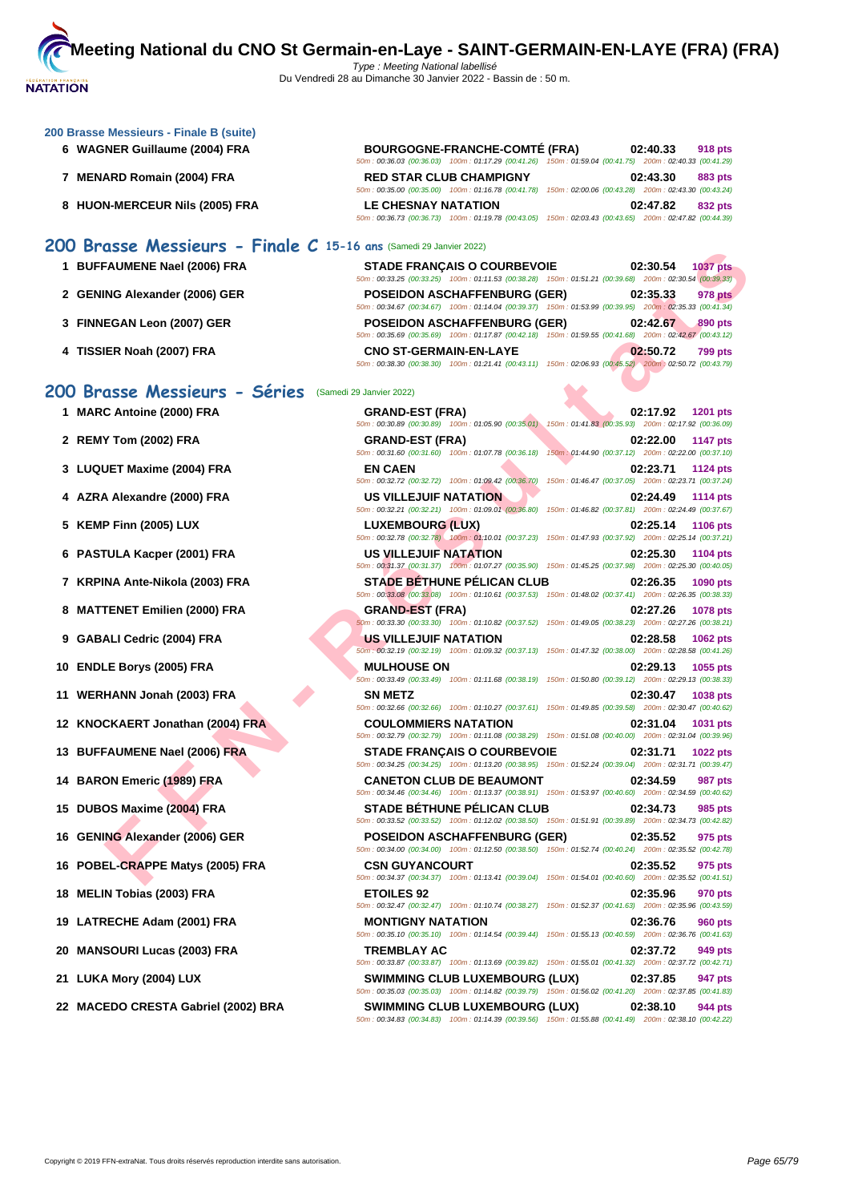#### **[200 Brass](http://www.ffnatation.fr/webffn/index.php)e Messieurs - Finale B (suite)**

- **6 WAGNER Guillaume (2004) FRA BOURGOGNE-FRANCHE-COMTÉ (FRA) 02:40.33 918 pts**
- **7 MENARD Romain (2004) FRA RED STAR CLUB CHAMPIGNY 02:43.30 883 pts**
- **8 HUON-MERCEUR Nils (2005) FRA LE CHESNAY NATATION 02:47.82 832 pts**

### **200 Brasse Messieurs - Finale C 15-16 ans** (Samedi 29 Janvier 2022)

| 1 BUFFAUMENE Nael (2006) FRA  | <b>STADE FRANCAIS O COURBEVOIE</b>                                                                     | 02:30.54 | <b>1037 pts</b> |
|-------------------------------|--------------------------------------------------------------------------------------------------------|----------|-----------------|
|                               | 50m: 00:33.25 (00:33.25) 100m: 01:11.53 (00:38.28) 150m: 01:51.21 (00:39.68) 200m: 02:30.54 (00:39.33) |          |                 |
| 2 GENING Alexander (2006) GER | <b>POSEIDON ASCHAFFENBURG (GER)</b>                                                                    | 02:35.33 | 978 pts         |
|                               | 50m: 00:34.67 (00:34.67) 100m: 01:14.04 (00:39.37) 150m: 01:53.99 (00:39.95) 200m: 02:35.33 (00:41.34) |          |                 |
| 3 FINNEGAN Leon (2007) GER    | <b>POSEIDON ASCHAFFENBURG (GER)</b>                                                                    | 02:42.67 | 890 pts         |
|                               | 50m: 00:35.69 (00:35.69) 100m: 01:17.87 (00:42.18) 150m: 01:59.55 (00:41.68) 200m: 02:42.67 (00:43.12) |          |                 |
| 4 TISSIER Noah (2007) FRA     | <b>CNO ST-GERMAIN-EN-LAYE</b>                                                                          | 02:50.72 | <b>799 pts</b>  |
|                               | 50m: 00:38.30 (00:38.30) 100m: 01:21.41 (00:43.11) 150m: 02:06.93 (00:45.52) 200m: 02:50.72 (00:43.79) |          |                 |

50m : 00:36.03 (00:36.03) 100m : 01:17.29 (00:41.26) 150m : 01:59.04 (00:41.75) 200m : 02:40.33 (00:41.29)

50m : 00:35.00 (00:35.00) 100m : 01:16.78 (00:41.78) 150m : 02:00.06 (00:43.28) 200m : 02:43.30 (00:43.24)

50m : 00:36.73 (00:36.73) 100m : 01:19.78 (00:43.05) 150m : 02:03.43 (00:43.65) 200m : 02:47.82 (00:44.39)

#### **200 Brasse Messieurs - Séries** (Samedi 29

- **1 MARC Antoine (2000) FRA**
- **2 REMY Tom (2002) FRA GRAND-EST (FRA) 02:22.00 1147 pts**

- **3** LUQUET Maxime (2004) FRA
- **4** AZRA Alexandre (2000) FRA
- **5 KEMP Finn (2005) LUX**
- **6 PASTULA Kacper (2001) FRA**
- **7 KRPINA Ante-Nikola (2003) FRA**
- **8 MATTENET Emilien (2000) FRA**
- **9 GABALI Cedric (2004) FRA**
- **10 ENDLE Borys (2005) FRA**
- **11 WERHANN Jonah (2003) FRA**
- **12 KNOCKAERT Jonathan (2004) FRA**
- **13 BUFFAUMENE Nael (2006) FRA**
- **14 BARON Emeric (1989) FRA**
- **15 DUBOS Maxime (2004) FRA**
- **16 GENING Alexander (2006) GER**
- **16** POBEL-CRAPPE Matys (2005) FRA
- **18 MELIN Tobias (2003) FRA**
- **19 LATRECHE Adam (2001) FRA**
- **20 MANSOURI Lucas (2003) FRA**
- **21 LUKA Mory (2004) LUX**
- **22 MACEDO CRESTA Gabriel (2002) BRA SWIMMING CLUB LUXEMBOURG (LUX) 02:38.10 944 pts**

| $\frac{1}{2}$<br>FAUMENE Nael (2006) FRA | <b>STADE FRANÇAIS O COURBEVOIE</b>                                                                                                                                                                                                                   | 1037 pts<br>02:30.54        |
|------------------------------------------|------------------------------------------------------------------------------------------------------------------------------------------------------------------------------------------------------------------------------------------------------|-----------------------------|
| ING Alexander (2006) GER                 | 50m: 00:33.25 (00:33.25) 100m: 01:11.53 (00:38.28) 150m: 01:51.21 (00:39.68) 200m: 02:30.54 (00:39.33)<br><b>POSEIDON ASCHAFFENBURG (GER)</b>                                                                                                        | 02:35.33<br>978 pts         |
|                                          | 50m: 00:34.67 (00:34.67) 100m: 01:14.04 (00:39.37) 150m: 01:53.99 (00:39.95) 200m: 02:35.33 (00:41.34)                                                                                                                                               |                             |
| EGAN Leon (2007) GER                     | <b>POSEIDON ASCHAFFENBURG (GER)</b><br>50m : 00:35.69 (00:35.69) 100m : 01:17.87 (00:42.18) 150m : 01:59.55 (00:41.68) 200m : 02:42.67 (00:43.12)                                                                                                    | 02:42.67<br>890 pts         |
| IER Noah (2007) FRA                      | <b>CNO ST-GERMAIN-EN-LAYE</b><br>50m : 00:38.30 (00:38.30) 100m : 01:21.41 (00:43.11) 150m : 02:06.93 (00:45.52) 200m : 02:50.72 (00:43.79)                                                                                                          | 02:50.72<br>799 pts         |
| asse Messieurs - Séries                  | (Samedi 29 Janvier 2022)                                                                                                                                                                                                                             |                             |
| C Antoine (2000) FRA                     | <b>GRAND-EST (FRA)</b><br>50m : 00:30.89 (00:30.89) 100m : 01:05.90 (00:35.01) 150m : 01:41.83 (00:35.93) 200m : 02:17.92 (00:36.09)                                                                                                                 | 02:17.92<br><b>1201 pts</b> |
| Y Tom (2002) FRA                         | <b>GRAND-EST (FRA)</b><br>50m : 00:31.60 (00:31.60) 100m : 01:07.78 (00:36.18) 150m : 01:44.90 (00:37.12) 200m : 02:22.00 (00:37.10)                                                                                                                 | 02:22.00<br><b>1147 pts</b> |
| UET Maxime (2004) FRA                    | <b>EN CAEN</b><br>50m : 00:32.72 (00:32.72) 100m : 01:09.42 (00:36.70) 150m : 01:46.47 (00:37.05) 200m : 02:23.71 (00:37.24)                                                                                                                         | 02:23.71<br>1124 pts        |
| A Alexandre (2000) FRA                   | US VILLEJUIF NATATION<br>50m: 00:32.21 (00:32.21) 100m: 01:09.01 (00:36.80) 150m: 01:46.82 (00:37.81) 200m: 02:24.49 (00:37.67)                                                                                                                      | 02:24.49<br>1114 pts        |
| P Finn (2005) LUX                        | <b>LUXEMBOURG (LUX)</b><br>50m : 00:32.78 (00:32.78) 100m : 01:10.01 (00:37.23) 150m : 01:47.93 (00:37.92) 200m : 02:25.14 (00:37.21)                                                                                                                | 02:25.14<br><b>1106 pts</b> |
| TULA Kacper (2001) FRA                   | US VILLEJUIF NATATION<br>50m: 00:31.37 (00:31.37) 100m: 01:07.27 (00:35.90) 150m: 01:45.25 (00:37.98) 200m: 02:25.30 (00:40.05)                                                                                                                      | 02:25.30<br>1104 pts        |
| NA Ante-Nikola (2003) FRA                | <b>STADE BETHUNE PELICAN CLUB</b>                                                                                                                                                                                                                    | 02:26.35<br>1090 pts        |
| TENET Emilien (2000) FRA                 | 50m: 00:33.08 (00:33.08) 100m: 01:10.61 (00:37.53) 150m: 01:48.02 (00:37.41) 200m: 02:26.35 (00:38.33)<br><b>GRAND-EST (FRA)</b>                                                                                                                     | 02:27.26<br>1078 pts        |
| ALI Cedric (2004) FRA                    | 50m: 00:33.30 (00:33.30) 100m: 01:10.82 (00:37.52) 150m: 01:49.05 (00:38.23) 200m: 02:27.26 (00:38.21)<br><b>US VILLEJUIF NATATION</b><br>50m : 00:32.19 (00:32.19) 100m : 01:09.32 (00:37.13) 150m : 01:47.32 (00:38.00) 200m : 02:28.58 (00:41.26) | 02:28.58<br>1062 pts        |
| LE Borys (2005) FRA                      | <b>MULHOUSE ON</b><br>50m: 00:33.49 (00:33.49) 100m: 01:11.68 (00:38.19) 150m: 01:50.80 (00:39.12) 200m: 02:29.13 (00:38.33)                                                                                                                         | 02:29.13<br>1055 pts        |
| HANN Jonah (2003) FRA                    | <b>SN METZ</b><br>50m : 00:32.66 (00:32.66) 100m : 01:10.27 (00:37.61) 150m : 01:49.85 (00:39.58) 200m : 02:30.47 (00:40.62)                                                                                                                         | 02:30.47<br>1038 pts        |
| <b>CKAERT Jonathan (2004) FRA</b>        | <b>COULOMMIERS NATATION</b>                                                                                                                                                                                                                          | 02:31.04<br>1031 pts        |
| FAUMENE Nael (2006) FRA                  | 50m : 00:32.79 (00:32.79) 100m : 01:11.08 (00:38.29) 150m : 01:51.08 (00:40.00) 200m : 02:31.04 (00:39.96)<br><b>STADE FRANÇAIS O COURBEVOIE</b>                                                                                                     | 02:31.71<br><b>1022 pts</b> |
| ON Emeric (1989) FRA                     | 50m: 00:34.25 (00:34.25) 100m: 01:13.20 (00:38.95) 150m: 01:52.24 (00:39.04) 200m: 02:31.71 (00:39.47)<br><b>CANETON CLUB DE BEAUMONT</b>                                                                                                            | 02:34.59<br>987 pts         |
| OS Maxime (2004) FRA                     | 50m : 00:34.46 (00:34.46) 100m : 01:13.37 (00:38.91) 150m : 01:53.97 (00:40.60) 200m : 02:34.59 (00:40.62)<br><b>STADE BETHUNE PELICAN CLUB</b>                                                                                                      | 02:34.73<br>985 pts         |
| ING Alexander (2006) GER                 | 50m : 00:33.52 (00:33.52) 100m : 01:12.02 (00:38.50) 150m : 01:51.91 (00:39.89) 200m : 02:34.73 (00:42.82)<br><b>POSEIDON ASCHAFFENBURG (GER)</b>                                                                                                    | 02:35.52<br>975 pts         |
| EL-CRAPPE Matys (2005) FRA               | 50m : 00:34.00 (00:34.00) 100m : 01:12.50 (00:38.50) 150m : 01:52.74 (00:40.24) 200m : 02:35.52 (00:42.78)<br><b>CSN GUYANCOURT</b>                                                                                                                  | 02:35.52<br>975 pts         |
| N Tobias (2003) FRA                      | 50m: 00:34.37 (00:34.37) 100m: 01:13.41 (00:39.04) 150m: 01:54.01 (00:40.60) 200m: 02:35.52 (00:41.51)<br><b>ETOILES 92</b>                                                                                                                          | 02:35.96<br>970 pts         |
| RECHE Adam (2001) FRA                    | 50m: 00:32.47 (00:32.47) 100m: 01:10.74 (00:38.27) 150m: 01:52.37 (00:41.63) 200m: 02:35.96 (00:43.59)<br><b>MONTIGNY NATATION</b>                                                                                                                   | 02:36.76<br>960 pts         |
| SOURI Lucas (2003) FRA                   | 50m : 00:35.10 (00:35.10) 100m : 01:14.54 (00:39.44) 150m : 01:55.13 (00:40.59) 200m : 02:36.76 (00:41.63)<br><b>TREMBLAY AC</b>                                                                                                                     | 02:37.72<br>949 pts         |
| <b>A Mory (2004) LUX</b>                 | 50m: 00:33.87 (00:33.87) 100m: 01:13.69 (00:39.82) 150m: 01:55.01 (00:41.32) 200m: 02:37.72 (00:42.71)<br><b>SWIMMING CLUB LUXEMBOURG (LUX)</b>                                                                                                      | 02:37.85<br>947 pts         |
|                                          | 50m : 00:35.03 (00:35.03) 100m : 01:14.82 (00:39.79) 150m : 01:56.02 (00:41.20) 200m : 02:37.85 (00:41.83)                                                                                                                                           |                             |
| <b>FDO CRESTA Gabriel (2002) RRA</b>     | SWIMMING CLUB LUXEMBOURG (LUX)                                                                                                                                                                                                                       | በጋ 38 1በ<br>$944$ nts       |

50m : 00:34.83 (00:34.83) 100m : 01:14.39 (00:39.56) 150m : 01:55.88 (00:41.49) 200m : 02:38.10 (00:42.22)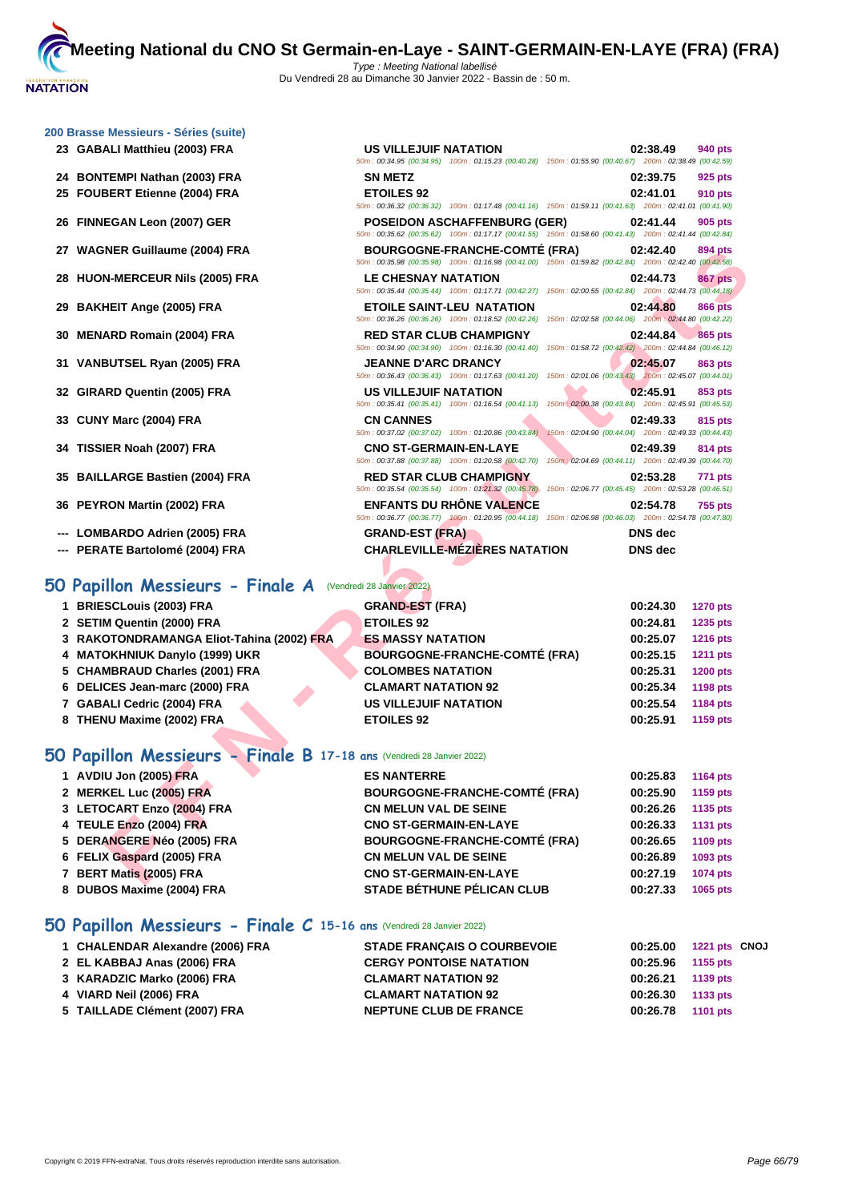50m : 00:34.95 (00:34.95) 100m : 01:15.23 (00:40.28) 150m : 01:55.90 (00:40.67) 200m : 02:38.49 (00:42.59)

50m : 00:36.32 (00:36.32) 100m : 01:17.48 (00:41.16) 150m : 01:59.11 (00:41.63) 200m : 02:41.01 (00:41.90)

50m : 00:35.62 (00:35.62) 100m : 01:17.17 (00:41.55) 150m : 01:58.60 (00:41.43) 200m : 02:41.44 (00:42.84)

**GABALI Matthieu (2003) FRA US VILLEJUIF NATATION 02:38.49 940 pts**

|  | 200 Brasse Messieurs - Séries (suite) |  |  |
|--|---------------------------------------|--|--|
|  |                                       |  |  |

- **BONTEMPI Nathan (2003) FRA SN METZ 02:39.75 925 pts**
- **FOUBERT Etienne (2004) FRA ETOILES 92 02:41.01 910 pts**
- **FINNEGAN Leon (2007) GER POSEIDON ASCHAFFENBURG (GER) 02:41.44 905 pts**
- **WAGNER Guillaume (2004) FRA BOURGOGNE-FRANCHE-COMTÉ (FRA) 02:42.40 894 pts**
- **HUON-MERCEUR Nils (2005) FRA LE CHESNAY NATATION 02:44.73 867 pts**
- **BAKHEIT Ange (2005) FRA ETOILE SAINT-LEU NATATION 02:44.80 866 pts**
- **MENARD Romain (2004) FRA RED STAR CLUB CHAMPIGNY 02:44.84 865 pts**
- **VANBUTSEL Ryan (2005) FRA JEANNE D'ARC DRANCY 02:45.07 863 pts**
- **GIRARD Quentin (2005) FRA US VILLEJUIF NATATION 02:45.91 853 pts**
- **CUNY Marc (2004) FRA CN CANNES 02:49.33 815 pts**
- **TISSIER Noah (2007) FRA CNO ST-GERMAIN-EN-LAYE 02:49.39 814 pts**
- **BAILLARGE Bastien (2004) FRA RED STAR CLUB CHAMPIGNY 02:53.28 771 pts**
- **PEYRON Martin (2002) FRA ENFANTS DU RHÔNE VALENCE 02:54.78 755 pts**
- **--- LOMBARDO Adrien (2005) FRA GRAND-EST (FRA) DNS dec**
- **--- PERATE Bartolomé (2004) FRA CHARLEVILLE-MÉZIÈRES NATATION DNS dec**

### **50 Papillon Messieurs - Finale A** (Vendredi 28 Janvier 2022)

| 27 WAGNER Guillaume (2004) FRA                                       | <b>BOURGOGNE-FRANCHE-COMTE (FRA)</b><br>50m : 00:35.98 (00:35.98) 100m : 01:16.98 (00:41.00) 150m : 01:59.82 (00:42.84) 200m : 02:42.40 (00:42.58) | 02:42.40<br>894 pts         |
|----------------------------------------------------------------------|----------------------------------------------------------------------------------------------------------------------------------------------------|-----------------------------|
| 28 HUON-MERCEUR Nils (2005) FRA                                      | LE CHESNAY NATATION<br>50m : 00:35.44 (00:35.44) 100m : 01:17.71 (00:42.27) 150m : 02:00.55 (00:42.84) 200m : 02:44.73 (00:44.18)                  | <b>867 pts</b><br>02:44.73  |
| 29 BAKHEIT Ange (2005) FRA                                           | ETOILE SAINT-LEU NATATION<br>50m : 00:36.26 (00:36.26) 100m : 01:18.52 (00:42.26) 150m : 02:02.58 (00:44.06) 200m : 02:44.80 (00:42.22)            | 02:44.80<br><b>866 pts</b>  |
| 30 MENARD Romain (2004) FRA                                          | <b>RED STAR CLUB CHAMPIGNY</b><br>50m : 00:34.90 (00:34.90) 100m : 01:16.30 (00:41.40) 150m : 01:58.72 (00:42.42) 200m : 02:44.84 (00:46.12)       | 02:44.84<br><b>865 pts</b>  |
| 31 VANBUTSEL Ryan (2005) FRA                                         | <b>JEANNE D'ARC DRANCY</b><br>50m: 00:36.43 (00:36.43) 100m: 01:17.63 (00:41.20) 150m: 02:01.06 (00:43.43) 200m: 02:45.07 (00:44.01)               | 02:45.07<br>863 pts         |
| 32 GIRARD Quentin (2005) FRA                                         | US VILLEJUIF NATATION<br>50m : 00:35.41 (00:35.41) 100m : 01:16.54 (00:41.13) 150m : 02:00.38 (00:43.84) 200m : 02:45.91 (00:45.53)                | 02:45.91<br>853 pts         |
| 33 CUNY Marc (2004) FRA                                              | <b>CN CANNES</b><br>50m : 00:37.02 (00:37.02) 100m : 01:20.86 (00:43.84) 150m : 02:04.90 (00:44.04) 200m : 02:49.33 (00:44.43)                     | 02:49.33<br>815 pts         |
| 34 TISSIER Noah (2007) FRA                                           | <b>CNO ST-GERMAIN-EN-LAYE</b><br>50m: 00:37.88 (00:37.88) 100m: 01:20.58 (00:42.70) 150m: 02:04.69 (00:44.11) 200m: 02:49.39 (00:44.70)            | 02:49.39<br>814 pts         |
| 35 BAILLARGE Bastien (2004) FRA                                      | <b>RED STAR CLUB CHAMPIGNY</b><br>50m: 00:35.54 (00:35.54) 100m: 01:21.32 (00:45.78) 150m: 02:06.77 (00:45.45) 200m: 02:53.28 (00:46.51)           | 02:53.28<br><b>771 pts</b>  |
| 36 PEYRON Martin (2002) FRA                                          | <b>ENFANTS DU RHONE VALENCE</b><br>50m : 00:36.77 (00:36.77) 100m : 01:20.95 (00:44.18) 150m : 02:06.98 (00:46.03) 200m : 02:54.78 (00:47.80)      | 02:54.78<br><b>755 pts</b>  |
| --- LOMBARDO Adrien (2005) FRA                                       | <b>GRAND-EST (FRA)</b>                                                                                                                             | DNS dec                     |
| --- PERATE Bartolomé (2004) FRA                                      | <b>CHARLEVILLE-MÉZIÈRES NATATION</b>                                                                                                               | <b>DNS</b> dec              |
| <b>O Papillon Messieurs - Finale A</b>                               | (Vendredi 28 Janvier 2022)                                                                                                                         |                             |
| 1 BRIESCLouis (2003) FRA                                             | <b>GRAND-EST (FRA)</b>                                                                                                                             | 00:24.30<br><b>1270 pts</b> |
| 2 SETIM Quentin (2000) FRA                                           | <b>ETOILES 92</b>                                                                                                                                  | 00:24.81<br>1235 pts        |
| 3 RAKOTONDRAMANGA Eliot-Tahina (2002) FRA                            | <b>ES MASSY NATATION</b>                                                                                                                           | 00:25.07<br><b>1216 pts</b> |
| 4 MATOKHNIUK Danylo (1999) UKR                                       | <b>BOURGOGNE-FRANCHE-COMTÉ (FRA)</b>                                                                                                               | 00:25.15<br><b>1211 pts</b> |
| 5 CHAMBRAUD Charles (2001) FRA                                       | <b>COLOMBES NATATION</b>                                                                                                                           | 00:25.31<br><b>1200 pts</b> |
| 6 DELICES Jean-marc (2000) FRA                                       | <b>CLAMART NATATION 92</b>                                                                                                                         | 00:25.34<br><b>1198 pts</b> |
| 7 GABALI Cedric (2004) FRA                                           | <b>US VILLEJUIF NATATION</b>                                                                                                                       | 00:25.54<br>1184 pts        |
| 8 THENU Maxime (2002) FRA                                            | <b>ETOILES 92</b>                                                                                                                                  | 00:25.91<br>1159 pts        |
| O Papillon Messieurs - Finale B 17-18 ans (Vendredi 28 Janvier 2022) |                                                                                                                                                    |                             |
| 1 AVDIU Jon (2005) FRA                                               | <b>ES NANTERRE</b>                                                                                                                                 | 00:25.83<br><b>1164 pts</b> |
| 2 MERKEL Luc (2005) FRA                                              | <b>BOURGOGNE-FRANCHE-COMTÉ (FRA)</b>                                                                                                               | 00:25.90<br>1159 pts        |
| 3 LETOCART Enzo (2004) FRA                                           | <b>CN MELUN VAL DE SEINE</b>                                                                                                                       | 00:26.26<br>1135 pts        |
| 4 TEULE Enzo (2004) FRA                                              | <b>CNO ST-GERMAIN-EN-LAYE</b>                                                                                                                      | 00:26.33<br>1131 pts        |
| 5 DERANGERE Néo (2005) FRA                                           | <b>BOURGOGNE-FRANCHE-COMTÉ (FRA)</b>                                                                                                               | 00:26.65<br>1109 pts        |
| 6 FELIX Gaspard (2005) FRA                                           | <b>CN MELUN VAL DE SEINE</b>                                                                                                                       | 00:26.89<br>1093 pts        |
| 7 BERT Matis (2005) FRA                                              | <b>CNO ST-GERMAIN-EN-LAYE</b>                                                                                                                      | 00:27.19<br>1074 pts        |
|                                                                      |                                                                                                                                                    |                             |

### **50 Papillon Messieurs - Finale B 17-18 ans** (Vendredi 28 Janvier 2022)

| 1 AVDIU Jon (2005) FRA     | <b>ES NANTERRE</b>                   | 00:25.83 | 1164 pts        |
|----------------------------|--------------------------------------|----------|-----------------|
| 2 MERKEL Luc (2005) FRA    | <b>BOURGOGNE-FRANCHE-COMTÉ (FRA)</b> | 00:25.90 | 1159 pts        |
| 3 LETOCART Enzo (2004) FRA | <b>CN MELUN VAL DE SEINE</b>         | 00:26.26 | 1135 pts        |
| 4 TEULE Enzo (2004) FRA    | <b>CNO ST-GERMAIN-EN-LAYE</b>        | 00:26.33 | <b>1131 pts</b> |
| 5 DERANGERE Néo (2005) FRA | <b>BOURGOGNE-FRANCHE-COMTÉ (FRA)</b> | 00:26.65 | 1109 pts        |
| 6 FELIX Gaspard (2005) FRA | <b>CN MELUN VAL DE SEINE</b>         | 00:26.89 | 1093 pts        |
| 7 BERT Matis (2005) FRA    | <b>CNO ST-GERMAIN-EN-LAYE</b>        | 00:27.19 | <b>1074 pts</b> |
| 8 DUBOS Maxime (2004) FRA  | <b>STADE BÉTHUNE PÉLICAN CLUB</b>    | 00:27.33 | 1065 pts        |

### **50 Papillon Messieurs - Finale C 15-16 ans** (Vendredi 28 Janvier 2022)

| 1 CHALENDAR Alexandre (2006) FRA | <b>STADE FRANCAIS O COURBEVOIE</b> |          | 00:25.00 1221 pts CNOJ |
|----------------------------------|------------------------------------|----------|------------------------|
| 2 EL KABBAJ Anas (2006) FRA      | <b>CERGY PONTOISE NATATION</b>     | 00:25.96 | 1155 pts               |
| 3 KARADZIC Marko (2006) FRA      | <b>CLAMART NATATION 92</b>         | 00:26.21 | 1139 pts               |
| 4 VIARD Neil (2006) FRA          | <b>CLAMART NATATION 92</b>         | 00:26.30 | 1133 pts               |
| 5 TAILLADE Clément (2007) FRA    | <b>NEPTUNE CLUB DE FRANCE</b>      | 00:26.78 | 1101 pts               |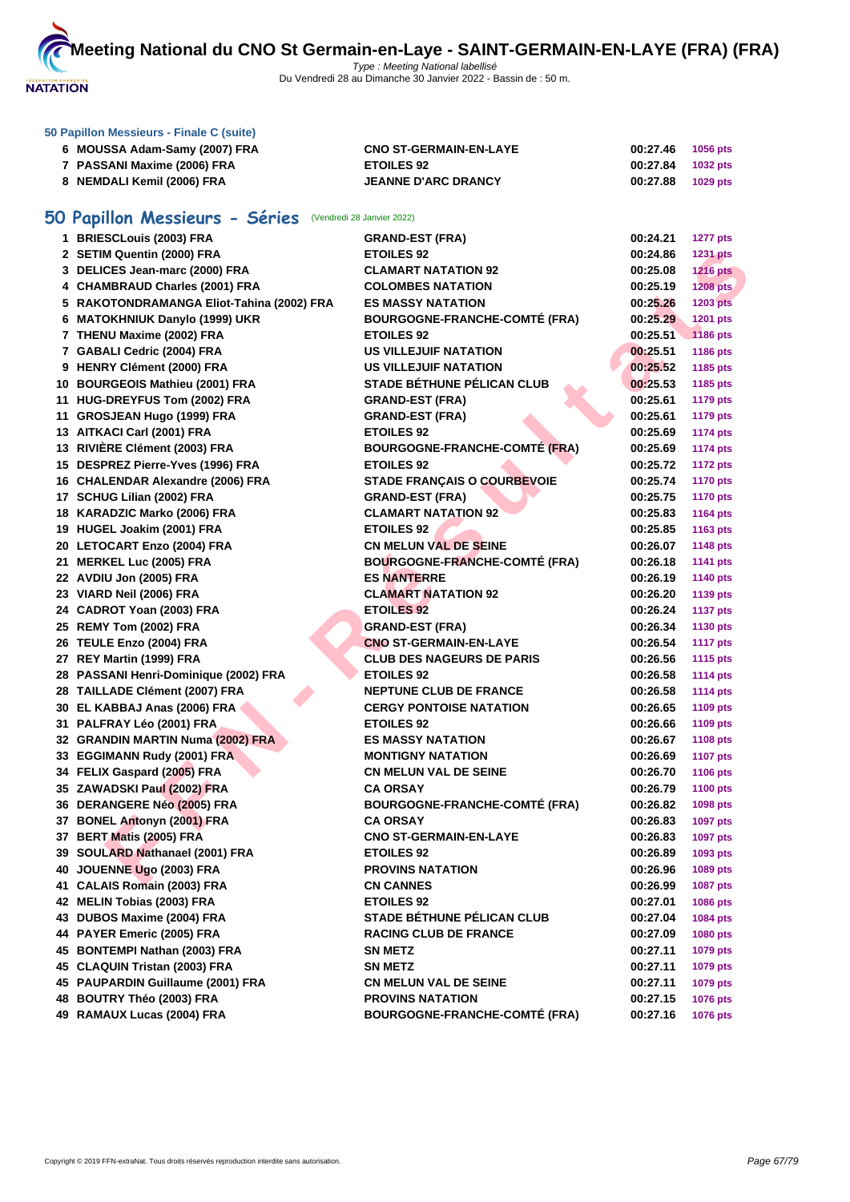

| 50 Papillon Messieurs - Finale C (suite) |                               |          |                 |  |  |
|------------------------------------------|-------------------------------|----------|-----------------|--|--|
| 6 MOUSSA Adam-Samy (2007) FRA            | <b>CNO ST-GERMAIN-EN-LAYE</b> | 00:27.46 | <b>1056 pts</b> |  |  |
| 7 PASSANI Maxime (2006) FRA              | <b>ETOILES 92</b>             | 00:27.84 | <b>1032 pts</b> |  |  |
| 8 NEMDALI Kemil (2006) FRA               | <b>JEANNE D'ARC DRANCY</b>    | 00:27.88 | 1029 pts        |  |  |

# **50 Papillon Messieurs - Séries** (Vendredi 28 Janvier 2022)

| 1 BRIESCLouis (2003) FRA                  | <b>GRAND-EST (FRA)</b>               | 00:24.21 | <b>1277 pts</b> |
|-------------------------------------------|--------------------------------------|----------|-----------------|
| 2 SETIM Quentin (2000) FRA                | <b>ETOILES 92</b>                    | 00:24.86 | <b>1231 pts</b> |
| 3 DELICES Jean-marc (2000) FRA            | <b>CLAMART NATATION 92</b>           | 00:25.08 | <b>1216 pts</b> |
| 4 CHAMBRAUD Charles (2001) FRA            | <b>COLOMBES NATATION</b>             | 00:25.19 | <b>1208 pts</b> |
| 5 RAKOTONDRAMANGA Eliot-Tahina (2002) FRA | <b>ES MASSY NATATION</b>             | 00:25.26 | <b>1203 pts</b> |
| 6 MATOKHNIUK Danylo (1999) UKR            | <b>BOURGOGNE-FRANCHE-COMTÉ (FRA)</b> | 00:25.29 | 1201 pts        |
| 7 THENU Maxime (2002) FRA                 | <b>ETOILES 92</b>                    | 00:25.51 | <b>1186 pts</b> |
| 7 GABALI Cedric (2004) FRA                | <b>US VILLEJUIF NATATION</b>         | 00:25.51 | 1186 pts        |
| 9 HENRY Clément (2000) FRA                | <b>US VILLEJUIF NATATION</b>         | 00:25.52 | 1185 pts        |
| 10 BOURGEOIS Mathieu (2001) FRA           | STADE BÉTHUNE PÉLICAN CLUB           | 00:25.53 | 1185 pts        |
| 11 HUG-DREYFUS Tom (2002) FRA             | <b>GRAND-EST (FRA)</b>               | 00:25.61 | <b>1179 pts</b> |
| 11 GROSJEAN Hugo (1999) FRA               | <b>GRAND-EST (FRA)</b>               | 00:25.61 | <b>1179 pts</b> |
| 13 AITKACI Carl (2001) FRA                | <b>ETOILES 92</b>                    | 00:25.69 | <b>1174 pts</b> |
| 13 RIVIERE Clément (2003) FRA             | <b>BOURGOGNE-FRANCHE-COMTÉ (FRA)</b> | 00:25.69 | <b>1174 pts</b> |
| 15 DESPREZ Pierre-Yves (1996) FRA         | <b>ETOILES 92</b>                    | 00:25.72 | <b>1172 pts</b> |
| 16 CHALENDAR Alexandre (2006) FRA         | <b>STADE FRANÇAIS O COURBEVOIE</b>   | 00:25.74 | <b>1170 pts</b> |
| 17 SCHUG Lilian (2002) FRA                | <b>GRAND-EST (FRA)</b>               | 00:25.75 | <b>1170 pts</b> |
| 18 KARADZIC Marko (2006) FRA              | <b>CLAMART NATATION 92</b>           | 00:25.83 | <b>1164 pts</b> |
| 19 HUGEL Joakim (2001) FRA                | <b>ETOILES 92</b>                    | 00:25.85 | 1163 pts        |
| 20 LETOCART Enzo (2004) FRA               | <b>CN MELUN VAL DE SEINE</b>         | 00:26.07 | <b>1148 pts</b> |
| 21 MERKEL Luc (2005) FRA                  | <b>BOURGOGNE-FRANCHE-COMTÉ (FRA)</b> | 00:26.18 | <b>1141 pts</b> |
| 22 AVDIU Jon (2005) FRA                   | <b>ES NANTERRE</b>                   | 00:26.19 | <b>1140 pts</b> |
| 23 VIARD Neil (2006) FRA                  | <b>CLAMART NATATION 92</b>           | 00:26.20 | 1139 pts        |
| 24 CADROT Yoan (2003) FRA                 | <b>ETOILES 92</b>                    | 00:26.24 | <b>1137 pts</b> |
| 25 REMY Tom (2002) FRA                    | <b>GRAND-EST (FRA)</b>               | 00:26.34 | 1130 pts        |
| 26 TEULE Enzo (2004) FRA                  | <b>CNO ST-GERMAIN-EN-LAYE</b>        | 00:26.54 | <b>1117 pts</b> |
| 27 REY Martin (1999) FRA                  | <b>CLUB DES NAGEURS DE PARIS</b>     | 00:26.56 | <b>1115 pts</b> |
| 28 PASSANI Henri-Dominique (2002) FRA     | <b>ETOILES 92</b>                    | 00:26.58 | <b>1114 pts</b> |
| 28 TAILLADE Clément (2007) FRA            | <b>NEPTUNE CLUB DE FRANCE</b>        | 00:26.58 | <b>1114 pts</b> |
| 30 EL KABBAJ Anas (2006) FRA              | <b>CERGY PONTOISE NATATION</b>       | 00:26.65 | <b>1109 pts</b> |
| 31 PALFRAY Léo (2001) FRA                 | <b>ETOILES 92</b>                    | 00:26.66 | <b>1109 pts</b> |
| 32 GRANDIN MARTIN Numa (2002) FRA         | <b>ES MASSY NATATION</b>             | 00:26.67 | <b>1108 pts</b> |
| 33 EGGIMANN Rudy (2001) FRA               | <b>MONTIGNY NATATION</b>             | 00:26.69 | <b>1107 pts</b> |
| 34 FELIX Gaspard (2005) FRA               | <b>CN MELUN VAL DE SEINE</b>         | 00:26.70 | <b>1106 pts</b> |
| 35 ZAWADSKI Paul (2002) FRA               | <b>CA ORSAY</b>                      | 00:26.79 | <b>1100 pts</b> |
| 36 DERANGERE Néo (2005) FRA               | <b>BOURGOGNE-FRANCHE-COMTÉ (FRA)</b> | 00:26.82 | 1098 pts        |
| 37 BONEL Antonyn (2001) FRA               | <b>CA ORSAY</b>                      | 00:26.83 | <b>1097 pts</b> |
| 37 BERT Matis (2005) FRA                  | <b>CNO ST-GERMAIN-EN-LAYE</b>        | 00:26.83 | 1097 pts        |
| 39 SOULARD Nathanael (2001) FRA           | <b>ETOILES 92</b>                    | 00:26.89 | 1093 pts        |
| 40 JOUENNE Ugo (2003) FRA                 | <b>PROVINS NATATION</b>              | 00:26.96 | 1089 pts        |
| 41 CALAIS Romain (2003) FRA               | <b>CN CANNES</b>                     | 00:26.99 | 1087 pts        |
| 42 MELIN Tobias (2003) FRA                | <b>ETOILES 92</b>                    | 00:27.01 | 1086 pts        |
| 43 DUBOS Maxime (2004) FRA                | <b>STADE BÉTHUNE PÉLICAN CLUB</b>    | 00:27.04 | 1084 pts        |
| 44 PAYER Emeric (2005) FRA                | <b>RACING CLUB DE FRANCE</b>         | 00:27.09 | <b>1080 pts</b> |
| 45 BONTEMPI Nathan (2003) FRA             | <b>SN METZ</b>                       | 00:27.11 | 1079 pts        |
| 45 CLAQUIN Tristan (2003) FRA             | <b>SN METZ</b>                       | 00:27.11 | 1079 pts        |
| 45 PAUPARDIN Guillaume (2001) FRA         | <b>CN MELUN VAL DE SEINE</b>         | 00:27.11 | 1079 pts        |
| 48 BOUTRY Théo (2003) FRA                 | <b>PROVINS NATATION</b>              | 00:27.15 | <b>1076 pts</b> |
| 49 RAMAUX Lucas (2004) FRA                | <b>BOURGOGNE-FRANCHE-COMTÉ (FRA)</b> | 00:27.16 | <b>1076 pts</b> |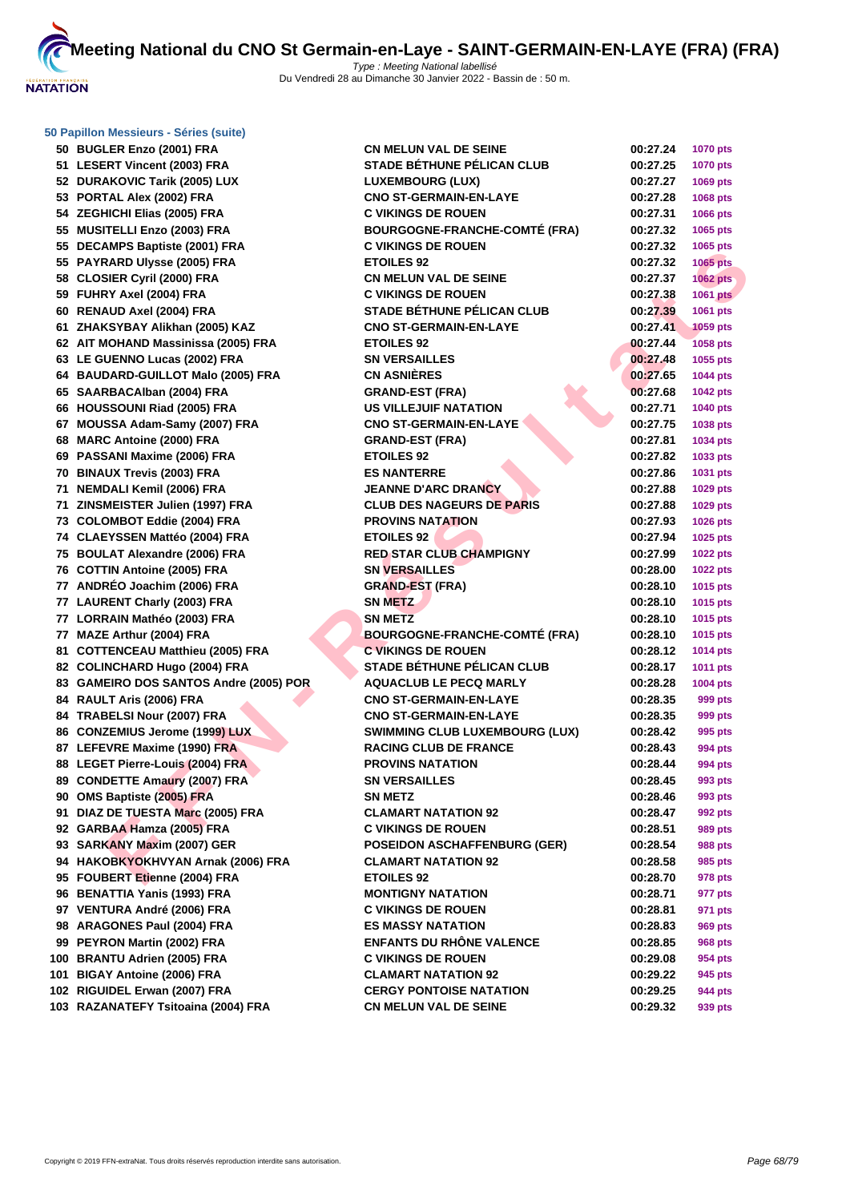

| 50 Papillon Messieurs - Séries (suite) |                                       |          |                 |
|----------------------------------------|---------------------------------------|----------|-----------------|
| 50 BUGLER Enzo (2001) FRA              | <b>CN MELUN VAL DE SEINE</b>          | 00:27.24 | <b>1070 pts</b> |
| 51 LESERT Vincent (2003) FRA           | <b>STADE BÉTHUNE PÉLICAN CLUB</b>     | 00:27.25 | <b>1070 pts</b> |
| 52 DURAKOVIC Tarik (2005) LUX          | <b>LUXEMBOURG (LUX)</b>               | 00:27.27 | 1069 pts        |
| 53 PORTAL Alex (2002) FRA              | <b>CNO ST-GERMAIN-EN-LAYE</b>         | 00:27.28 | 1068 pts        |
| 54 ZEGHICHI Elias (2005) FRA           | <b>C VIKINGS DE ROUEN</b>             | 00:27.31 | 1066 pts        |
| 55 MUSITELLI Enzo (2003) FRA           | <b>BOURGOGNE-FRANCHE-COMTÉ (FRA)</b>  | 00:27.32 | 1065 pts        |
| 55 DECAMPS Baptiste (2001) FRA         | <b>C VIKINGS DE ROUEN</b>             | 00:27.32 | 1065 pts        |
| 55 PAYRARD Ulysse (2005) FRA           | <b>ETOILES 92</b>                     | 00:27.32 | <b>1065 pts</b> |
| 58 CLOSIER Cyril (2000) FRA            | CN MELUN VAL DE SEINE                 | 00:27.37 | <b>1062 pts</b> |
| 59 FUHRY Axel (2004) FRA               | <b>C VIKINGS DE ROUEN</b>             | 00:27.38 | <b>1061 pts</b> |
| 60 RENAUD Axel (2004) FRA              | <b>STADE BÉTHUNE PÉLICAN CLUB</b>     | 00:27.39 | 1061 pts        |
| 61 ZHAKSYBAY Alikhan (2005) KAZ        | <b>CNO ST-GERMAIN-EN-LAYE</b>         | 00:27.41 | <b>1059 pts</b> |
| 62 AIT MOHAND Massinissa (2005) FRA    | <b>ETOILES 92</b>                     | 00:27.44 | 1058 pts        |
| 63 LE GUENNO Lucas (2002) FRA          | <b>SN VERSAILLES</b>                  | 00:27.48 | 1055 pts        |
| 64 BAUDARD-GUILLOT Malo (2005) FRA     | <b>CN ASNIÈRES</b>                    | 00:27.65 | 1044 pts        |
| 65 SAARBACAlban (2004) FRA             | <b>GRAND-EST (FRA)</b>                | 00:27.68 | <b>1042 pts</b> |
| 66 HOUSSOUNI Riad (2005) FRA           | <b>US VILLEJUIF NATATION</b>          | 00:27.71 | 1040 pts        |
| 67 MOUSSA Adam-Samy (2007) FRA         | <b>CNO ST-GERMAIN-EN-LAYE</b>         | 00:27.75 | 1038 pts        |
| 68 MARC Antoine (2000) FRA             | <b>GRAND-EST (FRA)</b>                | 00:27.81 | 1034 pts        |
| 69 PASSANI Maxime (2006) FRA           | <b>ETOILES 92</b>                     | 00:27.82 | 1033 pts        |
| 70 BINAUX Trevis (2003) FRA            | <b>ES NANTERRE</b>                    | 00:27.86 | 1031 pts        |
| 71 NEMDALI Kemil (2006) FRA            | <b>JEANNE D'ARC DRANCY</b>            | 00:27.88 | 1029 pts        |
| 71 ZINSMEISTER Julien (1997) FRA       | <b>CLUB DES NAGEURS DE PARIS</b>      |          |                 |
|                                        |                                       | 00:27.88 | 1029 pts        |
| 73 COLOMBOT Eddie (2004) FRA           | <b>PROVINS NATATION</b>               | 00:27.93 | 1026 pts        |
| 74 CLAEYSSEN Mattéo (2004) FRA         | <b>ETOILES 92</b>                     | 00:27.94 | 1025 pts        |
| 75 BOULAT Alexandre (2006) FRA         | <b>RED STAR CLUB CHAMPIGNY</b>        | 00:27.99 | <b>1022 pts</b> |
| 76 COTTIN Antoine (2005) FRA           | <b>SN VERSAILLES</b>                  | 00:28.00 | <b>1022 pts</b> |
| 77 ANDRÉO Joachim (2006) FRA           | <b>GRAND-EST (FRA)</b>                | 00:28.10 | 1015 pts        |
| 77 LAURENT Charly (2003) FRA           | <b>SN METZ</b>                        | 00:28.10 | 1015 pts        |
| 77 LORRAIN Mathéo (2003) FRA           | <b>SN METZ</b>                        | 00:28.10 | 1015 pts        |
| 77 MAZE Arthur (2004) FRA              | <b>BOURGOGNE-FRANCHE-COMTÉ (FRA)</b>  | 00:28.10 | 1015 pts        |
| 81 COTTENCEAU Matthieu (2005) FRA      | <b>C VIKINGS DE ROUEN</b>             | 00:28.12 | <b>1014 pts</b> |
| 82 COLINCHARD Hugo (2004) FRA          | <b>STADE BÉTHUNE PÉLICAN CLUB</b>     | 00:28.17 | 1011 pts        |
| 83 GAMEIRO DOS SANTOS Andre (2005) POR | <b>AQUACLUB LE PECQ MARLY</b>         | 00:28.28 | 1004 pts        |
| 84 RAULT Aris (2006) FRA               | <b>CNO ST-GERMAIN-EN-LAYE</b>         | 00:28.35 | 999 pts         |
| 84 TRABELSI Nour (2007) FRA            | <b>CNO ST-GERMAIN-EN-LAYE</b>         | 00:28.35 | 999 pts         |
| 86 CONZEMIUS Jerome (1999) LUX         | <b>SWIMMING CLUB LUXEMBOURG (LUX)</b> | 00:28.42 | 995 pts         |
| 87 LEFEVRE Maxime (1990) FRA           | <b>RACING CLUB DE FRANCE</b>          | 00:28.43 | 994 pts         |
| 88 LEGET Pierre-Louis (2004) FRA       | <b>PROVINS NATATION</b>               | 00:28.44 | 994 pts         |
| 89 CONDETTE Amaury (2007) FRA          | <b>SN VERSAILLES</b>                  | 00:28.45 | 993 pts         |
| 90 OMS Baptiste (2005) FRA             | <b>SN METZ</b>                        | 00:28.46 | 993 pts         |
| 91 DIAZ DE TUESTA Marc (2005) FRA      | <b>CLAMART NATATION 92</b>            | 00:28.47 | 992 pts         |
| 92 GARBAA Hamza (2005) FRA             | <b>C VIKINGS DE ROUEN</b>             | 00:28.51 | 989 pts         |
| 93 SARKANY Maxim (2007) GER            | <b>POSEIDON ASCHAFFENBURG (GER)</b>   | 00:28.54 | 988 pts         |
| 94 HAKOBKYOKHVYAN Arnak (2006) FRA     | <b>CLAMART NATATION 92</b>            | 00:28.58 | 985 pts         |
| 95 FOUBERT Etienne (2004) FRA          | <b>ETOILES 92</b>                     | 00:28.70 | 978 pts         |
| 96 BENATTIA Yanis (1993) FRA           | <b>MONTIGNY NATATION</b>              | 00:28.71 | 977 pts         |
| 97 VENTURA André (2006) FRA            | <b>C VIKINGS DE ROUEN</b>             | 00:28.81 | 971 pts         |
| 98 ARAGONES Paul (2004) FRA            | <b>ES MASSY NATATION</b>              | 00:28.83 | 969 pts         |
| 99 PEYRON Martin (2002) FRA            | <b>ENFANTS DU RHÔNE VALENCE</b>       | 00:28.85 | 968 pts         |
| 100 BRANTU Adrien (2005) FRA           | <b>C VIKINGS DE ROUEN</b>             | 00:29.08 | 954 pts         |
| 101 BIGAY Antoine (2006) FRA           | <b>CLAMART NATATION 92</b>            | 00:29.22 | 945 pts         |
| 102 RIGUIDEL Erwan (2007) FRA          | <b>CERGY PONTOISE NATATION</b>        | 00:29.25 | 944 pts         |
| 103 RAZANATEFY Tsitoaina (2004) FRA    | <b>CN MELUN VAL DE SEINE</b>          | 00:29.32 | 939 pts         |
|                                        |                                       |          |                 |

|     | 00:27.24 | 1070 pts        |
|-----|----------|-----------------|
|     | 00:27.25 | 1070 pts        |
|     | 00:27.27 | 1069 pts        |
|     | 00:27.28 | 1068 pts        |
|     | 00:27.31 | 1066 pts        |
| RA) | 00:27.32 | 1065 pts        |
|     | 00:27.32 | 1065 pts        |
|     | 00:27.32 | 1065 pts        |
|     | 00:27.37 | 1062 pts        |
|     | 00:27.38 | <b>1061 pts</b> |
|     | 00:27.39 | 1061 pts        |
|     | 00:27.41 | 1059 pts        |
|     | 00:27.44 | 1058 pts        |
|     | 00:27.48 | 1055 pts        |
|     | 00:27.65 | 1044 pts        |
|     | 00:27.68 | 1042 pts        |
|     | 00:27.71 | 1040 pts        |
|     | 00:27.75 | 1038 pts        |
|     | 00:27.81 | 1034 pts        |
|     | 00:27.82 | 1033 pts        |
|     | 00:27.86 | 1031 pts        |
|     | 00:27.88 | 1029 pts        |
|     | 00:27.88 | 1029 pts        |
|     | 00:27.93 | 1026 pts        |
|     | 00:27.94 | 1025 pts        |
|     | 00:27.99 | <b>1022 pts</b> |
|     | 00:28.00 | 1022 pts        |
|     | 00:28.10 | 1015 pts        |
|     | 00:28.10 | 1015 pts        |
|     | 00:28.10 | 1015 pts        |
| RA) | 00:28.10 | 1015 pts        |
|     | 00:28.12 | 1014 pts        |
|     | 00:28.17 | 1011 pts        |
|     | 00:28.28 | 1004 pts        |
|     | 00:28.35 | 999 pts         |
|     | 00:28.35 | 999 pts         |
| UX) | 00:28.42 | 995 pts         |
|     | 00:28.43 | 994 pts         |
|     | 00:28.44 | 994 pts         |
|     | 00:28.45 | 993 pts         |
|     | 00:28.46 | 993 pts         |
|     | 00:28.47 | <b>992 pts</b>  |
|     | 00:28.51 | <b>989 pts</b>  |
| S)  | 00:28.54 | <b>988 pts</b>  |
|     | 00:28.58 | 985 pts         |
|     | 00:28.70 | 978 pts         |
|     | 00:28.71 | 977 pts         |
|     | 00:28.81 | 971 pts         |
|     | 00:28.83 | 969 pts         |
|     | 00:28.85 | <b>968 pts</b>  |
|     | 00:29.08 | 954 pts         |
|     | 00:29.22 | 945 pts         |
|     | 00:29.25 | 944 pts         |
|     | 00:29.32 | 939 pts         |
|     |          |                 |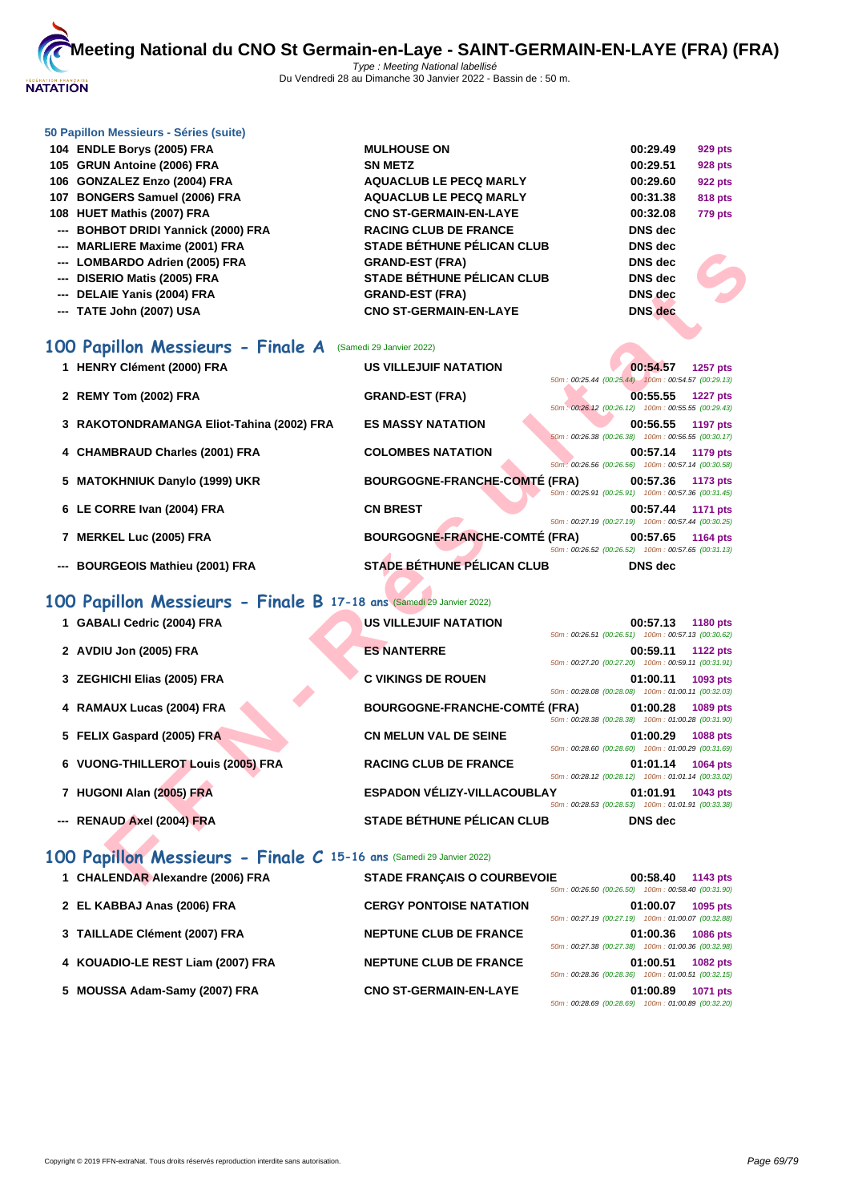

#### **[50 Papillo](http://www.ffnatation.fr/webffn/index.php)n Messieurs - Séries (suite)**

| 104 ENDLE Borys (2005) FRA          | <b>MULHOUSE ON</b>                | 00:29.49       | 929 pts        |
|-------------------------------------|-----------------------------------|----------------|----------------|
| 105 GRUN Antoine (2006) FRA         | <b>SN METZ</b>                    | 00:29.51       | <b>928 pts</b> |
| 106 GONZALEZ Enzo (2004) FRA        | <b>AQUACLUB LE PECQ MARLY</b>     | 00:29.60       | 922 pts        |
| 107 BONGERS Samuel (2006) FRA       | <b>AQUACLUB LE PECQ MARLY</b>     | 00:31.38       | 818 pts        |
| 108 HUET Mathis (2007) FRA          | <b>CNO ST-GERMAIN-EN-LAYE</b>     | 00:32.08       | <b>779 pts</b> |
| --- BOHBOT DRIDI Yannick (2000) FRA | <b>RACING CLUB DE FRANCE</b>      | <b>DNS</b> dec |                |
| --- MARLIERE Maxime (2001) FRA      | <b>STADE BÉTHUNE PÉLICAN CLUB</b> | <b>DNS</b> dec |                |
| --- LOMBARDO Adrien (2005) FRA      | <b>GRAND-EST (FRA)</b>            | <b>DNS</b> dec |                |
| --- DISERIO Matis (2005) FRA        | <b>STADE BÉTHUNE PÉLICAN CLUB</b> | <b>DNS</b> dec |                |
| --- DELAIE Yanis (2004) FRA         | <b>GRAND-EST (FRA)</b>            | DNS dec        | Æ,             |
| --- TATE John (2007) USA            | <b>CNO ST-GERMAIN-EN-LAYE</b>     | <b>DNS</b> dec |                |

# **100 Papillon Messieurs - Finale A** (Samedi 29 Janvier 2022)

| 1 HENRY Clément (2000) FRA                | <b>US VILLEJUIF NATATION</b>         |                                                    | 00:54.57       | 1257 pts        |
|-------------------------------------------|--------------------------------------|----------------------------------------------------|----------------|-----------------|
|                                           |                                      | 50m; 00:25.44 (00:25.44) 100m; 00:54.57 (00:29.13) |                |                 |
| 2 REMY Tom (2002) FRA                     | <b>GRAND-EST (FRA)</b>               | 50m: 00:26.12 (00:26.12) 100m: 00:55.55 (00:29.43) | 00:55.55       | <b>1227 pts</b> |
| 3 RAKOTONDRAMANGA Eliot-Tahina (2002) FRA | <b>ES MASSY NATATION</b>             | 50m: 00:26.38 (00:26.38) 100m: 00:56.55 (00:30.17) | 00:56.55       | 1197 pts        |
| 4 CHAMBRAUD Charles (2001) FRA            | <b>COLOMBES NATATION</b>             | 50m: 00:26.56 (00:26.56) 100m: 00:57.14 (00:30.58) | 00:57.14       | 1179 pts        |
| 5 MATOKHNIUK Danylo (1999) UKR            | <b>BOURGOGNE-FRANCHE-COMTÉ (FRA)</b> | 50m: 00:25.91 (00:25.91) 100m: 00:57.36 (00:31.45) | 00:57.36       | 1173 pts        |
| 6 LE CORRE Ivan (2004) FRA                | <b>CN BREST</b>                      | 50m: 00:27.19 (00:27.19) 100m: 00:57.44 (00:30.25) | 00:57.44       | 1171 pts        |
| 7 MERKEL Luc (2005) FRA                   | <b>BOURGOGNE-FRANCHE-COMTÉ (FRA)</b> | 50m: 00:26.52 (00:26.52) 100m: 00:57.65 (00:31.13) | 00:57.65       | 1164 pts        |
| --- BOURGEOIS Mathieu (2001) FRA          | STADE BÉTHUNE PÉLICAN CLUB           |                                                    | <b>DNS</b> dec |                 |

# **100 Papillon Messieurs - Finale B 17-18 ans** (Samedi 29 Janvier 2022)

| <b>MARLILINE MAAILING (2001) LINA</b>                               | 91 ADE DETHONET ELIGAN GLOD          |                                                    | טשט טוע        |                 |
|---------------------------------------------------------------------|--------------------------------------|----------------------------------------------------|----------------|-----------------|
| --- LOMBARDO Adrien (2005) FRA                                      | <b>GRAND-EST (FRA)</b>               |                                                    | <b>DNS</b> dec |                 |
| --- DISERIO Matis (2005) FRA                                        | <b>STADE BÉTHUNE PÉLICAN CLUB</b>    |                                                    | <b>DNS</b> dec |                 |
| --- DELAIE Yanis (2004) FRA                                         | <b>GRAND-EST (FRA)</b>               |                                                    | <b>DNS</b> dec |                 |
| --- TATE John (2007) USA                                            | <b>CNO ST-GERMAIN-EN-LAYE</b>        |                                                    | <b>DNS</b> dec |                 |
|                                                                     |                                      |                                                    |                |                 |
| 00 Papillon Messieurs - Finale A                                    | (Samedi 29 Janvier 2022)             |                                                    |                |                 |
| 1 HENRY Clément (2000) FRA                                          | <b>US VILLEJUIF NATATION</b>         |                                                    | 00:54.57       | <b>1257 pts</b> |
|                                                                     |                                      | 50m; 00:25.44 (00:25.44) 100m: 00:54.57 (00:29.13) |                |                 |
| 2 REMY Tom (2002) FRA                                               | <b>GRAND-EST (FRA)</b>               | 50m: 00:26.12 (00:26.12) 100m: 00:55.55 (00:29.43) | 00:55.55       | <b>1227 pts</b> |
| 3 RAKOTONDRAMANGA Eliot-Tahina (2002) FRA                           | <b>ES MASSY NATATION</b>             |                                                    | 00:56.55       | <b>1197 pts</b> |
|                                                                     |                                      | 50m: 00:26.38 (00:26.38) 100m: 00:56.55 (00:30.17) |                |                 |
| 4 CHAMBRAUD Charles (2001) FRA                                      | <b>COLOMBES NATATION</b>             |                                                    | 00:57.14       | 1179 pts        |
|                                                                     |                                      | 50m: 00:26.56 (00:26.56) 100m: 00:57.14 (00:30.58) |                |                 |
| 5 MATOKHNIUK Danylo (1999) UKR                                      | <b>BOURGOGNE-FRANCHE-COMTÉ (FRA)</b> | 50m: 00:25.91 (00:25.91) 100m: 00:57.36 (00:31.45) | 00:57.36       | 1173 pts        |
| 6 LE CORRE Ivan (2004) FRA                                          | <b>CN BREST</b>                      |                                                    | 00:57.44       | <b>1171 pts</b> |
|                                                                     |                                      | 50m: 00:27.19 (00:27.19) 100m: 00:57.44 (00:30.25) |                |                 |
| 7 MERKEL Luc (2005) FRA                                             | <b>BOURGOGNE-FRANCHE-COMTÉ (FRA)</b> |                                                    | 00:57.65       | <b>1164 pts</b> |
|                                                                     |                                      | 50m: 00:26.52 (00:26.52) 100m: 00:57.65 (00:31.13) |                |                 |
| --- BOURGEOIS Mathieu (2001) FRA                                    | <b>STADE BÉTHUNE PÉLICAN CLUB</b>    |                                                    | <b>DNS</b> dec |                 |
|                                                                     |                                      |                                                    |                |                 |
| 00 Papillon Messieurs - Finale B 17-18 ans (Samedi 29 Janvier 2022) |                                      |                                                    |                |                 |
| 1 GABALI Cedric (2004) FRA                                          | <b>US VILLEJUIF NATATION</b>         |                                                    | 00:57.13       | <b>1180 pts</b> |
|                                                                     |                                      | 50m: 00:26.51 (00:26.51) 100m: 00:57.13 (00:30.62) |                |                 |
| 2 AVDIU Jon (2005) FRA                                              | <b>ES NANTERRE</b>                   | 50m: 00:27.20 (00:27.20) 100m: 00:59.11 (00:31.91) | 00:59.11       | <b>1122 pts</b> |
| 3 ZEGHICHI Elias (2005) FRA                                         | <b>C VIKINGS DE ROUEN</b>            |                                                    | 01:00.11       | 1093 pts        |
|                                                                     |                                      | 50m: 00:28.08 (00:28.08) 100m: 01:00.11 (00:32.03) |                |                 |
| 4 RAMAUX Lucas (2004) FRA                                           | <b>BOURGOGNE-FRANCHE-COMTÉ (FRA)</b> |                                                    | 01:00.28       | 1089 pts        |
|                                                                     |                                      | 50m: 00:28.38 (00:28.38) 100m: 01:00.28 (00:31.90) |                |                 |
| 5 FELIX Gaspard (2005) FRA                                          | <b>CN MELUN VAL DE SEINE</b>         | 50m: 00:28.60 (00:28.60) 100m: 01:00.29 (00:31.69) | 01:00.29       | <b>1088 pts</b> |
| 6 VUONG-THILLEROT Louis (2005) FRA                                  | <b>RACING CLUB DE FRANCE</b>         |                                                    | 01:01.14       | 1064 pts        |
|                                                                     |                                      | 50m: 00:28.12 (00:28.12) 100m: 01:01.14 (00:33.02) |                |                 |
| 7 HUGONI Alan (2005) FRA                                            | <b>ESPADON VÉLIZY-VILLACOUBLAY</b>   |                                                    | 01:01.91       | 1043 pts        |
|                                                                     |                                      | 50m: 00:28.53 (00:28.53) 100m: 01:01.91 (00:33.38) |                |                 |
| --- RENAUD Axel (2004) FRA                                          | <b>STADE BÉTHUNE PÉLICAN CLUB</b>    |                                                    | <b>DNS</b> dec |                 |
|                                                                     |                                      |                                                    |                |                 |
| 00 Papillon Messieurs - Finale C 15-16 ans (Samedi 29 Janvier 2022) |                                      |                                                    |                |                 |
| 1 CHALENDAR Alexandre (2006) FRA                                    | <b>STADE FRANÇAIS O COURBEVOIE</b>   |                                                    | 00:58.40       | 1143 pts        |
|                                                                     |                                      |                                                    |                |                 |

# **100 Papillon Messieurs - Finale C 15-16 ans** (Samedi 29 Janvier 2022)

| 1 CHALENDAR Alexandre (2006) FRA  | <b>STADE FRANCAIS O COURBEVOIE</b> | 00:58.40<br>1143 pts<br>100m: 00:58.40 (00:31.90)<br>50m: 00:26.50 (00:26.50)        |
|-----------------------------------|------------------------------------|--------------------------------------------------------------------------------------|
| 2 EL KABBAJ Anas (2006) FRA       | <b>CERGY PONTOISE NATATION</b>     | 01:00.07<br>1095 pts<br>100m: 01:00.07 (00:32.88)<br>50m: 00:27.19 (00:27.19)        |
| 3 TAILLADE Clément (2007) FRA     | <b>NEPTUNE CLUB DE FRANCE</b>      | 01:00.36<br><b>1086 pts</b><br>50m: 00:27.38 (00:27.38)<br>100m: 01:00.36 (00:32.98) |
| 4 KOUADIO-LE REST Liam (2007) FRA | <b>NEPTUNE CLUB DE FRANCE</b>      | 01:00.51<br><b>1082 pts</b><br>100m: 01:00.51 (00:32.15)<br>50m: 00:28.36 (00:28.36) |
| 5 MOUSSA Adam-Samy (2007) FRA     | <b>CNO ST-GERMAIN-EN-LAYE</b>      | 01:00.89<br><b>1071 pts</b><br>50m: 00:28.69 (00:28.69)<br>100m: 01:00.89 (00:32.20) |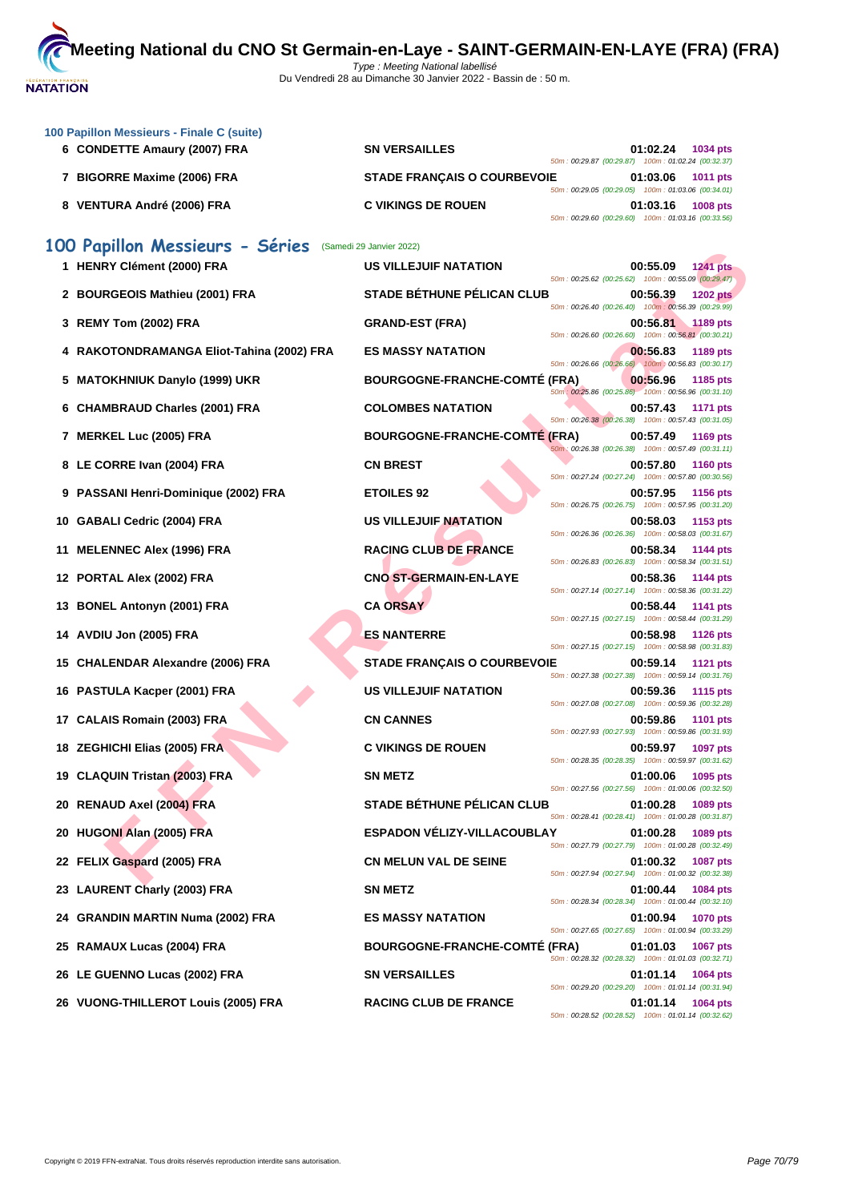

| 100 Papillon Messieurs - Finale C (suite)<br>6 CONDETTE Amaury (2007) FRA | <b>SN VERSAILLES</b>                 | 01:02.24                                                                                                             | 1034 pts        |
|---------------------------------------------------------------------------|--------------------------------------|----------------------------------------------------------------------------------------------------------------------|-----------------|
| 7 BIGORRE Maxime (2006) FRA                                               | <b>STADE FRANÇAIS O COURBEVOIE</b>   | 50m: 00:29.87 (00:29.87) 100m: 01:02.24 (00:32.37)<br>01:03.06                                                       | 1011 pts        |
| 8 VENTURA André (2006) FRA                                                | <b>C VIKINGS DE ROUEN</b>            | 50m: 00:29.05 (00:29.05) 100m: 01:03.06 (00:34.01)<br>01:03.16<br>50m: 00:29.60 (00:29.60) 100m: 01:03.16 (00:33.56) | <b>1008 pts</b> |
| 100 Papillon Messieurs - Séries                                           | (Samedi 29 Janvier 2022)             |                                                                                                                      |                 |
| 1 HENRY Clément (2000) FRA                                                | <b>US VILLEJUIF NATATION</b>         | 00:55.09<br>50m : 00:25.62 (00:25.62) 100m : 00:55.09 (00:29.47)                                                     | <b>1241 pts</b> |
| 2 BOURGEOIS Mathieu (2001) FRA                                            | <b>STADE BÉTHUNE PÉLICAN CLUB</b>    | 00:56.39<br>50m : 00:26.40 (00:26.40) 100m : 00:56.39 (00:29.99)                                                     | <b>1202 pts</b> |
| 3 REMY Tom (2002) FRA                                                     | <b>GRAND-EST (FRA)</b>               | 00:56.81<br>50m: 00:26.60 (00:26.60) 100m: 00:56.81 (00:30.21)                                                       | 1189 pts        |
| 4 RAKOTONDRAMANGA Eliot-Tahina (2002) FRA                                 | <b>ES MASSY NATATION</b>             | 00:56.83<br>50m: 00:26.66 (00:26.66) 100m: 00:56.83 (00:30.17)                                                       | 1189 pts        |
| 5 MATOKHNIUK Danylo (1999) UKR                                            | <b>BOURGOGNE-FRANCHE-COMTÉ (FRA)</b> | 00:56.96<br>50m : 00:25.86 (00:25.86) 100m : 00:56.96 (00:31.10)                                                     | 1185 pts        |
| 6 CHAMBRAUD Charles (2001) FRA                                            | <b>COLOMBES NATATION</b>             | 00:57.43<br>50m: 00:26.38 (00:26.38) 100m: 00:57.43 (00:31.05)                                                       | <b>1171 pts</b> |
| 7 MERKEL Luc (2005) FRA                                                   | <b>BOURGOGNE-FRANCHE-COMTE (FRA)</b> | 00:57.49<br>50m: 00:26.38 (00:26.38) 100m: 00:57.49 (00:31.11)                                                       | <b>1169 pts</b> |
| 8 LE CORRE Ivan (2004) FRA                                                | <b>CN BREST</b>                      | 00:57.80<br>50m: 00:27.24 (00:27.24) 100m: 00:57.80 (00:30.56)                                                       | <b>1160 pts</b> |
| 9 PASSANI Henri-Dominique (2002) FRA                                      | <b>ETOILES 92</b>                    | 00:57.95                                                                                                             | <b>1156 pts</b> |
| 10 GABALI Cedric (2004) FRA                                               | US VILLEJUIF NATATION                | 50m: 00:26.75 (00:26.75) 100m: 00:57.95 (00:31.20)<br>00:58.03                                                       | 1153 pts        |
| <b>MELENNEC Alex (1996) FRA</b><br>11                                     | <b>RACING CLUB DE FRANCE</b>         | 50m : 00:26.36 (00:26.36) 100m : 00:58.03 (00:31.67)<br>00:58.34                                                     | 1144 pts        |
| 12 PORTAL Alex (2002) FRA                                                 | <b>CNO ST-GERMAIN-EN-LAYE</b>        | 50m: 00:26.83 (00:26.83) 100m: 00:58.34 (00:31.51)<br>00:58.36                                                       | 1144 pts        |
| 13 BONEL Antonyn (2001) FRA                                               | <b>CA ORSAY</b>                      | 50m: 00:27.14 (00:27.14) 100m: 00:58.36 (00:31.22)<br>00:58.44                                                       | 1141 pts        |
| 14 AVDIU Jon (2005) FRA                                                   | <b>ES NANTERRE</b>                   | 50m: 00:27.15 (00:27.15) 100m: 00:58.44 (00:31.29)<br>00:58.98                                                       | <b>1126 pts</b> |
| 15 CHALENDAR Alexandre (2006) FRA                                         | <b>STADE FRANÇAIS O COURBEVOIE</b>   | 50m: 00:27.15 (00:27.15) 100m: 00:58.98 (00:31.83)<br>00:59.14                                                       | <b>1121 pts</b> |
| 16 PASTULA Kacper (2001) FRA                                              | <b>US VILLEJUIF NATATION</b>         | 50m: 00:27.38 (00:27.38) 100m: 00:59.14 (00:31.76)<br>00:59.36                                                       | <b>1115 pts</b> |
| 17 CALAIS Romain (2003) FRA                                               | <b>CN CANNES</b>                     | 50m: 00:27.08 (00:27.08) 100m: 00:59.36 (00:32.28)<br>00:59.86                                                       | <b>1101 pts</b> |
| 18 ZEGHICHI Elias (2005) FRA                                              | <b>C VIKINGS DE ROUEN</b>            | 50m: 00:27.93 (00:27.93) 100m: 00:59.86 (00:31.93)<br>00:59.97                                                       | <b>1097 pts</b> |
| 19 CLAQUIN Tristan (2003) FRA                                             | <b>SN METZ</b>                       | 50m: 00:28.35 (00:28.35) 100m: 00:59.97 (00:31.62)<br>01:00.06                                                       | 1095 pts        |
| 20 RENAUD Axel (2004) FRA                                                 | <b>STADE BÉTHUNE PÉLICAN CLUB</b>    | 50m: 00:27.56 (00:27.56) 100m: 01:00.06 (00:32.50)<br>01:00.28                                                       | 1089 pts        |
| 20 HUGONI Alan (2005) FRA                                                 | ESPADON VÉLIZY-VILLACOUBLAY          | 50m: 00:28.41 (00:28.41) 100m: 01:00.28 (00:31.87)<br>01:00.28                                                       | 1089 pts        |
| 22 FELIX Gaspard (2005) FRA                                               | <b>CN MELUN VAL DE SEINE</b>         | 50m: 00:27.79 (00:27.79) 100m: 01:00.28 (00:32.49)<br>01:00.32                                                       | <b>1087 pts</b> |
| 23 LAURENT Charly (2003) FRA                                              | <b>SN METZ</b>                       | 50m: 00:27.94 (00:27.94) 100m: 01:00.32 (00:32.38)<br>01:00.44                                                       | 1084 pts        |
| 24 GRANDIN MARTIN Numa (2002) FRA                                         | <b>ES MASSY NATATION</b>             | 50m: 00:28.34 (00:28.34) 100m: 01:00.44 (00:32.10)<br>01:00.94                                                       | <b>1070 pts</b> |
| 25 RAMAUX Lucas (2004) FRA                                                | <b>BOURGOGNE-FRANCHE-COMTE (FRA)</b> | 50m: 00:27.65 (00:27.65) 100m: 01:00.94 (00:33.29)<br>01:01.03                                                       | <b>1067 pts</b> |
| 26 LE GUENNO Lucas (2002) FRA                                             | <b>SN VERSAILLES</b>                 | 50m: 00:28.32 (00:28.32) 100m: 01:01.03 (00:32.71)<br>01:01.14                                                       | 1064 pts        |
| 26 VUONG-THILLEROT Louis (2005) FRA                                       | <b>RACING CLUB DE FRANCE</b>         | 50m: 00:29.20 (00:29.20) 100m: 01:01.14 (00:31.94)<br>01:01.14                                                       | <b>1064 pts</b> |
|                                                                           |                                      | 50m: 00:28.52 (00:28.52) 100m: 01:01.14 (00:32.62)                                                                   |                 |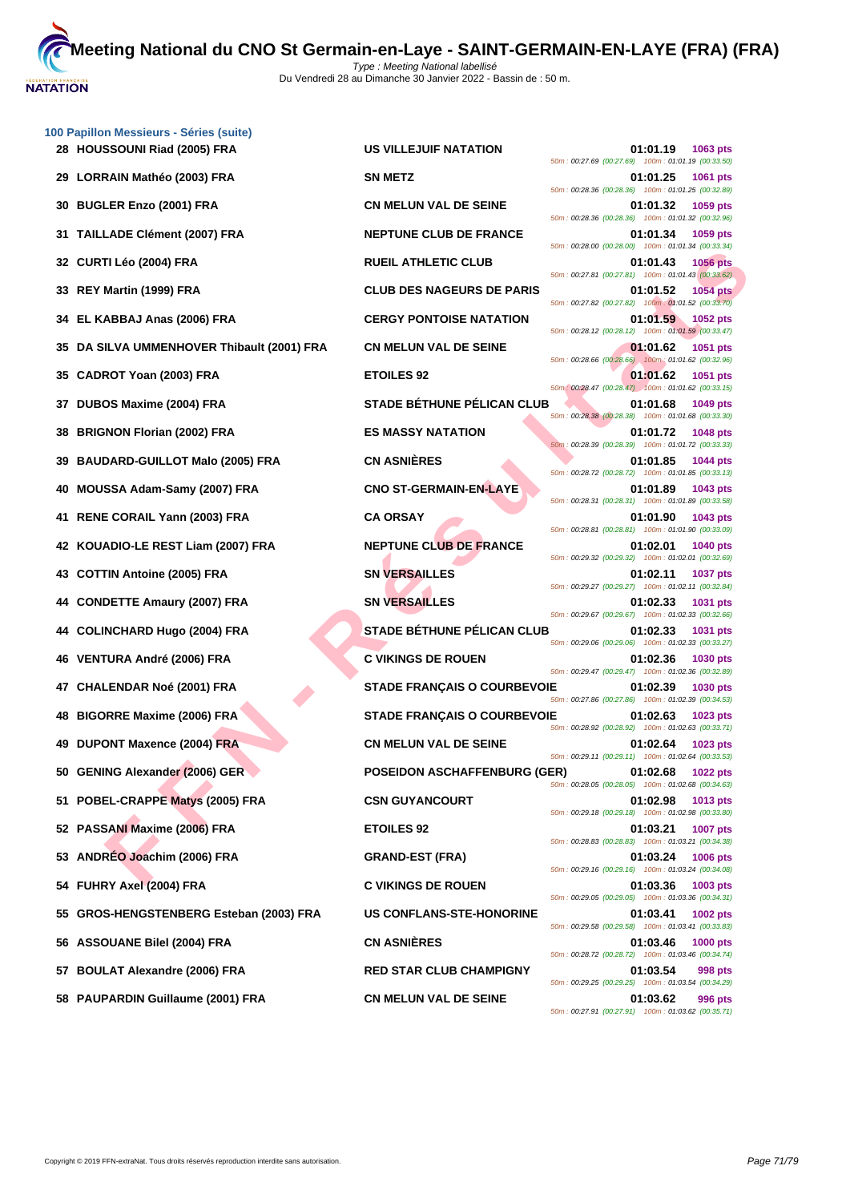

|    | 100 Papillon Messieurs - Séries (suite) |                                     |                                                                                     |
|----|-----------------------------------------|-------------------------------------|-------------------------------------------------------------------------------------|
|    | 28 HOUSSOUNI Riad (2005) FRA            | <b>US VILLEJUIF NATATION</b>        | 01:01.19<br>1063 pts<br>50m: 00:27.69 (00:27.69) 100m: 01:01.19 (00:33.50)          |
| 29 | LORRAIN Mathéo (2003) FRA               | <b>SN METZ</b>                      | 01:01.25<br>1061 pts<br>50m : 00:28.36 (00:28.36) 100m : 01:01.25 (00:32.89)        |
| 30 | <b>BUGLER Enzo (2001) FRA</b>           | <b>CN MELUN VAL DE SEINE</b>        | 01:01.32<br>1059 pts<br>50m: 00:28.36 (00:28.36) 100m: 01:01.32 (00:32.96)          |
| 31 | <b>TAILLADE Clément (2007) FRA</b>      | <b>NEPTUNE CLUB DE FRANCE</b>       | 01:01.34<br>1059 pts<br>50m: 00:28.00 (00:28.00) 100m: 01:01.34 (00:33.34)          |
| 32 | CURTI Léo (2004) FRA                    | <b>RUEIL ATHLETIC CLUB</b>          | 01:01.43<br><b>1056 pts</b><br>50m: 00:27.81 (00:27.81) 100m: 01:01.43 (00:33.62)   |
| 33 | REY Martin (1999) FRA                   | <b>CLUB DES NAGEURS DE PARIS</b>    | 01:01.52<br><b>1054 pts</b><br>50m: 00:27.82 (00:27.82) 100m: 01:01.52 (00:33.70)   |
| 34 | EL KABBAJ Anas (2006) FRA               | <b>CERGY PONTOISE NATATION</b>      | 01:01.59<br><b>1052 pts</b><br>50m: 00:28.12 (00:28.12) 100m: 01:01.59 (00:33.47)   |
| 35 | DA SILVA UMMENHOVER Thibault (2001) FRA | <b>CN MELUN VAL DE SEINE</b>        | 01:01.62<br><b>1051 pts</b><br>50m : 00:28.66 (00:28.66) 100m : 01:01.62 (00:32.96) |
| 35 | CADROT Yoan (2003) FRA                  | <b>ETOILES 92</b>                   | 01:01.62<br><b>1051 pts</b><br>50m: 00:28.47 (00:28.47) 100m: 01:01.62 (00:33.15)   |
| 37 | DUBOS Maxime (2004) FRA                 | <b>STADE BÉTHUNE PÉLICAN CLUB</b>   | 01:01.68<br>1049 pts<br>50m: 00:28.38 (00:28.38) 100m: 01:01.68 (00:33.30)          |
| 38 | <b>BRIGNON Florian (2002) FRA</b>       | <b>ES MASSY NATATION</b>            | 01:01.72<br><b>1048 pts</b><br>50m: 00:28.39 (00:28.39) 100m: 01:01.72 (00:33.33)   |
| 39 | <b>BAUDARD-GUILLOT Malo (2005) FRA</b>  | <b>CN ASNIÈRES</b>                  | 01:01.85<br><b>1044 pts</b><br>50m: 00:28.72 (00:28.72) 100m: 01:01.85 (00:33.13)   |
| 40 | MOUSSA Adam-Samy (2007) FRA             | <b>CNO ST-GERMAIN-EN-LAYE</b>       | 01:01.89<br>1043 pts<br>50m: 00:28.31 (00:28.31) 100m: 01:01.89 (00:33.58)          |
| 41 | RENE CORAIL Yann (2003) FRA             | <b>CA ORSAY</b>                     | 01:01.90<br>1043 pts<br>50m: 00:28.81 (00:28.81) 100m: 01:01.90 (00:33.09)          |
| 42 | KOUADIO-LE REST Liam (2007) FRA         | <b>NEPTUNE CLUB DE FRANCE</b>       | 01:02.01<br><b>1040 pts</b><br>50m: 00:29.32 (00:29.32) 100m: 01:02.01 (00:32.69)   |
| 43 | <b>COTTIN Antoine (2005) FRA</b>        | <b>SN VERSAILLES</b>                | 01:02.11<br><b>1037 pts</b><br>50m: 00:29.27 (00:29.27) 100m: 01:02.11 (00:32.84)   |
| 44 | <b>CONDETTE Amaury (2007) FRA</b>       | <b>SN VERSAILLES</b>                | 01:02.33<br><b>1031 pts</b><br>50m: 00:29.67 (00:29.67) 100m: 01:02.33 (00:32.66)   |
| 44 | <b>COLINCHARD Hugo (2004) FRA</b>       | <b>STADE BÉTHUNE PÉLICAN CLUB</b>   | 01:02.33<br>1031 pts<br>50m: 00:29.06 (00:29.06) 100m: 01:02.33 (00:33.27)          |
| 46 | VENTURA André (2006) FRA                | <b>C VIKINGS DE ROUEN</b>           | 01:02.36<br><b>1030 pts</b><br>50m: 00:29.47 (00:29.47) 100m: 01:02.36 (00:32.89)   |
| 47 | <b>CHALENDAR Noé (2001) FRA</b>         | <b>STADE FRANÇAIS O COURBEVOIE</b>  | 01:02.39<br>1030 pts<br>50m: 00:27.86 (00:27.86) 100m: 01:02.39 (00:34.53)          |
| 48 | <b>BIGORRE Maxime (2006) FRA</b>        | <b>STADE FRANÇAIS O COURBEVOIE</b>  | 01:02.63<br>1023 pts<br>50m: 00:28.92 (00:28.92) 100m: 01:02.63 (00:33.71)          |
| 49 | <b>DUPONT Maxence (2004) FRA</b>        | <b>CN MELUN VAL DE SEINE</b>        | 01:02.64<br>1023 pts<br>50m: 00:29.11 (00:29.11) 100m: 01:02.64 (00:33.53)          |
|    | 50 GENING Alexander (2006) GER          | <b>POSEIDON ASCHAFFENBURG (GER)</b> | <b>1022 pts</b><br>01:02.68<br>50m: 00:28.05 (00:28.05) 100m: 01:02.68 (00:34.63)   |
| 51 | POBEL-CRAPPE Matys (2005) FRA           | <b>CSN GUYANCOURT</b>               | 01:02.98<br>1013 pts<br>50m: 00:29.18 (00:29.18) 100m: 01:02.98 (00:33.80)          |
|    | 52 PASSANI Maxime (2006) FRA            | <b>ETOILES 92</b>                   | 01:03.21<br>1007 pts<br>50m: 00:28.83 (00:28.83) 100m: 01:03.21 (00:34.38)          |
|    | ANDRÉO Joachim (2006) FRA               | <b>GRAND-EST (FRA)</b>              | 01:03.24<br><b>1006 pts</b>                                                         |
| 54 | <b>FUHRY Axel (2004) FRA</b>            | <b>C VIKINGS DE ROUEN</b>           | 50m: 00:29.16 (00:29.16) 100m: 01:03.24 (00:34.08)<br>01:03.36<br>1003 pts          |
| 55 | GROS-HENGSTENBERG Esteban (2003) FRA    | <b>US CONFLANS-STE-HONORINE</b>     | 50m: 00:29.05 (00:29.05) 100m: 01:03.36 (00:34.31)<br>01:03.41<br>1002 pts          |
|    | 56 ASSOUANE Bilel (2004) FRA            | <b>CN ASNIÈRES</b>                  | 50m: 00:29.58 (00:29.58) 100m: 01:03.41 (00:33.83)<br>01:03.46<br><b>1000 pts</b>   |
|    | 57 BOULAT Alexandre (2006) FRA          | <b>RED STAR CLUB CHAMPIGNY</b>      | 50m: 00:28.72 (00:28.72) 100m: 01:03.46 (00:34.74)<br>01:03.54<br>998 pts           |
|    | 59 DAIIDADDIN Cuillaumo (2004) EDA      | CN MELIIN VAL DE CEINE              | 50m: 00:29.25 (00:29.25) 100m: 01:03.54 (00:34.29)<br><b>01.02.62</b><br>$000 - 44$ |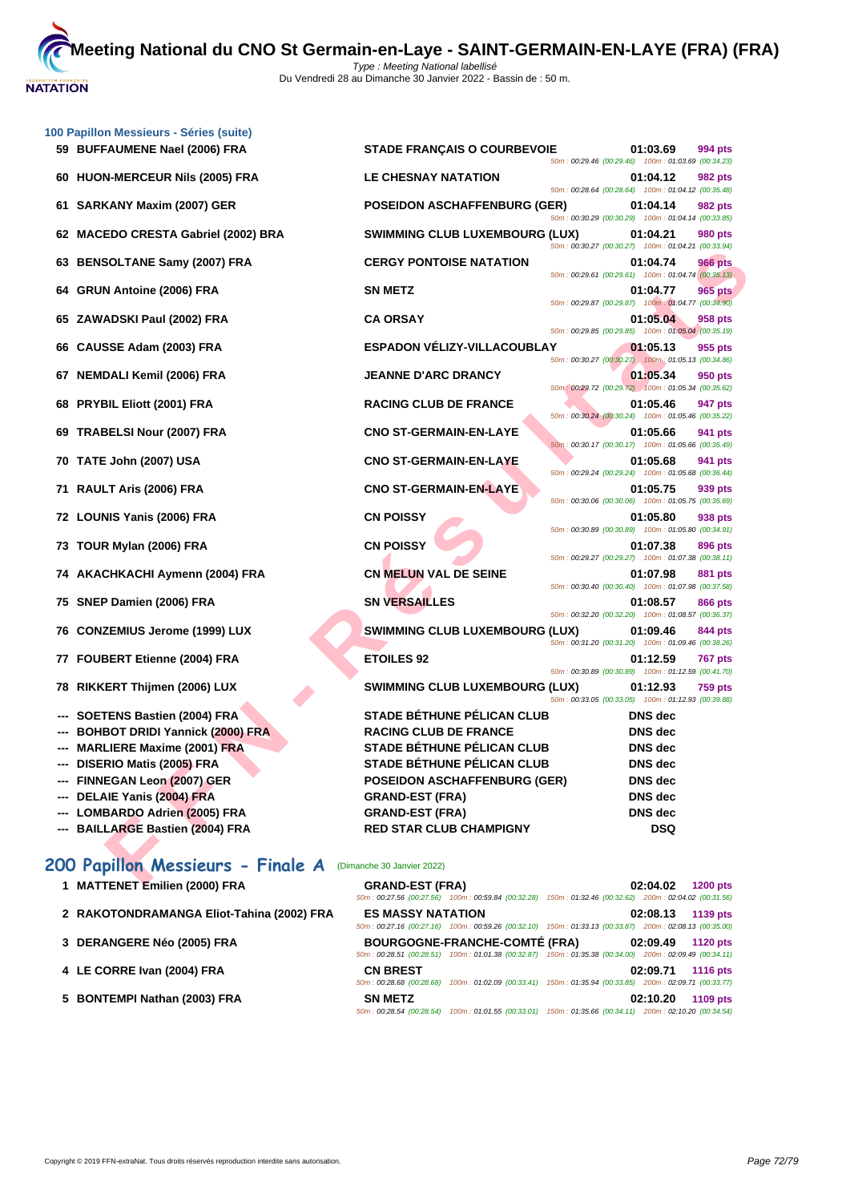

|    | 100 Papillon Messieurs - Séries (suite)                      |                                       |                                                    |                |                |
|----|--------------------------------------------------------------|---------------------------------------|----------------------------------------------------|----------------|----------------|
|    | 59 BUFFAUMENE Nael (2006) FRA                                | <b>STADE FRANÇAIS O COURBEVOIE</b>    |                                                    | 01:03.69       | 994 pts        |
| 60 | <b>HUON-MERCEUR Nils (2005) FRA</b>                          | <b>LE CHESNAY NATATION</b>            | 50m: 00:29.46 (00:29.46) 100m: 01:03.69 (00:34.23) | 01:04.12       | 982 pts        |
|    |                                                              |                                       | 50m: 00:28.64 (00:28.64) 100m: 01:04.12 (00:35.48) |                |                |
| 61 | <b>SARKANY Maxim (2007) GER</b>                              | <b>POSEIDON ASCHAFFENBURG (GER)</b>   | 50m: 00:30.29 (00:30.29) 100m: 01:04.14 (00:33.85) | 01:04.14       | 982 pts        |
| 62 | <b>MACEDO CRESTA Gabriel (2002) BRA</b>                      | <b>SWIMMING CLUB LUXEMBOURG (LUX)</b> |                                                    | 01:04.21       | 980 pts        |
| 63 | <b>BENSOLTANE Samy (2007) FRA</b>                            | <b>CERGY PONTOISE NATATION</b>        | 50m: 00:30.27 (00:30.27) 100m: 01:04.21 (00:33.94) | 01:04.74       | 966 pts        |
| 64 | <b>GRUN Antoine (2006) FRA</b>                               | <b>SN METZ</b>                        | 50m: 00:29.61 (00:29.61) 100m: 01:04.74 (00:35.13) | 01:04.77       | 965 pts        |
|    |                                                              |                                       | 50m: 00:29.87 (00:29.87) 100m: 01:04.77 (00:34.90) |                |                |
|    | 65 ZAWADSKI Paul (2002) FRA                                  | <b>CA ORSAY</b>                       | 50m: 00:29.85 (00:29.85) 100m: 01:05.04 (00:35.19) | 01:05.04       | 958 pts        |
| 66 | CAUSSE Adam (2003) FRA                                       | <b>ESPADON VÉLIZY-VILLACOUBLAY</b>    | 50m: 00:30.27 (00:30.27) 100m: 01:05.13 (00:34.86) | 01:05.13       | 955 pts        |
| 67 | <b>NEMDALI Kemil (2006) FRA</b>                              | <b>JEANNE D'ARC DRANCY</b>            |                                                    | 01:05.34       | 950 pts        |
| 68 | <b>PRYBIL Eliott (2001) FRA</b>                              | <b>RACING CLUB DE FRANCE</b>          | 50m: 00:29.72 (00:29.72) 100m: 01:05.34 (00:35.62) | 01:05.46       | 947 pts        |
|    |                                                              |                                       | 50m: 00:30.24 (00:30.24) 100m: 01:05.46 (00:35.22) |                |                |
| 69 | TRABELSI Nour (2007) FRA                                     | <b>CNO ST-GERMAIN-EN-LAYE</b>         | 50m: 00:30.17 (00:30.17) 100m: 01:05.66 (00:35.49) | 01:05.66       | 941 pts        |
| 70 | TATE John (2007) USA                                         | <b>CNO ST-GERMAIN-EN-LAYE</b>         |                                                    | 01:05.68       | 941 pts        |
| 71 | RAULT Aris (2006) FRA                                        | <b>CNO ST-GERMAIN-EN-LAYE</b>         | 50m: 00:29.24 (00:29.24) 100m: 01:05.68 (00:36.44) | 01:05.75       | 939 pts        |
|    | 72 LOUNIS Yanis (2006) FRA                                   | <b>CN POISSY</b>                      | 50m: 00:30.06 (00:30.06) 100m: 01:05.75 (00:35.69) | 01:05.80       | 938 pts        |
|    |                                                              |                                       | 50m: 00:30.89 (00:30.89) 100m: 01:05.80 (00:34.91) |                |                |
|    | 73 TOUR Mylan (2006) FRA                                     | <b>CN POISSY</b>                      | 50m: 00:29.27 (00:29.27) 100m: 01:07.38 (00:38.11) | 01:07.38       | 896 pts        |
|    | 74 AKACHKACHI Aymenn (2004) FRA                              | CN MELUN VAL DE SEINE                 |                                                    | 01:07.98       | 881 pts        |
| 75 | SNEP Damien (2006) FRA                                       | <b>SN VERSAILLES</b>                  | 50m: 00:30.40 (00:30.40) 100m: 01:07.98 (00:37.58) | 01:08.57       | 866 pts        |
| 76 | <b>CONZEMIUS Jerome (1999) LUX</b>                           | <b>SWIMMING CLUB LUXEMBOURG (LUX)</b> | 50m: 00:32.20 (00:32.20) 100m: 01:08.57 (00:36.37) | 01:09.46       | 844 pts        |
|    |                                                              |                                       | 50m: 00:31.20 (00:31.20) 100m: 01:09.46 (00:38.26) |                |                |
| 77 | <b>FOUBERT Etienne (2004) FRA</b>                            | <b>ETOILES 92</b>                     | 50m: 00:30.89 (00:30.89) 100m: 01:12.59 (00:41.70) | 01:12.59       | <b>767 pts</b> |
| 78 | RIKKERT Thijmen (2006) LUX                                   | <b>SWIMMING CLUB LUXEMBOURG (LUX)</b> |                                                    | 01:12.93       | <b>759 pts</b> |
|    | SOETENS Bastien (2004) FRA                                   | <b>STADE BÉTHUNE PÉLICAN CLUB</b>     | 50m: 00:33.05 (00:33.05) 100m: 01:12.93 (00:39.88) | <b>DNS</b> dec |                |
|    | <b>BOHBOT DRIDI Yannick (2000) FRA</b>                       | <b>RACING CLUB DE FRANCE</b>          |                                                    | <b>DNS</b> dec |                |
|    | <b>MARLIERE Maxime (2001) FRA</b>                            | <b>STADE BÉTHUNE PÉLICAN CLUB</b>     |                                                    | <b>DNS</b> dec |                |
|    | --- DISERIO Matis (2005) FRA                                 | STADE BÉTHUNE PÉLICAN CLUB            |                                                    | DNS dec        |                |
|    | --- FINNEGAN Leon (2007) GER                                 | <b>POSEIDON ASCHAFFENBURG (GER)</b>   |                                                    | <b>DNS</b> dec |                |
|    | --- DELAIE Yanis (2004) FRA                                  | <b>GRAND-EST (FRA)</b>                |                                                    | <b>DNS</b> dec |                |
|    | --- LOMBARDO Adrien (2005) FRA                               | <b>GRAND-EST (FRA)</b>                |                                                    | <b>DNS</b> dec |                |
|    |                                                              |                                       |                                                    |                |                |
|    | --- BAILLARGE Bastien (2004) FRA                             | <b>RED STAR CLUB CHAMPIGNY</b>        |                                                    | <b>DSQ</b>     |                |
|    | 200 Papillon Messieurs - Finale A (Dimanche 30 Janvier 2022) |                                       |                                                    |                |                |
|    | MATTENET Emilian (2000) ED A                                 | COAND CCT (COA)                       |                                                    |                | 1200           |

# **200 Papillon Messieurs - Finale A** (Dimanche 30 Janvier 2022)

| 1 MATTENET Emilien (2000) FRA |  |  |
|-------------------------------|--|--|
|                               |  |  |

- 
- 
- 
- 

**1 MATTENET Emilien (2000) FRA GRAND-EST (FRA) 02:04.02 1200 pts** 50m : 00:27.56 (00:27.56) 100m : 00:59.84 (00:32.28) 150m : 01:32.46 (00:32.62) 200m : 02:04.02 (00:31.56) **2 RAKOTONDRAMANGA Eliot-Tahina (2002) FRA ES MASSY NATATION 02:08.13 1139 pts** 50m : 00:27.16 (00:27.16) 100m : 00:59.26 (00:32.10) 150m : 01:33.13 (00:33.87) 200m : 02:08.13 (00:35.00) **3 [DERANGERE Néo \(2005\) FRA](http://www.ffnatation.fr/webffn/resultats.php?idact=nat&go=epr&idcpt=75485&idepr=83) BOURGOGNE-FRANCHE-COMTÉ (FRA) 02:09.49 1120 pts** 50m : 00:28.51 (00:28.51) 100m : 01:01.38 (00:32.87) 150m : 01:35.38 (00:34.00) 200m : 02:09.49 (00:34.11) **4 LE CORRE Ivan (2004) FRA CN BREST 02:09.71 1116 pts** 50m : 00:28.68 (00:28.68) 100m : 01:02.09 (00:33.41) 150m : 01:35.94 (00:33.85) 200m : 02:09.71 (00:33.77) **5 BONTEMPI Nathan (2003) FRA SN METZ 02:10.20 1109 pts** 50m : 00:28.54 (00:28.54) 100m : 01:01.55 (00:33.01) 150m : 01:35.66 (00:34.11) 200m : 02:10.20 (00:34.54)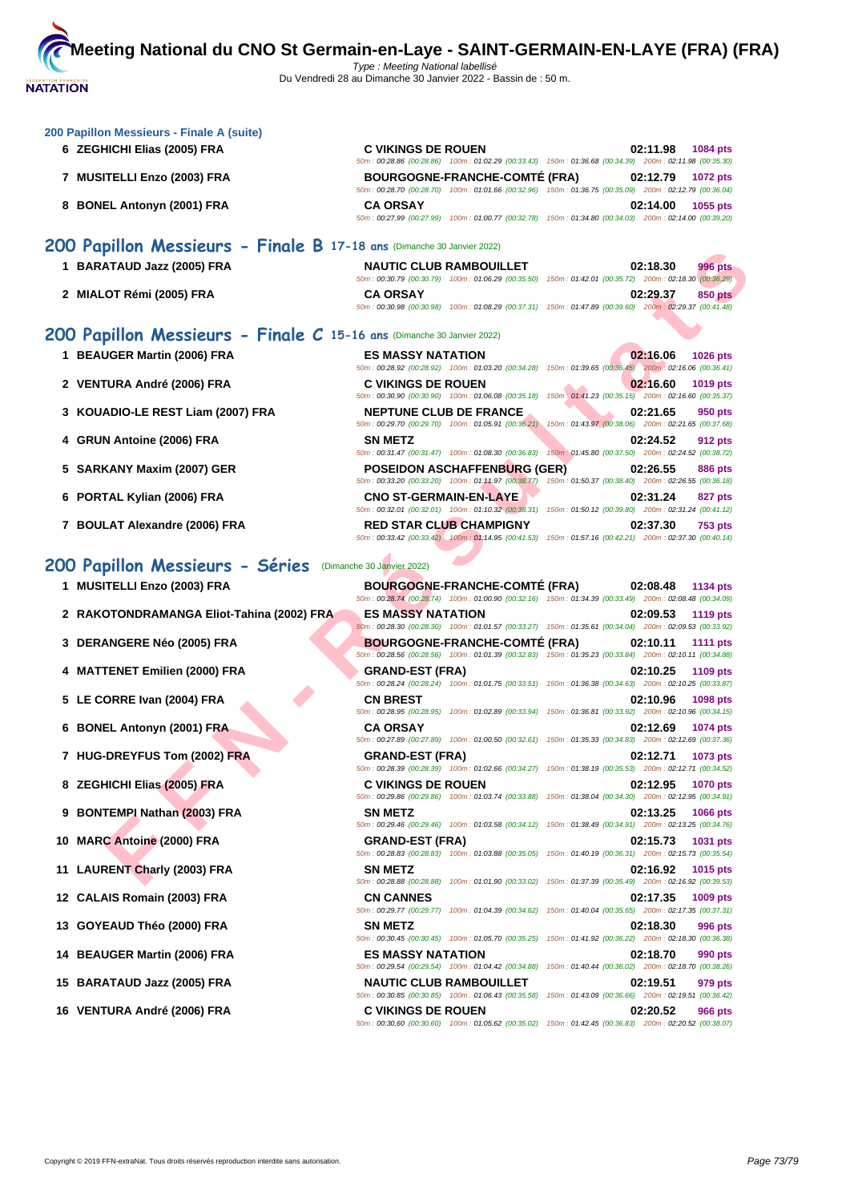

| 200 Papillon Messieurs - Finale A (suite)<br>6 ZEGHICHI Elias (2005) FRA | <b>C VIKINGS DE ROUEN</b>                                                                                                                  | 02:11.98<br>1084 pts<br>50m : 00:28.86 (00:28.86) 100m : 01:02.29 (00:33.43) 150m : 01:36.68 (00:34.39) 200m : 02:11.98 (00:35.30)                                                                                                           |
|--------------------------------------------------------------------------|--------------------------------------------------------------------------------------------------------------------------------------------|----------------------------------------------------------------------------------------------------------------------------------------------------------------------------------------------------------------------------------------------|
| 7 MUSITELLI Enzo (2003) FRA                                              | <b>BOURGOGNE-FRANCHE-COMTÉ (FRA)</b>                                                                                                       | 02:12.79<br>1072 pts<br>50m : 00:28.70 (00:28.70) 100m : 01:01.66 (00:32.96) 150m : 01:36.75 (00:35.09) 200m : 02:12.79 (00:36.04)                                                                                                           |
| 8 BONEL Antonyn (2001) FRA                                               | <b>CA ORSAY</b>                                                                                                                            | 02:14.00<br>1055 pts<br>50m: 00:27.99 (00:27.99) 100m: 01:00.77 (00:32.78) 150m: 01:34.80 (00:34.03) 200m: 02:14.00 (00:39.20)                                                                                                               |
| 200 Papillon Messieurs - Finale B 17-18 ans (Dimanche 30 Janvier 2022)   |                                                                                                                                            |                                                                                                                                                                                                                                              |
| 1 BARATAUD Jazz (2005) FRA                                               | <b>NAUTIC CLUB RAMBOUILLET</b>                                                                                                             | 02:18.30<br>996 pts<br>50m : 00:30.79 (00:30.79) 100m : 01:06.29 (00:35.50) 150m : 01:42.01 (00:35.72) 200m : 02:18.30 (00:36.29)                                                                                                            |
| 2 MIALOT Rémi (2005) FRA                                                 | <b>CA ORSAY</b>                                                                                                                            | 02:29.37<br><b>850 pts</b><br>50m: 00:30.98 (00:30.98) 100m: 01:08.29 (00:37.31) 150m: 01:47.89 (00:39.60) 200m: 02:29.37 (00:41.48)                                                                                                         |
| 200 Papillon Messieurs - Finale C 15-16 ans (Dimanche 30 Janvier 2022)   |                                                                                                                                            |                                                                                                                                                                                                                                              |
| 1 BEAUGER Martin (2006) FRA                                              | <b>ES MASSY NATATION</b>                                                                                                                   | 02:16.06<br>1026 pts                                                                                                                                                                                                                         |
| 2 VENTURA André (2006) FRA                                               | <b>C VIKINGS DE ROUEN</b>                                                                                                                  | 50m : 00:28.92 (00:28.92) 100m : 01:03.20 (00:34.28) 150m : 01:39.65 (00:36.45) 200m : 02:16.06 (00:36.41)<br>02:16.60<br>1019 pts<br>50m: 00:30.90 (00:30.90) 100m: 01:06.08 (00:35.18) 150m: 01:41.23 (00:35.15) 200m: 02:16.60 (00:35.37) |
| 3 KOUADIO-LE REST Liam (2007) FRA                                        | <b>NEPTUNE CLUB DE FRANCE</b>                                                                                                              | 02:21.65<br>950 pts                                                                                                                                                                                                                          |
| 4 GRUN Antoine (2006) FRA                                                | <b>SN METZ</b>                                                                                                                             | 50m: 00:29.70 (00:29.70) 100m: 01:05.91 (00:36.21) 150m: 01:43.97 (00:38.06) 200m: 02:21.65 (00:37.68)<br>02:24.52<br>912 pts                                                                                                                |
|                                                                          |                                                                                                                                            | 50m : 00:31.47 (00:31.47) 100m : 01:08.30 (00:36.83) 150m : 01:45.80 (00:37.50) 200m : 02:24.52 (00:38.72)                                                                                                                                   |
| 5 SARKANY Maxim (2007) GER                                               | <b>POSEIDON ASCHAFFENBURG (GER)</b>                                                                                                        | 02:26.55<br>886 pts<br>50m: 00:33.20 (00:33.20) 100m: 01:11.97 (00:38.77) 150m: 01:50.37 (00:38.40) 200m: 02:26.55 (00:36.18)                                                                                                                |
| 6 PORTAL Kylian (2006) FRA                                               | <b>CNO ST-GERMAIN-EN-LAYE</b>                                                                                                              | 02:31.24<br>827 pts<br>50m: 00:32.01 (00:32.01) 100m: 01:10.32 (00:38.31) 150m: 01:50.12 (00:39.80) 200m: 02:31.24 (00:41.12)                                                                                                                |
| 7 BOULAT Alexandre (2006) FRA                                            | <b>RED STAR CLUB CHAMPIGNY</b>                                                                                                             | 02:37.30<br>753 pts<br>50m : 00:33.42 (00:33.42) -100m : 01:14.95 (00:41.53) 150m : 01:57.16 (00:42.21) 200m : 02:37.30 (00:40.14)                                                                                                           |
| 200 Papillon Messieurs - Séries                                          | (Dimanche 30 Janvier 2022)                                                                                                                 |                                                                                                                                                                                                                                              |
| 1 MUSITELLI Enzo (2003) FRA                                              | <b>BOURGOGNE-FRANCHE-COMTE (FRA)</b>                                                                                                       | 02:08.48<br>1134 pts                                                                                                                                                                                                                         |
| 2 RAKOTONDRAMANGA Eliot-Tahina (2002) FRA                                | <b>ES MASSY NATATION</b>                                                                                                                   | 50m: 00:28.74 (00:28.74) 100m: 01:00.90 (00:32.16) 150m: 01:34.39 (00:33.49) 200m: 02:08.48 (00:34.09)<br>02:09.53<br><b>1119 pts</b>                                                                                                        |
| 3 DERANGERE Néo (2005) FRA                                               | <b>BOURGOGNE-FRANCHE-COMTÉ (FRA)</b>                                                                                                       | 50m: 00:28.30 (00:28.30) 100m: 01:01.57 (00:33.27) 150m: 01:35.61 (00:34.04) 200m: 02:09.53 (00:33.92)<br>02:10.11<br>1111 pts                                                                                                               |
| 4 MATTENET Emilien (2000) FRA                                            | <b>GRAND-EST (FRA)</b>                                                                                                                     | 50m: 00:28.56 (00:28.56) 100m: 01:01.39 (00:32.83) 150m: 01:35.23 (00:33.84) 200m: 02:10.11 (00:34.88)<br>02:10.25<br>1109 pts                                                                                                               |
|                                                                          |                                                                                                                                            | 50m: 00:28.24 (00:28.24) 100m: 01:01.75 (00:33.51) 150m: 01:36.38 (00:34.63) 200m: 02:10.25 (00:33.87)                                                                                                                                       |
| 5 LE CORRE Ivan (2004) FRA                                               | <b>CN BREST</b>                                                                                                                            | 02:10.96<br>1098 pts<br>50m: 00:28.95 (00:28.95) 100m: 01:02.89 (00:33.94) 150m: 01:36.81 (00:33.92) 200m: 02:10.96 (00:34.15)                                                                                                               |
| 6 BONEL Antonyn (2001) FRA                                               | <b>CA ORSAY</b>                                                                                                                            | 02:12.69<br>1074 pts<br>50m: 00:27.89 (00:27.89) 100m: 01:00.50 (00:32.61) 150m: 01:35.33 (00:34.83) 200m: 02:12.69 (00:37.36)                                                                                                               |
| 7 HUG-DREYFUS Tom (2002) FRA                                             | <b>GRAND-EST (FRA)</b>                                                                                                                     | 02:12.71<br>1073 pts<br>50m: 00:28.39 (00:28.39) 100m: 01:02.66 (00:34.27) 150m: 01:38.19 (00:35.53) 200m: 02:12.71 (00:34.52)                                                                                                               |
| 8 ZEGHICHI Elias (2005) FRA                                              | <b>C VIKINGS DE ROUEN</b>                                                                                                                  | 02:12.95<br><b>1070 pts</b>                                                                                                                                                                                                                  |
| 9 BONTEMPI Nathan (2003) FRA                                             | 50m: 00:29.86 (00:29.86) 100m: 01:03.74 (00:33.88)<br><b>SN METZ</b>                                                                       | 150m: 01:38.04 (00:34.30) 200m: 02:12.95 (00:34.91)<br>02:13.25<br><b>1066 pts</b>                                                                                                                                                           |
| 10 MARC Antoine (2000) FRA                                               | <b>GRAND-EST (FRA)</b>                                                                                                                     | 50m: 00:29.46 (00:29.46) 100m: 01:03.58 (00:34.12) 150m: 01:38.49 (00:34.91) 200m: 02:13.25 (00:34.76)<br>02:15.73<br>1031 pts                                                                                                               |
| 11 LAURENT Charly (2003) FRA                                             | <b>SN METZ</b>                                                                                                                             | 50m: 00:28.83 (00:28.83) 100m: 01:03.88 (00:35.05) 150m: 01:40.19 (00:36.31) 200m: 02:15.73 (00:35.54)<br>02:16.92<br>1015 pts                                                                                                               |
| 12 CALAIS Romain (2003) FRA                                              | 50m: 00:28.88 (00:28.88) 100m: 01:01.90 (00:33.02)<br><b>CN CANNES</b>                                                                     | 150m: 01:37.39 (00:35.49) 200m: 02:16.92 (00:39.53)<br>02:17.35<br>1009 pts                                                                                                                                                                  |
| 13 GOYEAUD Théo (2000) FRA                                               | 50m: 00:29.77 (00:29.77) 100m: 01:04.39 (00:34.62)<br><b>SN METZ</b>                                                                       | 150m: 01:40.04 (00:35.65) 200m: 02:17.35 (00:37.31)<br>02:18.30<br>996 pts                                                                                                                                                                   |
| 14 BEAUGER Martin (2006) FRA                                             | 50m: 00:30.45 (00:30.45) 100m: 01:05.70 (00:35.25)<br><b>ES MASSY NATATION</b>                                                             | 150m: 01:41.92 (00:36.22) 200m: 02:18.30 (00:36.38)<br>02:18.70<br>990 pts                                                                                                                                                                   |
| 15 BARATAUD Jazz (2005) FRA                                              | 50m: 00:29.54 (00:29.54) 100m: 01:04.42 (00:34.88)<br><b>NAUTIC CLUB RAMBOUILLET</b><br>50m: 00:30.85 (00:30.85) 100m: 01:06.43 (00:35.58) | 150m: 01:40.44 (00:36.02) 200m: 02:18.70 (00:38.26)<br>02:19.51<br>979 pts<br>150m: 01:43.09 (00:36.66) 200m: 02:19.51 (00:36.42)                                                                                                            |
| 16 VENTURA André (2006) FRA                                              | <b>C VIKINGS DE ROUEN</b><br>50m : 00:30.60 (00:30.60) 100m : 01:05.62 (00:35.02) 150m : 01:42.45 (00:36.83) 200m : 02:20.52 (00:38.07)    | 02:20.52<br>966 pts                                                                                                                                                                                                                          |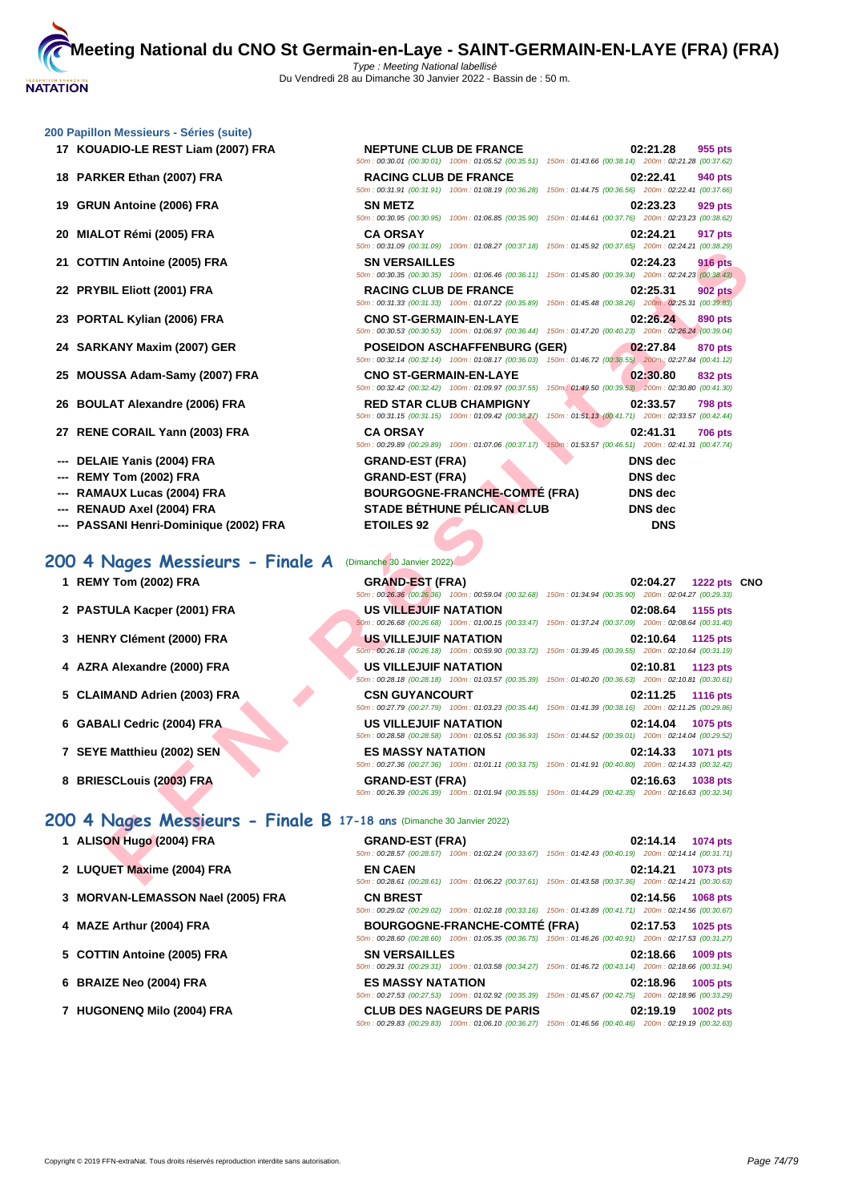#### **[200 Papil](http://www.ffnatation.fr/webffn/index.php)lon Messieurs - Séries (suite)**

- **17 KOUADIO-LE REST Liam (2007) FRA**
- **18 PARKER Ethan (2007) FRA**
- **19 GRUN Antoine (2006) FRA SN METZ 02:23.23 929 pts**
- **20 MIALOT Rémi (2005) FRA CA ORSAY 02:24.21 917 pts**
- **21 COTTIN Antoine (2005) FRA**
- **22 PRYBIL Eliott (2001) FRA RACING CLUB DE FRANCE 02:25.31 902 pts**
- **23 PORTAL Kylian (2006) FRA**
- **24 SARKANY Maxim (2007) GER**
- **25 MOUSSA Adam-Samy (2007) FRA**
- **26 BOULAT Alexandre (2006) FRA**
- **27 RENE CORAIL Yann (2003) FRA**
- **--- DELAIE Yanis (2004) FRA**
- **--- REMY Tom (2002) FRA**
- **--- RAMAUX Lucas (2004) FRA**
- **--- RENAUD Axel (2004) FRA**
- **--- PASSANI Henri-Dominique (2002) FRA**

## **200 4 Nages Messieurs - Finale A** (Dimanche 30 Janvier 2022)

- 
- **2 PASTULA Kacper (2001) FRA US**
- **3 HENRY Clément (2000) FRA US**
- **4 AZRA Alexandre (2000) FRA US**
- **5 CLAIMAND Adrien (2003) FRA CSN**
- **6 GABALI Cedric (2004) FRA US 108 108 108 108 108 108 108 108 108 10 1075 1075**
- **1 SEYE Matthieu (2002) SEN 1071 pts**
- **8 BRIESCLouis (2003) FRA GRAND-EST (FRA**) **GRAND-EST (FRA**)

# **200 4 Nages Messieurs - Finale B 17-18 ans** (Dimanche 30 Janvier 2022)

- **1 ALISON Hugo (2004) FRA GRAND-EST (FRA) 02:14.14 1074 pts**
- **2 LUQUET Maxime (2004) FRA EN CAEN 02:14.21 1073 pts**
- **3 [MORVAN-LEMASSON Nael \(2005\) FRA](http://www.ffnatation.fr/webffn/resultats.php?idact=nat&go=epr&idcpt=75485&idepr=91) CN BREST 02:14.56 1068 pts**
- **4 MAZE Arthur (2004) FRA BOURGOGNE-FRANCHE-COMTÉ (FRA) 02:17.53 1025 pts**
- **5 COTTIN Antoine (2005) FRA SN VERSAILLES 02:18.66 1009 pts**
- **6 BRAIZE Neo (2004) FRA ES MASSY NATATION 02:18.96 1005 pts**
- **7 HUGONENQ Milo (2004) FRA CLUB DES NAGEURS DE PARIS 02:19.19 1002 pts**

| $11$ moddied to control found                                                                |                                      |                                                                                                                                          |  |
|----------------------------------------------------------------------------------------------|--------------------------------------|------------------------------------------------------------------------------------------------------------------------------------------|--|
| ADIO-LE REST Liam (2007) FRA                                                                 | <b>NEPTUNE CLUB DE FRANCE</b>        | 02:21.28<br>955 pts<br>50m: 00:30.01 (00:30.01) 100m: 01:05.52 (00:35.51) 150m: 01:43.66 (00:38.14) 200m: 02:21.28 (00:37.62)            |  |
| KER Ethan (2007) FRA                                                                         | <b>RACING CLUB DE FRANCE</b>         | 02:22.41<br>940 pts<br>50m: 00:31.91 (00:31.91) 100m: 01:08.19 (00:36.28) 150m: 01:44.75 (00:36.56) 200m: 02:22.41 (00:37.66)            |  |
| N Antoine (2006) FRA                                                                         | <b>SN METZ</b>                       | 02:23.23<br>929 pts<br>50m: 00:30.95 (00:30.95) 100m: 01:06.85 (00:35.90) 150m: 01:44.61 (00:37.76) 200m: 02:23.23 (00:38.62)            |  |
| .OT Rémi (2005) FRA                                                                          | <b>CA ORSAY</b>                      | 02:24.21<br>917 pts<br>50m: 00:31.09 (00:31.09) 100m: 01:08.27 (00:37.18) 150m: 01:45.92 (00:37.65) 200m: 02:24.21 (00:38.29)            |  |
| TIN Antoine (2005) FRA                                                                       | <b>SN VERSAILLES</b>                 | 02:24.23<br><b>916 pts</b><br>50m : 00:30.35 (00:30.35) 100m : 01:06.46 (00:36.11) 150m : 01:45.80 (00:39.34) 200m : 02:24.23 (00:38.43) |  |
| BIL Eliott (2001) FRA                                                                        | <b>RACING CLUB DE FRANCE</b>         | <b>902 pts</b><br>02:25.31<br>50m: 00:31.33 (00:31.33) 100m: 01:07.22 (00:35.89) 150m: 01:45.48 (00:38.26) 200m: 02:25.31 (00:39.83)     |  |
| TAL Kylian (2006) FRA                                                                        | <b>CNO ST-GERMAIN-EN-LAYE</b>        | 02:26.24<br>890 pts<br>50m: 00:30.53 (00:30.53) 100m: 01:06.97 (00:36.44) 150m: 01:47.20 (00:40.23) 200m: 02:26.24 (00:39.04)            |  |
| KANY Maxim (2007) GER                                                                        | <b>POSEIDON ASCHAFFENBURG (GER)</b>  | 02:27.84<br>870 pts<br>50m: 00:32.14 (00:32.14) 100m: 01:08.17 (00:36.03) 150m: 01:46.72 (00:38.55) 200m: 02:27.84 (00:41.12)            |  |
| SSA Adam-Samy (2007) FRA                                                                     | <b>CNO ST-GERMAIN-EN-LAYE</b>        | 02:30.80<br>832 pts<br>50m : 00:32.42 (00:32.42) 100m : 01:09.97 (00:37.55) 150m : 01:49.50 (00:39.53) 200m : 02:30.80 (00:41.30)        |  |
| LAT Alexandre (2006) FRA                                                                     | <b>RED STAR CLUB CHAMPIGNY</b>       | 02:33.57<br><b>798 pts</b><br>50m: 00:31.15 (00:31.15) 100m: 01:09.42 (00:38.27) 150m: 01:51.13 (00:41.71) 200m: 02:33.57 (00:42.44)     |  |
| E CORAIL Yann (2003) FRA                                                                     | <b>CA ORSAY</b>                      | 02:41.31<br><b>706 pts</b><br>50m : 00:29.89 (00:29.89) 100m : 01:07.06 (00:37.17) 150m : 01:53.57 (00:46.51) 200m : 02:41.31 (00:47.74) |  |
| <b>AIE Yanis (2004) FRA</b>                                                                  | <b>GRAND-EST (FRA)</b>               | <b>DNS</b> dec                                                                                                                           |  |
| Y Tom (2002) FRA                                                                             | <b>GRAND-EST (FRA)</b>               | <b>DNS</b> dec                                                                                                                           |  |
|                                                                                              | <b>BOURGOGNE-FRANCHE-COMTÉ (FRA)</b> |                                                                                                                                          |  |
| AUX Lucas (2004) FRA                                                                         |                                      | DNS dec                                                                                                                                  |  |
| AUD Axel (2004) FRA                                                                          | <b>STADE BÉTHUNE PÉLICAN CLUB</b>    | DNS dec                                                                                                                                  |  |
| SANI Henri-Dominique (2002) FRA                                                              | <b>ETOILES 92</b>                    | <b>DNS</b>                                                                                                                               |  |
|                                                                                              |                                      |                                                                                                                                          |  |
| Nages Messieurs - Finale A                                                                   | (Dimanche 30 Janvier 2022)           |                                                                                                                                          |  |
| Y Tom (2002) FRA                                                                             | <b>GRAND-EST (FRA)</b>               | 02:04.27<br>1222 pts CNO<br>50m : 00:26.36 (00:26.36) 100m : 00:59.04 (00:32.68) 150m : 01:34.94 (00:35.90) 200m : 02:04.27 (00:29.33)   |  |
| TULA Kacper (2001) FRA                                                                       | US VILLEJUIF NATATION                | 02:08.64<br>1155 pts<br>50m : 00:26.68 (00:26.68) 100m : 01:00.15 (00:33.47) 150m : 01:37.24 (00:37.09) 200m : 02:08.64 (00:31.40)       |  |
| RY Clément (2000) FRA                                                                        | <b>US VILLEJUIF NATATION</b>         | 02:10.64<br>1125 pts<br>50m : 00:26.18 (00:26.18) 100m : 00:59.90 (00:33.72) 150m : 01:39.45 (00:39.55) 200m : 02:10.64 (00:31.19)       |  |
|                                                                                              | <b>US VILLEJUIF NATATION</b>         | 02:10.81<br>1123 pts<br>50m: 00:28.18 (00:28.18) 100m: 01:03.57 (00:35.39) 150m: 01:40.20 (00:36.63) 200m: 02:10.81 (00:30.61)           |  |
| <b>A Alexandre (2000) FRA</b><br>MAND Adrien (2003) FRA                                      | <b>CSN GUYANCOURT</b>                | 02:11.25<br><b>1116 pts</b><br>50m: 00:27.79 (00:27.79) 100m: 01:03.23 (00:35.44) 150m: 01:41.39 (00:38.16) 200m: 02:11.25 (00:29.86)    |  |
| ALI Cedric (2004) FRA                                                                        | US VILLEJUIF NATATION                | 02:14.04<br>1075 pts<br>50m: 00:28.58 (00:28.58) 100m: 01:05.51 (00:36.93) 150m: 01:44.52 (00:39.01) 200m: 02:14.04 (00:29.52)           |  |
| E Matthieu (2002) SEN                                                                        | <b>ES MASSY NATATION</b>             | 02:14.33<br>1071 pts<br>50m: 00:27.36 (00:27.36) 100m: 01:01.11 (00:33.75) 150m: 01:41.91 (00:40.80) 200m: 02:14.33 (00:32.42)           |  |
| SCLouis (2003) FRA                                                                           | <b>GRAND-EST (FRA)</b>               | 1038 pts<br>02:16.63<br>50m : 00:26.39 (00:26.39) 100m : 01:01.94 (00:35.55) 150m : 01:44.29 (00:42.35) 200m : 02:16.63 (00:32.34)       |  |
|                                                                                              |                                      |                                                                                                                                          |  |
| Nages Messieurs - Finale B 17-18 ans (Dimanche 30 Janvier 2022)<br><b>ON Hugo (2004) FRA</b> | <b>GRAND-EST (FRA)</b>               | 02:14.14<br>1074 pts<br>50m: 00:28.57 (00:28.57) 100m: 01:02.24 (00:33.67) 150m: 01:42.43 (00:40.19) 200m: 02:14.14 (00:31.71)           |  |
| UET Maxime (2004) FRA                                                                        | <b>EN CAEN</b>                       | 02:14.21<br>1073 pts                                                                                                                     |  |

| 1 REMY Tom (2002) FRA        | <b>GRAND-EST (FRA)</b>   | 1222 pts CNO<br>02:04.27<br>50m: 00:26.36 (00:26.36) 100m: 00:59.04 (00:32.68) 150m: 01:34.94 (00:35.90) 200m: 02:04.27 (00:29.33)    |
|------------------------------|--------------------------|---------------------------------------------------------------------------------------------------------------------------------------|
| 2 PASTULA Kacper (2001) FRA  | US VILLEJUIF NATATION    | 02:08.64<br>1155 pts<br>50m: 00:26.68 (00:26.68) 100m: 01:00.15 (00:33.47) 150m: 01:37.24 (00:37.09) 200m: 02:08.64 (00:31.40)        |
| 3 HENRY Clément (2000) FRA   | US VILLEJUIF NATATION    | 02:10.64<br><b>1125 pts</b><br>50m: 00:26.18 (00:26.18) 100m: 00:59.90 (00:33.72) 150m: 01:39.45 (00:39.55) 200m: 02:10.64 (00:31.19) |
| 4 AZRA Alexandre (2000) FRA  | US VILLEJUIF NATATION    | 02:10.81<br>1123 pts<br>50m: 00:28.18 (00:28.18) 100m: 01:03.57 (00:35.39) 150m: 01:40.20 (00:36.63) 200m: 02:10.81 (00:30.61)        |
| 5 CLAIMAND Adrien (2003) FRA | <b>CSN GUYANCOURT</b>    | 02:11.25<br>1116 pts<br>50m: 00:27.79 (00:27.79) 100m: 01:03.23 (00:35.44) 150m: 01:41.39 (00:38.16) 200m: 02:11.25 (00:29.86)        |
| 6 GABALI Cedric (2004) FRA   | US VILLEJUIF NATATION    | 02:14.04<br>1075 pts<br>50m: 00:28.58 (00:28.58) 100m: 01:05.51 (00:36.93) 150m: 01:44.52 (00:39.01) 200m: 02:14.04 (00:29.52)        |
| 7 SEYE Matthieu (2002) SEN   | <b>ES MASSY NATATION</b> | 02:14.33<br><b>1071 pts</b><br>50m: 00:27.36 (00:27.36) 100m: 01:01.11 (00:33.75) 150m: 01:41.91 (00:40.80) 200m: 02:14.33 (00:32.42) |
| 8 BRIESCLouis (2003) FRA     | <b>GRAND-EST (FRA)</b>   | 02:16.63<br><b>1038 pts</b><br>50m: 00:26.39 (00:26.39) 100m: 01:01.94 (00:35.55) 150m: 01:44.29 (00:42.35) 200m: 02:16.63 (00:32.34) |

50m : 00:29.02 (00:29.02) 100m : 01:02.18 (00:33.16) 150m : 01:43.89 (00:41.71) 200m : 02:14.56 (00:30.67)

50m : 00:28.60 (00:28.60) 100m : 01:05.35 (00:36.75) 150m : 01:46.26 (00:40.91) 200m : 02:17.53 (00:31.27)

50m : 00:29.31 (00:29.31) 100m : 01:03.58 (00:34.27) 150m : 01:46.72 (00:43.14) 200m : 02:18.66 (00:31.94)

50m : 00:27.53 (00:27.53) 100m : 01:02.92 (00:35.39) 150m : 01:45.67 (00:42.75) 200m : 02:18.96 (00:33.29)

50m : 00:29.83 (00:29.83) 100m : 01:06.10 (00:36.27) 150m : 01:46.56 (00:40.46) 200m : 02:19.19 (00:32.63)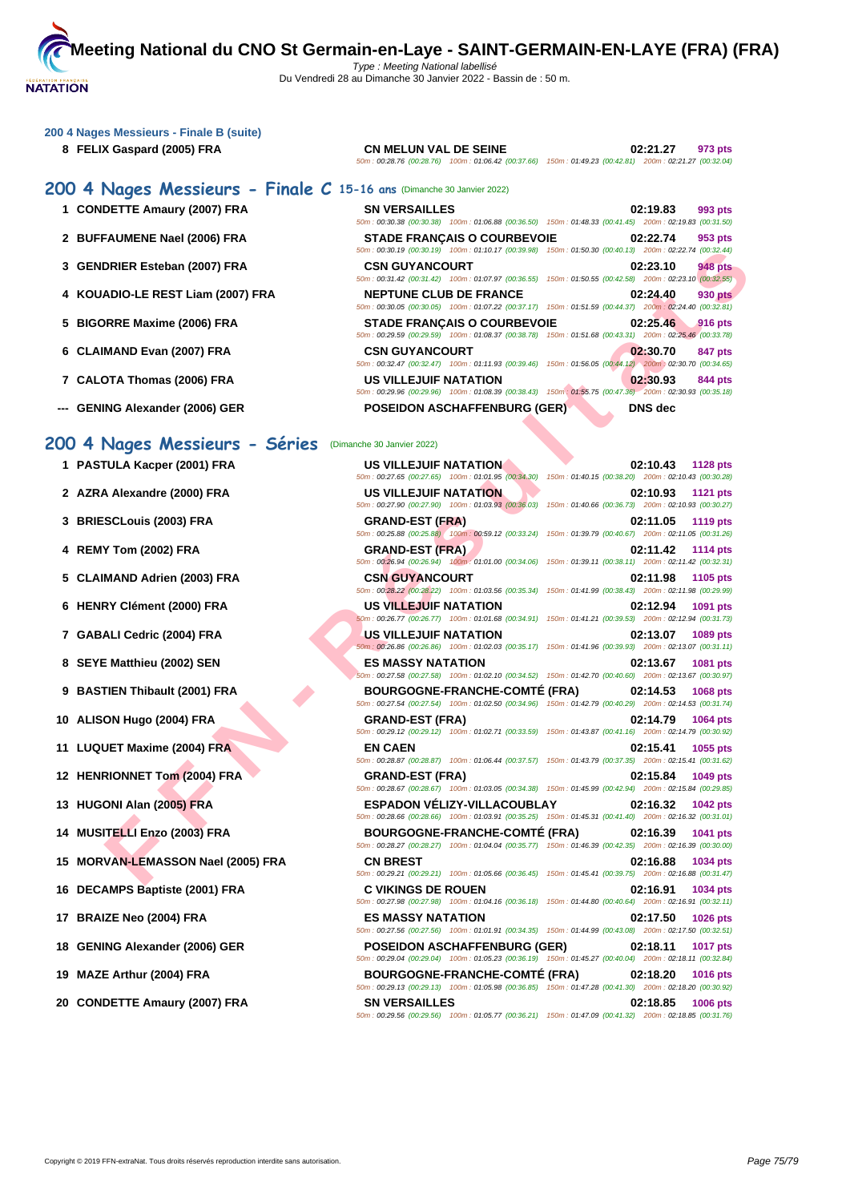#### **[200 4 Nag](http://www.ffnatation.fr/webffn/index.php)es Messieurs - Finale B (suite)**

#### **8 FELIX Gaspard (2005) FRA CN MELUN VAL DE SEINE 02:21.27 973 pts** 50m : 00:28.76 (00:28.76) 100m : 01:06.42 (00:37.66) 150m : 01:49.23 (00:42.81) 200m : 02:21.27 (00:32.04)

# **200 4 Nages Messieurs - Finale C 15-16 ans** (Dimanche 30 Janvier 2022)

- **1 CONDETTE Amaury (2007) FRA**
- 2 **BUFFAUMENE Nael (2006) FRA**
- **3 GENDRIER Esteban (2007) FRA**
- **4 KOUADIO-LE REST Liam (2007) FRA**
- **5 BIGORRE Maxime (2006) FRA**
- **6** CLAIMAND Evan (2007) FRA
- **7** CALOTA Thomas (2006) FRA
- **--- GENING Alexander (2006) GER**

**1 PASTULA Kacper (2001) FRA** 

**2 AZRA Alexandre (2000) FRA** 

**5** CLAIMAND Adrien (2003) FRA

**3 BRIESCLouis (2003) FRA GRAND-EST (FRA) 02:11.05 1119 pts**

**4 REMY Tom (2002) FRA GRAND-EST (FRA) 02:11.42 1114 pts**

| <b>SN VERSAILLES</b>                                                                                   | 02:19.83         | 993 pts |
|--------------------------------------------------------------------------------------------------------|------------------|---------|
| 50m: 00:30.38 (00:30.38) 100m: 01:06.88 (00:36.50) 150m: 01:48.33 (00:41.45) 200m: 02:19.83 (00:31.50) |                  |         |
| <b>STADE FRANCAIS O COURBEVOIE</b>                                                                     | 02:22.74         | 953 pts |
| 50m: 00:30.19 (00:30.19) 100m: 01:10.17 (00:39.98) 150m: 01:50.30 (00:40.13) 200m: 02:22.74 (00:32.44) |                  |         |
| <b>CSN GUYANCOURT</b>                                                                                  | 02:23.10         | 948 pts |
| 50m: 00:31.42 (00:31.42) 100m: 01:07.97 (00:36.55) 150m: 01:50.55 (00:42.58) 200m: 02:23.10 (00:32.55) |                  |         |
| <b>NEPTUNE CLUB DE FRANCE</b>                                                                          | 02:24.40         | 930 pts |
| 50m: 00:30.05 (00:30.05) 100m: 01:07.22 (00:37.17) 150m: 01:51.59 (00:44.37) 200m: 02:24.40 (00:32.81) |                  |         |
| <b>STADE FRANCAIS O COURBEVOIE</b>                                                                     | 02:25.46 916 pts |         |
| 50m: 00:29.59 (00:29.59) 100m: 01:08.37 (00:38.78) 150m: 01:51.68 (00:43.31) 200m: 02:25.46 (00:33.78) |                  |         |
| <b>CSN GUYANCOURT</b>                                                                                  | 02:30.70         | 847 pts |
| 50m: 00:32.47 (00:32.47) 100m: 01:11.93 (00:39.46) 150m: 01:56.05 (00:44.12) 200m: 02:30.70 (00:34.65) |                  |         |
| <b>US VILLEJUIF NATATION</b>                                                                           | 02:30.93         | 844 pts |
| 50m: 00:29.96 (00:29.96) 100m: 01:08.39 (00:38.43) 150m: 01:55.75 (00:47.36) 200m: 02:30.93 (00:35.18) |                  |         |
| <b>POSEIDON ASCHAFFENBURG (GER)</b>                                                                    | DNS dec          |         |

## **200 4 Nages Messieurs - Séries** (Dimanche 30 Janvier 2022)

|                                                     | 50m : 00:30.19 (00:30.19) 100m : 01:10.17 (00:39.98) 150m : 01:50.30 (00:40.13) 200m : 02:22.74 (00:32.44)                                                                                                                                                 |                             |
|-----------------------------------------------------|------------------------------------------------------------------------------------------------------------------------------------------------------------------------------------------------------------------------------------------------------------|-----------------------------|
| DRIER Esteban (2007) FRA                            | <b>CSN GUYANCOURT</b><br>50m : 00:31.42 (00:31.42) 100m : 01:07.97 (00:36.55) 150m : 01:50.55 (00:42.58) 200m : 02:23.10 (00:32.55)                                                                                                                        | 02:23.10<br>948 pts         |
| ADIO-LE REST Liam (2007) FRA                        | <b>NEPTUNE CLUB DE FRANCE</b>                                                                                                                                                                                                                              | 02:24.40<br>930 pts         |
| RRE Maxime (2006) FRA                               | 50m: 00:30.05 (00:30.05) 100m: 01:07.22 (00:37.17) 150m: 01:51.59 (00:44.37) 200m: 02:24.40 (00:32.81)<br><b>STADE FRANÇAIS O COURBEVOIE</b><br>50m : 00:29.59 (00:29.59) 100m : 01:08.37 (00:38.78) 150m : 01:51.68 (00:43.31) 200m : 02:25.46 (00:33.78) | 02:25.46<br><b>916 pts</b>  |
| MAND Evan (2007) FRA                                | <b>CSN GUYANCOURT</b>                                                                                                                                                                                                                                      | 02:30.70<br>847 pts         |
| OTA Thomas (2006) FRA                               | 50m: 00:32.47 (00:32.47) 100m: 01:11.93 (00:39.46) 150m: 01:56.05 (00:44.12) 200m: 02:30.70 (00:34.65)<br>US VILLEJUIF NATATION                                                                                                                            | 02:30.93<br>844 pts         |
| ING Alexander (2006) GER                            | 50m : 00:29.96 (00:29.96) 100m : 01:08.39 (00:38.43) 150m : 01:55.75 (00:47.36) 200m : 02:30.93 (00:35.18)<br><b>POSEIDON ASCHAFFENBURG (GER)</b>                                                                                                          | DNS dec                     |
| Nages Messieurs - Séries (Dimanche 30 Janvier 2022) |                                                                                                                                                                                                                                                            |                             |
|                                                     |                                                                                                                                                                                                                                                            |                             |
| <b>TULA Kacper (2001) FRA</b>                       | US VILLEJUIF NATATION<br>50m: 00:27.65 (00:27.65) 100m: 01:01.95 (00:34.30) 150m: 01:40.15 (00:38.20) 200m: 02:10.43 (00:30.28)                                                                                                                            | 02:10.43<br><b>1128 pts</b> |
| A Alexandre (2000) FRA                              | US VILLEJUIF NATATION<br>50m: 00:27.90 (00:27.90) 100m: 01:03.93 (00:36.03) 150m: 01:40.66 (00:36.73) 200m: 02:10.93 (00:30.27)                                                                                                                            | 02:10.93<br><b>1121 pts</b> |
| SCLouis (2003) FRA                                  | <b>GRAND-EST (FRA)</b>                                                                                                                                                                                                                                     | 02:11.05<br>1119 pts        |
|                                                     | 50m : 00:25.88 (00:25.88) 100m : 00:59.12 (00:33.24) 150m : 01:39.79 (00:40.67) 200m : 02:11.05 (00:31.26)                                                                                                                                                 |                             |
| Y Tom (2002) FRA                                    | <b>GRAND-EST (FRA)</b><br>50m: 00:26.94 (00:26.94) 100m: 01:01.00 (00:34.06) 150m: 01:39.11 (00:38.11) 200m: 02:11.42 (00:32.31)                                                                                                                           | 02:11.42<br>1114 pts        |
| MAND Adrien (2003) FRA                              | <b>CSN GUYANCOURT</b><br>50m: 00:28.22 (00:28.22) 100m: 01:03.56 (00:35.34) 150m: 01:41.99 (00:38.43) 200m: 02:11.98 (00:29.99)                                                                                                                            | 02:11.98<br>1105 pts        |
| RY Clément (2000) FRA                               | US VILLEJUIF NATATION<br>50m: 00:26.77 (00:26.77) 100m: 01:01.68 (00:34.91) 150m: 01:41.21 (00:39.53) 200m: 02:12.94 (00:31.73)                                                                                                                            | 02:12.94<br>1091 pts        |
| ALI Cedric (2004) FRA                               | US VILLEJUIF NATATION<br>50m: 00:26.86 (00:26.86) 100m: 01:02.03 (00:35.17) 150m: 01:41.96 (00:39.93) 200m: 02:13.07 (00:31.11)                                                                                                                            | 02:13.07<br>1089 pts        |
| E Matthieu (2002) SEN                               | <b>ES MASSY NATATION</b><br>50m: 00:27.58 (00:27.58) 100m: 01:02.10 (00:34.52) 150m: 01:42.70 (00:40.60) 200m: 02:13.67 (00:30.97)                                                                                                                         | 02:13.67<br>1081 pts        |
| TIEN Thibault (2001) FRA                            | <b>BOURGOGNE-FRANCHE-COMTE (FRA)</b><br>50m: 00:27.54 (00:27.54) 100m: 01:02.50 (00:34.96) 150m: 01:42.79 (00:40.29) 200m: 02:14.53 (00:31.74)                                                                                                             | 02:14.53<br>1068 pts        |
| ON Hugo (2004) FRA                                  | <b>GRAND-EST (FRA)</b><br>50m: 00:29.12 (00:29.12) 100m: 01:02.71 (00:33.59) 150m: 01:43.87 (00:41.16) 200m: 02:14.79 (00:30.92)                                                                                                                           | 02:14.79<br>1064 pts        |
| UET Maxime (2004) FRA                               | <b>EN CAEN</b><br>50m: 00:28.87 (00:28.87) 100m: 01:06.44 (00:37.57) 150m: 01:43.79 (00:37.35) 200m: 02:15.41 (00:31.62)                                                                                                                                   | 02:15.41<br>1055 pts        |
| <b>RIONNET Tom (2004) FRA</b>                       | <b>GRAND-EST (FRA)</b><br>50m: 00:28.67 (00:28.67) 100m: 01:03.05 (00:34.38) 150m: 01:45.99 (00:42.94) 200m: 02:15.84 (00:29.85)                                                                                                                           | 02:15.84<br>1049 pts        |
| ONI Alan (2005) FRA                                 | <b>ESPADON VELIZY-VILLACOUBLAY</b><br>50m: 00:28.66 (00:28.66) 100m: 01:03.91 (00:35.25) 150m: 01:45.31 (00:41.40) 200m: 02:16.32 (00:31.01)                                                                                                               | 02:16.32<br>1042 pts        |
| ITELLI Enzo (2003) FRA                              | <b>BOURGOGNE-FRANCHE-COMTÉ (FRA)</b><br>50m: 00:28.27 (00:28.27) 100m: 01:04.04 (00:35.77) 150m: 01:46.39 (00:42.35) 200m: 02:16.39 (00:30.00)                                                                                                             | 02:16.39<br>1041 pts        |
| VAN-LEMASSON Nael (2005) FRA                        | <b>CN BREST</b><br>50m: 00:29.21 (00:29.21) 100m: 01:05.66 (00:36.45) 150m: 01:45.41 (00:39.75) 200m: 02:16.88 (00:31.47)                                                                                                                                  | 02:16.88<br>1034 pts        |
| <b>AMPS Baptiste (2001) FRA</b>                     | <b>C VIKINGS DE ROUEN</b><br>50m: 00:27.98 (00:27.98) 100m: 01:04.16 (00:36.18) 150m: 01:44.80 (00:40.64) 200m: 02:16.91 (00:32.11)                                                                                                                        | 02:16.91 1034 pts           |
| IZE Neo (2004) FRA                                  | <b>ES MASSY NATATION</b><br>50m: 00:27.56 (00:27.56) 100m: 01:01.91 (00:34.35) 150m: 01:44.99 (00:43.08) 200m: 02:17.50 (00:32.51)                                                                                                                         | 02:17.50<br>1026 pts        |
| ING Alexander (2006) GER                            | <b>POSEIDON ASCHAFFENBURG (GER)</b><br>50m: 00:29.04 (00:29.04) 100m: 01:05.23 (00:36.19) 150m: 01:45.27 (00:40.04) 200m: 02:18.11 (00:32.84)                                                                                                              | 02:18.11<br><b>1017 pts</b> |
| E Arthur (2004) FRA                                 | <b>BOURGOGNE-FRANCHE-COMTÉ (FRA)</b><br>50m: 00:29.13 (00:29.13) 100m: 01:05.98 (00:36.85) 150m: 01:47.28 (00:41.30) 200m: 02:18.20 (00:30.92)                                                                                                             | 02:18.20<br>1016 pts        |
| DETTE Amaury (2007) FRA                             | <b>SN VERSAILLES</b><br>50m: 00:29.56 (00:29.56) 100m: 01:05.77 (00:36.21) 150m: 01:47.09 (00:41.32) 200m: 02:18.85 (00:31.76)                                                                                                                             | 02:18.85<br>1006 pts        |

**7 GABALI Cedric (2004) FRA 8 SEYE Matthieu (2002) SEN** 

**6 HENRY Clément (2000) FRA** 

- **9 BASTIEN Thibault (2001) FRA**
- **10 ALISON Hugo (2004) FRA GRAND-EST (FRA) 02:14.79 1064 pts**
- **11 LUQUET Maxime (2004) FRA**
- **12 <b>HENRIONNET** Tom (2004) FRA
- **13 <b>HUGONI Alan (2005) FRA**
- **14 MUSITELLI Enzo (2003) FRA**
- 15 **MORVAN-LEMASSON Nael (2005) FRA**
- **16 DECAMPS Baptiste (2001) FRA**
- **17 BRAIZE Neo (2004) FRA ES MASSY NATATION 02:17.50 1026 pts**
- **18 GENING Alexander (2006) GER**
- **19 MAZE Arthur (2004) FRA**
- **20 CONDETTE Amaury (2007) FRA**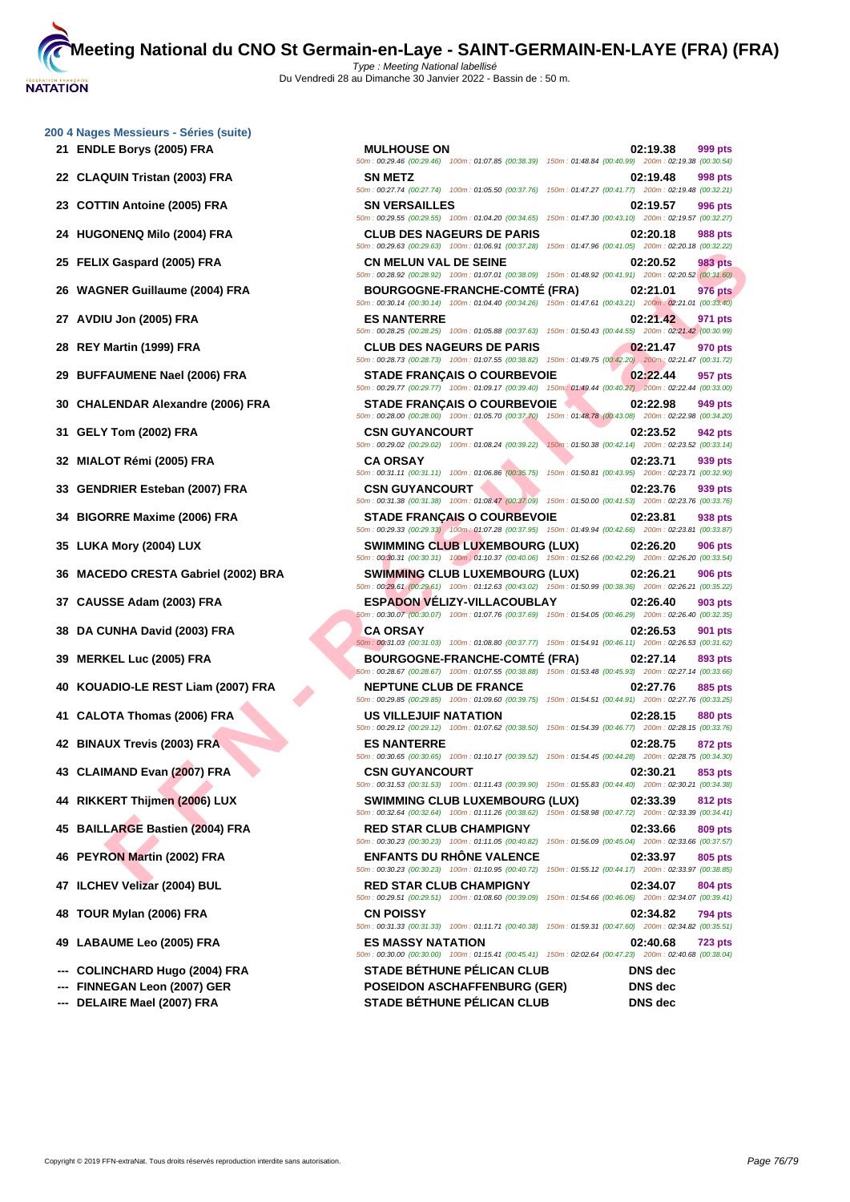**[200 4 Nag](http://www.ffnatation.fr/webffn/index.php)es Messieurs - Séries (suite)**

- **21 ENDLE Borys (2005) FRA**
- **22 CLAQUIN Tristan (2003) FRA**
- **23 COTTIN Antoine (2005) FRA**
- **24 HUGONENQ Milo (2004) FRA CLUB DES NAGEURS DE PARIS 02:20.18 988 pts**
- **25 FELIX Gaspard (2005) FRA**
- **26 WAGNER Guillaume (2004) FRA**
- **27 AVDIU Jon (2005) FRA**
- **28 REY Martin (1999) FRA CLUB DES NAGEURS DE PARIS 02:21.47 970 pts**
- **29 BUFFAUMENE Nael (2006) FRA**
- **30 CHALENDAR Alexandre (2006) FRA**
- **31 GELY Tom (2002) FRA**
- **32 MIALOT Rémi (2005) FRA CA ORSAY 02:23.71 939 pts**
- **33 GENDRIER Esteban (2007) FRA**
- **34 BIGORRE Maxime (2006) FRA**
- **35 LUKA Mory (2004) LUX**
- **36 MACEDO CRESTA Gabriel (2002) BRA**
- **37 CAUSSE Adam (2003) FRA ESPADON VÉLIZY-VILLACOUBLAY 02:26.40 903 pts**
- **38 DA CUNHA David (2003) FRA**
- **39 MERKEL Luc (2005) FRA**
- **40 KOUADIO-LE REST Liam (2007) FRA**
- **41 CALOTA Thomas (2006) FRA US VILLEJUIF NATATION 02:28.15 880 pts**
- **42 BINAUX Trevis (2003) FRA**
- **43 CLAIMAND Evan (2007) FRA**
- **44 RIKKERT Thijmen (2006) LUX**
- **45 BAILLARGE Bastien (2004) FRA**
- **46 PEYRON Martin (2002) FRA**
- **47 ILCHEV Velizar (2004) BUL**
- **48 TOUR Mylan (2006) FRA**
- **49 LABAUME Leo (2005) FRA ES MASSY NATATION 02:40.68 723 pts**
- --- **COLINCHARD Hugo (2004) FRA**
- **--- FINNEGAN Leon (2007) GER**
- --- **DELAIRE Mael (2007) FRA** STADE BÉTHUNE PÉL

| LE Borys (2005) FRA                             | <b>MULHOUSE ON</b><br>50m : 00:29.46 (00:29.46) 100m : 01:07.85 (00:38.39) 150m : 01:48.84 (00:40.99) 200m : 02:19.38 (00:30.54)                    | 02:19.38<br>999 pts        |
|-------------------------------------------------|-----------------------------------------------------------------------------------------------------------------------------------------------------|----------------------------|
| QUIN Tristan (2003) FRA                         | <b>SN METZ</b>                                                                                                                                      | 02:19.48<br>998 pts        |
| TIN Antoine (2005) FRA                          | 50m: 00:27.74 (00:27.74) 100m: 01:05.50 (00:37.76) 150m: 01:47.27 (00:41.77) 200m: 02:19.48 (00:32.21)<br><b>SN VERSAILLES</b>                      | 02:19.57<br>996 pts        |
| ONENQ Milo (2004) FRA                           | 50m: 00:29.55 (00:29.55) 100m: 01:04.20 (00:34.65) 150m: 01:47.30 (00:43.10) 200m: 02:19.57 (00:32.27)<br><b>CLUB DES NAGEURS DE PARIS</b>          | 02:20.18<br>988 pts        |
| X Gaspard (2005) FRA                            | 50m : 00:29.63 (00:29.63) 100m : 01:06.91 (00:37.28) 150m : 01:47.96 (00:41.05) 200m : 02:20.18 (00:32.22)<br><b>CN MELUN VAL DE SEINE</b>          | 02:20.52<br>983 pts        |
| NER Guillaume (2004) FRA                        | 50m : 00:28.92 (00:28.92) 100m : 01:07.01 (00:38.09) 150m : 01:48.92 (00:41.91) 200m : 02:20.52 (00:31.60)<br><b>BOURGOGNE-FRANCHE-COMTE (FRA)</b>  | 02:21.01<br><b>976 pts</b> |
| ∣U Jon (2005) FRA                               | 50m: 00:30.14 (00:30.14) 100m: 01:04.40 (00:34.26) 150m: 01:47.61 (00:43.21) 200m: 02:21.01 (00:33.40)<br><b>ES NANTERRE</b>                        | 02:21.42<br>971 pts        |
| Martin (1999) FRA                               | 50m: 00:28.25 (00:28.25) 100m: 01:05.88 (00:37.63) 150m: 01:50.43 (00:44.55) 200m: 02:21.42 (00:30.99)<br><b>CLUB DES NAGEURS DE PARIS</b>          | 02:21.47<br>970 pts        |
| FAUMENE Nael (2006) FRA                         | 50m: 00:28.73 (00:28.73) 100m: 01:07.55 (00:38.82) 150m: 01:49.75 (00:42.20) 200m: 02:21.47 (00:31.72)<br><b>STADE FRANÇAIS O COURBEVOIE</b>        | 02:22.44<br>957 pts        |
| LENDAR Alexandre (2006) FRA                     | 50m: 00:29.77 (00:29.77) 100m: 01:09.17 (00:39.40) 150m: 01:49.44 (00:40.27) 200m: 02:22.44 (00:33.00)<br><b>STADE FRANÇAIS O COURBEVOIE</b>        | 949 pts<br>02:22.98        |
| Y Tom (2002) FRA                                | 50m: 00:28.00 (00:28.00) 100m: 01:05.70 (00:37.70) 150m: 01:48.78 (00:43.08) 200m: 02:22.98 (00:34.20)<br><b>CSN GUYANCOURT</b>                     | 02:23.52<br>942 pts        |
|                                                 | 50m : 00:29.02 (00:29.02) 100m : 01:08.24 (00:39.22) 150m : 01:50.38 (00:42.14) 200m : 02:23.52 (00:33.14)                                          |                            |
| .OT Rémi (2005) FRA                             | <b>CA ORSAY</b><br>50m: 00:31.11 (00:31.11) 100m: 01:06.86 (00:35.75) 150m: 01:50.81 (00:43.95) 200m: 02:23.71 (00:32.90)                           | 02:23.71<br>939 pts        |
| DRIER Esteban (2007) FRA                        | <b>CSN GUYANCOURT</b><br>50m : 00:31.38 (00:31.38) 100m : 01:08.47 (00:37.09) 150m : 01:50.00 (00:41.53) 200m : 02:23.76 (00:33.76)                 | 02:23.76<br>939 pts        |
| )RRE Maxime (2006) FRA                          | <b>STADE FRANCAIS O COURBEVOIE</b><br>50m: 00:29.33 (00:29.33) 100m: 01:07.28 (00:37.95) 150m: 01:49.94 (00:42.66) 200m: 02:23.81 (00:33.87)        | 02:23.81<br>938 pts        |
| <b>A Mory (2004) LUX</b>                        | <b>SWIMMING CLUB LUXEMBOURG (LUX)</b><br>50m : 00:30.31 (00:30.31) 100m : 01:10.37 (00:40.06) 150m : 01:52.66 (00:42.29) 200m : 02:26.20 (00:33.54) | 02:26.20<br>906 pts        |
| EDO CRESTA Gabriel (2002) BRA                   | <b>SWIMMING CLUB LUXEMBOURG (LUX)</b><br>50m: 00:29.61 (00:29.61) 100m: 01:12.63 (00:43.02) 150m: 01:50.99 (00:38.36) 200m: 02:26.21 (00:35.22)     | 02:26.21<br><b>906 pts</b> |
| SSE Adam (2003) FRA                             | <b>ESPADON VELIZY-VILLACOUBLAY</b><br>50m : 00:30.07 (00:30.07) 100m : 01:07.76 (00:37.69) 150m : 01:54.05 (00:46.29) 200m : 02:26.40 (00:32.35)    | 02:26.40<br>903 pts        |
| UNHA David (2003) FRA                           | <b>CA ORSAY</b><br>$50m$ : 00:31.03 (00:31.03) 100m: 01:08.80 (00:37.77) 150m: 01:54.91 (00:46.11) 200m: 02:26.53 (00:31.62)                        | 02:26.53<br>901 pts        |
| KEL Luc (2005) FRA                              | <b>BOURGOGNE-FRANCHE-COMTÉ (FRA)</b><br>50m: 00:28.67 (00:28.67) 100m: 01:07.55 (00:38.88) 150m: 01:53.48 (00:45.93) 200m: 02:27.14 (00:33.66)      | 02:27.14<br>893 pts        |
| ADIO-LE REST Liam (2007) FRA                    | <b>NEPTUNE CLUB DE FRANCE</b><br>50m: 00:29.85 (00:29.85) 100m: 01:09.60 (00:39.75) 150m: 01:54.51 (00:44.91) 200m: 02:27.76 (00:33.25)             | 02:27.76<br>885 pts        |
| <b>OTA Thomas (2006) FRA</b>                    | <b>US VILLEJUIF NATATION</b>                                                                                                                        | 02:28.15<br>880 pts        |
| <b>.UX Trevis (2003) FRA</b>                    | 50m : 00:29.12 (00:29.12) 100m : 01:07.62 (00:38.50) 150m : 01:54.39 (00:46.77) 200m : 02:28.15 (00:33.76)<br><b>ES NANTERRE</b>                    | 02:28.75<br>872 pts        |
| MAND Evan (2007) FRA                            | 50m: 00:30.65 (00:30.65) 100m: 01:10.17 (00:39.52) 150m: 01:54.45 (00:44.28) 200m: 02:28.75 (00:34.30)<br><b>CSN GUYANCOURT</b>                     | 02:30.21<br>853 pts        |
| <b>ERT Thijmen (2006) LUX</b>                   | 50m: 00:31.53 (00:31.53) 100m: 01:11.43 (00:39.90) 150m: 01:55.83 (00:44.40) 200m: 02:30.21 (00:34.38)<br><b>SWIMMING CLUB LUXEMBOURG (LUX)</b>     | 02:33.39<br>812 pts        |
| LARGE Bastien (2004) FRA                        | 50m: 00:32.64 (00:32.64) 100m: 01:11.26 (00:38.62) 150m: 01:58.98 (00:47.72) 200m: 02:33.39 (00:34.41)<br><b>RED STAR CLUB CHAMPIGNY</b>            | 02:33.66<br>809 pts        |
| RON Martin (2002) FRA                           | 50m : 00:30.23 (00:30.23) 100m : 01:11.05 (00:40.82) 150m : 01:56.09 (00:45.04) 200m : 02:33.66 (00:37.57)<br><b>ENFANTS DU RHONE VALENCE</b>       | 02:33.97<br>805 pts        |
| EV Velizar (2004) BUL                           | 50m: 00:30.23 (00:30.23) 100m: 01:10.95 (00:40.72) 150m: 01:55.12 (00:44.17) 200m: 02:33.97 (00:38.85)<br><b>RED STAR CLUB CHAMPIGNY</b>            | 02:34.07<br>804 pts        |
| R Mylan (2006) FRA                              | 50m : 00:29.51 (00:29.51) 100m : 01:08.60 (00:39.09) 150m : 01:54.66 (00:46.06) 200m : 02:34.07 (00:39.41)<br><b>CN POISSY</b>                      | 02:34.82<br>794 pts        |
|                                                 | 50m: 00:31.33 (00:31.33) 100m: 01:11.71 (00:40.38) 150m: 01:59.31 (00:47.60) 200m: 02:34.82 (00:35.51)                                              |                            |
| <b>AUME Leo (2005) FRA</b>                      | <b>ES MASSY NATATION</b><br>50m: 00:30.00 (00:30.00) 100m: 01:15.41 (00:45.41) 150m: 02:02.64 (00:47.23) 200m: 02:40.68 (00:38.04)                  | 02:40.68<br><b>723 pts</b> |
| INCHARD Hugo (2004) FRA<br>EGAN Leon (2007) GER | <b>STADE BÉTHUNE PÉLICAN CLUB</b><br><b>POSEIDON ASCHAFFENBURG (GER)</b>                                                                            | DNS dec<br>DNS dec         |
| <b>NRE Mael (2007) FRA</b>                      | STADE RÉTHUNE PÉLICAN CLUR                                                                                                                          | DNS dec                    |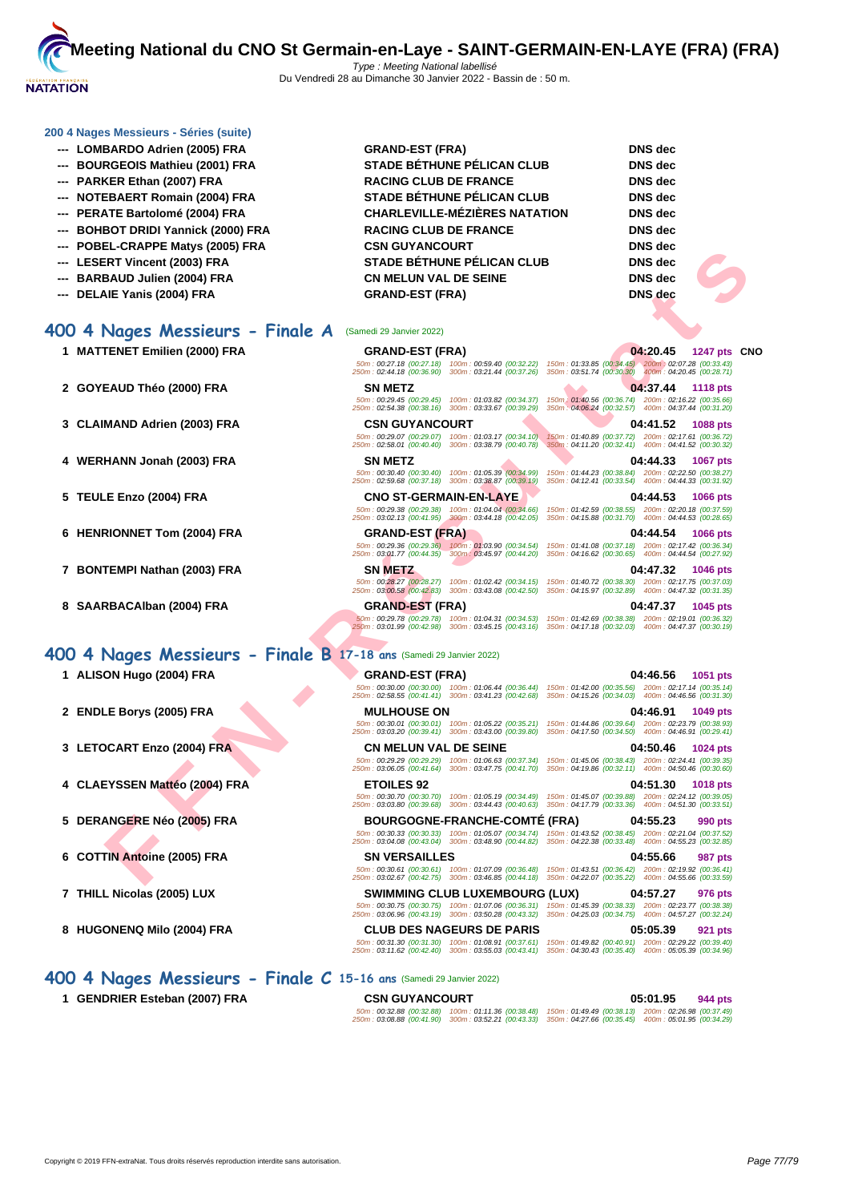

#### **[200 4 Nag](http://www.ffnatation.fr/webffn/index.php)es Messieurs - Séries (suite)**

- **--- LOMBARDO Adrien (2005) FRA GRAND-EST (FRA) DNS dec**
- **--- BOURGEOIS Mathieu (2001) FRA STADE BÉTHUNE PÉLICAN CLUB DNS dec**
- **--- PARKER Ethan (2007) FRA RACING CLUB DE FRANCE DNS dec**
- **--- NOTEBAERT Romain (2004) FRA STADE BÉTHUNE PÉLICAN CLUB DNS dec**
- 
- 
- 
- 
- 
- 

# **400 4 Nages Messieurs - Finale A** (Samedi 29 Janvier 2022)

- 
- 
- 
- 
- 
- 
- 
- 

# **400 4 Nages Messieurs - Finale B 17-18 ans** (Samedi 29 Janvier 2022)

- 
- 
- 
- 
- 
- 
- 
- 

**--- PERATE Bartolomé (2004) FRA CHARLEVILLE-MÉZIÈRES NATATION DNS dec --- BOHBOT DRIDI Yannick (2000) FRA RACING CLUB DE FRANCE DNS dec --- POBEL-CRAPPE Matys (2005) FRA CSN GUYANCOURT DNS dec --- LESERT Vincent (2003) FRA STADE BÉTHUNE PÉLICAN CLUB DNS dec --- BARBAUD Julien (2004) FRA CN MELUN VAL DE SEINE DNS dec --- DELAIE Yanis (2004) FRA GRAND-EST (FRA) DNS dec**

# **FIND THE READ ASSESS OF A SECOND FRAME DESCRIPTIO[N](http://www.ffnatation.fr/webffn/resultats.php?idact=nat&go=epr&idcpt=75485&idepr=92) ASSESS OF A SECOND FRAME DESCRIPTION ASSESS OF A SECOND FRAME DESCRIPTION ASSESS OF A SECOND FRAME DESCRIPTION AND CONDITATION CONDITION ASSESS OF A SECOND FRAME DESCRIP 1 MATTENET Emilien (2000) FRA GRAND-EST (FRA) 04:20.45 1247 pts CNO** 50m : 00:27.18 (00:27.18) 100m : 00:59.40 (00:32.22) 150m : 01:33.85 (00:34.45) 200m : 02:07.28 (00:33.43) 250m : 02:44.18 (00:36.90) 300m : 03:21.44 (00:37.26) 350m : 03:51.74 (00:30.30) 400m : 04:20.45 (00:28.71) **2 GOYEAUD Théo (2000) FRA SN METZ 04:37.44 1118 pts** 50m : 00:29.45 (00:29.45) 100m : 01:03.82 (00:34.37) 150m : 01:40.56 (00:36.74) 200m : 02:16.22 (00:35.66) 250m : 02:54.38 (00:38.16) 300m : 03:33.67 (00:39.29) 350m : 04:06.24 (00:32.57) 400m : 04:37.44 (00:31.20) **3 CLAIMAND Adrien (2003) FRA CSN GUYANCOURT 04:41.52 1088 pts** 50m : 00:29.07 (00:29.07) 100m : 01:03.17 (00:34.10) 150m : 01:40.89 (00:37.72) 200m : 02:17.61 (00:36.72) 250m : 02:58.01 (00:40.40) 300m : 03:38.79 (00:40.78) 350m : 04:11.20 (00:32.41) 400m : 04:41.52 (00:30.32) **4 WERHANN Jonah (2003) FRA SN METZ 04:44.33 1067 pts** 50m : 00:30.40 (00:30.40) 100m : 01:05.39 (00:34.99) 150m : 01:44.23 (00:38.84) 200m : 02:22.50 (00:38.27) 250m : 02:59.68 (00:37.18) 300m : 03:38.87 (00:39.19) 350m : 04:12.41 (00:33.54) 400m : 04:44.33 (00:31.92) **5 TEULE Enzo (2004) FRA CNO ST-GERMAIN-EN-LAYE 04:44.53 1066 pts** 50m : 00:29.38 (00:29.38) 100m : 01:04.04 (00:34.66) 150m : 01:42.59 (00:38.55) 200m : 02:20.18 (00:37.59) 250m : 03:02.13 (00:41.95) 300m : 03:44.18 (00:42.05) 350m : 04:15.88 (00:31.70) 400m : 04:44.53 (00:28.65) **6 HENRIONNET Tom (2004) FRA GRAND-EST (FRA) 04:44.54 1066 pts** 50m : 00:29.36 (00:29.36) 100m : 01:03.90 (00:34.54) 150m : 01:41.08 (00:37.18) 200m : 02:17.42 (00:36.34) 250m : 03:01.77 (00:44.35) 300m : 03:45.97 (00:44.20) 350m : 04:16.62 (00:30.65) 400m : 04:44.54 (00:27.92) **7 BONTEMPI Nathan (2003) FRA SN METZ 04:47.32 1046 pts** 50m : 00:28.27 (00:28.27) 100m : 01:02.42 (00:34.15) 150m : 01:40.72 (00:38.30) 200m : 02:17.75 (00:37.03) 250m : 03:00.58 (00:42.83) 300m : 03:43.08 (00:42.50) 350m : 04:15.97 (00:32.89) 400m : 04:47.32 (00:31.35) **8 SAARBACAlban (2004) FRA GRAND-EST (FRA) 04:47.37 1045 pts**

50m : 00:29.78 (00:29.78) 100m : 01:04.31 (00:34.53) 150m : 01:42.69 (00:38.38) 200m : 02:19.01 (00:36.32) 250m : 03:01.99 (00:42.98) 300m : 03:45.15 (00:43.16) 350m : 04:17.18 (00:32.03) 400m : 04:47.37 (00:30.19)

# **1 ALISON Hugo (2004) FRA GRAND-EST (FRA) 04:46.56 1051 pts** 50m : 00:30.00 (00:30.00) 100m : 01:06.44 (00:36.44) 150m : 01:42.00 (00:35.56) 200m : 02:17.14 (00:35.14) 250m : 02:58.55 (00:41.41) 300m : 03:41.23 (00:42.68) 350m : 04:15.26 (00:34.03) 400m : 04:46.56 (00:31.30) **2 ENDLE Borys (2005) FRA MULHOUSE ON 04:46.91 1049 pts** 50m : 00:30.01 (00:30.01) 100m : 01:05.22 (00:35.21) 150m : 01:44.86 (00:39.64) 200m : 02:23.79 (00:38.93) 250m : 03:03.20 (00:39.41) 300m : 03:43.00 (00:39.80) 350m : 04:17.50 (00:34.50) 400m : 04:46.91 (00:29.41) **3 LETOCART Enzo (2004) FRA CN MELUN VAL DE SEINE 04:50.46 1024 pts** 50m : 00:29.29 (00:29.29) 100m : 01:06.63 (00:37.34) 150m : 01:45.06 (00:38.43) 200m : 02:24.41 (00:39.35) 250m : 03:06.05 (00:41.64) 300m : 03:47.75 (00:41.70) 350m : 04:19.86 (00:32.11) 400m : 04:50.46 (00:30.60) **4 CLAEYSSEN Mattéo (2004) FRA ETOILES 92 04:51.30 1018 pts** 50m : 00:30.70 (00:30.70) 100m : 01:05.19 (00:34.49) 150m : 01:45.07 (00:39.88) 200m : 02:24.12 (00:39.05) 250m : 03:03.80 (00:39.68) 300m : 03:44.43 (00:40.63) 350m : 04:17.79 (00:33.36) 400m : 04:51.30 (00:33.51) **5 DERANGERE Néo (2005) FRA BOURGOGNE-FRANCHE-COMTÉ (FRA) 04:55.23 990 pts** 50m : 00:30.33 (00:30.33) 100m : 01:05.07 (00:34.74) 150m : 01:43.52 (00:38.45) 200m : 02:21.04 (00:37.52) 250m : 03:04.08 (00:43.04) 300m : 03:48.90 (00:44.82) 350m : 04:22.38 (00:33.48) 400m : 04:55.23 (00:32.85) **6 COTTIN Antoine (2005) FRA SN VERSAILLES 04:55.66 987 pts** 50m : 00:30.61 (00:30.61) 100m : 01:07.09 (00:36.48) 150m : 01:43.51 (00:36.42) 200m : 02:19.92 (00:36.41) 250m : 03:02.67 (00:42.75) 300m : 03:46.85 (00:44.18) 350m : 04:22.07 (00:35.22) 400m : 04:55.66 (00:33.59) **7 THILL Nicolas (2005) LUX SWIMMING CLUB LUXEMBOURG (LUX) 04:57.27 976 pts**

50m : 00:30.75 (00:30.75) 100m : 01:07.06 (00:36.31) 150m : 01:45.39 (00:38.33) 200m : 02:23.77 (00:38.38) 250m : 03:06.96 (00:43.19) 300m : 03:50.28 (00:43.32) 350m : 04:25.03 (00:34.75) 400m : 04:57.27 (00:32.24)

#### **8 HUGONENQ Milo (2004) FRA CLUB DES NAGEURS DE PARIS 05:05.39 921 pts** 50m : 00:31.30 (00:31.30) 100m : 01:08.91 (00:37.61) 150m : 01:49.82 (00:40.91) 200m : 02:29.22 (00:39.40) 250m : 03:11.62 (00:42.40) 300m : 03:55.03 (00:43.41) 350m : 04:30.43 (00:35.40) 400m : 05:05.39 (00:34.96)

#### **400 4 Nages Messieurs - Finale C 15-16 ans** (Samedi 29 Janvier 2022)

**1 GENDRIER Esteban (2007) FRA CSN GUYANCOURT 05:01.95 944 pts**

50m : 00:32.88 (00:32.88) 100m : 01:11.36 (00:38.48) 150m : 01:49.49 (00:38.13) 200m : 02:26.98 (00:37.49) 250m : 03:08.88 (00:41.90) 300m : 03:52.21 (00:43.33) 350m : 04:27.66 (00:35.45) 400m : 05:01.95 (00:34.29)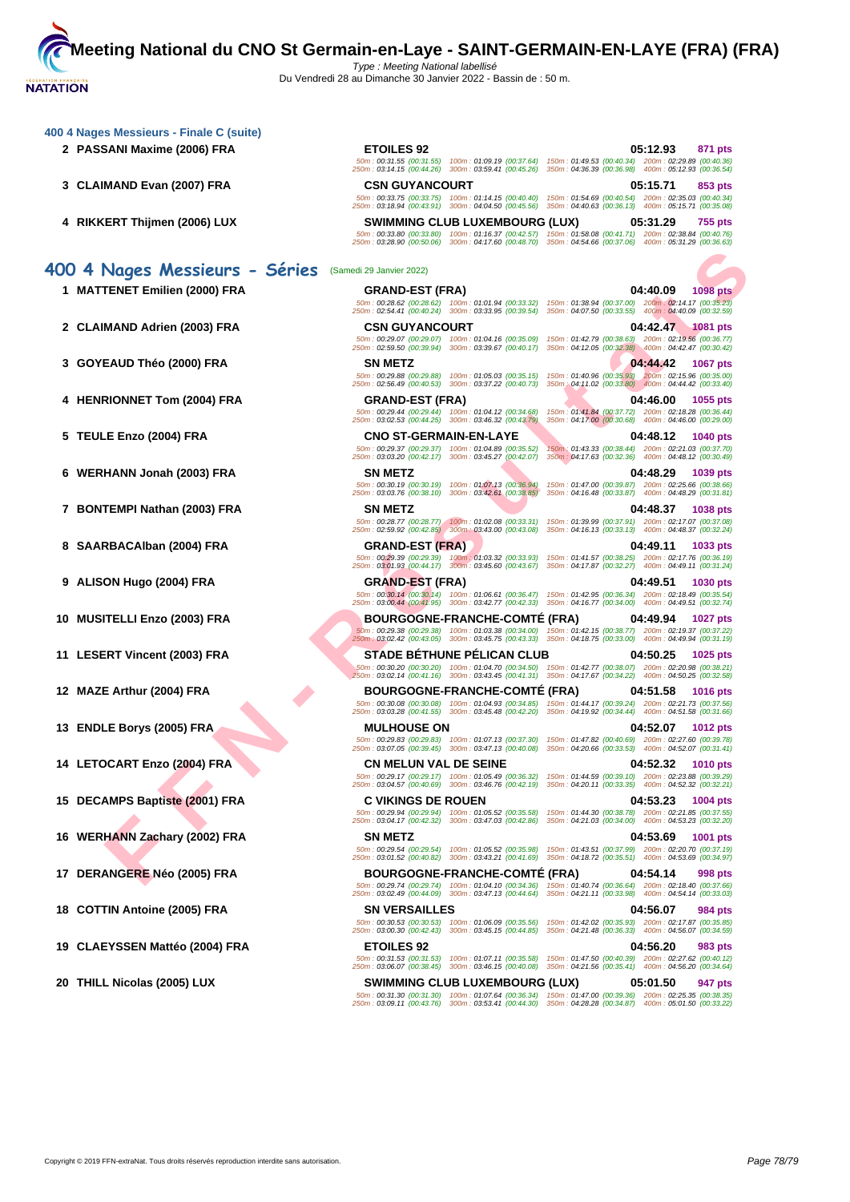**[400 4 Nag](http://www.ffnatation.fr/webffn/index.php)es Messieurs - Finale C (suite)**

- 
- 
- 

## **400 4 Nages Messieurs - Séries** (Samedi 29 Janvier 2022)

- **1 MATTENET Emilien (2000) FRA GRAND-EST (FRA) 04:40.09 1098 pts**
- 
- 
- 
- 
- 
- **7 BONTEMPI Nathan (2003) FRA SN METZ 04:48.37 1038 pts**
- 
- **9 ALISON Hugo (2004) FRA GRAND-EST (FRA) 04:49.51 1030 pts**
- **10 MUSITELLI Enzo (2003) FRA BOURGOGNE-FRANCHE-COMTÉ (FRA) 04:49.94 1027 pts**
- 
- **12 MAZE Arthur (2004) FRA BOURGOGNE-FRANCHE-COMTÉ (FRA) 04:51.58 1016 pts**
- 
- 
- **15 DECAMPS Baptiste (2001) FRA C VIKINGS DE ROUEN 04:53.23 1004 pts**
- **16 WERHANN Zachary (2002) FRA SN METZ 04:53.69 1001 pts**
- 
- 
- **19 CLAEYSSEN Mattéo (2004) FRA ETOILES 92 04:56.20 983 pts**

**2 PASSANI Maxime (2006) FRA ETOILES 92 05:12.93 871 pts** 50m : 00:31.55 (00:31.55) 100m : 01:09.19 (00:37.64) 150m : 01:49.53 (00:40.34) 200m : 02:29.89 (00:40.36) 250m : 03:14.15 (00:44.26) 300m : 03:59.41 (00:45.26) 350m : 04:36.39 (00:36.98) 400m : 05:12.93 (00:36.54) **3 CLAIMAND Evan (2007) FRA CSN GUYANCOURT 05:15.71 853 pts** 50m : 00:33.75 (00:33.75) 100m : 01:14.15 (00:40.40) 150m : 01:54.69 (00:40.54) 200m : 02:35.03 (00:40.34) 250m : 03:18.94 (00:43.91) 300m : 04:04.50 (00:45.56) 350m : 04:40.63 (00:36.13) 400m : 05:15.71 (00:35.08) **4 RIKKERT Thijmen (2006) LUX SWIMMING CLUB LUXEMBOURG (LUX) 05:31.29 755 pts** 50m : 00:33.80 (00:33.80) 100m : 01:16.37 (00:42.57) 150m : 01:58.08 (00:41.71) 200m : 02:38.84 (00:40.76) 250m : 03:28.90 (00:50.06) 300m : 04:17.60 (00:48.70) 350m : 04:54.66 (00:37.06) 400m : 05:31.29 (00:36.63)

**FIGURE ENDERGRÉE DE COOP FRAMENT DE REALISTE DE CONNECTION DE REALISTE DE REALISTE DE CONNECTION DE REALISTE DE CONNECTION DE REALISTE DE REALISTE DE REALISTE DE REALISTE DE REALISTE DE REALISTE DE REALISTE DE REALISTE DE** 50m : 00:28.62 (00:28.62) 100m : 01:01.94 (00:33.32) 150m : 01:38.94 (00:37.00) 200m : 02:14.17 (00:35.23) 250m : 02:54.41 (00:40.24) 300m : 03:33.95 (00:39.54) 350m : 04:07.50 (00:33.55) 400m : 04:40.09 (00:32.59) **2 CLAIMAND Adrien (2003) FRA CSN GUYANCOURT 04:42.47 1081 pts** 50m : 00:29.07 (00:29.07) 100m : 01:04.16 (00:35.09) 150m : 01:42.79 (00:38.63) 200m : 02:19.56 (00:36.77) 250m : 02:59.50 (00:39.94) 300m : 03:39.67 (00:40.17) 350m : 04:12.05 (00:32.38) 400m : 04:42.47 (00:30.42) **3 GOYEAUD Théo (2000) FRA SN METZ 04:44.42 1067 pts** 50m : 00:29.88 (00:29.88) 100m : 01:05.03 (00:35.15) 150m : 01:40.96 (00:35.93) 200m : 02:15.96 (00:35.00) 250m : 02:56.49 (00:40.53) 300m : 03:37.22 (00:40.73) 350m : 04:11.02 (00:33.80) 400m : 04:44.42 (00:33.40) **4 HENRIONNET Tom (2004) FRA GRAND-EST (FRA) 04:46.00 1055 pts**

**5 TEULE Enzo (2004) FRA CNO ST-GERMAIN-EN-LAYE 04:48.12 1040 pts** 50m : 00:29.37 (00:29.37) 100m : 01:04.89 (00:35.52) 150m : 01:43.33 (00:38.44) 200m : 02:21.03 (00:37.70) 250m : 03:03.20 (00:42.17) 300m : 03:45.27 (00:42.07) 350m : 04:17.63 (00:32.36) 400m : 04:48.12 (00:30.49)

**6 WERHANN Jonah (2003) FRA SN METZ 04:48.29 1039 pts** 50m : 00:30.19 (00:30.19) 100m : 01:07.13 (00:36.94) 150m : 01:47.00 (00:39.87) 200m : 02:25.66 (00:38.66) 250m : 03:03.76 (00:38.10) 300m : 03:42.61 (00:38.85) 350m : 04:16.48 (00:33.87) 400m : 04:48.29 (00:31.81)

50m : 00:28.77 (00:28.77) 100m : 01:02.08 (00:33.31) 150m : 01:39.99 (00:37.91) 200m : 02:17.07 (00:37.08) 250m : 02:59.92 (00:42.85) 300m : 03:43.00 (00:43.08) 350m : 04:16.13 (00:33.13) 400m : 04:48.37 (00:32.24)

50m : 00:29.39 (00:29.39) 100m : 01:03.32 (00:33.93) 150m : 01:41.57 (00:38.25) 200m : 02:17.76 (00:36.19) 250m : 03:01.93 (00:44.17) 300m : 03:45.60 (00:43.67) 350m : 04:17.87 (00:32.27) 400m : 04:49.11 (00:31.24)

50m : 00:29.38 (00:29.38) 100m : 01:03.38 (00:34.00) 150m : 01:42.15 (00:38.77) 200m : 02:19.37 (00:37.22) 250m : 03:02.42 (00:43.05) 300m : 03:45.75 (00:43.33) 350m : 04:18.75 (00:33.00) 400m : 04:49.94 (00:31.19)

**11 LESERT Vincent (2003) FRA STADE BÉTHUNE PÉLICAN CLUB 04:50.25 1025 pts**

50m : 00:30.20 (00:30.20) 100m : 01:04.70 (00:34.50) 150m : 01:42.77 (00:38.07) 200m : 02:20.98 (00:38.21) 250m : 03:02.14 (00:41.16) 300m : 03:43.45 (00:41.31) 350m : 04:17.67 (00:34.22) 400m : 04:50.25 (00:32.58)

50m : 00:29.83 (00:29.83) 100m : 01:07.13 (00:37.30) 150m : 01:47.82 (00:40.69) 200m : 02:27.60 (00:39.78) 250m : 03:07.05 (00:39.45) 300m : 03:47.13 (00:40.08) 350m : 04:20.66 (00:33.53) 400m : 04:52.07 (00:31.41)

50m : 00:29.17 (00:29.17) 100m : 01:05.49 (00:36.32) 150m : 01:44.59 (00:39.10) 200m : 02:23.88 (00:39.29) 250m : 03:04.57 (00:40.69) 300m : 03:46.76 (00:42.19) 350m : 04:20.11 (00:33.35) 400m : 04:52.32 (00:32.21)

50m : 00:29.74 (00:29.74) 100m : 01:04.10 (00:34.36) 150m : 01:40.74 (00:36.64) 200m : 02:18.40 (00:37.66) 250m : 03:02.49 (00:44.09) 300m : 03:47.13 (00:44.64) 350m : 04:21.11 (00:33.98) 400m : 04:54.14 (00:33.03)

50m : 00:31.53 (00:31.53) 100m : 01:07.11 (00:35.58) 150m : 01:47.50 (00:40.39) 200m : 02:27.62 (00:40.12) 250m : 03:06.07 (00:38.45) 300m : 03:46.15 (00:40.08) 350m : 04:21.56 (00:35.41) 400m : 04:56.20 (00:34.64)

50m : 00:31.30 (00:31.30) 100m : 01:07.64 (00:36.34) 150m : 01:47.00 (00:39.36) 200m : 02:25.35 (00:38.35) 250m : 03:09.11 (00:43.76) 300m : 03:53.41 (00:44.30) 350m : 04:28.28 (00:34.87) 400m : 05:01.50 (00:33.22)

50m : 00:29.44 (00:29.44) 100m : 01:04.12 (00:34.68) 150m : 01:41.84 (00:37.72) 200m : 02:18.28 (00:36.44) 250m : 03:02.53 (00:44.25) 300m : 03:46.32 (00:43.79) 350m : 04:17.00 (00:30.68) 400m : 04:46.00 (00:29.00)

**8 SAARBACAlban (2004) FRA GRAND-EST (FRA) 04:49.11 1033 pts**

50m : 00:30.14 (00:30.14) 100m : 01:06.61 (00:36.47) 150m : 01:42.95 (00:36.34) 200m : 02:18.49 (00:35.54) 250m : 03:00.44 (00:41.95) 300m : 03:42.77 (00:42.33) 350m : 04:16.77 (00:34.00) 400m : 04:49.51 (00:32.74)

50m : 00:30.08 (00:30.08) 100m : 01:04.93 (00:34.85) 150m : 01:44.17 (00:39.24) 200m : 02:21.73 (00:37.56) 250m : 03:03.28 (00:41.55) 300m : 03:45.48 (00:42.20) 350m : 04:19.92 (00:34.44) 400m : 04:51.58 (00:31.66)

**13 ENDLE Borys (2005) FRA MULHOUSE ON 04:52.07 1012 pts**

**14 LETOCART Enzo (2004) FRA CN MELUN VAL DE SEINE 04:52.32 1010 pts**

50m : 00:29.94 (00:29.94) 100m : 01:05.52 (00:35.58) 150m : 01:44.30 (00:38.78) 200m : 02:21.85 (00:37.55) 250m : 03:04.17 (00:42.32) 300m : 03:47.03 (00:42.86) 350m : 04:21.03 (00:34.00) 400m : 04:53.23 (00:32.20)

50m : 00:29.54 (00:29.54) 100m : 01:05.52 (00:35.98) 150m : 01:43.51 (00:37.99) 200m : 02:20.70 (00:37.19) 250m : 03:01.52 (00:40.82) 300m : 03:43.21 (00:41.69) 350m : 04:18.72 (00:35.51) 400m : 04:53.69 (00:34.97)

**17 DERANGERE Néo (2005) FRA BOURGOGNE-FRANCHE-COMTÉ (FRA) 04:54.14 998 pts**

**18 COTTIN Antoine (2005) FRA SN VERSAILLES 04:56.07 984 pts**

50m : 00:30.53 (00:30.53) 100m : 01:06.09 (00:35.56) 150m : 01:42.02 (00:35.93) 200m : 02:17.87 (00:35.85) 250m : 03:00.30 (00:42.43) 300m : 03:45.15 (00:44.85) 350m : 04:21.48 (00:36.33) 400m : 04:56.07 (00:34.59)

**20 THILL Nicolas (2005) LUX SWIMMING CLUB LUXEMBOURG (LUX) 05:01.50 947 pts**